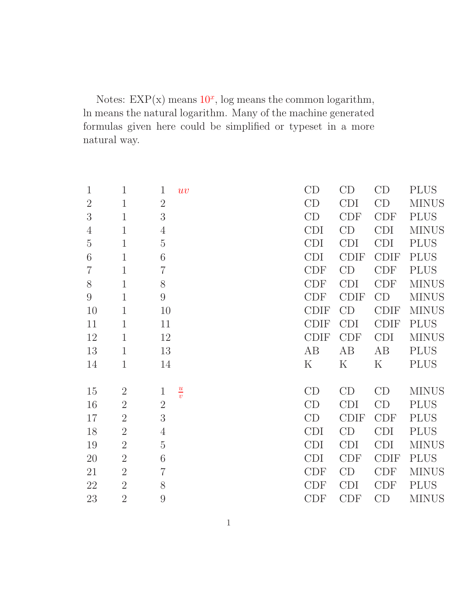Notes:  $EXP(x)$  means  $10<sup>x</sup>$ , log means the common logarithm, ln means the natural logarithm. Many of the machine generated formulas given here could be simplified or typeset in a more natural way.

| $\mathbf{1}$     | 1              | $\mathbf{1}$<br>uv            | CD          | CD          | CD          | <b>PLUS</b>  |
|------------------|----------------|-------------------------------|-------------|-------------|-------------|--------------|
| $\overline{2}$   | $\mathbf{1}$   | $\overline{2}$                | CD          | <b>CDI</b>  | CD          | <b>MINUS</b> |
| 3                | $\mathbf 1$    | 3                             | CD          | <b>CDF</b>  | <b>CDF</b>  | <b>PLUS</b>  |
| $\overline{4}$   | $\mathbf{1}$   | $\overline{4}$                | <b>CDI</b>  | CD          | <b>CDI</b>  | <b>MINUS</b> |
| $\overline{5}$   | $\mathbf{1}$   | $\overline{5}$                | <b>CDI</b>  | <b>CDI</b>  | <b>CDI</b>  | <b>PLUS</b>  |
| 6                | $\mathbf{1}$   | 6                             | <b>CDI</b>  | <b>CDIF</b> | <b>CDIF</b> | <b>PLUS</b>  |
| $\overline{7}$   | $\mathbf 1$    | $\overline{7}$                | <b>CDF</b>  | CD          | CDF         | <b>PLUS</b>  |
| $8\,$            | $\mathbf{1}$   | 8                             | <b>CDF</b>  | <b>CDI</b>  | <b>CDF</b>  | <b>MINUS</b> |
| $\boldsymbol{9}$ | $\mathbf 1$    | $9\phantom{.0}$               | <b>CDF</b>  | <b>CDIF</b> | CD          | <b>MINUS</b> |
| 10               | $\mathbf{1}$   | 10                            | <b>CDIF</b> | CD          | <b>CDIF</b> | <b>MINUS</b> |
| 11               | $\mathbf 1$    | 11                            | <b>CDIF</b> | <b>CDI</b>  | <b>CDIF</b> | <b>PLUS</b>  |
| 12               | $\mathbf 1$    | 12                            | <b>CDIF</b> | CDF         | <b>CDI</b>  | <b>MINUS</b> |
|                  |                |                               |             |             |             |              |
| 13               | $\mathbf{1}$   | 13                            | AB          | AB          | AB          | <b>PLUS</b>  |
| 14               | $\mathbf 1$    | 14                            | $\mathbf K$ | $\rm K$     | $\rm K$     | <b>PLUS</b>  |
|                  |                |                               |             |             |             |              |
| 15               | $\overline{2}$ | $\frac{u}{v}$<br>$\mathbf{1}$ | CD          | CD          | CD          | <b>MINUS</b> |
| 16               | $\overline{2}$ | $\overline{2}$                | CD          | <b>CDI</b>  | CD          | <b>PLUS</b>  |
| 17               | $\overline{2}$ | 3                             | CD          | <b>CDIF</b> | <b>CDF</b>  | <b>PLUS</b>  |
| 18               | $\overline{2}$ | $\overline{4}$                | <b>CDI</b>  | CD          | <b>CDI</b>  | <b>PLUS</b>  |
| 19               | $\overline{2}$ | $\overline{5}$                | <b>CDI</b>  | <b>CDI</b>  | <b>CDI</b>  | <b>MINUS</b> |
| 20               | $\overline{2}$ | $\sqrt{6}$                    | <b>CDI</b>  | <b>CDF</b>  | <b>CDIF</b> | <b>PLUS</b>  |
| 21               | $\overline{2}$ | $\overline{7}$                | <b>CDF</b>  | CD          | <b>CDF</b>  | <b>MINUS</b> |
| 22               | $\overline{2}$ | 8                             | <b>CDF</b>  | <b>CDI</b>  | <b>CDF</b>  | <b>PLUS</b>  |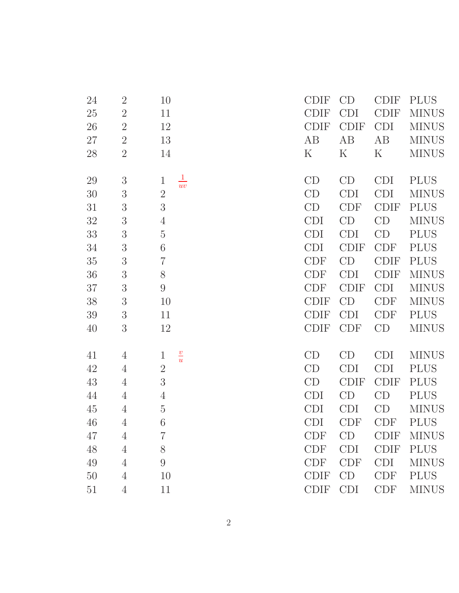| 24 | $\overline{2}$ | 10                           | <b>CDIF</b> | CD          | <b>CDIF</b> | <b>PLUS</b>  |
|----|----------------|------------------------------|-------------|-------------|-------------|--------------|
| 25 | $\overline{2}$ | 11                           | <b>CDIF</b> | <b>CDI</b>  | <b>CDIF</b> | <b>MINUS</b> |
| 26 | $\overline{2}$ | 12                           | <b>CDIF</b> | <b>CDIF</b> | <b>CDI</b>  | <b>MINUS</b> |
| 27 | $\overline{2}$ | 13                           | AB          | AB          | AB          | <b>MINUS</b> |
| 28 | $\overline{2}$ | 14                           | $\rm K$     | $\rm K$     | K           | <b>MINUS</b> |
|    |                |                              |             |             |             |              |
| 29 | 3              | $rac{1}{uv}$<br>$\mathbf{1}$ | CD          | CD          | <b>CDI</b>  | <b>PLUS</b>  |
| 30 | 3              | $\overline{2}$               | CD          | <b>CDI</b>  | <b>CDI</b>  | <b>MINUS</b> |
| 31 | $\mathfrak{Z}$ | 3                            | CD          | <b>CDF</b>  | <b>CDIF</b> | <b>PLUS</b>  |
| 32 | $\mathfrak{Z}$ | $\overline{4}$               | <b>CDI</b>  | CD          | CD          | <b>MINUS</b> |
| 33 | 3              | $\rm 5$                      | <b>CDI</b>  | <b>CDI</b>  | CD          | <b>PLUS</b>  |
| 34 | 3              | 6                            | <b>CDI</b>  | <b>CDIF</b> | CDF         | <b>PLUS</b>  |
| 35 | 3              | $\overline{7}$               | <b>CDF</b>  | CD          | <b>CDIF</b> | <b>PLUS</b>  |
| 36 | 3              | $8\,$                        | CDF         | <b>CDI</b>  | <b>CDIF</b> | <b>MINUS</b> |
| 37 | $\mathfrak{Z}$ | $\boldsymbol{9}$             | <b>CDF</b>  | <b>CDIF</b> | <b>CDI</b>  | <b>MINUS</b> |
| 38 | $\mathfrak{Z}$ | 10                           | <b>CDIF</b> | CD          | <b>CDF</b>  | <b>MINUS</b> |
| 39 | $\mathfrak{Z}$ | 11                           | <b>CDIF</b> | <b>CDI</b>  | <b>CDF</b>  | <b>PLUS</b>  |
| 40 | 3              | 12                           | <b>CDIF</b> | <b>CDF</b>  | CD          | <b>MINUS</b> |
|    |                |                              |             |             |             |              |
| 41 | $\overline{4}$ | $\frac{v}{u}$<br>$\mathbf 1$ | CD          | CD          | <b>CDI</b>  | <b>MINUS</b> |
| 42 | $\overline{4}$ | $\overline{2}$               | CD          | <b>CDI</b>  | <b>CDI</b>  | <b>PLUS</b>  |
| 43 | $\overline{4}$ | 3                            | CD          | <b>CDIF</b> | <b>CDIF</b> | <b>PLUS</b>  |
| 44 | $\overline{4}$ | $\overline{4}$               | <b>CDI</b>  | CD          | CD          | <b>PLUS</b>  |
| 45 | $\overline{4}$ | $\rm 5$                      | <b>CDI</b>  | CDI         | CD          | <b>MINUS</b> |
| 46 | $\overline{4}$ | 6                            | <b>CDI</b>  | <b>CDF</b>  | <b>CDF</b>  | <b>PLUS</b>  |
| 47 | 4              | $\overline{7}$               | <b>CDF</b>  | CD          | <b>CDIF</b> | <b>MINUS</b> |
| 48 | $\overline{4}$ | 8                            | <b>CDF</b>  | <b>CDI</b>  | <b>CDIF</b> | <b>PLUS</b>  |
| 49 | $\overline{4}$ | $9\phantom{.0}$              | <b>CDF</b>  | <b>CDF</b>  | <b>CDI</b>  | <b>MINUS</b> |
| 50 | $\overline{4}$ | 10                           | <b>CDIF</b> | CD          | <b>CDF</b>  | <b>PLUS</b>  |
| 51 | $\overline{4}$ | 11                           | <b>CDIF</b> | <b>CDI</b>  | <b>CDF</b>  | <b>MINUS</b> |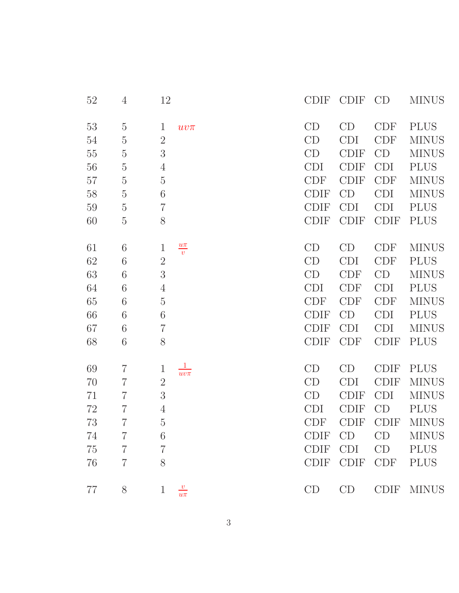| 52 | $\overline{4}$ | 12                               |  | <b>CDIF</b> | <b>CDIF</b> | CD          | <b>MINUS</b> |
|----|----------------|----------------------------------|--|-------------|-------------|-------------|--------------|
| 53 | $\overline{5}$ | $\mathbf{1}$<br>$uv\pi$          |  | CD          | CD          | <b>CDF</b>  | <b>PLUS</b>  |
| 54 | $\bf 5$        | $\overline{2}$                   |  | CD          | <b>CDI</b>  | <b>CDF</b>  | <b>MINUS</b> |
| 55 | $\bf 5$        | 3                                |  | CD          | <b>CDIF</b> | CD          | <b>MINUS</b> |
| 56 | $\bf 5$        | $\overline{4}$                   |  | <b>CDI</b>  | <b>CDIF</b> | <b>CDI</b>  | <b>PLUS</b>  |
| 57 | $\bf 5$        | $\overline{5}$                   |  | <b>CDF</b>  | <b>CDIF</b> | <b>CDF</b>  | <b>MINUS</b> |
| 58 | $\bf 5$        | 6                                |  | <b>CDIF</b> | CD          | <b>CDI</b>  | <b>MINUS</b> |
| 59 | $\overline{5}$ | $\overline{7}$                   |  | <b>CDIF</b> | CDI         | <b>CDI</b>  | <b>PLUS</b>  |
| 60 | $\overline{5}$ | 8                                |  | <b>CDIF</b> | <b>CDIF</b> | <b>CDIF</b> | <b>PLUS</b>  |
|    |                |                                  |  |             |             |             |              |
| 61 | 6              | $\frac{u\pi}{v}$<br>$\mathbf{1}$ |  | CD          | CD          | <b>CDF</b>  | <b>MINUS</b> |
| 62 | 6              | $\sqrt{2}$                       |  | CD          | <b>CDI</b>  | <b>CDF</b>  | <b>PLUS</b>  |
| 63 | 6              | 3                                |  | CD          | <b>CDF</b>  | CD          | <b>MINUS</b> |
| 64 | 6              | $\overline{4}$                   |  | <b>CDI</b>  | <b>CDF</b>  | <b>CDI</b>  | <b>PLUS</b>  |
| 65 | 6              | $\overline{5}$                   |  | <b>CDF</b>  | <b>CDF</b>  | <b>CDF</b>  | <b>MINUS</b> |
| 66 | 6              | 6                                |  | <b>CDIF</b> | CD          | <b>CDI</b>  | <b>PLUS</b>  |
| 67 | 6              | $\overline{7}$                   |  | <b>CDIF</b> | CDI         | <b>CDI</b>  | <b>MINUS</b> |
| 68 | 6              | 8                                |  | <b>CDIF</b> | <b>CDF</b>  | <b>CDIF</b> | <b>PLUS</b>  |
|    |                | $\mathbf{1}$                     |  |             |             |             |              |
| 69 | $\overline{7}$ | $\mathbf{1}$<br>$uv\pi$          |  | CD          | CD          | <b>CDIF</b> | <b>PLUS</b>  |
| 70 | $\overline{7}$ | $\overline{2}$                   |  | CD          | <b>CDI</b>  | <b>CDIF</b> | <b>MINUS</b> |
| 71 | $\overline{7}$ | 3                                |  | CD          | <b>CDIF</b> | <b>CDI</b>  | <b>MINUS</b> |
| 72 | $\overline{7}$ | $\overline{4}$                   |  | <b>CDI</b>  | <b>CDIF</b> | CD          | <b>PLUS</b>  |
| 73 | $\overline{7}$ | $\overline{5}$                   |  | <b>CDF</b>  | <b>CDIF</b> | <b>CDIF</b> | <b>MINUS</b> |
| 74 | $\overline{7}$ | 6                                |  | <b>CDIF</b> | CD          | CD          | <b>MINUS</b> |
| 75 | $\overline{7}$ | $\overline{7}$                   |  | <b>CDIF</b> | CDI         | CD          | <b>PLUS</b>  |
| 76 | $\overline{7}$ | 8                                |  | <b>CDIF</b> | <b>CDIF</b> | CDF         | <b>PLUS</b>  |
| 77 | $8\,$          | $\frac{v}{u\pi}$<br>$\mathbf{1}$ |  | CD          | CD          | <b>CDIF</b> | <b>MINUS</b> |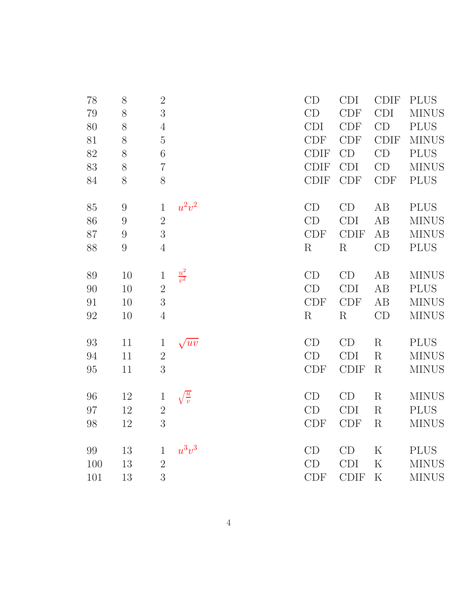| 78  | $8\,$            | $\overline{2}$ |                   | CD          | <b>CDI</b>  | <b>CDIF</b> | <b>PLUS</b>  |
|-----|------------------|----------------|-------------------|-------------|-------------|-------------|--------------|
| 79  | 8                | 3              |                   | CD          | <b>CDF</b>  | <b>CDI</b>  | <b>MINUS</b> |
| 80  | 8                | $\overline{4}$ |                   | CDI         | CDF         | CD          | <b>PLUS</b>  |
| 81  | $8\,$            | $\overline{5}$ |                   | <b>CDF</b>  | <b>CDF</b>  | <b>CDIF</b> | <b>MINUS</b> |
| 82  | 8                | $6\,$          |                   | <b>CDIF</b> | CD          | CD          | <b>PLUS</b>  |
| 83  | $8\,$            | $\overline{7}$ |                   | <b>CDIF</b> | <b>CDI</b>  | CD          | <b>MINUS</b> |
| 84  | 8                | 8              |                   | <b>CDIF</b> | <b>CDF</b>  | <b>CDF</b>  | <b>PLUS</b>  |
| 85  | $\boldsymbol{9}$ | $\mathbf{1}$   | $u^2v^2$          | CD          | CD          | AB          | <b>PLUS</b>  |
| 86  | $\boldsymbol{9}$ | $\overline{2}$ |                   | CD          | <b>CDI</b>  | AB          | <b>MINUS</b> |
| 87  | 9                | 3              |                   | <b>CDF</b>  | <b>CDIF</b> | AB          | <b>MINUS</b> |
| 88  | $9\,$            | $\overline{4}$ |                   | $\rm R$     | $\rm R$     | CD          | <b>PLUS</b>  |
| 89  | 10               | $\mathbf{1}$   | $\frac{u^2}{v^2}$ | CD          | CD          | AB          | <b>MINUS</b> |
| 90  | 10               | $\overline{2}$ |                   | CD          | <b>CDI</b>  | AB          | <b>PLUS</b>  |
| 91  | 10               | 3              |                   | <b>CDF</b>  | <b>CDF</b>  | AB          | <b>MINUS</b> |
| 92  | 10               | $\overline{4}$ |                   | $\mathbf R$ | $\rm R$     | CD          | <b>MINUS</b> |
| 93  | 11               | $\mathbf{1}$   | $\sqrt{uv}$       | CD          | CD          | $\rm R$     | <b>PLUS</b>  |
| 94  | 11               | $\overline{2}$ |                   | CD          | <b>CDI</b>  | $\rm R$     | <b>MINUS</b> |
| 95  | 11               | 3              |                   | <b>CDF</b>  | <b>CDIF</b> | $\rm R$     | <b>MINUS</b> |
| 96  | 12               | $\mathbf{1}$   | $\frac{u}{v}$     | CD          | CD          | $\rm R$     | <b>MINUS</b> |
| 97  | 12               | $\overline{2}$ |                   | CD          | <b>CDI</b>  | $\rm R$     | <b>PLUS</b>  |
| 98  | 12               | 3              |                   | <b>CDF</b>  | <b>CDF</b>  | R           | <b>MINUS</b> |
| 99  | 13               | $\mathbf{1}$   | $u^3v^3$          | CD          | CD          | $\rm K$     | <b>PLUS</b>  |
| 100 | 13               | $\overline{2}$ |                   | CD          | <b>CDI</b>  | $\rm K$     | <b>MINUS</b> |
| 101 | 13               | 3              |                   | <b>CDF</b>  | <b>CDIF</b> | $\rm K$     | <b>MINUS</b> |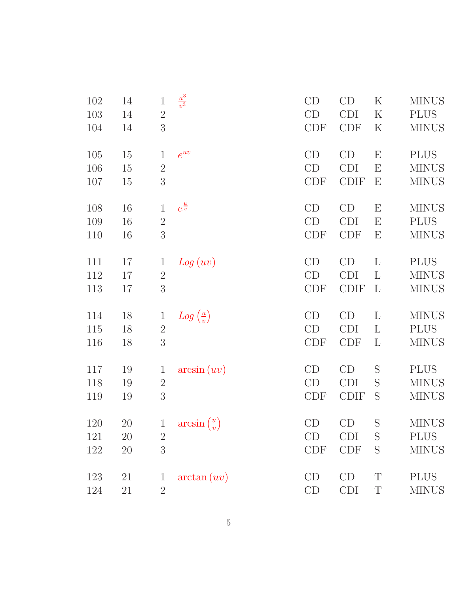| 102 | 14     | $\,1$          | $\frac{u^3}{v^3}$             | CD         | CD          | $\rm K$                   | <b>MINUS</b> |
|-----|--------|----------------|-------------------------------|------------|-------------|---------------------------|--------------|
| 103 | 14     | $\sqrt{2}$     |                               | CD         | <b>CDI</b>  | $\mathbf K$               | <b>PLUS</b>  |
| 104 | 14     | 3              |                               | CDF        | CDF         | $\rm K$                   | <b>MINUS</b> |
| 105 | $15\,$ | $\mathbf{1}$   | $e^{uv}$                      | CD         | CD          | $\boldsymbol{\mathrm{E}}$ | <b>PLUS</b>  |
| 106 | 15     | $\sqrt{2}$     |                               | CD         | <b>CDI</b>  | $\boldsymbol{\mathrm{E}}$ | <b>MINUS</b> |
| 107 | 15     | 3              |                               | <b>CDF</b> | <b>CDIF</b> | $\boldsymbol{\mathrm{E}}$ | <b>MINUS</b> |
| 108 | 16     | $\mathbf{1}$   | $e^{\frac{u}{v}}$             | CD         | CD          | $\boldsymbol{\mathrm{E}}$ | <b>MINUS</b> |
| 109 | 16     | $\sqrt{2}$     |                               | CD         | <b>CDI</b>  | $\boldsymbol{\mathrm{E}}$ | <b>PLUS</b>  |
| 110 | 16     | $\overline{3}$ |                               | <b>CDF</b> | <b>CDF</b>  | $\boldsymbol{\mathrm{E}}$ | <b>MINUS</b> |
| 111 | 17     | $\mathbf{1}$   | Log(uv)                       | CD         | CD          | L                         | <b>PLUS</b>  |
| 112 | 17     | $\sqrt{2}$     |                               | CD         | <b>CDI</b>  | L                         | <b>MINUS</b> |
| 113 | 17     | 3              |                               | <b>CDF</b> | <b>CDIF</b> | L                         | <b>MINUS</b> |
| 114 | 18     | $\mathbf{1}$   | $Log\left(\frac{u}{v}\right)$ | CD         | CD          | L                         | <b>MINUS</b> |
| 115 | 18     | $\sqrt{2}$     |                               | CD         | <b>CDI</b>  | L                         | <b>PLUS</b>  |
| 116 | 18     | $\overline{3}$ |                               | <b>CDF</b> | <b>CDF</b>  | $\Gamma$                  | <b>MINUS</b> |
| 117 | 19     | $\mathbf 1$    | arcsin (uv)                   | CD         | CD          | S                         | <b>PLUS</b>  |
| 118 | 19     | $\sqrt{2}$     |                               | CD         | <b>CDI</b>  | S                         | <b>MINUS</b> |
| 119 | 19     | $\overline{3}$ |                               | <b>CDF</b> | <b>CDIF</b> | S                         | <b>MINUS</b> |
| 120 | 20     | $\mathbf{1}$   | $arcsin(\frac{u}{v})$         | CD         | CD          | S                         | <b>MINUS</b> |
| 121 | 20     | $\overline{2}$ |                               | CD         | <b>CDI</b>  | S                         | <b>PLUS</b>  |
| 122 | $20\,$ | 3              |                               | <b>CDF</b> | <b>CDF</b>  | S                         | <b>MINUS</b> |
| 123 | 21     | $\mathbf 1$    | arctan (uv)                   | CD         | CD          | T                         | <b>PLUS</b>  |
| 124 | 21     | $\overline{2}$ |                               | CD         | CDI         | T                         | <b>MINUS</b> |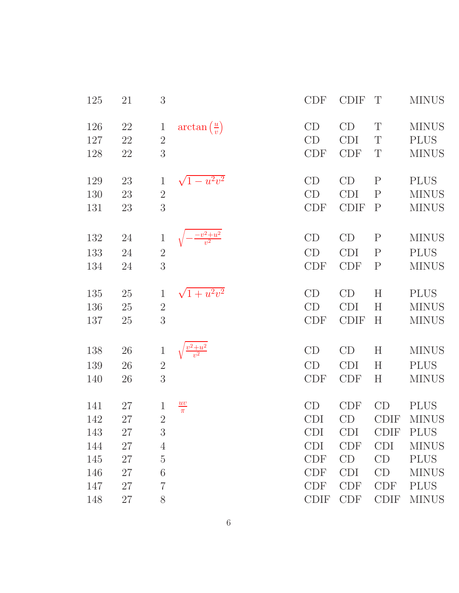| 125 | 21     | 3              |                                  | <b>CDF</b>  | <b>CDIF</b> | T            | <b>MINUS</b> |
|-----|--------|----------------|----------------------------------|-------------|-------------|--------------|--------------|
| 126 | $22\,$ | $\mathbf{1}$   | $arctan\left(\frac{u}{v}\right)$ | CD          | CD          | T            | <b>MINUS</b> |
| 127 | 22     | $\overline{2}$ |                                  | CD          | <b>CDI</b>  | T            | <b>PLUS</b>  |
| 128 | 22     | 3              |                                  | CDF         | <b>CDF</b>  | T            | <b>MINUS</b> |
| 129 | 23     | $\mathbf{1}$   | $\sqrt{1-u^2v^2}$                | CD          | CD          | $\mathbf{P}$ | <b>PLUS</b>  |
| 130 | 23     | $\sqrt{2}$     |                                  | CD          | <b>CDI</b>  | ${\bf P}$    | <b>MINUS</b> |
| 131 | 23     | 3              |                                  | <b>CDF</b>  | <b>CDIF</b> | $\mathbf{P}$ | <b>MINUS</b> |
| 132 | 24     | $\mathbf{1}$   | $-\frac{v^2+u^2}{v^2}$           | CD          | CD          | $\mathbf P$  | <b>MINUS</b> |
| 133 | 24     | $\overline{2}$ |                                  | CD          | <b>CDI</b>  | $\mathbf P$  | <b>PLUS</b>  |
| 134 | 24     | 3              |                                  | CDF         | <b>CDF</b>  | $\mathbf{P}$ | <b>MINUS</b> |
| 135 | 25     | $\mathbf{1}$   | $\sqrt{1+u^2v^2}$                | CD          | CD          | H            | <b>PLUS</b>  |
| 136 | 25     | $\overline{2}$ |                                  | CD          | <b>CDI</b>  | $H_{\rm}$    | <b>MINUS</b> |
| 137 | 25     | 3              |                                  | <b>CDF</b>  | <b>CDIF</b> | H            | <b>MINUS</b> |
| 138 | 26     | $\mathbf{1}$   |                                  | CD          | CD          | H            | <b>MINUS</b> |
| 139 | 26     | $\overline{2}$ |                                  | CD          | <b>CDI</b>  | H            | <b>PLUS</b>  |
| 140 | 26     | 3              |                                  | <b>CDF</b>  | <b>CDF</b>  | $H_{\rm}$    | <b>MINUS</b> |
| 141 | 27     | $\mathbf{1}$   | $\frac{uv}{\pi}$                 | CD          | <b>CDF</b>  | CD           | <b>PLUS</b>  |
| 142 | 27     | $\overline{2}$ |                                  | <b>CDI</b>  | CD          | <b>CDIF</b>  | <b>MINUS</b> |
| 143 | 27     | 3              |                                  | <b>CDI</b>  | <b>CDI</b>  | <b>CDIF</b>  | <b>PLUS</b>  |
| 144 | 27     | 4              |                                  | <b>CDI</b>  | <b>CDF</b>  | <b>CDI</b>   | <b>MINUS</b> |
| 145 | 27     | $\overline{5}$ |                                  | <b>CDF</b>  | CD          | CD           | <b>PLUS</b>  |
| 146 | 27     | 6              |                                  | <b>CDF</b>  | <b>CDI</b>  | CD           | <b>MINUS</b> |
| 147 | 27     | $\overline{7}$ |                                  | <b>CDF</b>  | <b>CDF</b>  | <b>CDF</b>   | <b>PLUS</b>  |
| 148 | 27     | 8              |                                  | <b>CDIF</b> | <b>CDF</b>  | <b>CDIF</b>  | <b>MINUS</b> |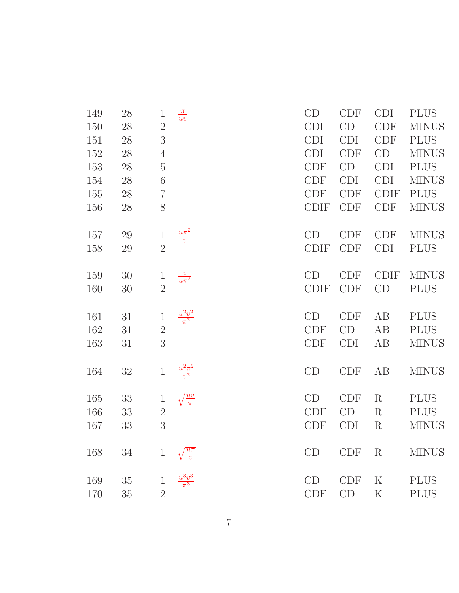| 149 | 28     | $\mathbf{1}$   | $\frac{\pi}{uv}$        | CD                          | <b>CDF</b> | <b>CDI</b>  | <b>PLUS</b>  |
|-----|--------|----------------|-------------------------|-----------------------------|------------|-------------|--------------|
| 150 | 28     | $\overline{2}$ |                         | <b>CDI</b>                  | CD         | <b>CDF</b>  | <b>MINUS</b> |
| 151 | 28     | $\sqrt{3}$     |                         | <b>CDI</b>                  | <b>CDI</b> | <b>CDF</b>  | <b>PLUS</b>  |
| 152 | 28     | $\overline{4}$ |                         | <b>CDI</b>                  | <b>CDF</b> | CD          | <b>MINUS</b> |
| 153 | 28     | $\rm 5$        |                         | <b>CDF</b>                  | CD         | <b>CDI</b>  | <b>PLUS</b>  |
| 154 | 28     | 6              |                         | <b>CDF</b>                  | <b>CDI</b> | <b>CDI</b>  | <b>MINUS</b> |
| 155 | 28     | $\overline{7}$ |                         | CDF                         | <b>CDF</b> | <b>CDIF</b> | <b>PLUS</b>  |
| 156 | 28     | 8              |                         | <b>CDIF</b>                 | <b>CDF</b> | <b>CDF</b>  | <b>MINUS</b> |
| 157 | 29     | $\,1$          | $\frac{u\pi^2}{v}$      | CD                          | <b>CDF</b> | <b>CDF</b>  | <b>MINUS</b> |
| 158 | 29     | $\overline{2}$ |                         | <b>CDIF</b>                 | <b>CDF</b> | <b>CDI</b>  | <b>PLUS</b>  |
| 159 | $30\,$ | $\mathbf{1}$   | $\frac{v}{u\pi^2}$      | CD                          | <b>CDF</b> | <b>CDIF</b> | <b>MINUS</b> |
| 160 | 30     | $\overline{2}$ |                         | <b>CDIF</b>                 | <b>CDF</b> | CD          | <b>PLUS</b>  |
| 161 | 31     | $\,1$          | $\frac{u^2v^2}{\pi^2}$  | CD                          | <b>CDF</b> | AB          | <b>PLUS</b>  |
| 162 | 31     | $\overline{2}$ |                         | CDF                         | CD         | AB          | <b>PLUS</b>  |
| 163 | 31     | 3              |                         | <b>CDF</b>                  | <b>CDI</b> | AB          | <b>MINUS</b> |
| 164 | 32     | $\,1$          | $\frac{u^2\pi^2}{v^2}$  | CD                          | <b>CDF</b> | AB          | <b>MINUS</b> |
| 165 | 33     | $\,1$          | $\sqrt{\frac{uv}{\pi}}$ | CD                          | <b>CDF</b> | $\rm R$     | <b>PLUS</b>  |
| 166 | 33     | $\overline{2}$ |                         | $\ensuremath{\mathrm{CDF}}$ | CD         | $\mathbf R$ | <b>PLUS</b>  |
| 167 | 33     | 3              |                         | <b>CDF</b>                  | <b>CDI</b> | ${\bf R}$   | <b>MINUS</b> |
| 168 | 34     | $\mathbf{1}$   | $\frac{u\pi}{v}$        | CD                          | <b>CDF</b> | R           | <b>MINUS</b> |
| 169 | $35\,$ | $\mathbf 1$    | $\frac{u^3v^3}{\pi^3}$  | CD                          | <b>CDF</b> | K           | <b>PLUS</b>  |
| 170 | $35\,$ | $\overline{2}$ |                         | <b>CDF</b>                  | CD         | $\rm K$     | <b>PLUS</b>  |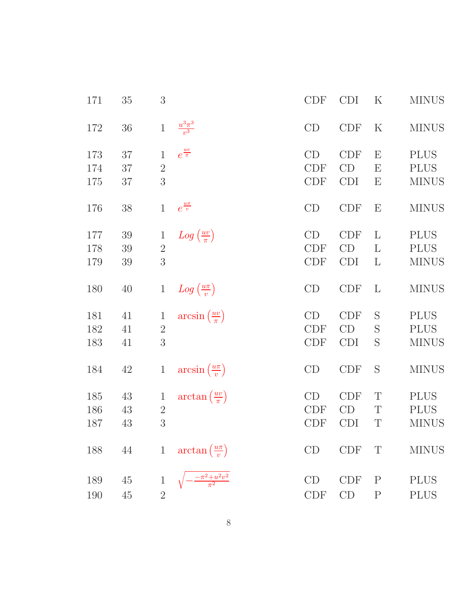| 171 | $35\,$ | $\sqrt{3}$     |                                      | <b>CDF</b> | <b>CDI</b> | K                         | <b>MINUS</b> |
|-----|--------|----------------|--------------------------------------|------------|------------|---------------------------|--------------|
| 172 | $36\,$ | $\,1\,$        | $\frac{u^3\pi^3}{v^3}$               | CD         | <b>CDF</b> | $\rm K$                   | <b>MINUS</b> |
| 173 | 37     | $\mathbf{1}$   | $e^{\frac{uv}{\pi}}$                 | CD         | <b>CDF</b> | $\boldsymbol{\mathrm{E}}$ | <b>PLUS</b>  |
| 174 | 37     | $\mathbf{2}$   |                                      | CDF        | CD         | Е                         | <b>PLUS</b>  |
| 175 | $37\,$ | 3              |                                      | <b>CDF</b> | <b>CDI</b> | E                         | <b>MINUS</b> |
| 176 | $38\,$ | $\mathbf{1}$   | $e^{\frac{u\pi}{v}}$                 | CD         | <b>CDF</b> | $\boldsymbol{\mathrm{E}}$ | <b>MINUS</b> |
| 177 | $39\,$ | $\mathbf{1}$   | $Log\left(\frac{uv}{\pi}\right)$     | CD         | <b>CDF</b> | L                         | <b>PLUS</b>  |
| 178 | 39     | $\sqrt{2}$     |                                      | <b>CDF</b> | CD         | L                         | <b>PLUS</b>  |
| 179 | 39     | $\mathfrak{Z}$ |                                      | <b>CDF</b> | <b>CDI</b> | $\Gamma$                  | <b>MINUS</b> |
| 180 | 40     | $\mathbf{1}$   | $Log\left(\frac{u\pi}{v}\right)$     | CD         | <b>CDF</b> | $\Gamma$                  | <b>MINUS</b> |
| 181 | 41     | $\mathbf{1}$   | $arcsin(\frac{uv}{\pi})$             | CD         | <b>CDF</b> | S                         | <b>PLUS</b>  |
| 182 | 41     | $2\,$          |                                      | <b>CDF</b> | CD         | S                         | <b>PLUS</b>  |
| 183 | 41     | 3              |                                      | <b>CDF</b> | <b>CDI</b> | S                         | <b>MINUS</b> |
| 184 | 42     | $\mathbf{1}$   | $arcsin(\frac{u\pi}{v})$             | CD         | <b>CDF</b> | S                         | <b>MINUS</b> |
| 185 | 43     | $\mathbf{1}$   | $\arctan\left(\frac{uv}{\pi}\right)$ | CD         | <b>CDF</b> | $\mathbf T$               | <b>PLUS</b>  |
| 186 | 43     | $\sqrt{2}$     |                                      | <b>CDF</b> | CD         | T                         | <b>PLUS</b>  |
| 187 | 43     | 3              |                                      | <b>CDF</b> | <b>CDI</b> | T                         | <b>MINUS</b> |
| 188 | $44\,$ | $\mathbf{1}$   | $\arctan\left(\frac{u\pi}{v}\right)$ | CD         | CDF        | T                         | <b>MINUS</b> |
| 189 | 45     | $\mathbf{1}$   | $\frac{-\pi^2 + u^2v^2}{\pi^2}$      | CD         | <b>CDF</b> | $\mathbf P$               | <b>PLUS</b>  |
| 190 | $45\,$ | $\overline{2}$ |                                      | <b>CDF</b> | CD         | $\mathbf P$               | <b>PLUS</b>  |
|     |        |                |                                      |            |            |                           |              |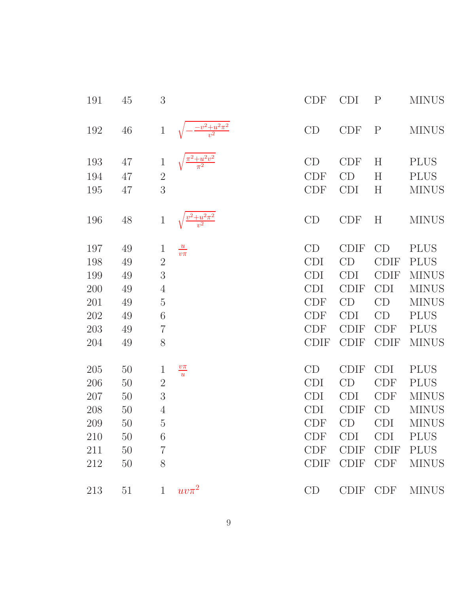| 191 | 45     | 3              |                                | <b>CDF</b>                  | <b>CDI</b>  | $\mathbf P$ | <b>MINUS</b> |
|-----|--------|----------------|--------------------------------|-----------------------------|-------------|-------------|--------------|
| 192 | $46\,$ | $\,1$          | $-\frac{-v^2+u^2\pi^2}{v^2}$   | CD                          | <b>CDF</b>  | ${\bf P}$   | <b>MINUS</b> |
| 193 | 47     | $\mathbf{1}$   | $\frac{\pi^2 + u^2v^2}{\pi^2}$ | CD                          | <b>CDF</b>  | H           | <b>PLUS</b>  |
| 194 | 47     | $\sqrt{2}$     |                                | <b>CDF</b>                  | CD          | H           | <b>PLUS</b>  |
| 195 | 47     | 3              |                                | <b>CDF</b>                  | <b>CDI</b>  | H           | <b>MINUS</b> |
| 196 | 48     | $\mathbf{1}$   | $\frac{v^2+u^2\pi^2}{v^2}$     | CD                          | <b>CDF</b>  | H           | <b>MINUS</b> |
| 197 | 49     | $\mathbf{1}$   | $\frac{u}{v\pi}$               | CD                          | <b>CDIF</b> | CD          | <b>PLUS</b>  |
| 198 | 49     | $\overline{2}$ |                                | <b>CDI</b>                  | CD          | <b>CDIF</b> | <b>PLUS</b>  |
| 199 | 49     | $\mathfrak{Z}$ |                                | <b>CDI</b>                  | <b>CDI</b>  | <b>CDIF</b> | <b>MINUS</b> |
| 200 | 49     | $\overline{4}$ |                                | <b>CDI</b>                  | <b>CDIF</b> | <b>CDI</b>  | <b>MINUS</b> |
| 201 | 49     | $\rm 5$        |                                | <b>CDF</b>                  | CD          | CD          | <b>MINUS</b> |
| 202 | 49     | $\!6\,$        |                                | <b>CDF</b>                  | <b>CDI</b>  | CD          | <b>PLUS</b>  |
| 203 | 49     | $\overline{7}$ |                                | <b>CDF</b>                  | <b>CDIF</b> | <b>CDF</b>  | <b>PLUS</b>  |
| 204 | 49     | 8              |                                | <b>CDIF</b>                 | <b>CDIF</b> | <b>CDIF</b> | <b>MINUS</b> |
| 205 | 50     | $\mathbf{1}$   | $\frac{v\pi}{u}$               | CD                          | <b>CDIF</b> | <b>CDI</b>  | <b>PLUS</b>  |
| 206 | 50     | $\sqrt{2}$     |                                | <b>CDI</b>                  | CD          | <b>CDF</b>  | <b>PLUS</b>  |
| 207 | 50     | $\overline{3}$ |                                | <b>CDI</b>                  | <b>CDI</b>  | <b>CDF</b>  | <b>MINUS</b> |
| 208 | 50     | $\overline{4}$ |                                | <b>CDI</b>                  | <b>CDIF</b> | CD          | <b>MINUS</b> |
| 209 | 50     | $\rm 5$        |                                | <b>CDF</b>                  | CD          | <b>CDI</b>  | <b>MINUS</b> |
| 210 | 50     | 6              |                                | <b>CDF</b>                  | <b>CDI</b>  | <b>CDI</b>  | <b>PLUS</b>  |
| 211 | 50     | $\overline{7}$ |                                | $\ensuremath{\mathrm{CDF}}$ | <b>CDIF</b> | <b>CDIF</b> | <b>PLUS</b>  |
| 212 | 50     | $8\,$          |                                | <b>CDIF</b>                 | <b>CDIF</b> | <b>CDF</b>  | <b>MINUS</b> |
| 213 | 51     | $\mathbf{1}$   | $uv\pi^2$                      | CD                          | <b>CDIF</b> | <b>CDF</b>  | <b>MINUS</b> |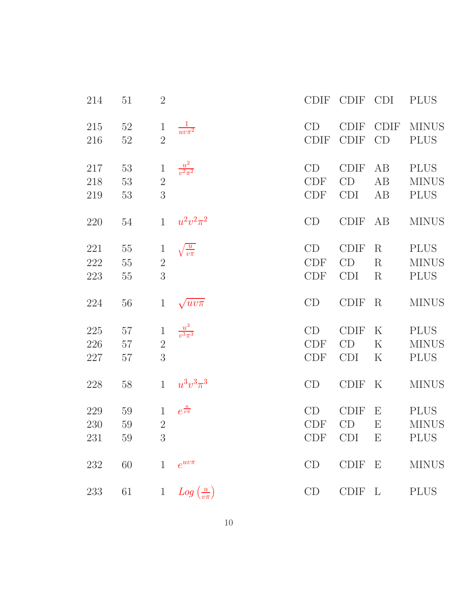| 214     | 51     | $\overline{2}$ |                                  | <b>CDIF</b> | CDIF CDI    |                           | <b>PLUS</b>  |
|---------|--------|----------------|----------------------------------|-------------|-------------|---------------------------|--------------|
| 215     | $52\,$ | $\mathbf{1}$   | $\frac{1}{uv\pi^2}$              | CD          | <b>CDIF</b> | <b>CDIF</b>               | <b>MINUS</b> |
| 216     | 52     | $\overline{2}$ |                                  | CDIF        | <b>CDIF</b> | CD                        | <b>PLUS</b>  |
| 217     | $53\,$ | $\,1$          | $\frac{u^2}{v^2\pi^2}$           | CD          | <b>CDIF</b> | AB                        | <b>PLUS</b>  |
| 218     | $53\,$ | $\overline{2}$ |                                  | CDF         | CD          | AB                        | <b>MINUS</b> |
| 219     | 53     | 3              |                                  | <b>CDF</b>  | <b>CDI</b>  | AB                        | <b>PLUS</b>  |
| 220     | $54\,$ | $\mathbf{1}$   | $u^2v^2\pi^2$                    | CD          | <b>CDIF</b> | AB                        | <b>MINUS</b> |
| 221     | 55     | $\mathbf{1}$   | $\sqrt{\frac{u}{v\pi}}$          | CD          | <b>CDIF</b> | $\rm R$                   | <b>PLUS</b>  |
| 222     | $55\,$ | $\sqrt{2}$     |                                  | CDF         | CD          | $\rm R$                   | <b>MINUS</b> |
| $223\,$ | $55\,$ | 3              |                                  | CDF         | <b>CDI</b>  | $\rm R$                   | <b>PLUS</b>  |
| 224     | $56\,$ | $\mathbf{1}$   | $\sqrt{uv\pi}$                   | CD          | <b>CDIF</b> | $\rm R$                   | <b>MINUS</b> |
| $225\,$ | $57\,$ | $\,1$          | $\frac{u^3}{v^3\pi^3}$           | CD          | <b>CDIF</b> | $\rm K$                   | <b>PLUS</b>  |
| 226     | 57     | $\overline{2}$ |                                  | CDF         | CD          | $\rm K$                   | <b>MINUS</b> |
| 227     | $57\,$ | 3              |                                  | <b>CDF</b>  | <b>CDI</b>  | $\rm K$                   | <b>PLUS</b>  |
| 228     | 58     | $\mathbf{1}$   | $u^{3}v^{3}\pi^{3}$              | CD          | <b>CDIF</b> | $\rm K$                   | <b>MINUS</b> |
| 229     | 59     | $\mathbf{1}$   | $e^{\frac{u}{v\pi}}$             | CD          | <b>CDIF</b> | Ε                         | <b>PLUS</b>  |
| 230     | $59\,$ | $\overline{2}$ |                                  | <b>CDF</b>  | CD          | $\boldsymbol{\mathrm{E}}$ | <b>MINUS</b> |
| 231     | $59\,$ | 3              |                                  | CDF         | <b>CDI</b>  | $\boldsymbol{\mathrm{E}}$ | <b>PLUS</b>  |
| $232\,$ | 60     | $\mathbf{1}$   | $e^{uv\pi}$                      | CD          | <b>CDIF</b> | E                         | <b>MINUS</b> |
| 233     | 61     | $\mathbf{1}$   | $Log\left(\frac{u}{v\pi}\right)$ | CD          | <b>CDIF</b> | $\mathbf{L}$              | <b>PLUS</b>  |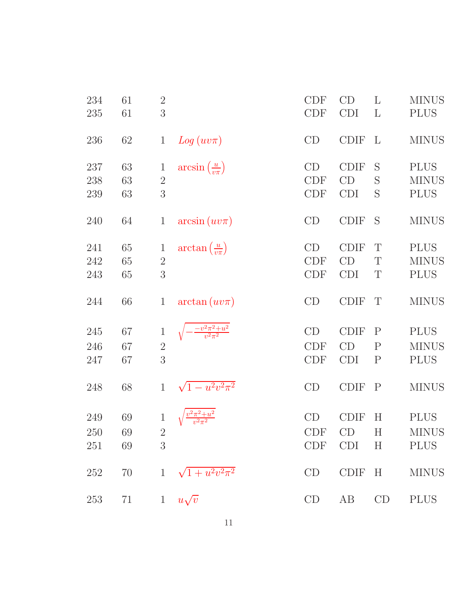| 234<br>235        | 61<br>61       | $\overline{2}$<br>3                 |                                      | CDF<br><b>CDF</b>              | CD<br><b>CDI</b>                | L<br>$\mathbf{L}$                         | <b>MINUS</b><br><b>PLUS</b>                |
|-------------------|----------------|-------------------------------------|--------------------------------------|--------------------------------|---------------------------------|-------------------------------------------|--------------------------------------------|
| 236               | 62             | $\mathbf{1}$                        | $Log(uv\pi)$                         | CD                             | <b>CDIF</b>                     | L                                         | <b>MINUS</b>                               |
| 237<br>238<br>239 | 63<br>63<br>63 | $\mathbf 1$<br>$\overline{2}$<br>3  | $arcsin\left(\frac{u}{v\pi}\right)$  | CD<br><b>CDF</b><br><b>CDF</b> | <b>CDIF</b><br>CD<br><b>CDI</b> | S<br>S<br>S                               | <b>PLUS</b><br><b>MINUS</b><br><b>PLUS</b> |
| 240               | 64             | $\mathbf{1}$                        | $arcsin(uv\pi)$                      | CD                             | <b>CDIF</b>                     | S                                         | <b>MINUS</b>                               |
| 241<br>242<br>243 | 65<br>65<br>65 | $\mathbf 1$<br>$\overline{2}$<br>3  | $\arctan\left(\frac{u}{v\pi}\right)$ | CD<br><b>CDF</b><br><b>CDF</b> | <b>CDIF</b><br>CD<br><b>CDI</b> | T<br>T<br>T                               | <b>PLUS</b><br><b>MINUS</b><br><b>PLUS</b> |
| 244               | 66             | $\mathbf{1}$                        | $arctan(uv\pi)$                      | CD                             | <b>CDIF</b>                     | T                                         | <b>MINUS</b>                               |
| 245<br>246<br>247 | 67<br>67<br>67 | $\,1$<br>$\overline{2}$<br>3        | $\frac{-v^2\pi^2+u^2}{v^2\pi^2}$     | CD<br><b>CDF</b><br><b>CDF</b> | <b>CDIF</b><br>CD<br><b>CDI</b> | $\mathbf P$<br>$\mathbf P$<br>$\mathbf P$ | <b>PLUS</b><br><b>MINUS</b><br><b>PLUS</b> |
| 248               | 68             | $\mathbf{1}$                        | $\sqrt{1-u^2v^2\pi^2}$               | CD                             | <b>CDIF</b>                     | $\mathbf P$                               | <b>MINUS</b>                               |
| 249<br>250<br>251 | 69<br>69<br>69 | $\mathbf{1}$<br>$\overline{2}$<br>3 |                                      | CD<br><b>CDF</b><br>CDF        | <b>CDIF</b><br>CD<br>CDI        | H<br>H<br>$\boldsymbol{\mathrm{H}}$       | <b>PLUS</b><br><b>MINUS</b><br><b>PLUS</b> |
| 252               | 70             | $\mathbf{1}$                        | $\sqrt{1+u^2v^2\pi^2}$               | CD                             | <b>CDIF</b>                     | H                                         | <b>MINUS</b>                               |
| 253               | 71             | $\mathbf{1}$                        | $u\sqrt{v}$                          | CD                             | AB                              | CD                                        | <b>PLUS</b>                                |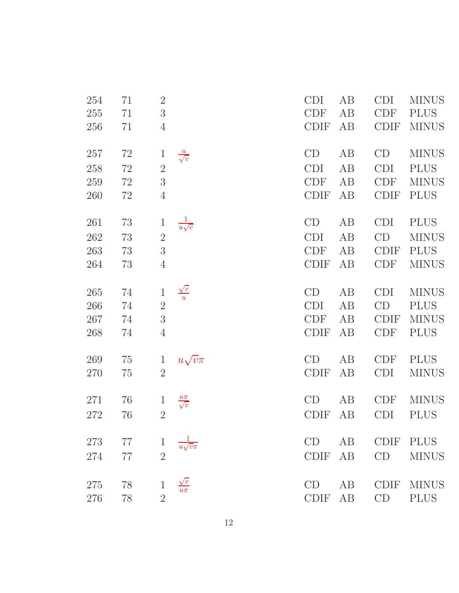| 254     | 71     | $2\,$                          |                          | <b>CDI</b>  | AB | <b>CDI</b>  | <b>MINUS</b> |
|---------|--------|--------------------------------|--------------------------|-------------|----|-------------|--------------|
| 255     | 71     | $\overline{3}$                 |                          | <b>CDF</b>  | AB | <b>CDF</b>  | <b>PLUS</b>  |
| 256     | 71     | $\overline{4}$                 |                          | <b>CDIF</b> | AB | <b>CDIF</b> | <b>MINUS</b> |
|         |        |                                |                          |             |    |             |              |
| 257     | 72     | $\mathbf{1}$                   | $\frac{u}{\sqrt{v}}$     | CD          | AB | CD          | <b>MINUS</b> |
| 258     | 72     | $\overline{2}$                 |                          | <b>CDI</b>  | AB | <b>CDI</b>  | <b>PLUS</b>  |
| 259     | $72\,$ | $\mathfrak{Z}$                 |                          | CDF         | AB | <b>CDF</b>  | <b>MINUS</b> |
| 260     | $72\,$ | $\overline{4}$                 |                          | <b>CDIF</b> | AB | <b>CDIF</b> | <b>PLUS</b>  |
| 261     | 73     | $\mathbf{1}$                   | $rac{1}{u\sqrt{v}}$      | CD          | AB | <b>CDI</b>  | <b>PLUS</b>  |
| 262     | 73     | $\overline{2}$                 |                          | <b>CDI</b>  | AB | CD          | <b>MINUS</b> |
| 263     | 73     | 3                              |                          | <b>CDF</b>  | AB | <b>CDIF</b> | <b>PLUS</b>  |
| 264     | 73     | $\overline{4}$                 |                          | <b>CDIF</b> | AB | <b>CDF</b>  | <b>MINUS</b> |
|         |        |                                |                          |             |    |             |              |
| 265     | 74     | $\,1$                          | $\frac{\sqrt{v}}{u}$     | CD          | AB | <b>CDI</b>  | <b>MINUS</b> |
| 266     | 74     | $\sqrt{2}$                     |                          | <b>CDI</b>  | AB | CD          | <b>PLUS</b>  |
| 267     | 74     | $\sqrt{3}$                     |                          | <b>CDF</b>  | AB | <b>CDIF</b> | <b>MINUS</b> |
| 268     | 74     | $\overline{4}$                 |                          | <b>CDIF</b> | AB | <b>CDF</b>  | <b>PLUS</b>  |
| 269     | 75     |                                |                          | CD          | AB | <b>CDF</b>  | <b>PLUS</b>  |
| $270\,$ |        | $\mathbf{1}$<br>$\overline{2}$ | $u\sqrt{v}\pi$           | <b>CDIF</b> | AB | <b>CDI</b>  | <b>MINUS</b> |
|         | 75     |                                |                          |             |    |             |              |
| 271     | 76     | $\mathbf{1}$                   | $\frac{u\pi}{\sqrt{v}}$  | CD          | AB | <b>CDF</b>  | <b>MINUS</b> |
| 272     | 76     | $\overline{2}$                 |                          | <b>CDIF</b> | AB | <b>CDI</b>  | <b>PLUS</b>  |
|         |        |                                |                          |             |    |             |              |
| 273     | 77     | $\mathbf{1}$                   | $\frac{1}{u\sqrt{v\pi}}$ | CD          | AB |             | CDIF PLUS    |
| 274     | 77     | $\overline{2}$                 |                          | <b>CDIF</b> | AB | CD          | <b>MINUS</b> |
|         |        |                                |                          |             |    |             |              |
| 275     | 78     | $\mathbf{1}$                   | $\frac{\sqrt{v}}{u\pi}$  | CD          | AB | <b>CDIF</b> | <b>MINUS</b> |
| 276     | 78     | $\overline{2}$                 |                          | <b>CDIF</b> | AB | CD          | <b>PLUS</b>  |
|         |        |                                |                          |             |    |             |              |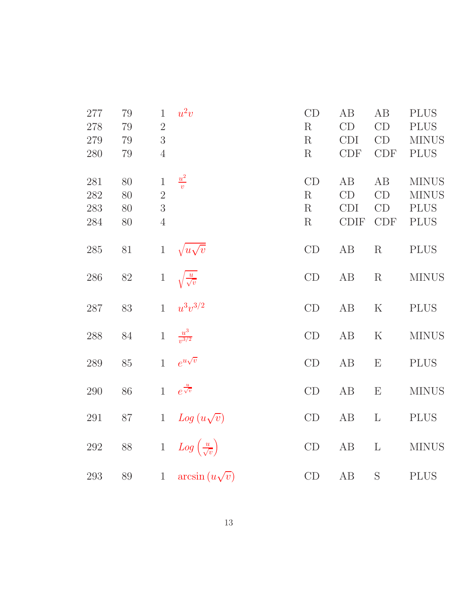| 277<br>278<br>279<br>280 | 79<br>79<br>79<br>79 | $\mathbf{1}$<br>$\overline{2}$<br>3<br>$\overline{4}$ | $u^2v$                               | CD<br>$\mathbf R$<br>R<br>R | AB<br>CD<br><b>CDI</b><br><b>CDF</b>  | AB<br>CD<br>CD<br>CDF        | <b>PLUS</b><br><b>PLUS</b><br><b>MINUS</b><br><b>PLUS</b>  |
|--------------------------|----------------------|-------------------------------------------------------|--------------------------------------|-----------------------------|---------------------------------------|------------------------------|------------------------------------------------------------|
| 281<br>282<br>283<br>284 | 80<br>80<br>80<br>80 | $\,1$<br>$\overline{2}$<br>3<br>$\overline{4}$        | $\frac{u^2}{v}$                      | CD<br>R<br>R<br>R           | AB<br>CD<br><b>CDI</b><br><b>CDIF</b> | AB<br>CD<br>CD<br><b>CDF</b> | <b>MINUS</b><br><b>MINUS</b><br><b>PLUS</b><br><b>PLUS</b> |
| 285                      | $81\,$               | $\,1$                                                 | $\sqrt{u}\sqrt{v}$                   | $\mathrm{CD}$               | AB                                    | R                            | <b>PLUS</b>                                                |
| 286                      | $82\,$               | $\,1$                                                 | $\sqrt{\frac{u}{\sqrt{v}}}$          | CD                          | AB                                    | $\mathbf R$                  | <b>MINUS</b>                                               |
| 287                      | 83                   | $\mathbf{1}$                                          | $u^3v^{3/2}$                         | CD                          | AB                                    | $\mathbf K$                  | <b>PLUS</b>                                                |
| $288\,$                  | $84\,$               | $\mathbf{1}$                                          | $\frac{u^3}{v^{3/2}}$                | $\mathop{\rm CD}$           | AB                                    | $\mathbf K$                  | <b>MINUS</b>                                               |
| $289\,$                  | $85\,$               | $\mathbf{1}$                                          | $e^{u\sqrt{v}}$                      | CD                          | $\rm AB$                              | E                            | <b>PLUS</b>                                                |
| 290                      | 86                   | $\mathbf{1}$                                          | $e^{\frac{u}{\sqrt{v}}}$             | CD                          | $\rm AB$                              | $\mathbf{E}$                 | $\rm MINUS$                                                |
| $\,291$                  | $87\,$               | $\mathbf{1}$                                          | $Log(u\sqrt{v})$                     | CD                          | AB                                    | $\Gamma$                     | <b>PLUS</b>                                                |
| 292                      | $88\,$               | $\,1$                                                 | $Log\left(\frac{u}{\sqrt{v}}\right)$ | CD                          | AB                                    | $\mathbf{L}$                 | <b>MINUS</b>                                               |
| 293                      | $89\,$               | $\mathbf{1}$                                          | $arcsin(u\sqrt{v})$                  | CD                          | $\rm AB$                              | S                            | <b>PLUS</b>                                                |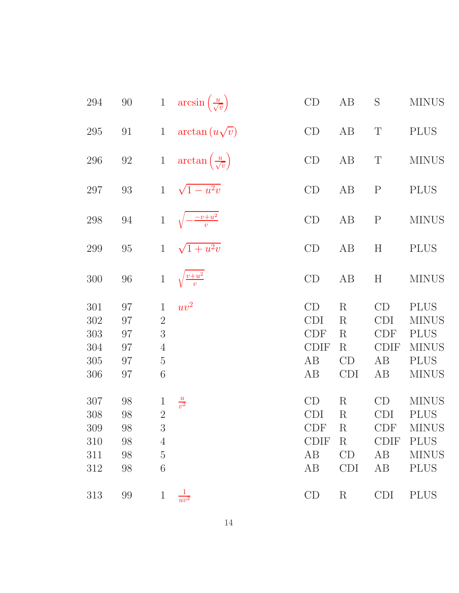| 294                                    | $90\,$                           | $\mathbf{1}$                                                                              | $arcsin\left(\frac{u}{\sqrt{v}}\right)$  | $\mathrm{CD}$                                             | AB                                                           | S                                                         | <b>MINUS</b>                                                                              |
|----------------------------------------|----------------------------------|-------------------------------------------------------------------------------------------|------------------------------------------|-----------------------------------------------------------|--------------------------------------------------------------|-----------------------------------------------------------|-------------------------------------------------------------------------------------------|
| 295                                    | 91                               | $\mathbf{1}$                                                                              | $arctan(u\sqrt{v})$                      | CD                                                        | AB                                                           | $\mathbf T$                                               | <b>PLUS</b>                                                                               |
| 296                                    | $92\,$                           | $1\,$                                                                                     | $\arctan\left(\frac{u}{\sqrt{v}}\right)$ | CD                                                        | AB                                                           | $\mathbf T$                                               | <b>MINUS</b>                                                                              |
| 297                                    | $93\,$                           | $\mathbf{1}$                                                                              | $\sqrt{1-u^2v}$                          | CD                                                        | AB                                                           | $\mathbf P$                                               | <b>PLUS</b>                                                                               |
| 298                                    | $94\,$                           | $\,1$                                                                                     | $\sqrt{-\frac{-v+u^2}{v}}$               | CD                                                        | AB                                                           | ${\bf P}$                                                 | <b>MINUS</b>                                                                              |
| 299                                    | $95\,$                           | $\mathbf{1}$                                                                              | $\sqrt{1+u^2v}$                          | CD                                                        | AB                                                           | H                                                         | <b>PLUS</b>                                                                               |
| 300                                    | $96\,$                           | $\,1$                                                                                     | $\sqrt{\frac{v+u^2}{v}}$                 | CD                                                        | AB                                                           | H                                                         | <b>MINUS</b>                                                                              |
| 301<br>302<br>303<br>304<br>305<br>306 | 97<br>97<br>97<br>97<br>97<br>97 | $\mathbf{1}$<br>$\overline{2}$<br>$\mathfrak{Z}$<br>$\overline{4}$<br>$\overline{5}$<br>6 | $uv^2$                                   | CD<br><b>CDI</b><br><b>CDF</b><br><b>CDIF</b><br>AB<br>AB | $\rm R$<br>$\rm R$<br>$\rm R$<br>$\rm R$<br>CD<br><b>CDI</b> | CD<br><b>CDI</b><br><b>CDF</b><br><b>CDIF</b><br>AB<br>AB | <b>PLUS</b><br><b>MINUS</b><br><b>PLUS</b><br><b>MINUS</b><br><b>PLUS</b><br><b>MINUS</b> |
| 307<br>308<br>309<br>310<br>311<br>312 | 98<br>98<br>98<br>98<br>98<br>98 | $\mathbf 1$<br>$\overline{2}$<br>$\sqrt{3}$<br>4<br>$\overline{5}$<br>6                   | $\frac{u}{v^2}$                          | CD<br><b>CDI</b><br><b>CDF</b><br><b>CDIF</b><br>AB<br>AB | $\rm R$<br>$\rm R$<br>$\rm R$<br>$\rm R$<br>CD<br><b>CDI</b> | CD<br><b>CDI</b><br><b>CDF</b><br><b>CDIF</b><br>AB<br>AB | <b>MINUS</b><br><b>PLUS</b><br><b>MINUS</b><br><b>PLUS</b><br><b>MINUS</b><br><b>PLUS</b> |
| 313                                    | $99\,$                           | $\mathbf{1}$                                                                              | $\frac{1}{uv^2}$                         | CD                                                        | $\rm R$                                                      | <b>CDI</b>                                                | <b>PLUS</b>                                                                               |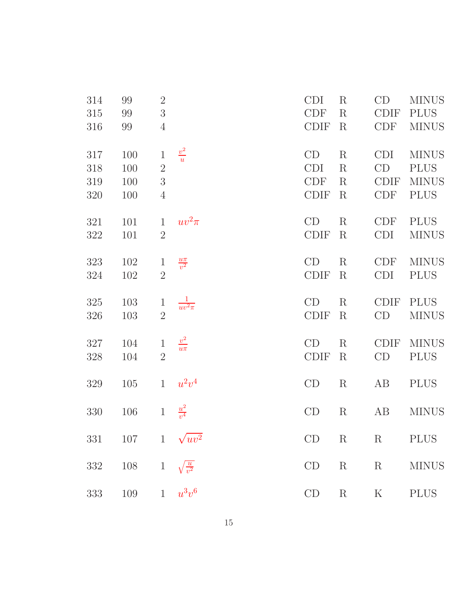| 314     | 99  | $2\,$          |                        | <b>CDI</b>  | $\rm R$     | CD          | <b>MINUS</b> |
|---------|-----|----------------|------------------------|-------------|-------------|-------------|--------------|
| 315     | 99  | $\sqrt{3}$     |                        | <b>CDF</b>  | $\rm R$     | <b>CDIF</b> | <b>PLUS</b>  |
| 316     | 99  | $\overline{4}$ |                        | <b>CDIF</b> | $\rm R$     | <b>CDF</b>  | <b>MINUS</b> |
| 317     | 100 | $\mathbf 1$    | $\frac{v^2}{u}$        | CD          | $\rm R$     | <b>CDI</b>  | <b>MINUS</b> |
| 318     | 100 | $\overline{2}$ |                        | <b>CDI</b>  | $\rm R$     | CD          | <b>PLUS</b>  |
| 319     | 100 | 3              |                        | <b>CDF</b>  | $\rm R$     | <b>CDIF</b> | <b>MINUS</b> |
| 320     | 100 | $\overline{4}$ |                        | <b>CDIF</b> | $\rm R$     | <b>CDF</b>  | <b>PLUS</b>  |
| 321     | 101 | $\mathbf{1}$   | $uv^2\pi$              | CD          | $\rm R$     | <b>CDF</b>  | <b>PLUS</b>  |
| 322     | 101 | $\overline{2}$ |                        | <b>CDIF</b> | $\rm R$     | <b>CDI</b>  | <b>MINUS</b> |
| 323     | 102 | $\mathbf{1}$   | $\frac{u\pi}{v^2}$     | CD          | $\rm R$     | <b>CDF</b>  | <b>MINUS</b> |
| 324     | 102 | $\overline{2}$ |                        | <b>CDIF</b> | $\rm R$     | <b>CDI</b>  | <b>PLUS</b>  |
| 325     | 103 | $\mathbf{1}$   | $\frac{1}{uv^2\pi}$    | CD          | $\rm R$     | <b>CDIF</b> | <b>PLUS</b>  |
| 326     | 103 | $\overline{2}$ |                        | <b>CDIF</b> | $\rm R$     | CD          | <b>MINUS</b> |
| 327     | 104 | $\mathbf{1}$   | $\frac{v^2}{u\pi}$     | CD          | $\rm R$     | <b>CDIF</b> | <b>MINUS</b> |
| 328     | 104 | $\overline{2}$ |                        | <b>CDIF</b> | $\rm R$     | CD          | <b>PLUS</b>  |
| 329     | 105 | $\mathbf{1}$   | $u^2v^4$               | CD          | $\rm R$     | AB          | <b>PLUS</b>  |
| 330     | 106 | $\mathbf 1$    | $\frac{u^2}{v^4}$      | CD          | $\rm R$     | AB          | $\rm MINUS$  |
| $331\,$ | 107 |                | 1 $\sqrt{uv^2}$        | CD          | $\mathbf R$ | $\mathbf R$ | <b>PLUS</b>  |
| $332\,$ | 108 | $\mathbf{1}$   | $\sqrt{\frac{u}{v^2}}$ | CD          | $\mathbf R$ | $\mathbf R$ | <b>MINUS</b> |
| 333     | 109 |                | $1 \quad u^3v^6$       | CD          | $\mathbf R$ | $\rm K$     | $\rm PLUS$   |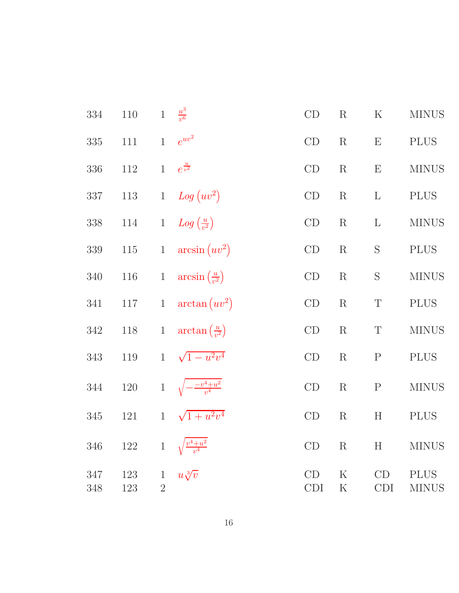| 334     | $110\,$ | $\mathbf{1}$   | $rac{u^3}{v^6}$                     | $\mathop{\rm CD}$ | $\mathbf R$ | $\rm K$     | <b>MINUS</b>  |
|---------|---------|----------------|-------------------------------------|-------------------|-------------|-------------|---------------|
| 335     | $111\,$ | $\mathbf{1}$   | $e^{uv^2}$                          | $\mathrm{CD}$     | $\mathbf R$ | E           | <b>PLUS</b>   |
| 336     | $112\,$ | $\mathbf{1}$   | $e^{\frac{u}{v^2}}$                 | CD                | $\mathbf R$ | E           | <b>MINUS</b>  |
| $337\,$ | $113\,$ | $\mathbf{1}$   | $Log (uv^2)$                        | CD                | $\mathbf R$ | $\Gamma$    | <b>PLUS</b>   |
| 338     | 114     | $\mathbf{1}$   | $Log\left(\frac{u}{v^2}\right)$     | $\mathrm{CD}$     | $\mathbf R$ | $\mathbf L$ | $\rm MINUS$   |
| $339\,$ | $115\,$ | $1\,$          | $arcsin (uv^2)$                     | $\mathrm{CD}$     | $\mathbf R$ | $\mathbf S$ | $\rm PLUS$    |
| $340\,$ | $116\,$ | $\,1$          | $arcsin(\frac{u}{v^2})$             | CD                | ${\bf R}$   | $\mathbf S$ | <b>MINUS</b>  |
| 341     | $117\,$ | $\mathbf{1}$   | $\arctan (uv^2)$                    | $\mathrm{CD}$     | R           | $\mathbf T$ | <b>PLUS</b>   |
| $342\,$ | $118\,$ | $\mathbf{1}$   | $\arctan\left(\frac{u}{v^2}\right)$ | CD                | $\mathbf R$ | $\mathbf T$ | <b>MINUS</b>  |
| 343     | $119\,$ | $\mathbf{1}$   | $\sqrt{1-u^2v^4}$                   | CD                | $\mathbf R$ | $\mathbf P$ | $\rm PLUS$    |
| 344     | $120\,$ | $\,1$          | $\sqrt{-\frac{-v^4+u^2}{v^4}}$      | CD                | $\mathbf R$ | $\mathbf P$ | ${\rm MINUS}$ |
| $345\,$ | $121\,$ | $\mathbf{1}$   | $\sqrt{1+u^2v^4}$                   | $\mathop{\rm CD}$ | R           | H           | <b>PLUS</b>   |
| $346\,$ | $122\,$ | $1\,$          | $\sqrt{\frac{v^4+u^2}{v^4}}$        | $\mathop{\rm CD}$ | $\mathbf R$ | H           | <b>MINUS</b>  |
| 347     | 123     | $\mathbf{1}$   | $u\sqrt[3]{v}$                      | CD                | $\rm K$     | CD          | <b>PLUS</b>   |
| 348     | 123     | $\overline{2}$ |                                     | <b>CDI</b>        | $\rm K$     | <b>CDI</b>  | <b>MINUS</b>  |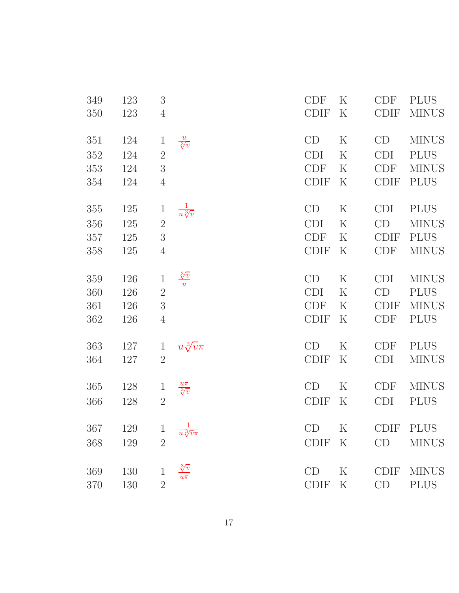| 349 | 123 | $\sqrt{3}$     |                                     | CDF         | $\rm K$           | <b>CDF</b>  | <b>PLUS</b>  |
|-----|-----|----------------|-------------------------------------|-------------|-------------------|-------------|--------------|
| 350 | 123 | $\overline{4}$ |                                     | <b>CDIF</b> | $\rm K$           | <b>CDIF</b> | <b>MINUS</b> |
| 351 | 124 | $\mathbf 1$    | $\frac{u}{\sqrt[3]{v}}$             | CD          | K                 | CD          | <b>MINUS</b> |
| 352 | 124 | $\overline{2}$ |                                     | <b>CDI</b>  | $\rm K$           | <b>CDI</b>  | <b>PLUS</b>  |
| 353 | 124 | 3              |                                     | <b>CDF</b>  | $\rm K$           | <b>CDF</b>  | <b>MINUS</b> |
| 354 | 124 | $\overline{4}$ |                                     | <b>CDIF</b> | $\rm K$           | <b>CDIF</b> | <b>PLUS</b>  |
| 355 | 125 | $\mathbf{1}$   | $\frac{1}{u\sqrt[3]{v}}$            | CD          | $\rm K$           | <b>CDI</b>  | <b>PLUS</b>  |
| 356 | 125 | $\overline{2}$ |                                     | <b>CDI</b>  | $\rm K$           | CD          | <b>MINUS</b> |
| 357 | 125 | 3              |                                     | <b>CDF</b>  | $\rm K$           | <b>CDIF</b> | <b>PLUS</b>  |
| 358 | 125 | $\overline{4}$ |                                     | <b>CDIF</b> | $\rm K$           | <b>CDF</b>  | <b>MINUS</b> |
| 359 | 126 | $\mathbf{1}$   | $\frac{\sqrt[3]{v}}{u}$             | CD          | $\rm K$           | <b>CDI</b>  | <b>MINUS</b> |
| 360 | 126 | $\overline{2}$ |                                     | <b>CDI</b>  | $\rm K$           | CD          | <b>PLUS</b>  |
| 361 | 126 | $\overline{3}$ |                                     | <b>CDF</b>  | $\rm K$           | <b>CDIF</b> | <b>MINUS</b> |
| 362 | 126 | $\overline{4}$ |                                     | <b>CDIF</b> | $\rm K$           | <b>CDF</b>  | <b>PLUS</b>  |
| 363 | 127 | $\mathbf{1}$   | $u\sqrt[3]{v}\pi$                   | CD          | $\rm K$           | <b>CDF</b>  | <b>PLUS</b>  |
| 364 | 127 | $\overline{2}$ |                                     | <b>CDIF</b> | $\rm K$           | <b>CDI</b>  | <b>MINUS</b> |
| 365 | 128 | $\mathbf{1}$   | $\frac{u\pi}{\sqrt[3]{v}}$          | CD          | $\rm K$           | <b>CDF</b>  | <b>MINUS</b> |
| 366 | 128 | $\sqrt{2}$     |                                     | <b>CDIF</b> | $\rm K$           | <b>CDI</b>  | <b>PLUS</b>  |
| 367 | 129 | $\mathbf{1}$   | $\overline{1}$<br>$u\sqrt[3]{v}\pi$ | CD          | $K_{\mathcal{I}}$ | <b>CDIF</b> | <b>PLUS</b>  |
| 368 | 129 | $\overline{2}$ |                                     | <b>CDIF</b> | $\rm K$           | CD          | <b>MINUS</b> |
| 369 | 130 | 1              | $\sqrt[3]{v}$                       | CD          | $\rm K$           | <b>CDIF</b> | <b>MINUS</b> |
| 370 | 130 | $\overline{2}$ | $u\pi$                              | <b>CDIF</b> | $\rm K$           | CD          | <b>PLUS</b>  |
|     |     |                |                                     |             |                   |             |              |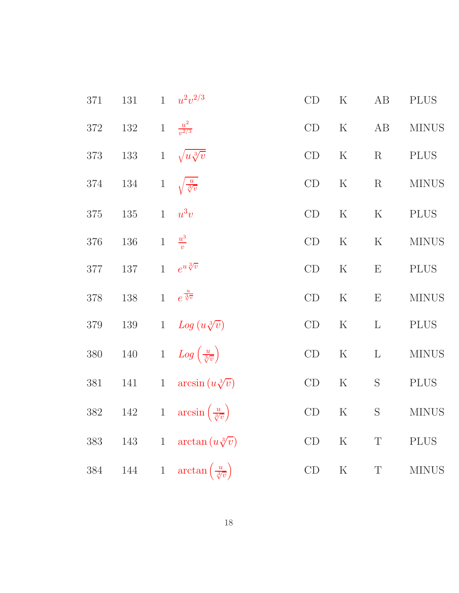| 371     | 131     | $\mathbf{1}$ | $u^2v^{2/3}$                                | CD            | $\mathbf K$ | AB          | <b>PLUS</b>  |
|---------|---------|--------------|---------------------------------------------|---------------|-------------|-------------|--------------|
| $372\,$ | $132\,$ | $\,1$        | $\frac{u^2}{v^{2/3}}$                       | CD            | $\mathbf K$ | AB          | <b>MINUS</b> |
| $373\,$ | $133\,$ | $\mathbf{1}$ | $\sqrt{u \sqrt[3]{v}}$                      | CD            | $\mathbf K$ | $\mathbf R$ | <b>PLUS</b>  |
| $374\,$ | $134\,$ | $\mathbf{1}$ | $\sqrt{\frac{u}{\sqrt[3]{v}}}$              | CD            | ${\bf K}$   | $\mathbf R$ | <b>MINUS</b> |
| $375\,$ | $135\,$ | $\mathbf{1}$ | $u^3v$                                      | CD            | $\mathbf K$ | $\mathbf K$ | <b>PLUS</b>  |
| $376\,$ | $136\,$ | $\,1$        | $\frac{u^3}{v}$                             | CD            | $\mathbf K$ | $\mathbf K$ | <b>MINUS</b> |
| $377\,$ | $137\,$ | $\mathbf{1}$ | $e^{u\sqrt[3]{v}}$                          | $\mathrm{CD}$ | ${\bf K}$   | ${\bf E}$   | <b>PLUS</b>  |
| 378     | $138\,$ | $\mathbf{1}$ | $e^{\frac{u}{\sqrt[3]{v}}}$                 | CD            | $\mathbf K$ | E           | $\rm MINUS$  |
| $379\,$ | $139\,$ | $\mathbf{1}$ | $Log (u\sqrt[3]{v})$                        | CD            | ${\bf K}$   | $\mathbf L$ | <b>PLUS</b>  |
| $380\,$ | $140\,$ |              | 1 $Log\left(\frac{u}{\sqrt[3]{v}}\right)$   | CD            | ${\bf K}$   | $\mathbf L$ | $\rm MINUS$  |
| $381\,$ | $141\,$ | $\,1$        | $arcsin (u\sqrt[3]{v})$                     | $\mathrm{CD}$ | ${\bf K}$   | $\mathbf S$ | $\rm PLUS$   |
| $382\,$ | $142\,$ | $\mathbf{1}$ | $arcsin\left(\frac{u}{\sqrt[3]{v}}\right)$  | $\mathrm{CD}$ | ${\bf K}$   | $\mathbf S$ | $\rm MINUS$  |
| $383\,$ | $143\,$ | $\,1$        | $\arctan(u\sqrt[3]{v})$                     | $\mathrm{CD}$ | ${\bf K}$   | $\mathbf T$ | <b>PLUS</b>  |
| $384\,$ | 144     | $\mathbf{1}$ | $\arctan\left(\frac{u}{\sqrt[3]{v}}\right)$ | $\mathrm{CD}$ | ${\bf K}$   | $\mathbf T$ | $\rm MINUS$  |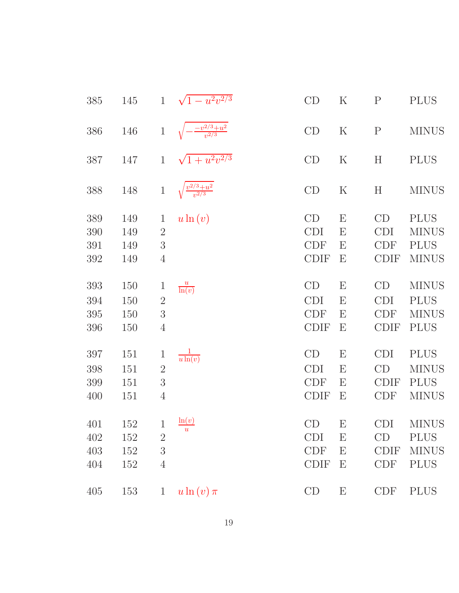| 385                      | 145                      | $\mathbf{1}$                                                   | $\sqrt{1-u^2v^{2/3}}$          | CD                                            | $\rm K$                             | $\mathbf P$                                   | <b>PLUS</b>                                                |
|--------------------------|--------------------------|----------------------------------------------------------------|--------------------------------|-----------------------------------------------|-------------------------------------|-----------------------------------------------|------------------------------------------------------------|
| 386                      | 146                      | $\mathbf{1}$                                                   | $\frac{-v^{2/3}+u^2}{v^{2/3}}$ | CD                                            | $\rm K$                             | $\mathbf P$                                   | <b>MINUS</b>                                               |
| 387                      | 147                      | $\mathbf{1}$                                                   | $\sqrt{1+u^2v^{2/3}}$          | CD                                            | $\rm K$                             | H                                             | <b>PLUS</b>                                                |
| 388                      | 148                      | $\mathbf 1$                                                    | $\frac{v^{2/3}+u^2}{v^{2/3}}$  | CD                                            | $\rm K$                             | $H_{\rm}$                                     | <b>MINUS</b>                                               |
| 389<br>390<br>391        | 149<br>149<br>149        | $\mathbf{1}$<br>$\overline{2}$<br>3                            | $u\ln(v)$                      | CD<br><b>CDI</b><br><b>CDF</b>                | $\boldsymbol{\mathrm{E}}$<br>E<br>E | CD<br><b>CDI</b><br><b>CDF</b>                | <b>PLUS</b><br><b>MINUS</b><br><b>PLUS</b>                 |
| 392                      | 149                      | $\overline{4}$                                                 |                                | <b>CDIF</b>                                   | E                                   | <b>CDIF</b>                                   | <b>MINUS</b>                                               |
| 393<br>394<br>395<br>396 | 150<br>150<br>150<br>150 | $\mathbf{1}$<br>$\overline{2}$<br>3<br>$\overline{4}$          | $\frac{u}{\ln(v)}$             | CD<br><b>CDI</b><br><b>CDF</b><br><b>CDIF</b> | E<br>E<br>E<br>E                    | CD<br><b>CDI</b><br><b>CDF</b><br><b>CDIF</b> | <b>MINUS</b><br><b>PLUS</b><br><b>MINUS</b><br><b>PLUS</b> |
| 397<br>398<br>399<br>400 | 151<br>151<br>151<br>151 | $\mathbf{1}$<br>$\overline{2}$<br>3<br>$\overline{4}$          | $rac{1}{u \ln(v)}$             | CD<br><b>CDI</b><br><b>CDF</b><br><b>CDIF</b> | Е<br>Ε<br>E<br>E                    | <b>CDI</b><br>CD<br><b>CDIF</b><br><b>CDF</b> | <b>PLUS</b><br><b>MINUS</b><br><b>PLUS</b><br><b>MINUS</b> |
| 401<br>402<br>403<br>404 | 152<br>152<br>152<br>152 | $\mathbf{1}$<br>$\overline{2}$<br>$\sqrt{3}$<br>$\overline{4}$ | ln(v)                          | CD<br><b>CDI</b><br><b>CDF</b><br><b>CDIF</b> | E<br>Ε<br>E<br>E                    | <b>CDI</b><br>CD<br><b>CDIF</b><br><b>CDF</b> | <b>MINUS</b><br><b>PLUS</b><br><b>MINUS</b><br><b>PLUS</b> |
| 405                      | 153                      | $\mathbf{1}$                                                   | $u\ln(v)\pi$                   | CD                                            | E                                   | <b>CDF</b>                                    | <b>PLUS</b>                                                |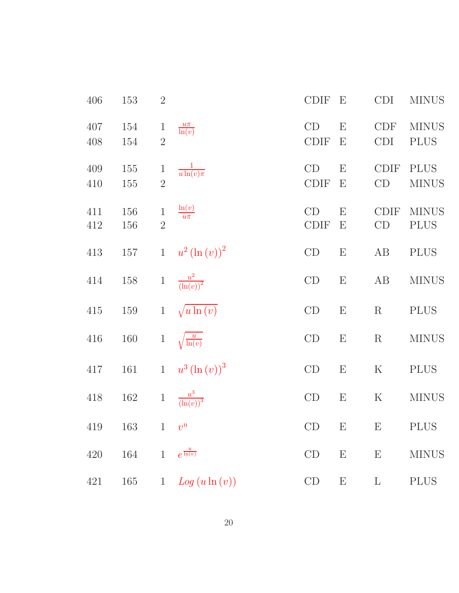| 406        | 153               | $2\,$                          |                            | <b>CDIF</b>       | E                              | CDI                       | <b>MINUS</b>                |
|------------|-------------------|--------------------------------|----------------------------|-------------------|--------------------------------|---------------------------|-----------------------------|
| 407<br>408 | 154<br>154        | $\mathbf{1}$<br>$\overline{2}$ | $\frac{u\pi}{\ln(v)}$      | CD<br><b>CDIF</b> | E<br>Е                         | <b>CDF</b><br><b>CDI</b>  | <b>MINUS</b><br><b>PLUS</b> |
| 409<br>410 | <b>155</b><br>155 | $\mathbf{1}$<br>$\overline{2}$ | $\frac{1}{u \ln(v) \pi}$   | CD<br><b>CDIF</b> | E<br>E                         | <b>CDIF</b><br>CD         | <b>PLUS</b><br><b>MINUS</b> |
| 411<br>412 | 156<br>156        | $\mathbf{1}$<br>$\overline{2}$ | $\frac{\ln(v)}{u\pi}$      | CD<br><b>CDIF</b> | E<br>$\boldsymbol{\mathrm{E}}$ | CDIF<br>CD                | <b>MINUS</b><br><b>PLUS</b> |
| 413        | 157               |                                | 1 $u^2(\ln(v))^2$          | CD                | $\boldsymbol{\mathrm{E}}$      | AB                        | <b>PLUS</b>                 |
| 414        | $158\,$           |                                | 1 $\frac{u^2}{(\ln(v))^2}$ | CD                | E                              | AB                        | <b>MINUS</b>                |
| $415\,$    | 159               | $\mathbf{1}$                   | $\sqrt{u\ln(v)}$           | CD                | ${\rm E}$                      | $\mathbf R$               | <b>PLUS</b>                 |
| $416\,$    | 160               | $\mathbf{1}$                   | $\sqrt{\frac{u}{\ln(v)}}$  | CD                | ${\rm E}$                      | $\rm R$                   | <b>MINUS</b>                |
| 417        | 161               |                                | 1 $u^3 (\ln (v))^3$        | CD                | ${\bf E}$                      | ${\bf K}$                 | <b>PLUS</b>                 |
| 418        | 162               |                                | 1 $\frac{u^3}{(\ln(v))^3}$ | CD                | $\boldsymbol{\mathrm{E}}$      | $\rm K$                   | <b>MINUS</b>                |
| 419        | 163               | $1-v^u$                        |                            | CD                | E                              | $E_{\parallel}$           | <b>PLUS</b>                 |
| 420        | 164               | $\mathbf{1}$                   | $e^{\frac{u}{\ln(v)}}$     | CD                | ${\bf E}$                      | $\boldsymbol{\mathrm{E}}$ | <b>MINUS</b>                |
| 421        | 165               | $\mathbf{1}$                   | $Log(u \ln(v))$            | CD                | ${\bf E}$                      | $\Gamma$                  | $\rm PLUS$                  |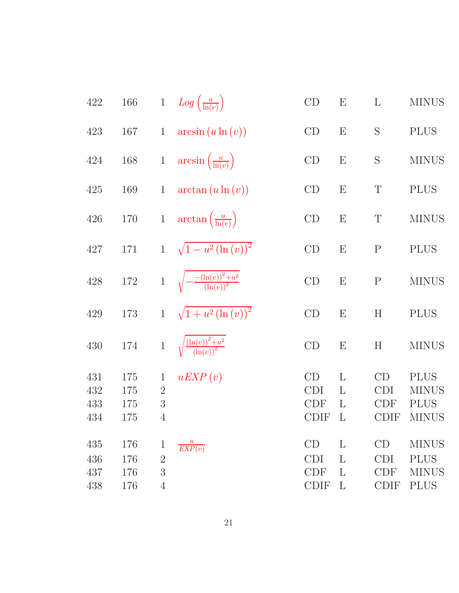| 422                      | $166\,$                  |                                                       | 1 $Log\left(\frac{u}{\ln(v)}\right)$                             | CD                                                             | E                         | L                                             | <b>MINUS</b>                                               |
|--------------------------|--------------------------|-------------------------------------------------------|------------------------------------------------------------------|----------------------------------------------------------------|---------------------------|-----------------------------------------------|------------------------------------------------------------|
| 423                      | 167                      | $\mathbf{1}$                                          | $arcsin(u \ln(v))$                                               | CD                                                             | $\boldsymbol{\mathrm{E}}$ | S                                             | <b>PLUS</b>                                                |
| 424                      | 168                      | $1\,$                                                 | $arcsin\left(\frac{u}{\ln(v)}\right)$                            | CD                                                             | $\boldsymbol{\mathrm{E}}$ | S                                             | <b>MINUS</b>                                               |
| 425                      | 169                      | $\mathbf{1}$                                          | $arctan (u \ln (v))$                                             | CD                                                             | E                         | T                                             | <b>PLUS</b>                                                |
| 426                      | 170                      | $\mathbf{1}$                                          | $\arctan\left(\frac{u}{\ln(v)}\right)$                           | CD                                                             | E                         | T                                             | <b>MINUS</b>                                               |
| 427                      | 171                      | $\mathbf{1}$                                          | $\sqrt{1-u^2(\ln(v))^2}$                                         | CD                                                             | E                         | $\mathbf{P}$                                  | <b>PLUS</b>                                                |
| 428                      | $172\,$                  | $\mathbf{1}$                                          | $\sqrt{-\frac{-(\ln(v))^2+u^2}{(\ln(v))^2}}$                     | CD                                                             | $\boldsymbol{\mathrm{E}}$ | ${\bf P}$                                     | <b>MINUS</b>                                               |
| 429                      | 173                      | $\mathbf{1}$                                          | $\sqrt{1+u^2(\ln(v))^2}$                                         | CD                                                             | E                         | H                                             | <b>PLUS</b>                                                |
| 430                      | 174                      | $\mathbf{1}$                                          | $\sqrt{\frac{\left(\ln(v)\right)^2+u^2}{\left(\ln(v)\right)^2}}$ | CD                                                             | $\boldsymbol{\mathrm{E}}$ | H                                             | <b>MINUS</b>                                               |
| 431<br>432<br>433<br>434 | 175<br>175<br>175<br>175 | $\mathbf{1}$<br>$\overline{2}$<br>3<br>$\overline{4}$ | uEXP(v)                                                          | CD<br><b>CDI</b><br><b>CDF</b><br><b>CDIF</b>                  | L<br>L<br>L<br>L          | CD<br><b>CDI</b><br><b>CDF</b><br>CDIF        | <b>PLUS</b><br><b>MINUS</b><br><b>PLUS</b><br><b>MINUS</b> |
| 435<br>436<br>437<br>438 | 176<br>176<br>176<br>176 | $\mathbf 1$<br>$\overline{2}$<br>3<br>$\overline{4}$  | $\overline{EXP(v)}$                                              | CD<br><b>CDI</b><br>$\ensuremath{\mathrm{CDF}}$<br><b>CDIF</b> | L<br>L<br>L<br>L          | CD<br><b>CDI</b><br><b>CDF</b><br><b>CDIF</b> | <b>MINUS</b><br><b>PLUS</b><br><b>MINUS</b><br><b>PLUS</b> |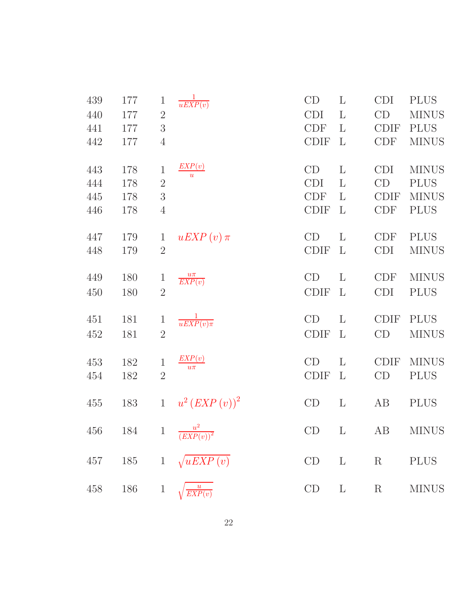| 439                      | 177                      | $\mathbf{1}$                                                      | $rac{1}{uEXP(v)}$                  | CD                                     | $\mathbf{L}$                           | <b>CDI</b>                                    | <b>PLUS</b>                                                |
|--------------------------|--------------------------|-------------------------------------------------------------------|------------------------------------|----------------------------------------|----------------------------------------|-----------------------------------------------|------------------------------------------------------------|
| 440                      | 177                      | $\overline{2}$                                                    |                                    | <b>CDI</b>                             | $\mathbf{L}$                           | CD                                            | <b>MINUS</b>                                               |
| 441                      | 177                      | 3                                                                 |                                    | <b>CDF</b>                             | L                                      | <b>CDIF</b>                                   | <b>PLUS</b>                                                |
| 442                      | 177                      | $\overline{4}$                                                    |                                    | <b>CDIF</b>                            | $\mathbf{L}$                           | <b>CDF</b>                                    | <b>MINUS</b>                                               |
| 443<br>444<br>445<br>446 | 178<br>178<br>178<br>178 | $\mathbf 1$<br>$\overline{2}$<br>$\overline{3}$<br>$\overline{4}$ | EXP(v)<br>$\overline{u}$           | CD<br><b>CDI</b><br>CDF<br><b>CDIF</b> | $\mathbf{L}$<br>L<br>L<br>$\mathbf{L}$ | <b>CDI</b><br>CD<br><b>CDIF</b><br><b>CDF</b> | <b>MINUS</b><br><b>PLUS</b><br><b>MINUS</b><br><b>PLUS</b> |
| 447                      | 179                      | $\mathbf{1}$                                                      | $uEXP(v)\pi$                       | CD                                     | $\mathbf{L}$                           | <b>CDF</b>                                    | <b>PLUS</b>                                                |
| 448                      | 179                      | $\overline{2}$                                                    |                                    | <b>CDIF</b>                            | $\mathbf{L}$                           | <b>CDI</b>                                    | <b>MINUS</b>                                               |
| 449                      | 180                      | $\mathbf{1}$                                                      | $\frac{u\pi}{EXP(v)}$              | CD                                     | $\mathbf{L}$                           | <b>CDF</b>                                    | <b>MINUS</b>                                               |
| 450                      | 180                      | $\overline{2}$                                                    |                                    | <b>CDIF</b>                            | $\mathbf{L}$                           | <b>CDI</b>                                    | <b>PLUS</b>                                                |
| 451                      | 181                      | $\mathbf{1}$                                                      | $rac{1}{uEXP(v)\pi}$               | CD                                     | $\mathbf{L}$                           | <b>CDIF</b>                                   | <b>PLUS</b>                                                |
| 452                      | 181                      | $\overline{2}$                                                    |                                    | <b>CDIF</b>                            | $\mathbf{L}$                           | CD                                            | <b>MINUS</b>                                               |
| 453                      | 182                      | $\mathbf{1}$                                                      | EXP(v)                             | CD                                     | $\mathbf{L}$                           | <b>CDIF</b>                                   | <b>MINUS</b>                                               |
| 454                      | 182                      | $\overline{2}$                                                    | $u\pi$                             | <b>CDIF</b>                            | $\mathbf{L}$                           | CD                                            | <b>PLUS</b>                                                |
| 455                      | 183                      | $\mathbf{1}$                                                      | $u^{2} (EXP(v))^{2}$               | CD                                     | $\mathbf{L}$                           | AB                                            | <b>PLUS</b>                                                |
|                          |                          |                                                                   | 456 184 1 $\frac{u^2}{(EXP(v))^2}$ |                                        |                                        |                                               | CD L AB MINUS                                              |
| 457                      |                          |                                                                   | 185 1 $\sqrt{uEXP(v)}$             | CD                                     | $\mathbf{L}$<br>$\mathbf R$            |                                               | <b>PLUS</b>                                                |
| 458                      | 186                      | $\mathbf{1}$                                                      | $\frac{u}{EXP(v)}$                 | $CD$ L                                 |                                        | R                                             | <b>MINUS</b>                                               |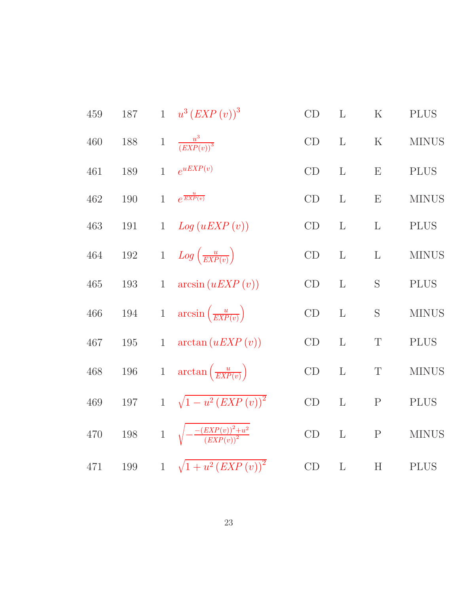| 459     | 187     |                | 1 $u^3 (EXP(v))^3$                                   | CD            | L            | ${\bf K}$                 | <b>PLUS</b>  |
|---------|---------|----------------|------------------------------------------------------|---------------|--------------|---------------------------|--------------|
| 460     | 188     | $\mathbf{1}$   | $\frac{u^3}{(EXP(v))^3}$                             | CD            | $\mathbf{L}$ | ${\bf K}$                 | <b>MINUS</b> |
| 461     | 189     | $\mathbf{1}$   | $e^{uEXP(v)}$                                        | CD            | L            | E                         | <b>PLUS</b>  |
| 462     | 190     | $\mathbf{1}$   | $e^{\frac{u}{EXP(v)}}$                               | CD            | L            | E                         | <b>MINUS</b> |
| 463     | 191     | $\mathbf{1}$   | Log (uEXP(v))                                        | CD            | $\mathbf{L}$ | $\mathbf{L}$              | <b>PLUS</b>  |
| 464     | $192\,$ | $\,1$          | $Log\left(\frac{u}{EXP(v)}\right)$                   | CD            | $\mathbf{L}$ | $\mathbf{L}$              | <b>MINUS</b> |
| $465\,$ | 193     | $\mathbf{1}$   | arcsin(uEXP(v))                                      | CD            | L            | S                         | <b>PLUS</b>  |
| 466     | $194\,$ | $1\,$          | $arcsin\left(\frac{u}{EXP(v)}\right)$                | CD            | $\Gamma$     | S                         | <b>MINUS</b> |
| 467     | 195     | $\mathbf{1}$   | arctan(uEXP(v))                                      | CD            | L            | $\mathbf T$               | <b>PLUS</b>  |
| 468     | $196\,$ | $1\,$          | $\arctan\left(\frac{u}{EXP(v)}\right)$               | CD            | L            | $\mathbf T$               | <b>MINUS</b> |
| 469     | 197     |                | 1 $\sqrt{1-u^2\left( EXP\left( v\right) \right) ^2}$ | CD            | L            | $\mathbf P$               | <b>PLUS</b>  |
| 470     | $198\,$ | $\overline{1}$ | $\sqrt{-\frac{-(EXP(v))^{2}+u^{2}}{(EXP(v))^{2}}}$   | CD            | $\mathbf{L}$ | $\mathbf P$               | <b>MINUS</b> |
| 471     | $199\,$ | $\overline{1}$ | $\sqrt{1+u^2\left( EXP\left( v\right) \right)^2}$    | $\mathrm{CD}$ | $\mathbf L$  | $\boldsymbol{\mathrm{H}}$ | <b>PLUS</b>  |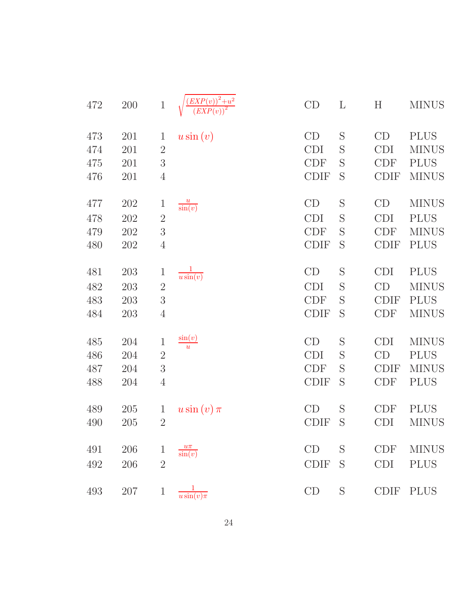| 472 | $200\,$ | $\!1$          | $\frac{1}{(EXP(v))^{2}+u^{2}}$ | CD          | $\mathbf{L}$ | H           | <b>MINUS</b> |
|-----|---------|----------------|--------------------------------|-------------|--------------|-------------|--------------|
| 473 | 201     | $\mathbf{1}$   | $u\sin(v)$                     | CD          | S            | CD          | <b>PLUS</b>  |
| 474 | 201     | $\sqrt{2}$     |                                | <b>CDI</b>  | S            | <b>CDI</b>  | <b>MINUS</b> |
| 475 | 201     | $\sqrt{3}$     |                                | <b>CDF</b>  | S            | <b>CDF</b>  | <b>PLUS</b>  |
| 476 | 201     | $\overline{4}$ |                                | <b>CDIF</b> | S            | <b>CDIF</b> | <b>MINUS</b> |
| 477 | 202     | $\mathbf{1}$   | $\frac{u}{\sin(v)}$            | CD          | S            | CD          | <b>MINUS</b> |
| 478 | 202     | $\sqrt{2}$     |                                | <b>CDI</b>  | S            | <b>CDI</b>  | <b>PLUS</b>  |
| 479 | 202     | $\overline{3}$ |                                | <b>CDF</b>  | S            | <b>CDF</b>  | <b>MINUS</b> |
| 480 | 202     | $\overline{4}$ |                                | <b>CDIF</b> | S            | <b>CDIF</b> | <b>PLUS</b>  |
| 481 | 203     | $\mathbf{1}$   | $rac{1}{u \sin(v)}$            | CD          | S            | <b>CDI</b>  | <b>PLUS</b>  |
| 482 | 203     | $\overline{2}$ |                                | <b>CDI</b>  | S            | CD          | <b>MINUS</b> |
| 483 | 203     | $\sqrt{3}$     |                                | <b>CDF</b>  | S            | <b>CDIF</b> | <b>PLUS</b>  |
| 484 | 203     | $\overline{4}$ |                                | <b>CDIF</b> | S            | <b>CDF</b>  | <b>MINUS</b> |
| 485 | 204     | $\mathbf 1$    | $\frac{\sin(v)}{u}$            | CD          | S            | <b>CDI</b>  | <b>MINUS</b> |
| 486 | 204     | $\overline{2}$ |                                | <b>CDI</b>  | S            | CD          | <b>PLUS</b>  |
| 487 | 204     | $\sqrt{3}$     |                                | <b>CDF</b>  | S            | <b>CDIF</b> | <b>MINUS</b> |
| 488 | 204     | $\overline{4}$ |                                | <b>CDIF</b> | S            | <b>CDF</b>  | <b>PLUS</b>  |
| 489 | 205     | $\mathbf{1}$   | $u\sin(v)\pi$                  | CD          | S            | <b>CDF</b>  | <b>PLUS</b>  |
| 490 | 205     | $2\,$          |                                | <b>CDIF</b> | S            | <b>CDI</b>  | <b>MINUS</b> |
| 491 | 206     | $\mathbf{1}$   | $\frac{u\pi}{\sin(v)}$         | CD          | S            | <b>CDF</b>  | <b>MINUS</b> |
| 492 | 206     | $\overline{2}$ |                                | <b>CDIF</b> | S            | <b>CDI</b>  | <b>PLUS</b>  |
| 493 | 207     | $\mathbf{1}$   | $\frac{1}{u\sin(v)\pi}$        | CD          | S            | <b>CDIF</b> | <b>PLUS</b>  |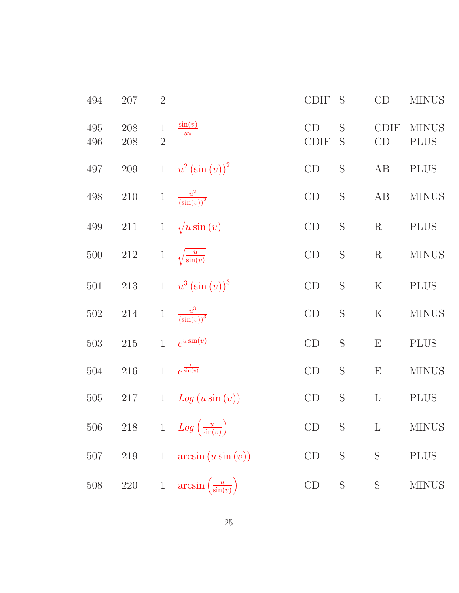| 494        | 207        | $\overline{2}$                |                                              | <b>CDIF</b>       | S             | CD                | <b>MINUS</b>                |
|------------|------------|-------------------------------|----------------------------------------------|-------------------|---------------|-------------------|-----------------------------|
| 495<br>496 | 208<br>208 | $\mathbf 1$<br>$\overline{2}$ | $\sin(v)$<br>$\overline{u\pi}$               | CD<br><b>CDIF</b> | S<br>S        | <b>CDIF</b><br>CD | <b>MINUS</b><br><b>PLUS</b> |
| 497        | $209\,$    | $\mathbf{1}$                  | $u^{2}(\sin(v))^{2}$                         | CD                | S             | AB                | <b>PLUS</b>                 |
| 498        | $210\,$    | $\mathbf 1$                   | $\frac{u^2}{\left(\sin(v)\right)^2}$         | CD                | S             | AB                | <b>MINUS</b>                |
| 499        | $211\,$    | $\mathbf{1}$                  | $\sqrt{u\sin(v)}$                            | CD                | S             | R                 | <b>PLUS</b>                 |
| 500        | $212\,$    | $\,1$                         | $\sqrt{\frac{u}{\sin(v)}}$                   | CD                | $\mathbf S$   | $\mathbf R$       | <b>MINUS</b>                |
| 501        | $213\,$    | $\mathbf{1}$                  | $u^{3}(\sin{(v)})^{3}$                       | CD                | S             | $\rm K$           | <b>PLUS</b>                 |
| 502        | 214        | $\mathbf{1}$                  | $\frac{u^3}{\left(\sin(v)\right)^3}$         | CD                | S             | $\rm K$           | <b>MINUS</b>                |
| 503        | $215\,$    | $\mathbf{1}$                  | $e^{u \sin(v)}$                              | CD                | S             | ${\rm E}$         | <b>PLUS</b>                 |
| 504        | $216\,$    | $\mathbf{1}$                  | $e^{\frac{u}{\sin(v)}}$                      | CD                | S             | E                 | <b>MINUS</b>                |
| 505        | 217        | $\mathbf{1}$                  | Log(usin(v))                                 | CD                | $\mathbf S$   | $\Gamma$          | <b>PLUS</b>                 |
|            |            |                               | 506 218 1 $Log\left(\frac{u}{sin(v)}\right)$ | CD                | $S_{\text{}}$ | $\mathbf{L}$      | <b>MINUS</b>                |
| $507\,$    | 219        | $\mathbf{1}$                  | arcsin(u sin(v))                             | $\mathop{\rm CD}$ | $\mathbf S$   | $\mathbf S$       | <b>PLUS</b>                 |
| 508        | $220\,$    | $\mathbf{1}$                  | $arcsin\left(\frac{u}{\sin(v)}\right)$       | CD                | S             | S                 | <b>MINUS</b>                |
|            |            |                               |                                              |                   |               |                   |                             |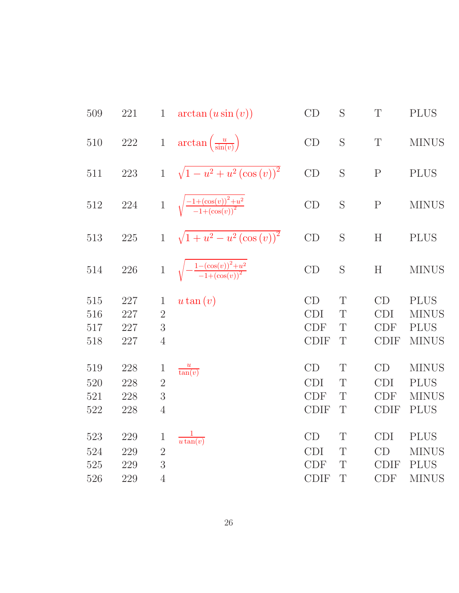| 509 | 221     | $\mathbf{1}$   | $arctan(u \sin(v))$                                  | CD          | S            | $\mathbf T$  | <b>PLUS</b>  |
|-----|---------|----------------|------------------------------------------------------|-------------|--------------|--------------|--------------|
| 510 | $222\,$ | $\,1$          | $\arctan\left(\frac{u}{\sin(v)}\right)$              | CD          | $\mathbf S$  | $\mathbf T$  | <b>MINUS</b> |
| 511 | $223\,$ | $\mathbf{1}$   | $\sqrt{1-u^2+u^2(\cos{(v)})^2}$                      | CD          | S            | $\mathbf{P}$ | <b>PLUS</b>  |
| 512 | $224\,$ |                | 1 $\sqrt{\frac{-1+(\cos(v))^2+u^2}{-1+(\cos(v))^2}}$ | CD          | S            | $\mathbf{P}$ | <b>MINUS</b> |
| 513 | $225\,$ | $\mathbf{1}$   | $\sqrt{1+u^2-u^2(\cos{(v)})^2}$                      | CD          | S            | H            | <b>PLUS</b>  |
| 514 | 226     | $\mathbf{1}$   | $\sqrt{-\frac{1-(\cos(v))^2+u^2}{-1+(\cos(v))^2}}$   | CD          | S            | H            | <b>MINUS</b> |
| 515 | 227     | $\mathbf{1}$   | $u \tan(v)$                                          | CD          | $\mathrm{T}$ | CD           | <b>PLUS</b>  |
| 516 | 227     | $\overline{2}$ |                                                      | <b>CDI</b>  | T            | <b>CDI</b>   | <b>MINUS</b> |
| 517 | 227     | 3              |                                                      | <b>CDF</b>  | T            | CDF          | <b>PLUS</b>  |
| 518 | 227     | $\overline{4}$ |                                                      | <b>CDIF</b> | T            | <b>CDIF</b>  | <b>MINUS</b> |
| 519 | 228     | $\mathbf 1$    | $\frac{u}{\tan(v)}$                                  | CD          | T            | CD           | <b>MINUS</b> |
| 520 | 228     | $\overline{2}$ |                                                      | <b>CDI</b>  | T            | <b>CDI</b>   | <b>PLUS</b>  |
| 521 | 228     | 3              |                                                      | <b>CDF</b>  | T            | <b>CDF</b>   | <b>MINUS</b> |
| 522 | 228     | $\overline{4}$ |                                                      | <b>CDIF</b> | T            | <b>CDIF</b>  | <b>PLUS</b>  |
| 523 | 229     | 1              | $rac{1}{u\tan(v)}$                                   | CD          | T            | <b>CDI</b>   | <b>PLUS</b>  |
| 524 | 229     | $\overline{2}$ |                                                      | <b>CDI</b>  | T            | CD           | <b>MINUS</b> |
| 525 | 229     | 3              |                                                      | <b>CDF</b>  | T            | <b>CDIF</b>  | <b>PLUS</b>  |
| 526 | 229     | $\overline{4}$ |                                                      | <b>CDIF</b> | T            | <b>CDF</b>   | <b>MINUS</b> |
|     |         |                |                                                      |             |              |              |              |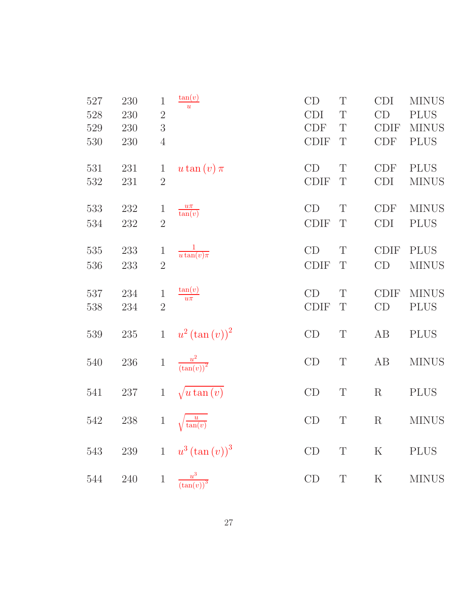| 527<br>528<br>529<br>530 | 230<br>230<br>230<br>230 | $\,1$<br>$\overline{2}$<br>3<br>$\overline{4}$ | tan(v)<br>$\overline{u}$             | CD<br><b>CDI</b><br><b>CDF</b><br><b>CDIF</b> | T<br>T<br>T<br>T | <b>CDI</b><br>CD<br><b>CDIF</b><br>CDF | <b>MINUS</b><br><b>PLUS</b><br><b>MINUS</b><br><b>PLUS</b> |
|--------------------------|--------------------------|------------------------------------------------|--------------------------------------|-----------------------------------------------|------------------|----------------------------------------|------------------------------------------------------------|
| 531<br>532               | 231<br>231               | $\mathbf{1}$<br>$\overline{2}$                 | u tan $(v)$ $\pi$                    | CD<br><b>CDIF</b>                             | T<br>T           | <b>CDF</b><br><b>CDI</b>               | <b>PLUS</b><br><b>MINUS</b>                                |
| 533<br>534               | 232<br>232               | $\mathbf{1}$<br>$\overline{2}$                 | $\frac{u\pi}{\tan(v)}$               | CD<br><b>CDIF</b>                             | T<br>$\mathbf T$ | CDF<br><b>CDI</b>                      | <b>MINUS</b><br><b>PLUS</b>                                |
| 535<br>536               | 233<br>233               | $\mathbf 1$<br>$\overline{2}$                  | $rac{1}{u\tan(v)\pi}$                | CD<br><b>CDIF</b>                             | T<br>T           | <b>CDIF</b><br>CD                      | <b>PLUS</b><br><b>MINUS</b>                                |
| 537<br>538               | 234<br>234               | $\,1$<br>$\overline{2}$                        | $\tan(v)$<br>$u\pi$                  | CD<br><b>CDIF</b>                             | $\mathbf T$<br>T | <b>CDIF</b><br>CD                      | <b>MINUS</b><br><b>PLUS</b>                                |
| 539                      | $235\,$                  | $\mathbf{1}$                                   | $u^{2}(\tan(v))^{2}$                 | CD                                            | $\mathbf T$      | AB                                     | <b>PLUS</b>                                                |
| 540                      | 236                      | $1\,$                                          | $\frac{u^2}{(\tan(v))^2}$            | CD                                            | $\mathbf T$      | AB                                     | <b>MINUS</b>                                               |
| 541                      | 237                      | $\mathbf{1}$                                   | $\sqrt{u \tan(v)}$                   | CD                                            | T                | $\mathbf R$                            | <b>PLUS</b>                                                |
| 542                      | 238                      | $\mathbf{1}$                                   | $\overline{u}$<br>tan(v)             | CD                                            | $\mathbf T$      | $\mathbf R$                            | <b>MINUS</b>                                               |
| $543\,$                  | $239\,$                  |                                                | 1 $u^3 (\tan(v))^3$                  | CD                                            | $\mathbf T$      | ${\bf K}$                              | <b>PLUS</b>                                                |
| $544\,$                  | $240\,$                  | $\mathbf{1}$                                   | $\frac{u^3}{\left(\tan(v)\right)^3}$ | $\mathrm{CD}$                                 | $\mathbf T$      | ${\bf K}$                              | <b>MINUS</b>                                               |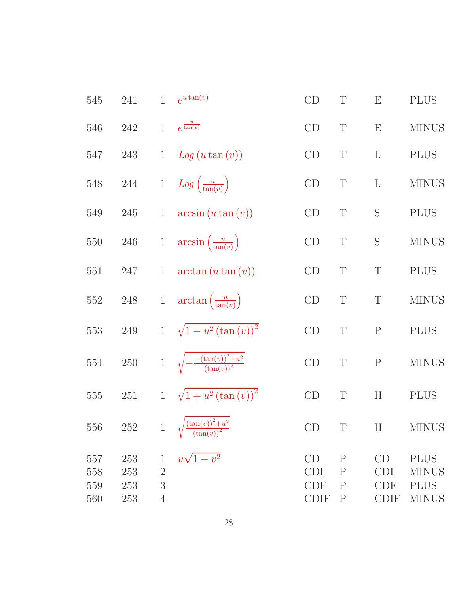| 545 | 241     | $\mathbf{1}$   | $e^{u \tan(v)}$                                  | CD          | $\mathbf T$  | $\boldsymbol{\mathrm{E}}$ | <b>PLUS</b>  |
|-----|---------|----------------|--------------------------------------------------|-------------|--------------|---------------------------|--------------|
| 546 | $242\,$ | $\mathbf{1}$   | $e^{\frac{u}{\tan(v)}}$                          | CD          | $\mathbf T$  | $\boldsymbol{\mathrm{E}}$ | <b>MINUS</b> |
| 547 | 243     | $\mathbf{1}$   | Log (u tan (v))                                  | CD          | $\mathbf T$  | $\Gamma$                  | <b>PLUS</b>  |
| 548 | 244     | $\mathbf{1}$   | $Log\left(\frac{u}{\tan(v)}\right)$              | CD          | $\mathbf T$  | $\Gamma$                  | <b>MINUS</b> |
| 549 | 245     | $\mathbf{1}$   | $arcsin(u \tan(v))$                              | CD          | $\mathbf T$  | S                         | <b>PLUS</b>  |
| 550 | $246\,$ | $\,1$          | $arcsin\left(\frac{u}{\tan(v)}\right)$           | CD          | $\mathbf T$  | S                         | <b>MINUS</b> |
| 551 | $247\,$ | $\mathbf{1}$   | $arctan (u \tan (v))$                            | CD          | T            | $\mathbf T$               | <b>PLUS</b>  |
| 552 | $248\,$ | $\,1$          | $\arctan\left(\frac{u}{\tan(v)}\right)$          | CD          | $\mathbf T$  | $\mathbf T$               | <b>MINUS</b> |
| 553 | $249\,$ |                | 1 $\sqrt{1-u^2(\tan(v))^2}$                      | CD          | T            | ${\bf P}$                 | <b>PLUS</b>  |
| 554 | $250\,$ |                | 1 $\sqrt{-\frac{-(\tan(v))^2+u^2}{(\tan(v))^2}}$ | CD          | $\mathbf T$  | $\mathbf P$               | <b>MINUS</b> |
| 555 | $251\,$ | $\mathbf{1}$   | $\sqrt{1+u^2(\tan(v))^2}$                        | CD          | T            | H                         | <b>PLUS</b>  |
| 556 | 252     |                | 1 $\sqrt{\frac{(\tan(v))^2+u^2}{(\tan(v))^2}}$   | CD          | T            | H                         | <b>MINUS</b> |
| 557 | 253     | $\mathbf 1$    | $u\sqrt{1-v^2}$                                  | CD          | $\mathbf P$  | CD                        | <b>PLUS</b>  |
| 558 | 253     | $\overline{2}$ |                                                  | <b>CDI</b>  | $\mathbf P$  | <b>CDI</b>                | <b>MINUS</b> |
| 559 | 253     | 3              |                                                  | <b>CDF</b>  | $\mathbf{P}$ | <b>CDF</b>                | <b>PLUS</b>  |
| 560 | 253     | $\overline{4}$ |                                                  | <b>CDIF</b> | $\mathbf P$  | <b>CDIF</b>               | <b>MINUS</b> |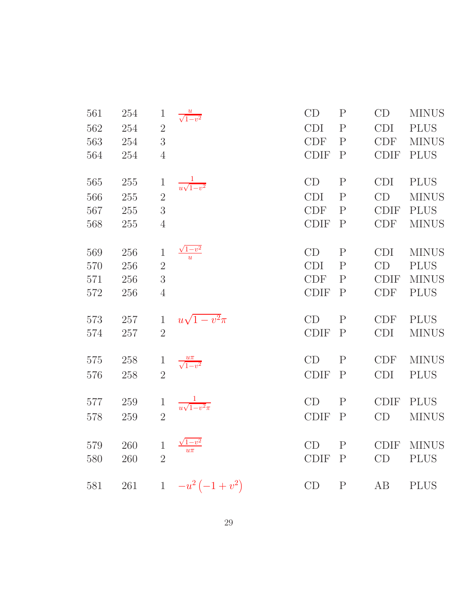| 561 | 254 | $\mathbf{1}$   | $\frac{u}{\sqrt{1-v^2}}$     | CD          | $\mathbf P$  | CD          | <b>MINUS</b> |
|-----|-----|----------------|------------------------------|-------------|--------------|-------------|--------------|
| 562 | 254 | $\overline{2}$ |                              | <b>CDI</b>  | $\mathbf{P}$ | <b>CDI</b>  | <b>PLUS</b>  |
| 563 | 254 | $\overline{3}$ |                              | CDF         | $\mathbf{P}$ | <b>CDF</b>  | <b>MINUS</b> |
| 564 | 254 | $\overline{4}$ |                              | CDIF        | $\mathbf{P}$ | <b>CDIF</b> | <b>PLUS</b>  |
| 565 | 255 | $\mathbf{1}$   | $\frac{1}{u\sqrt{1-v^2}}$    | CD          | $\mathbf P$  | <b>CDI</b>  | <b>PLUS</b>  |
| 566 | 255 | $\overline{2}$ |                              | <b>CDI</b>  | $\mathbf{P}$ | CD          | <b>MINUS</b> |
| 567 | 255 | 3              |                              | <b>CDF</b>  | $\mathbf{P}$ | <b>CDIF</b> | <b>PLUS</b>  |
| 568 | 255 | $\overline{4}$ |                              | <b>CDIF</b> | $\mathbf{P}$ | <b>CDF</b>  | <b>MINUS</b> |
| 569 | 256 | $\mathbf{1}$   | $\frac{\sqrt{1-v^2}}{u}$     | CD          | $\mathbf P$  | <b>CDI</b>  | <b>MINUS</b> |
| 570 | 256 | $\overline{2}$ |                              | <b>CDI</b>  | $\mathbf{P}$ | CD          | <b>PLUS</b>  |
| 571 | 256 | 3              |                              | <b>CDF</b>  | $\mathbf{P}$ | <b>CDIF</b> | <b>MINUS</b> |
| 572 | 256 | $\overline{4}$ |                              | <b>CDIF</b> | $\mathbf{P}$ | <b>CDF</b>  | <b>PLUS</b>  |
| 573 | 257 | $\mathbf{1}$   | $u\sqrt{1-v^2}\pi$           | CD          | $\mathbf{P}$ | <b>CDF</b>  | <b>PLUS</b>  |
| 574 | 257 | $\overline{2}$ |                              | <b>CDIF</b> | $\mathbf{P}$ | <b>CDI</b>  | <b>MINUS</b> |
| 575 | 258 | $\mathbf{1}$   | $\frac{u\pi}{\sqrt{1-v^2}}$  | CD          | $\mathbf{P}$ | <b>CDF</b>  | <b>MINUS</b> |
| 576 | 258 | $\overline{2}$ |                              | <b>CDIF</b> | $\mathbf{P}$ | <b>CDI</b>  | <b>PLUS</b>  |
| 577 | 259 | $\mathbf{1}$   | $\frac{1}{u\sqrt{1-v^2}\pi}$ | CD          | $\mathbf P$  | <b>CDIF</b> | <b>PLUS</b>  |
| 578 | 259 | $\overline{2}$ |                              | <b>CDIF</b> | $\mathbf{P}$ | CD          | <b>MINUS</b> |
| 579 | 260 | $\mathbf{1}$   | $\sqrt{1-v^2}$               | CD          | $\mathbf{P}$ | <b>CDIF</b> | <b>MINUS</b> |
| 580 | 260 | $\overline{2}$ | $u\pi^-$                     | <b>CDIF</b> | $\mathbf{P}$ | CD          | <b>PLUS</b>  |
| 581 | 261 | $\mathbf{1}$   | $-u^2(-1+v^2)$               | CD          | $\mathbf{P}$ | AB          | <b>PLUS</b>  |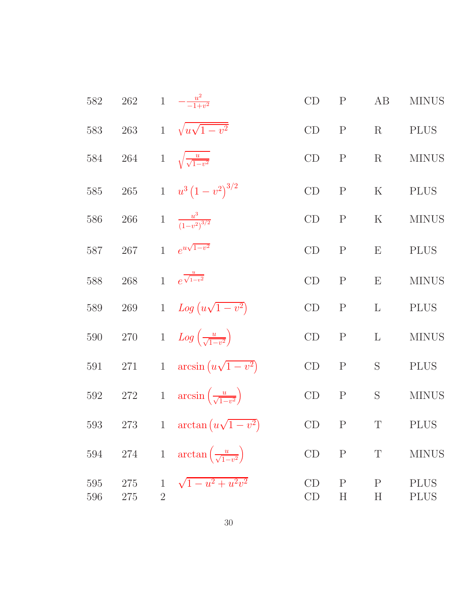| 582        | $262\,$    |                                | 1 $-\frac{u^2}{-1+v^2}$                        | CD       | $\mathbf P$            | AB               | <b>MINUS</b>               |
|------------|------------|--------------------------------|------------------------------------------------|----------|------------------------|------------------|----------------------------|
| 583        | 263        | $\mathbf{1}$                   | $\sqrt{u\sqrt{1-v^2}}$                         | CD       | ${\bf P}$              | R                | <b>PLUS</b>                |
| 584        | 264        | $\mathbf{1}$                   | $\sqrt{\frac{u}{\sqrt{1-v^2}}}$                | CD       | $\mathbf P$            | R                | <b>MINUS</b>               |
| 585        | $265\,$    |                                | 1 $u^3(1-v^2)^{3/2}$                           | CD       | ${\bf P}$              | $\mathbf K$      | <b>PLUS</b>                |
| 586        | 266        |                                | 1 $\frac{u^3}{(1-v^2)^{3/2}}$                  | CD       | ${\bf P}$              | $\rm K$          | <b>MINUS</b>               |
| 587        | 267        | $\mathbf{1}$                   | $e^{u\sqrt{1-v^2}}$                            | CD       | ${\bf P}$              | E                | <b>PLUS</b>                |
| 588        | 268        | $\mathbf{1}$                   | $e^{\frac{u}{\sqrt{1-v^2}}}$                   | CD       | $\mathbf P$            | E                | <b>MINUS</b>               |
| 589        | 269        |                                | 1 $Log (u\sqrt{1-v^2})$                        | CD       | $\mathbf P$            | $\mathbf{L}$     | <b>PLUS</b>                |
| 590        | $270\,$    |                                | 1 $Log\left(\frac{u}{\sqrt{1-v^2}}\right)$     | CD       | $\mathbf P$            | $\Gamma$         | <b>MINUS</b>               |
| 591        | 271        | $1\,$                          | $arcsin (u\sqrt{1-v^2})$                       | CD       | ${\bf P}$              | S                | <b>PLUS</b>                |
| $592\,$    | $272\,$    |                                | 1 $\arcsin\left(\frac{u}{\sqrt{1-v^2}}\right)$ | CD       | $\mathbf P$            | $\mathbf S$      | <b>MINUS</b>               |
| 593        | 273        |                                | 1 $\arctan(u\sqrt{1-v^2})$                     | CD       | $\rm P$                | T                | PLUS                       |
| 594        | 274        |                                | 1 $\arctan\left(\frac{u}{\sqrt{1-v^2}}\right)$ | CD       | $\mathbf P$            | $\mathbf T$      | <b>MINUS</b>               |
| 595<br>596 | 275<br>275 | $\mathbf{1}$<br>$\overline{2}$ | $\sqrt{1-u^2+u^2v^2}$                          | CD<br>CD | ${\bf P}$<br>$H_{\rm}$ | $\mathbf P$<br>H | <b>PLUS</b><br><b>PLUS</b> |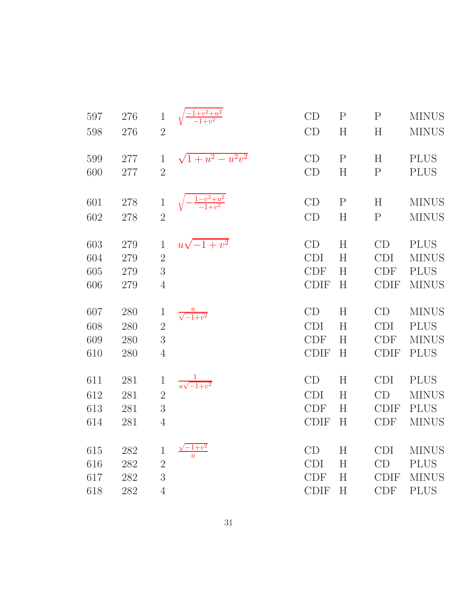| 597 | 276 | $\,1$          |                             | CD          | $\mathbf{P}$ | $\mathbf{P}$ | <b>MINUS</b> |
|-----|-----|----------------|-----------------------------|-------------|--------------|--------------|--------------|
| 598 | 276 | $\overline{2}$ |                             | CD          | H            | H            | <b>MINUS</b> |
|     |     |                |                             |             |              |              |              |
| 599 | 277 | $\mathbf{1}$   | $\sqrt{1+u^2-u^2v^2}$       | CD          | $\mathbf{P}$ | H            | <b>PLUS</b>  |
| 600 | 277 | $\overline{2}$ |                             | CD          | H            | ${\bf P}$    | <b>PLUS</b>  |
|     |     |                |                             |             |              |              |              |
| 601 | 278 | $\mathbf{1}$   | $-\frac{1-v^2+u^2}{-1+v^2}$ | CD          | $\mathbf P$  | H            | <b>MINUS</b> |
| 602 | 278 | $\overline{2}$ |                             | CD          | H            | ${\bf P}$    | <b>MINUS</b> |
| 603 | 279 | $\mathbf{1}$   | $u\sqrt{-1+v^2}$            | CD          | H            | CD           | <b>PLUS</b>  |
|     |     | $\overline{2}$ |                             | <b>CDI</b>  | H            | <b>CDI</b>   |              |
| 604 | 279 |                |                             |             |              |              | <b>MINUS</b> |
| 605 | 279 | 3              |                             | <b>CDF</b>  | H            | <b>CDF</b>   | <b>PLUS</b>  |
| 606 | 279 | $\overline{4}$ |                             | <b>CDIF</b> | H            | <b>CDIF</b>  | <b>MINUS</b> |
|     |     |                |                             |             |              |              |              |
| 607 | 280 | $\mathbf 1$    |                             | CD          | H            | CD           | <b>MINUS</b> |
|     |     |                | $\frac{u}{\sqrt{-1+v^2}}$   |             |              |              |              |
| 608 | 280 | $\overline{2}$ |                             | <b>CDI</b>  | H            | <b>CDI</b>   | <b>PLUS</b>  |
| 609 | 280 | 3              |                             | <b>CDF</b>  | H            | <b>CDF</b>   | <b>MINUS</b> |
| 610 | 280 | $\overline{4}$ |                             | <b>CDIF</b> | H            | <b>CDIF</b>  | <b>PLUS</b>  |
| 611 | 281 | $\mathbf 1$    |                             | CD          | H            | <b>CDI</b>   | <b>PLUS</b>  |
| 612 | 281 | $\overline{2}$ | $\frac{1}{u\sqrt{-1+v^2}}$  | <b>CDI</b>  | H            | CD           | <b>MINUS</b> |
| 613 | 281 | 3              |                             | <b>CDF</b>  | H            | <b>CDIF</b>  | <b>PLUS</b>  |
| 614 | 281 | $\overline{4}$ |                             | <b>CDIF</b> | H            | <b>CDF</b>   | <b>MINUS</b> |
|     |     |                |                             |             |              |              |              |
| 615 | 282 | $\mathbf 1$    | $-1+v^2$                    | CD          | H            | <b>CDI</b>   | <b>MINUS</b> |
| 616 | 282 | $\overline{2}$ |                             | <b>CDI</b>  | H            | CD           | <b>PLUS</b>  |
| 617 | 282 | 3              |                             | <b>CDF</b>  | H            | <b>CDIF</b>  | <b>MINUS</b> |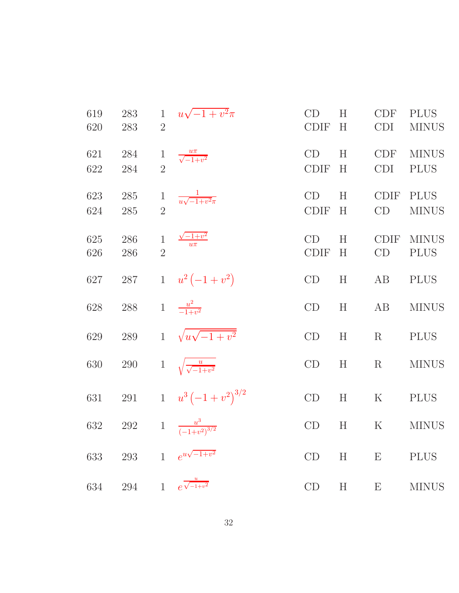| 619<br>620 | 283<br>283 | $\mathbf{1}$<br>$\overline{2}$ | $u\sqrt{-1+v^2}\pi$                 | CD<br><b>CDIF</b> | H<br>H | <b>CDF</b><br><b>CDI</b> | <b>PLUS</b><br><b>MINUS</b> |
|------------|------------|--------------------------------|-------------------------------------|-------------------|--------|--------------------------|-----------------------------|
| 621<br>622 | 284<br>284 | $\overline{2}$                 | $\frac{u\pi}{\sqrt{-1+v^2}}$        | CD<br><b>CDIF</b> | H<br>H | <b>CDF</b><br><b>CDI</b> | <b>MINUS</b><br><b>PLUS</b> |
| 623<br>624 | 285<br>285 | $\mathbf{1}$<br>$\overline{2}$ | $\frac{1}{u\sqrt{-1+v^2}\pi}$       | CD<br><b>CDIF</b> | H<br>H | <b>CDIF</b><br>CD        | <b>PLUS</b><br><b>MINUS</b> |
| 625<br>626 | 286<br>286 | $\mathbf{1}$<br>$\overline{2}$ | $\frac{\sqrt{-1+v^2}}{u\pi}$        | CD<br><b>CDIF</b> | H<br>H | <b>CDIF</b><br>CD        | <b>MINUS</b><br><b>PLUS</b> |
| 627        | $287\,$    |                                | 1 $u^2(-1+v^2)$                     | CD                | H      | AB                       | <b>PLUS</b>                 |
| 628        | $288\,$    |                                | 1 $\frac{u^2}{-1+v^2}$              | CD                | H      | AB                       | <b>MINUS</b>                |
| 629        | 289        | 1                              | $\sqrt{u\sqrt{-1+v^2}}$             | CD                | H      | R                        | <b>PLUS</b>                 |
| 630        | $290\,$    |                                | 1 $\sqrt{\frac{u}{\sqrt{-1+v^2}}}$  | CD                | H      | R                        | <b>MINUS</b>                |
| 631        | 291        |                                | 1 $u^3\left(-1+v^2\right)^{3/2}$    | CD                | H      | $\rm K$                  | <b>PLUS</b>                 |
| 632        | $\,292$    |                                | 1 $\frac{u^3}{(-1+v^2)^{3/2}}$      | CD                | H      | $\rm K$                  | <b>MINUS</b>                |
| 633        | 293        |                                | 1 $e^{u\sqrt{-1+v^2}}$              | CD                | H      | $\mathbf{E}$             | <b>PLUS</b>                 |
| 634        |            |                                | 294 1 $e^{\frac{u}{\sqrt{-1+v^2}}}$ | CD                | H      | E                        | <b>MINUS</b>                |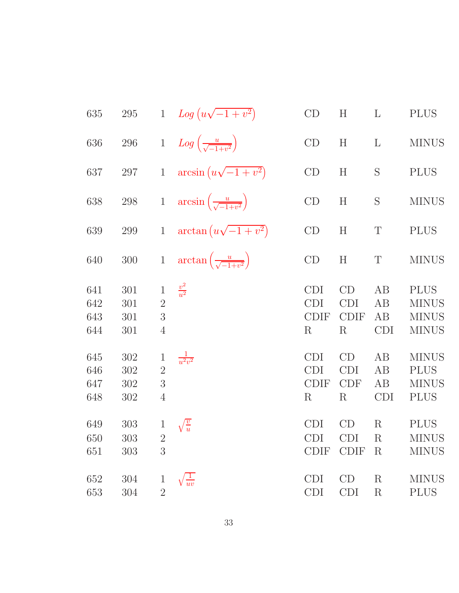| 635                      | $\,295$                  |                                                       | 1 $Log(u\sqrt{-1+v^2})$                       | CD                                                 | H                                          | $\Gamma$                      | <b>PLUS</b>                                                 |
|--------------------------|--------------------------|-------------------------------------------------------|-----------------------------------------------|----------------------------------------------------|--------------------------------------------|-------------------------------|-------------------------------------------------------------|
| 636                      | $\,296$                  | $\,1$                                                 | $Log\left(\frac{u}{\sqrt{-1+v^2}}\right)$     | CD                                                 | H                                          | $\mathbf{L}$                  | <b>MINUS</b>                                                |
| 637                      | 297                      | $\,1$                                                 | $arcsin (u\sqrt{-1+v^2})$                     | CD                                                 | H                                          | S                             | <b>PLUS</b>                                                 |
| 638                      | $298\,$                  | $\,1$                                                 | $arcsin\left(\frac{u}{\sqrt{-1+v^2}}\right)$  | CD                                                 | H                                          | S                             | <b>MINUS</b>                                                |
| 639                      | 299                      | $\mathbf{1}$                                          | $\arctan(u\sqrt{-1+v^2})$                     | CD                                                 | H                                          | T                             | <b>PLUS</b>                                                 |
| 640                      | $300\,$                  | $\,1$                                                 | $\arctan\left(\frac{u}{\sqrt{-1+v^2}}\right)$ | CD                                                 | H                                          | $\mathbf T$                   | <b>MINUS</b>                                                |
| 641<br>642<br>643<br>644 | 301<br>301<br>301<br>301 | $\mathbf{1}$<br>$\overline{2}$<br>3<br>$\overline{4}$ | $\frac{v^2}{u^2}$                             | <b>CDI</b><br><b>CDI</b><br><b>CDIF</b><br>$\rm R$ | CD<br><b>CDI</b><br><b>CDIF</b><br>$\rm R$ | AB<br>AB<br>AB<br><b>CDI</b>  | <b>PLUS</b><br><b>MINUS</b><br><b>MINUS</b><br><b>MINUS</b> |
| 645<br>646<br>647<br>648 | 302<br>302<br>302<br>302 | $\mathbf 1$<br>$\overline{2}$<br>3<br>$\overline{4}$  | $\frac{1}{u^2v^2}$                            | <b>CDI</b><br><b>CDI</b><br><b>CDIF</b><br>$\rm R$ | CD<br><b>CDI</b><br><b>CDF</b><br>$\rm R$  | AB<br>AB<br>AB<br><b>CDI</b>  | <b>MINUS</b><br><b>PLUS</b><br><b>MINUS</b><br><b>PLUS</b>  |
| 649<br>650<br>651        | 303<br>303<br>303        | $\mathbf{1}$<br>$\overline{2}$<br>3                   | $\sqrt{\frac{v}{u}}$                          | <b>CDI</b><br><b>CDI</b><br><b>CDIF</b>            | CD<br><b>CDI</b><br><b>CDIF</b>            | $\rm R$<br>$\rm R$<br>$\rm R$ | <b>PLUS</b><br><b>MINUS</b><br><b>MINUS</b>                 |
| 652<br>653               | 304<br>304               | $\mathbf{1}$<br>$\overline{2}$                        | $rac{1}{uv}$                                  | <b>CDI</b><br><b>CDI</b>                           | CD<br><b>CDI</b>                           | $\rm R$<br>$\rm R$            | <b>MINUS</b><br><b>PLUS</b>                                 |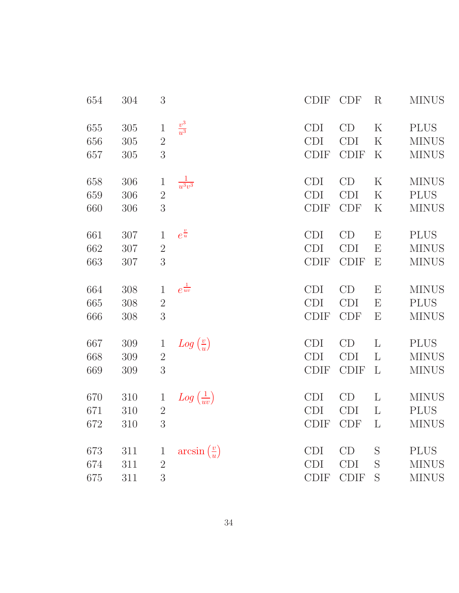| 654 | 304 | 3              |                                | <b>CDIF</b> | <b>CDF</b>  | $\rm R$                   | <b>MINUS</b> |
|-----|-----|----------------|--------------------------------|-------------|-------------|---------------------------|--------------|
| 655 | 305 | $\mathbf 1$    | $\frac{v^3}{u^3}$              | <b>CDI</b>  | CD          | $\rm K$                   | <b>PLUS</b>  |
| 656 | 305 | $\overline{2}$ |                                | <b>CDI</b>  | <b>CDI</b>  | K                         | <b>MINUS</b> |
| 657 | 305 | 3              |                                | CDIF        | <b>CDIF</b> | $\rm K$                   | <b>MINUS</b> |
| 658 | 306 | $\mathbf 1$    | $\frac{1}{u^3v^3}$             | <b>CDI</b>  | CD          | $\rm K$                   | <b>MINUS</b> |
| 659 | 306 | $\overline{2}$ |                                | <b>CDI</b>  | <b>CDI</b>  | K                         | <b>PLUS</b>  |
| 660 | 306 | 3              |                                | <b>CDIF</b> | <b>CDF</b>  | K                         | <b>MINUS</b> |
| 661 | 307 | $\mathbf{1}$   | $e^{\frac{v}{u}}$              | <b>CDI</b>  | CD          | E                         | <b>PLUS</b>  |
| 662 | 307 | $\overline{2}$ |                                | <b>CDI</b>  | <b>CDI</b>  | E                         | <b>MINUS</b> |
| 663 | 307 | 3              |                                | <b>CDIF</b> | <b>CDIF</b> | E                         | <b>MINUS</b> |
| 664 | 308 | $\mathbf{1}$   | $e^{\frac{1}{uv}}$             | <b>CDI</b>  | CD          | E                         | <b>MINUS</b> |
| 665 | 308 | $\sqrt{2}$     |                                | <b>CDI</b>  | <b>CDI</b>  | E                         | <b>PLUS</b>  |
| 666 | 308 | 3              |                                | <b>CDIF</b> | <b>CDF</b>  | $\boldsymbol{\mathrm{E}}$ | <b>MINUS</b> |
| 667 | 309 | $\mathbf{1}$   | $Log\left(\frac{v}{u}\right)$  | CDI         | CD          | $\mathbf{L}$              | <b>PLUS</b>  |
| 668 | 309 | $\overline{2}$ |                                | <b>CDI</b>  | <b>CDI</b>  | L                         | <b>MINUS</b> |
| 669 | 309 | 3              |                                | <b>CDIF</b> | <b>CDIF</b> | $\mathbf{L}$              | <b>MINUS</b> |
| 670 | 310 | $\mathbf 1$    | $Log\left(\frac{1}{uv}\right)$ | <b>CDI</b>  | CD          | L                         | <b>MINUS</b> |
| 671 | 310 | $\overline{2}$ |                                | <b>CDI</b>  | <b>CDI</b>  | L                         | <b>PLUS</b>  |
| 672 | 310 | 3              |                                | <b>CDIF</b> | <b>CDF</b>  | L                         | <b>MINUS</b> |
| 673 | 311 | $\mathbf{1}$   | $arcsin(\frac{v}{u})$          | <b>CDI</b>  | CD          | S                         | <b>PLUS</b>  |
| 674 | 311 | $\overline{2}$ |                                | <b>CDI</b>  | <b>CDI</b>  | S                         | <b>MINUS</b> |
| 675 | 311 | 3              |                                | <b>CDIF</b> | <b>CDIF</b> | S                         | <b>MINUS</b> |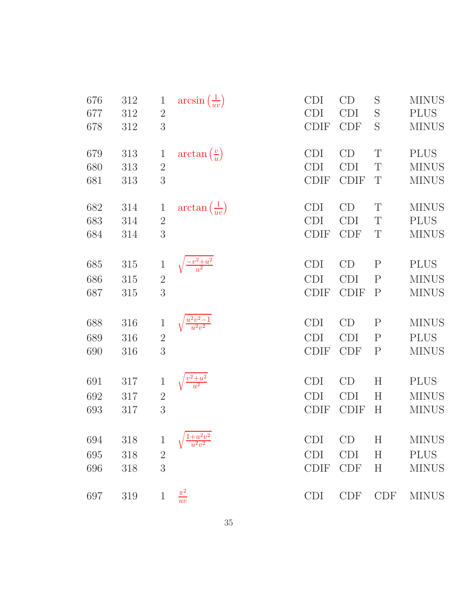| 676 | 312 | $\mathbf{1}$ | $arcsin\left(\frac{1}{uv}\right)$  | <b>CDI</b>  | CD          | S            | <b>MINUS</b> |
|-----|-----|--------------|------------------------------------|-------------|-------------|--------------|--------------|
| 677 | 312 | $\sqrt{2}$   |                                    | <b>CDI</b>  | <b>CDI</b>  | S            | <b>PLUS</b>  |
| 678 | 312 | 3            |                                    | <b>CDIF</b> | <b>CDF</b>  | S            | <b>MINUS</b> |
| 679 | 313 | $\mathbf{1}$ | $\arctan\left(\frac{v}{u}\right)$  | CDI         | CD          | T            | <b>PLUS</b>  |
| 680 | 313 | $\sqrt{2}$   |                                    | <b>CDI</b>  | <b>CDI</b>  | $\mathbf T$  | <b>MINUS</b> |
| 681 | 313 | 3            |                                    | <b>CDIF</b> | <b>CDIF</b> | T            | <b>MINUS</b> |
| 682 | 314 | $\mathbf{1}$ | $\arctan\left(\frac{1}{uv}\right)$ | <b>CDI</b>  | CD          | T            | <b>MINUS</b> |
| 683 | 314 | $\sqrt{2}$   |                                    | <b>CDI</b>  | <b>CDI</b>  | T            | <b>PLUS</b>  |
| 684 | 314 | 3            |                                    | <b>CDIF</b> | <b>CDF</b>  | T            | <b>MINUS</b> |
| 685 | 315 | $\mathbf 1$  |                                    | <b>CDI</b>  | CD          | $\mathbf{P}$ | <b>PLUS</b>  |
| 686 | 315 | $\sqrt{2}$   |                                    | <b>CDI</b>  | <b>CDI</b>  | ${\bf P}$    | <b>MINUS</b> |
| 687 | 315 | 3            |                                    | <b>CDIF</b> | <b>CDIF</b> | $\mathbf{P}$ | <b>MINUS</b> |
| 688 | 316 | $\mathbf 1$  |                                    | <b>CDI</b>  | CD          | $\mathbf{P}$ | <b>MINUS</b> |
| 689 | 316 | $\sqrt{2}$   |                                    | <b>CDI</b>  | <b>CDI</b>  | ${\bf P}$    | <b>PLUS</b>  |
| 690 | 316 | 3            |                                    | <b>CDIF</b> | <b>CDF</b>  | ${\bf P}$    | <b>MINUS</b> |
| 691 | 317 | $\mathbf 1$  |                                    | <b>CDI</b>  | CD          | $H_{\rm}$    | <b>PLUS</b>  |
| 692 | 317 | $\sqrt{2}$   |                                    | <b>CDI</b>  | <b>CDI</b>  | H            | <b>MINUS</b> |
| 693 | 317 | 3            |                                    | <b>CDIF</b> | <b>CDIF</b> | $H_{\rm}$    | <b>MINUS</b> |
| 694 | 318 | $\mathbf 1$  |                                    | <b>CDI</b>  | CD          | H            | <b>MINUS</b> |
| 695 | 318 | $\sqrt{2}$   |                                    | <b>CDI</b>  | <b>CDI</b>  | H            | <b>PLUS</b>  |
| 696 | 318 | 3            |                                    | <b>CDIF</b> | <b>CDF</b>  | H            | <b>MINUS</b> |
| 697 | 319 | $\mathbf{1}$ | $\frac{\pi^2}{uv}$                 | <b>CDI</b>  | <b>CDF</b>  | <b>CDF</b>   | <b>MINUS</b> |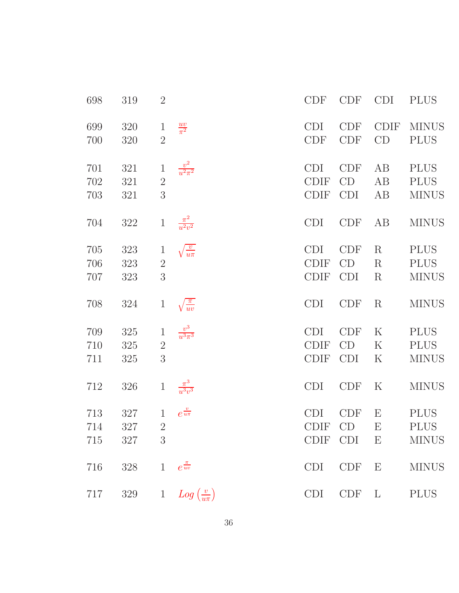| 698               | 319               | $\overline{2}$                      |                                    | <b>CDF</b>                               | <b>CDF</b>                     | <b>CDI</b>                                                            | <b>PLUS</b>                                |
|-------------------|-------------------|-------------------------------------|------------------------------------|------------------------------------------|--------------------------------|-----------------------------------------------------------------------|--------------------------------------------|
| 699<br>700        | 320<br>320        | $\mathbf{1}$<br>$\overline{2}$      | $rac{uv}{\pi^2}$                   | <b>CDI</b><br>CDF                        | <b>CDF</b><br><b>CDF</b>       | <b>CDIF</b><br>CD                                                     | <b>MINUS</b><br><b>PLUS</b>                |
| 701<br>702<br>703 | 321<br>321<br>321 | $\mathbf{1}$<br>$\overline{2}$<br>3 | $\frac{v^2}{u^2\pi^2}$             | <b>CDI</b><br><b>CDIF</b><br><b>CDIF</b> | <b>CDF</b><br>CD<br><b>CDI</b> | AB<br>AB<br>AB                                                        | <b>PLUS</b><br><b>PLUS</b><br><b>MINUS</b> |
| 704               | $322\,$           | $\mathbf{1}$                        | $\frac{\pi^2}{u^2v^2}$             | <b>CDI</b>                               | <b>CDF</b>                     | AB                                                                    | <b>MINUS</b>                               |
| 705<br>706<br>707 | 323<br>323<br>323 | $\mathbf{1}$<br>$\overline{2}$<br>3 | $\sqrt{\frac{v}{u\pi}}$            | <b>CDI</b><br><b>CDIF</b><br><b>CDIF</b> | CDF<br>CD<br><b>CDI</b>        | $\rm R$<br>$\mathbf R$<br>$\rm R$                                     | <b>PLUS</b><br><b>PLUS</b><br><b>MINUS</b> |
| 708               | 324               | $\mathbf{1}$                        | $\sqrt{\frac{\pi}{uv}}$            | <b>CDI</b>                               | <b>CDF</b>                     | $\rm R$                                                               | <b>MINUS</b>                               |
| 709<br>710<br>711 | 325<br>325<br>325 | $\,1$<br>$\sqrt{2}$<br>3            | $\frac{v^3}{u^3\pi^3}$             | <b>CDI</b><br><b>CDIF</b><br><b>CDIF</b> | <b>CDF</b><br>CD<br><b>CDI</b> | $\rm K$<br>$\rm K$<br>$\rm K$                                         | <b>PLUS</b><br><b>PLUS</b><br><b>MINUS</b> |
| 712               | 326               | $\,1\,$                             | $\frac{\pi^3}{u^3v^3}$             | <b>CDI</b>                               | <b>CDF</b>                     | $\rm K$                                                               | <b>MINUS</b>                               |
| 713<br>714<br>715 | 327<br>327<br>327 | $\mathbf{1}$<br>$\overline{2}$<br>3 | $e^{\frac{v}{u\pi}}$               | <b>CDI</b><br><b>CDIF</b><br>CDIF CDI    | <b>CDF</b><br>CD               | $\boldsymbol{\mathrm{E}}$<br>$\mathbf E$<br>$\boldsymbol{\mathrm{E}}$ | <b>PLUS</b><br><b>PLUS</b><br><b>MINUS</b> |
| 716               | 328               |                                     | 1 $e^{\frac{\pi}{uv}}$             | <b>CDI</b>                               | CDF                            | E                                                                     | <b>MINUS</b>                               |
| 717               | 329               |                                     | 1 $Log\left(\frac{v}{u\pi}\right)$ | <b>CDI</b>                               | <b>CDF</b>                     | $\mathbf{L}$                                                          | <b>PLUS</b>                                |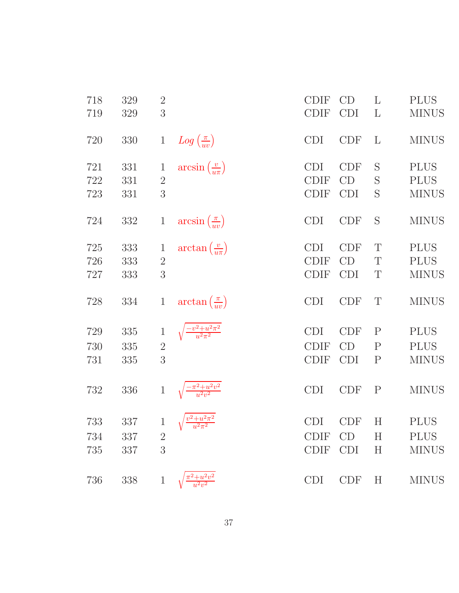| 718 | 329 | $\sqrt{2}$     |                                        | <b>CDIF</b> | CD         | L            | <b>PLUS</b>  |
|-----|-----|----------------|----------------------------------------|-------------|------------|--------------|--------------|
| 719 | 329 | 3              |                                        | <b>CDIF</b> | <b>CDI</b> | L            | <b>MINUS</b> |
| 720 | 330 | $\mathbf{1}$   | $Log\left(\frac{\pi}{uv}\right)$       | <b>CDI</b>  | CDF        | L            | <b>MINUS</b> |
| 721 | 331 | 1              | $arcsin\left(\frac{v}{u\pi}\right)$    | <b>CDI</b>  | <b>CDF</b> | S            | <b>PLUS</b>  |
| 722 | 331 | $\overline{2}$ |                                        | <b>CDIF</b> | CD         | S            | <b>PLUS</b>  |
| 723 | 331 | 3              |                                        | <b>CDIF</b> | <b>CDI</b> | S            | <b>MINUS</b> |
| 724 | 332 | $\mathbf{1}$   | $arcsin\left(\frac{\pi}{uv}\right)$    | <b>CDI</b>  | <b>CDF</b> | S            | <b>MINUS</b> |
| 725 | 333 | 1              | $\arctan\left(\frac{v}{u\pi}\right)$   | <b>CDI</b>  | <b>CDF</b> | T            | <b>PLUS</b>  |
| 726 | 333 | $\overline{2}$ |                                        | <b>CDIF</b> | CD         | T            | <b>PLUS</b>  |
| 727 | 333 | 3              |                                        | <b>CDIF</b> | <b>CDI</b> | T            | <b>MINUS</b> |
| 728 | 334 | $\mathbf{1}$   | $\arctan\left(\frac{\pi}{uv}\right)$   | <b>CDI</b>  | <b>CDF</b> | T            | <b>MINUS</b> |
| 729 | 335 | $\mathbf 1$    | $\frac{-v^2+u^2\pi^2}{u^2\pi^2}$       | <b>CDI</b>  | <b>CDF</b> | $\mathbf{P}$ | <b>PLUS</b>  |
| 730 | 335 | $\sqrt{2}$     |                                        | <b>CDIF</b> | CD         | ${\bf P}$    | <b>PLUS</b>  |
| 731 | 335 | 3              |                                        | <b>CDIF</b> | <b>CDI</b> | $\mathbf P$  | <b>MINUS</b> |
| 732 | 336 | $\mathbf{1}$   | $\frac{1-\pi^2+u^2v^2}{u^2v^2}$        | <b>CDI</b>  | <b>CDF</b> | $\mathbf{P}$ | <b>MINUS</b> |
| 733 | 337 | $\mathbf{1}$   | $\sqrt{\frac{v^2+u^2\pi^2}{u^2\pi^2}}$ | <b>CDI</b>  | <b>CDF</b> | $H_{\rm}$    | <b>PLUS</b>  |
| 734 | 337 | $\overline{2}$ |                                        | <b>CDIF</b> | CD         | H            | <b>PLUS</b>  |
| 735 | 337 | 3              |                                        | <b>CDIF</b> | <b>CDI</b> | H            | <b>MINUS</b> |
| 736 | 338 | $\mathbf{1}$   | $\frac{\pi^2 + u^2v^2}{u^2v^2}$        | <b>CDI</b>  | <b>CDF</b> | H            | <b>MINUS</b> |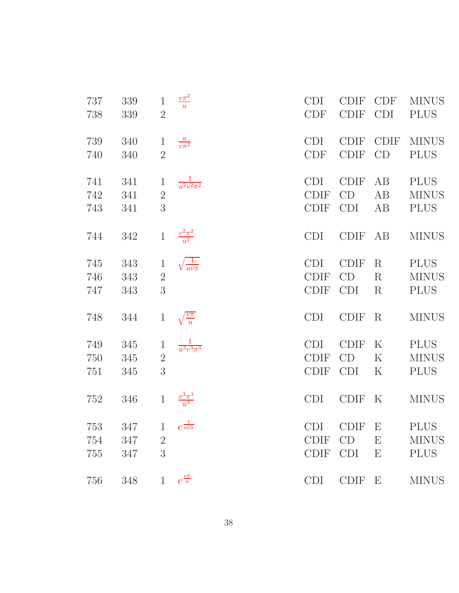| 737               | 339               | $\mathbf{1}$        | $\frac{v\pi^2}{u}$       | <b>CDI</b>                        | <b>CDIF</b>                | <b>CDF</b>                                             | <b>MINUS</b>                               |
|-------------------|-------------------|---------------------|--------------------------|-----------------------------------|----------------------------|--------------------------------------------------------|--------------------------------------------|
| 738               | 339               | $\overline{2}$      |                          | <b>CDF</b>                        | <b>CDIF</b>                | <b>CDI</b>                                             | <b>PLUS</b>                                |
| 739               | 340               | $\mathbf{1}$        | $\frac{u}{v\pi^2}$       | <b>CDI</b>                        | <b>CDIF</b>                | <b>CDIF</b>                                            | <b>MINUS</b>                               |
| 740               | 340               | $\overline{2}$      |                          | CDF                               | <b>CDIF</b>                | CD                                                     | <b>PLUS</b>                                |
| 741               | 341               | $\mathbf{1}$        | $\frac{1}{u^2v^2\pi^2}$  | <b>CDI</b>                        | <b>CDIF</b>                | AB                                                     | <b>PLUS</b>                                |
| 742               | 341               | $\overline{2}$      |                          | <b>CDIF</b>                       | CD                         | AB                                                     | <b>MINUS</b>                               |
| 743               | 341               | 3                   |                          | <b>CDIF</b>                       | <b>CDI</b>                 | AB                                                     | <b>PLUS</b>                                |
| 744               | 342               | $\mathbf{1}$        | $\frac{v^2\pi^2}{u^2}$   | <b>CDI</b>                        | <b>CDIF</b>                | AB                                                     | <b>MINUS</b>                               |
| 745               | 343               | $\mathbf{1}$        | $\sqrt{\frac{1}{uv\pi}}$ | <b>CDI</b>                        | <b>CDIF</b>                | $\rm R$                                                | <b>PLUS</b>                                |
| 746               | 343               | $\overline{2}$      |                          | <b>CDIF</b>                       | CD                         | $\rm R$                                                | <b>MINUS</b>                               |
| 747               | 343               | 3                   |                          | <b>CDIF</b>                       | <b>CDI</b>                 | $\rm R$                                                | <b>PLUS</b>                                |
| 748               | 344               | $\mathbf{1}$        | $\frac{v\pi}{u}$         | <b>CDI</b>                        | <b>CDIF</b>                | $\rm R$                                                | <b>MINUS</b>                               |
| 749               | 345               | $\mathbf{1}$        | $\frac{1}{u^3v^3\pi^3}$  | <b>CDI</b>                        | <b>CDIF</b>                | $\rm K$                                                | <b>PLUS</b>                                |
| 750               | 345               | $\sqrt{2}$          |                          | <b>CDIF</b>                       | CD                         | $\rm K$                                                | <b>MINUS</b>                               |
| 751               | 345               | 3                   |                          | <b>CDIF</b>                       | <b>CDI</b>                 | $\rm K$                                                | <b>PLUS</b>                                |
| 752               | 346               | $\,1$               | $\frac{v^3\pi^3}{u^3}$   | <b>CDI</b>                        | <b>CDIF</b>                | $\rm K$                                                | <b>MINUS</b>                               |
| 753<br>754<br>755 | 347<br>347<br>347 | $\overline{2}$<br>3 | 1 $e^{\frac{1}{uv\pi}}$  | CDI<br><b>CDIF</b><br><b>CDIF</b> | CDIF E<br>CD<br><b>CDI</b> | $\boldsymbol{\mathrm{E}}$<br>$\boldsymbol{\mathrm{E}}$ | <b>PLUS</b><br><b>MINUS</b><br><b>PLUS</b> |
| 756               | 348               | $\mathbf 1$         | $e^{\frac{v\pi}{u}}$     | <b>CDI</b>                        | <b>CDIF</b>                | $\boldsymbol{\mathrm{E}}$                              | <b>MINUS</b>                               |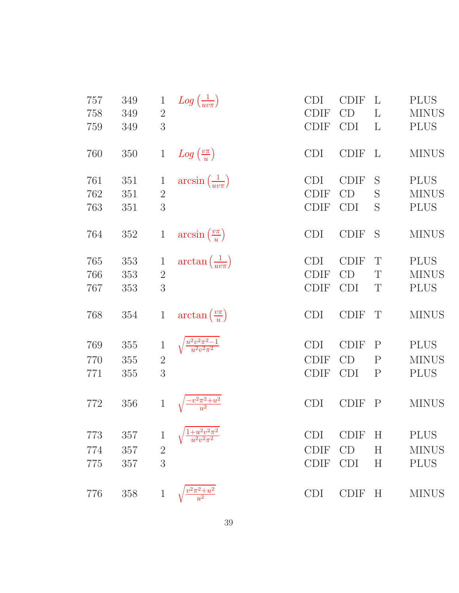| 757 | 349 | $\mathbf{1}$   | $Log\left(\frac{1}{uv\pi}\right)$     | <b>CDI</b>  | <b>CDIF</b> | L            | <b>PLUS</b>  |
|-----|-----|----------------|---------------------------------------|-------------|-------------|--------------|--------------|
| 758 | 349 | $\overline{2}$ |                                       | <b>CDIF</b> | CD          | L            | <b>MINUS</b> |
| 759 | 349 | 3              |                                       | <b>CDIF</b> | <b>CDI</b>  | L            | <b>PLUS</b>  |
| 760 | 350 | $\mathbf{1}$   | $Log\left(\frac{v\pi}{u}\right)$      | <b>CDI</b>  | <b>CDIF</b> | L            | <b>MINUS</b> |
| 761 | 351 | 1              | $arcsin\left(\frac{1}{uv\pi}\right)$  | <b>CDI</b>  | <b>CDIF</b> | S            | <b>PLUS</b>  |
| 762 | 351 | $\overline{2}$ |                                       | <b>CDIF</b> | CD          | S            | <b>MINUS</b> |
| 763 | 351 | 3              |                                       | <b>CDIF</b> | <b>CDI</b>  | S            | <b>PLUS</b>  |
| 764 | 352 | $\mathbf{1}$   | $arcsin\left(\frac{v\pi}{u}\right)$   | <b>CDI</b>  | <b>CDIF</b> | S            | <b>MINUS</b> |
| 765 | 353 | $\mathbf{1}$   | $\arctan\left(\frac{1}{uv\pi}\right)$ | <b>CDI</b>  | <b>CDIF</b> | T            | <b>PLUS</b>  |
| 766 | 353 | $\overline{2}$ |                                       | <b>CDIF</b> | CD          | T            | <b>MINUS</b> |
| 767 | 353 | 3              |                                       | <b>CDIF</b> | <b>CDI</b>  | T            | <b>PLUS</b>  |
| 768 | 354 | $\mathbf{1}$   | $\arctan\left(\frac{v\pi}{u}\right)$  | <b>CDI</b>  | <b>CDIF</b> | T            | <b>MINUS</b> |
| 769 | 355 | $\,1$          | $\frac{u^2v^2\pi^2-1}{u^2v^2\pi^2}$   | <b>CDI</b>  | <b>CDIF</b> | $\rm P$      | <b>PLUS</b>  |
| 770 | 355 | $\overline{2}$ |                                       | <b>CDIF</b> | CD          | $\mathbf{P}$ | <b>MINUS</b> |
| 771 | 355 | 3              |                                       | <b>CDIF</b> | <b>CDI</b>  | $\mathbf P$  | <b>PLUS</b>  |
| 772 | 356 | $\mathbf{1}$   | $\frac{-v^2\pi^2+u^2}{u^2}$           | <b>CDI</b>  | <b>CDIF</b> | $\mathbf P$  | <b>MINUS</b> |
| 773 | 357 | 1              | $\frac{u^2v^2\pi^2}{v^2\pi^2}$        | <b>CDI</b>  | <b>CDIF</b> | $\rm H$      | <b>PLUS</b>  |
| 774 | 357 | $\overline{2}$ |                                       | <b>CDIF</b> | CD          | H            | <b>MINUS</b> |
| 775 | 357 | 3              |                                       | <b>CDIF</b> | <b>CDI</b>  | H            | <b>PLUS</b>  |
| 776 | 358 | $\mathbf 1$    | $b^2\pi^2 + u^2$                      | <b>CDI</b>  | <b>CDIF</b> | H            | <b>MINUS</b> |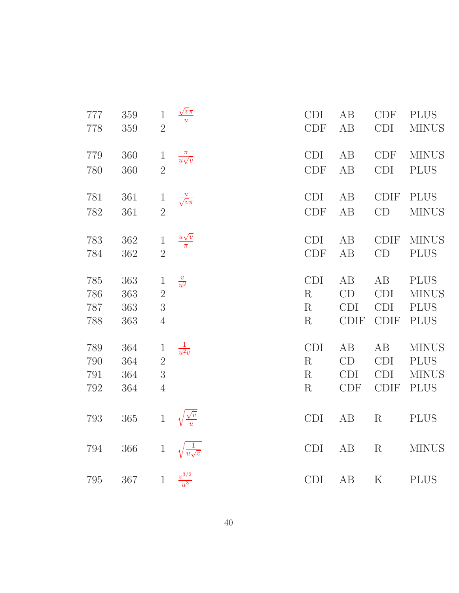| 777<br>778 | 359<br>359 | $\mathbf{1}$<br>$\overline{2}$ | $\frac{\sqrt{v}\pi}{u}$                                     | <b>CDI</b><br><b>CDF</b> | AB<br>AB    | <b>CDF</b><br><b>CDI</b>    | <b>PLUS</b><br><b>MINUS</b> |
|------------|------------|--------------------------------|-------------------------------------------------------------|--------------------------|-------------|-----------------------------|-----------------------------|
| 779        | 360        | $\mathbf{1}$                   | $\frac{\pi}{u\sqrt{v}}$                                     | <b>CDI</b>               | AB          | $\ensuremath{\mathrm{CDF}}$ | <b>MINUS</b>                |
| 780        | 360        | $\overline{2}$                 |                                                             | <b>CDF</b>               | AB          | <b>CDI</b>                  | <b>PLUS</b>                 |
| 781        | $361\,$    | $\mathbf{1}$                   | $\frac{u}{\sqrt{v}\pi}$                                     | <b>CDI</b>               | AB          | <b>CDIF</b>                 | <b>PLUS</b>                 |
| 782        | 361        | $\overline{2}$                 |                                                             | CDF                      | AB          | CD                          | <b>MINUS</b>                |
| 783        | 362        | $\,1$                          | $\frac{u\sqrt{v}}{\pi}$                                     | <b>CDI</b>               | AB          | <b>CDIF</b>                 | <b>MINUS</b>                |
| 784        | 362        | $\overline{2}$                 |                                                             | <b>CDF</b>               | AB          | CD                          | <b>PLUS</b>                 |
| 785        | 363        | $\mathbf{1}$                   | $\frac{v}{u^2}$                                             | <b>CDI</b>               | AB          | AB                          | <b>PLUS</b>                 |
| 786        | 363        | $\overline{2}$                 |                                                             | R                        | CD          | <b>CDI</b>                  | <b>MINUS</b>                |
| 787        | 363        | 3                              |                                                             | R                        | <b>CDI</b>  | <b>CDI</b>                  | <b>PLUS</b>                 |
| 788        | 363        | $\overline{4}$                 |                                                             | R                        | <b>CDIF</b> | <b>CDIF</b>                 | <b>PLUS</b>                 |
| 789        | 364        | $\mathbf{1}$                   | $rac{1}{u^2v}$                                              | <b>CDI</b>               | AB          | AB                          | <b>MINUS</b>                |
| 790        | 364        | $\overline{2}$                 |                                                             | R                        | CD          | <b>CDI</b>                  | <b>PLUS</b>                 |
| 791        | 364        | $\mathfrak{Z}$                 |                                                             | R                        | <b>CDI</b>  | <b>CDI</b>                  | <b>MINUS</b>                |
| 792        | 364        | $\overline{4}$                 |                                                             | R                        | <b>CDF</b>  | <b>CDIF</b>                 | <b>PLUS</b>                 |
| 793        | $365\,$    | $\,1$                          |                                                             | CDI                      | AB          | $\mathbf R$                 | <b>PLUS</b>                 |
| 794        | $366\,$    | $\,1$                          | $\sqrt{\frac{\sqrt{v}}{u}}$<br>$\sqrt{\frac{1}{u\sqrt{v}}}$ | <b>CDI</b>               | AB          | ${\bf R}$                   | <b>MINUS</b>                |
| 795        | $367\,$    | $1\,$                          | $\frac{v^{3/2}}{u^3}$                                       | <b>CDI</b>               | AB          | $\mathbf K$                 | <b>PLUS</b>                 |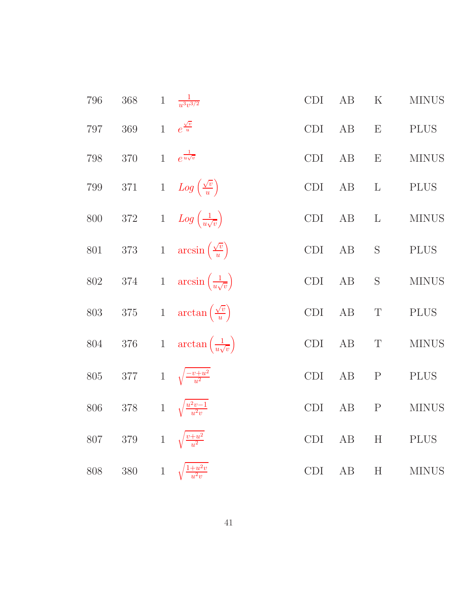| 796     | 368     | $\mathbf{1}$ | $\frac{1}{u^3v^{3/2}}$                      | CDI        | AB       | $\rm K$                   | <b>MINUS</b> |
|---------|---------|--------------|---------------------------------------------|------------|----------|---------------------------|--------------|
| 797     | $369\,$ |              | 1 $e^{\frac{\sqrt{v}}{u}}$                  | CDI        | AB       | $\boldsymbol{\mathrm{E}}$ | <b>PLUS</b>  |
| 798     | $370\,$ | $\mathbf{1}$ | $e^{\frac{1}{u\sqrt{v}}}$                   | CDI        | AB       | E                         | <b>MINUS</b> |
| $799\,$ | $371\,$ |              | 1 $Log\left(\frac{\sqrt{v}}{u}\right)$      | CDI        | AB       | $\mathbf{L}$              | <b>PLUS</b>  |
| 800     | $372\,$ |              | 1 $Log\left(\frac{1}{u\sqrt{v}}\right)$     | <b>CDI</b> | AB       | $\mathbf{L}$              | <b>MINUS</b> |
| 801     | $373\,$ |              | 1 $arcsin(\frac{\sqrt{v}}{u})$              | CDI        | AB       | $\mathbf S$               | <b>PLUS</b>  |
| 802     | $374\,$ |              | 1 $\arcsin\left(\frac{1}{u\sqrt{v}}\right)$ | CDI        | AB       | $\mathbf S$               | <b>MINUS</b> |
| 803     | $375\,$ |              | 1 $\arctan\left(\frac{\sqrt{v}}{u}\right)$  | CDI        | AB       | $\mathbf T$               | <b>PLUS</b>  |
| $804\,$ | $376\,$ |              | 1 $\arctan\left(\frac{1}{u\sqrt{v}}\right)$ | CDI        | AB       | $\mathbf T$               | <b>MINUS</b> |
| $805\,$ | $377\,$ |              | 1 $\sqrt{\frac{-v+u^2}{u^2}}$               | CDI        | AB       | $\mathbf P$               | <b>PLUS</b>  |
| $806\,$ | $378\,$ |              | 1 $\sqrt{\frac{u^2v-1}{u^2v}}$              | CDI        | AB       | ${\bf P}$                 | <b>MINUS</b> |
| 807     | 379     |              | 1 $\sqrt{\frac{v+u^2}{u^2}}$                | CDI        | AB       | H                         | <b>PLUS</b>  |
| 808     | $380\,$ |              | 1 $\sqrt{\frac{1+u^2v}{u^2v}}$              | CDI        | $\rm AB$ | $\boldsymbol{\mathrm{H}}$ | <b>MINUS</b> |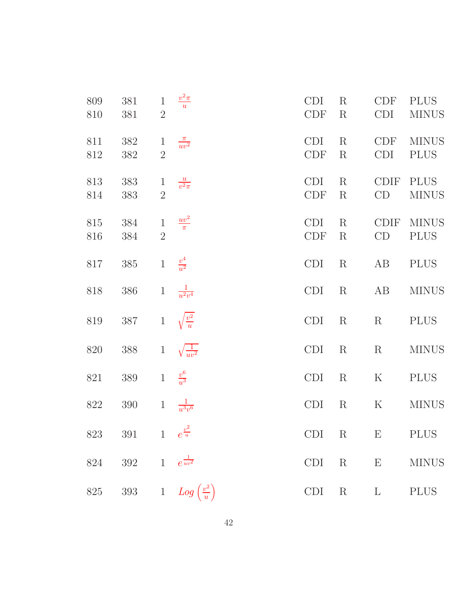| 809<br>810 | 381<br>381                     | $\mathbf{1}$<br>$2\,$          | $\frac{v^2 \pi}{u}$                       | <b>CDI</b><br><b>CDF</b> | $\rm R$<br>$\rm R$ | <b>CDF</b><br><b>CDI</b>  | <b>PLUS</b><br><b>MINUS</b> |
|------------|--------------------------------|--------------------------------|-------------------------------------------|--------------------------|--------------------|---------------------------|-----------------------------|
| 811<br>812 | 382<br>382                     | $\mathbf{1}$<br>$\overline{2}$ | $\frac{\pi}{uv^2}$                        | <b>CDI</b><br><b>CDF</b> | $\rm R$<br>$\rm R$ | <b>CDF</b><br><b>CDI</b>  | <b>MINUS</b><br><b>PLUS</b> |
| 813<br>814 | 383<br>383                     | $\mathbf{1}$<br>$\overline{2}$ | $\frac{u}{v^2\pi}$                        | <b>CDI</b><br><b>CDF</b> | $\rm R$<br>$\rm R$ | <b>CDIF</b><br>CD         | <b>PLUS</b><br><b>MINUS</b> |
| 815<br>816 | 384<br>384                     | $\,1$<br>$\overline{2}$        | $\frac{uv^2}{\pi}$                        | <b>CDI</b><br><b>CDF</b> | $\rm R$<br>$\rm R$ | <b>CDIF</b><br>CD         | <b>MINUS</b><br><b>PLUS</b> |
| 817        | 385                            | $1\,$                          | $\frac{v^4}{u^2}$                         | <b>CDI</b>               | $\mathbf R$        | AB                        | <b>PLUS</b>                 |
| 818        | 386                            | $\mathbf{1}$                   | $\frac{1}{u^2v^4}$                        | <b>CDI</b>               | $\mathbf R$        | AB                        | <b>MINUS</b>                |
| 819        | 387                            | $1\,$                          | $\sqrt{\frac{v^2}{u}}$                    | <b>CDI</b>               | $\mathbf R$        | $\rm R$                   | <b>PLUS</b>                 |
| 820        | 388                            | $\mathbf{1}$                   | $\sqrt{\frac{1}{uv^2}}$                   | <b>CDI</b>               | $\mathbf R$        | $\mathbf R$               | <b>MINUS</b>                |
| 821        | 389                            | $\mathbf{1}$                   | $\frac{v^6}{u^3}$                         | <b>CDI</b>               | $\mathbf R$        | $\rm K$                   | <b>PLUS</b>                 |
| $822\,$    | 390                            | $\mathbf{1}$                   | $\frac{1}{u^3v^6}$                        | CDI                      | $\rm R$            | $\rm K$                   | <b>MINUS</b>                |
|            | 823 391 1 $e^{\frac{v^2}{u}}$  |                                |                                           | CDI                      | $\mathbf R$        | $\boldsymbol{\mathrm{E}}$ | PLUS                        |
|            | 824 392 1 $e^{\frac{1}{uv^2}}$ |                                |                                           | CDI                      | $R$ E              |                           | <b>MINUS</b>                |
|            |                                |                                | 825 393 1 $Log\left(\frac{v^2}{u}\right)$ |                          | $CDI$ R            | $\Gamma$                  | <b>PLUS</b>                 |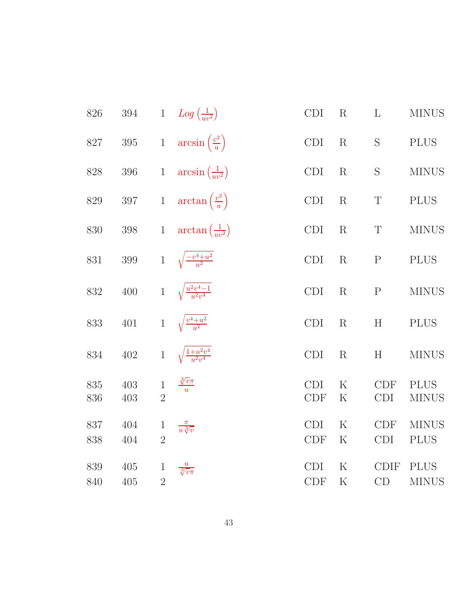| 826        | 394        |                                | 1 $Log\left(\frac{1}{uv^2}\right)$   | CDI                         | R                      | $\mathbf{L}$             | <b>MINUS</b>                |
|------------|------------|--------------------------------|--------------------------------------|-----------------------------|------------------------|--------------------------|-----------------------------|
| $827\,$    | $395\,$    | $\,1$                          | $arcsin\left(\frac{v^2}{u}\right)$   | $\mathop{\rm CDI}\nolimits$ | $\rm R$                | S                        | <b>PLUS</b>                 |
| $828\,$    | $396\,$    | $\mathbf{1}$                   | $\arcsin\left(\frac{1}{uv^2}\right)$ | <b>CDI</b>                  | R                      | S                        | <b>MINUS</b>                |
| $829\,$    | $397\,$    | $\,1$                          | $\arctan\left(\frac{v^2}{u}\right)$  | CDI                         | R                      | $\mathbf T$              | <b>PLUS</b>                 |
| 830        | 398        | $\mathbf{1}$                   | $\arctan\left(\frac{1}{uv^2}\right)$ | <b>CDI</b>                  | $\rm R$                | T                        | <b>MINUS</b>                |
| 831        | $399\,$    | $\mathbf{1}$                   | $\sqrt{\frac{-v^4+u^2}{u^2}}$        | CDI                         | R                      | $\mathbf P$              | <b>PLUS</b>                 |
| 832        | 400        | $\mathbf{1}$                   | $\sqrt{\frac{u^2v^4-1}{u^2v^4}}$     | <b>CDI</b>                  | $\rm R$                | $\mathbf{P}$             | <b>MINUS</b>                |
| 833        | 401        | $1\,$                          | $\sqrt{\frac{v^4+u^2}{u^2}}$         | CDI                         | R                      | H                        | <b>PLUS</b>                 |
| 834        | $402\,$    | $\,1$                          | $\sqrt{\frac{1+u^2v^4}{u^2v^4}}$     | <b>CDI</b>                  | R                      | H                        | <b>MINUS</b>                |
| 835<br>836 | 403<br>403 | $\,1$<br>$\overline{2}$        | $\frac{\sqrt[3]{v}\pi}{u}$           | <b>CDI</b><br><b>CDF</b>    | $\mathbf K$<br>$\rm K$ | <b>CDF</b><br><b>CDI</b> | <b>PLUS</b><br><b>MINUS</b> |
| 837<br>838 | 404<br>404 | $\mathbf{1}$<br>$\overline{2}$ | $\frac{\pi}{u \sqrt[3]{v}}$          | <b>CDI</b><br><b>CDF</b>    | $\rm K$<br>$\rm K$     | <b>CDF</b><br><b>CDI</b> | <b>MINUS</b><br><b>PLUS</b> |
| 839<br>840 | 405<br>405 | $\mathbf{1}$<br>$\overline{2}$ | $\frac{u}{\sqrt[3]{v\pi}}$           | <b>CDI</b><br><b>CDF</b>    | $\rm K$<br>$\rm K$     | <b>CDIF</b><br>CD        | <b>PLUS</b><br><b>MINUS</b> |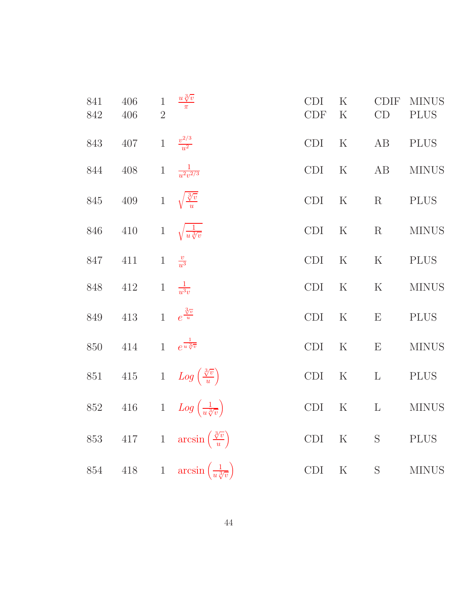| 841<br>842 | 406<br>406 | $\mathbf{1}$<br>$\overline{2}$ | $\frac{u\sqrt[3]{v}}{\pi}$                         | <b>CDI</b><br><b>CDF</b> | $\rm K$<br>$\rm K$ | <b>CDIF</b><br>CD | <b>MINUS</b><br><b>PLUS</b> |
|------------|------------|--------------------------------|----------------------------------------------------|--------------------------|--------------------|-------------------|-----------------------------|
| 843        | $407\,$    | $\mathbf{1}$                   | $\frac{v^{2/3}}{u^2}$                              | <b>CDI</b>               | $\rm K$            | AB                | <b>PLUS</b>                 |
| 844        | 408        | $\mathbf{1}$                   | $\frac{1}{u^2v^{2/3}}$                             | CDI                      | $\rm K$            | AB                | <b>MINUS</b>                |
| 845        | $409\,$    |                                | 1 $\sqrt{\frac{3}{u}}$                             | CDI                      | $\rm K$            | $\rm R$           | <b>PLUS</b>                 |
| 846        | 410        | $\mathbf{1}$                   | $\sqrt{\frac{1}{u \sqrt[3]{v}}}$                   | <b>CDI</b>               | $\rm K$            | $\mathbf R$       | <b>MINUS</b>                |
| 847        | 411        | $\mathbf{1}$                   | $\frac{v}{u^3}$                                    | <b>CDI</b>               | $\rm K$            | $\rm K$           | <b>PLUS</b>                 |
| 848        | $412\,$    | $\mathbf{1}$                   | $\frac{1}{u^3v}$                                   | <b>CDI</b>               | ${\bf K}$          | ${\bf K}$         | <b>MINUS</b>                |
| 849        | $413\,$    | $\mathbf{1}$                   | $e^{\frac{3}{w}}$                                  | CDI                      | $\rm K$            | E                 | <b>PLUS</b>                 |
| 850        | $414\,$    | $\mathbf{1}$                   | $e^{\frac{1}{u\sqrt[3]{v}}}$                       | CDI                      | $\rm K$            | E                 | <b>MINUS</b>                |
| $851\,$    | $415\,$    |                                | 1 $Log\left(\frac{\sqrt[3]{v}}{u}\right)$          | <b>CDI</b>               | $\rm K$            | $\mathbf{L}$      | <b>PLUS</b>                 |
| 852        | $416\,$    |                                | 1 $Log\left(\frac{1}{u\sqrt[3]{v}}\right)$         | CDI                      | $\rm K$            | $\mathbf{L}$      | <b>MINUS</b>                |
| 853        | 417        |                                | 1 $\arcsin\left(\frac{\sqrt[3]{v}}{u}\right)$      | CDI                      | ${\bf K}$          | $\mathbf S$       | <b>PLUS</b>                 |
| $854\,$    |            |                                | 418 1 $\arcsin\left(\frac{1}{u\sqrt[3]{v}}\right)$ | CDI                      | $\rm K$            | $\mathbf S$       | <b>MINUS</b>                |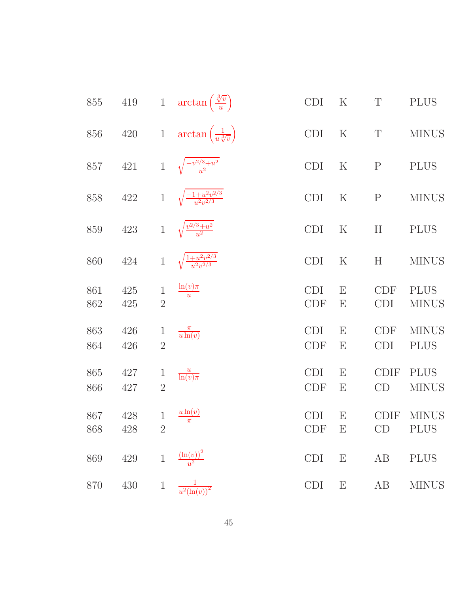| 855        | $419\,$    |                                | 1 $\arctan\left(\frac{\sqrt[3]{v}}{u}\right)$  | CDI                      | $\rm K$                        | $\mathbf T$              | <b>PLUS</b>                 |
|------------|------------|--------------------------------|------------------------------------------------|--------------------------|--------------------------------|--------------------------|-----------------------------|
| 856        | $420\,$    |                                | 1 $\arctan\left(\frac{1}{u\sqrt[3]{v}}\right)$ | CDI                      | ${\bf K}$                      | $\mathbf T$              | <b>MINUS</b>                |
| 857        | 421        |                                | 1 $\sqrt{\frac{-v^{2/3}+u^2}{u^2}}$            | <b>CDI</b>               | $\rm K$                        | ${\bf P}$                | <b>PLUS</b>                 |
| 858        | 422        | $1\,$                          | $\sqrt{\frac{-1+u^2v^{2/3}}{u^2v^{2/3}}}$      | <b>CDI</b>               | $\rm K$                        | ${\bf P}$                | <b>MINUS</b>                |
| 859        | 423        |                                | 1 $\sqrt{\frac{v^{2/3}+u^2}{u^2}}$             | <b>CDI</b>               | $\rm K$                        | H                        | <b>PLUS</b>                 |
| 860        | 424        | $\mathbf{1}$                   | $\sqrt{\frac{1+u^2v^{2/3}}{u^2v^{2/3}}}$       | <b>CDI</b>               | $\rm K$                        | H                        | <b>MINUS</b>                |
| 861<br>862 | 425<br>425 | $\mathbf{1}$<br>$\overline{2}$ | $\frac{\ln(v)\pi}{u}$                          | <b>CDI</b><br><b>CDF</b> | E<br>E                         | <b>CDF</b><br><b>CDI</b> | <b>PLUS</b><br><b>MINUS</b> |
| 863<br>864 | 426<br>426 | $\mathbf{1}$<br>$\overline{2}$ | $\frac{\pi}{u \ln(v)}$                         | <b>CDI</b><br><b>CDF</b> | E<br>$\boldsymbol{\mathrm{E}}$ | <b>CDF</b><br><b>CDI</b> | <b>MINUS</b><br><b>PLUS</b> |
| 865<br>866 | 427<br>427 | $\mathbf{1}$<br>$\overline{2}$ | $\frac{u}{\ln(v)\pi}$                          | <b>CDI</b><br><b>CDF</b> | $\boldsymbol{\mathrm{E}}$<br>Ε | <b>CDIF</b><br>CD        | <b>PLUS</b><br><b>MINUS</b> |
| 867<br>868 | 428<br>428 | $\mathbf{1}$<br>$\overline{2}$ | $\frac{u \ln(v)}{\pi}$                         | <b>CDI</b><br><b>CDF</b> | E<br>E                         | <b>CDIF</b><br>CD        | <b>MINUS</b><br><b>PLUS</b> |
| 869        | $429\,$    | $\,1\,$                        | $\frac{\left(\ln(v)\right)^2}{u^2}$            | <b>CDI</b>               | $\boldsymbol{\mathrm{E}}$      | AB                       | <b>PLUS</b>                 |
| 870        | 430        | $\mathbf{1}$                   | $\frac{1}{u^2(\ln(v))^2}$                      | <b>CDI</b>               | $\boldsymbol{\mathrm{E}}$      | AB                       | <b>MINUS</b>                |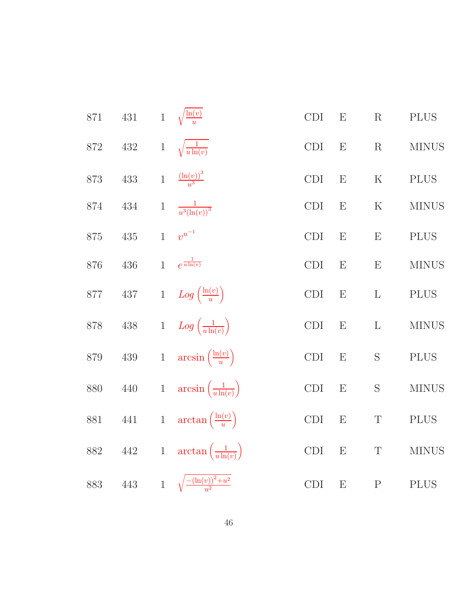| 871     | $431\,$      |                | 1 $\sqrt{\frac{\ln(v)}{v}}$               | CDI                  | E         | R            | <b>PLUS</b>  |
|---------|--------------|----------------|-------------------------------------------|----------------------|-----------|--------------|--------------|
| 872     | $432\,$      | $\mathbf 1$    | $\sqrt{\frac{1}{u \ln(v)}}$               | $\operatorname{CDI}$ | ${\bf E}$ | $\mathbf R$  | <b>MINUS</b> |
| 873     | 433          | $\mathbf{1}$   | $\frac{(\ln(v))^3}{v^3}$                  | CDI                  | ${\rm E}$ | $\rm K$      | <b>PLUS</b>  |
| 874     | 434          | $\mathbf 1$    | $\frac{1}{u^3(\ln(v))^3}$                 | <b>CDI</b>           | E         | $\rm K$      | <b>MINUS</b> |
| 875     | $435\,$      | $\overline{1}$ | $v^{u^{-1}}$                              | CDI                  | ${\bf E}$ | E            | <b>PLUS</b>  |
| 876     | $436\,$      | $\mathbf{1}$   | $e^{\frac{1}{u\ln(v)}}$                   | CDI                  | ${\rm E}$ | ${\bf E}$    | <b>MINUS</b> |
| $877\,$ | $437\,$      |                | 1 $Log\left(\frac{\ln(v)}{u}\right)$      | CDI                  | E         | $\mathbf{L}$ | <b>PLUS</b>  |
| $878\,$ | $438\,$      |                | 1 $Log\left(\frac{1}{u \ln(v)}\right)$    | CDI                  | E         | L            | <b>MINUS</b> |
| $879\,$ | $439\,$      |                | 1 $\arcsin\left(\frac{\ln(v)}{u}\right)$  | CDI                  | E         | $\mathbf S$  | <b>PLUS</b>  |
| 880     | $440\,$      |                | 1 $\arcsin\left(\frac{1}{u\ln(v)}\right)$ | CDI                  | E         | $\mathbf S$  | <b>MINUS</b> |
| 881     | $441\,$      | $\mathbf{1}$   | $\arctan\left(\frac{\ln(v)}{u}\right)$    | $\operatorname{CDI}$ | E         | $\mathbf T$  | <b>PLUS</b>  |
| 882     | $\sqrt{442}$ | $1\,$          | $\arctan\left(\frac{1}{u\ln(v)}\right)$   | CDI                  | E         | $\mathbf T$  | <b>MINUS</b> |
| 883     | $\,443$      |                | 1 $\sqrt{\frac{-(\ln(v))^2+u^2}{u^2}}$    | <b>CDI</b>           | E         | $\mathbf P$  | <b>PLUS</b>  |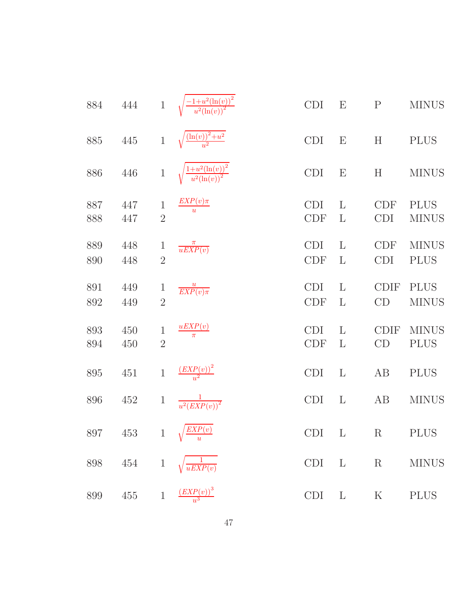| 884        | 444        | $\mathbf{1}$                   | $\frac{-1+u^2(\ln(v))^2}{u^2(\ln(v))^2}$ | <b>CDI</b>               | $\boldsymbol{\mathrm{E}}$    | $\mathbf P$              | <b>MINUS</b>                |
|------------|------------|--------------------------------|------------------------------------------|--------------------------|------------------------------|--------------------------|-----------------------------|
| 885        | 445        | $\mathbf{1}$                   | $\frac{(\ln(v))^{2}+u^{2}}{u^{2}}$       | <b>CDI</b>               | E                            | H                        | <b>PLUS</b>                 |
| 886        | 446        | $\,1$                          | $\frac{1+u^2(\ln(v))^2}{u^2(\ln(v))^2}$  | <b>CDI</b>               | E                            | $H_{\rm}$                | <b>MINUS</b>                |
| 887<br>888 | 447<br>447 | $\mathbf 1$<br>$\overline{2}$  | $\frac{EXP(v)\pi}{u}$                    | <b>CDI</b><br><b>CDF</b> | $\mathbf{L}$<br>$\mathbf{L}$ | <b>CDF</b><br><b>CDI</b> | <b>PLUS</b><br><b>MINUS</b> |
| 889<br>890 | 448<br>448 | $\mathbf{1}$<br>$\overline{2}$ | $\frac{\pi}{uEXP(v)}$                    | <b>CDI</b><br><b>CDF</b> | $\mathbf{L}$<br>L            | <b>CDF</b><br><b>CDI</b> | <b>MINUS</b><br><b>PLUS</b> |
| 891<br>892 | 449<br>449 | $\mathbf 1$<br>$\overline{2}$  | $\frac{u}{EXP(v)\pi}$                    | <b>CDI</b><br><b>CDF</b> | $\mathbf{L}$<br>$\mathbf{L}$ | <b>CDIF</b><br>CD        | <b>PLUS</b><br><b>MINUS</b> |
| 893<br>894 | 450<br>450 | $\mathbf 1$<br>$\overline{2}$  | $\frac{uEXP(v)}{\pi}$                    | <b>CDI</b><br><b>CDF</b> | L<br>$\mathbf{L}$            | <b>CDIF</b><br>CD        | <b>MINUS</b><br><b>PLUS</b> |
| 895        | 451        | $\mathbf{1}$                   | $\frac{(EXP(v))^2}{u^2}$                 | <b>CDI</b>               | $\mathbf{L}$                 | AB                       | <b>PLUS</b>                 |
| 896        | 452        | $\mathbf 1$                    | $\frac{1}{u^2\left( EXP(v)\right)^2}$    | <b>CDI</b>               | $\mathbf{L}$                 | AB                       | <b>MINUS</b>                |
|            |            |                                | 897 453 1 $\sqrt{\frac{EXP(v)}{u}}$      |                          |                              |                          | CDI L R PLUS                |
|            |            |                                | 898 454 1 $\sqrt{\frac{1}{uEXP(v)}}$     | CDI                      | $L \t R$                     |                          | <b>MINUS</b>                |
| 899        |            |                                | 455 $1 \frac{(EXP(v))^3}{u^3}$           | <b>CDI</b>               | $\mathbf{L}$                 | $\rm K$                  | <b>PLUS</b>                 |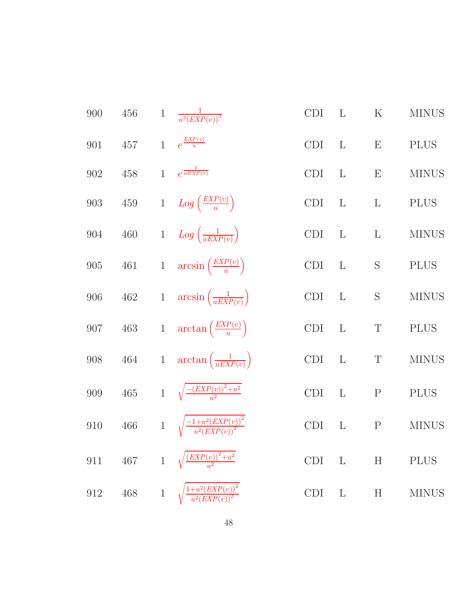| 456     | $\mathbf{1}$ |                         | <b>CDI</b>                                                                                                                                                                                                                                                                                                                                                                                                                                                                                                                             | $\mathbf{L}$ | ${\bf K}$                                                                         | <b>MINUS</b> |
|---------|--------------|-------------------------|----------------------------------------------------------------------------------------------------------------------------------------------------------------------------------------------------------------------------------------------------------------------------------------------------------------------------------------------------------------------------------------------------------------------------------------------------------------------------------------------------------------------------------------|--------------|-----------------------------------------------------------------------------------|--------------|
| 457     |              |                         | <b>CDI</b>                                                                                                                                                                                                                                                                                                                                                                                                                                                                                                                             | $\mathbf{L}$ | E                                                                                 | <b>PLUS</b>  |
| 458     | $\mathbf{1}$ | $e^{\frac{1}{uEXP(v)}}$ | <b>CDI</b>                                                                                                                                                                                                                                                                                                                                                                                                                                                                                                                             | $\mathbf{L}$ | E                                                                                 | <b>MINUS</b> |
| $459\,$ |              |                         | CDI                                                                                                                                                                                                                                                                                                                                                                                                                                                                                                                                    |              | $\mathbf L$                                                                       | $\rm PLUS$   |
| $460\,$ |              |                         | <b>CDI</b>                                                                                                                                                                                                                                                                                                                                                                                                                                                                                                                             |              | $\mathbf L$                                                                       | <b>MINUS</b> |
|         |              |                         | CDI                                                                                                                                                                                                                                                                                                                                                                                                                                                                                                                                    |              | $\mathbf S$                                                                       | <b>PLUS</b>  |
| $462\,$ |              |                         | <b>CDI</b>                                                                                                                                                                                                                                                                                                                                                                                                                                                                                                                             |              | ${\mathcal S}$                                                                    | <b>MINUS</b> |
|         |              |                         | <b>CDI</b>                                                                                                                                                                                                                                                                                                                                                                                                                                                                                                                             |              | $\mathbf T$                                                                       | <b>PLUS</b>  |
| $464\,$ |              |                         | <b>CDI</b>                                                                                                                                                                                                                                                                                                                                                                                                                                                                                                                             | $\mathbf{L}$ | $\mathbf T$                                                                       | <b>MINUS</b> |
|         |              |                         | <b>CDI</b>                                                                                                                                                                                                                                                                                                                                                                                                                                                                                                                             | $\mathbf{L}$ | ${\bf P}$                                                                         | <b>PLUS</b>  |
| $466\,$ |              |                         | <b>CDI</b>                                                                                                                                                                                                                                                                                                                                                                                                                                                                                                                             | $\mathbf{L}$ | ${\bf P}$                                                                         | <b>MINUS</b> |
|         |              |                         | <b>CDI</b>                                                                                                                                                                                                                                                                                                                                                                                                                                                                                                                             |              | H                                                                                 | <b>PLUS</b>  |
| $468\,$ |              |                         | <b>CDI</b>                                                                                                                                                                                                                                                                                                                                                                                                                                                                                                                             | $\mathbf{L}$ | $\boldsymbol{\mathrm{H}}$                                                         | <b>MINUS</b> |
|         |              | 467                     | $\frac{1}{u^3(EXP(v))^3}$<br>1 $e^{\frac{EXP(v)}{u}}$<br>1 $Log\left(\frac{EXP(v)}{u}\right)$<br>1 $Log\left(\frac{1}{uEXP(v)}\right)$<br>461 1 $\arcsin\left(\frac{EXP(v)}{u}\right)$<br>1 $\arcsin\left(\frac{1}{uEXP(v)}\right)$<br>463 1 $\arctan\left(\frac{EXP(v)}{u}\right)$<br>1 $\arctan\left(\frac{1}{uEXP(v)}\right)$<br>465 1 $\sqrt{\frac{-(EXP(v))^{2}+u^{2}}{u^{2}}}$<br>1 $\sqrt{\frac{-1+u^2(EXP(v))^2}{u^2(EXP(v))^2}}$<br>1 $\sqrt{\frac{(EXP(v))^2+u^2}{u^2}}$<br>1 $\sqrt{\frac{1+u^2(EXP(v))^2}{u^2(EXP(v))^2}}$ |              | L<br>$\mathbf{L}$<br>$\mathbf{L}$<br>$\mathbf{L}$<br>$\mathbf{L}$<br>$\mathbf{L}$ |              |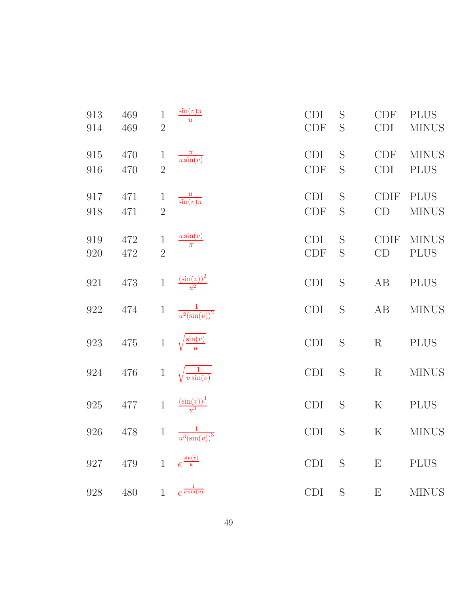| 913<br>914 | 469<br>469 | $\mathbf 1$<br>$\overline{2}$  | $\sin(v)\pi$<br>$\overline{u}$       | <b>CDI</b><br><b>CDF</b> | S<br>S | <b>CDF</b><br><b>CDI</b>  | <b>PLUS</b><br><b>MINUS</b> |
|------------|------------|--------------------------------|--------------------------------------|--------------------------|--------|---------------------------|-----------------------------|
| 915<br>916 | 470<br>470 | $\mathbf{1}$<br>$\overline{2}$ | $\frac{\pi}{u \sin(v)}$              | <b>CDI</b><br><b>CDF</b> | S<br>S | <b>CDF</b><br><b>CDI</b>  | <b>MINUS</b><br><b>PLUS</b> |
| 917<br>918 | 471<br>471 | $\mathbf{1}$<br>$\overline{2}$ | $\frac{u}{\sin(v)\pi}$               | <b>CDI</b><br><b>CDF</b> | S<br>S | <b>CDIF</b><br>CD         | <b>PLUS</b><br><b>MINUS</b> |
| 919<br>920 | 472<br>472 | $\mathbf 1$<br>$\overline{2}$  | $\frac{u\sin(v)}{\pi}$               | <b>CDI</b><br><b>CDF</b> | S<br>S | <b>CDIF</b><br>CD         | <b>MINUS</b><br><b>PLUS</b> |
| 921        | 473        | $\mathbf{1}$                   | $\frac{\left(\sin(v)\right)^2}{u^2}$ | <b>CDI</b>               | S      | AB                        | <b>PLUS</b>                 |
| $922\,$    | 474        | $\mathbf 1$                    | $\frac{1}{u^2(\sin(v))^2}$           | <b>CDI</b>               | S      | AB                        | <b>MINUS</b>                |
| 923        | $475\,$    | $\,1\,$                        | $\sqrt{\frac{\sin(v)}{u}}$           | <b>CDI</b>               | S      | $\rm R$                   | <b>PLUS</b>                 |
| $924\,$    | 476        | $\,1$                          | $\frac{1}{u \sin(v)}$                | <b>CDI</b>               | S      | $\mathbf R$               | <b>MINUS</b>                |
| 925        | $477\,$    | $\,1\,$                        | $\frac{\left(\sin(v)\right)^3}{u^3}$ | CDI                      | S      | ${\bf K}$                 | <b>PLUS</b>                 |
| 926        | 478        | $\mathbf{1}$                   | $\frac{1}{u^3(\sin(v))^3}$           | <b>CDI</b>               | S      | $\mathbf K$               | <b>MINUS</b>                |
| 927        | 479        | $\mathbf{1}$                   | $e^{\frac{\sin(v)}{u}}$              | <b>CDI</b>               | S      | $\boldsymbol{\mathrm{E}}$ | <b>PLUS</b>                 |
| 928        | 480        | $\mathbf{1}$                   | $e^{\frac{1}{u\sin(v)}}$             | <b>CDI</b>               | S      | E                         | <b>MINUS</b>                |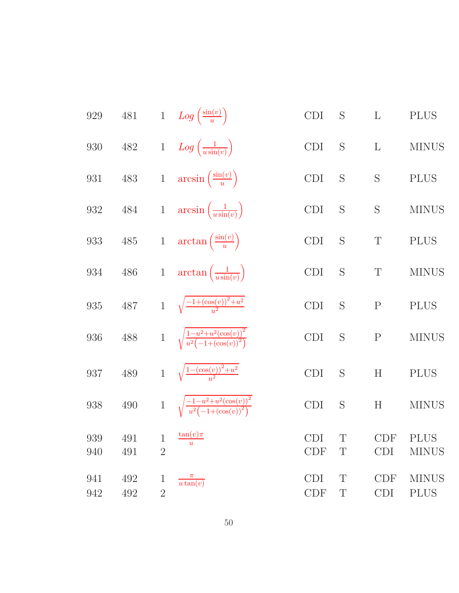929 481 1 
$$
Log\left(\frac{\sin(v)}{u}\right)
$$
 CDI S L PLUS  
\n930 482 1  $Log\left(\frac{1}{u \sin(v)}\right)$  CDI S L MINUS  
\n931 483 1  $arcsin\left(\frac{\sin(v)}{u}\right)$  CDI S S PL MINUS  
\n932 484 1  $arcsin\left(\frac{1}{u \sin(v)}\right)$  CDI S S PLUS  
\n933 485 1  $arctan\left(\frac{1}{u \sin(v)}\right)$  CDI S T PLUS  
\n934 486 1  $arctan\left(\frac{1}{u \sin(v)}\right)$  CDI S T PLUS  
\n935 487 1  $\sqrt{\frac{-1 + (\cos(v))^2 + u^2}{u^2}}$  CDI S P PLUS  
\n936 488 1  $\sqrt{\frac{1 - u^2 + u^2(\cos(v))^2}{u^2(-1 + (\cos(v))^2)}}$  CDI S P MINUS  
\n937 489 1  $\sqrt{\frac{1 - (\cos(v))^2 + u^2}{u^2}}$  CDI S H PLUS  
\n938 490 1  $\sqrt{\frac{-1 - u^2 + u^2(\cos(v))^2}{u^2(-1 + (\cos(v))^2)}}$  CDI S H MINUS  
\n939 491 1  $\frac{\tan(v)\pi}{u}$  CDI T CDF PLUS  
\n940 491 2 CDF T CDI MINUS  
\n942 492 1  $\frac{\pi}{u \tan(v)}$  CDI T CDF MINUS  
\n942 492 2 CDF T CDI PLUS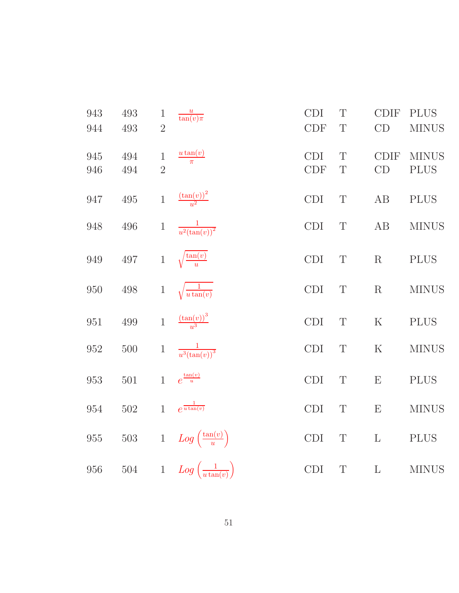| 943<br>944 | 493<br>493 | $\mathbf 1$<br>$\overline{2}$ | $\frac{u}{\tan(v)\pi}$                | <b>CDI</b><br><b>CDF</b> | T<br>$\mathbf T$ | <b>CDIF</b><br>CD         | <b>PLUS</b><br><b>MINUS</b> |
|------------|------------|-------------------------------|---------------------------------------|--------------------------|------------------|---------------------------|-----------------------------|
| 945<br>946 | 494<br>494 | $\mathbf 1$<br>$\overline{2}$ | $u \tan(v)$<br>$\overline{\pi}$       | <b>CDI</b><br><b>CDF</b> | T<br>$\mathbf T$ | <b>CDIF</b><br>CD         | <b>MINUS</b><br><b>PLUS</b> |
| 947        | $\!495\!$  | $\mathbf{1}$                  | $\frac{(\tan(v))^2}{u^2}$             | <b>CDI</b>               | $\mathbf T$      | AB                        | <b>PLUS</b>                 |
| 948        | 496        | $\,1$                         | $\frac{1}{u^2(\tan(v))^2}$            | CDI                      | $\mathbf T$      | AB                        | <b>MINUS</b>                |
| 949        | $497\,$    | $\,1$                         | $\sqrt{\frac{\tan(v)}{u}}$            | <b>CDI</b>               | $\mathbf T$      | R                         | <b>PLUS</b>                 |
| 950        | 498        | $\,1$                         | $\sqrt{\frac{1}{u\tan(v)}}$           | <b>CDI</b>               | $\mathbf T$      | $\mathbf R$               | <b>MINUS</b>                |
| $951\,$    | $\rm 499$  | $\mathbf{1}$                  | $\frac{\left(\tan(v)\right)^3}{u^3}$  | CDI                      | T                | ${\bf K}$                 | <b>PLUS</b>                 |
| 952        | $500\,$    | $\mathbf{1}$                  | $\frac{1}{u^3(\tan(v))^3}$            | <b>CDI</b>               | $\mathbf T$      | $\mathbf K$               | <b>MINUS</b>                |
| 953        | 501        | $\mathbf{1}$                  | $e^{\frac{\tan(v)}{u}}$               | CDI                      | T                | $\boldsymbol{\mathrm{E}}$ | <b>PLUS</b>                 |
| 954        | $502\,$    | $\mathbf{1}$                  | $e^{\frac{1}{u\tan(v)}}$              | <b>CDI</b>               | T                | E                         | <b>MINUS</b>                |
| 955        | $503\,$    | $1\,$                         | $Log\left(\frac{\tan(v)}{u}\right)$   | <b>CDI</b>               | $\mathbf T$      | $\Gamma$                  | <b>PLUS</b>                 |
| $956\,$    | $504\,$    | $1\,$                         | $Log\left(\frac{1}{u \tan(v)}\right)$ | CDI                      | $\mathbf T$      | L                         | <b>MINUS</b>                |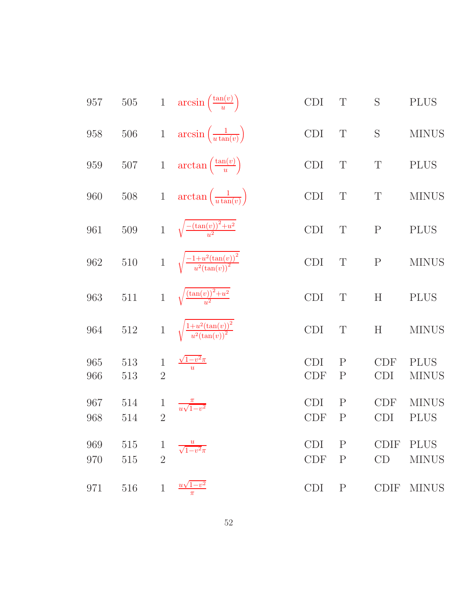| 957        | $505\,$    |                                | 1 $\arcsin\left(\frac{\tan(v)}{u}\right)$           | <b>CDI</b>               | T                            | S                         | <b>PLUS</b>                 |
|------------|------------|--------------------------------|-----------------------------------------------------|--------------------------|------------------------------|---------------------------|-----------------------------|
| 958        | $506\,$    |                                | 1 $\arcsin\left(\frac{1}{u\tan(v)}\right)$          | <b>CDI</b>               | $\mathbf T$                  | S                         | <b>MINUS</b>                |
| 959        | $507\,$    |                                | 1 $\arctan\left(\frac{\tan(v)}{u}\right)$           | <b>CDI</b>               | $\mathbf T$                  | $\mathbf T$               | <b>PLUS</b>                 |
| 960        | $508\,$    | $\,1$                          | $\arctan\left(\frac{1}{u\tan(v)}\right)$            | <b>CDI</b>               | $\mathbf T$                  | $\mathbf T$               | <b>MINUS</b>                |
| 961        | $509\,$    |                                | 1 $\sqrt{\frac{-(\tan(v))^2+u^2}{u^2}}$             | <b>CDI</b>               | $\mathbf T$                  | ${\bf P}$                 | <b>PLUS</b>                 |
| 962        | $510\,$    |                                | 1 $\sqrt{\frac{-1+u^2(\tan(v))^2}{u^2(\tan(v))^2}}$ | <b>CDI</b>               | T                            | ${\bf P}$                 | <b>MINUS</b>                |
| 963        | $511\,$    | $\mathbf{1}$                   | $\sqrt{\frac{\left(\tan(v)\right)^2+u^2}{u^2}}$     | <b>CDI</b>               | T                            | $\boldsymbol{\mathrm{H}}$ | <b>PLUS</b>                 |
| 964        | $512\,$    | $\mathbf{1}$                   | $\sqrt{\frac{1+u^2(\tan(v))^2}{u^2(\tan(v))^2}}$    | <b>CDI</b>               | $\mathbf T$                  | H                         | <b>MINUS</b>                |
| 965<br>966 | 513<br>513 | $\mathbf{1}$<br>$\overline{2}$ | $\frac{\sqrt{1-v^2}\pi}{u}$                         | <b>CDI</b><br><b>CDF</b> | $\mathbf P$<br>$\mathbf P$   | <b>CDF</b><br><b>CDI</b>  | <b>PLUS</b><br><b>MINUS</b> |
| 967<br>968 | 514<br>514 | $\mathbf 1$<br>$\overline{2}$  | $\frac{1}{u\sqrt{1-v^2}}$                           | <b>CDI</b><br><b>CDF</b> | $\mathbf{P}$<br>$\mathbf{P}$ | <b>CDF</b><br><b>CDI</b>  | <b>MINUS</b><br><b>PLUS</b> |
| 969<br>970 | 515<br>515 | $\mathbf{1}$<br>$\overline{2}$ | $\sqrt{1-v^2}\pi$                                   | <b>CDI</b><br><b>CDF</b> | $\mathbf P$<br>$\mathbf P$   | <b>CDIF</b><br>CD         | <b>PLUS</b><br><b>MINUS</b> |
| 971        | 516        | $\mathbf{1}$                   | $u\sqrt{1-v^2}$<br>$\pi$                            | <b>CDI</b>               | $\rm P$                      | <b>CDIF</b>               | <b>MINUS</b>                |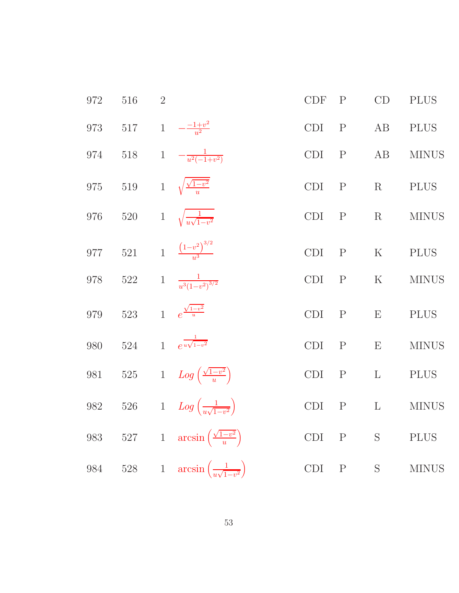| 972 | 516     | $\overline{2}$ |                                              | CDF                  | $\mathbf P$  | CD           | <b>PLUS</b>  |
|-----|---------|----------------|----------------------------------------------|----------------------|--------------|--------------|--------------|
| 973 | $517\,$ | $1\,$          | $-\frac{-1+v^2}{u^2}$                        | <b>CDI</b>           | $\mathbf P$  | AB           | <b>PLUS</b>  |
| 974 | 518     | $\mathbf{1}$   | $-\frac{1}{u^2(-1+v^2)}$                     | CDI                  | $\mathbf P$  | $\rm AB$     | <b>MINUS</b> |
| 975 | $519\,$ | $\mathbf{1}$   | $\sqrt{\frac{\sqrt{1-v^2}}{y}}$              | CDI                  | $\mathbf P$  | R            | <b>PLUS</b>  |
| 976 | $520\,$ | $\mathbf{1}$   | $\sqrt{\frac{1}{u\sqrt{1-v^2}}}$             | CDI                  | $\mathbf{P}$ | R            | <b>MINUS</b> |
| 977 | 521     |                | 1 $\frac{(1-v^2)^{3/2}}{v^3}$                | <b>CDI</b>           | $\mathbf P$  | ${\bf K}$    | <b>PLUS</b>  |
| 978 | 522     | $\mathbf{1}$   | $\frac{1}{u^3(1-v^2)^{3/2}}$                 | CDI                  | $\mathbf P$  | ${\bf K}$    | <b>MINUS</b> |
| 979 | $523\,$ | $\overline{1}$ | $e^{\frac{\sqrt{1-v^2}}{u}}$                 | <b>CDI</b>           | $\mathbf{P}$ | E            | <b>PLUS</b>  |
| 980 | $524\,$ | $\mathbf{1}$   | $e^{\frac{1}{u\sqrt{1-v^2}}}$                | <b>CDI</b>           | $\mathbf P$  | E            | <b>MINUS</b> |
| 981 | 525     |                | 1 $Log\left(\frac{\sqrt{1-v^2}}{u}\right)$   | CDI                  | $\mathbf P$  | $\mathbf{L}$ | <b>PLUS</b>  |
| 982 | $526\,$ |                | 1 $Log\left(\frac{1}{u\sqrt{1-v^2}}\right)$  | $\operatorname{CDI}$ | ${\bf P}$    | $\mathbf{L}$ | <b>MINUS</b> |
| 983 | $527\,$ | $\,1$          | $arcsin\left(\frac{\sqrt{1-v^2}}{u}\right)$  | CDI                  | $\mathbf P$  | $\mathbf S$  | <b>PLUS</b>  |
| 984 | 528     | $\mathbf{1}$   | $arcsin\left(\frac{1}{u\sqrt{1-v^2}}\right)$ | <b>CDI</b>           | $\mathbf P$  | S            | <b>MINUS</b> |
|     |         |                |                                              |                      |              |              |              |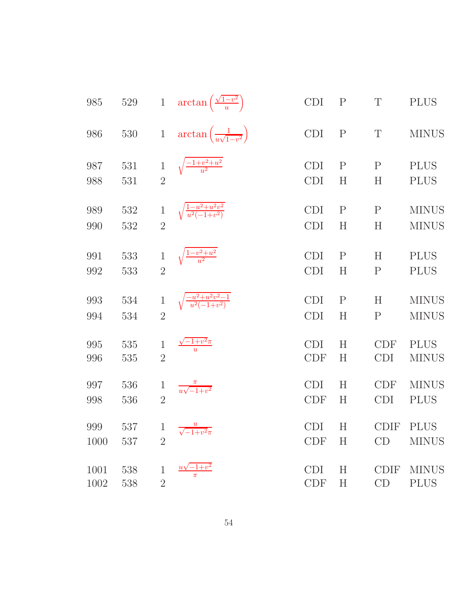| 985        | $529\,$    | $\mathbf{1}$   | $\arctan\left(\frac{\sqrt{1-v^2}}{u}\right)$  | CDI                      | $\rm P$           | $\mathbf T$              | <b>PLUS</b>                  |
|------------|------------|----------------|-----------------------------------------------|--------------------------|-------------------|--------------------------|------------------------------|
| 986        | $530\,$    | $\mathbf{1}$   | $\arctan\left(\frac{1}{u\sqrt{1-v^2}}\right)$ | CDI                      | ${\bf P}$         | T                        | <b>MINUS</b>                 |
| 987        | 531        | $\mathbf{1}$   | $\sqrt{\frac{-1+v^2+u^2}{u^2}}$               | <b>CDI</b>               | $\mathbf P$       | ${\bf P}$                | <b>PLUS</b>                  |
| 988        | 531        | $\overline{2}$ |                                               | <b>CDI</b>               | $H_{\rm}$         | $H_{\rm}$                | <b>PLUS</b>                  |
| 989<br>990 | 532<br>532 | $\overline{2}$ | $\sqrt{\frac{1-u^2+u^2v^2}{u^2(-1+v^2)}}$     | <b>CDI</b><br><b>CDI</b> | $\mathbf P$<br>H  | $\mathbf P$<br>$H_{\rm}$ | <b>MINUS</b><br><b>MINUS</b> |
| 991        | 533        | $\mathbf{1}$   | $\sqrt{\frac{1-v^2+u^2}{u^2}}$                | <b>CDI</b>               | $\mathbf{P}$      | H                        | <b>PLUS</b>                  |
| 992        | 533        | $\overline{2}$ |                                               | <b>CDI</b>               | H                 | $\mathbf P$              | <b>PLUS</b>                  |
| 993<br>994 | 534<br>534 | $\overline{2}$ | $\sqrt{\frac{-u^2+u^2v^2-1}{u^2(-1+v^2)}}$    | <b>CDI</b><br><b>CDI</b> | $\mathbf{P}$<br>H | H<br>$\mathbf P$         | <b>MINUS</b><br><b>MINUS</b> |
| 995        | 535        | $\mathbf{1}$   | $\frac{-1+v^2\pi}{u}$                         | <b>CDI</b>               | H                 | <b>CDF</b>               | <b>PLUS</b>                  |
| 996        | 535        | $\overline{2}$ |                                               | <b>CDF</b>               | H                 | <b>CDI</b>               | <b>MINUS</b>                 |
| 997        | 536        | 1              | $\frac{\pi}{u\sqrt{-1+v^2}}$                  | <b>CDI</b>               | H                 | <b>CDF</b>               | <b>MINUS</b>                 |
| 998        | 536        | $\overline{2}$ |                                               | <b>CDF</b>               | H                 | <b>CDI</b>               | <b>PLUS</b>                  |
| 999        | 537        | $\mathbf{1}$   | $\frac{u}{\sqrt{-1+v^2}\pi}$                  | <b>CDI</b>               | Η                 | <b>CDIF</b>              | <b>PLUS</b>                  |
| 1000       | 537        | $\overline{2}$ |                                               | <b>CDF</b>               | H                 | CD                       | <b>MINUS</b>                 |
| 1001       | 538        | $\mathbf{1}$   | $^{'}-1+v^2$                                  | <b>CDI</b>               | H                 | <b>CDIF</b>              | <b>MINUS</b>                 |
| 1002       | 538        | $\overline{2}$ | $\pi$                                         | CDF                      | $H_{\rm}$         | CD                       | <b>PLUS</b>                  |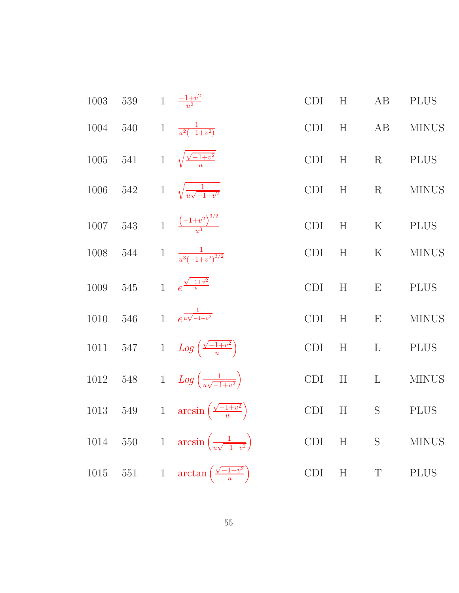| 1003     | 539     | 1 $\frac{-1+v^2}{u^2}$                                   | CDI        | H       | AB           | <b>PLUS</b>  |
|----------|---------|----------------------------------------------------------|------------|---------|--------------|--------------|
| 1004     | $540\,$ | 1 $\frac{1}{u^2(-1+v^2)}$                                | CDI        | H       | AB           | <b>MINUS</b> |
| $1005\,$ | 541     | 1 $\sqrt{\frac{\sqrt{-1+v^2}}{u}}$                       | <b>CDI</b> | H       | $\rm R$      | <b>PLUS</b>  |
| 1006     | 542     | 1 $\sqrt{\frac{1}{u\sqrt{-1+v^2}}}$                      | <b>CDI</b> | H       | $\rm R$      | <b>MINUS</b> |
| 1007     | 543     | 1 $\frac{(-1+v^2)^{3/2}}{u^3}$                           | CDI        | $\rm H$ | ${\bf K}$    | <b>PLUS</b>  |
| $1008\,$ | 544     | 1 $\frac{1}{u^3(-1+v^2)^{3/2}}$                          | <b>CDI</b> | H       | $\mathbf K$  | <b>MINUS</b> |
| 1009     | $545\,$ | 1 $e^{\frac{\sqrt{-1+v^2}}{u}}$                          | CDI        | H       | ${\bf E}$    | PLUS         |
| $1010\,$ | $546\,$ | 1 $e^{\frac{1}{u\sqrt{-1+v^2}}}$                         | CDI        | H       | E            | <b>MINUS</b> |
| $1011\,$ |         | 547 1 $Log\left(\frac{\sqrt{-1+v^2}}{u}\right)$          | CDI        | H       | $\mathbf{L}$ | <b>PLUS</b>  |
| $1012\,$ |         | 548 1 $Log\left(\frac{1}{w\sqrt{-1+v^2}}\right)$         | CDI        | H       | $\mathbf{L}$ | <b>MINUS</b> |
| $1013\,$ |         | 549 1 $\arcsin\left(\frac{\sqrt{-1+v^2}}{u}\right)$      | CDI        | H       | $\mathbf S$  | <b>PLUS</b>  |
| 1014     |         | 550 1 $\arcsin\left(\frac{1}{u\sqrt{-1+v^2}}\right)$     | CDI        | H       | $\mathbf S$  | <b>MINUS</b> |
|          |         | 1015 551 1 $\arctan\left(\frac{\sqrt{-1+v^2}}{u}\right)$ | CDI        | H       | $\mathbf T$  | <b>PLUS</b>  |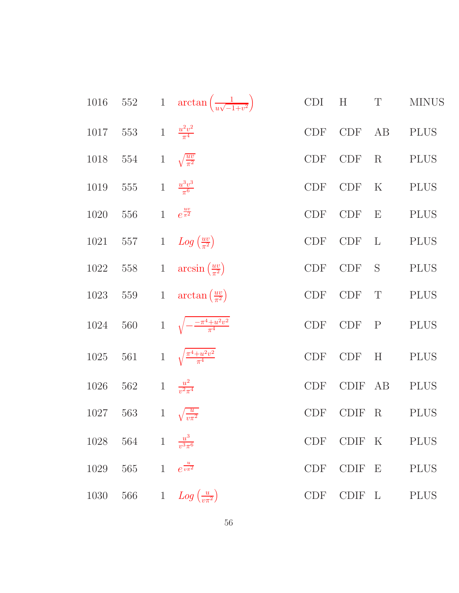| 1016     |         |              | 552 1 $\arctan\left(\frac{1}{u\sqrt{-1+v^2}}\right)$ | <b>CDI</b>                  | H           | $\mathbf T$               | <b>MINUS</b> |
|----------|---------|--------------|------------------------------------------------------|-----------------------------|-------------|---------------------------|--------------|
| 1017     | 553     |              | 1 $\frac{u^2v^2}{\pi^4}$                             | $\ensuremath{\mathrm{CDF}}$ | <b>CDF</b>  | AB                        | <b>PLUS</b>  |
| 1018     | 554     | $\mathbf{1}$ | $\sqrt{\frac{uv}{\pi^2}}$                            | $\ensuremath{\mathrm{CDF}}$ | <b>CDF</b>  | $\rm R$                   | <b>PLUS</b>  |
| 1019     | 555     | $1\,$        | $\frac{u^3v^3}{\pi^6}$                               | <b>CDF</b>                  | <b>CDF</b>  | $\rm K$                   | <b>PLUS</b>  |
| 1020     | 556     | $\mathbf{1}$ | $e^{\frac{uv}{\pi^2}}$                               | <b>CDF</b>                  | <b>CDF</b>  | E                         | <b>PLUS</b>  |
| 1021     | 557     | $\mathbf{1}$ | $Log\left(\frac{uv}{\pi^2}\right)$                   | <b>CDF</b>                  | <b>CDF</b>  | $\mathbf{L}$              | <b>PLUS</b>  |
| 1022     | 558     | $\mathbf{1}$ | $arcsin(\frac{uv}{\pi^2})$                           | CDF                         | <b>CDF</b>  | S                         | <b>PLUS</b>  |
| 1023     | 559     | $\mathbf{1}$ | $\arctan\left(\frac{uv}{\pi^2}\right)$               | <b>CDF</b>                  | <b>CDF</b>  | $\mathbf T$               | <b>PLUS</b>  |
| 1024     | 560     |              | 1 $\sqrt{-\frac{-\pi^4 + u^2 v^2}{\pi^4}}$           | <b>CDF</b>                  | <b>CDF</b>  | $\mathbf P$               | <b>PLUS</b>  |
| $1025\,$ | 561     |              | 1 $\sqrt{\frac{\pi^4 + u^2 v^2}{\pi^4}}$             | $\ensuremath{\mathrm{CDF}}$ | <b>CDF</b>  | H                         | <b>PLUS</b>  |
| 1026     | 562     | $\,1$        | $\frac{u^2}{v^2\pi^4}$                               | <b>CDF</b>                  | CDIF AB     |                           | <b>PLUS</b>  |
| 1027     | 563     | $\,1$        | $\sqrt{\frac{u}{v\pi^2}}$                            | <b>CDF</b>                  | <b>CDIF</b> | $\mathbf R$               | <b>PLUS</b>  |
| 1028     | 564     |              | 1 $\frac{u^3}{v^3 \pi^6}$                            | <b>CDF</b>                  | CDIF K      |                           | <b>PLUS</b>  |
| 1029     | $565\,$ | $\mathbf{1}$ | $e^{\frac{u}{v\pi^2}}$                               | <b>CDF</b>                  | CDIF        | $\boldsymbol{\mathrm{E}}$ | <b>PLUS</b>  |
| 1030     | 566     | $\mathbf{1}$ | $Log\left(\frac{u}{v\pi^2}\right)$                   | CDF                         | CDIF L      |                           | <b>PLUS</b>  |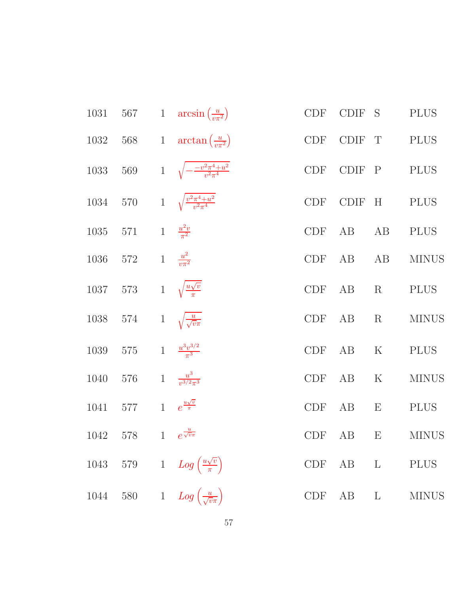|      |                                           | 1031 567 1 $\arcsin(\frac{u}{n\pi^2})$                  | <b>CDF</b> | CDIF S         |             | <b>PLUS</b>    |
|------|-------------------------------------------|---------------------------------------------------------|------------|----------------|-------------|----------------|
| 1032 |                                           | 568 1 $\arctan\left(\frac{u}{v\pi^2}\right)$            | <b>CDF</b> | CDIF T         |             | PLUS           |
|      |                                           | 1033 569 1 $\sqrt{-\frac{-v^2 \pi^4 + u^2}{v^2 \pi^4}}$ |            | CDF CDIF P     |             | <b>PLUS</b>    |
| 1034 |                                           | 570 1 $\sqrt{\frac{v^2 \pi^4 + u^2}{v^2 \pi^4}}$        | <b>CDF</b> | CDIF H         |             | <b>PLUS</b>    |
|      |                                           | 1035 571 1 $\frac{u^2v}{\pi^2}$                         | CDF AB     |                | AB          | <b>PLUS</b>    |
|      | 1036 572 1 $\frac{u^2}{v \pi^2}$          |                                                         |            | CDF AB AB      |             | <b>MINUS</b>   |
|      | 1037 573 1 $\sqrt{\frac{u\sqrt{v}}{\pi}}$ |                                                         | CDF AB     |                | $\rm R$     | <b>PLUS</b>    |
|      | 1038 574 1 $\sqrt{\frac{u}{\sqrt{v}\pi}}$ |                                                         | CDF        | AB             | $\mathbf R$ | <b>MINUS</b>   |
|      | 1039 575 1 $\frac{u^3v^{3/2}}{\pi^3}$     |                                                         |            | $CDF$ $AB$ $K$ |             | <b>PLUS</b>    |
| 1040 | 576 1 $\frac{u^3}{v^{3/2}\pi^3}$          |                                                         | CDF AB     |                | $\rm K$     | <b>MINUS</b>   |
| 1041 | 577 1 $e^{\frac{u\sqrt{v}}{\pi}}$         |                                                         | CDF        | AB             | E           | <b>PLUS</b>    |
|      | 1042 578 1 $e^{\frac{u}{\sqrt{v}\pi}}$    |                                                         |            |                |             | CDF AB E MINUS |
|      |                                           | 1043 579 1 $Log\left(\frac{u\sqrt{v}}{\pi}\right)$      |            |                |             | CDF AB L PLUS  |
|      |                                           | 1044 580 1 $Log\left(\frac{u}{\sqrt{v\pi}}\right)$      |            |                | CDF AB L    | <b>MINUS</b>   |
|      |                                           |                                                         |            |                |             |                |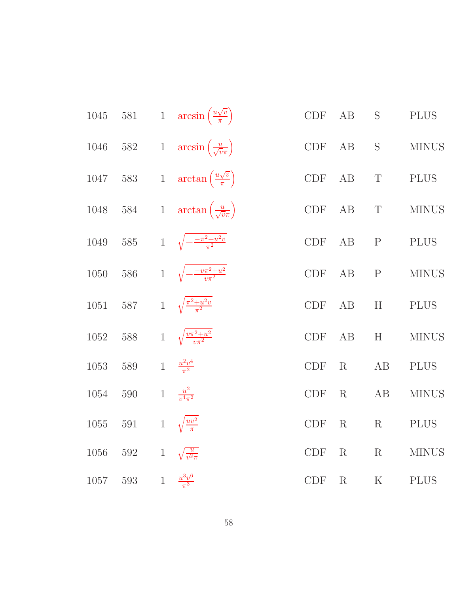| 1045 | $581\,$ |              | 1 $\arcsin\left(\frac{u\sqrt{v}}{\pi}\right)$ | CDF                         | AB          | $\mathbf S$               | <b>PLUS</b>  |
|------|---------|--------------|-----------------------------------------------|-----------------------------|-------------|---------------------------|--------------|
| 1046 | $582\,$ |              | 1 $\arcsin\left(\frac{u}{\sqrt{v\pi}}\right)$ | $\ensuremath{\mathrm{CDF}}$ | $\rm AB$    | $\mathbf S$               | <b>MINUS</b> |
| 1047 | $583\,$ | $\mathbf{1}$ | $\arctan\left(\frac{u\sqrt{v}}{\pi}\right)$   | CDF                         | AB          | $\mathbf T$               | <b>PLUS</b>  |
| 1048 | $584\,$ |              | 1 $\arctan\left(\frac{u}{\sqrt{v\pi}}\right)$ | $\ensuremath{\mathrm{CDF}}$ | AB          | $\mathbf T$               | <b>MINUS</b> |
| 1049 | $585\,$ |              | 1 $\sqrt{-\frac{-\pi^2+u^2v}{\pi^2}}$         | CDF                         | AB          | $\mathbf P$               | <b>PLUS</b>  |
| 1050 | $586\,$ |              | 1 $\sqrt{-\frac{-v\pi^2+u^2}{v\pi^2}}$        | CDF                         | AB          | ${\bf P}$                 | <b>MINUS</b> |
| 1051 | 587     |              | 1 $\sqrt{\frac{\pi^2 + u^2 v}{\pi^2}}$        | CDF                         | AB          | H                         | <b>PLUS</b>  |
| 1052 | $588\,$ |              | 1 $\sqrt{\frac{v\pi^2+u^2}{v\pi^2}}$          | $\ensuremath{\mathrm{CDF}}$ | AB          | $\boldsymbol{\mathrm{H}}$ | <b>MINUS</b> |
| 1053 | 589     |              | 1 $\frac{u^2v^4}{\pi^2}$                      | <b>CDF</b>                  | R           | AB                        | <b>PLUS</b>  |
| 1054 | 590     | $\mathbf{1}$ | $\frac{u^2}{v^4\pi^2}$                        | CDF                         | R           | AB                        | <b>MINUS</b> |
| 1055 | 591     | $\mathbf{1}$ | $\sqrt{\frac{uv^2}{\pi}}$                     | CDF                         | $\rm R$     | $\mathbf R$               | <b>PLUS</b>  |
| 1056 | $592\,$ | $\mathbf{1}$ | $\sqrt{\frac{u}{v^2\pi}}$                     | CDF                         | R           | $\mathbf R$               | <b>MINUS</b> |
| 1057 | $593\,$ | $\mathbf{1}$ | $\frac{u^3v^6}{\pi^3}$                        | <b>CDF</b>                  | $\mathbf R$ | $\mathbf K$               | <b>PLUS</b>  |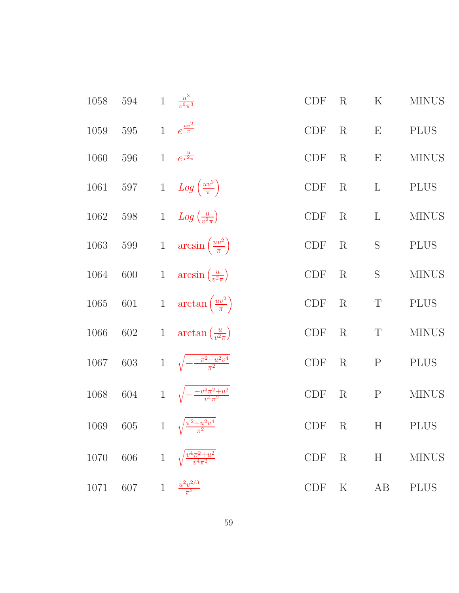| 1058     | $594\,$                               | 1 $\frac{u^3}{v^6 \pi^3}$                             | <b>CDF</b> | $\rm R$       | $\rm K$                   | <b>MINUS</b> |
|----------|---------------------------------------|-------------------------------------------------------|------------|---------------|---------------------------|--------------|
| 1059     | 595                                   | 1 $e^{\frac{uv^2}{\pi}}$                              | CDF        | $\mathbf R$   | $\boldsymbol{\mathrm{E}}$ | <b>PLUS</b>  |
| 1060     | 596                                   | 1 $e^{\frac{u}{v^2 \pi}}$                             | <b>CDF</b> | $\rm R$       | $\boldsymbol{\mathrm{E}}$ | <b>MINUS</b> |
| $1061\,$ | 597                                   | 1 $Log\left(\frac{uv^2}{\pi}\right)$                  | <b>CDF</b> | $\mathbf R$   | $\mathbf{L}$              | <b>PLUS</b>  |
| $1062\,$ | 598                                   | 1 $Log\left(\frac{u}{v^2\pi}\right)$                  | CDF        | $\mathbf R$   | $\Gamma$                  | <b>MINUS</b> |
| 1063     | 599                                   | 1 $\arcsin\left(\frac{uv^2}{\pi}\right)$              | CDF        | $\mathbf R$   | $\mathbf S$               | <b>PLUS</b>  |
| 1064     | 600                                   | 1 $\arcsin\left(\frac{u}{v^2\pi}\right)$              | <b>CDF</b> | $\mathbf R$   | $\mathbf S$               | <b>MINUS</b> |
| $1065\,$ | 601                                   | 1 $\arctan\left(\frac{uv^2}{\pi}\right)$              | CDF        | $\rm R$       | $\mathbf T$               | <b>PLUS</b>  |
| $1066\,$ | 602                                   | 1 $\arctan\left(\frac{u}{n^2\pi}\right)$              | CDF        | $\mathbf R$   | $\mathbf T$               | <b>MINUS</b> |
| $1067\,$ | 603                                   | 1 $\sqrt{-\frac{-\pi^2+u^2v^4}{\pi^2}}$               | <b>CDF</b> | $\rm R$       | $\mathbf P$               | <b>PLUS</b>  |
| $1068\,$ | 604                                   | 1 $\sqrt{-\frac{-v^4\pi^2+u^2}{v^4\pi^2}}$            | <b>CDF</b> | $\rm R$       | $\mathbf P$               | <b>MINUS</b> |
|          |                                       | 1069 605 1 $\sqrt{\frac{\pi^2 + u^2 v^4}{\pi^2}}$     |            | CDF R H PLUS  |                           |              |
|          |                                       | 1070 606 1 $\sqrt{\frac{v^4 \pi^2 + u^2}{v^4 \pi^2}}$ |            | CDF R H       |                           | <b>MINUS</b> |
|          | 1071 607 1 $\frac{u^2v^{2/3}}{\pi^2}$ |                                                       |            | CDF K AB PLUS |                           |              |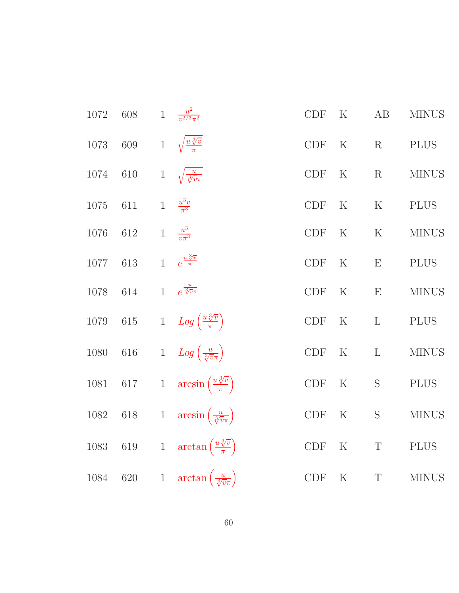| 1072     | $608\,$ |              | 1 $\frac{u^2}{v^{2/3}\pi^2}$                     | CDF                         | $\rm K$     | AB           | <b>MINUS</b> |
|----------|---------|--------------|--------------------------------------------------|-----------------------------|-------------|--------------|--------------|
| 1073     | 609     | $1\,$        | $\sqrt{\frac{u \sqrt[3]{v}}{\pi}}$               | CDF                         | $\rm K$     | R            | <b>PLUS</b>  |
| 1074     | 610     | $\mathbf{1}$ | $\sqrt{\frac{u}{\sqrt[3]{v}\pi}}$                | CDF                         | $\mathbf K$ | $\mathbf R$  | <b>MINUS</b> |
| $1075\,$ | $611\,$ | $\mathbf{1}$ | $\frac{u^3v}{\pi^3}$                             | $\ensuremath{\mathrm{CDF}}$ | $\mathbf K$ | $\mathbf K$  | <b>PLUS</b>  |
| 1076     | 612     | $\mathbf{1}$ | $\frac{u^3}{v\pi^3}$                             | CDF                         | $\mathbf K$ | $\rm K$      | <b>MINUS</b> |
| $1077\,$ | 613     | $\mathbf{1}$ | $e^{\frac{u\sqrt[3]{v}}{\pi}}$                   | $\ensuremath{\mathrm{CDF}}$ | $\rm K$     | E            | <b>PLUS</b>  |
| 1078     | 614     | $\mathbf{1}$ | $e^{\frac{u}{\sqrt[3]{v}\pi}}$                   | <b>CDF</b>                  | $\rm K$     | E            | <b>MINUS</b> |
| 1079     | $615\,$ |              | 1 $Log\left(\frac{u\sqrt[3]{v}}{\pi}\right)$     | <b>CDF</b>                  | $\rm K$     | $\mathbf{L}$ | <b>PLUS</b>  |
| 1080     | $616\,$ |              | 1 $Log\left(\frac{u}{\sqrt[3]{v\pi}}\right)$     | CDF                         | $\rm K$     | $\mathbf{L}$ | <b>MINUS</b> |
| $1081\,$ | $617\,$ |              | 1 $\arcsin\left(\frac{u\sqrt[3]{v}}{\pi}\right)$ | CDF                         | $\rm K$     | S            | <b>PLUS</b>  |
| 1082     | 618     |              | 1 $\arcsin\left(\frac{u}{\sqrt[3]{v\pi}}\right)$ | CDF                         | $\rm K$     | S            | <b>MINUS</b> |
| 1083     | $619\,$ | $1\,$        | $\arctan\left(\frac{u\sqrt[3]{v}}{\pi}\right)$   | CDF                         | $\rm K$     | T            | <b>PLUS</b>  |
| 1084     | $620\,$ | $\mathbf{1}$ | $\arctan\left(\frac{u}{\sqrt[3]{v}\pi}\right)$   | CDF                         | $\rm K$     | $\mathbf T$  | <b>MINUS</b> |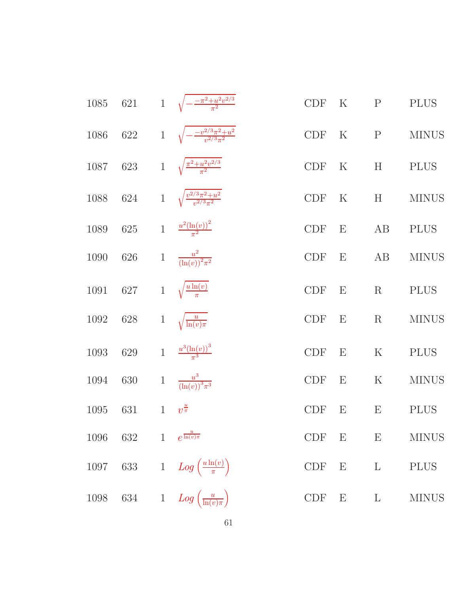| 1085 | 621                             | 1 $\sqrt{-\frac{-\pi^2+u^2v^{2/3}}{\pi^2}}$        | <b>CDF</b>                  | $\rm K$                   | $\mathbf P$               | <b>PLUS</b>  |
|------|---------------------------------|----------------------------------------------------|-----------------------------|---------------------------|---------------------------|--------------|
| 1086 | 622                             | 1 $\sqrt{-\frac{-v^{2/3}\pi^2+u^2}{v^{2/3}\pi^2}}$ | <b>CDF</b>                  | $\rm K$                   | $\mathbf{P}$              | <b>MINUS</b> |
| 1087 | 623                             | 1 $\sqrt{\frac{\pi^2 + u^2 v^{2/3}}{\pi^2}}$       | <b>CDF</b>                  | $\mathbf K$               | H                         | <b>PLUS</b>  |
| 1088 | $624\,$                         | 1 $\sqrt{\frac{v^{2/3}\pi^2+u^2}{v^{2/3}\pi^2}}$   | $\ensuremath{\mathrm{CDF}}$ | $\rm K$                   | H                         | <b>MINUS</b> |
| 1089 | $625\,$                         | 1 $\frac{u^2(\ln(v))^2}{\pi^2}$                    | CDF                         | $\boldsymbol{\mathrm{E}}$ | AB                        | <b>PLUS</b>  |
| 1090 | 626                             | 1 $\frac{u^2}{(\ln(v))^2 \pi^2}$                   | CDF                         | E                         | AB                        | <b>MINUS</b> |
| 1091 | 627                             | 1 $\sqrt{\frac{u \ln(v)}{\pi}}$                    | <b>CDF</b>                  | E                         | R                         | <b>PLUS</b>  |
| 1092 | 628                             | 1 $\sqrt{\frac{u}{\ln(v)\pi}}$                     | <b>CDF</b>                  | E                         | R                         | <b>MINUS</b> |
| 1093 | 629                             | 1 $\frac{u^3(\ln(v))^3}{\pi^3}$                    | <b>CDF</b>                  | E                         | $\rm K$                   | <b>PLUS</b>  |
| 1094 | 630                             | 1 $\frac{u^3}{(\ln(v))^3 \pi^3}$                   | <b>CDF</b>                  | E                         | $\rm K$                   | <b>MINUS</b> |
| 1095 | 631                             | 1 $v^{\frac{u}{\pi}}$                              | <b>CDF</b>                  | $\boldsymbol{\mathrm{E}}$ | $\boldsymbol{\mathrm{E}}$ | <b>PLUS</b>  |
| 1096 | 632 1 $e^{\frac{u}{\ln(v)\pi}}$ |                                                    | <b>CDF</b>                  | E                         | E                         | <b>MINUS</b> |
| 1097 |                                 | 633 1 $Log\left(\frac{u \ln(v)}{\pi}\right)$       | $\ensuremath{\mathrm{CDF}}$ | $E$ $L$                   |                           | <b>PLUS</b>  |
|      |                                 | 1098 634 1 $Log\left(\frac{u}{\ln(v)\pi}\right)$   | <b>CDF</b>                  | $\mathbf E$               | $\mathbf{L}$              | <b>MINUS</b> |
|      |                                 | $61\,$                                             |                             |                           |                           |              |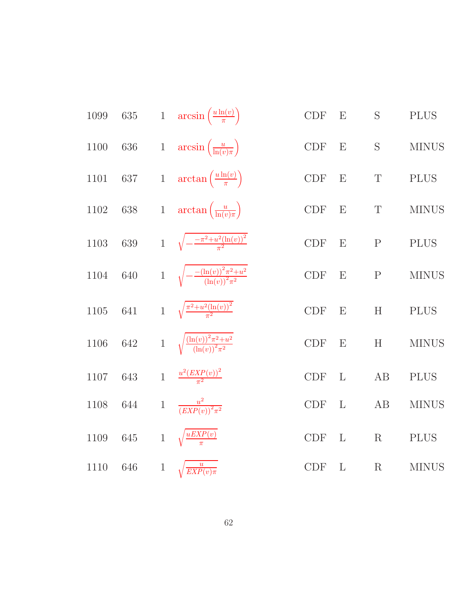| 1099 | $\sqrt{635}$ |              | 1 $\arcsin\left(\frac{u\ln(v)}{\pi}\right)$                  | <b>CDF</b> | E            | S           | <b>PLUS</b>  |
|------|--------------|--------------|--------------------------------------------------------------|------------|--------------|-------------|--------------|
| 1100 | $636\,$      |              | 1 $\arcsin\left(\frac{u}{\ln(v)\pi}\right)$                  | CDF        | E            | $\mathbf S$ | <b>MINUS</b> |
| 1101 | $637\,$      |              | 1 $\arctan\left(\frac{u\ln(v)}{\pi}\right)$                  | CDF        | E            | $\mathbf T$ | <b>PLUS</b>  |
| 1102 | $638\,$      |              | 1 $\arctan\left(\frac{u}{\ln(v)\pi}\right)$                  | CDF        | E            | T           | <b>MINUS</b> |
| 1103 | 639          |              | 1 $\sqrt{-\frac{-\pi^2+u^2(\ln(v))^2}{\pi^2}}$               | CDF        | E            | ${\bf P}$   | <b>PLUS</b>  |
| 1104 | 640          |              | 1 $\sqrt{-\frac{-(\ln(v))^2 \pi^2 + u^2}{(\ln(v))^2 \pi^2}}$ | <b>CDF</b> | E            | $\mathbf P$ | <b>MINUS</b> |
| 1105 | 641          |              | 1 $\sqrt{\frac{\pi^2+u^2(\ln(v))^2}{\pi^2}}$                 | <b>CDF</b> | E            | H           | <b>PLUS</b>  |
| 1106 | 642          |              | 1 $\sqrt{\frac{(\ln(v))^2 \pi^2 + u^2}{(\ln(v))^2 \pi^2}}$   | CDF        | E            | H           | <b>MINUS</b> |
| 1107 | 643          |              | 1 $\frac{u^2(EXP(v))^2}{\pi^2}$                              | <b>CDF</b> | $\mathbf{L}$ | AB          | <b>PLUS</b>  |
| 1108 | 644          | $\mathbf{1}$ | $\frac{u^2}{(EXP(v))^2\pi^2}$                                | <b>CDF</b> | L            | AB          | <b>MINUS</b> |
| 1109 | $645\,$      | $\mathbf{1}$ | $\sqrt{\frac{uEXP(v)}{\pi}}$                                 | CDF        | L            | $\mathbf R$ | <b>PLUS</b>  |
| 1110 | 646          | $\mathbf{1}$ | $\sqrt{\frac{u}{EXP(v)\pi}}$                                 | <b>CDF</b> | $\mathbf{L}$ | $\mathbf R$ | <b>MINUS</b> |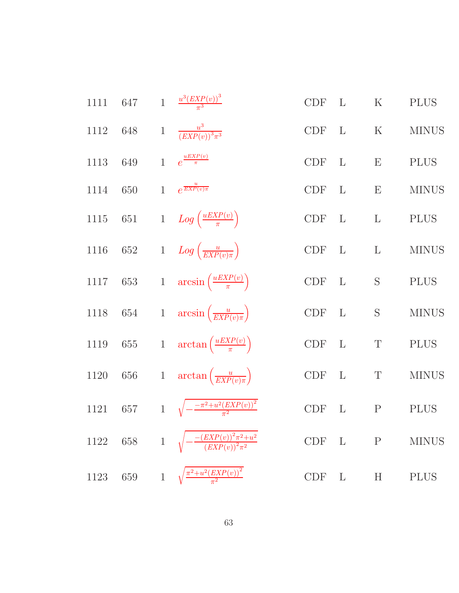| 1111     | 647     |              | 1 $\frac{u^3(EXP(v))^3}{\pi^3}$                                               | <b>CDF</b> | $\mathbf{L}$ | $\rm K$      | <b>PLUS</b>  |
|----------|---------|--------------|-------------------------------------------------------------------------------|------------|--------------|--------------|--------------|
| 1112     | 648     |              | 1 $\frac{u^3}{(EXP(v))^3 \pi^3}$                                              | $CDF$ L    |              | $\mathbf K$  | <b>MINUS</b> |
| 1113     | 649     |              | 1 $e^{\frac{uEXP(v)}{\pi}}$                                                   | CDF L      |              | E            | <b>PLUS</b>  |
| 1114     | 650     |              | 1 $e^{\frac{u}{EXP(v)\pi}}$                                                   | $CDF$ L    |              | E            | <b>MINUS</b> |
| $1115\,$ | 651     |              | 1 $Log\left(\frac{uEXP(v)}{\pi}\right)$                                       | $CDF$ L    |              | $\mathbf{L}$ | <b>PLUS</b>  |
| $1116\,$ | 652     |              | 1 $Log\left(\frac{u}{EXP(v)\pi}\right)$                                       | CDF L      |              | $\mathbf{L}$ | <b>MINUS</b> |
|          |         |              | 1117 653 1 $\arcsin\left(\frac{uEXP(v)}{\pi}\right)$                          | $CDF$ L    |              | $\mathbf S$  | <b>PLUS</b>  |
|          |         |              | 1118 654 1 $\arcsin\left(\frac{u}{EXP(v)\pi}\right)$                          | CDF L      |              | S            | <b>MINUS</b> |
| $1119\,$ |         |              | 655 1 $\arctan\left(\frac{uEXP(v)}{\pi}\right)$                               | $CDF$ L    |              | $\mathbf T$  | <b>PLUS</b>  |
| 1120     |         |              | 656 1 $\arctan\left(\frac{u}{EXP(v)\pi}\right)$                               | CDF L      |              | T            | <b>MINUS</b> |
|          |         |              | 1121 657 1 $\sqrt{-\frac{-\pi^2 + u^2 (EXP(v))^2}{\pi^2}}$                    | CDF L      |              | $\mathbf{P}$ | <b>PLUS</b>  |
| 1122     | $658\,$ | $1 \sqrt{ }$ | $-\frac{-\left( EXP(v) \right)^2 \pi^2 + u^2}{\left( EXP(v) \right)^2 \pi^2}$ | CDF        | $\mathbf{L}$ | $\mathbf P$  | <b>MINUS</b> |
| 1123     | 659     | $1\,$        | $\sqrt{\frac{\pi^2+u^2(EXP(v))^2}{\pi^2}}$                                    | CDF        | L            | H            | <b>PLUS</b>  |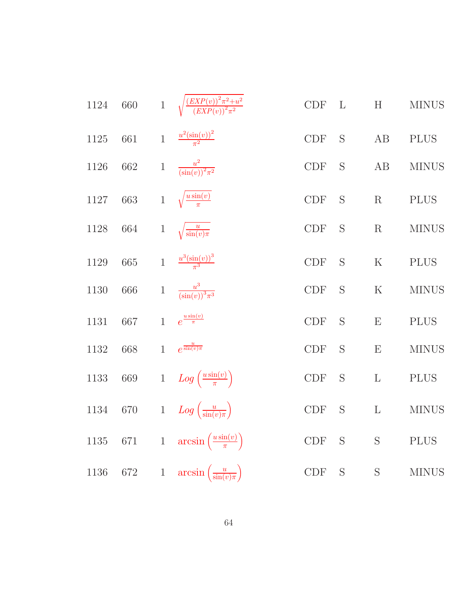| $1124\,$ | 660     |              | 1 $\sqrt{\frac{(EXP(v))^2 \pi^2 + u^2}{(EXP(v))^2 \pi^2}}$ | $\ensuremath{\mathrm{CDF}}$ | L | H           | <b>MINUS</b> |
|----------|---------|--------------|------------------------------------------------------------|-----------------------------|---|-------------|--------------|
| $1125\,$ | 661     | $\mathbf{1}$ | $\frac{u^2(\sin(v))^2}{\pi^2}$                             | CDF                         | S | AB          | <b>PLUS</b>  |
| 1126     | $662\,$ | $\mathbf{1}$ | $\frac{u^2}{(\sin(v))^2\pi^2}$                             | $\ensuremath{\mathrm{CDF}}$ | S | $\rm AB$    | <b>MINUS</b> |
| $1127\,$ | 663     | $\mathbf 1$  | $\sqrt{\frac{u\sin(v)}{\pi}}$                              | <b>CDF</b>                  | S | R           | <b>PLUS</b>  |
| 1128     | 664     | $\mathbf{1}$ | $\sqrt{\frac{u}{\sin(v)\pi}}$                              | $\ensuremath{\mathrm{CDF}}$ | S | $\mathbf R$ | <b>MINUS</b> |
| 1129     | 665     |              | 1 $\frac{u^3(\sin(v))^3}{\pi^3}$                           | CDF                         | S | ${\bf K}$   | <b>PLUS</b>  |
| 1130     | 666     | $\,1$        | $\frac{u^3}{(\sin(v))^3\pi^3}$                             | $\ensuremath{\mathrm{CDF}}$ | S | $\mathbf K$ | <b>MINUS</b> |
| 1131     | 667     | $\mathbf{1}$ | $e^{\frac{u\sin(v)}{\pi}}$                                 | CDF                         | S | ${\bf E}$   | <b>PLUS</b>  |
| 1132     | 668     | $\mathbf{1}$ | $e^{\frac{u}{\sin(v)\pi}}$                                 | $\ensuremath{\mathrm{CDF}}$ | S | ${\bf E}$   | $\rm MINUS$  |
| 1133     | 669     |              | 1 $Log\left(\frac{u\sin(v)}{\pi}\right)$                   | $\ensuremath{\mathrm{CDF}}$ | S | $\mathbf L$ | <b>PLUS</b>  |
| 1134     | $670\,$ |              | 1 $Log\left(\frac{u}{\sin(v)\pi}\right)$                   | $\ensuremath{\mathrm{CDF}}$ | S | $\mathbf L$ | <b>MINUS</b> |
| $1135\,$ | $671\,$ |              | 1 $\arcsin\left(\frac{u\sin(v)}{\pi}\right)$               | $\ensuremath{\mathrm{CDF}}$ | S | S           | <b>PLUS</b>  |
| 1136     | 672     |              | 1 $\arcsin\left(\frac{u}{\sin(v)\pi}\right)$               | CDF                         | S | $\mathbf S$ | <b>MINUS</b> |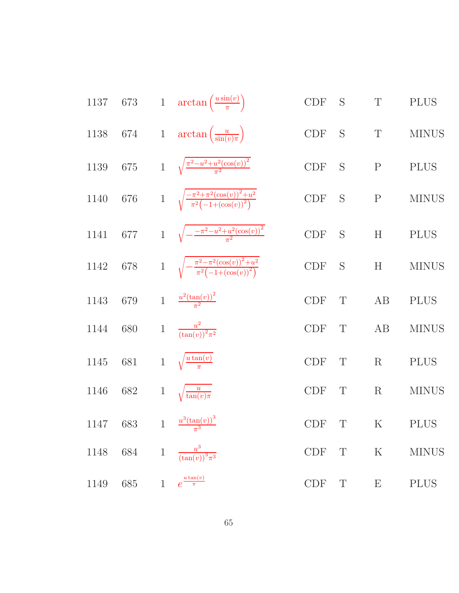1137 673 1 
$$
\arctan\left(\frac{u \sin(v)}{\pi}\right)
$$
 CDF S T PLUS  
\n1138 674 1  $\arctan\left(\frac{u}{\sin(v)\pi}\right)$  CDF S T MINUS  
\n1139 675 1  $\sqrt{\frac{\pi^2 - u^2 + u^2(\cos(v))^2}{\pi^2}}$  CDF S P PLUS  
\n1140 676 1  $\sqrt{\frac{-\pi^2 + \pi^2(\cos(v))^2 + u^2}{\pi^2}$  CDF S P MINUS  
\n1141 677 1  $\sqrt{-\frac{-\pi^2 - u^2 + u^2(\cos(v))^2}{\pi^2}$  CDF S H PLUS  
\n1142 678 1  $\sqrt{\frac{-\pi^2 - \pi^2(\cos(v))^2 + u^2}{\pi^2(-1 + (\cos(v))^4)}}$  CDF S H MINUS  
\n1143 679 1  $\frac{u^2(\tan(v))^2}{\pi^2}$  CDF T AB PLUS  
\n1144 680 1  $\frac{u^2}{(\tan(v))^2 \pi^2}$  CDF T A B MINUS  
\n1145 681 1  $\sqrt{\frac{u \tan(v)}{\pi}}$  CDF T R PLUS  
\n1146 682 1  $\sqrt{\frac{u}{\tan(v)\pi}}$  CDF T R PLUS  
\n1147 683 1  $\frac{u^3(\tan(v))^3}{(\tan(v)\pi^3)}$  CDF T K PLUS  
\n1148 684 1  $\frac{u^3}{(\tan(v))^3 \pi^3}$  CDF T K MINUS  
\n1149 685 1  $e^{\frac{u \tan(v)}{\pi}}$  CDF T E PLUS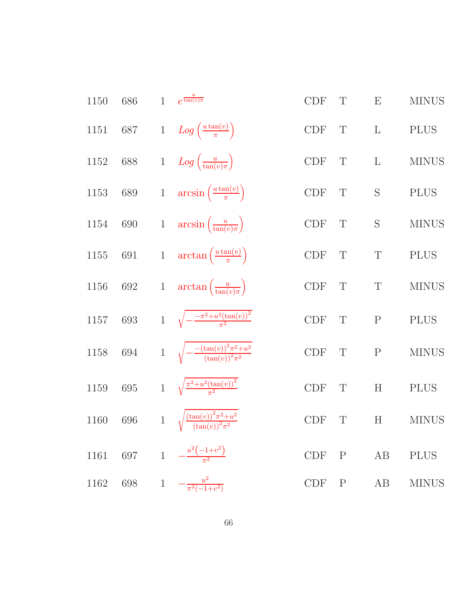| 1150     | 686     | $\mathbf{1}$ | $e^{\frac{u}{\tan(v)\pi}}$                                     | <b>CDF</b>                  | $\mathbf T$  | E                         | <b>MINUS</b> |
|----------|---------|--------------|----------------------------------------------------------------|-----------------------------|--------------|---------------------------|--------------|
| 1151     | $687\,$ |              | 1 $Log\left(\frac{u \tan(v)}{\pi}\right)$                      | CDF                         | $\mathbf T$  | $\mathbf{L}$              | <b>PLUS</b>  |
| 1152     | 688     |              | 1 $Log\left(\frac{u}{\tan(v)\pi}\right)$                       | CDF                         | $\mathbf T$  | $\Gamma$                  | <b>MINUS</b> |
| $1153\,$ | $689\,$ |              | 1 $\arcsin\left(\frac{u\tan(v)}{\pi}\right)$                   | $\ensuremath{\mathrm{CDF}}$ | $\mathbf T$  | S                         | <b>PLUS</b>  |
| 1154     | $690\,$ |              | 1 $\arcsin\left(\frac{u}{\tan(v)\pi}\right)$                   | $\ensuremath{\mathrm{CDF}}$ | $\mathbf T$  | S                         | <b>MINUS</b> |
| $1155\,$ | $691\,$ |              | 1 $\arctan\left(\frac{u\tan(v)}{\pi}\right)$                   | $\ensuremath{\mathrm{CDF}}$ | $\mathbf T$  | $\mathbf T$               | <b>PLUS</b>  |
| 1156     | $692\,$ |              | 1 $\arctan\left(\frac{u}{\tan(v)\pi}\right)$                   | $\ensuremath{\mathrm{CDF}}$ | $\mathbf T$  | $\mathbf T$               | <b>MINUS</b> |
| $1157\,$ | 693     |              | 1 $\sqrt{-\frac{-\pi^2+u^2(\tan(v))^2}{\pi^2}}$                | CDF                         | $\mathbf T$  | $\mathbf P$               | <b>PLUS</b>  |
| 1158     | $694\,$ |              | 1 $\sqrt{-\frac{-(\tan(v))^2 \pi^2 + u^2}{(\tan(v))^2 \pi^2}}$ | CDF                         | $\mathbf T$  | $\mathbf P$               | <b>MINUS</b> |
| 1159     | 695     |              | 1 $\sqrt{\frac{\pi^2+u^2(\tan(v))^2}{\pi^2}}$                  | CDF                         | $\mathbf T$  | H                         | <b>PLUS</b>  |
| 1160     | 696     | $\mathbf{1}$ | $\sqrt{\frac{(\tan(v))^2 \pi^2 + u^2}{(\tan(v))^2 \pi^2}}$     | <b>CDF</b>                  | $\mathbf T$  | $\boldsymbol{\mathrm{H}}$ | <b>MINUS</b> |
| 1161     | 697     |              | 1 $-\frac{u^2(-1+v^2)}{\pi^2}$                                 | $\ensuremath{\mathrm{CDF}}$ | $\mathbf P$  | AB                        | <b>PLUS</b>  |
| 1162     | 698     | $\,1$        | $-\frac{u^2}{\pi^2(-1+v^2)}$                                   | $\ensuremath{\mathrm{CDF}}$ | $\mathbf{P}$ | AB                        | <b>MINUS</b> |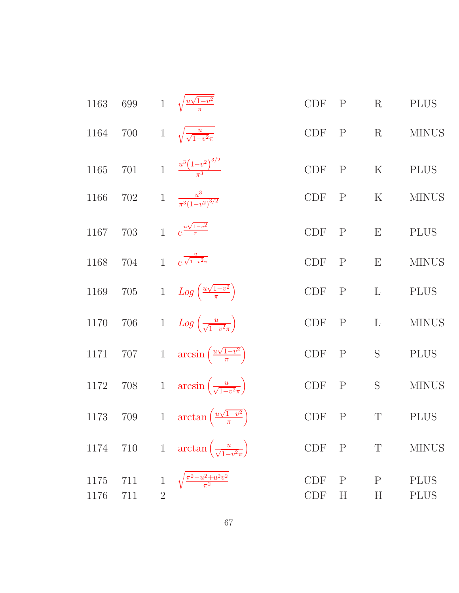| 1163         | 699        |                | 1 $\sqrt{\frac{u\sqrt{1-v^2}}{\pi}}$                       | <b>CDF</b>               | $\mathbf{P}$     | $\mathbf R$      | <b>PLUS</b>                |
|--------------|------------|----------------|------------------------------------------------------------|--------------------------|------------------|------------------|----------------------------|
| 1164         | 700        |                | 1 $\sqrt{\frac{u}{\sqrt{1-v^2\pi}}}$                       | <b>CDF</b>               | $\mathbf{P}$     | $\mathbf R$      | <b>MINUS</b>               |
| $1165\,$     | $701\,$    |                | 1 $\frac{u^3(1-v^2)^{3/2}}{\pi^3}$                         | <b>CDF</b>               | $\mathbf{P}$     | ${\bf K}$        | <b>PLUS</b>                |
| 1166         | 702        |                | 1 $\frac{u^3}{\pi^3(1-v^2)^{3/2}}$                         | CDF P                    |                  | $\mathbf K$      | <b>MINUS</b>               |
| 1167         | 703        |                | 1 $e^{\frac{u\sqrt{1-v^2}}{\pi}}$                          | <b>CDF</b>               | $\mathbf{P}$     | E                | <b>PLUS</b>                |
| 1168         | 704        |                | 1 $e^{\frac{u}{\sqrt{1-v^2\pi}}}$                          | CDF P                    |                  | E                | <b>MINUS</b>               |
| 1169         | $705\,$    |                | 1 $Log\left(\frac{u\sqrt{1-v^2}}{\pi}\right)$              | <b>CDF</b>               | $\mathbf{P}$     | $\mathbf L$      | <b>PLUS</b>                |
| $1170\,$     | $706\,$    |                | 1 $Log\left(\frac{u}{\sqrt{1-v^2\pi}}\right)$              | CDF P                    |                  | $\mathbf L$      | <b>MINUS</b>               |
| 1171         |            |                | 707 1 $\arcsin\left(\frac{u\sqrt{1-v^2}}{\pi}\right)$      | CDF P                    |                  | $\mathbf S$      | <b>PLUS</b>                |
| 1172         | 708        |                | 1 $\arcsin\left(\frac{u}{\sqrt{1-v^2\pi}}\right)$          | CDF P                    |                  | $\mathbf S$      | <b>MINUS</b>               |
|              |            |                | 1173 709 1 $\arctan\left(\frac{u\sqrt{1-v^2}}{\pi}\right)$ | <b>CDF</b>               | $\mathbf{P}$     | $\mathbf T$      | <b>PLUS</b>                |
| 1174         | 710        |                | 1 $\arctan\left(\frac{u}{\sqrt{1-v^2\pi}}\right)$          | <b>CDF</b>               | $\mathbf{P}$     | T                | <b>MINUS</b>               |
| 1175<br>1176 | 711<br>711 | $\overline{2}$ | $\frac{\sqrt{\pi^2 - u^2 + u^2 v^2}}{\pi^2}$               | <b>CDF</b><br><b>CDF</b> | $\mathbf P$<br>H | $\mathbf P$<br>H | <b>PLUS</b><br><b>PLUS</b> |
|              |            |                |                                                            |                          |                  |                  |                            |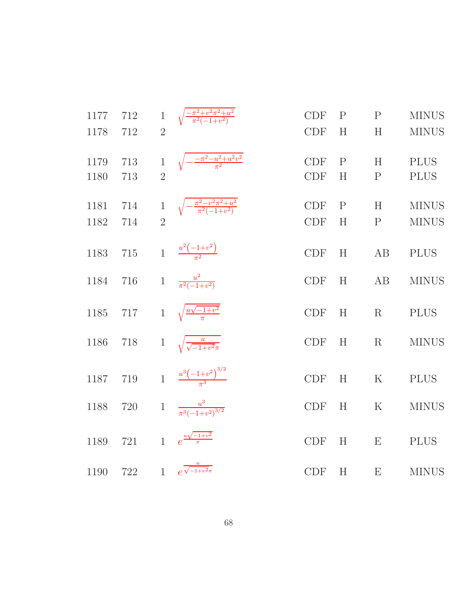| 1177 | 712 | $\mathbf{1}$   | $\sqrt{\frac{-\pi^2+v^2\pi^2+u^2}{\pi^2(-1+v^2)}}$           | <b>CDF</b> | $\mathbf{P}$ | $\mathbf{P}$ | <b>MINUS</b> |
|------|-----|----------------|--------------------------------------------------------------|------------|--------------|--------------|--------------|
| 1178 | 712 | $\overline{2}$ |                                                              | <b>CDF</b> | H            | H            | <b>MINUS</b> |
| 1179 | 713 | $\,1$          | $\sqrt{-\frac{-\pi^2 - u^2 + u^2 v^2}{\pi^2}}$               | <b>CDF</b> | $\mathbf{P}$ | H            | <b>PLUS</b>  |
| 1180 | 713 | $\overline{2}$ |                                                              | <b>CDF</b> | H            | $\mathbf{P}$ | <b>PLUS</b>  |
| 1181 | 714 |                | 1 $\sqrt{-\frac{\pi^2 - v^2 \pi^2 + u^2}{\pi^2 (-1 + v^2)}}$ | <b>CDF</b> | $\mathbf{P}$ | H            | <b>MINUS</b> |
| 1182 | 714 | $\overline{2}$ |                                                              | <b>CDF</b> | H            | $\mathbf{P}$ | <b>MINUS</b> |
| 1183 | 715 |                | 1 $\frac{u^2(-1+v^2)}{\pi^2}$                                | <b>CDF</b> | H            | AB           | <b>PLUS</b>  |
| 1184 | 716 |                | 1 $\frac{u^2}{\pi^2(-1+v^2)}$                                | <b>CDF</b> | H            | AB           | <b>MINUS</b> |
| 1185 | 717 |                | 1 $\sqrt{\frac{u\sqrt{-1+v^2}}{\pi}}$                        | <b>CDF</b> | H            | R            | <b>PLUS</b>  |
| 1186 | 718 |                | 1 $\sqrt{\frac{u}{\sqrt{-1+v^2}\pi}}$                        | <b>CDF</b> | H            | R            | <b>MINUS</b> |
| 1187 | 719 |                | 1 $\frac{u^3(-1+v^2)^{3/2}}{u^3}$                            | CDF        | H            | $\mathbf K$  | <b>PLUS</b>  |
| 1188 | 720 |                | 1 $\frac{u^3}{\pi^3(-1+v^2)^{3/2}}$                          | <b>CDF</b> | H            | $\mathbf K$  | <b>MINUS</b> |
| 1189 | 721 | $\overline{1}$ | $e^{\frac{u\sqrt{-1+v^2}}{\pi}}$                             | <b>CDF</b> | H            | E            | <b>PLUS</b>  |
| 1190 | 722 | $\overline{1}$ | $e^{\frac{u}{\sqrt{-1+v^2}\pi}}$                             | CDF        | H            | E            | <b>MINUS</b> |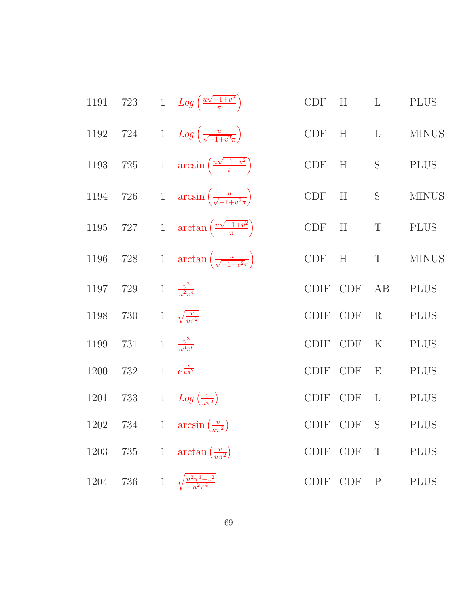| 1191 |     |              | 723 $1 Log\left(\frac{u\sqrt{-1+v^2}}{\pi}\right)$          |             | $CDF$ $H$ $L$ |                   | <b>PLUS</b>  |
|------|-----|--------------|-------------------------------------------------------------|-------------|---------------|-------------------|--------------|
|      |     |              | 1192 724 1 $Log\left(\frac{u}{\sqrt{-1+v^2\pi}}\right)$     | CDF         | H $L$         |                   | <b>MINUS</b> |
| 1193 |     |              | 725 1 $\arcsin\left(\frac{u\sqrt{-1+v^2}}{\pi}\right)$      |             | CDF H S       |                   | <b>PLUS</b>  |
|      |     |              | 1194 726 1 $\arcsin\left(\frac{u}{\sqrt{-1+v^2\pi}}\right)$ | CDF         | H             | S                 | <b>MINUS</b> |
|      |     |              | 1195 727 1 $\arctan\left(\frac{u\sqrt{-1+v^2}}{\pi}\right)$ |             | CDF H T       |                   | <b>PLUS</b>  |
| 1196 |     |              | 728 1 $\arctan\left(\frac{u}{\sqrt{-1+v^2\pi}}\right)$      |             | CDF H         | T                 | <b>MINUS</b> |
| 1197 | 729 |              | 1 $\frac{v^2}{u^2 \pi^4}$                                   | <b>CDIF</b> | CDF           | AB                | <b>PLUS</b>  |
| 1198 | 730 |              | 1 $\sqrt{\frac{v}{u\pi^2}}$                                 | CDIF CDF    |               | $\rm R$           | <b>PLUS</b>  |
| 1199 | 731 |              | 1 $\frac{v^3}{u^3\pi^6}$                                    | <b>CDIF</b> | CDF           | $\rm K$           | <b>PLUS</b>  |
| 1200 | 732 |              | 1 $e^{\frac{v}{u\pi^2}}$                                    | <b>CDIF</b> | <b>CDF</b>    | E                 | <b>PLUS</b>  |
| 1201 |     |              | 733 $1 Log(\frac{v}{u\pi^2})$                               | <b>CDIF</b> | <b>CDF</b>    | $\mathbf{L}$      | <b>PLUS</b>  |
| 1202 | 734 |              | 1 $\arcsin\left(\frac{v}{u\pi^2}\right)$                    |             | CDIF CDF      | $S \qquad \qquad$ | <b>PLUS</b>  |
| 1203 | 735 | $\mathbf{1}$ | $\arctan\left(\frac{v}{u\pi^2}\right)$                      |             | CDIF CDF T    |                   | <b>PLUS</b>  |
| 1204 | 736 | $\mathbf{1}$ | $\frac{u^2\pi^4 - v^2}{u^2\pi^4}$                           |             | CDIF CDF P    |                   | <b>PLUS</b>  |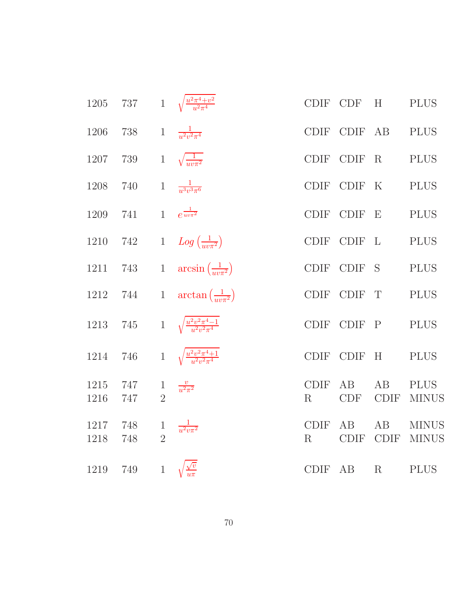| 1205         | $737\,$    |                                | 1 $\sqrt{\frac{u^2 \pi^4 + v^2}{u^2 \pi^4}}$ |                        | CDIF CDF          | H                 | <b>PLUS</b>                  |
|--------------|------------|--------------------------------|----------------------------------------------|------------------------|-------------------|-------------------|------------------------------|
| 1206         | 738        | $\,1$                          | $\frac{1}{u^2v^2\pi^4}$                      |                        | CDIF CDIF AB      |                   | <b>PLUS</b>                  |
| 1207         | 739        | $\mathbf{1}$                   | $\sqrt{\frac{1}{uv\pi^2}}$                   | <b>CDIF</b>            | <b>CDIF</b>       | R                 | <b>PLUS</b>                  |
| 1208         | 740        | $\,1$                          | $\frac{1}{u^3v^3\pi^6}$                      | <b>CDIF</b>            | CDIF K            |                   | <b>PLUS</b>                  |
| 1209         | 741        |                                | 1 $e^{\frac{1}{uv\pi^2}}$                    |                        | CDIF CDIF E       |                   | <b>PLUS</b>                  |
| 1210         | 742        |                                | 1 $Log\left(\frac{1}{uv\pi^2}\right)$        |                        | CDIF CDIF L       |                   | <b>PLUS</b>                  |
| 1211         | 743        | $\mathbf{1}$                   | $arcsin\left(\frac{1}{uv\pi^2}\right)$       |                        | CDIF CDIF S       |                   | <b>PLUS</b>                  |
| 1212         | 744        | $1\,$                          | $\arctan\left(\frac{1}{uv\pi^2}\right)$      |                        | CDIF CDIF T       |                   | <b>PLUS</b>                  |
| 1213         | 745        |                                | 1 $\sqrt{\frac{u^2v^2\pi^4-1}{u^2v^2\pi^4}}$ |                        | CDIF CDIF P       |                   | <b>PLUS</b>                  |
| 1214         | 746        |                                | 1 $\sqrt{\frac{u^2v^2\pi^4+1}{u^2v^2\pi^4}}$ |                        | CDIF CDIF         | H                 | <b>PLUS</b>                  |
| 1215<br>1216 | 747<br>747 | $\mathbf{1}$<br>$\overline{2}$ | $\frac{v}{u^2\pi^2}$                         | <b>CDIF</b><br>$\rm R$ | AB<br><b>CDF</b>  | AB<br><b>CDIF</b> | <b>PLUS</b><br><b>MINUS</b>  |
| 1217<br>1218 | 748<br>748 | $\mathbf{1}$<br>$\overline{2}$ | $\frac{1}{u^2v\pi^2}$                        | <b>CDIF</b><br>R       | AB<br><b>CDIF</b> | AB<br><b>CDIF</b> | <b>MINUS</b><br><b>MINUS</b> |
| 1219         | 749        |                                | 1 $\sqrt{\frac{\sqrt{v}}{u\pi}}$             |                        | CDIF AB           | $\mathbf R$       | <b>PLUS</b>                  |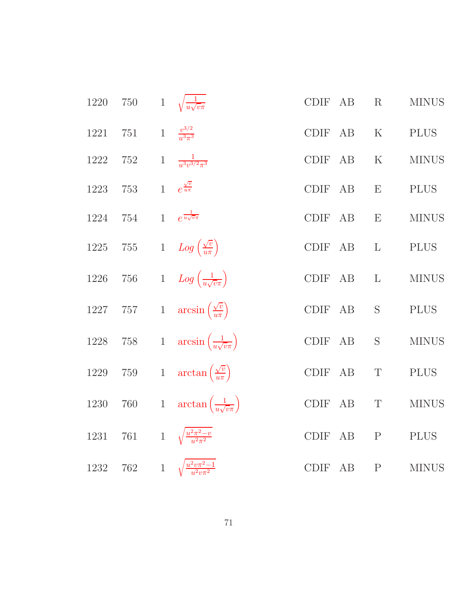| 1220     | $750\,$ |              | 1 $\sqrt{\frac{1}{u\sqrt{v\pi}}}$              | AB<br><b>CDIF</b>           | R            | <b>MINUS</b> |
|----------|---------|--------------|------------------------------------------------|-----------------------------|--------------|--------------|
| 1221     | $751\,$ | $\mathbf{1}$ | $\frac{v^{3/2}}{v^{3}\pi^{3}}$                 | <b>CDIF</b><br>AB           | $\mathbf K$  | <b>PLUS</b>  |
| 1222     | $752\,$ | $\,1$        | $\frac{1}{u^3v^{3/2}\pi^3}$                    | <b>CDIF</b><br>AB           | $\mathbf K$  | <b>MINUS</b> |
| 1223     | 753     | $\mathbf{1}$ | $e^{\frac{\sqrt{v}}{u\pi}}$                    | <b>CDIF</b><br>AB           | E            | <b>PLUS</b>  |
| 1224     | 754     | $\mathbf{1}$ | $e^{\frac{1}{u\sqrt{v}\pi}}$                   | <b>CDIF</b><br>AB           | E            | <b>MINUS</b> |
| 1225     | $755\,$ |              | 1 $Log\left(\frac{\sqrt{v}}{u\pi}\right)$      | CDIF<br>AB                  | $\Gamma$     | <b>PLUS</b>  |
| $1226\,$ | $756\,$ |              | 1 $Log\left(\frac{1}{u\sqrt{v\pi}}\right)$     | $\operatorname{CDIF}$<br>AB | $\mathbf{L}$ | <b>MINUS</b> |
| $1227\,$ | $757\,$ |              | 1 $\arcsin\left(\frac{\sqrt{v}}{u\pi}\right)$  | CDIF<br>AB                  | $\mathbf S$  | <b>PLUS</b>  |
| $1228\,$ | $758\,$ |              | 1 $\arcsin\left(\frac{1}{u\sqrt{v\pi}}\right)$ | $\operatorname{CDIF}$<br>AB | $\mathbf S$  | $\rm MINUS$  |
| 1229     | $759\,$ | $1\,$        | $\arctan\left(\frac{\sqrt{v}}{u\pi}\right)$    | <b>CDIF</b><br>AB           | $\mathbf T$  | <b>PLUS</b>  |
| 1230     | $760\,$ | $1\,$        | $\arctan\left(\frac{1}{u\sqrt{v}\pi}\right)$   | $\text{\rm CDIF}$<br>AB     | $\mathbf T$  | <b>MINUS</b> |
| 1231     | 761     |              | 1 $\sqrt{\frac{u^2\pi^2-v}{u^2\pi^2}}$         | CDIF<br>AB                  | ${\bf P}$    | <b>PLUS</b>  |
| 1232     | $762\,$ |              | 1 $\sqrt{\frac{u^2 v \pi^2 - 1}{u^2 v \pi^2}}$ | <b>CDIF</b><br>AB           | $\mathbf{P}$ | <b>MINUS</b> |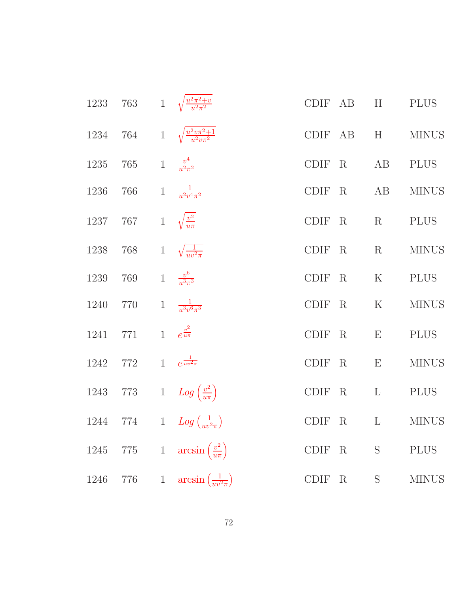|      |                                        |              | 1233 763 1 $\sqrt{\frac{u^2\pi^2+v}{u^2\pi^2}}$   |             |             | CDIF AB H PLUS                                                                                                      |                                                                                                                                                     |
|------|----------------------------------------|--------------|---------------------------------------------------|-------------|-------------|---------------------------------------------------------------------------------------------------------------------|-----------------------------------------------------------------------------------------------------------------------------------------------------|
|      |                                        |              | 1234 764 1 $\sqrt{\frac{u^2v\pi^2+1}{u^2v\pi^2}}$ |             |             |                                                                                                                     | CDIF AB H MINUS                                                                                                                                     |
|      | 1235 765 1 $\frac{v^4}{u^2\pi^2}$      |              |                                                   |             |             | CDIF R AB PLUS                                                                                                      |                                                                                                                                                     |
|      | 1236 766 1 $\frac{1}{u^2v^4\pi^2}$     |              |                                                   |             |             | CDIF R AB                                                                                                           | <b>MINUS</b>                                                                                                                                        |
|      | 1237 767 1 $\sqrt{\frac{v^2}{u\pi}}$   |              |                                                   |             |             | CDIF R R PLUS                                                                                                       |                                                                                                                                                     |
|      | 1238 768 1 $\sqrt{\frac{1}{uv^2 \pi}}$ |              |                                                   |             |             | CDIF R R                                                                                                            | <b>MINUS</b>                                                                                                                                        |
|      | 1239 769 1 $\frac{v^6}{u^3\pi^3}$      |              |                                                   |             |             | $\begin{tabular}{llllll} \multicolumn{2}{c}{\text{CDIF}} & R & & K & & \text{PLUS} \end{tabular}$                   |                                                                                                                                                     |
|      | 1240 770 1 $\frac{1}{u^3v^6\pi^3}$     |              |                                                   |             |             |                                                                                                                     | $\begin{tabular}{llllll} \multicolumn{2}{c}{\text{CDIF}} & R & & & \multicolumn{2}{c}{\text{K}} & & \multicolumn{2}{c}{\text{MINUS}} \end{tabular}$ |
|      | 1241 771 1 $e^{\frac{v^2}{u\pi}}$      |              |                                                   |             |             | CDIF R E                                                                                                            | <b>PLUS</b>                                                                                                                                         |
|      | 1242 772 1 $e^{\frac{1}{uv^2\pi}}$     |              |                                                   |             |             | CDIF R E                                                                                                            | <b>MINUS</b>                                                                                                                                        |
|      |                                        |              | 1243 773 1 $Log\left(\frac{v^2}{u\pi}\right)$     |             |             | $\begin{tabular}{llllll} \multicolumn{2}{c}{\text{CDIF}} & R & L & \multicolumn{2}{c}{\text{PLUS}}\\ \end{tabular}$ |                                                                                                                                                     |
|      |                                        |              | 1244 774 1 $Log(\frac{1}{uv^2\pi})$               |             |             | CDIF R L                                                                                                            | <b>MINUS</b>                                                                                                                                        |
| 1245 | 775                                    |              | 1 $\arcsin\left(\frac{v^2}{u\pi}\right)$          | <b>CDIF</b> | $\rm R$     | S                                                                                                                   | <b>PLUS</b>                                                                                                                                         |
| 1246 | 776                                    | $\mathbf{1}$ | $arcsin\left(\frac{1}{uv^2\pi}\right)$            | <b>CDIF</b> | $\mathbf R$ | S                                                                                                                   | <b>MINUS</b>                                                                                                                                        |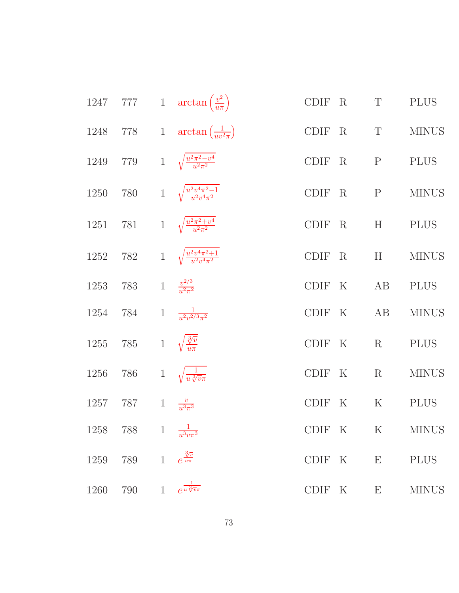| 1247 |                                  |              | 777 1 $\arctan\left(\frac{v^2}{u\pi}\right)$          | CDIF R |          | $\mathbf T$  | <b>PLUS</b>  |
|------|----------------------------------|--------------|-------------------------------------------------------|--------|----------|--------------|--------------|
|      |                                  |              | 1248 778 1 $\arctan(\frac{1}{uv^2\pi})$               | CDIF R |          | T            | <b>MINUS</b> |
|      |                                  |              | 1249 779 1 $\sqrt{\frac{u^2\pi^2-v^4}{u^2\pi^2}}$     |        | CDIF R P |              | <b>PLUS</b>  |
|      |                                  |              | 1250 780 1 $\sqrt{\frac{u^2v^4\pi^2-1}{u^2v^4\pi^2}}$ | CDIF R |          | $\mathbf{P}$ | <b>MINUS</b> |
|      |                                  |              | 1251 781 1 $\sqrt{\frac{u^2\pi^2+v^4}{u^2\pi^2}}$     | CDIF R |          | H            | <b>PLUS</b>  |
|      |                                  |              | 1252 782 1 $\sqrt{\frac{u^2v^4\pi^2+1}{u^2v^4\pi^2}}$ | CDIF R |          | H            | <b>MINUS</b> |
| 1253 | 783                              |              | 1 $\frac{v^{2/3}}{u^2 \pi^2}$                         | CDIF K |          | AB           | <b>PLUS</b>  |
| 1254 | 784                              |              | 1 $\frac{1}{u^2v^{2/3}\pi^2}$                         | CDIF K |          | AB           | <b>MINUS</b> |
| 1255 | 785                              |              | 1 $\sqrt{\frac{3}{u\pi}}$                             | CDIF K |          | $\mathbf R$  | <b>PLUS</b>  |
| 1256 | 786                              |              | 1 $\sqrt{\frac{1}{u \sqrt[3]{v \pi}}}$                | CDIF K |          | $\rm R$      | <b>MINUS</b> |
|      | 1257 787 1 $\frac{v}{u^3\pi^3}$  |              |                                                       | CDIF K |          | $\mathbf K$  | <b>PLUS</b>  |
|      | 1258 788 1 $\frac{1}{u^3v\pi^3}$ |              |                                                       | CDIF K |          | K            | <b>MINUS</b> |
| 1259 | 789                              | $\mathbf{1}$ | $e^{\frac{3\overline{\sqrt{v}}}{u\pi}}$               | CDIF K |          | E            | <b>PLUS</b>  |
| 1260 | $790\,$                          | $\mathbf{1}$ | $e^{\frac{1}{u\sqrt[3]{v}\pi}}$                       | CDIF K |          | E            | <b>MINUS</b> |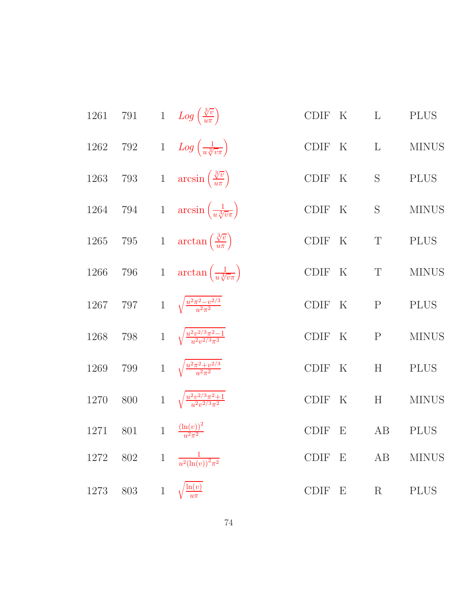| 1261     |         |                | 791 1 $Log\left(\frac{\sqrt[3]{v}}{u\pi}\right)$     | <b>CDIF</b> | $\rm K$          | $\mathbf{L}$              | <b>PLUS</b>  |
|----------|---------|----------------|------------------------------------------------------|-------------|------------------|---------------------------|--------------|
| 1262     | 792     |                | 1 $Log\left(\frac{1}{u\sqrt[3]{v\pi}}\right)$        | CDIF K      |                  | $\mathbf{L}$              | <b>MINUS</b> |
| $1263\,$ |         |                | 793 1 $\arcsin\left(\frac{\sqrt[3]{v}}{u\pi}\right)$ | CDIF        | $\mathbf K$      | $\mathbf S$               | <b>PLUS</b>  |
| 1264     |         |                | 794 1 $arcsin\left(\frac{1}{u\sqrt[3]{v\pi}}\right)$ | CDIF K      |                  | $\mathbf S$               | <b>MINUS</b> |
| $1265\,$ |         |                | 795 1 $\arctan\left(\frac{\sqrt[3]{v}}{u\pi}\right)$ | <b>CDIF</b> | $\boldsymbol{K}$ | $\mathbf T$               | <b>PLUS</b>  |
| $1266\,$ | 796     |                | 1 $\arctan\left(\frac{1}{u\sqrt[3]{v\pi}}\right)$    | CDIF K      |                  | $\mathbf T$               | <b>MINUS</b> |
| $1267\,$ | 797     |                | 1 $\sqrt{\frac{u^2\pi^2 - v^{2/3}}{u^2\pi^2}}$       | <b>CDIF</b> | $\rm K$          | $\mathbf P$               | <b>PLUS</b>  |
| 1268     | $798\,$ |                | 1 $\sqrt{\frac{u^2v^{2/3}\pi^2-1}{u^2v^{2/3}\pi^2}}$ | <b>CDIF</b> | $\boldsymbol{K}$ | $\mathbf{P}$              | <b>MINUS</b> |
| 1269     | 799     |                | 1 $\sqrt{\frac{u^2\pi^2+v^{2/3}}{u^2\pi^2}}$         | <b>CDIF</b> | $\rm K$          | $\boldsymbol{\mathrm{H}}$ | <b>PLUS</b>  |
| 1270     | 800     |                | 1 $\sqrt{\frac{u^2v^{2/3}\pi^2+1}{u^2v^{2/3}\pi^2}}$ | <b>CDIF</b> | $\rm K$          | $\boldsymbol{\mathrm{H}}$ | <b>MINUS</b> |
| 1271     | 801     | $\overline{1}$ | $\frac{\left(\ln(v)\right)^2}{v^2\pi^2}$             | <b>CDIF</b> | E                | AB                        | <b>PLUS</b>  |
| 1272 802 |         |                | 1 $\frac{1}{u^2(\ln(v))^2 \pi^2}$                    | <b>CDIF</b> | $\mathbf{E}$     | AB                        | <b>MINUS</b> |
| 1273     | 803     | $\,1$          | $\frac{\ln(v)}{u\pi}$                                | <b>CDIF</b> | $\mathbf E$      | $\rm R$                   | <b>PLUS</b>  |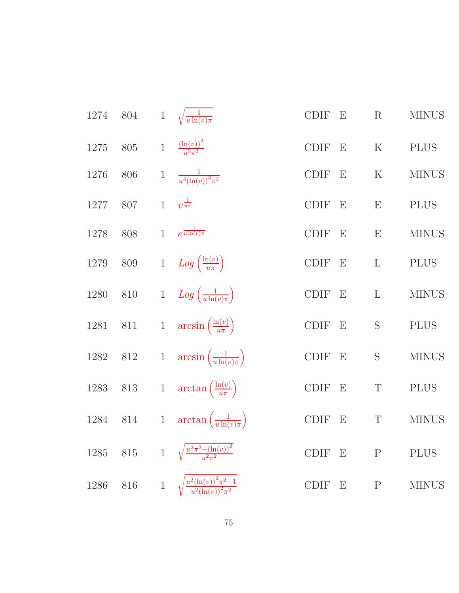| 1274     | $804\,$ |                | 1 $\sqrt{\frac{1}{u \ln(v) \pi}}$                          | CDIF                                 | $\boldsymbol{\mathrm{E}}$ | $\mathbf R$  | <b>MINUS</b> |
|----------|---------|----------------|------------------------------------------------------------|--------------------------------------|---------------------------|--------------|--------------|
| 1275     | $805\,$ | $\overline{1}$ | $\frac{(\ln(v))^{3}}{u^{3}\pi^{3}}$                        | $\operatorname{CDIF}$                | E                         | $\rm K$      | <b>PLUS</b>  |
| 1276     | 806     | $\,1$          | $\frac{1}{u^3(\ln(v))^3\pi^3}$                             | $\operatorname{CDIF}$                | $\boldsymbol{\mathrm{E}}$ | ${\bf K}$    | <b>MINUS</b> |
| $1277\,$ | 807     | $\mathbf{1}$   | $v^{\frac{1}{u\pi}}$                                       | $\operatorname{CDIF}$                | E                         | E            | <b>PLUS</b>  |
| 1278     | 808     | $\overline{1}$ | $e^{\frac{1}{u\ln(v)\pi}}$                                 | $\operatorname{CDIF}$                | E                         | E            | <b>MINUS</b> |
| 1279     | $809\,$ |                | 1 $Log\left(\frac{\ln(v)}{u\pi}\right)$                    | $\operatorname{CDIF}$                | E                         | L            | <b>PLUS</b>  |
| 1280     | $810\,$ |                | 1 $Log\left(\frac{1}{u \ln(v)\pi}\right)$                  | $\textsc{CDIF} \quad \textsc{E}$     |                           | $\mathbf{L}$ | <b>MINUS</b> |
| $1281\,$ | $811\,$ |                | 1 $\arcsin\left(\frac{\ln(v)}{u\pi}\right)$                | $\text{\rm CDIF} \quad \text{\rm E}$ |                           | S            | $\rm PLUS$   |
| $1282\,$ | $812\,$ |                | 1 $\arcsin\left(\frac{1}{u\ln(v)\pi}\right)$               | $\text{\rm CDIF}$                    | E                         | S            | <b>MINUS</b> |
| $1283\,$ | $813\,$ |                | 1 $\arctan\left(\frac{\ln(v)}{u\pi}\right)$                | $\text{\rm CDIF} \quad \text{\rm E}$ |                           | $\mathbf T$  | $\rm PLUS$   |
| $1284\,$ | $814\,$ |                | 1 $\arctan\left(\frac{1}{u\ln(v)\pi}\right)$               | CDIF                                 | E                         | $\mathbf T$  | <b>MINUS</b> |
| $1285\,$ | $815\,$ |                | 1 $\sqrt{\frac{u^2\pi^2 - (\ln(v))^2}{u^2\pi^2}}$          | $\operatorname{CDIF}$                | E                         | $\mathbf{P}$ | <b>PLUS</b>  |
| 1286     | $816\,$ |                | 1 $\sqrt{\frac{u^2(\ln(v))^2\pi^2-1}{u^2(\ln(v))^2\pi^2}}$ | $\text{\rm CDIF}$                    | E                         | ${\bf P}$    | <b>MINUS</b> |
|          |         |                |                                                            |                                      |                           |              |              |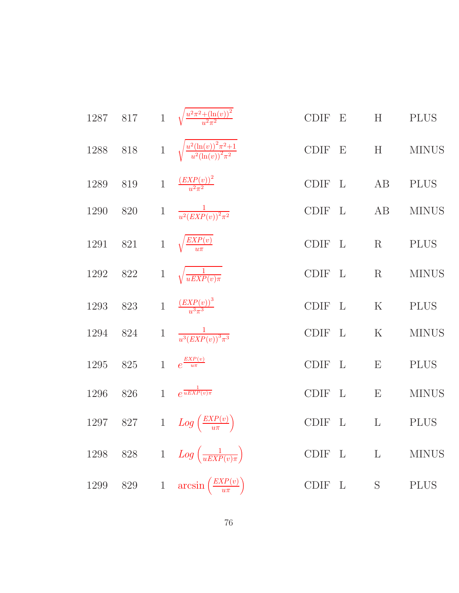|          | 1287 817 |       | 1 $\sqrt{\frac{u^2\pi^2 + (\ln(v))^2}{u^2\pi^2}}$          | <b>CDIF</b> | $\mathbf{E}$ | H            | <b>PLUS</b>  |
|----------|----------|-------|------------------------------------------------------------|-------------|--------------|--------------|--------------|
| 1288     | 818      |       | 1 $\sqrt{\frac{u^2(\ln(v))^2\pi^2+1}{u^2(\ln(v))^2\pi^2}}$ | CDIF E      |              | H            | <b>MINUS</b> |
| 1289     | 819      |       | 1 $\frac{(EXP(v))^2}{u^2\pi^2}$                            | CDIF L      |              | AB           | <b>PLUS</b>  |
| 1290     | 820      |       | 1 $\frac{1}{u^2(EXP(v))^2 \pi^2}$                          | CDIF L      |              | AB           | <b>MINUS</b> |
| 1291     | 821      |       | 1 $\sqrt{\frac{EXP(v)}{u\pi}}$                             | CDIF L      |              | R            | <b>PLUS</b>  |
| 1292     | 822      |       | 1 $\sqrt{\frac{1}{uEXP(v)\pi}}$                            | CDIF L      |              | $\mathbf R$  | <b>MINUS</b> |
| 1293     | 823      |       | 1 $\frac{(EXP(v))^3}{u^3\pi^3}$                            | CDIF L      |              | $\mathbf K$  | <b>PLUS</b>  |
| 1294     | 824      | $\,1$ | $\frac{1}{u^3(EXP(v))^3\pi^3}$                             | <b>CDIF</b> | $\mathbf{L}$ | $\rm K$      | <b>MINUS</b> |
| 1295     | 825      |       | 1 $e^{\frac{EXP(v)}{u\pi}}$                                | CDIF L      |              | E            | <b>PLUS</b>  |
| 1296     | 826      |       | 1 $e^{\frac{1}{uEXP(v)\pi}}$                               | <b>CDIF</b> | $\mathbf{L}$ | E            | <b>MINUS</b> |
| 1297 827 |          |       | 1 $Log\left(\frac{EXP(v)}{u\pi}\right)$                    | <b>CDIF</b> | $\mathbf{L}$ | $\mathbf{L}$ | <b>PLUS</b>  |
| 1298     | $828\,$  |       | 1 $Log\left(\frac{1}{uEXP(v)\pi}\right)$                   | <b>CDIF</b> | $\mathbf{L}$ | $\mathbf{L}$ | <b>MINUS</b> |
| 1299     | $829\,$  | $\,1$ | $arcsin\left(\frac{EXP(v)}{u\pi}\right)$                   | CDIF L      |              | S            | <b>PLUS</b>  |
|          |          |       |                                                            |             |              |              |              |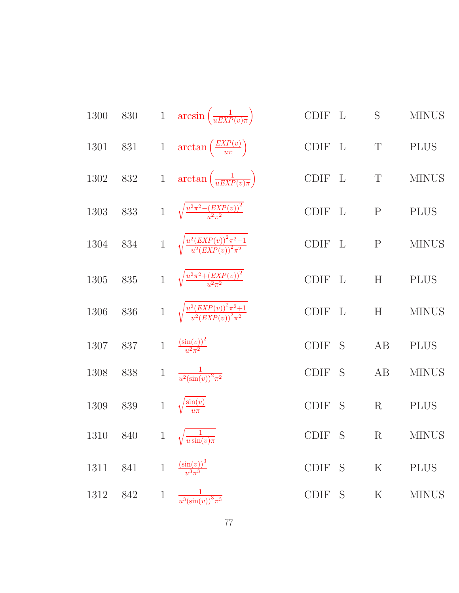| 1300 |     |              | 830 1 $\arcsin\left(\frac{1}{uEXP(v)\pi}\right)$           | CDIF L      |   | S           | <b>MINUS</b> |
|------|-----|--------------|------------------------------------------------------------|-------------|---|-------------|--------------|
| 1301 | 831 |              | 1 $\arctan\left(\frac{EXP(v)}{u\pi}\right)$                | CDIF L      |   | $\mathbf T$ | <b>PLUS</b>  |
| 1302 | 832 |              | 1 $\arctan\left(\frac{1}{uEXP(v)\pi}\right)$               | CDIF L      |   | $\mathbf T$ | <b>MINUS</b> |
| 1303 | 833 |              | 1 $\sqrt{\frac{u^2\pi^2-(EXP(v))^2}{u^2\pi^2}}$            | CDIF L      |   | ${\bf P}$   | <b>PLUS</b>  |
| 1304 | 834 |              | 1 $\sqrt{\frac{u^2(EXP(v))^2\pi^2-1}{u^2(EXP(v))^2\pi^2}}$ | CDIF L      |   | ${\bf P}$   | <b>MINUS</b> |
| 1305 | 835 |              | 1 $\sqrt{\frac{u^2\pi^2 + (EXP(v))^2}{u^2\pi^2}}$          | CDIF L      |   | H           | <b>PLUS</b>  |
| 1306 | 836 |              | 1 $\sqrt{\frac{u^2(EXP(v))^2\pi^2+1}{u^2(EXP(v))^2\pi^2}}$ | CDIF L      |   | H           | <b>MINUS</b> |
| 1307 | 837 |              | 1 $\frac{(\sin(v))^2}{u^2 \pi^2}$                          | <b>CDIF</b> | S | AB          | <b>PLUS</b>  |
| 1308 | 838 | $\mathbf{1}$ | $\frac{1}{u^2(\sin(v))^2 \pi^2}$                           | <b>CDIF</b> | S | AB          | <b>MINUS</b> |
| 1309 | 839 | $\mathbf{1}$ | $\sqrt{\frac{\sin(v)}{u\pi}}$                              | CDIF        | S | R           | <b>PLUS</b>  |
| 1310 | 840 |              | 1 $\sqrt{\frac{1}{u \sin(v) \pi}}$                         | CDIF S      |   | $\rm R$     | <b>MINUS</b> |
| 1311 | 841 | $\,1$        | $\frac{\left(\sin(v)\right)^3}{u^3\pi^3}$                  | CDIF S      |   | ${\bf K}$   | <b>PLUS</b>  |
| 1312 | 842 | $\!1$        | $\frac{1}{u^3(\sin(v))^3 \pi^3}$                           | CDIF S      |   | $\rm K$     | <b>MINUS</b> |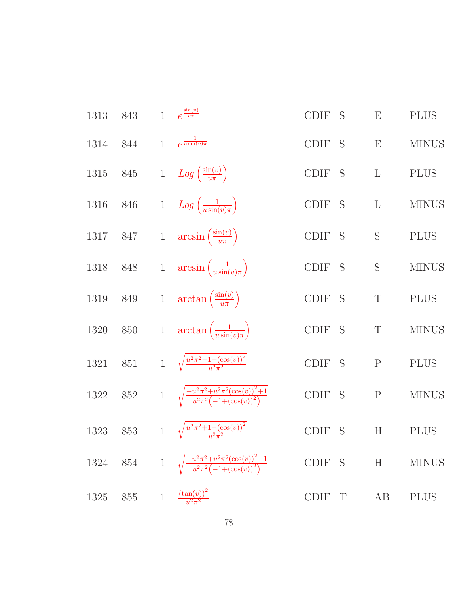| 1313 | 843     | $\mathbf{1}$   | $e^{\frac{\sin(v)}{u\pi}}$                                                  | <b>CDIF</b><br>S            | E            | <b>PLUS</b>  |
|------|---------|----------------|-----------------------------------------------------------------------------|-----------------------------|--------------|--------------|
| 1314 | 844     | $\mathbf{1}$   | $e^{\frac{1}{u\sin(v)\pi}}$                                                 | <b>CDIF</b><br>S            | E            | <b>MINUS</b> |
| 1315 | 845     |                | 1 $Log\left(\frac{\sin(v)}{u\pi}\right)$                                    | <b>CDIF</b><br>S            | $\mathbf{L}$ | <b>PLUS</b>  |
| 1316 | 846     |                | 1 $Log\left(\frac{1}{u\sin(v)\pi}\right)$                                   | CDIF<br>S                   | $\Gamma$     | <b>MINUS</b> |
| 1317 | 847     |                | 1 $\arcsin\left(\frac{\sin(v)}{u\pi}\right)$                                | <b>CDIF</b><br>S            | S            | <b>PLUS</b>  |
| 1318 | 848     |                | 1 $\arcsin\left(\frac{1}{u\sin(v)\pi}\right)$                               | <b>CDIF</b><br>S            | S            | <b>MINUS</b> |
| 1319 | 849     |                | 1 $\arctan\left(\frac{\sin(v)}{u\pi}\right)$                                | CDIF<br><sub>S</sub>        | $\mathbf T$  | <b>PLUS</b>  |
| 1320 | 850     |                | 1 $\arctan\left(\frac{1}{u\sin(v)\pi}\right)$                               | CDIF<br>S                   | $\mathbf T$  | <b>MINUS</b> |
| 1321 | 851     |                | 1 $\sqrt{\frac{u^2 \pi^2 - 1 + (\cos(v))^2}{u^2 \pi^2}}$                    | <b>CDIF</b><br><sub>S</sub> | ${\bf P}$    | <b>PLUS</b>  |
| 1322 | 852     |                | 1 $\sqrt{\frac{-u^2\pi^2+u^2\pi^2(\cos(v))^2+1}{u^2\pi^2(-1+(\cos(v))^2)}}$ | <b>CDIF</b><br>S            | $\mathbf{P}$ | <b>MINUS</b> |
| 1323 | $853\,$ | $\overline{1}$ | $\sqrt{\frac{u^2\pi^2+1-(\cos(v))^2}{u^2\pi^2}}$                            | S<br><b>CDIF</b>            | H            | <b>PLUS</b>  |
| 1324 | $854\,$ | $\mathbf{1}$   | $\frac{-u^2\pi^2+u^2\pi^2(\cos(v))^2-1}{u^2\pi^2(-1+(\cos(v))^2)}$          | <b>CDIF</b><br>S            | H            | <b>MINUS</b> |
| 1325 | 855     | $\,1\,$        | $\frac{(\tan(v))^2}{u^2\pi^2}$                                              | CDIF<br>$\mathrm{T}$        | AB           | <b>PLUS</b>  |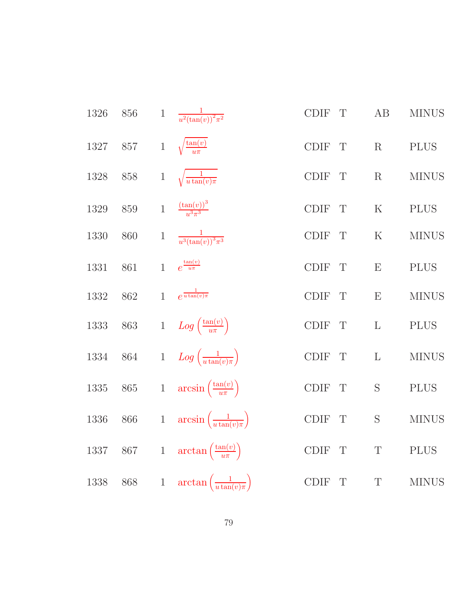| 1326 | 856     | $\mathbf 1$    | $\frac{1}{u^2(\tan(v))^2\pi^2}$              | $\operatorname{CDIF}$<br>T  | $\rm AB$     | <b>MINUS</b> |
|------|---------|----------------|----------------------------------------------|-----------------------------|--------------|--------------|
| 1327 | 857     | $\mathbf{1}$   | $\sqrt{\frac{\tan(v)}{u\pi}}$                | $\operatorname{CDIF}$<br>T  | R            | <b>PLUS</b>  |
| 1328 | 858     | $\,1$          | $\sqrt{\frac{1}{u\tan(v)\pi}}$               | $\operatorname{CDIF}$<br>T  | $\mathbf R$  | <b>MINUS</b> |
| 1329 | 859     | $\mathbf{1}$   | $\frac{(\tan(v))^3}{u^3\pi^3}$               | CDIF<br>T                   | K            | <b>PLUS</b>  |
| 1330 | 860     | $\,1$          | $\frac{1}{u^3(\tan(v))^3\pi^3}$              | <b>CDIF</b><br>$\mathbf{T}$ | $\mathbf K$  | <b>MINUS</b> |
| 1331 | 861     | $\overline{1}$ | $e^{\frac{\tan(v)}{u\pi}}$                   | CDIF<br>$\mathbf T$         | E            | <b>PLUS</b>  |
| 1332 | $862\,$ | $\overline{1}$ | $e^{\frac{1}{u\tan(v)\pi}}$                  | CDIF<br>T                   | E            | <b>MINUS</b> |
| 1333 | 863     |                | 1 $Log\left(\frac{\tan(v)}{u\pi}\right)$     | $\operatorname{CDIF}$<br>T  | $\mathbf{L}$ | <b>PLUS</b>  |
| 1334 | $864\,$ |                | 1 $Log\left(\frac{1}{u \tan(v)\pi}\right)$   | $\operatorname{CDIF}$<br>T  | $\mathbf{L}$ | <b>MINUS</b> |
| 1335 | $865\,$ |                | 1 $\arcsin\left(\frac{\tan(v)}{u\pi}\right)$ | $\operatorname{CDIF}$<br>T  | S            | <b>PLUS</b>  |
| 1336 | $866\,$ | $1\,$          | $arcsin\left(\frac{1}{u\tan(v)\pi}\right)$   | $\operatorname{CDIF}$<br>T  | S            | <b>MINUS</b> |
| 1337 | $867\,$ |                | 1 $\arctan\left(\frac{\tan(v)}{u\pi}\right)$ | $\operatorname{CDIF}$<br>T  | $\mathbf T$  | <b>PLUS</b>  |
| 1338 | 868     | $\,1$          | $\arctan\left(\frac{1}{u\tan(v)\pi}\right)$  | $\operatorname{CDIF}$<br>T  | $\mathbf T$  | <b>MINUS</b> |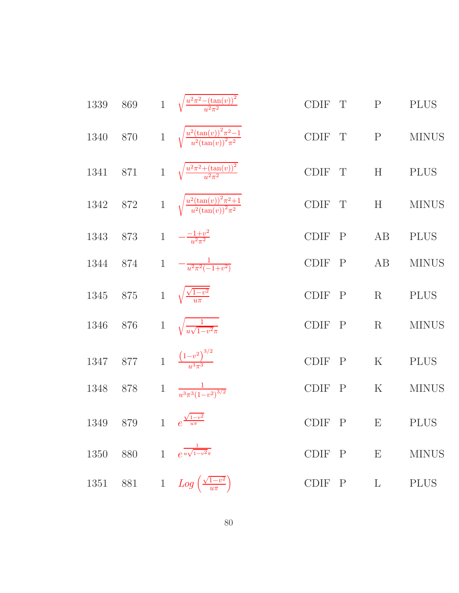| $1339\,$ | 869     | 1 $\sqrt{\frac{u^2\pi^2-(\tan(v))^2}{u^2\pi^2}}$                     | CDIF T | $\mathbf{P}$    | <b>PLUS</b>  |
|----------|---------|----------------------------------------------------------------------|--------|-----------------|--------------|
| 1340     | $870\,$ | 1 $\sqrt{\frac{u^2(\tan(v))^2 \pi^2 - 1}{u^2(\tan(v))^2 \pi^2}}$     | CDIF T | $\mathbf{P}$    | <b>MINUS</b> |
| 1341     |         | 871 1 $\sqrt{\frac{u^2\pi^2 + (\tan(v))^2}{u^2\pi^2}}$               | CDIF T | H               | <b>PLUS</b>  |
| 1342     |         | 872 1 $\sqrt{\frac{u^2(\tan(v))^2 \pi^2 + 1}{u^2(\tan(v))^2 \pi^2}}$ | CDIF T | H               | <b>MINUS</b> |
| 1343 873 |         | 1 $-\frac{-1+v^2}{u^2\pi^2}$                                         | CDIF P | AB              | <b>PLUS</b>  |
| 1344     | 874     | 1 $-\frac{1}{u^2\pi^2(-1+v^2)}$                                      | CDIF P | AB              | <b>MINUS</b> |
| 1345     | 875     | 1 $\sqrt{\frac{\sqrt{1-v^2}}{u\pi}}$                                 | CDIF P | R               | <b>PLUS</b>  |
| 1346     | 876     | 1 $\sqrt{\frac{1}{u\sqrt{1-v^2}\pi}}$                                | CDIF P | R               | <b>MINUS</b> |
| 1347     | 877     | 1 $\frac{(1-v^2)^{3/2}}{v^3\pi^3}$                                   | CDIF P | ${\bf K}$       | <b>PLUS</b>  |
| 1348     | 878     | 1 $\frac{1}{u^3\pi^3(1-v^2)^{3/2}}$                                  | CDIF P | $\mathbf K$     | <b>MINUS</b> |
| 1349     | 879     | 1 $e^{\frac{\sqrt{1-v^2}}{u\pi}}$                                    | CDIF P | E               | <b>PLUS</b>  |
| 1350     | 880     | 1 $e^{\frac{1}{u\sqrt{1-v^2\pi}}}$                                   | CDIF P | $E_{\parallel}$ | <b>MINUS</b> |
| 1351     | 881     | 1 $Log\left(\frac{\sqrt{1-v^2}}{u\pi}\right)$                        | CDIF P | $\mathbf{L}$    | <b>PLUS</b>  |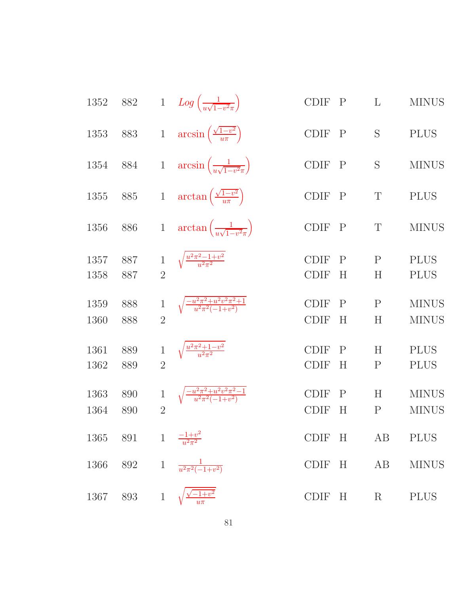| 1352         | 882        |                | 1 $Log\left(\frac{1}{u\sqrt{1-v^2\pi}}\right)$            | <b>CDIF</b>                | $\mathbf{P}$      | L                 | <b>MINUS</b>                 |
|--------------|------------|----------------|-----------------------------------------------------------|----------------------------|-------------------|-------------------|------------------------------|
| 1353         | 883        | $\,1$          | $arcsin\left(\frac{\sqrt{1-v^2}}{u\pi}\right)$            | <b>CDIF</b>                | $\mathbf{P}$      | S                 | <b>PLUS</b>                  |
| 1354         | 884        | $\mathbf{1}$   | $arcsin\left(\frac{1}{u\sqrt{1-v^2\pi}}\right)$           | <b>CDIF</b>                | $\mathbf{P}$      | S                 | <b>MINUS</b>                 |
| 1355         | 885        | $1\,$          | $\arctan\left(\frac{\sqrt{1-v^2}}{u\pi}\right)$           | <b>CDIF</b>                | $\mathbf{P}$      | T                 | <b>PLUS</b>                  |
| 1356         | 886        | $\mathbf{1}$   | $\arctan\left(\frac{1}{u\sqrt{1-v^2\pi}}\right)$          | <b>CDIF</b>                | $\mathbf{P}$      | T                 | <b>MINUS</b>                 |
| 1357<br>1358 | 887<br>887 | $\overline{2}$ | $\sqrt{\frac{u^2\pi^2-1+v^2}{u^2\pi^2}}$                  | <b>CDIF</b><br><b>CDIF</b> | $\mathbf P$<br>H  | $\mathbf{P}$<br>H | <b>PLUS</b><br><b>PLUS</b>   |
| 1359<br>1360 | 888<br>888 | $\overline{2}$ | $\sqrt{\frac{-u^2\pi^2+u^2v^2\pi^2+1}{u^2\pi^2(-1+v^2)}}$ | <b>CDIF</b><br><b>CDIF</b> | $\mathbf{P}$<br>Η | $\mathbf{P}$<br>H | <b>MINUS</b><br><b>MINUS</b> |
| 1361<br>1362 | 889<br>889 | $\overline{2}$ | $\sqrt{\frac{u^2\pi^2+1-v^2}{u^2\pi^2}}$                  | <b>CDIF</b><br><b>CDIF</b> | $\mathbf{P}$<br>H | H<br>$\mathbf{P}$ | <b>PLUS</b><br><b>PLUS</b>   |
| 1363<br>1364 | 890<br>890 | $\overline{2}$ | $\sqrt{\frac{-u^2\pi^2+u^2v^2\pi^2-1}{u^2\pi^2(-1+v^2)}}$ | <b>CDIF</b><br><b>CDIF</b> | $\mathbf P$<br>H  | H<br>$\mathbf{P}$ | <b>MINUS</b><br><b>MINUS</b> |
| 1365         | 891        |                | 1 $\frac{-1+v^2}{u^2\pi^2}$                               | <b>CDIF</b>                | H                 | AB                | <b>PLUS</b>                  |
| 1366         | $892\,$    |                | 1 $\frac{1}{u^2 \pi^2 (-1+v^2)}$                          | <b>CDIF</b>                | H                 | AB                | <b>MINUS</b>                 |
| 1367         | $893\,$    | $1\,$          | $\sqrt{-1+v^2}$                                           | CDIF                       | H                 | $\rm R$           | <b>PLUS</b>                  |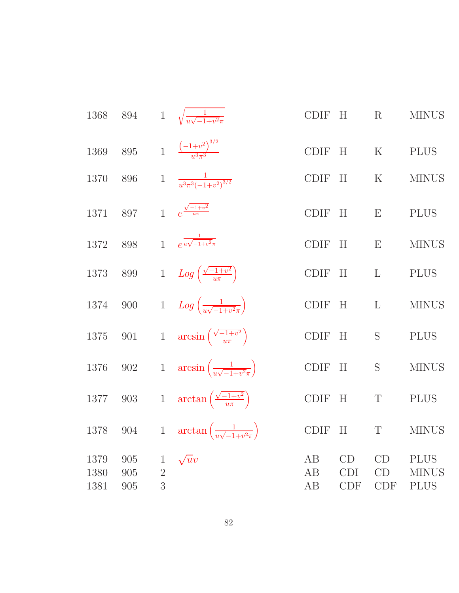| 1368                 | 894               |                                     | 1 $\sqrt{\frac{1}{u\sqrt{-1+v^2}\pi}}$            | <b>CDIF</b>    | H                              | R                      | <b>MINUS</b>                               |
|----------------------|-------------------|-------------------------------------|---------------------------------------------------|----------------|--------------------------------|------------------------|--------------------------------------------|
| 1369                 | 895               |                                     | 1 $\frac{(-1+v^2)^{3/2}}{u^3\pi^3}$               | <b>CDIF</b>    | H                              | $\rm K$                | <b>PLUS</b>                                |
| 1370                 | 896               | $\mathbf{1}$                        | $\frac{1}{u^3\pi^3(-1+v^2)^{3/2}}$                | <b>CDIF</b>    | H                              | $\rm K$                | <b>MINUS</b>                               |
| 1371                 | 897               | $\mathbf{1}$                        | $e^{\frac{\sqrt{-1+v^2}}{u\pi}}$                  | <b>CDIF</b>    | H                              | E                      | <b>PLUS</b>                                |
| 1372                 | 898               | $\mathbf{1}$                        | $e^{\frac{1}{u\sqrt{-1+v^2}\pi}}$                 | <b>CDIF</b>    | H                              | E                      | <b>MINUS</b>                               |
| 1373                 | 899               | $\mathbf{1}$                        | $Log\left(\frac{\sqrt{-1+v^2}}{u\pi}\right)$      | <b>CDIF</b>    | H                              | $\mathbf{L}$           | <b>PLUS</b>                                |
| 1374                 | 900               | $\mathbf{1}$                        | $Log\left(\frac{1}{u\sqrt{-1+v^2\pi}}\right)$     | <b>CDIF</b>    | H                              | $\mathbf{L}$           | <b>MINUS</b>                               |
| 1375                 | 901               | $1\,$                               | $arcsin\left(\frac{\sqrt{-1+v^2}}{u\pi}\right)$   | <b>CDIF</b>    | H                              | S                      | <b>PLUS</b>                                |
| 1376                 | 902               | $1\,$                               | $\arcsin\left(\frac{1}{u\sqrt{-1+v^2\pi}}\right)$ | <b>CDIF</b>    | H                              | S                      | <b>MINUS</b>                               |
| 1377                 | 903               | $\,1$                               | $\arctan\left(\frac{\sqrt{-1+v^2}}{u\pi}\right)$  | <b>CDIF</b>    | H                              | T                      | <b>PLUS</b>                                |
| 1378                 | 904               | $\,1$                               | $\arctan\left(\frac{1}{u\sqrt{-1+v^2\pi}}\right)$ | <b>CDIF</b>    | H                              | $\mathbf T$            | <b>MINUS</b>                               |
| 1379<br>1380<br>1381 | 905<br>905<br>905 | $\mathbf{1}$<br>$\overline{2}$<br>3 | $\sqrt{u}v$                                       | AB<br>AB<br>AB | CD<br><b>CDI</b><br><b>CDF</b> | CD<br>CD<br><b>CDF</b> | <b>PLUS</b><br><b>MINUS</b><br><b>PLUS</b> |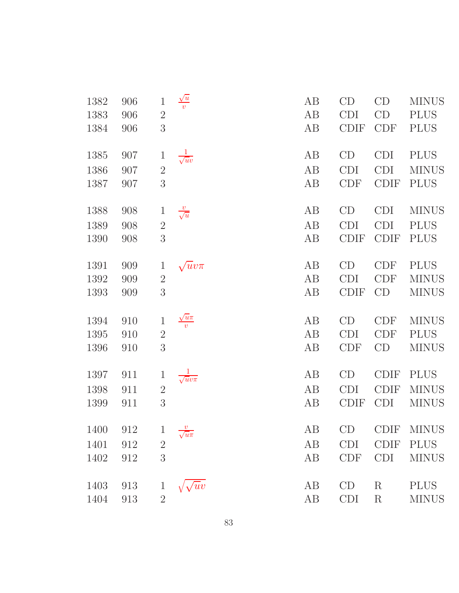| 1382<br>1383<br>1384 | 906<br>906<br>906 | $\mathbf 1$<br>$\overline{2}$<br>3 | $\frac{\sqrt{u}}{v}$     | AB<br>AB<br>AB | CD<br><b>CDI</b><br><b>CDIF</b> | CD<br>CD<br><b>CDF</b> | <b>MINUS</b><br><b>PLUS</b><br><b>PLUS</b> |
|----------------------|-------------------|------------------------------------|--------------------------|----------------|---------------------------------|------------------------|--------------------------------------------|
| 1385                 | 907               | $\mathbf 1$                        | $\frac{1}{\sqrt{uv}}$    | AB             | CD                              | <b>CDI</b>             | <b>PLUS</b>                                |
| 1386                 | 907               | $\overline{2}$                     |                          | AB             | <b>CDI</b>                      | <b>CDI</b>             | <b>MINUS</b>                               |
| 1387                 | 907               | 3                                  |                          | AB             | <b>CDF</b>                      | <b>CDIF</b>            | <b>PLUS</b>                                |
| 1388                 | 908               | $\mathbf{1}$                       | $\frac{v}{\sqrt{u}}$     | AB             | CD                              | <b>CDI</b>             | <b>MINUS</b>                               |
| 1389                 | 908               | $\overline{2}$                     |                          | AB             | <b>CDI</b>                      | <b>CDI</b>             | <b>PLUS</b>                                |
| 1390                 | 908               | 3                                  |                          | AB             | <b>CDIF</b>                     | <b>CDIF</b>            | <b>PLUS</b>                                |
| 1391                 | 909               | $\mathbf{1}$                       | $\sqrt{u}v\pi$           | AB             | CD                              | <b>CDF</b>             | <b>PLUS</b>                                |
| 1392                 | 909               | $\sqrt{2}$                         |                          | AB             | CDI                             | <b>CDF</b>             | <b>MINUS</b>                               |
| 1393                 | 909               | 3                                  |                          | AB             | <b>CDIF</b>                     | CD                     | <b>MINUS</b>                               |
| 1394                 | 910               | $\mathbf 1$                        | $\frac{\sqrt{u}\pi}{v}$  | AB             | CD                              | <b>CDF</b>             | <b>MINUS</b>                               |
| 1395                 | 910               | $\sqrt{2}$                         |                          | AB             | <b>CDI</b>                      | <b>CDF</b>             | <b>PLUS</b>                                |
| 1396                 | 910               | 3                                  |                          | AB             | <b>CDF</b>                      | CD                     | <b>MINUS</b>                               |
| 1397                 | 911               | $\mathbf 1$                        | $\frac{1}{\sqrt{uv\pi}}$ | AB             | CD                              | <b>CDIF</b>            | <b>PLUS</b>                                |
| 1398                 | 911               | $2\,$                              |                          | AB             | <b>CDI</b>                      | <b>CDIF</b>            | <b>MINUS</b>                               |
| 1399                 | 911               | 3                                  |                          | AB             | <b>CDIF</b>                     | <b>CDI</b>             | <b>MINUS</b>                               |
| 1400 912             |                   | 1 $\frac{v}{\sqrt{u^2}}$           |                          | AB             |                                 |                        | CD CDIF MINUS                              |
| 1401                 | 912               | $\overline{2}$                     | $\sqrt{u}\pi$            | AB             | <b>CDI</b>                      | <b>CDIF</b>            | <b>PLUS</b>                                |
| 1402                 | 912               | 3                                  |                          | AB             | <b>CDF</b>                      | <b>CDI</b>             | <b>MINUS</b>                               |
|                      |                   |                                    |                          |                |                                 |                        |                                            |
| 1403                 | 913               | $\mathbf 1$                        | $\sqrt{uv}$              | AB             | CD                              | $\rm R$                | <b>PLUS</b>                                |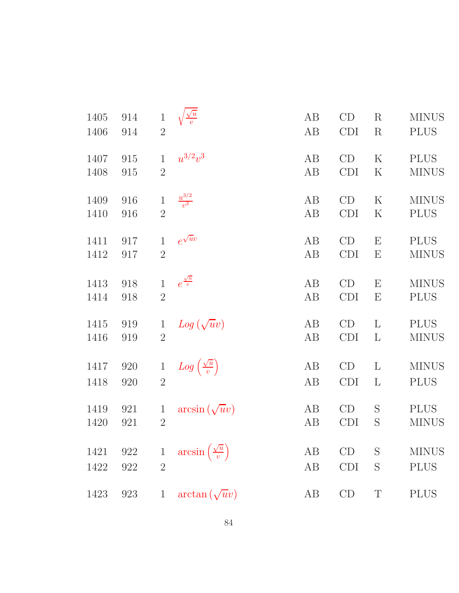| 1405 | 914 | $\mathbf 1$    | $\frac{\sqrt{u}}{v}$                    | AB | CD         | $\rm R$                   | <b>MINUS</b> |
|------|-----|----------------|-----------------------------------------|----|------------|---------------------------|--------------|
| 1406 | 914 | $\overline{2}$ |                                         | AB | <b>CDI</b> | $\mathbf R$               | <b>PLUS</b>  |
|      |     |                |                                         |    |            |                           |              |
| 1407 | 915 | $\mathbf{1}$   | $u^{3/2}v^3$                            | AB | CD         | $\rm K$                   | <b>PLUS</b>  |
| 1408 | 915 | $\overline{2}$ |                                         | AB | <b>CDI</b> | $\rm K$                   | <b>MINUS</b> |
|      |     |                |                                         |    |            |                           |              |
| 1409 | 916 | $\mathbf{1}$   | $\frac{u^{3/2}}{v^3}$                   | AB | CD         | $\rm K$                   | <b>MINUS</b> |
| 1410 | 916 | $\overline{2}$ |                                         | AB | <b>CDI</b> | $\rm K$                   | <b>PLUS</b>  |
|      |     |                |                                         |    |            |                           |              |
| 1411 | 917 | $\mathbf{1}$   | $e^{\sqrt{u}v}$                         | AB | CD         | $\mathbf E$               | <b>PLUS</b>  |
| 1412 | 917 | $\overline{2}$ |                                         | AB | <b>CDI</b> | $\boldsymbol{\mathrm{E}}$ | <b>MINUS</b> |
|      |     |                |                                         |    |            |                           |              |
| 1413 | 918 | $\mathbf{1}$   | $e^{\frac{\sqrt{u}}{v}}$                | AB | CD         | $\boldsymbol{\mathrm{E}}$ | <b>MINUS</b> |
| 1414 |     | $\overline{2}$ |                                         | AB | <b>CDI</b> | Ε                         | <b>PLUS</b>  |
|      | 918 |                |                                         |    |            |                           |              |
| 1415 | 919 | $\mathbf{1}$   |                                         | AB | CD         | L                         | <b>PLUS</b>  |
| 1416 | 919 | $\overline{2}$ | $Log(\sqrt{u}v)$                        | AB | <b>CDI</b> | $\mathbf{L}$              | <b>MINUS</b> |
|      |     |                |                                         |    |            |                           |              |
| 1417 | 920 | $\mathbf{1}$   |                                         | AB | CD         | $\mathbf{L}$              | <b>MINUS</b> |
|      |     |                | $Log\left(\frac{\sqrt{u}}{v}\right)$    |    |            |                           |              |
| 1418 | 920 | $\overline{2}$ |                                         | AB | CDI        | $\mathbf{L}$              | <b>PLUS</b>  |
| 1419 | 921 | $\mathbf{1}$   | $arcsin(\sqrt{u}v)$                     | AB | CD         | S                         | <b>PLUS</b>  |
| 1420 | 921 | $\overline{2}$ |                                         | AB | <b>CDI</b> | S                         | <b>MINUS</b> |
|      |     |                |                                         |    |            |                           |              |
| 1421 | 922 | $\mathbf{1}$   | $arcsin\left(\frac{\sqrt{u}}{v}\right)$ | AB | CD         | S                         | <b>MINUS</b> |
|      |     |                |                                         |    |            |                           |              |
| 1422 | 922 | $\overline{2}$ |                                         | AB | <b>CDI</b> | S                         | <b>PLUS</b>  |
|      |     |                |                                         |    |            |                           |              |
| 1423 | 923 | $\mathbf{1}$   | $arctan(\sqrt{u}v)$                     | AB | CD         | $\mathbf T$               | <b>PLUS</b>  |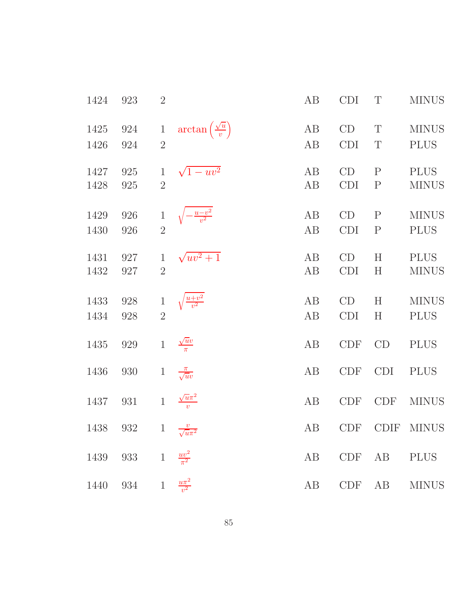| 1424         | 923                                         | $\overline{2}$                 |                                          | AB       | <b>CDI</b>        | T                           | <b>MINUS</b>                |
|--------------|---------------------------------------------|--------------------------------|------------------------------------------|----------|-------------------|-----------------------------|-----------------------------|
| 1425<br>1426 | 924<br>924                                  | $\mathbf{1}$<br>$\overline{2}$ | $\arctan\left(\frac{\sqrt{u}}{v}\right)$ | AB<br>AB | CD<br><b>CDI</b>  | T<br>T                      | <b>MINUS</b><br><b>PLUS</b> |
| 1427<br>1428 | 925<br>925                                  | $\mathbf{1}$<br>$\overline{2}$ | $\sqrt{1 - uv^2}$                        | AB<br>AB | CD<br><b>CDI</b>  | $\mathbf{P}$<br>$\mathbf P$ | <b>PLUS</b><br><b>MINUS</b> |
| 1429         | 926                                         | $\mathbf{1}$                   | $\left(-\frac{u-v^2}{v^2}\right)$        | AB       | CD                | $\mathbf{P}$                | <b>MINUS</b>                |
| 1430<br>1431 | 926<br>927                                  | $\overline{2}$<br>$\mathbf{1}$ | $\sqrt{uv^2+1}$                          | AB<br>AB | <b>CDI</b><br>CD  | $\mathbf P$<br>H            | <b>PLUS</b><br><b>PLUS</b>  |
| 1432         | 927                                         | $\overline{2}$                 |                                          | AB       | <b>CDI</b>        | H                           | <b>MINUS</b>                |
| 1433<br>1434 | 928<br>928                                  | $\overline{2}$                 | $\frac{u+v^2}{v^2}$                      | AB<br>AB | CD<br><b>CDI</b>  | $H_{\rm}$<br>H              | <b>MINUS</b><br><b>PLUS</b> |
| 1435         | $929\,$                                     | $\mathbf{1}$                   | $\frac{\sqrt{u}v}{\pi}$                  | AB       | CDF               | CD                          | <b>PLUS</b>                 |
| 1436         | 930                                         | $\mathbf{1}$                   | $\frac{\pi}{\sqrt{uv}}$                  | AB       | <b>CDF</b>        | <b>CDI</b>                  | <b>PLUS</b>                 |
| 1437         | 931<br>1438 932 1 $\frac{v}{\sqrt{u\pi^2}}$ | $\mathbf{1}$                   | $\sqrt{u}\pi^2$                          | AB<br>AB | <b>CDF</b><br>CDF | <b>CDF</b>                  | <b>MINUS</b><br>CDIF MINUS  |
| 1439         | 933 1                                       |                                | $\frac{uv^2}{\pi^2}$                     | AB       | <b>CDF</b>        | AB                          | <b>PLUS</b>                 |
| 1440         | 934                                         | $\mathbf{1}$                   | $\frac{u\pi^2}{v^2}$                     | AB       | CDF               | AB                          | <b>MINUS</b>                |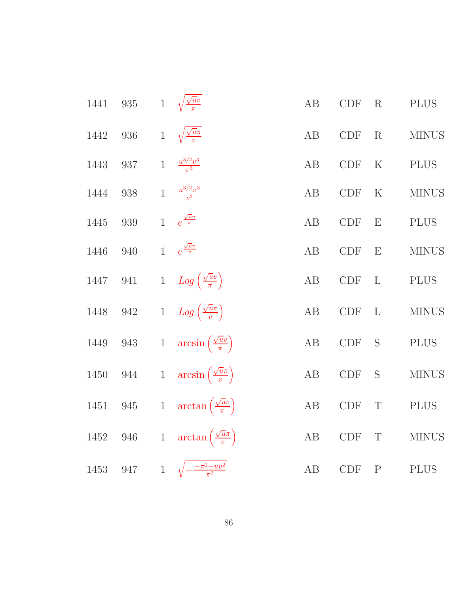| 1441 | $935\,$ |              | $1 \sqrt{\frac{\sqrt{u}v}{\pi}}$              | AB       | CDF                         | R            | <b>PLUS</b>  |
|------|---------|--------------|-----------------------------------------------|----------|-----------------------------|--------------|--------------|
| 1442 | $936\,$ | $\mathbf{1}$ | $\sqrt{\frac{\sqrt{u}\pi}{v}}$                | AB       | $\ensuremath{\mathrm{CDF}}$ | R            | <b>MINUS</b> |
| 1443 | 937     | $\,1$        | $\frac{u^{3/2}v^3}{\pi^3}$                    | AB       | <b>CDF</b>                  | $\rm K$      | <b>PLUS</b>  |
| 1444 | 938     | $\mathbf{1}$ | $\frac{u^{3/2}\pi^3}{v^3}$                    | AB       | <b>CDF</b>                  | $\rm K$      | <b>MINUS</b> |
| 1445 | $939\,$ | $\mathbf{1}$ | $e^{\frac{\sqrt{u}v}{\pi}}$                   | AB       | $\ensuremath{\mathrm{CDF}}$ | E            | <b>PLUS</b>  |
| 1446 | 940     |              | 1 $e^{\frac{\sqrt{u}\pi}{v}}$                 | AB       | CDF                         | E            | <b>MINUS</b> |
| 1447 | $941\,$ |              | 1 $Log\left(\frac{\sqrt{uv}}{\pi}\right)$     | AB       | CDF                         | $\mathbf{L}$ | <b>PLUS</b>  |
| 1448 | $942\,$ |              | 1 $Log\left(\frac{\sqrt{u}\pi}{v}\right)$     | AB       | $\ensuremath{\mathrm{CDF}}$ | $\mathbf{L}$ | $\rm MINUS$  |
| 1449 | $943\,$ |              | 1 $\arcsin\left(\frac{\sqrt{u}v}{\pi}\right)$ | AB       | CDF                         | S            | $\rm PLUS$   |
| 1450 | 944     |              | 1 $\arcsin\left(\frac{\sqrt{u}\pi}{v}\right)$ | $\rm AB$ | <b>CDF</b>                  | S            | $\rm MINUS$  |
| 1451 | $945\,$ |              | 1 $\arctan\left(\frac{\sqrt{u}v}{\pi}\right)$ | AB       | $\ensuremath{\mathrm{CDF}}$ | $\mathbf T$  | <b>PLUS</b>  |
| 1452 | $946\,$ |              | 1 $\arctan\left(\frac{\sqrt{u}\pi}{v}\right)$ | $\rm AB$ | <b>CDF</b>                  | T            | <b>MINUS</b> |
| 1453 | $947\,$ |              | 1 $\sqrt{-\frac{-\pi^2 + uv^2}{\pi^2}}$       | AB       | CDF                         | $\mathbf P$  | <b>PLUS</b>  |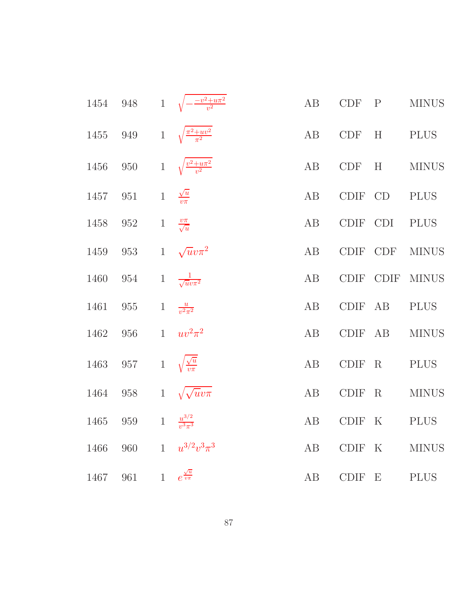| 1454 | $948\,$ |              | 1 $\sqrt{-\frac{-v^2+u\pi^2}{v^2}}$ | AB | CDF         | $\mathbf{P}$ | <b>MINUS</b> |
|------|---------|--------------|-------------------------------------|----|-------------|--------------|--------------|
| 1455 | 949     | $\mathbf{1}$ | $\sqrt{\frac{\pi^2+uv^2}{\pi^2}}$   | AB | <b>CDF</b>  | H            | <b>PLUS</b>  |
| 1456 | $950\,$ | $\,1$        | $\sqrt{\frac{v^2+u\pi^2}{v^2}}$     | AB | <b>CDF</b>  | H            | <b>MINUS</b> |
| 1457 | $951\,$ | $\mathbf{1}$ | $\frac{\sqrt{u}}{v\pi}$             | AB | <b>CDIF</b> | CD           | PLUS         |
| 1458 | 952     | $\,1$        | $\frac{v\pi}{\sqrt{u}}$             | AB | CDIF        | <b>CDI</b>   | <b>PLUS</b>  |
| 1459 | 953     | $\mathbf{1}$ | $\sqrt{u}v\pi^2$                    | AB | <b>CDIF</b> | <b>CDF</b>   | <b>MINUS</b> |
| 1460 | 954     | $\mathbf{1}$ | $\frac{1}{\sqrt{u}v\pi^2}$          | AB | <b>CDIF</b> | <b>CDIF</b>  | <b>MINUS</b> |
| 1461 | 955     | $\mathbf{1}$ | $\frac{u}{v^2\pi^2}$                | AB | CDIF AB     |              | <b>PLUS</b>  |
| 1462 | 956     | $\mathbf{1}$ | $uv^2\pi^2$                         | AB | CDIF AB     |              | <b>MINUS</b> |
| 1463 | 957     | $\mathbf{1}$ | $\sqrt{\frac{\sqrt{u}}{v \pi}}$     | AB | <b>CDIF</b> | $\mathbf R$  | <b>PLUS</b>  |
| 1464 | 958     | $\mathbf{1}$ | $\sqrt{\sqrt{u}v\pi}$               | AB | <b>CDIF</b> | R            | <b>MINUS</b> |
| 1465 | 959     | $\mathbf{1}$ | $\frac{u^{3/2}}{v^3 \pi^3}$         | AB | CDIF K      |              | <b>PLUS</b>  |
| 1466 | 960     | $\mathbf{1}$ | $u^{3/2}v^3\pi^3$                   | AB | CDIF        | $\rm K$      | <b>MINUS</b> |
| 1467 | 961     |              | 1 $e^{\frac{\sqrt{u}}{v\pi}}$       | AB | CDIF E      |              | <b>PLUS</b>  |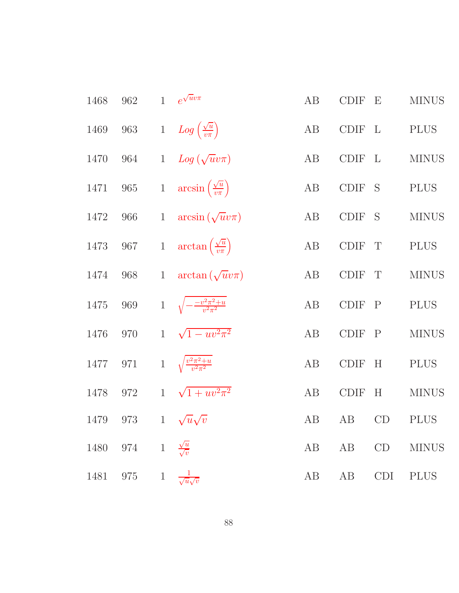| 1468 | 962     |              | 1 $e^{\sqrt{u}v\pi}$                          | AB | <b>CDIF</b> | $\mathbf{E}$ | <b>MINUS</b> |
|------|---------|--------------|-----------------------------------------------|----|-------------|--------------|--------------|
| 1469 | $963\,$ |              | 1 $Log\left(\frac{\sqrt{u}}{v\pi}\right)$     | AB | CDIF L      |              | <b>PLUS</b>  |
| 1470 | 964     |              | 1 $Log(\sqrt{u}v\pi)$                         | AB | <b>CDIF</b> | $\mathbf{L}$ | <b>MINUS</b> |
| 1471 | $965\,$ |              | 1 $\arcsin\left(\frac{\sqrt{u}}{v\pi}\right)$ | AB | CDIF S      |              | <b>PLUS</b>  |
| 1472 | 966     | $\mathbf{1}$ | $arcsin(\sqrt{u}v\pi)$                        | AB | <b>CDIF</b> | S            | <b>MINUS</b> |
| 1473 | $967\,$ |              | 1 $\arctan\left(\frac{\sqrt{u}}{v\pi}\right)$ | AB | CDIF        | $\mathbf T$  | <b>PLUS</b>  |
| 1474 | 968     | $\mathbf{1}$ | $arctan(\sqrt{u}v\pi)$                        | AB | <b>CDIF</b> | T            | <b>MINUS</b> |
| 1475 | 969     |              | 1 $\sqrt{-\frac{-v^2\pi^2+u}{v^2\pi^2}}$      | AB | CDIF P      |              | <b>PLUS</b>  |
| 1476 | 970     |              | 1 $\sqrt{1 - uv^2 \pi^2}$                     | AB | <b>CDIF</b> | $\mathbf{P}$ | <b>MINUS</b> |
| 1477 | 971     |              | 1 $\sqrt{\frac{v^2 \pi^2 + u}{v^2 \pi^2}}$    | AB | <b>CDIF</b> | H            | <b>PLUS</b>  |
| 1478 | 972     | $\mathbf{1}$ | $\sqrt{1 + uv^2\pi^2}$                        | AB | <b>CDIF</b> | H            | <b>MINUS</b> |
| 1479 | 973     |              | 1 $\sqrt{u}\sqrt{v}$                          | AB | AB          | CD           | <b>PLUS</b>  |
| 1480 | 974     | $\mathbf{1}$ | $\frac{\sqrt{u}}{\sqrt{v}}$                   | AB | AB          | CD           | <b>MINUS</b> |
| 1481 | 975     | $\mathbf{1}$ | $\frac{1}{\sqrt{u}\sqrt{v}}$                  | AB | AB          | <b>CDI</b>   | <b>PLUS</b>  |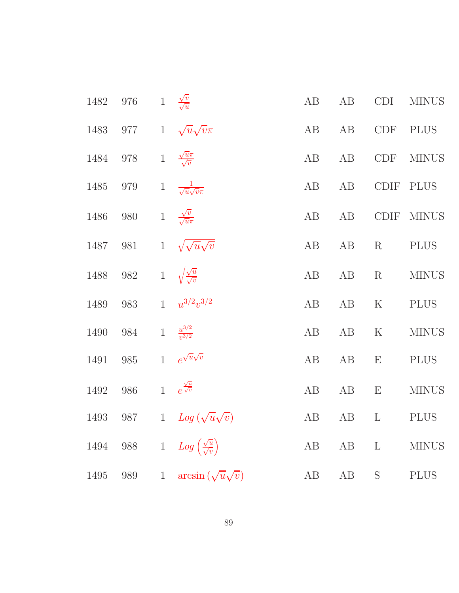| 1482 | $976\,$ |              | 1 $\frac{\sqrt{v}}{\sqrt{u}}$                 | $\rm AB$ | $\rm AB$ | CDI            | <b>MINUS</b> |
|------|---------|--------------|-----------------------------------------------|----------|----------|----------------|--------------|
| 1483 |         |              | 977 1 $\sqrt{u}\sqrt{v}\pi$                   | AB       | AB       | CDF            | <b>PLUS</b>  |
| 1484 | $978\,$ |              | 1 $\frac{\sqrt{u}\pi}{\sqrt{v}}$              | AB       | AB       | CDF            | <b>MINUS</b> |
| 1485 | $979\,$ | $\,1$        | $\frac{1}{\sqrt{u}\sqrt{v}\pi}$               | $\rm AB$ | $\rm AB$ | <b>CDIF</b>    | <b>PLUS</b>  |
| 1486 | $980\,$ |              | 1 $\frac{\sqrt{v}}{\sqrt{u}\pi}$              | AB       | $\rm AB$ | CDIF           | <b>MINUS</b> |
| 1487 | $981\,$ |              | 1 $\sqrt{\sqrt{u}\sqrt{v}}$                   | $\rm AB$ | AB       | $\rm R$        | <b>PLUS</b>  |
| 1488 | $982\,$ |              | 1 $\sqrt{\frac{\sqrt{u}}{\sqrt{v}}}$          | AB       | $\rm AB$ | $\mathbf R$    | <b>MINUS</b> |
| 1489 | 983     | $\mathbf{1}$ | $u^{3/2}v^{3/2}$                              | AB       | AB       | $\rm K$        | <b>PLUS</b>  |
| 1490 | 984     | $\mathbf{1}$ | $\frac{u^{3/2}}{v^{3/2}}$                     | AB       | AB       | $\mathbf K$    | <b>MINUS</b> |
| 1491 | $985\,$ | $\mathbf{1}$ | $e^{\sqrt{u}\sqrt{v}}$                        | AB       | $\rm AB$ | E              | <b>PLUS</b>  |
| 1492 | 986     |              | 1 $e^{\frac{\sqrt{u}}{\sqrt{v}}}$             | AB       | $\rm AB$ | E              | <b>MINUS</b> |
| 1493 | 987     |              | 1 $Log(\sqrt{u}\sqrt{v})$                     | AB       | AB       | $\mathbf{L}$   | $\rm PLUS$   |
| 1494 | 988     |              | 1 $Log\left(\frac{\sqrt{u}}{\sqrt{v}}\right)$ | AB       | $\rm AB$ | $\mathbf{L}$   | <b>MINUS</b> |
| 1495 | 989     | $\mathbf{1}$ | $arcsin(\sqrt{u}\sqrt{v})$                    | AB       | AB       | ${\mathcal S}$ | <b>PLUS</b>  |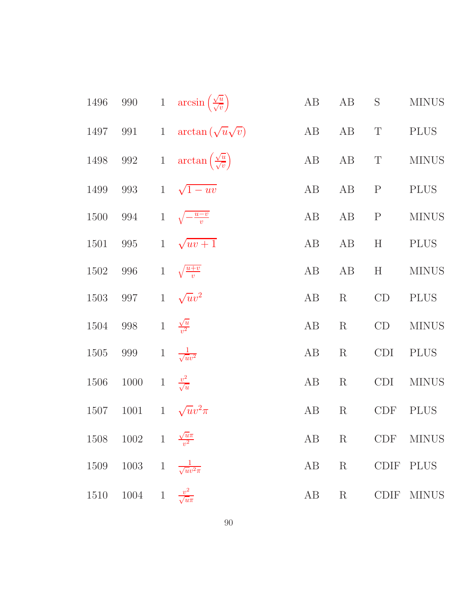| 1496 | $990\,$                          |                 | 1 $arcsin(\frac{\sqrt{u}}{\sqrt{v}})$             | $\rm AB$ | AB          | S           | <b>MINUS</b> |
|------|----------------------------------|-----------------|---------------------------------------------------|----------|-------------|-------------|--------------|
| 1497 | 991                              | $\mathbf{1}$    | $\arctan(\sqrt{u}\sqrt{v})$                       | AB       | AB          | $\mathbf T$ | <b>PLUS</b>  |
| 1498 | 992                              |                 | 1 $\arctan\left(\frac{\sqrt{u}}{\sqrt{v}}\right)$ | AB       | AB          | $\mathbf T$ | <b>MINUS</b> |
| 1499 | 993                              |                 | $1\sqrt{1-uv}$                                    | $\rm AB$ | AB          | $\mathbf P$ | <b>PLUS</b>  |
| 1500 | 994                              | $\mathbf{1}$    | $\sqrt{-\frac{u-v}{v}}$                           | $\rm AB$ | AB          | $\mathbf P$ | <b>MINUS</b> |
| 1501 | 995                              | $1\overline{ }$ | $\sqrt{uv+1}$                                     | AB       | AB          | H           | <b>PLUS</b>  |
| 1502 | 996                              |                 | 1 $\sqrt{\frac{u+v}{v}}$                          | AB       | AB          | H           | <b>MINUS</b> |
| 1503 | 997                              |                 | 1 $\sqrt{u}v^2$                                   | $\rm AB$ | $\rm R$     | CD          | <b>PLUS</b>  |
| 1504 | $998\,$                          |                 | 1 $\frac{\sqrt{u}}{v^2}$                          | AB       | $\mathbf R$ | CD          | <b>MINUS</b> |
| 1505 | 999                              |                 | 1 $\frac{1}{\sqrt{uv^2}}$                         | AB       | $\mathbf R$ | CDI         | <b>PLUS</b>  |
| 1506 | 1000                             |                 | 1 $\frac{v^2}{\sqrt{u}}$                          | $\rm AB$ | $\rm R$     | <b>CDI</b>  | <b>MINUS</b> |
| 1507 | 1001                             | $1\overline{ }$ | $\sqrt{u}v^2\pi$                                  | AB       | $\rm R$     | <b>CDF</b>  | <b>PLUS</b>  |
| 1508 | 1002 1 $\frac{\sqrt{u}\pi}{v^2}$ |                 |                                                   | AB       | $\rm R$     | <b>CDF</b>  | <b>MINUS</b> |
| 1509 | 1003                             | $\overline{1}$  | $\frac{1}{\sqrt{uv^2\pi}}$                        | AB       | $\rm R$     | <b>CDIF</b> | <b>PLUS</b>  |
| 1510 | 1004                             | $1\,$           | $\frac{v^2}{\sqrt{u\pi}}$                         | AB       | $\rm R$     | CDIF        | <b>MINUS</b> |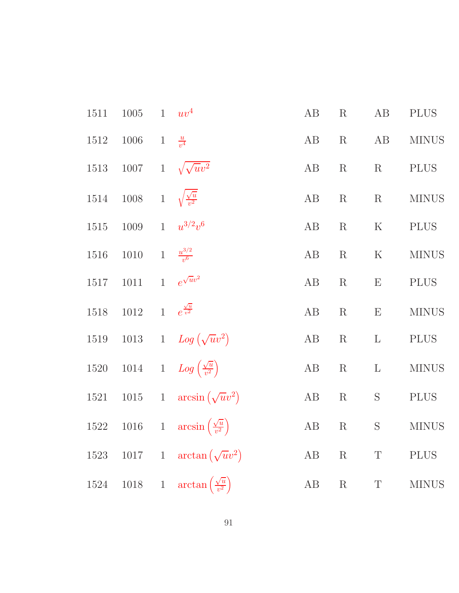| 1511 | $1005\,$ | $\mathbf{1}$ | $uv^4$                                            | AB       | R           | AB           | $\rm PLUS$   |
|------|----------|--------------|---------------------------------------------------|----------|-------------|--------------|--------------|
| 1512 | 1006     | $\mathbf{1}$ | $\frac{u}{v^4}$                                   | AB       | $\rm R$     | AB           | <b>MINUS</b> |
| 1513 | 1007     | $\,1$        | $\sqrt{\sqrt{u}v^2}$                              | $\rm AB$ | R           | R            | <b>PLUS</b>  |
| 1514 | 1008     |              | 1 $\sqrt{\frac{\sqrt{u}}{v^2}}$                   | $\rm AB$ | R           | R            | <b>MINUS</b> |
| 1515 | 1009     | 1            | $u^{3/2}v^6$                                      | $\rm AB$ | R           | ${\bf K}$    | <b>PLUS</b>  |
| 1516 | $1010\,$ |              | 1 $\frac{u^{3/2}}{v^6}$                           | $\rm AB$ | $\mathbf R$ | ${\bf K}$    | <b>MINUS</b> |
| 1517 | $1011\,$ | $\mathbf{1}$ | $e^{\sqrt{u}v^2}$                                 | AB       | R           | $\mathbf E$  | <b>PLUS</b>  |
| 1518 | $1012\,$ |              | 1 $e^{\frac{\sqrt{u}}{v^2}}$                      | $\rm AB$ | $\mathbf R$ | ${\bf E}$    | $\rm MINUS$  |
| 1519 |          |              | 1013 1 $Log(\sqrt{u}v^2)$                         | $\rm AB$ | $\mathbf R$ | $\mathbf L$  | <b>PLUS</b>  |
| 1520 | 1014     |              | 1 $Log\left(\frac{\sqrt{u}}{v^2}\right)$          | AB       | $\mathbf R$ | $\mathbf{L}$ | <b>MINUS</b> |
| 1521 | $1015\,$ |              | 1 $\arcsin(\sqrt{uv^2})$                          | $\rm AB$ | $\mathbf R$ | $\mathbf S$  | <b>PLUS</b>  |
| 1522 |          |              | 1016 1 $\arcsin\left(\frac{\sqrt{u}}{v^2}\right)$ | $\rm AB$ | $\mathbf R$ | $\mathbf S$  | <b>MINUS</b> |
| 1523 |          |              | 1017 1 $\arctan(\sqrt{u}v^2)$                     | $\rm AB$ | $\mathbf R$ | $\mathbf T$  | <b>PLUS</b>  |
| 1524 |          |              | 1018 1 $\arctan\left(\frac{\sqrt{u}}{v^2}\right)$ | $\rm AB$ | ${\bf R}$   | $\mathbf T$  | <b>MINUS</b> |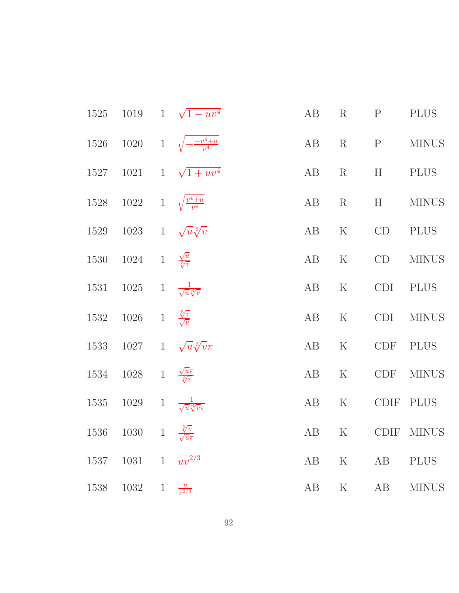|      |                                                  |              | 1525 1019 1 $\sqrt{1 - uv^4}$            | AB   |         | $R \t P$      | <b>PLUS</b>    |
|------|--------------------------------------------------|--------------|------------------------------------------|------|---------|---------------|----------------|
|      |                                                  |              | 1526 1020 1 $\sqrt{-\frac{-v^4+u}{v^4}}$ |      |         |               | AB R P MINUS   |
|      |                                                  |              | 1527 1021 1 $\sqrt{1 + uv^4}$            |      |         | AB R H PLUS   |                |
|      | 1528 1022 1 $\sqrt{\frac{v^4+u}{v^4}}$           |              |                                          |      | AB R    | H             | <b>MINUS</b>   |
|      | 1529 1023 1 $\sqrt{u}\sqrt[3]{v}$                |              |                                          | AB   | K       | CD            | <b>PLUS</b>    |
|      | 1530 1024 1 $\frac{\sqrt{u}}{\sqrt[3]{v}}$       |              |                                          |      | AB K    | CD            | <b>MINUS</b>   |
|      | 1531 1025 1 $\frac{1}{\sqrt{u}\sqrt[3]{v}}$      |              |                                          |      |         | AB K CDI PLUS |                |
|      | 1532 1026 1 $\frac{3\overline{v}}{\sqrt{u}}$     |              |                                          |      |         |               | AB K CDI MINUS |
|      |                                                  |              | 1533 1027 1 $\sqrt{u}\sqrt[3]{v}\pi$     |      |         | AB K CDF PLUS |                |
|      | 1534 1028 1 $\frac{\sqrt{u}\pi}{\sqrt[3]{v}}$    |              |                                          | AB   |         | K CDF         | <b>MINUS</b>   |
|      | 1535 1029 1 $\frac{1}{\sqrt{u} \sqrt[3]{v} \pi}$ |              |                                          | AB K |         | CDIF PLUS     |                |
|      | 1536 1030 1 $\frac{3}{\sqrt{u\pi}}$              |              |                                          | AB   |         |               | K CDIF MINUS   |
| 1537 | 1031                                             |              | $1 - uv^{2/3}$                           | AB   | $\rm K$ | AB            | <b>PLUS</b>    |
| 1538 | 1032                                             | $\mathbf{1}$ | $\frac{u}{v^{2/3}}$                      | AB   | $\rm K$ | AB            | <b>MINUS</b>   |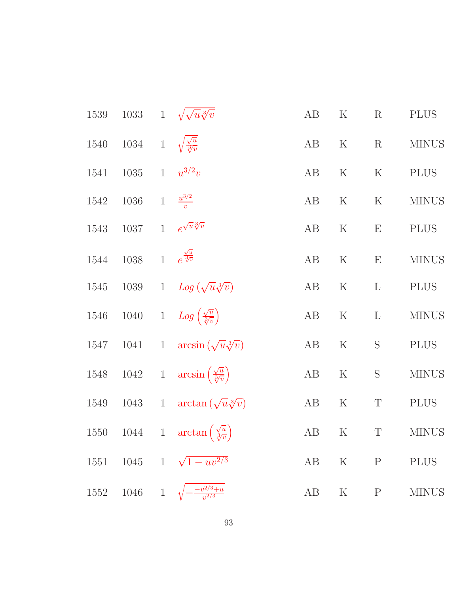| $1539\,$ |                                              | 1033 1 $\sqrt{\sqrt{u}\sqrt[3]{v}}$                            | AB       | $\rm K$     | $\mathbf R$    | <b>PLUS</b>  |
|----------|----------------------------------------------|----------------------------------------------------------------|----------|-------------|----------------|--------------|
| 1540     | 1034 1 $\sqrt{\frac{\sqrt{u}}{\sqrt[3]{v}}}$ |                                                                | AB       | ${\bf K}$   | $\rm R$        | <b>MINUS</b> |
| 1541     | 1035 1 $u^{3/2}v$                            |                                                                | AB       | $\rm K$     | ${\bf K}$      | <b>PLUS</b>  |
| 1542     | 1036                                         | $1-\frac{u^{3/2}}{v}$                                          | AB       | $\mathbf K$ | ${\bf K}$      | <b>MINUS</b> |
| 1543     | $1037\,$                                     | 1 $e^{\sqrt{u}\sqrt[3]{v}}$                                    | AB       | $\mathbf K$ | E              | <b>PLUS</b>  |
| 1544     | 1038 1 $e^{\frac{\sqrt{u}}{\sqrt[3]{v}}}$    |                                                                | AB       | $\rm K$     | ${\bf E}$      | <b>MINUS</b> |
| 1545     | 1039                                         | 1 $Log(\sqrt{u}\sqrt[3]{v})$                                   | AB       | $\rm K$     | $\Gamma$       | <b>PLUS</b>  |
| 1546     |                                              | 1040 1 $Log\left(\frac{\sqrt{u}}{\sqrt[3]{v}}\right)$          | AB       | ${\bf K}$   | $\mathbf{L}$   | <b>MINUS</b> |
| 1547     | 1041                                         | 1 arcsin $(\sqrt{u}\sqrt[3]{v})$                               | AB       | $\rm K$     | ${\mathcal S}$ | <b>PLUS</b>  |
|          |                                              | 1548 1042 1 $\arcsin\left(\frac{\sqrt{u}}{\sqrt[3]{v}}\right)$ | $\rm AB$ | ${\bf K}$   | $\mathbf S$    | <b>MINUS</b> |
|          | 1549 1043 1                                  | $\arctan\left(\sqrt{u}\sqrt[3]{v}\right)$                      | AB       | $\rm K$     | $\mathbf T$    | <b>PLUS</b>  |
|          |                                              | 1550 1044 1 $\arctan\left(\frac{\sqrt{u}}{\sqrt[3]{v}}\right)$ | AB       | $\mathbf K$ | $\mathbf T$    | <b>MINUS</b> |
|          |                                              | 1551 1045 1 $\sqrt{1 - uv^{2/3}}$                              | AB       | $\rm K$     | $\mathbf P$    | <b>PLUS</b>  |
|          | 1552 1046 1                                  | $\frac{-v^{2/3}+u}{v^{2/3}}$                                   | AB       | $\rm K$     | $\mathbf{P}$   | <b>MINUS</b> |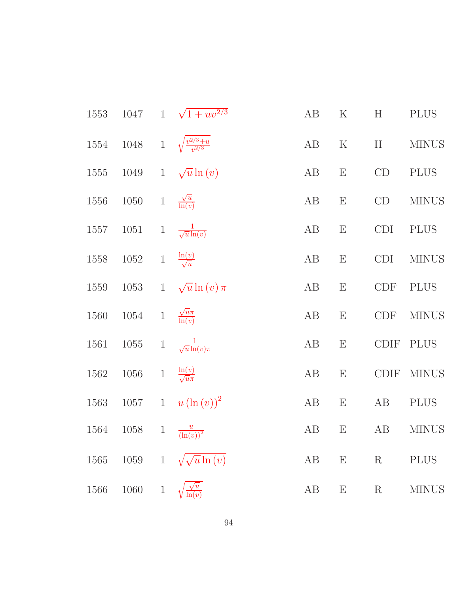| 1553 | 1047     |              | $1 \sqrt{1 + uv^{2/3}}$                   | AB       | $\rm K$                   | H           | <b>PLUS</b>  |
|------|----------|--------------|-------------------------------------------|----------|---------------------------|-------------|--------------|
| 1554 |          |              | 1048 1 $\sqrt{\frac{v^{2/3}+u}{v^{2/3}}}$ | AB       | ${\bf K}$                 | H           | <b>MINUS</b> |
| 1555 | 1049     | $1\,$        | $\sqrt{u}\ln(v)$                          | AB       | $\mathbf E$               | CD          | <b>PLUS</b>  |
| 1556 | $1050\,$ | $\,1$        | $\frac{\sqrt{u}}{\ln(v)}$                 | AB       | ${\bf E}$                 | CD          | <b>MINUS</b> |
| 1557 | $1051\,$ | $\,1$        | $\frac{1}{\sqrt{u}\ln(v)}$                | AB       | $\boldsymbol{\mathrm{E}}$ | <b>CDI</b>  | <b>PLUS</b>  |
| 1558 | $1052\,$ |              | 1 $\frac{\ln(v)}{\sqrt{u}}$               | AB       | $\mathbf E$               | <b>CDI</b>  | <b>MINUS</b> |
| 1559 | $1053\,$ | $\mathbf{1}$ | $\sqrt{u}\ln(v)\pi$                       | AB       | $\boldsymbol{\mathrm{E}}$ | CDF         | <b>PLUS</b>  |
| 1560 | 1054     | $\,1$        | $\frac{\sqrt{u}\pi}{\ln(v)}$              | $\rm AB$ | ${\bf E}$                 | <b>CDF</b>  | <b>MINUS</b> |
| 1561 | $1055\,$ | $\,1$        | $\frac{1}{\sqrt{u}\ln(v)\pi}$             | AB       | $\mathbf E$               | <b>CDIF</b> | <b>PLUS</b>  |
| 1562 | $1056\,$ | $\,1$        | $\frac{\ln(v)}{\sqrt{u}\pi}$              | AB       | E                         | CDIF        | <b>MINUS</b> |
| 1563 | $1057\,$ |              | 1 $u(\ln(v))^2$                           | AB       | $\boldsymbol{\mathrm{E}}$ | AB          | <b>PLUS</b>  |
| 1564 | 1058     | $\mathbf{1}$ | $\frac{u}{\left(\ln(v)\right)^2}$         | AB       | $\boldsymbol{\mathrm{E}}$ | AB          | <b>MINUS</b> |
| 1565 | 1059     | $\mathbf{1}$ | $\sqrt{\sqrt{u}} \ln(v)$                  | AB       | $\boldsymbol{\mathrm{E}}$ | $\mathbf R$ | <b>PLUS</b>  |
| 1566 | 1060     | $\mathbf{1}$ | $\frac{\sqrt{u}}{\ln(v)}$                 | AB       | E                         | $\rm R$     | <b>MINUS</b> |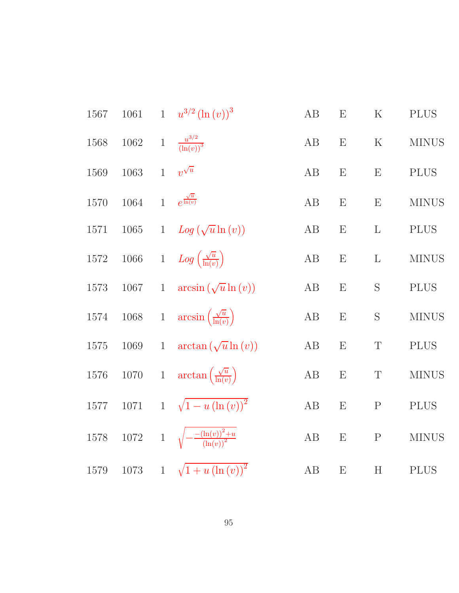| 1567     | 1061     |                | 1 $u^{3/2} (\ln(v))^3$                           | $\rm AB$ | E                         | $\mathbf K$               | <b>PLUS</b>  |
|----------|----------|----------------|--------------------------------------------------|----------|---------------------------|---------------------------|--------------|
| 1568     | $1062\,$ | $\,1$          | $\frac{u^{3/2}}{(\ln(v))^{3}}$                   | AB       | E                         | $\rm K$                   | <b>MINUS</b> |
| 1569     | 1063     | $\mathbf{1}$   | $v^{\sqrt{u}}$                                   | AB       | E                         | E                         | <b>PLUS</b>  |
| 1570     | 1064     | $\overline{1}$ | $e^{\frac{\sqrt{u}}{\ln(v)}}$                    | AB       | E                         | E                         | <b>MINUS</b> |
| 1571     | 1065     | $\mathbf{1}$   | $Log(\sqrt{u}\ln(v))$                            | AB       | E                         | $\mathbf{L}$              | <b>PLUS</b>  |
| 1572     | $1066\,$ |                | 1 $Log\left(\frac{\sqrt{u}}{\ln(v)}\right)$      | AB       | E                         | $\mathbf{L}$              | <b>MINUS</b> |
| 1573     | 1067     | $\mathbf{1}$   | $arcsin(\sqrt{u}\ln(v))$                         | AB       | E                         | S                         | <b>PLUS</b>  |
| 1574     | $1068\,$ |                | 1 $\arcsin\left(\frac{\sqrt{u}}{\ln(v)}\right)$  | AB       | E                         | $\mathbf S$               | <b>MINUS</b> |
| 1575     | 1069     | $\mathbf{1}$   | $\arctan(\sqrt{u}\ln(v))$                        | AB       | E                         | $\mathbf T$               | <b>PLUS</b>  |
| 1576     | $1070\,$ |                | 1 $\arctan\left(\frac{\sqrt{u}}{\ln(v)}\right)$  | AB       | E                         | $\mathbf T$               | <b>MINUS</b> |
| $1577\,$ | 1071     |                | 1 $\sqrt{1-u(\ln(v))^{2}}$                       | AB       | E                         | ${\bf P}$                 | <b>PLUS</b>  |
| 1578     |          |                | 1072 1 $\sqrt{-\frac{(\ln(v))^2+u}{(\ln(v))^2}}$ | AB       | $\boldsymbol{\mathrm{E}}$ | $\mathbf P$               | <b>MINUS</b> |
| 1579     | $1073\,$ | $\mathbf{1}$   | $\sqrt{1+u\left(\ln(v)\right)^2}$                | $\rm AB$ | E                         | $\boldsymbol{\mathrm{H}}$ | <b>PLUS</b>  |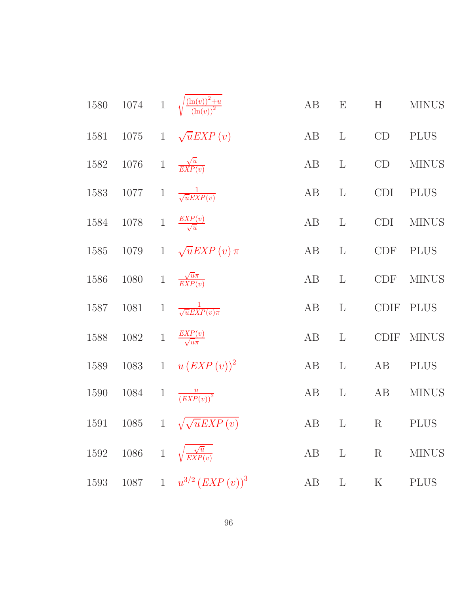| 1580 |          |              | 1074 1 $\sqrt{\frac{(\ln(v))^2+u}{(\ln(v))^2}}$ | AB | $\boldsymbol{\mathrm{E}}$ | H           | <b>MINUS</b> |
|------|----------|--------------|-------------------------------------------------|----|---------------------------|-------------|--------------|
| 1581 | $1075\,$ |              | 1 $\sqrt{u}$ <i>EXP</i> ( <i>v</i> )            | AB | $\mathbf{L}$              | CD          | <b>PLUS</b>  |
| 1582 | $1076\,$ |              | 1 $\frac{\sqrt{u}}{EXP(v)}$                     | AB | $\mathbf{L}$              | CD          | <b>MINUS</b> |
| 1583 | 1077     | $\mathbf{1}$ | $\frac{1}{\sqrt{uEXP(v)}}$                      | AB | $\mathbf{L}$              | <b>CDI</b>  | <b>PLUS</b>  |
| 1584 | 1078     | $\,1$        | $\frac{EXP(v)}{\sqrt{u}}$                       | AB | $\mathbf{L}$              | <b>CDI</b>  | <b>MINUS</b> |
| 1585 | 1079     |              | 1 $\sqrt{u}$ <i>EXP</i> ( <i>v</i> ) $\pi$      | AB | $\mathbf{L}$              | CDF         | <b>PLUS</b>  |
| 1586 | 1080     | $\,1$        | $\frac{\sqrt{u}\pi}{EXP(v)}$                    | AB | $\mathbf{L}$              | <b>CDF</b>  | <b>MINUS</b> |
| 1587 | 1081     |              | 1 $\frac{1}{\sqrt{u}EXP(v)\pi}$                 | AB | $\mathbf{L}$              | <b>CDIF</b> | <b>PLUS</b>  |
| 1588 | 1082     | $1\,$        | $\frac{EXP(v)}{\sqrt{u}\pi}$                    | AB | $\mathbf{L}$              | <b>CDIF</b> | <b>MINUS</b> |
| 1589 | 1083     | $\mathbf{1}$ | $u(EXP(v))^{2}$                                 | AB | $\mathbf{L}$              | AB          | <b>PLUS</b>  |
| 1590 | 1084     | $\mathbf{1}$ | $\frac{u}{(EXP(v))^{2}}$                        | AB | $\mathbf{L}$              | AB          | <b>MINUS</b> |
| 1591 | 1085     |              | $1 \sqrt{\sqrt{u}EXP(v)}$                       | AB | $\Gamma$                  | $\rm R$     | <b>PLUS</b>  |
| 1592 | 1086     | $\,1$        | $\sqrt{\frac{\sqrt{u}}{EXP(v)}}$                | AB | $\mathbf{L}$              | $\mathbf R$ | <b>MINUS</b> |
| 1593 | 1087     |              | 1 $u^{3/2}$ $\left( EXP(v) \right)^3$           | AB | $\mathbf{L}$              | $\rm K$     | <b>PLUS</b>  |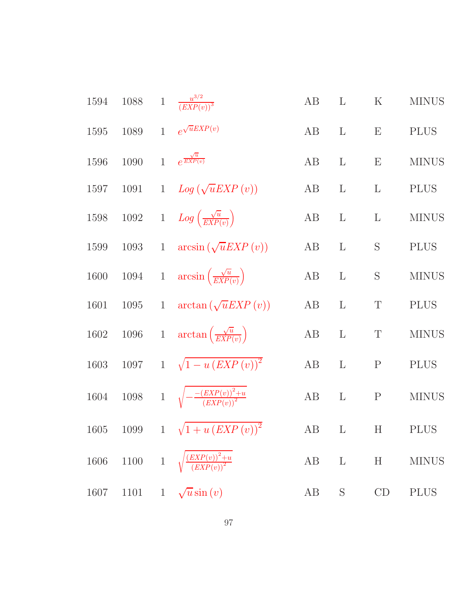| 1594     |  | 1088 1 $\frac{u^{3/2}}{(EXP(v))^3}$                            | AB     | $\mathbf{L}$ | K            | <b>MINUS</b> |
|----------|--|----------------------------------------------------------------|--------|--------------|--------------|--------------|
| $1595\,$ |  | 1089 1 $e^{\sqrt{u}EXP(v)}$                                    | AB     | $\mathbf{L}$ | E            | <b>PLUS</b>  |
| 1596     |  | 1090 1 $e^{\frac{\sqrt{u}}{EXP(v)}}$                           | AB     | $\mathbf{L}$ | E            | <b>MINUS</b> |
| 1597     |  | 1091 1 $Log(\sqrt{u}EXP(v))$                                   | AB     | $\mathbf{L}$ | $\mathbf{L}$ | <b>PLUS</b>  |
|          |  | 1598 1092 1 $Log\left(\frac{\sqrt{u}}{EXP(v)}\right)$          | $AB$ L |              | $\mathbf{L}$ | <b>MINUS</b> |
| 1599     |  | 1093 1 $\arcsin(\sqrt{u}EXP(v))$                               | AB     | $\mathbf{L}$ | $\mathbf S$  | <b>PLUS</b>  |
|          |  | 1600 1094 1 $\arcsin\left(\frac{\sqrt{u}}{EXP(v)}\right)$      | AB     | $\mathbf{L}$ | $\mathbf S$  | <b>MINUS</b> |
| 1601     |  | 1095 1 $\arctan(\sqrt{u}EXP(v))$                               | AB L   |              | $\mathbf T$  | <b>PLUS</b>  |
|          |  | 1602 1096 1 $\arctan\left(\frac{\sqrt{u}}{EXP(v)}\right)$      | AB L   |              | T            | <b>MINUS</b> |
|          |  | 1603 1097 1 $\sqrt{1-u\left( EXP\left( v\right) \right) ^{2}}$ | AB     | $\mathbf{L}$ | $\mathbf P$  | <b>PLUS</b>  |
|          |  | 1604 1098 1 $\sqrt{-\frac{(EXP(v))^2+u}{(EXP(v))^2}}$          | AB L   |              | $\mathbf{P}$ | <b>MINUS</b> |
|          |  | 1605 1099 1 $\sqrt{1+u\left( EXP\left( v\right) \right) ^{2}}$ |        |              |              | AB L H PLUS  |
| $1606\,$ |  | 1100 1 $\sqrt{\frac{(EXP(v))^2+u}{(EXP(v))^2}}$                | AB     | $\mathbf L$  | H            | <b>MINUS</b> |
| 1607     |  | 1101 1 $\sqrt{u}\sin(v)$                                       | AB     | $\mathbf S$  | CD           | <b>PLUS</b>  |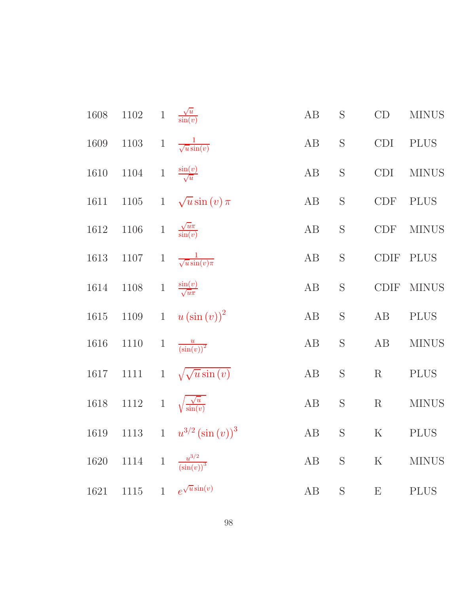| 1608 | $1102\,$ |              | 1 $\frac{\sqrt{u}}{\sin(v)}$             | AB       | $\mathbf S$     | CD                    | <b>MINUS</b> |
|------|----------|--------------|------------------------------------------|----------|-----------------|-----------------------|--------------|
| 1609 | $1103\,$ | $\mathbf{1}$ | $\frac{1}{\sqrt{u}\sin(v)}$              | AB       | $\mathbf S$     | CDI                   | <b>PLUS</b>  |
| 1610 | 1104     | $\,1$        | $\frac{\sin(v)}{\sqrt{u}}$               | AB       | $\mathbf S$     | <b>CDI</b>            | <b>MINUS</b> |
| 1611 | $1105\,$ |              | 1 $\sqrt{u}\sin(v)\pi$                   | AB       | $\mathbf S$     | <b>CDF</b>            | <b>PLUS</b>  |
| 1612 | $1106\,$ | $\,1$        | $\frac{\sqrt{u}\pi}{\sin(v)}$            | AB       | $\mathbf S$     | <b>CDF</b>            | <b>MINUS</b> |
| 1613 | 1107     | $\,1$        | $\frac{1}{\sqrt{u}\sin(v)\pi}$           | AB       | $\mathbf S$     | $\operatorname{CDIF}$ | <b>PLUS</b>  |
| 1614 | $1108\,$ | $1\,$        | $\frac{\sin(v)}{\sqrt{u}\pi}$            | AB       | $\mathbf S$     | <b>CDIF</b>           | <b>MINUS</b> |
| 1615 | 1109     | $\mathbf{1}$ | $u\left(\sin\left(v\right)\right)^{2}$   | AB       | $\mathbf S$     | AB                    | <b>PLUS</b>  |
| 1616 | 1110     | $\mathbf{1}$ | $\frac{u}{(\sin(v))^2}$                  | AB       | $\mathbf S$     | AB                    | <b>MINUS</b> |
| 1617 | $1111\,$ |              | 1 $\sqrt{\sqrt{u}\sin(v)}$               | AB       | ${\mathcal{S}}$ | $\mathbf R$           | <b>PLUS</b>  |
| 1618 | $1112\,$ |              | 1 $\sqrt{\frac{\sqrt{u}}{\sin(v)}}$      | AB       | ${\mathcal S}$  | $\mathbf R$           | <b>MINUS</b> |
| 1619 |          |              | 1113 1 $u^{3/2}(\sin(v))^3$              | $\rm AB$ | $\mathbf S$     | ${\bf K}$             | <b>PLUS</b>  |
| 1620 | 1114     | $\!1$        | $\frac{u^{3/2}}{\left(\sin(v)\right)^3}$ | AB       | S               | $\rm K$               | <b>MINUS</b> |
| 1621 | 1115     |              | 1 $e^{\sqrt{u}\sin(v)}$                  | AB       | $\mathbf S$     | E                     | <b>PLUS</b>  |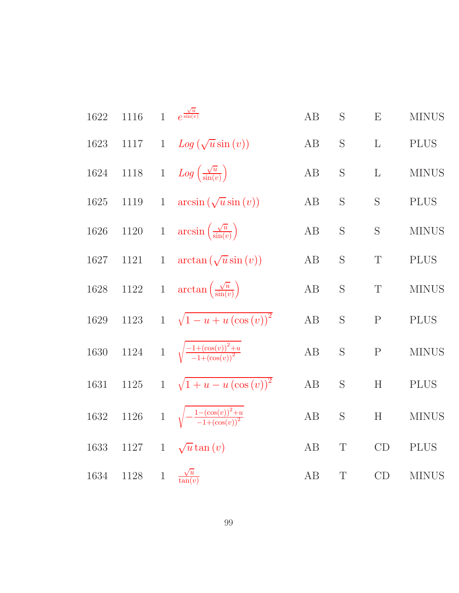| 1622     | 1116     | $\mathbf{1}$   | $e^{\frac{\sqrt{u}}{\sin(v)}}$                          | AB       | S           | E                         | <b>MINUS</b> |
|----------|----------|----------------|---------------------------------------------------------|----------|-------------|---------------------------|--------------|
| 1623     | 1117     |                | 1 $Log(\sqrt{u}sin(v))$                                 | AB       | S           | $\mathbf{L}$              | <b>PLUS</b>  |
| 1624     | $1118\,$ |                | 1 $Log\left(\frac{\sqrt{u}}{\sin(v)}\right)$            | AB       | S           | $\mathbf{L}$              | <b>MINUS</b> |
| 1625     | $1119\,$ | $\,1$          | $arcsin(\sqrt{u}\sin(v))$                               | AB       | S           | ${\bf S}$                 | <b>PLUS</b>  |
| 1626     | $1120\,$ |                | 1 $\arcsin\left(\frac{\sqrt{u}}{\sin(v)}\right)$        | AB       | S           | $\mathbf S$               | <b>MINUS</b> |
| 1627     | 1121     | $\mathbf{1}$   | $arctan(\sqrt{u}\sin(v))$                               | AB       | S           | $\mathbf T$               | <b>PLUS</b>  |
| 1628     | $1122\,$ |                | 1 $\arctan\left(\frac{\sqrt{u}}{\sin(v)}\right)$        | $\rm AB$ | $\mathbf S$ | $\mathbf T$               | <b>MINUS</b> |
| 1629     | $1123\,$ |                | 1 $\sqrt{1-u+u(\cos(v))^2}$                             | AB       | S           | ${\bf P}$                 | <b>PLUS</b>  |
| 1630     |          |                | 1124 1 $\sqrt{\frac{-1+(\cos(v))^2+u}{-1+(\cos(v))^2}}$ | AB       | S           | $\mathbf{P}$              | <b>MINUS</b> |
| $1631\,$ | $1125\,$ |                | 1 $\sqrt{1+u-u(\cos(v))^2}$                             | AB       | S           | H                         | <b>PLUS</b>  |
| $1632\,$ | $1126\,$ |                | 1 $\sqrt{-\frac{1-(\cos(v))^2+u}{-1+(\cos(v))^2}}$      | AB       | S           | $\boldsymbol{\mathrm{H}}$ | <b>MINUS</b> |
| $1633\,$ | 1127     |                | 1 $\sqrt{u} \tan(v)$                                    | AB       | $\mathbf T$ | $\mathrm{CD}$             | <b>PLUS</b>  |
| 1634     | $1128\,$ | $\overline{1}$ | $\frac{\sqrt{u}}{\tan(v)}$                              | AB       | $\mathbf T$ | CD                        | <b>MINUS</b> |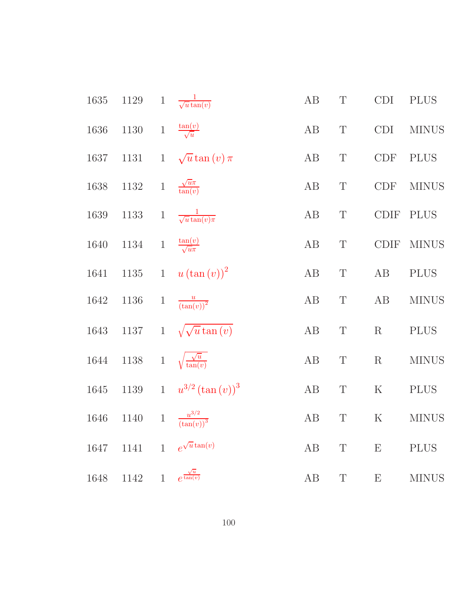| $1635\,$ | $1129\,$ | $\,1$        | $\frac{1}{\sqrt{u}\tan(v)}$            | $\rm AB$ | $\mathbf T$ | <b>CDI</b>                  | <b>PLUS</b>  |
|----------|----------|--------------|----------------------------------------|----------|-------------|-----------------------------|--------------|
| 1636     | 1130     | $\,1$        | $\frac{\tan(v)}{\sqrt{u}}$             | $\rm AB$ | $\mathbf T$ | <b>CDI</b>                  | <b>MINUS</b> |
| 1637     | 1131     | $\mathbf{1}$ | $\sqrt{u}\tan(v)\pi$                   | AB       | $\mathbf T$ | $\ensuremath{\mathrm{CDF}}$ | <b>PLUS</b>  |
| 1638     | $1132\,$ | $1\,$        | $\frac{\sqrt{u}\pi}{\tan(v)}$          | $\rm AB$ | $\mathbf T$ | <b>CDF</b>                  | <b>MINUS</b> |
| 1639     | $1133\,$ | $\,1$        | $\frac{1}{\sqrt{u}\tan(v)\pi}$         | AB       | $\mathbf T$ | $\operatorname{CDIF}$       | <b>PLUS</b>  |
| 1640     | 1134     | $1\,$        | $\frac{\tan(v)}{\sqrt{u\pi}}$          | AB       | $\mathbf T$ | <b>CDIF</b>                 | <b>MINUS</b> |
| 1641     | $1135\,$ | $\mathbf{1}$ | $u\left(\tan\left(v\right)\right)^{2}$ | AB       | $\mathbf T$ | AB                          | $\rm PLUS$   |
| 1642     | $1136\,$ | $\mathbf{1}$ | $\frac{u}{(\tan(v))^2}$                | $\rm AB$ | $\mathbf T$ | $\rm AB$                    | <b>MINUS</b> |
| 1643     | $1137\,$ | $\mathbf{1}$ | $\sqrt{\sqrt{u}\tan(v)}$               | $\rm AB$ | $\mathbf T$ | $\mathbf R$                 | $\rm PLUS$   |
| 1644     | $1138\,$ | $\,1$        | $\sqrt{\frac{\sqrt{u}}{\tan(v)}}$      | $\rm AB$ | $\mathbf T$ | $\mathbf R$                 | <b>MINUS</b> |
| 1645     | $1139\,$ |              | 1 $u^{3/2} (\tan(v))^3$                | $\rm AB$ | $\mathbf T$ | ${\bf K}$                   | $\rm PLUS$   |
| 1646     | $1140\,$ |              | 1 $\frac{u^{3/2}}{(\tan(v))^3}$        | AB       | $\mathbf T$ | $\mathbf K$                 | <b>MINUS</b> |
| 1647     | 1141     | $\mathbf{1}$ | $e^{\sqrt{u}\tan(v)}$                  | $\rm AB$ | $\mathbf T$ | E                           | <b>PLUS</b>  |
| 1648     | 1142     |              | 1 $e^{\frac{\sqrt{u}}{\tan(v)}}$       | $\rm AB$ | $\mathbf T$ | ${\bf E}$                   | <b>MINUS</b> |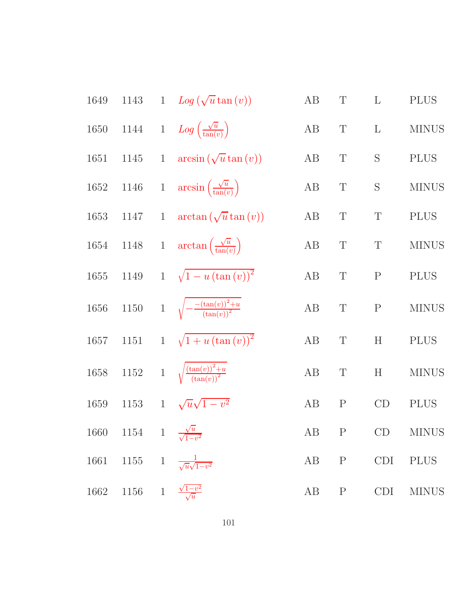| 1649     |                                             | 1143 1 $Log(\sqrt{u} \tan(v))$                        | AB   | $\mathbf T$ | $\mathbf{L}$              | <b>PLUS</b>   |
|----------|---------------------------------------------|-------------------------------------------------------|------|-------------|---------------------------|---------------|
| 1650     |                                             | 1144 1 $Log\left(\frac{\sqrt{u}}{\tan(v)}\right)$     | AB   | $\mathbf T$ | $\Gamma$                  | <b>MINUS</b>  |
| 1651     |                                             | 1145 1 $\arcsin(\sqrt{u}\tan(v))$                     | AB   | $\mathbf T$ | S                         | <b>PLUS</b>   |
| 1652     |                                             | 1146 1 $\arcsin\left(\frac{\sqrt{u}}{\tan(v)}\right)$ | AB   | $\mathbf T$ | S                         | <b>MINUS</b>  |
| 1653     | 1147                                        | 1 $\arctan(\sqrt{u}\tan(v))$                          | AB   | $\mathbf T$ | $\mathbf T$               | <b>PLUS</b>   |
| 1654     |                                             | 1148 1 $\arctan\left(\frac{\sqrt{u}}{\tan(v)}\right)$ | AB   | $\mathbf T$ | $\mathbf T$               | <b>MINUS</b>  |
| $1655\,$ |                                             | 1149 1 $\sqrt{1-u(\tan(v))^2}$                        | AB   | $\mathbf T$ | $\mathbf P$               | <b>PLUS</b>   |
| $1656\,$ |                                             | 1150 1 $\sqrt{-\frac{(\tan(v))^2+u}{(\tan(v))^2}}$    | AB   | $\mathbf T$ | $\mathbf P$               | <b>MINUS</b>  |
| 1657     |                                             | 1151 1 $\sqrt{1+u(\tan(v))^2}$                        | AB   | T           | $\boldsymbol{\mathrm{H}}$ | <b>PLUS</b>   |
| $1658\,$ |                                             | 1152 1 $\sqrt{\frac{(\tan(v))^2+u}{(\tan(v))^2}}$     | AB   | $\mathbf T$ | H                         | <b>MINUS</b>  |
| 1659     |                                             | 1153 1 $\sqrt{u}\sqrt{1-v^2}$                         | AB   | $\mathbf P$ | CD                        | <b>PLUS</b>   |
|          |                                             | 1660 1154 1 $\frac{\sqrt{u}}{\sqrt{1-v^2}}$           |      |             |                           | AB P CD MINUS |
| 1661     |                                             | 1155 1 $\frac{1}{\sqrt{u}\sqrt{1-v^2}}$               | AB P |             | CDI                       | <b>PLUS</b>   |
|          | 1662 1156 1 $\frac{\sqrt{1-v^2}}{\sqrt{u}}$ |                                                       | AB P |             | CDI                       | <b>MINUS</b>  |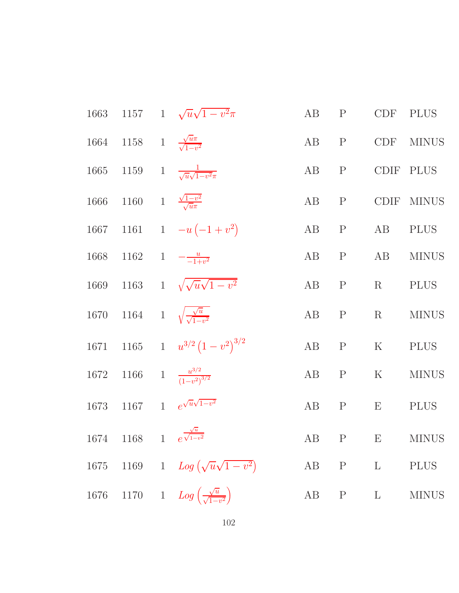|      |                                                 | 1663 1157 1 $\sqrt{u}\sqrt{1-v^2}\pi$                  | AB   | $\mathbf P$  | <b>CDF</b>  | <b>PLUS</b>             |
|------|-------------------------------------------------|--------------------------------------------------------|------|--------------|-------------|-------------------------|
|      | 1664 1158 1 $\frac{\sqrt{u}\pi}{\sqrt{1-v^2}}$  |                                                        | AB   | $\mathbf{P}$ | CDF         | <b>MINUS</b>            |
| 1665 |                                                 | 1159 1 $\frac{1}{\sqrt{u}\sqrt{1-v^2\pi}}$             | AB   | $\mathbf{P}$ | CDIF        | <b>PLUS</b>             |
| 1666 | 1160 1 $\frac{\sqrt{1-v^2}}{\sqrt{u}\pi}$       |                                                        | AB P |              |             | CDIF MINUS              |
| 1667 |                                                 | 1161 1 $-u(-1+v^2)$                                    | AB   | $\mathbf{P}$ | AB          | <b>PLUS</b>             |
| 1668 |                                                 | 1162 1 $-\frac{u}{-1+v^2}$                             | AB   | $\mathbf{P}$ | AB          | <b>MINUS</b>            |
|      |                                                 | 1669 1163 1 $\sqrt{\sqrt{u}\sqrt{1-v^2}}$              | AB   | $\mathbf{P}$ | R           | <b>PLUS</b>             |
| 1670 |                                                 | 1164 1 $\sqrt{\frac{\sqrt{u}}{\sqrt{1-v^2}}}$          | AB   | $\mathbf{P}$ | $\mathbf R$ | <b>MINUS</b>            |
|      |                                                 | 1671 1165 1 $u^{3/2} (1-v^2)^{3/2}$                    | AB   | $\mathbf P$  | $\rm K$     | <b>PLUS</b>             |
|      |                                                 | 1672 1166 1 $\frac{u^{3/2}}{(1-v^2)^{3/2}}$            | AB   | $\mathbf{P}$ | $\rm K$     | <b>MINUS</b>            |
| 1673 |                                                 | 1167 1 $e^{\sqrt{u}\sqrt{1-v^2}}$                      | AB   | $\mathbf{P}$ | E           | <b>PLUS</b>             |
|      | 1674 1168 1 $e^{\frac{\sqrt{u}}{\sqrt{1-v^2}}}$ |                                                        |      |              |             | $AB \t P \t E \t MINUS$ |
|      |                                                 | 1675 1169 1 $Log(\sqrt{u}\sqrt{1-v^2})$                |      |              | AB P L      | <b>PLUS</b>             |
| 1676 |                                                 | 1170 1 $Log\left(\frac{\sqrt{u}}{\sqrt{1-v^2}}\right)$ |      |              | AB P L      | <b>MINUS</b>            |
|      |                                                 |                                                        |      |              |             |                         |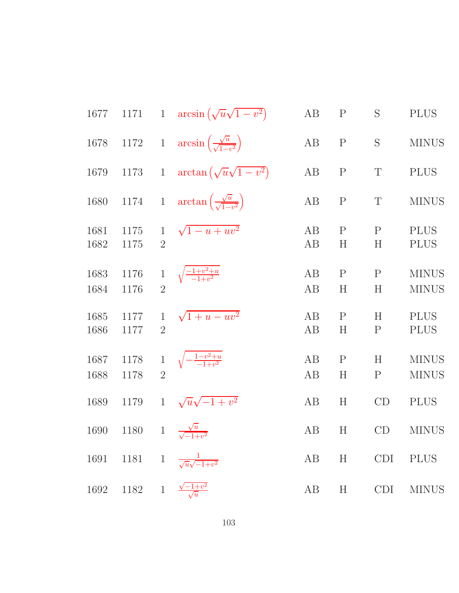| 1677         | 1171         |                                | 1 $\arcsin(\sqrt{u}\sqrt{1-v^2})$                   | AB       | $\mathbf P$              | S                 | <b>PLUS</b>                  |
|--------------|--------------|--------------------------------|-----------------------------------------------------|----------|--------------------------|-------------------|------------------------------|
| 1678         | $1172\,$     | $\overline{1}$                 | $arcsin\left(\frac{\sqrt{u}}{\sqrt{1-v^2}}\right)$  | AB       | ${\bf P}$                | S                 | <b>MINUS</b>                 |
| 1679         | 1173         | $\mathbf{1}$                   | $\arctan(\sqrt{u}\sqrt{1-v^2})$                     | AB       | $\mathbf P$              | T                 | <b>PLUS</b>                  |
| 1680         | $1174\,$     | $\,1$                          | $\arctan\left(\frac{\sqrt{u}}{\sqrt{1-v^2}}\right)$ | AB       | $\mathbf P$              | T                 | <b>MINUS</b>                 |
| 1681<br>1682 | 1175<br>1175 | $\mathbf{1}$<br>$\overline{2}$ | $\sqrt{1-u+uv^2}$                                   | AB<br>AB | $\mathbf P$<br>H         | $\mathbf{P}$<br>H | <b>PLUS</b><br><b>PLUS</b>   |
| 1683<br>1684 | 1176<br>1176 | $\mathbf{1}$<br>$\overline{2}$ | $\sqrt{\frac{-1+v^2+u}{-1+v^2}}$                    | AB<br>AB | $\mathbf P$<br>$H_{\rm}$ | $\mathbf{P}$<br>H | <b>MINUS</b><br><b>MINUS</b> |
| 1685<br>1686 | 1177<br>1177 | $\mathbf{1}$<br>$\overline{2}$ | $\sqrt{1+u-uv^2}$                                   | AB<br>AB | $\mathbf{P}$<br>H        | H<br>$\mathbf P$  | <b>PLUS</b><br><b>PLUS</b>   |
| 1687<br>1688 | 1178<br>1178 | $\,1$<br>$\overline{2}$        | $\sqrt{-\frac{1-v^2+u}{-1+v^2}}$                    | AB<br>AB | $\mathbf{P}$<br>H        | H<br>$\mathbf P$  | <b>MINUS</b><br><b>MINUS</b> |
| 1689         | 1179         | $\mathbf{1}$                   | $\sqrt{u}\sqrt{-1+v^2}$                             | AB       | H                        | CD                | <b>PLUS</b>                  |
| 1690         | 1180         |                                | 1 $\frac{\sqrt{u}}{\sqrt{-1+v^2}}$                  | AB       | H                        | CD                | <b>MINUS</b>                 |
| 1691         |              |                                | 1181 1 $\frac{1}{\sqrt{u}\sqrt{-1+v^2}}$            | AB       | H                        | <b>CDI</b>        | <b>PLUS</b>                  |
| 1692         | $1182 \t1$   |                                | $\frac{\sqrt{-1+v^2}}{\sqrt{u}}$                    | AB       | H                        | <b>CDI</b>        | <b>MINUS</b>                 |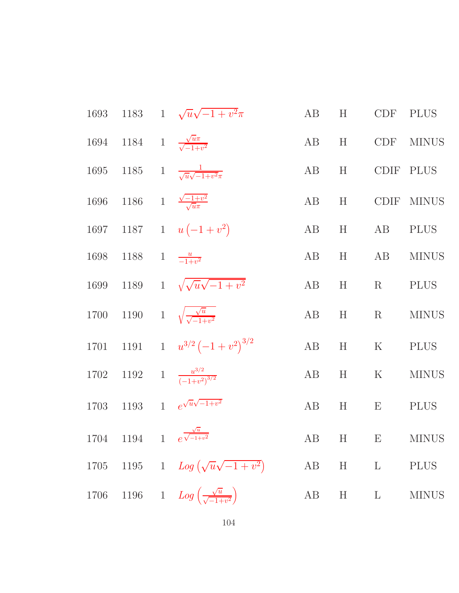|      |                                                 | 1693 1183 1 $\sqrt{u}\sqrt{-1+v^2}\pi$                  | AB | H | <b>CDF</b>  | <b>PLUS</b>  |
|------|-------------------------------------------------|---------------------------------------------------------|----|---|-------------|--------------|
|      | 1694 1184 1 $\frac{\sqrt{u\pi}}{\sqrt{-1+v^2}}$ |                                                         | AB | H | CDF         | <b>MINUS</b> |
| 1695 |                                                 | 1185 1 $\frac{1}{\sqrt{u}\sqrt{-1+v^2\pi}}$             | AB | H |             | CDIF PLUS    |
| 1696 |                                                 | 1186 1 $\frac{\sqrt{-1+v^2}}{\sqrt{u}\pi}$              | AB | H |             | CDIF MINUS   |
| 1697 |                                                 | 1187 1 $u(-1+v^2)$                                      | AB | H | AB          | <b>PLUS</b>  |
| 1698 | 1188 1 $\frac{u}{-1+v^2}$                       |                                                         | AB | H | AB          | <b>MINUS</b> |
| 1699 |                                                 | 1189 1 $\sqrt{\sqrt{u}\sqrt{-1+v^2}}$                   | AB | H | R           | <b>PLUS</b>  |
| 1700 |                                                 | 1190 1 $\sqrt{\frac{\sqrt{u}}{\sqrt{-1+v^2}}}$          | AB | H | $\rm R$     | <b>MINUS</b> |
| 1701 |                                                 | 1191 1 $u^{3/2}(-1+v^2)^{3/2}$                          | AB | H | $\mathbf K$ | <b>PLUS</b>  |
|      |                                                 | 1702 1192 1 $\frac{u^{3/2}}{(-1+v^2)^{3/2}}$            | AB | H | $\rm K$     | <b>MINUS</b> |
| 1703 |                                                 | 1193 1 $e^{\sqrt{u}\sqrt{-1+v^2}}$                      | AB | H | E           | <b>PLUS</b>  |
|      |                                                 | 1704 1194 1 $e^{\frac{\sqrt{u}}{\sqrt{-1+v^2}}}$        |    |   |             | AB H E MINUS |
| 1705 |                                                 | 1195 1 $Log(\sqrt{u}\sqrt{-1+v^2})$                     |    |   | AB H L      | <b>PLUS</b>  |
| 1706 |                                                 | 1196 1 $Log\left(\frac{\sqrt{u}}{\sqrt{-1+v^2}}\right)$ | AB |   | $H$ $L$     | <b>MINUS</b> |
|      |                                                 |                                                         |    |   |             |              |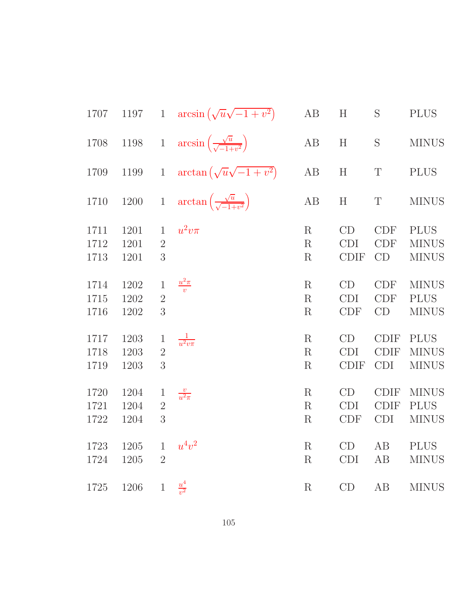| 1707     | 1197     |                | 1 $\arcsin(\sqrt{u}\sqrt{-1+v^2})$                   | $\rm AB$    | H                         | S                 | <b>PLUS</b>  |
|----------|----------|----------------|------------------------------------------------------|-------------|---------------------------|-------------------|--------------|
| 1708     | 1198     | $\overline{1}$ | $arcsin\left(\frac{\sqrt{u}}{\sqrt{-1+v^2}}\right)$  | $\rm AB$    | $\boldsymbol{\mathrm{H}}$ | $\mathbf S$       | <b>MINUS</b> |
| 1709     | $1199\,$ | $\,1$          | $\arctan(\sqrt{u}\sqrt{-1+v^2})$                     | $\rm AB$    | $\boldsymbol{\mathrm{H}}$ | $\mathbf T$       | <b>PLUS</b>  |
| 1710     | $1200\,$ | $1\,$          | $\arctan\left(\frac{\sqrt{u}}{\sqrt{-1+v^2}}\right)$ | AB          | H                         | $\mathbf T$       | <b>MINUS</b> |
| 1711     | 1201     | $\mathbf{1}$   | $u^2v\pi$                                            | R           | CD                        | CDF               | <b>PLUS</b>  |
| 1712     | 1201     | $\overline{2}$ |                                                      | R           | <b>CDI</b>                | <b>CDF</b>        | <b>MINUS</b> |
| 1713     | 1201     | 3              |                                                      | R           | <b>CDIF</b>               | CD                | <b>MINUS</b> |
| 1714     | 1202     | $\mathbf 1$    | $\frac{u^2\pi}{v}$                                   | R           | CD                        | <b>CDF</b>        | <b>MINUS</b> |
| 1715     | 1202     | $\sqrt{2}$     |                                                      | R           | <b>CDI</b>                | <b>CDF</b>        | <b>PLUS</b>  |
| 1716     | 1202     | $\overline{3}$ |                                                      | $\mathbf R$ | <b>CDF</b>                | CD                | <b>MINUS</b> |
| 1717     | 1203     | $\mathbf{1}$   | $\frac{1}{u^2v\pi}$                                  | $\mathbf R$ | CD                        | $\text{\rm CDIF}$ | <b>PLUS</b>  |
| 1718     | 1203     | $\overline{2}$ |                                                      | R           | <b>CDI</b>                | <b>CDIF</b>       | <b>MINUS</b> |
| 1719     | 1203     | 3              |                                                      | R           | <b>CDIF</b>               | <b>CDI</b>        | <b>MINUS</b> |
| 1720     | 1204     | $\mathbf{1}$   | $\frac{v}{u^2\pi}$                                   | R           | CD                        | <b>CDIF</b>       | <b>MINUS</b> |
| 1721     | 1204     | $\overline{2}$ |                                                      | R           | <b>CDI</b>                | <b>CDIF</b>       | <b>PLUS</b>  |
| 1722     | 1204     | 3              |                                                      | R           | CDF                       | <b>CDI</b>        | <b>MINUS</b> |
| 1723     | 1205     | $\mathbf{1}$   | $u^4v^2$                                             | R           | CD                        | AB                | <b>PLUS</b>  |
| 1724     | 1205     | $\overline{2}$ |                                                      | R           | CDI                       | AB                | <b>MINUS</b> |
| $1725\,$ | 1206     | $\mathbf{1}$   | $\frac{u^4}{v^2}$                                    | $\mathbf R$ | CD                        | AB                | <b>MINUS</b> |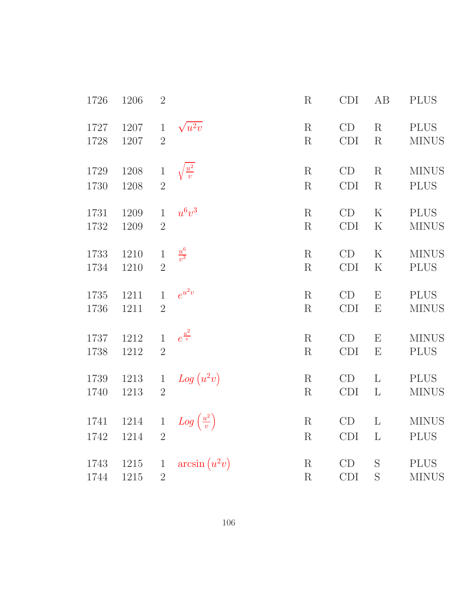| 1726 | 1206 | $\overline{2}$ |                                 | R           | <b>CDI</b>                  | AB           | <b>PLUS</b>  |
|------|------|----------------|---------------------------------|-------------|-----------------------------|--------------|--------------|
| 1727 | 1207 | $\mathbf{1}$   | $\sqrt{u^2v}$                   | $\mathbf R$ | CD                          | R            | <b>PLUS</b>  |
| 1728 | 1207 | $\overline{2}$ |                                 | $\mathbf R$ | <b>CDI</b>                  | $\rm R$      | <b>MINUS</b> |
| 1729 | 1208 | $\,1$          | $\sqrt{\frac{u^2}{v}}$          | R           | CD                          | R            | <b>MINUS</b> |
| 1730 | 1208 | $\overline{2}$ |                                 | $\mathbf R$ | $\mathop{\rm CDI}\nolimits$ | $\mathbf R$  | <b>PLUS</b>  |
| 1731 | 1209 | $\mathbf{1}$   | $u^6v^3$                        | R           | CD                          | $\mathbf K$  | <b>PLUS</b>  |
| 1732 | 1209 | $\overline{2}$ |                                 | $\mathbf R$ | CDI                         | ${\bf K}$    | <b>MINUS</b> |
| 1733 | 1210 | $\,1$          | $\frac{u^6}{v^3}$               | R           | CD                          | $\mathbf K$  | <b>MINUS</b> |
| 1734 | 1210 | $\overline{2}$ |                                 | R           | CDI                         | $\rm K$      | <b>PLUS</b>  |
| 1735 | 1211 | $\mathbf{1}$   | $e^{u^2v}$                      | $\mathbf R$ | CD                          | E            | <b>PLUS</b>  |
| 1736 | 1211 | $\overline{2}$ |                                 | $\mathbf R$ | CDI                         | E            | <b>MINUS</b> |
| 1737 | 1212 | $\mathbf{1}$   | $e^{\frac{u^2}{v}}$             | R           | CD                          | E            | <b>MINUS</b> |
| 1738 | 1212 | $\overline{2}$ |                                 | $\mathbf R$ | CDI                         | E            | <b>PLUS</b>  |
| 1739 | 1213 | $\mathbf{1}$   | $Log (u^2v)$                    | $\mathbf R$ | CD                          | $\mathbf{L}$ | <b>PLUS</b>  |
| 1740 | 1213 | $\overline{2}$ |                                 | $\mathbf R$ | CDI                         | $\Gamma$     | <b>MINUS</b> |
| 1741 | 1214 | $\mathbf{1}$   | $Log\left(\frac{u^2}{v}\right)$ | $\mathbf R$ | CD                          | $\mathbf{L}$ | <b>MINUS</b> |
| 1742 | 1214 | $\overline{2}$ |                                 | R           | CDI                         | $\mathbf{L}$ | <b>PLUS</b>  |
| 1743 | 1215 | $\mathbf{1}$   | $arcsin (u^2v)$                 | R           | CD                          | S            | <b>PLUS</b>  |
| 1744 | 1215 | $\overline{2}$ |                                 | R           | CDI                         | $\mathbf S$  | <b>MINUS</b> |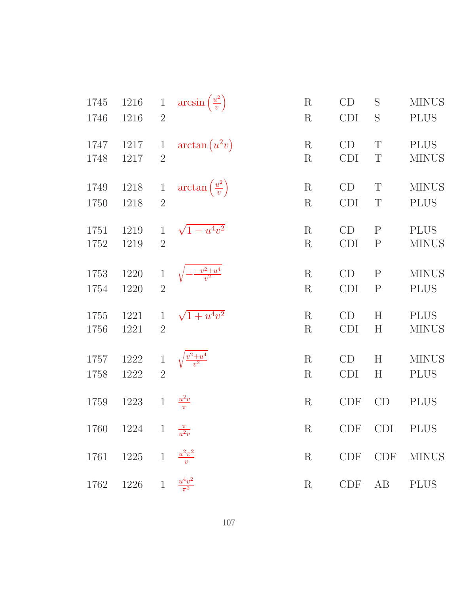| 1745 | 1216                      | $\mathbf{1}$   | $arcsin\left(\frac{u^2}{v}\right)$  | $\mathbf R$     | CD         | S            | <b>MINUS</b> |
|------|---------------------------|----------------|-------------------------------------|-----------------|------------|--------------|--------------|
| 1746 | 1216                      | $\overline{2}$ |                                     | $\rm R$         | <b>CDI</b> | S            | <b>PLUS</b>  |
| 1747 | 1217                      | $\mathbf{1}$   | $arctan(u^2v)$                      | $\mathbf R$     | CD         | T            | <b>PLUS</b>  |
| 1748 | 1217                      | $\overline{2}$ |                                     | $\rm R$         | <b>CDI</b> | T            | <b>MINUS</b> |
| 1749 | 1218                      | $\mathbf{1}$   | $\arctan\left(\frac{u^2}{v}\right)$ | $\mathbf R$     | CD         | T            | <b>MINUS</b> |
| 1750 | 1218                      | $\overline{2}$ |                                     | $\mathbf R$     | <b>CDI</b> | $\mathbf T$  | <b>PLUS</b>  |
| 1751 | 1219                      | $\mathbf{1}$   | $\sqrt{1-u^4v^2}$                   | $\mathbf R$     | CD         | $\mathbf{P}$ | <b>PLUS</b>  |
| 1752 | 1219                      | $\overline{2}$ |                                     | $\mathbf R$     | <b>CDI</b> | $\mathbf P$  | <b>MINUS</b> |
| 1753 | 1220                      | $\mathbf{1}$   | $\frac{-v^2+u^4}{v^2}$              | $\mathbf R$     | CD         | $\mathbf P$  | <b>MINUS</b> |
| 1754 | 1220                      | $\overline{2}$ |                                     | $\mathbf R$     | <b>CDI</b> | $\mathbf P$  | <b>PLUS</b>  |
| 1755 | 1221                      | $\mathbf{1}$   | $\sqrt{1+u^4v^2}$                   | $\mathbf R$     | CD         | $H_{\rm}$    | <b>PLUS</b>  |
| 1756 | 1221                      | $\overline{2}$ |                                     | $\rm R$         | <b>CDI</b> | $H_{\rm}$    | <b>MINUS</b> |
| 1757 | 1222                      | $\mathbf{1}$   | $\frac{v^2+u^4}{v^2}$               | $\mathbf R$     | CD         | H            | <b>MINUS</b> |
| 1758 | 1222                      | $\overline{2}$ |                                     | $\mathbf R$     | <b>CDI</b> | $H_{\rm}$    | <b>PLUS</b>  |
| 1759 | 1223                      | $\mathbf{1}$   | $\frac{u^2v}{\pi}$                  | $\mathbf R$     | <b>CDF</b> | CD           | <b>PLUS</b>  |
| 1760 | 1224 1 $\frac{\pi}{u^2v}$ |                |                                     | $R_{\parallel}$ | <b>CDF</b> | CDI          | <b>PLUS</b>  |
|      | $1761$ $1225$ 1           |                | $\frac{u^2\pi^2}{v}$                | R               |            | $CDF$ $CDF$  | <b>MINUS</b> |
| 1762 | 1226 1                    |                | $\frac{u^4v^2}{\pi^2}$              | $\rm R$         | CDF        | AB           | <b>PLUS</b>  |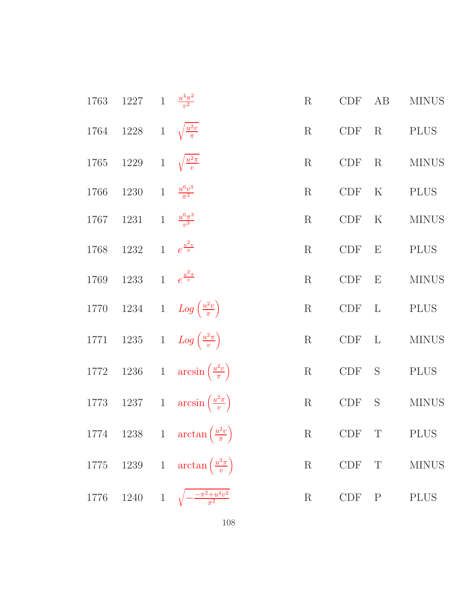| 1763 1227 1 $\frac{u^4\pi^2}{v^2}$     |                                                    | $\rm R$ | CDF        | AB          | <b>MINUS</b> |
|----------------------------------------|----------------------------------------------------|---------|------------|-------------|--------------|
| 1764 1228 1 $\sqrt{\frac{u^2v}{\pi}}$  |                                                    | $\rm R$ | CDF        |             | R PLUS       |
| 1765 1229 1 $\sqrt{\frac{u^2 \pi}{v}}$ |                                                    | $\rm R$ |            | CDF R       | <b>MINUS</b> |
| 1766 1230 1 $\frac{u^6v^3}{\pi^3}$     |                                                    | $\rm R$ | CDF K      |             | <b>PLUS</b>  |
| 1767 1231 1 $\frac{u^6 \pi^3}{v^3}$    |                                                    | $\rm R$ | <b>CDF</b> | $\mathbf K$ | <b>MINUS</b> |
| 1768 1232 1 $e^{\frac{u^2 v}{\pi}}$    |                                                    | $\rm R$ |            | $CDF$ $E$   | <b>PLUS</b>  |
| 1769 1233 1 $e^{\frac{u^2\pi}{v}}$     |                                                    | $\rm R$ |            | $CDF$ $E$   | <b>MINUS</b> |
|                                        | 1770 1234 1 $Log\left(\frac{u^2v}{\pi}\right)$     | R       | $CDF$ L    |             | <b>PLUS</b>  |
|                                        | 1771 1235 1 $Log\left(\frac{u^2\pi}{v}\right)$     | $\rm R$ | $CDF$ L    |             | <b>MINUS</b> |
|                                        | 1772 1236 1 $\arcsin\left(\frac{u^2v}{\pi}\right)$ | R       |            | CDF S       | <b>PLUS</b>  |
|                                        | 1773 1237 1 $\arcsin\left(\frac{u^2\pi}{v}\right)$ |         |            | R CDF S     | <b>MINUS</b> |
|                                        | 1774 1238 1 $\arctan\left(\frac{u^2v}{\pi}\right)$ |         |            |             | R CDF T PLUS |
|                                        | 1775 1239 1 $\arctan\left(\frac{u^2\pi}{v}\right)$ |         |            | R CDF T     | <b>MINUS</b> |
|                                        | 1776 1240 1 $\sqrt{-\frac{-\pi^2+u^4v^2}{\pi^2}}$  | $\rm R$ |            | $CDF$ $P$   | <b>PLUS</b>  |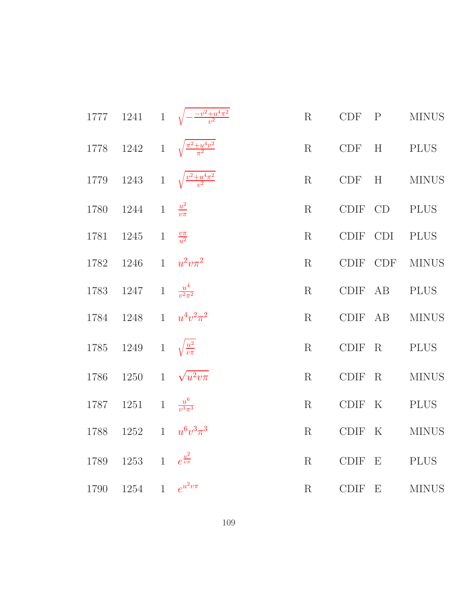|      |      |                | 1777 1241 1 $\sqrt{-\frac{-v^2+u^4\pi^2}{v^2}}$    | R           | <b>CDF</b> | $\mathbf{P}$ | <b>MINUS</b> |
|------|------|----------------|----------------------------------------------------|-------------|------------|--------------|--------------|
|      |      |                | 1778 1242 1 $\sqrt{\frac{\pi^2 + u^4 v^2}{\pi^2}}$ | R           | <b>CDF</b> | H            | <b>PLUS</b>  |
|      |      |                | 1779 1243 1 $\sqrt{\frac{v^2 + u^4 \pi^2}{v^2}}$   | R           | CDF        | H            | <b>MINUS</b> |
| 1780 | 1244 | $\mathbf{1}$   | $\frac{u^2}{v\pi}$                                 | R           |            | CDIF CD      | <b>PLUS</b>  |
| 1781 | 1245 | $\mathbf{1}$   | $\frac{v\pi}{u^2}$                                 | R           | CDIF CDI   |              | <b>PLUS</b>  |
| 1782 | 1246 |                | 1 $u^2v\pi^2$                                      | R           | CDIF       | <b>CDF</b>   | <b>MINUS</b> |
| 1783 | 1247 |                | 1 $\frac{u^4}{v^2 \pi^2}$                          | R           | CDIF       | AB           | <b>PLUS</b>  |
| 1784 | 1248 |                | 1 $u^4v^2\pi^2$                                    | $\mathbf R$ | CDIF       | AB           | <b>MINUS</b> |
| 1785 | 1249 |                | 1 $\sqrt{\frac{u^2}{v\pi}}$                        | R           | CDIF       | $\rm R$      | <b>PLUS</b>  |
| 1786 | 1250 |                | 1 $\sqrt{u^2v\pi}$                                 | R           | $CDIF$ R   |              | <b>MINUS</b> |
| 1787 | 1251 | $\overline{1}$ | $\frac{u^6}{v^3\pi^3}$                             | R           | CDIF K     |              | <b>PLUS</b>  |
| 1788 | 1252 |                | 1 $u^6v^3\pi^3$                                    | $\rm R$     | CDIF K     |              | <b>MINUS</b> |
| 1789 | 1253 |                | 1 $e^{\frac{u^2}{v\pi}}$                           | R           | CDIF E     |              | <b>PLUS</b>  |
| 1790 | 1254 |                | 1 $e^{u^2v\pi}$                                    | R           | CDIF E     |              | <b>MINUS</b> |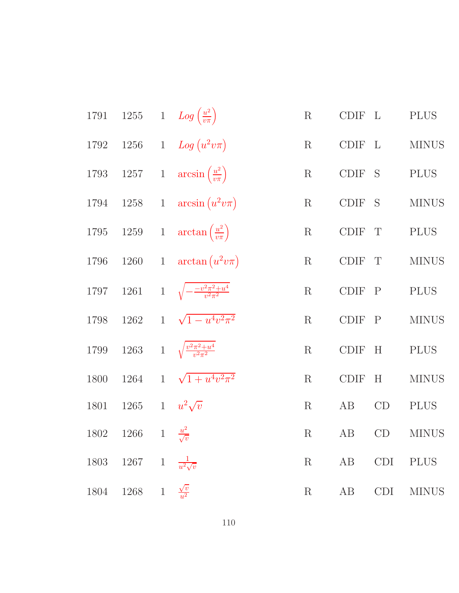| 1791             |      |                | 1255 1 $Log\left(\frac{u^2}{v\pi}\right)$          | $\mathbf R$ | $\text{\rm CDIF} \quad \text{L}$ |             | <b>PLUS</b>  |
|------------------|------|----------------|----------------------------------------------------|-------------|----------------------------------|-------------|--------------|
| $1792\quad 1256$ |      |                | 1 Log $(u^2v\pi)$                                  | $\rm R$     | CDIF L                           |             | <b>MINUS</b> |
|                  |      |                | 1793 1257 1 $\arcsin\left(\frac{u^2}{v\pi}\right)$ | $\rm R$     | $\operatorname{CDIF}$ S          |             | <b>PLUS</b>  |
|                  |      |                | 1794 1258 1 $\arcsin(u^2v\pi)$                     | $\mathbf R$ | $\text{\rm CDIF} \text{\; S}$    |             | <b>MINUS</b> |
|                  |      |                | 1795 1259 1 $\arctan\left(\frac{u^2}{v\pi}\right)$ | $\mathbf R$ | $\text{\rm CDIF}$                | $\mathbf T$ | <b>PLUS</b>  |
| 1796 1260        |      |                | 1 $\arctan(u^2v\pi)$                               | $\rm R$     | CDIF                             | T           | <b>MINUS</b> |
| 1797             |      |                | 1261 1 $\sqrt{-\frac{-v^2\pi^2+u^4}{v^2\pi^2}}$    | R           | CDIF P                           |             | <b>PLUS</b>  |
| 1798             |      |                | 1262 1 $\sqrt{1-u^4v^2\pi^2}$                      | R           | CDIF P                           |             | <b>MINUS</b> |
| 1799             |      |                | 1263 1 $\sqrt{\frac{v^2 \pi^2 + u^4}{v^2 \pi^2}}$  | R           | $\operatorname{CDIF}$            | H           | <b>PLUS</b>  |
| 1800             | 1264 |                | 1 $\sqrt{1+u^4v^2\pi^2}$                           | R           | CDIF                             | H           | <b>MINUS</b> |
| 1801             | 1265 |                | 1 $u^2\sqrt{v}$                                    | $\rm R$     | AB                               | CD          | <b>PLUS</b>  |
| 1802             | 1266 |                | 1 $\frac{u^2}{\sqrt{v}}$                           | $\mathbf R$ | AB                               | CD          | <b>MINUS</b> |
| 1803             | 1267 |                | 1 $\frac{1}{u^2\sqrt{v}}$                          | $\rm R$     | AB                               | CDI         | <b>PLUS</b>  |
| 1804             | 1268 | $\overline{1}$ | $\frac{\sqrt{v}}{u^2}$                             | $\rm R$     | AB                               | CDI         | <b>MINUS</b> |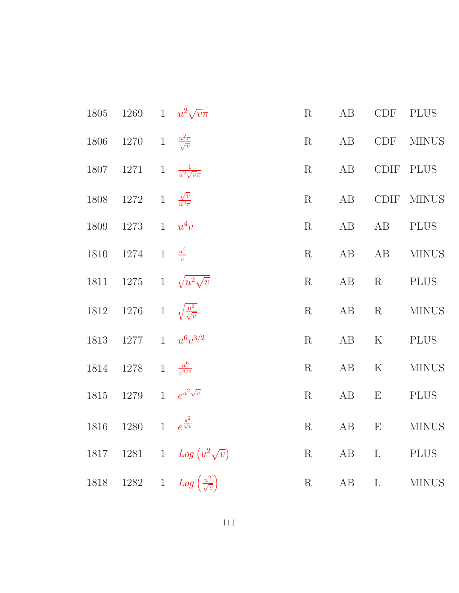| 1805 1269 1 $u^2\sqrt{v}\pi$              |                                                    | $\mathbf R$ | AB       |           | CDF PLUS                                                                            |
|-------------------------------------------|----------------------------------------------------|-------------|----------|-----------|-------------------------------------------------------------------------------------|
| 1806 1270 1 $\frac{u^2\pi}{\sqrt{v}}$     |                                                    |             | R AB     |           | CDF MINUS                                                                           |
| 1807 1271 1 $\frac{1}{u^2\sqrt{v\pi}}$    |                                                    |             | R AB     |           | CDIF PLUS                                                                           |
| 1808 1272 1 $\frac{\sqrt{v}}{u^2 \pi}$    |                                                    |             | $R$ $AB$ |           | CDIF MINUS                                                                          |
| 1809 1273 1 $u^4v$                        |                                                    | $\rm R$     |          | AB AB     | PLUS                                                                                |
| 1810 1274 1 $\frac{u^4}{v}$               |                                                    |             |          | R AB AB   | <b>MINUS</b>                                                                        |
| 1811 1275 1 $\sqrt{u^2\sqrt{v}}$          |                                                    | R           |          | AB R PLUS |                                                                                     |
| 1812 1276 1 $\sqrt{\frac{u^2}{\sqrt{v}}}$ |                                                    |             |          |           | $\mathbf{R} \qquad \  \  \mathbf{AB} \qquad \mathbf{R} \qquad \  \  \mathbf{MINUS}$ |
| 1813 1277 1 $u^6v^{3/2}$                  |                                                    | $\mathbf R$ |          | AB K PLUS |                                                                                     |
| 1814 1278 1 $\frac{u^6}{v^{3/2}}$         |                                                    |             | $R$ $AB$ | ${\bf K}$ | <b>MINUS</b>                                                                        |
| 1815 1279 1 $e^{u^2\sqrt{v}}$             |                                                    | R           |          |           | AB E PLUS                                                                           |
| 1816 1280 1 $e^{\frac{u^2}{\sqrt{v}}}$    |                                                    |             |          |           | $\mathbf{R} \qquad \  \  \mathbf{AB} \qquad \mathbf{E} \qquad \  \  \mathbf{MINUS}$ |
|                                           | 1817 1281 1 $Log (u^2 \sqrt{v})$                   | R           |          |           | AB L PLUS                                                                           |
|                                           | 1818 1282 1 $Log\left(\frac{u^2}{\sqrt{v}}\right)$ |             |          |           | R $AB$ L MINUS                                                                      |
|                                           |                                                    |             |          |           |                                                                                     |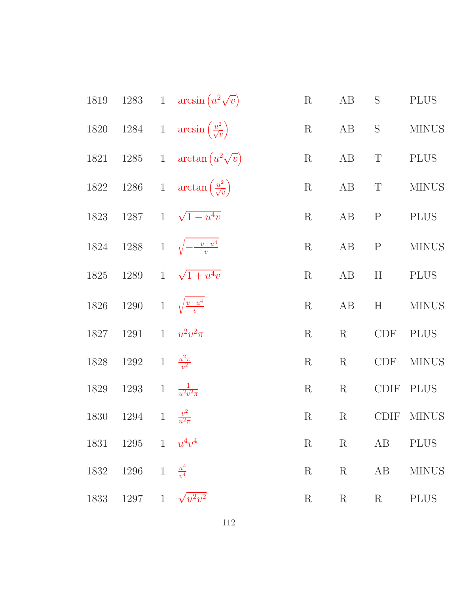| 1819 |                                 | 1283 1 $\arcsin(u^2\sqrt{v})$                          | $\rm R$     | AB          | $\mathbf S$ | <b>PLUS</b>  |
|------|---------------------------------|--------------------------------------------------------|-------------|-------------|-------------|--------------|
|      |                                 | 1820 1284 1 $\arcsin\left(\frac{u^2}{\sqrt{v}}\right)$ | $\rm R$     | AB          | $\mathbf S$ | <b>MINUS</b> |
|      |                                 | 1821 1285 1 $\arctan(u^2\sqrt{v})$                     | $\rm R$     | AB          | $\mathbf T$ | <b>PLUS</b>  |
|      |                                 | 1822 1286 1 $\arctan\left(\frac{u^2}{\sqrt{v}}\right)$ | $\mathbf R$ | AB          | $\mathbf T$ | <b>MINUS</b> |
|      |                                 | 1823 1287 1 $\sqrt{1-u^4v}$                            | $\rm R$     | AB P        |             | <b>PLUS</b>  |
|      |                                 | 1824 1288 1 $\sqrt{-\frac{-v+u^4}{v}}$                 | $\rm R$     | AB          | ${\bf P}$   | <b>MINUS</b> |
|      |                                 | 1825 1289 1 $\sqrt{1+u^4v}$                            | $\mathbf R$ | AB          | H           | <b>PLUS</b>  |
| 1826 | 1290 1 $\sqrt{\frac{v+u^4}{v}}$ |                                                        | $\rm R$     | AB          | $\mathbf H$ | <b>MINUS</b> |
| 1827 | 1291                            | 1 $u^2v^2\pi$                                          | $\mathbf R$ | $\rm R$     | CDF         | <b>PLUS</b>  |
| 1828 | 1292                            | 1 $\frac{u^2 \pi}{v^2}$                                | $\mathbf R$ | $\mathbf R$ | CDF         | <b>MINUS</b> |
| 1829 | 1293                            | 1 $\frac{1}{u^2v^2\pi}$                                | $\mathbf R$ | $\mathbf R$ | CDIF        | <b>PLUS</b>  |
| 1830 | 1294                            | 1 $\frac{v^2}{u^2\pi}$                                 | $\rm R$     | $\rm R$     | <b>CDIF</b> | <b>MINUS</b> |
|      | 1831 1295 1 $u^4v^4$            |                                                        | $\rm R$     | $\mathbf R$ | AB          | <b>PLUS</b>  |
| 1832 | 1296 1 $\frac{u^4}{v^4}$        |                                                        | $\rm R$     | $\rm R$     | AB          | <b>MINUS</b> |
|      | 1833 1297 1 $\sqrt{u^2v^2}$     |                                                        | $\rm R$     | $R_{\perp}$ | $\rm R$     | $\rm PLUS$   |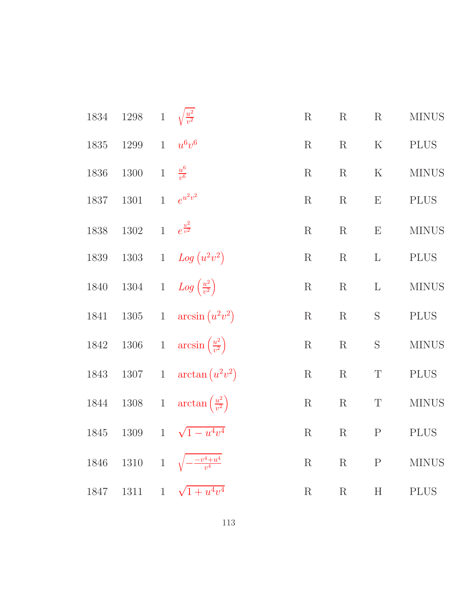| 1834     | 1298 1 $\sqrt{\frac{u^2}{v^2}}$ |                |                                                   | $\rm R$     | $\rm R$     | $\mathbf R$               | <b>MINUS</b> |
|----------|---------------------------------|----------------|---------------------------------------------------|-------------|-------------|---------------------------|--------------|
| 1835     | 1299                            |                | $1 - u^6v^6$                                      | $\rm R$     | $\rm R$     | $\rm K$                   | <b>PLUS</b>  |
| 1836     | 1300                            | $\overline{1}$ | $\frac{u^6}{v^6}$                                 | $\rm R$     | $\rm R$     | ${\bf K}$                 | <b>MINUS</b> |
| 1837     | 1301                            |                | 1 $e^{u^2v^2}$                                    | $\mathbf R$ | $\rm R$     | $\boldsymbol{\mathrm{E}}$ | <b>PLUS</b>  |
| 1838     | $1302\,$                        |                | 1 $e^{\frac{u^2}{v^2}}$                           | $\mathbf R$ | $\rm R$     | E                         | <b>MINUS</b> |
| 1839     |                                 |                | 1303 1 $Log(u^2v^2)$                              | $\rm R$     | $\rm R$     | $\mathbf{L}$              | <b>PLUS</b>  |
|          |                                 |                | 1840 1304 1 $Log\left(\frac{u^2}{v^2}\right)$     | $\rm R$     | $\mathbf R$ | $\Gamma$                  | <b>MINUS</b> |
| 1841     |                                 |                | 1305 1 $\arcsin(u^2v^2)$                          | $\mathbf R$ | $\mathbf R$ | $\mathbf S$               | <b>PLUS</b>  |
| $1842\,$ |                                 |                | 1306 1 $\arcsin\left(\frac{u^2}{v^2}\right)$      | $\mathbf R$ | $\mathbf R$ | $\mathbf S$               | <b>MINUS</b> |
| 1843     |                                 |                | 1307 1 $\arctan(u^2v^2)$                          | $\mathbf R$ | $\mathbf R$ | $\mathbf T$               | <b>PLUS</b>  |
|          |                                 |                | 1844 1308 1 $\arctan\left(\frac{u^2}{v^2}\right)$ | $\rm R$     | $\mathbf R$ | $\mathbf T$               | <b>MINUS</b> |
| 1845     | 1309                            |                | 1 $\sqrt{1-u^4v^4}$                               | $\mathbf R$ | $\mathbf R$ | $\mathbf P$               | <b>PLUS</b>  |
|          |                                 |                | 1846 1310 1 $\sqrt{-\frac{v^4+u^4}{v^4}}$         | $\rm R$     | R           | $\mathbf{P}$              | <b>MINUS</b> |
|          |                                 |                | 1847 1311 1 $\sqrt{1+u^4v^4}$                     | $\rm R$     | $\mathbf R$ | H                         | <b>PLUS</b>  |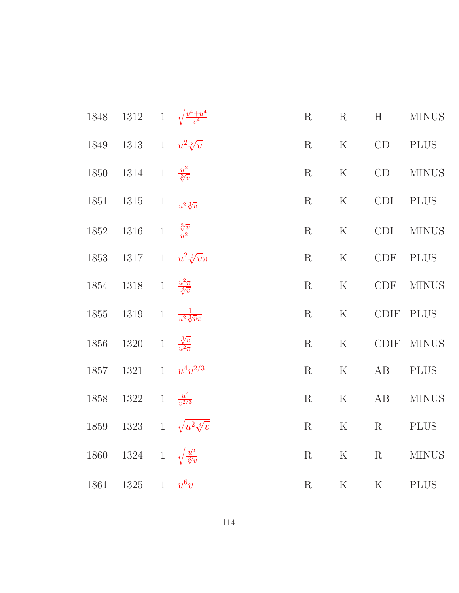|      | 1848 1312 1 $\sqrt{\frac{v^4 + u^4}{v^4}}$   |  | $\rm R$ | $\rm R$     | H       | <b>MINUS</b> |
|------|----------------------------------------------|--|---------|-------------|---------|--------------|
|      | 1849 1313 1 $u^2\sqrt[3]{v}$                 |  |         | R K CD      |         | PLUS         |
|      | 1850 1314 1 $\frac{u^2}{\sqrt[3]{v}}$        |  | $\rm R$ | $\mathbf K$ | CD      | <b>MINUS</b> |
|      | 1851 1315 1 $\frac{1}{u^2\sqrt[3]{v}}$       |  | R       | $\mathbf K$ | CDI     | <b>PLUS</b>  |
|      | 1852 1316 1 $\frac{3}{v^2}$                  |  | R       | $\rm K$     | CDI     | <b>MINUS</b> |
|      | 1853 1317 1 $u^2 \sqrt[3]{v} \pi$            |  |         | $R$ K       | CDF     | <b>PLUS</b>  |
|      | 1854 1318 1 $\frac{u^2\pi}{\sqrt[3]{v}}$     |  | $\rm R$ | K           | CDF     | <b>MINUS</b> |
|      | 1855 1319 1 $\frac{1}{u^2 \sqrt[3]{v \pi}}$  |  | R       | $\rm K$     |         | CDIF PLUS    |
| 1856 | 1320 1 $\frac{3}{v^2}$                       |  | R       | $\mathbf K$ |         | CDIF MINUS   |
| 1857 | 1321 1 $u^4v^{2/3}$                          |  | R       | K           | AB      | <b>PLUS</b>  |
|      | 1858 1322 1 $\frac{u^4}{v^{2/3}}$            |  | $\rm R$ | K           | AB      | <b>MINUS</b> |
|      | 1859 1323 1 $\sqrt{u^2 \sqrt[3]{v}}$         |  | $\rm R$ | $\mathbf K$ | R       | <b>PLUS</b>  |
|      | 1860 1324 1 $\sqrt{\frac{u^2}{\sqrt[3]{v}}}$ |  | $\rm R$ | ${\bf K}$   | $\rm R$ | <b>MINUS</b> |
| 1861 | 1325 1 $u^6v$                                |  | R       | $\mathbf K$ | K       | <b>PLUS</b>  |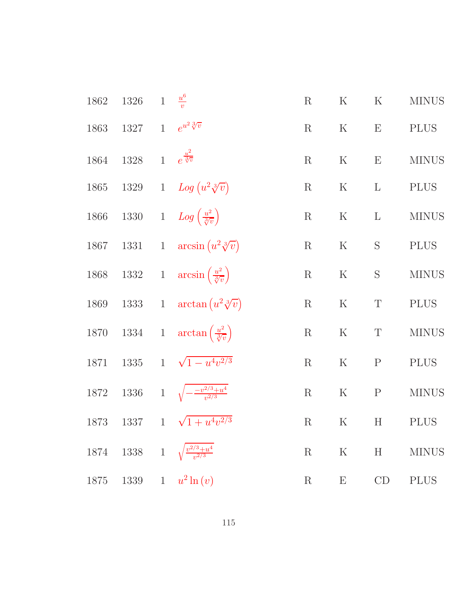| 1862 | 1326                                 | $1 \frac{u^6}{v}$                                         | $\rm R$     | $\rm K$                   | $\rm K$        | <b>MINUS</b> |
|------|--------------------------------------|-----------------------------------------------------------|-------------|---------------------------|----------------|--------------|
| 1863 | 1327 1 $e^{u^2 \sqrt[3]{v}}$         |                                                           | $\rm R$     | $\rm K$                   | $\mathbf{E}$   | <b>PLUS</b>  |
| 1864 | 1328 1 $e^{\frac{u^2}{\sqrt[3]{v}}}$ |                                                           | $\mathbf R$ | ${\bf K}$                 | E              | <b>MINUS</b> |
| 1865 |                                      | 1329 1 $Log (u^2 \sqrt[3]{v})$                            | $\mathbf R$ | $\rm K$                   | $\mathbf{L}$   | <b>PLUS</b>  |
| 1866 |                                      | 1330 1 $Log\left(\frac{u^2}{\sqrt[3]{v}}\right)$          | $\rm R$     | $\rm K$                   | $\mathbf{L}$   | <b>MINUS</b> |
|      |                                      | 1867 1331 1 $\arcsin(u^2 \sqrt[3]{v})$                    | $\mathbf R$ | ${\bf K}$                 | S              | <b>PLUS</b>  |
|      |                                      | 1868 1332 1 $\arcsin\left(\frac{u^2}{\sqrt[3]{v}}\right)$ | $\rm R$     | $\rm K$                   | ${\mathcal S}$ | <b>MINUS</b> |
|      |                                      | 1869 1333 1 $\arctan(u^2 \sqrt[3]{v})$                    | $\mathbf R$ | $\rm K$                   | $\mathbf T$    | <b>PLUS</b>  |
|      |                                      | 1870 1334 1 $\arctan\left(\frac{u^2}{\sqrt[3]{v}}\right)$ | $\mathbf R$ | ${\bf K}$                 | $\mathbf T$    | <b>MINUS</b> |
| 1871 |                                      | 1335 1 $\sqrt{1-u^4v^{2/3}}$                              | $\mathbf R$ | ${\bf K}$                 | $\mathbf P$    | <b>PLUS</b>  |
| 1872 |                                      | 1336 1 $\sqrt{-\frac{-v^{2/3}+u^4}{v^{2/3}}}$             | $\rm R$     | $\rm K$                   | $\mathbf P$    | $\rm MINUS$  |
| 1873 | 1337                                 | $1 \sqrt{1+u^4v^{2/3}}$                                   | $\mathbf R$ | $\rm K$                   | H              | <b>PLUS</b>  |
| 1874 | 1338                                 | 1 $\sqrt{\frac{v^{2/3}+u^4}{v^{2/3}}}$                    | $\mathbf R$ | $\rm K$                   | H              | <b>MINUS</b> |
| 1875 | 1339                                 | $1 - u^2 \ln(v)$                                          | $\rm R$     | $\boldsymbol{\mathrm{E}}$ | CD             | <b>PLUS</b>  |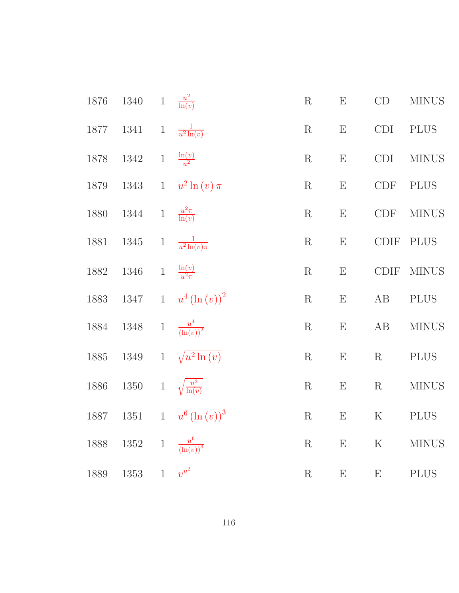| 1876 | $1340\,$ | $\,1$        | $\frac{u^2}{\ln(v)}$                          | $\mathbf R$ | ${\bf E}$                 | $\mathrm{CD}$     | <b>MINUS</b> |
|------|----------|--------------|-----------------------------------------------|-------------|---------------------------|-------------------|--------------|
| 1877 | $1341\,$ | $\,1$        | $rac{1}{u^2 \ln(v)}$                          | $\mathbf R$ | E                         | <b>CDI</b>        | <b>PLUS</b>  |
| 1878 | $1342\,$ |              | 1 $\frac{\ln(v)}{u^2}$                        | $\mathbf R$ | $\boldsymbol{\mathrm{E}}$ | CDI               | <b>MINUS</b> |
| 1879 | $1343\,$ | $\mathbf{1}$ | $u^2\ln(v)\pi$                                | $\mathbf R$ | $\boldsymbol{\mathrm{E}}$ | CDF               | <b>PLUS</b>  |
| 1880 | $1344\,$ | $\,1$        | $\frac{u^2\pi}{\ln(v)}$                       | $\mathbf R$ | E                         | <b>CDF</b>        | <b>MINUS</b> |
| 1881 | $1345\,$ | $\,1$        | $\frac{1}{u^2 \ln(v) \pi}$                    | ${\bf R}$   | E                         | $\text{\rm CDIF}$ | <b>PLUS</b>  |
| 1882 | $1346\,$ | $\,1$        | $\frac{\ln(v)}{u^2\pi}$                       | R           | E                         | <b>CDIF</b>       | <b>MINUS</b> |
| 1883 | 1347     | $\mathbf{1}$ | $u^{4}\left( \ln\left( v\right) \right) ^{2}$ | $\mathbf R$ | ${\bf E}$                 | $\rm AB$          | <b>PLUS</b>  |
| 1884 | $1348\,$ | $\,1$        | $\frac{u^4}{\left(\ln(v)\right)^2}$           | $\mathbf R$ | ${\bf E}$                 | AB                | <b>MINUS</b> |
| 1885 | $1349\,$ | $\mathbf{1}$ | $\sqrt{u^2 \ln(v)}$                           | ${\bf R}$   | E                         | $\mathbf R$       | <b>PLUS</b>  |
| 1886 | $1350\,$ | $\mathbf{1}$ | $\sqrt{\frac{u^2}{\ln(v)}}$                   | $\mathbf R$ | $\boldsymbol{\mathrm{E}}$ | $\mathbf R$       | <b>MINUS</b> |
| 1887 | 1351     |              | 1 $u^6 (\ln (v))^3$                           | R           | $\boldsymbol{\mathrm{E}}$ | $\rm K$           | <b>PLUS</b>  |
| 1888 | $1352\,$ |              | 1 $\frac{u^6}{(\ln(v))^3}$                    | $\mathbf R$ | ${\bf E}$                 | ${\bf K}$         | <b>MINUS</b> |
| 1889 | $1353\,$ | $\mathbf{1}$ | $v^{u^2}$                                     | $\mathbf R$ | $\boldsymbol{\mathrm{E}}$ | E                 | <b>PLUS</b>  |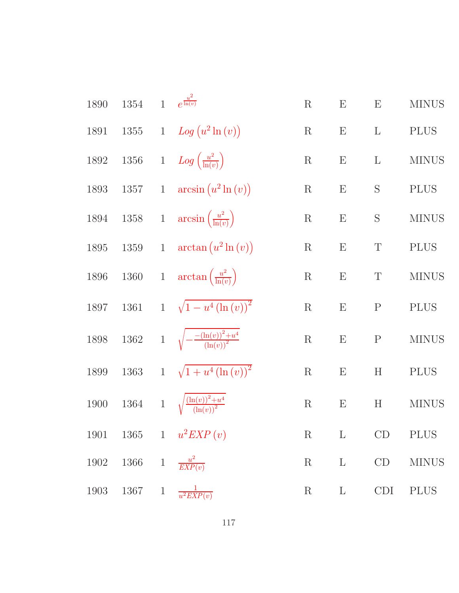| 1890 | 1354                             | $\mathbf{1}$ | $e^{\frac{u^2}{\ln(v)}}$                        | $\mathbf R$ | E                         | ${\rm E}$                 | <b>MINUS</b> |
|------|----------------------------------|--------------|-------------------------------------------------|-------------|---------------------------|---------------------------|--------------|
| 1891 | $1355\,$                         |              | 1 $Log (u^2 \ln (v))$                           | $\rm R$     | $\boldsymbol{\mathrm{E}}$ | $\mathbf{L}$              | <b>PLUS</b>  |
| 1892 | $1356\,$                         |              | 1 $Log\left(\frac{u^2}{\ln(v)}\right)$          | $\mathbf R$ | E                         | $\mathbf{L}$              | <b>MINUS</b> |
| 1893 |                                  |              | 1357 1 $\arcsin(u^2 \ln(v))$                    | $\mathbf R$ | $\boldsymbol{\mathrm{E}}$ | $\mathbf S$               | <b>PLUS</b>  |
| 1894 |                                  |              | 1358 1 $\arcsin\left(\frac{u^2}{\ln(v)}\right)$ | $\mathbf R$ | $\boldsymbol{\mathrm{E}}$ | $\mathbf S$               | <b>MINUS</b> |
| 1895 | $1359\,$                         |              | 1 $\arctan(u^2 \ln(v))$                         | $\mathbf R$ | $\boldsymbol{\mathrm{E}}$ | $\mathbf T$               | $\rm PLUS$   |
| 1896 | $1360\,$                         |              | 1 $\arctan\left(\frac{u^2}{\ln(v)}\right)$      | $\rm R$     | $\boldsymbol{\mathrm{E}}$ | $\mathbf T$               | <b>MINUS</b> |
| 1897 | 1361                             |              | 1 $\sqrt{1-u^4(\ln(v))^2}$                      | $\mathbf R$ | $\boldsymbol{\mathrm{E}}$ | $\mathbf P$               | <b>PLUS</b>  |
| 1898 | $1362\,$                         |              | 1 $\sqrt{-\frac{-(\ln(v))^2+u^4}{(\ln(v))^2}}$  | $\rm R$     | $\boldsymbol{\mathrm{E}}$ | ${\bf P}$                 | <b>MINUS</b> |
| 1899 | 1363                             |              | 1 $\sqrt{1+u^4(\ln(v))^2}$                      | $\mathbf R$ | $\boldsymbol{\mathrm{E}}$ | $\boldsymbol{\mathrm{H}}$ | <b>PLUS</b>  |
| 1900 | 1364                             |              | 1 $\sqrt{\frac{(\ln(v))^2+u^4}{(\ln(v))^2}}$    | $\mathbf R$ | $\boldsymbol{\mathrm{E}}$ | H                         | <b>MINUS</b> |
|      |                                  |              | 1901 1365 1 $u^2EXP(v)$                         | $\rm R$     | $\mathbf{L}$              |                           | CD PLUS      |
|      | 1902 1366 1 $\frac{u^2}{EXP(v)}$ |              |                                                 | $\mathbf R$ | $\mathbf{L}$              | CD                        | <b>MINUS</b> |
| 1903 | 1367 1                           |              | $\frac{1}{u^2 EXP(v)}$                          | $\rm R$     | $\mathbf{L}$              | CDI                       | <b>PLUS</b>  |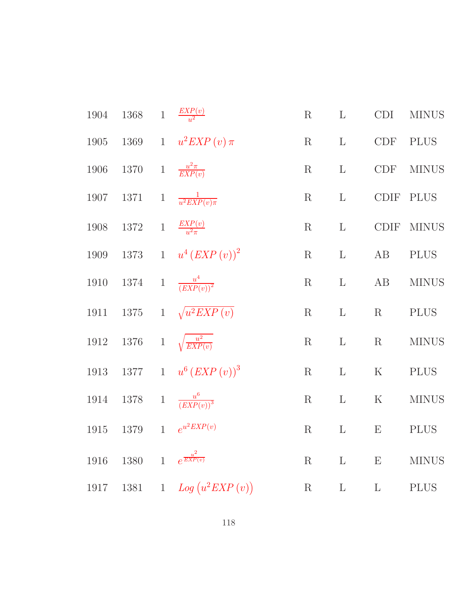| 1904 | 1368 1 $\frac{EXP(v)}{v^2}$     |              |                                         | $\mathbf R$ | $\mathbf{L}$ | <b>CDI</b>                | <b>MINUS</b> |
|------|---------------------------------|--------------|-----------------------------------------|-------------|--------------|---------------------------|--------------|
| 1905 |                                 |              | 1369 1 $u^2 EXP(v) \pi$                 | $\mathbf R$ | $\mathbf{L}$ | CDF                       | PLUS         |
| 1906 | 1370 1 $\frac{u^2 \pi}{EXP(v)}$ |              |                                         | $\mathbf R$ | $\mathbf{L}$ | <b>CDF</b>                | <b>MINUS</b> |
| 1907 |                                 |              | 1371 1 $\frac{1}{u^2 E X P(v) \pi}$     | $\mathbf R$ | $\mathbf{L}$ |                           | CDIF PLUS    |
| 1908 | 1372 1 $\frac{EXP(v)}{u^2\pi}$  |              |                                         | $\mathbf R$ | $\mathbf{L}$ |                           | CDIF MINUS   |
|      |                                 |              | 1909 1373 1 $u^4 (EXP(v))^2$            | $\mathbf R$ | $\mathbf{L}$ | AB                        | <b>PLUS</b>  |
|      |                                 |              | 1910 1374 1 $\frac{u^4}{(EXP(v))^2}$    | $\mathbf R$ | $\mathbf{L}$ | AB                        | <b>MINUS</b> |
|      |                                 |              | 1911 1375 1 $\sqrt{u^2 EXP(v)}$         | $\mathbf R$ | $\mathbf{L}$ | $\rm R$                   | <b>PLUS</b>  |
|      |                                 |              | 1912 1376 1 $\sqrt{\frac{u^2}{EXP(v)}}$ | $\rm R$     | $\mathbf{L}$ | $\mathbf R$               | <b>MINUS</b> |
|      |                                 |              | 1913 1377 1 $u^6 (EXP(v))^3$            | $\mathbf R$ | $\mathbf{L}$ | ${\bf K}$                 | <b>PLUS</b>  |
| 1914 |                                 |              | 1378 1 $\frac{u^6}{(EXP(v))^3}$         | $\rm R$     | $\mathbf{L}$ | $\mathbf K$               | <b>MINUS</b> |
| 1915 |                                 |              | 1379 1 $e^{u^2EXP(v)}$                  | R           | $\mathbf{L}$ | $\boldsymbol{\mathrm{E}}$ | <b>PLUS</b>  |
| 1916 | 1380                            | $\mathbf{1}$ | $e^{\frac{u^2}{EXP(v)}}$                | $\mathbf R$ | $\Gamma$     | $\boldsymbol{\mathrm{E}}$ | <b>MINUS</b> |
| 1917 | 1381                            | $\mathbf{1}$ | $Log (u^2EXP(v))$                       | $\mathbf R$ | $\mathbf{L}$ | $\Gamma$                  | <b>PLUS</b>  |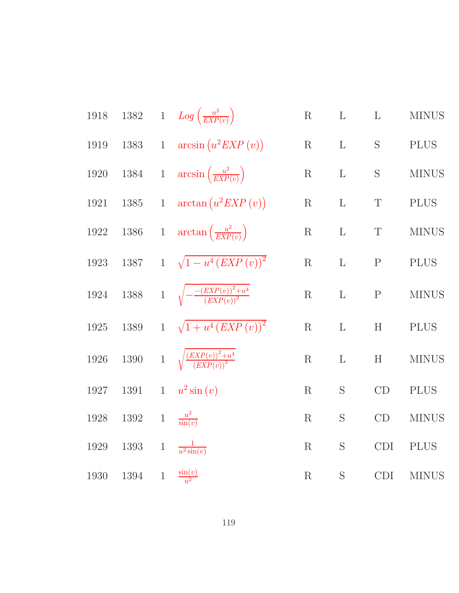1918 1382 1 
$$
Log\left(\frac{u^2}{EXP(v)}\right)
$$
 R L L MINUS  
\n1919 1383 1  $arcsin(u^2EXP(v))$  R L S PLUS  
\n1920 1384 1  $arcsin\left(\frac{u^2}{EXP(v)}\right)$  R L S MINUS  
\n1921 1385 1  $arctan(u^2EXP(v))$  R L T PLUS  
\n1922 1386 1  $arctan\left(\frac{u^2}{EXP(v)}\right)$  R L T MINUS  
\n1923 1387 1  $\sqrt{1-u^4(EXP(v))^2}$  R L P PLUS  
\n1924 1388 1  $\sqrt{-\frac{(EXP(v))^2+u^4}{(EXP(v))^2}}$  R L P MINUS  
\n1925 1389 1  $\sqrt{1+u^4(EXP(v))^2}$  R L H PLUS  
\n1926 1390 1  $\sqrt{\frac{(EXP(v))^2+u^4}{(EXP(v))^2}}$  R L H MINUS  
\n1927 1391 1  $u^2 sin(v)$  R S C D PLUS  
\n1928 1392 1  $\frac{u^2}{sin(v)}$  R S C D PLUS  
\n1929 1393 1  $\frac{1}{u^2 sin(v)}$  R S C D MINUS  
\n1929 1393 1  $\frac{1}{u^2 sin(v)}$  R S C D MINUS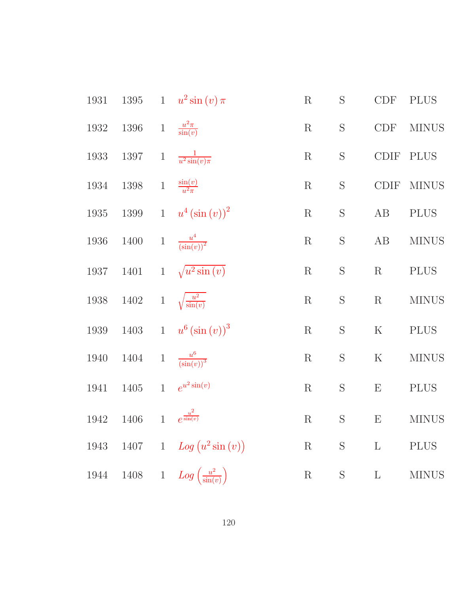| 1931     | $1395\,$ |                | 1 $u^2\sin(v)\pi$                      | ${\bf R}$   | S              | <b>CDF</b>            | <b>PLUS</b>  |
|----------|----------|----------------|----------------------------------------|-------------|----------------|-----------------------|--------------|
| 1932     | 1396     | $1\,$          | $\frac{u^2\pi}{\sin(v)}$               | $\mathbf R$ | $\mathbf S$    | CDF                   | <b>MINUS</b> |
| 1933     | 1397     | $\,1$          | $\frac{1}{u^2\sin(v)\pi}$              | $\mathbf R$ | S              | $\text{\rm CDIF}$     | <b>PLUS</b>  |
| 1934     | $1398\,$ | $\,1$          | $\frac{\sin(v)}{u^2 \pi}$              | $\mathbf R$ | $\mathbf S$    | $\operatorname{CDIF}$ | <b>MINUS</b> |
| 1935     | $1399\,$ | $\mathbf{1}$   | $u^4\left(\sin\left(v\right)\right)^2$ | $\mathbf R$ | S              | $\rm AB$              | <b>PLUS</b>  |
| 1936     | $1400\,$ |                | 1 $\frac{u^4}{(\sin(v))^2}$            | $\mathbf R$ | $\mathbf S$    | $\rm AB$              | <b>MINUS</b> |
| 1937     | 1401     | $\mathbf{1}$   | $\sqrt{u^2\sin(v)}$                    | R           | S              | $\mathbf R$           | <b>PLUS</b>  |
| 1938     | $1402\,$ |                | 1 $\sqrt{\frac{u^2}{\sin(v)}}$         | $\mathbf R$ | $\mathbf S$    | R                     | <b>MINUS</b> |
| $1939\,$ | $1403\,$ |                | 1 $u^6(\sin(v))^3$                     | $\mathbf R$ | $\mathbf S$    | $\mathbf K$           | <b>PLUS</b>  |
| 1940     | 1404     | $\mathbf{1}$   | $\frac{u^6}{\left(\sin(v)\right)^3}$   | $\mathbf R$ | $\mathbf S$    | $\mathbf K$           | <b>MINUS</b> |
| 1941     | $1405\,$ | $\overline{1}$ | $e^{u^2\sin(v)}$                       | $\mathbf R$ | S              | E                     | <b>PLUS</b>  |
| 1942     | 1406     | $\mathbf{1}$   | $e^{\frac{u^2}{\sin(v)}}$              | $\mathbf R$ | S              | E                     | <b>MINUS</b> |
| 1943     | 1407     | $\mathbf{1}$   | $Log (u^2 \sin(v))$                    | $\mathbf R$ | ${\mathcal S}$ | $\Gamma$              | <b>PLUS</b>  |
| 1944     | $1408\,$ | $\mathbf{1}$   | $Log\left(\frac{u^2}{\sin(v)}\right)$  | $\mathbf R$ | S              | $\Gamma$              | <b>MINUS</b> |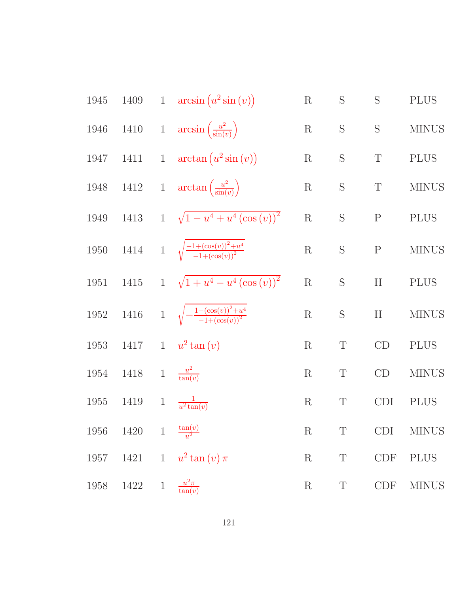1945 1409 1 arcsin (u<sup>2</sup>sin(v)) R S S PLUS  
\n1946 1410 1 arcsin (
$$
\frac{u^2}{\sin(v)}
$$
) R S S MINUS  
\n1947 1411 1 arctan (u<sup>2</sup>sin(v)) R S T PLUS  
\n1948 1412 1 arctan ( $\frac{u^2}{\sin(v)}$ ) R S T MINUS  
\n1949 1413 1  $\sqrt{1 - u^4 + u^4 (\cos(v))^2}$  R S P PLUS  
\n1950 1414 1  $\sqrt{\frac{-1 + (\cos(v))^2 + u^4}{-1 + (\cos(v))^2}}$  R S P MINUS  
\n1951 1415 1  $\sqrt{1 + u^4 - u^4 (\cos(v))^2}$  R S H PLUS  
\n1952 1416 1  $\sqrt{\frac{-1 - (\cos(v))^2 + u^4}{-1 + (\cos(v))^2}}$  R S H MINUS  
\n1953 1417 1  $u^2 \tan(v)$  R T CD PLUS  
\n1954 1418 1  $\frac{u^2}{\tan(v)}$  R T CD MINUS  
\n1955 1419 1  $\frac{u^2}{u^2 \tan(v)}$  R T CD ININUS  
\n1956 1420 1  $\frac{\tan(v)}{u^2}$  R T CDI MINUS  
\n1957 1421 1  $u^2 \tan(v) \pi$  R T CDF PLUS  
\n1958 1422 1  $\frac{u^2 \pi}{\tan(v)}$  R T CDF MINUS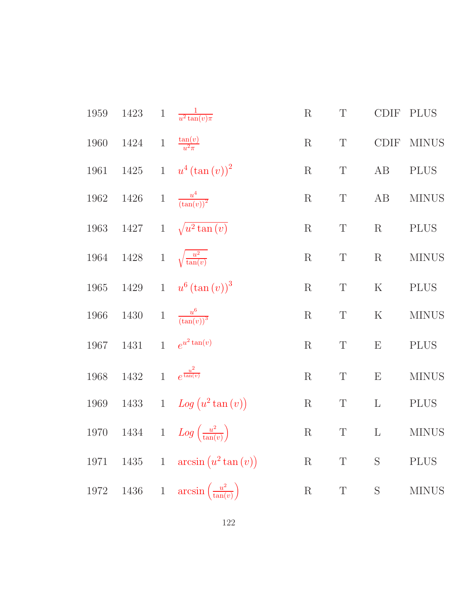| 1959 | 1423                                     | 1 $\frac{1}{u^2\tan(v)\pi}$                       | $\mathbf R$ | T           | <b>CDIF</b> | <b>PLUS</b>  |
|------|------------------------------------------|---------------------------------------------------|-------------|-------------|-------------|--------------|
| 1960 | 1424 1 $\frac{\tan(v)}{u^2 \pi}$         |                                                   | $\mathbf R$ | $\mathbf T$ | CDIF        | <b>MINUS</b> |
|      |                                          | 1961 1425 1 $u^4 (\tan (v))^2$                    | $\mathbf R$ | $\mathbf T$ | AB          | <b>PLUS</b>  |
|      | 1962 1426 1 $\frac{u^4}{(\tan(v))^2}$    |                                                   | $\mathbf R$ | $\mathbf T$ | AB          | <b>MINUS</b> |
|      |                                          | 1963 1427 1 $\sqrt{u^2 \tan(v)}$                  | $\mathbf R$ | $\mathbf T$ | $\mathbf R$ | <b>PLUS</b>  |
|      | 1964 1428 1 $\sqrt{\frac{u^2}{\tan(v)}}$ |                                                   | $\mathbf R$ | $\mathbf T$ | $\mathbf R$ | <b>MINUS</b> |
|      |                                          | 1965 1429 1 $u^6 (\tan (v))^3$                    | $\mathbf R$ | $\mathbf T$ | ${\bf K}$   | <b>PLUS</b>  |
| 1966 | 1430 1 $\frac{u^6}{(\tan(v))^3}$         |                                                   | $\mathbf R$ | $\mathbf T$ | $\rm K$     | <b>MINUS</b> |
| 1967 |                                          | 1431 1 $e^{u^2 \tan(v)}$                          | $\mathbf R$ | $\mathbf T$ | ${\bf E}$   | <b>PLUS</b>  |
| 1968 | 1432 1 $e^{\frac{u^2}{\tan(v)}}$         |                                                   | $\mathbf R$ | $\mathbf T$ | E           | <b>MINUS</b> |
|      |                                          | 1969 1433 1 $Log (u^2 tan (v))$                   | $\rm R$     | $\mathbf T$ | $\mathbf L$ | <b>PLUS</b>  |
|      |                                          | 1970 1434 1 $Log\left(\frac{u^2}{\tan(v)}\right)$ | $\mathbf R$ | $\mathbf T$ | $\Gamma$    | <b>MINUS</b> |
| 1971 |                                          | 1435 1 $\arcsin(u^2 \tan(v))$                     | $\mathbf R$ | T           | $\mathbf S$ | <b>PLUS</b>  |
| 1972 |                                          | 1436 1 $\arcsin\left(\frac{u^2}{\tan(v)}\right)$  | $\mathbf R$ | $\mathbf T$ | S           | <b>MINUS</b> |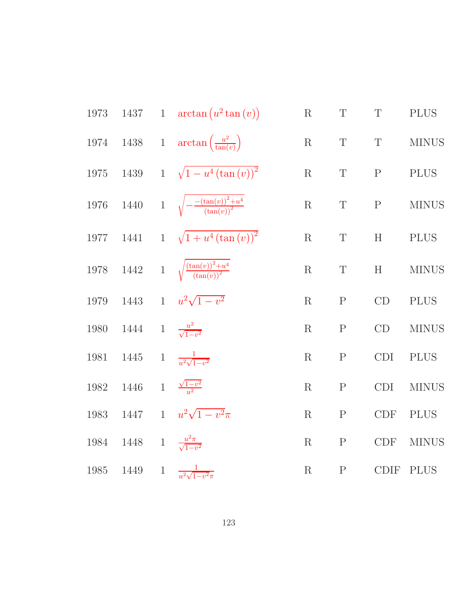1973 1437 1 
$$
\arctan(u^2 \tan(v))
$$
 R T T PLUS  
\n1974 1438 1  $\arctan(\frac{u^2}{\tan(v)})$  R T T MINUS  
\n1975 1439 1  $\sqrt{1-u^4(\tan(v))^2}$  R T P PULUS  
\n1976 1440 1  $\sqrt{-\frac{(\tan(v))^2 + u^4}{(\tan(v))^2}}$  R T P MINUS  
\n1977 1441 1  $\sqrt{1+u^4(\tan(v))^2}$  R T H P LUS  
\n1978 1442 1  $\sqrt{\frac{(\tan(v))^2 + u^4}{(\tan(v))^2}}$  R T H MINUS  
\n1979 1443 1  $u^2 \sqrt{1-v^2}$  R P C D PLUS  
\n1980 1444 1  $\frac{u^2}{\sqrt{1-v^2}}$  R P C D MINUS  
\n1981 1445 1  $\frac{1}{u^2 \sqrt{1-v^2}}$  R P C D I P LUS  
\n1982 1446 1  $\frac{\sqrt{1-v^2}}{u^2}$  R P C D I MINUS  
\n1983 1447 1  $u^2 \sqrt{1-v^2}\pi$  R P C D F P LUS  
\n1984 1448 1  $\frac{u^2\pi}{\sqrt{1-v^2}}$  R P C D F NINUS  
\n1985 1449 1  $\frac{1}{u^2\sqrt{1-v^2}\pi}$  R P C D F MINUS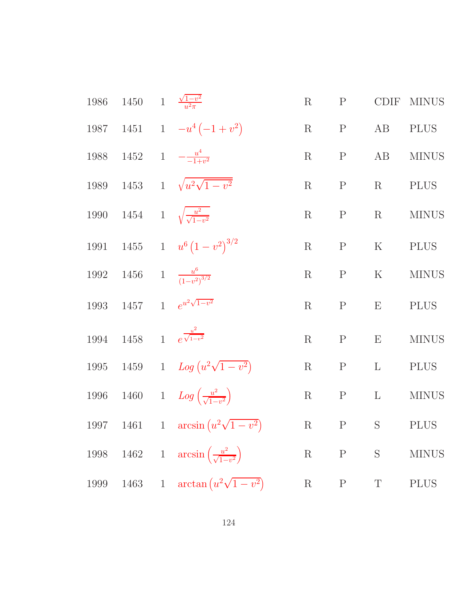|      | 1986 1450 1 $\frac{\sqrt{1-v^2}}{n^2\pi}$  |                                                        | R       | P            |                | CDIF MINUS   |
|------|--------------------------------------------|--------------------------------------------------------|---------|--------------|----------------|--------------|
|      |                                            | 1987 1451 1 $-u^4(-1+v^2)$                             |         | $R \t P$     | AB             | <b>PLUS</b>  |
|      |                                            | 1988 1452 1 $-\frac{u^4}{-1+v^2}$                      |         | $R$ $P$      | AB             | <b>MINUS</b> |
|      |                                            | 1989 1453 1 $\sqrt{u^2\sqrt{1-v^2}}$                   |         | $R$ $P$      | R              | <b>PLUS</b>  |
|      |                                            | 1990 1454 1 $\sqrt{\frac{u^2}{\sqrt{1-v^2}}}$          |         | $R$ $P$      |                | R MINUS      |
|      |                                            | 1991 1455 1 $u^6 (1 - v^2)^{3/2}$                      | R       | $\mathbf{P}$ | K              | <b>PLUS</b>  |
|      |                                            | 1992 1456 1 $\frac{u^6}{(1-v^2)^{3/2}}$                |         | $R \t P$     | K              | <b>MINUS</b> |
|      |                                            | 1993 1457 1 $e^{u^2\sqrt{1-v^2}}$                      |         | $R$ $P$      | $\mathbf{E}$   | <b>PLUS</b>  |
|      | 1994 1458 1 $e^{\frac{u^2}{\sqrt{1-v^2}}}$ |                                                        | $\rm R$ |              | P E            | <b>MINUS</b> |
|      |                                            | 1995 1459 1 $Log (u^2 \sqrt{1-v^2})$                   |         |              | R $P$ L $PLUS$ |              |
|      |                                            | 1996 1460 1 $Log\left(\frac{u^2}{\sqrt{1-v^2}}\right)$ |         |              | R $P$ L        | <b>MINUS</b> |
|      |                                            | 1997 1461 1 $\arcsin(u^2\sqrt{1-v^2})$ R P S PLUS      |         |              |                |              |
| 1998 |                                            | 1462 1 $\arcsin\left(\frac{u^2}{\sqrt{1-v^2}}\right)$  |         | R $P$ S      |                | <b>MINUS</b> |
| 1999 |                                            | 1463 1 $\arctan(u^2\sqrt{1-v^2})$                      | $\rm R$ | $\mathbf P$  | $\mathbf T$    | <b>PLUS</b>  |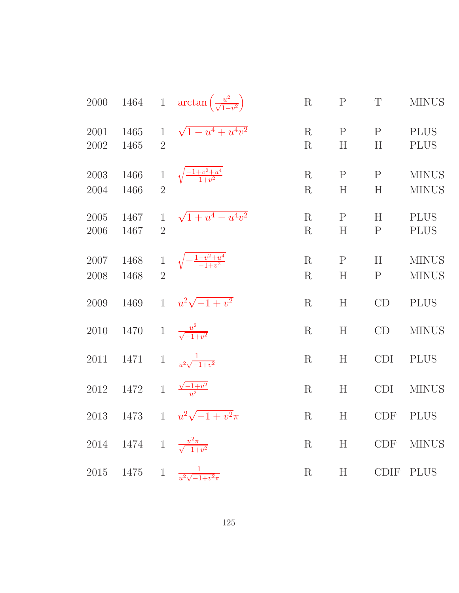| 2000         |                                             |                                | 1464 1 $\arctan\left(\frac{u^2}{\sqrt{1-v^2}}\right)$ | $\mathbf R$        | $\mathbf P$       | $\mathbf T$       | <b>MINUS</b>                 |
|--------------|---------------------------------------------|--------------------------------|-------------------------------------------------------|--------------------|-------------------|-------------------|------------------------------|
| 2001<br>2002 | 1465<br>1465                                | $\mathbf{1}$<br>$\overline{2}$ | $\sqrt{1-u^4+u^4v^2}$                                 | R<br>$\rm R$       | $\mathbf{P}$<br>H | $\mathbf{P}$<br>H | <b>PLUS</b><br><b>PLUS</b>   |
| 2003<br>2004 | 1466<br>1466                                | $\mathbf{1}$<br>$\overline{2}$ | $\sqrt{\frac{-1+v^2+u^4}{-1+v^2}}$                    | $\rm R$<br>R       | $\mathbf P$<br>H  | $\mathbf P$<br>H  | <b>MINUS</b><br><b>MINUS</b> |
| 2005<br>2006 | 1467<br>1467                                | $\mathbf{1}$<br>$\overline{2}$ | $\sqrt{1+u^4-u^4v^2}$                                 | R<br>$\rm R$       | $\mathbf{P}$<br>H | H<br>$\mathbf{P}$ | <b>PLUS</b><br><b>PLUS</b>   |
| 2007<br>2008 | 1468<br>1468                                | $\,1$<br>$\overline{2}$        | $\sqrt{-\frac{1-v^2+u^4}{-1+v^2}}$                    | $\rm R$<br>$\rm R$ | $\mathbf P$<br>H  | H<br>$\mathbf P$  | <b>MINUS</b><br><b>MINUS</b> |
| 2009         | 1469                                        | $\mathbf{1}$                   | $u^2\sqrt{-1+v^2}$                                    | R                  | H                 | CD                | <b>PLUS</b>                  |
| 2010         | 1470                                        |                                | 1 $\frac{u^2}{\sqrt{-1+v^2}}$                         | $\rm R$            | $H_{\rm}$         | CD                | <b>MINUS</b>                 |
| 2011         | 1471                                        |                                | 1 $\frac{1}{u^2\sqrt{-1+v^2}}$                        | $\rm R$            | H                 | <b>CDI</b>        | <b>PLUS</b>                  |
| 2012         | 1472                                        |                                | 1 $\frac{\sqrt{-1+v^2}}{u^2}$                         | $\mathbf R$        | H                 | CDI               | <b>MINUS</b>                 |
| 2013         | 1473                                        |                                | 1 $u^2\sqrt{-1+v^2}\pi$                               | $\rm R$            | H                 | <b>CDF</b>        | <b>PLUS</b>                  |
|              | 2014 1474 1 $\frac{u^2 \pi}{\sqrt{-1+v^2}}$ |                                |                                                       | R                  | H                 |                   | CDF MINUS                    |
|              |                                             |                                | 2015 1475 1 $\frac{1}{u^2\sqrt{-1+v^2\pi}}$           | $\rm R$            | H                 |                   | CDIF PLUS                    |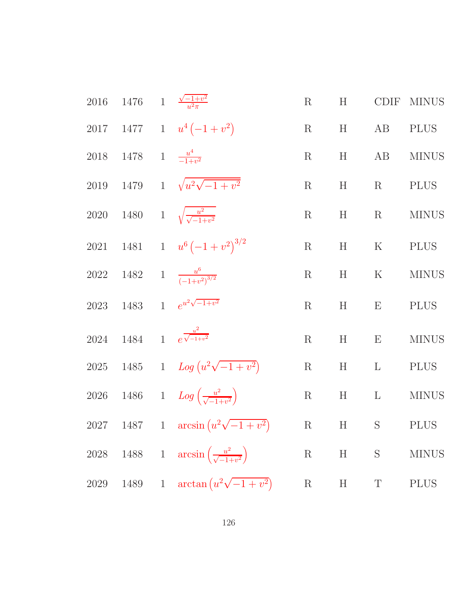|          |                                  | 2016 1476 1 $\frac{\sqrt{-1+v^2}}{v^2\pi}$              | R           | H     |             | CDIF MINUS   |
|----------|----------------------------------|---------------------------------------------------------|-------------|-------|-------------|--------------|
|          |                                  | 2017 1477 1 $u^4(-1+v^2)$                               | R           | H     | AB          | <b>PLUS</b>  |
|          | 2018 1478 1 $\frac{u^4}{-1+v^2}$ |                                                         | R           | H     | AB          | <b>MINUS</b> |
|          |                                  | 2019 1479 1 $\sqrt{u^2\sqrt{-1+v^2}}$                   | $\rm R$     |       | $H \t R$    | <b>PLUS</b>  |
|          |                                  | 2020 1480 1 $\sqrt{\frac{u^2}{\sqrt{-1+v^2}}}$          |             |       | $R$ H $R$   | <b>MINUS</b> |
|          |                                  | 2021 1481 1 $u^6(-1+v^2)^{3/2}$                         | R           |       | $H$ K       | <b>PLUS</b>  |
|          |                                  | 2022 1482 1 $\frac{u^6}{(-1+v^2)^{3/2}}$                | R           | H     | K           | <b>MINUS</b> |
|          |                                  | 2023 1483 1 $e^{u^2\sqrt{-1+v^2}}$                      | R           | H     | E           | <b>PLUS</b>  |
|          |                                  | 2024 1484 1 $e^{\frac{u^2}{\sqrt{-1+v^2}}}$             | $\mathbf R$ |       | $H$ E       | <b>MINUS</b> |
|          |                                  | 2025 1485 1 $Log (u^2 \sqrt{-1 + v^2})$                 |             |       | R H L PLUS  |              |
|          |                                  | 2026 1486 1 $Log\left(\frac{u^2}{\sqrt{-1+u^2}}\right)$ | R           |       | $H$ L       | <b>MINUS</b> |
|          |                                  | 2027 1487 1 $\arcsin(u^2\sqrt{-1+v^2})$ R H S PLUS      |             |       |             |              |
| $2028\,$ |                                  | 1488 1 $\arcsin\left(\frac{u^2}{\sqrt{-1+v^2}}\right)$  |             | R H S |             | <b>MINUS</b> |
| 2029     | 1489                             | 1 $\arctan(u^2\sqrt{-1+v^2})$                           | $\mathbf R$ | H     | $\mathbf T$ | <b>PLUS</b>  |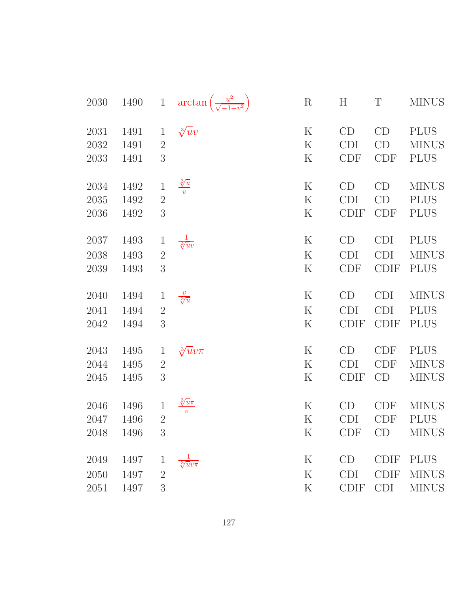| 2030     | 1490 | $1\,$          | $\arctan\left(\frac{u^2}{\sqrt{-1+v^2}}\right)$ | $\mathbf R$ | $H_{\rm}$   | T           | <b>MINUS</b> |
|----------|------|----------------|-------------------------------------------------|-------------|-------------|-------------|--------------|
| 2031     | 1491 | $\mathbf{1}$   | $\sqrt[3]{u}v$                                  | $\rm K$     | CD          | CD          | <b>PLUS</b>  |
| 2032     | 1491 | $\overline{2}$ |                                                 | ${\bf K}$   | <b>CDI</b>  | CD          | <b>MINUS</b> |
| 2033     | 1491 | 3              |                                                 | $\rm K$     | <b>CDF</b>  | <b>CDF</b>  | <b>PLUS</b>  |
| 2034     | 1492 | $\mathbf{1}$   | $\frac{\sqrt[3]{u}}{v}$                         | $\rm K$     | CD          | CD          | <b>MINUS</b> |
| $2035\,$ | 1492 | $\sqrt{2}$     |                                                 | $\rm K$     | <b>CDI</b>  | CD          | <b>PLUS</b>  |
| 2036     | 1492 | 3              |                                                 | $\rm K$     | <b>CDIF</b> | <b>CDF</b>  | <b>PLUS</b>  |
| 2037     | 1493 | $\mathbf{1}$   | $\frac{1}{\sqrt[3]{uv}}$                        | $\rm K$     | CD          | <b>CDI</b>  | <b>PLUS</b>  |
| 2038     | 1493 | $\overline{2}$ |                                                 | $\rm K$     | <b>CDI</b>  | <b>CDI</b>  | <b>MINUS</b> |
| 2039     | 1493 | 3              |                                                 | $\rm K$     | <b>CDF</b>  | <b>CDIF</b> | <b>PLUS</b>  |
| 2040     | 1494 | $\mathbf{1}$   | $\frac{v}{\sqrt[3]{u}}$                         | $\mathbf K$ | CD          | <b>CDI</b>  | <b>MINUS</b> |
| 2041     | 1494 | $\overline{2}$ |                                                 | $\mathbf K$ | <b>CDI</b>  | <b>CDI</b>  | <b>PLUS</b>  |
| 2042     | 1494 | 3              |                                                 | $\mathbf K$ | <b>CDIF</b> | <b>CDIF</b> | <b>PLUS</b>  |
| 2043     | 1495 | $\mathbf{1}$   | $\sqrt[3]{u}v\pi$                               | $\rm K$     | CD          | <b>CDF</b>  | <b>PLUS</b>  |
| 2044     | 1495 | $\overline{2}$ |                                                 | $\rm K$     | <b>CDI</b>  | <b>CDF</b>  | <b>MINUS</b> |
| 2045     | 1495 | 3              |                                                 | $\mathbf K$ | <b>CDIF</b> | CD          | <b>MINUS</b> |
| 2046     | 1496 | $\mathbf{1}$   | $\frac{\sqrt[3]{u}\pi}{v}$                      | $\rm K$     | CD          | <b>CDF</b>  | <b>MINUS</b> |
| 2047     | 1496 | $\overline{2}$ |                                                 | $\mathbf K$ | <b>CDI</b>  | CDF         | <b>PLUS</b>  |
| 2048     | 1496 | 3              |                                                 | $\rm K$     | <b>CDF</b>  | CD          | <b>MINUS</b> |
| 2049     | 1497 | $\mathbf 1$    | $\sqrt[3]{uv\pi}$                               | $\mathbf K$ | CD          | <b>CDIF</b> | <b>PLUS</b>  |
| 2050     | 1497 | $\overline{2}$ |                                                 | $\rm K$     | <b>CDI</b>  | <b>CDIF</b> | <b>MINUS</b> |
| 2051     | 1497 | 3              |                                                 | $\rm K$     | <b>CDIF</b> | <b>CDI</b>  | <b>MINUS</b> |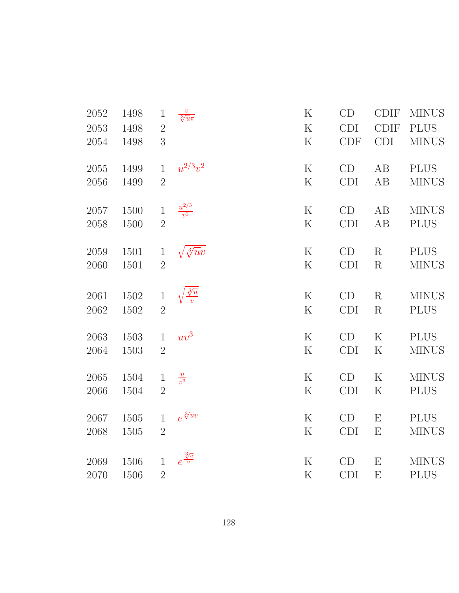| 2052     | 1498 | $\mathbf{1}$   | $\frac{v}{\sqrt[3]{u\pi}}$ | $\rm K$     | CD         | <b>CDIF</b> | <b>MINUS</b> |
|----------|------|----------------|----------------------------|-------------|------------|-------------|--------------|
| 2053     | 1498 | $\overline{2}$ |                            | $\mathbf K$ | <b>CDI</b> | <b>CDIF</b> | <b>PLUS</b>  |
| 2054     | 1498 | 3              |                            | $\rm K$     | <b>CDF</b> | <b>CDI</b>  | <b>MINUS</b> |
| 2055     | 1499 | $\mathbf{1}$   | $u^{2/3}v^2$               | ${\bf K}$   | CD         | AB          | <b>PLUS</b>  |
| 2056     | 1499 | $\overline{2}$ |                            | $\mathbf K$ | <b>CDI</b> | AB          | <b>MINUS</b> |
| 2057     | 1500 | $\,1$          | $\frac{u^{2/3}}{v^2}$      | ${\bf K}$   | CD         | AB          | <b>MINUS</b> |
| 2058     | 1500 | $\overline{2}$ |                            | $\mathbf K$ | <b>CDI</b> | AB          | <b>PLUS</b>  |
| 2059     | 1501 | $\mathbf{1}$   | $\sqrt{\sqrt[3]{uv}}$      | ${\bf K}$   | CD         | R           | <b>PLUS</b>  |
| 2060     | 1501 | $\overline{2}$ |                            | $\mathbf K$ | <b>CDI</b> | R           | <b>MINUS</b> |
| 2061     | 1502 | $\mathbf{1}$   |                            | ${\bf K}$   | CD         | R           | <b>MINUS</b> |
| $2062\,$ | 1502 | $\overline{2}$ |                            | $\rm K$     | <b>CDI</b> | $\mathbf R$ | <b>PLUS</b>  |
| 2063     | 1503 | $\mathbf{1}$   | $uv^3$                     | $\mathbf K$ | CD         | $\mathbf K$ | <b>PLUS</b>  |
| 2064     | 1503 | $\sqrt{2}$     |                            | $\rm K$     | <b>CDI</b> | $\rm K$     | <b>MINUS</b> |
| 2065     | 1504 | $\mathbf{1}$   | $\frac{u}{v^3}$            | $\rm K$     | CD         | K           | <b>MINUS</b> |
| 2066     | 1504 | $\overline{2}$ |                            | $\mathbf K$ | <b>CDI</b> | ${\bf K}$   | <b>PLUS</b>  |
| 2067     | 1505 | $\mathbf{1}$   | $e^{\sqrt[3]{u}v}$         | $\rm K$     | CD         | E           | <b>PLUS</b>  |
| 2068     | 1505 | $\overline{2}$ |                            | $\mathbf K$ | <b>CDI</b> | E           | <b>MINUS</b> |
| 2069     | 1506 | $\mathbf{1}$   | $e^{\frac{3}{\sqrt{u}}}\$  | $\rm K$     | CD         | E           | <b>MINUS</b> |
| 2070     | 1506 | $\overline{2}$ |                            | $\rm K$     | <b>CDI</b> | E           | <b>PLUS</b>  |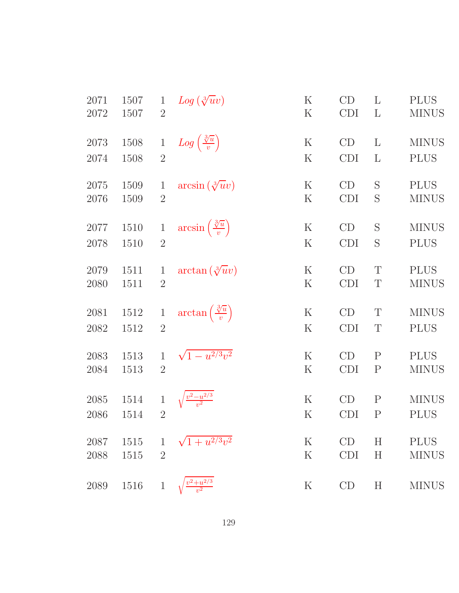| 2071 | 1507 | $\mathbf{1}$   | $Log(\sqrt[3]{u}v)$                         | $\rm K$     | CD         | L            | <b>PLUS</b>  |
|------|------|----------------|---------------------------------------------|-------------|------------|--------------|--------------|
| 2072 | 1507 | $\overline{2}$ |                                             | $\mathbf K$ | <b>CDI</b> | L            | <b>MINUS</b> |
| 2073 | 1508 | $\mathbf{1}$   | $Log\left(\frac{\sqrt[3]{u}}{v}\right)$     | $\rm K$     | CD         | L            | <b>MINUS</b> |
| 2074 | 1508 | $\overline{2}$ |                                             | $\rm K$     | <b>CDI</b> | L            | <b>PLUS</b>  |
| 2075 | 1509 | $\mathbf{1}$   | $arcsin(\sqrt[3]{u}v)$                      | $\rm K$     | CD         | S            | <b>PLUS</b>  |
| 2076 | 1509 | $\overline{2}$ |                                             | $\rm K$     | <b>CDI</b> | S            | <b>MINUS</b> |
| 2077 | 1510 | $\mathbf{1}$   | $\arcsin\left(\frac{\sqrt[3]{u}}{v}\right)$ | $\rm K$     | CD         | S            | <b>MINUS</b> |
| 2078 | 1510 | $\overline{2}$ |                                             | $\rm K$     | <b>CDI</b> | S            | <b>PLUS</b>  |
| 2079 | 1511 | $\mathbf{1}$   | $\arctan(\sqrt[3]{u}v)$                     | $\rm K$     | CD         | T            | <b>PLUS</b>  |
| 2080 | 1511 | $\overline{2}$ |                                             | K           | <b>CDI</b> | T            | <b>MINUS</b> |
| 2081 | 1512 | $\mathbf{1}$   | $\arctan\left(\frac{\sqrt[3]{u}}{v}\right)$ | $\rm K$     | CD         | T            | <b>MINUS</b> |
| 2082 | 1512 | $\overline{2}$ |                                             | $\rm K$     | <b>CDI</b> | T            | <b>PLUS</b>  |
| 2083 | 1513 | $\mathbf{1}$   | $\sqrt{1-u^{2/3}v^2}$                       | $\rm K$     | CD         | $\mathbf{P}$ | <b>PLUS</b>  |
| 2084 | 1513 | $\overline{2}$ |                                             | $\rm K$     | <b>CDI</b> | $\mathbf{P}$ | <b>MINUS</b> |
| 2085 | 1514 | $\mathbf{1}$   |                                             | $\rm K$     | CD         | $\mathbf P$  | <b>MINUS</b> |
| 2086 | 1514 | $\overline{2}$ |                                             | $\rm K$     | <b>CDI</b> | $\mathbf{P}$ | <b>PLUS</b>  |
| 2087 | 1515 | $\mathbf{1}$   | $\sqrt{1+u^{2/3}v^2}$                       | $\rm K$     | CD         | H            | <b>PLUS</b>  |
| 2088 | 1515 | $\overline{2}$ |                                             | $\rm K$     | <b>CDI</b> | H            | <b>MINUS</b> |
| 2089 | 1516 | $\mathbf{1}$   | $\frac{1^2+u^{2/3}}{v^2}$                   | $\rm K$     | CD         | H            | <b>MINUS</b> |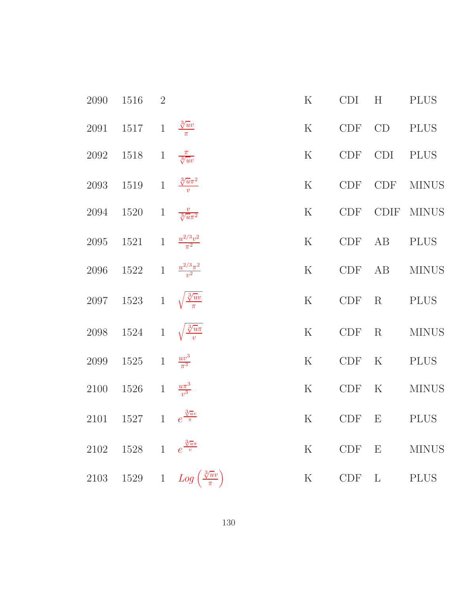| 2090      | 1516                                       | $\overline{2}$ |                                             | $\rm K$     | <b>CDI</b> | H            | <b>PLUS</b>  |
|-----------|--------------------------------------------|----------------|---------------------------------------------|-------------|------------|--------------|--------------|
|           | 2091 1517 1 $\frac{\sqrt[3]{uv}}{\pi}$     |                |                                             | $\rm K$     | CDF CD     |              | PLUS         |
| 2092      | 1518                                       |                | 1 $\frac{\pi}{\sqrt[3]{uv}}$                | $\mathbf K$ | CDF CDI    |              | <b>PLUS</b>  |
| 2093      | 1519 1 $\frac{3\pi\pi^2}{v}$               |                |                                             | $\mathbf K$ | CDF        | <b>CDF</b>   | <b>MINUS</b> |
| 2094 1520 |                                            |                | 1 $\frac{v}{\sqrt[3]{u\pi^2}}$              | $\rm K$     | CDF        |              | CDIF MINUS   |
|           | 2095 1521 1 $\frac{u^{2/3}v^2}{\pi^2}$     |                |                                             | ${\bf K}$   | CDF        | AB           | <b>PLUS</b>  |
|           | 2096 1522 1 $\frac{u^{2/3}\pi^2}{v^2}$     |                |                                             | $\mathbf K$ | CDF        | AB           | <b>MINUS</b> |
|           | 2097 1523 1 $\sqrt{\frac{3}{\pi}}$         |                |                                             | $\rm K$     | CDF        | $\rm R$      | <b>PLUS</b>  |
|           | 2098 1524 1 $\sqrt{\frac{3}{n}}$           |                |                                             | $\rm K$     | CDF        | $\rm R$      | <b>MINUS</b> |
| 2099      | $1525 \t 1 \frac{uv^3}{\pi^3}$             |                |                                             | $\mathbf K$ | CDF        | $\mathbf K$  | <b>PLUS</b>  |
|           | 2100 1526 1 $\frac{u\pi^3}{v^3}$           |                |                                             | ${\bf K}$   | CDF        | $\mathbf K$  | <b>MINUS</b> |
| 2101      | $1527 \qquad 1 \quad \, e^{\frac{3}{\pi}}$ |                |                                             | ${\bf K}$   | $CDF$ E    |              | <b>PLUS</b>  |
|           | 2102 1528 1 $e^{\frac{3\pi}{v}}$           |                |                                             | $\rm K$     | CDF        | E            | <b>MINUS</b> |
| 2103      |                                            |                | 1529 1 $Log\left(\frac{3\pi v}{\pi}\right)$ | $\rm K$     | CDF        | $\mathbf{L}$ | <b>PLUS</b>  |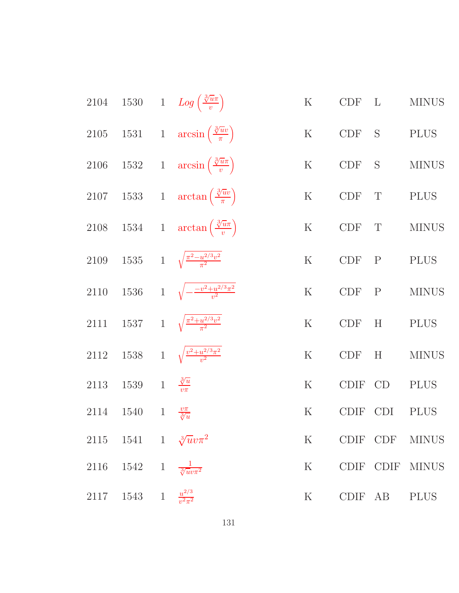|      |                                           |              | 2104 1530 1 $Log\left(\frac{\sqrt[3]{u\pi}}{v}\right)$     | $\mathbf K$ | $CDF$ L     |                           | <b>MINUS</b> |
|------|-------------------------------------------|--------------|------------------------------------------------------------|-------------|-------------|---------------------------|--------------|
|      |                                           |              | 2105 1531 1 $\arcsin\left(\frac{\sqrt[3]{uv}}{\pi}\right)$ | $\mathbf K$ | CDF         | S                         | <b>PLUS</b>  |
| 2106 |                                           |              | 1532 1 $\arcsin\left(\frac{3\sqrt{u\pi}}{v}\right)$        | K           | CDF S       |                           | <b>MINUS</b> |
|      |                                           |              | 2107 1533 1 $\arctan\left(\frac{\sqrt[3]{uv}}{\pi}\right)$ | $\mathbf K$ | CDF         | $\mathbf T$               | <b>PLUS</b>  |
|      |                                           |              | 2108 1534 1 $\arctan\left(\frac{3\sqrt{u\pi}}{v}\right)$   | $\mathbf K$ | CDF         | $\mathbf T$               | <b>MINUS</b> |
|      |                                           |              | 2109 1535 1 $\sqrt{\frac{\pi^2 - u^{2/3}v^2}{\pi^2}}$      | $\mathbf K$ | $CDF$ $P$   |                           | <b>PLUS</b>  |
|      |                                           |              | 2110 1536 1 $\sqrt{-\frac{-v^2+u^{2/3}\pi^2}{v^2}}$        | $\rm K$     | CDF         | $\mathbf{P}$              | <b>MINUS</b> |
| 2111 |                                           |              | 1537 1 $\sqrt{\frac{\pi^2 + u^{2/3}v^2}{\pi^2}}$           | $\rm K$     | CDF         | $\boldsymbol{\mathrm{H}}$ | <b>PLUS</b>  |
| 2112 |                                           |              | 1538 1 $\sqrt{\frac{v^2 + u^{2/3}\pi^2}{v^2}}$             | $\rm K$     | <b>CDF</b>  | H                         | <b>MINUS</b> |
| 2113 | 1539                                      |              | 1 $\frac{\sqrt[3]{u}}{v\pi}$                               | $\mathbf K$ | <b>CDIF</b> | CD                        | <b>PLUS</b>  |
| 2114 | 1540                                      | $\mathbf{1}$ | $\frac{v\pi}{\sqrt[3]{u}}$                                 | $\rm K$     | <b>CDIF</b> | <b>CDI</b>                | <b>PLUS</b>  |
|      | 2115 1541 1 $\sqrt[3]{uv}\pi^2$           |              |                                                            | K           |             | CDIF CDF                  | <b>MINUS</b> |
|      | 2116 1542 1 $\frac{1}{\sqrt[3]{uv\pi^2}}$ |              |                                                            | K           |             | CDIF CDIF                 | <b>MINUS</b> |
|      | 2117 1543 1 $\frac{u^{2/3}}{v^2 \pi^2}$   |              |                                                            | $\rm K$     |             | CDIF AB                   | <b>PLUS</b>  |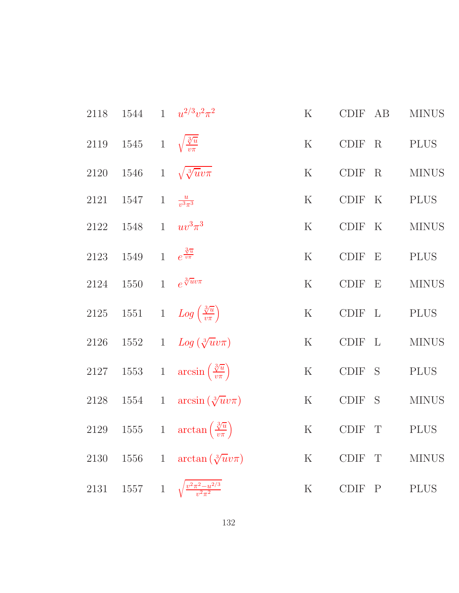|      |                                            | 2118 1544 1 $u^{2/3}v^2\pi^2$                              | K       | CDIF AB        | <b>MINUS</b> |
|------|--------------------------------------------|------------------------------------------------------------|---------|----------------|--------------|
|      | 2119 1545 1 $\sqrt{\frac{3}{v\pi}}$        |                                                            | K       | CDIF R PLUS    |              |
|      |                                            | 2120 1546 1 $\sqrt{\sqrt[3]{u}v\pi}$                       | K       | CDIF R MINUS   |              |
|      | 2121 1547 1 $\frac{u}{v^3\pi^3}$           |                                                            | K       | CDIF K PLUS    |              |
|      | $2122 \quad 1548 \quad 1 \quad uv^3 \pi^3$ |                                                            | K       | CDIF K         | <b>MINUS</b> |
|      | 2123 1549 1 $e^{\frac{3\pi}{v\pi}}$        |                                                            | K       | CDIF E         | <b>PLUS</b>  |
|      | 2124 1550 1 $e^{\sqrt[3]{uv}\pi}$          |                                                            |         | K CDIF E       | <b>MINUS</b> |
|      |                                            | 2125 1551 1 $Log\left(\frac{3\pi}{v\pi}\right)$            | K       | CDIF L PLUS    |              |
|      |                                            | 2126 1552 1 $Log(\sqrt[3]{u}v\pi)$                         |         | K CDIF L MINUS |              |
|      |                                            | 2127 1553 1 $\arcsin\left(\frac{3\pi}{v\pi}\right)$        |         | K CDIF S PLUS  |              |
|      |                                            | 2128 1554 1 $\arcsin(\sqrt[3]{u}v\pi)$                     |         | K CDIF S       | <b>MINUS</b> |
|      |                                            | 2129 1555 1 $\arctan\left(\frac{\sqrt[3]{u}}{v\pi}\right)$ |         | K CDIF T       | <b>PLUS</b>  |
| 2130 |                                            | 1556 1 $\arctan(\sqrt[3]{u}v\pi)$                          | $\rm K$ | CDIF T         | <b>MINUS</b> |
| 2131 |                                            | 1557 1 $\sqrt{\frac{v^2 \pi^2 - u^{2/3}}{v^2 \pi^2}}$      | $\rm K$ | CDIF P         | <b>PLUS</b>  |
|      |                                            |                                                            |         |                |              |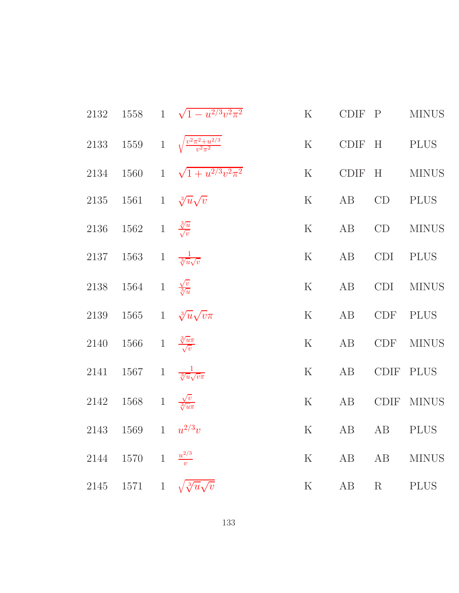|      |                                                | 2132 1558 1 $\sqrt{1-u^{2/3}v^2\pi^2}$                     | K CDIF P                                      |         | <b>MINUS</b>                                                |
|------|------------------------------------------------|------------------------------------------------------------|-----------------------------------------------|---------|-------------------------------------------------------------|
|      |                                                | 2133 1559 1 $\sqrt{\frac{v^2 \pi^2 + u^{2/3}}{v^2 \pi^2}}$ |                                               |         | K CDIF H PLUS                                               |
|      |                                                | 2134 1560 1 $\sqrt{1+u^{2/3}v^2\pi^2}$<br>K CDIF H MINUS   |                                               |         |                                                             |
|      | 2135 1561 1 $\sqrt[3]{u}\sqrt{v}$              |                                                            |                                               |         | K AB CD PLUS                                                |
|      | 2136 1562 1 $\frac{\sqrt[3]{u}}{\sqrt{v}}$     |                                                            |                                               |         | ${\bf K}$ $\quad$ AB $\quad$ CD $\quad$ MINUS               |
|      | 2137 1563 1 $\frac{1}{\sqrt[3]{u}\sqrt{v}}$    |                                                            |                                               |         | K AB CDI PLUS                                               |
|      | 2138 1564 1 $\frac{\sqrt{v}}{3/u}$             |                                                            | K AB                                          |         | $\begin{minipage}{.4\linewidth} CDI & MINUS \end{minipage}$ |
|      |                                                | 2139 1565 1 $\sqrt[3]{u}\sqrt{v}\pi$                       | K AB                                          |         | CDF PLUS                                                    |
|      | 2140 1566 1 $\frac{3\pi}{\sqrt{v}}$            |                                                            |                                               |         | K AB CDF MINUS                                              |
|      | 2141 1567 1 $\frac{1}{\sqrt[3]{u}\sqrt{v}\pi}$ |                                                            | K AB                                          |         | CDIF PLUS                                                   |
|      | 2142 1568 1 $\frac{\sqrt{v}}{\sqrt[3]{u\pi}}$  |                                                            | K AB                                          |         | CDIF MINUS                                                  |
|      | 2143 1569 1 $u^{2/3}v$                         |                                                            | K AB                                          | AB PLUS |                                                             |
|      | 2144 1570 1 $\frac{u^{2/3}}{v}$                |                                                            | K AB                                          |         | AB MINUS                                                    |
| 2145 |                                                | 1571 1 $\sqrt{\sqrt[3]{u}\sqrt{v}}$                        | $\mathbf K$ $\quad$ AB $\quad$ R $\quad$ PLUS |         |                                                             |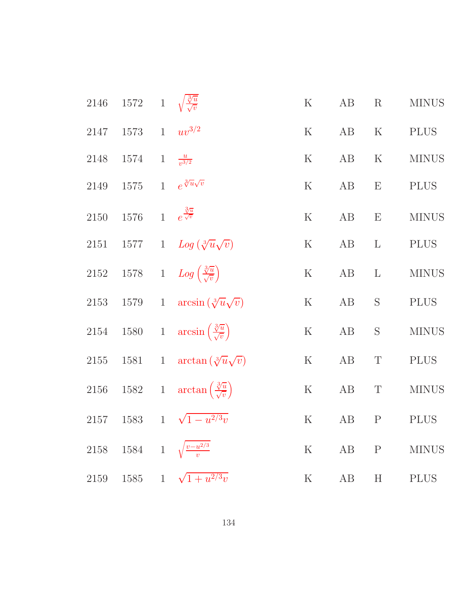| $2146\,$ | 1572 1 $\sqrt{\frac{3}{v}}$ |                |                                                           | $\rm K$     | $\rm AB$ | R            | <b>MINUS</b> |
|----------|-----------------------------|----------------|-----------------------------------------------------------|-------------|----------|--------------|--------------|
| 2147     | 1573 1                      |                | $uv^{3/2}$                                                | $\rm K$     | AB       | $\rm K$      | <b>PLUS</b>  |
| 2148     | 1574                        | $\overline{1}$ | $\frac{u}{v^{3/2}}$                                       | $\rm K$     | AB       | $\mathbf K$  | <b>MINUS</b> |
| 2149     | $1575\,$                    |                | 1 $e^{\sqrt[3]{u}\sqrt{v}}$                               | $\mathbf K$ | AB       | E            | <b>PLUS</b>  |
| 2150     | 1576                        |                | $1$ $e^{\frac{\sqrt[3]{u}}{\sqrt{v}}}$                    | $\mathbf K$ | $\rm AB$ | E            | <b>MINUS</b> |
| 2151     | $1577\,$                    |                | 1 $Log(\sqrt[3]{u}\sqrt{v})$                              | $\rm K$     | $\rm AB$ | $\mathbf{L}$ | <b>PLUS</b>  |
| 2152     |                             |                | 1578 1 $Log\left(\frac{\sqrt[3]{u}}{\sqrt{v}}\right)$     | $\mathbf K$ | $\rm AB$ | $\mathbf{L}$ | <b>MINUS</b> |
| $2153\,$ | $1579\,$                    | $\,1$          | $arcsin(\sqrt[3]{u}\sqrt{v})$                             | $\mathbf K$ | $\rm AB$ | $\mathbf S$  | <b>PLUS</b>  |
| $2154\,$ |                             |                | 1580 1 $\arcsin\left(\frac{\sqrt[3]{u}}{\sqrt{v}}\right)$ | $\rm K$     | $\rm AB$ | $\mathbf S$  | <b>MINUS</b> |
| $2155\,$ | 1581                        |                | 1 $\arctan(\sqrt[3]{u}\sqrt{v})$                          | ${\bf K}$   | $\rm AB$ | $\mathbf T$  | <b>PLUS</b>  |
| 2156     |                             |                | 1582 1 $\arctan\left(\frac{\sqrt[3]{u}}{\sqrt{v}}\right)$ | $\mathbf K$ | $\rm AB$ | $\mathbf T$  | $\rm MINUS$  |
| $2157\,$ | 1583                        |                | 1 $\sqrt{1-u^{2/3}v}$                                     | $\rm K$     | $\rm AB$ | ${\bf P}$    | <b>PLUS</b>  |
| 2158     |                             |                | 1584 1 $\sqrt{\frac{v - u^{2/3}}{v}}$                     | $\mathbf K$ | $\rm AB$ | $\mathbf P$  | <b>MINUS</b> |
| 2159     | 1585                        | $\mathbf{1}$   | $\sqrt{1+u^{2/3}v}$                                       | $\mathbf K$ | AB       | H            | <b>PLUS</b>  |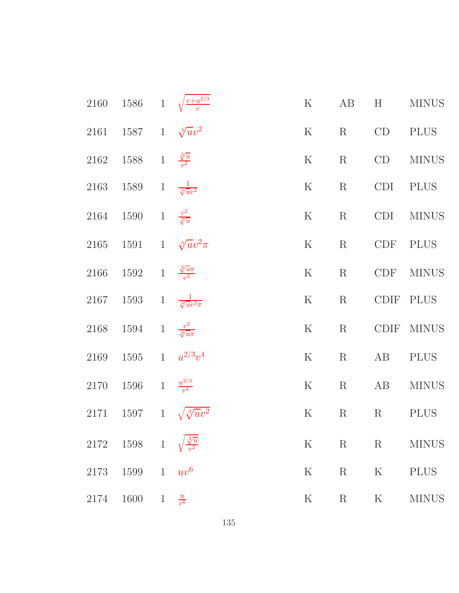|      | 2160 1586 1 $\sqrt{\frac{v+u^{2/3}}{v}}$                      |                |                           | ${\bf K}$                  | AB          | H           | <b>MINUS</b> |
|------|---------------------------------------------------------------|----------------|---------------------------|----------------------------|-------------|-------------|--------------|
|      | 2161 1587 1 $\sqrt[3]{uv^2}$                                  |                |                           | $\rm K$                    | $\rm R$     | CD          | PLUS         |
|      | 2162 1588 1 $\frac{3\overline{u}}{v^2}$                       |                |                           | $\rm K$                    | $\rm R$     | CD          | <b>MINUS</b> |
|      | 2163 1589 1 $\frac{1}{\sqrt[3]{uv^2}}$                        |                |                           | $\rm K$                    | $\rm R$     | CDI         | <b>PLUS</b>  |
|      | 2164 1590 1 $\frac{v^2}{\sqrt[3]{u}}$                         |                |                           | $\mathbf K$<br>$\mathbf R$ |             |             | CDI MINUS    |
|      | 2165 1591 1 $\sqrt[3]{uv^2}\pi$                               |                |                           | ${\bf K}$<br>$\mathbf R$   |             | CDF PLUS    |              |
| 2166 | 1592 1 $\frac{3}{v^2}$                                        |                |                           | $\mathbf K$                | $\rm R$     |             | CDF MINUS    |
|      | 2167 1593 1 $\frac{1}{\sqrt[3]{uv^2\pi}}$                     |                |                           | $\rm K$                    | $\rm R$     | CDIF PLUS   |              |
|      | 2168 1594 1 $\frac{v^2}{\sqrt[3]{u\pi}}$                      |                |                           | $\mathbf K$                | $\rm R$     |             | CDIF MINUS   |
|      | 2169 1595 1 $u^{2/3}v^4$                                      |                |                           | $\mathbf K$                | $\rm R$     | AB          | <b>PLUS</b>  |
|      | 2170 1596 1 $\frac{u^{2/3}}{v^4}$                             |                |                           | ${\bf K}$                  | $\mathbf R$ | AB          | <b>MINUS</b> |
| 2171 | 1597 1 $\sqrt{\sqrt[3]{u}v^2}$                                |                |                           | ${\bf K}$                  | $\rm R$     | R           | <b>PLUS</b>  |
|      | $\begin{tabular}{c} 2172 \quad 1598 \quad 1 \\ \end{tabular}$ |                | $\frac{\sqrt[3]{u}}{v^2}$ | $\rm K$                    | $\mathbf R$ | $\mathbf R$ | <b>MINUS</b> |
| 2173 | 1599 1 $uv^6$                                                 |                |                           | ${\bf K}$                  | $\mathbf R$ | $\mathbf K$ | <b>PLUS</b>  |
| 2174 | 1600                                                          | $\overline{1}$ | $\frac{u}{v^6}$           | $\mathbf K$                | $\rm R$     | $\rm K$     | <b>MINUS</b> |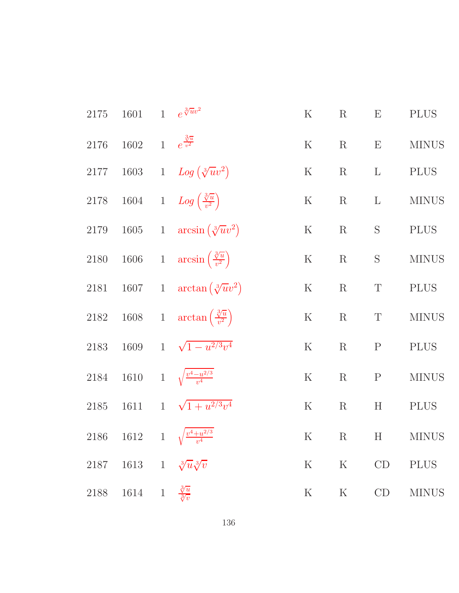| $2175\,$ | 1601                                 | 1 $e^{\sqrt[3]{u}v^2}$                                    | ${\bf K}$ | $\mathbf R$ | E                         | <b>PLUS</b>  |
|----------|--------------------------------------|-----------------------------------------------------------|-----------|-------------|---------------------------|--------------|
| 2176     | 1602 1 $e^{\frac{3\pi}{v^2}}$        |                                                           | $\rm K$   | $\mathbf R$ | E                         | <b>MINUS</b> |
| 2177     |                                      | 1603 1 $Log(\sqrt[3]{uv^2})$                              | $\rm K$   | $\rm R$     | $\mathbf{L}$              | <b>PLUS</b>  |
|          |                                      | 2178 1604 1 $Log\left(\frac{3\sqrt{u}}{v^2}\right)$       | $\rm K$   | $\mathbf R$ | $\mathbf{L}$              | <b>MINUS</b> |
| 2179     |                                      | 1605 1 $\arcsin(\sqrt[3]{uv^2})$                          | $\rm K$   | $\rm R$     | ${\mathcal S}$            | <b>PLUS</b>  |
|          |                                      | 2180 1606 1 $\arcsin\left(\frac{\sqrt[3]{u}}{v^2}\right)$ | $\rm K$   | $\rm R$     | $\mathbf S$               | <b>MINUS</b> |
| 2181     |                                      | 1607 1 $\arctan(\sqrt[3]{uv^2})$                          | $\rm K$   | $\mathbf R$ | $\mathbf T$               | <b>PLUS</b>  |
|          |                                      | 2182 1608 1 $\arctan\left(\frac{\sqrt[3]{u}}{v^2}\right)$ | $\rm K$   | $\rm R$     | $\mathbf T$               | <b>MINUS</b> |
| $2183\,$ | $1609\,$                             | 1 $\sqrt{1-u^{2/3}v^4}$                                   | $\rm K$   | $\rm R$     | $\mathbf{P}$              | <b>PLUS</b>  |
| 2184     |                                      | 1610 1 $\sqrt{\frac{v^4 - u^{2/3}}{v^4}}$                 | $\rm K$   | $\rm R$     | ${\bf P}$                 | $\rm MINUS$  |
| $2185\,$ | 1611                                 | 1 $\sqrt{1 + u^{2/3} v^4}$                                | $\rm K$   | $\mathbf R$ | $\boldsymbol{\mathrm{H}}$ | <b>PLUS</b>  |
| 2186     |                                      | 1612 1 $\sqrt{\frac{v^4 + u^{2/3}}{v^4}}$                 | $\rm K$   | $\rm R$     | H                         | <b>MINUS</b> |
|          | 2187 1613 1 $\sqrt[3]{u}\sqrt[3]{v}$ |                                                           | $\rm K$   | ${\bf K}$   | CD                        | <b>PLUS</b>  |
|          | 2188 1614 1 $\frac{3}{\sqrt[3]{v}}$  |                                                           | $\rm K$   | ${\bf K}$   | CD                        | $\rm MINUS$  |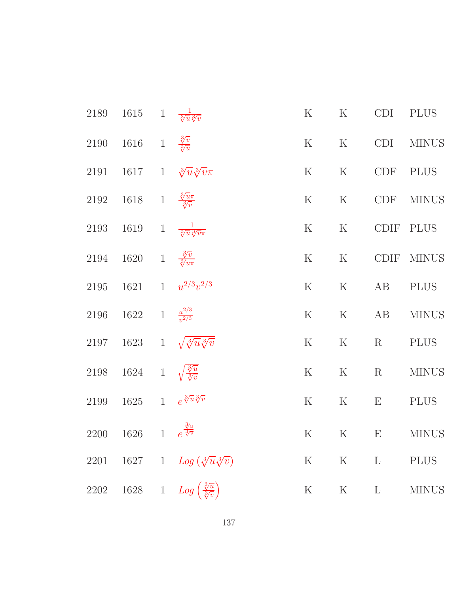|      | 2189 1615 1 $\frac{1}{\sqrt[3]{u}\sqrt[3]{v}}$    |                                                          | K           |                                                                | K CDI PLUS   |               |
|------|---------------------------------------------------|----------------------------------------------------------|-------------|----------------------------------------------------------------|--------------|---------------|
|      | 2190 1616 1 $\frac{3\sqrt{v}}{3\sqrt{u}}$         |                                                          |             |                                                                |              | K K CDI MINUS |
|      |                                                   | 2191 1617 1 $\sqrt[3]{u}\sqrt[3]{v}\pi$                  |             | K K CDF PLUS                                                   |              |               |
|      | 2192 1618 1 $\frac{\sqrt[3]{u}\pi}{\sqrt[3]{v}}$  |                                                          |             |                                                                |              | K K CDF MINUS |
|      | 2193 1619 1 $\frac{1}{\sqrt[3]{u}\sqrt[3]{v}\pi}$ |                                                          |             | K K CDIF PLUS                                                  |              |               |
|      | 2194 1620 1 $\frac{3\sqrt{v}}{3\sqrt{u}\pi}$      |                                                          | K           | K                                                              |              | CDIF MINUS    |
|      |                                                   | 2195 1621 1 $u^{2/3}v^{2/3}$                             | ${\bf K}$   | K AB                                                           |              | <b>PLUS</b>   |
|      | 2196 1622 1 $\frac{u^{2/3}}{v^{2/3}}$             |                                                          |             |                                                                |              | K K AB MINUS  |
|      |                                                   | 2197 1623 1 $\sqrt{\sqrt[3]{u}\sqrt[3]{v}}$              |             | ${\bf K}$ $\quad$ $\bf K}$ $\quad$ $\bf R}$ $\quad$ $\rm PLUS$ |              |               |
|      | 2198 1624 1 $\sqrt{\frac{3}{\sqrt[3]{v}}}$        |                                                          | K           | K                                                              | R            | <b>MINUS</b>  |
|      | 2199 1625 1 $e^{\sqrt[3]{u}\sqrt[3]{v}}$          |                                                          | $\mathbf K$ | K                                                              | E PLUS       |               |
|      | 2200 1626 1 $e^{\frac{\sqrt[3]{u}}{\sqrt[3]{v}}}$ |                                                          |             |                                                                |              | K K E MINUS   |
| 2201 |                                                   | 1627 1 $Log(\sqrt[3]{u}\sqrt[3]{v})$                     | $\rm K$     | K                                                              | $\mathbf{L}$ | <b>PLUS</b>   |
| 2202 |                                                   | 1628 1 $Log\left(\frac{\sqrt[3]{u}}{\sqrt[3]{v}}\right)$ | ${\bf K}$   | $\rm K$                                                        | $\mathbf{L}$ | <b>MINUS</b>  |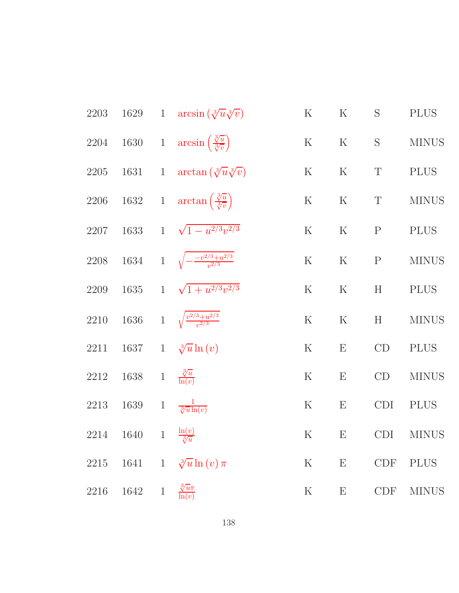| 2203 |                                      |       | 1629 1 $\arcsin(\sqrt[3]{u}\sqrt[3]{v})$                          | $\rm K$ | $\rm K$                   | S            | <b>PLUS</b>  |
|------|--------------------------------------|-------|-------------------------------------------------------------------|---------|---------------------------|--------------|--------------|
|      |                                      |       | 2204 1630 1 $\arcsin\left(\frac{\sqrt[3]{u}}{\sqrt[3]{v}}\right)$ | $\rm K$ | $\rm K$                   | ${\bf S}$    | <b>MINUS</b> |
| 2205 |                                      |       | 1631 1 $\arctan(\sqrt[3]{u}\sqrt[3]{v})$                          | $\rm K$ | $\rm K$                   | $\mathbf T$  | <b>PLUS</b>  |
|      |                                      |       | 2206 1632 1 $\arctan\left(\frac{\sqrt[3]{u}}{\sqrt[3]{v}}\right)$ | $\rm K$ | ${\bf K}$                 | $\mathbf T$  | <b>MINUS</b> |
| 2207 |                                      |       | 1633 1 $\sqrt{1-u^{2/3}v^{2/3}}$                                  | $\rm K$ | $\mathbf K$               | $\mathbf{P}$ | <b>PLUS</b>  |
|      |                                      |       | 2208 1634 1 $\sqrt{-\frac{-v^{2/3}+u^{2/3}}{v^{2/3}}}$            | $\rm K$ | $\mathbf K$               | $\mathbf{P}$ | <b>MINUS</b> |
| 2209 |                                      |       | 1635 1 $\sqrt{1+u^{2/3}v^{2/3}}$                                  | $\rm K$ | $\rm K$                   | H            | <b>PLUS</b>  |
| 2210 |                                      |       | 1636 1 $\sqrt{\frac{v^{2/3}+u^{2/3}}{v^{2/3}}}$                   | $\rm K$ | ${\bf K}$                 | H            | <b>MINUS</b> |
| 2211 |                                      |       | 1637 1 $\sqrt[3]{u} \ln(v)$                                       | $\rm K$ | $\boldsymbol{\mathrm{E}}$ | CD           | <b>PLUS</b>  |
| 2212 | 1638 1 $\frac{\sqrt[3]{u}}{\ln(v)}$  |       |                                                                   | $\rm K$ | $\boldsymbol{\mathrm{E}}$ | CD           | <b>MINUS</b> |
| 2213 | 1639 1 $\frac{1}{\sqrt[3]{u}\ln(v)}$ |       |                                                                   | $\rm K$ | $\boldsymbol{\mathrm{E}}$ | <b>CDI</b>   | <b>PLUS</b>  |
| 2214 | 1640                                 |       | 1 $\frac{\ln(v)}{\sqrt[3]{u}}$                                    | $\rm K$ | $\boldsymbol{\mathrm{E}}$ | CDI          | <b>MINUS</b> |
| 2215 |                                      |       | 1641 1 $\sqrt[3]{u} \ln(v) \pi$                                   | $\rm K$ | $\boldsymbol{\mathrm{E}}$ | CDF          | <b>PLUS</b>  |
| 2216 | 1642                                 | $1\,$ | $\frac{\sqrt[3]{u}\pi}{\ln(v)}$                                   | $\rm K$ | $\boldsymbol{\mathrm{E}}$ | <b>CDF</b>   | <b>MINUS</b> |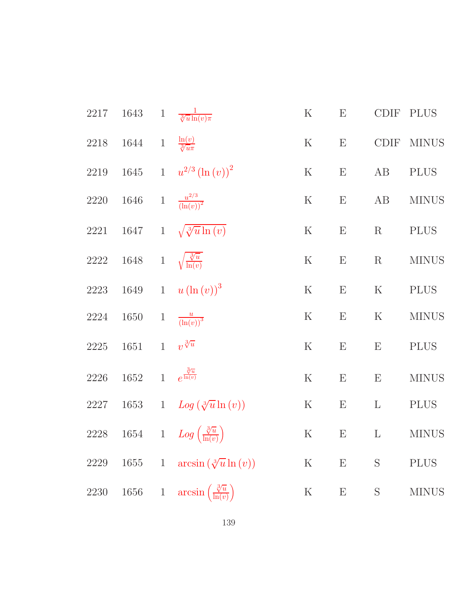|          | 2217 1643 1                                  |                | $\frac{1}{\sqrt[3]{u}\ln(v)\pi}$                         | $\mathbf K$ | $\boldsymbol{\mathrm{E}}$ | $\text{\rm CDIF}$ | <b>PLUS</b>  |
|----------|----------------------------------------------|----------------|----------------------------------------------------------|-------------|---------------------------|-------------------|--------------|
|          | 2218 1644 1 $\frac{\ln(v)}{\sqrt[3]{u\pi}}$  |                |                                                          | $\rm K$     | E                         | CDIF              | <b>MINUS</b> |
|          |                                              |                | 2219 1645 1 $u^{2/3} (\ln (v))^2$                        | $\rm K$     | $\boldsymbol{\mathrm{E}}$ | AB                | <b>PLUS</b>  |
|          | 2220 1646 1 $\frac{u^{2/3}}{(\ln(v))^2}$     |                |                                                          | $\rm K$     | $\boldsymbol{\mathrm{E}}$ | AB                | <b>MINUS</b> |
|          |                                              |                | 2221 1647 1 $\sqrt{\sqrt[3]{u}\ln(v)}$                   | $\rm K$     | E                         | $\rm R$           | <b>PLUS</b>  |
|          | 2222 1648 1 $\sqrt{\frac{3}{\ln(v)}}$        |                |                                                          | $\mathbf K$ | E                         | $\rm R$           | <b>MINUS</b> |
|          |                                              |                | 2223 1649 1 $u(\ln(v))^3$                                | $\rm K$     | $\boldsymbol{\mathrm{E}}$ | $\rm K$           | <b>PLUS</b>  |
|          | 2224 1650 1 $\frac{u}{(\ln(v))^3}$           |                |                                                          | $\rm K$     | $\mathbf E$               | $\rm K$           | <b>MINUS</b> |
| 2225     | 1651 1 $v^{\sqrt[3]{u}}$                     |                |                                                          | $\rm K$     | ${\bf E}$                 | E                 | <b>PLUS</b>  |
|          | 2226 1652 1 $e^{\frac{\sqrt[3]{u}}{\ln(v)}}$ |                |                                                          | ${\bf K}$   | ${\bf E}$                 | E                 | <b>MINUS</b> |
|          |                                              |                | 2227 1653 1 $Log(\sqrt[3]{u} \ln(v))$                    | $\mathbf K$ | E                         | $\mathbf{L}$      | <b>PLUS</b>  |
|          |                                              |                | 2228 1654 1 $Log\left(\frac{\sqrt[3]{u}}{\ln(v)}\right)$ | ${\bf K}$   | $\boldsymbol{\mathrm{E}}$ | $\mathbf{L}$      | <b>MINUS</b> |
| 2229     | 1655                                         |                | 1 $\arcsin(\sqrt[3]{u}\ln(v))$                           | $\rm K$     | $\boldsymbol{\mathrm{E}}$ | S                 | <b>PLUS</b>  |
| $2230\,$ | 1656                                         | $\overline{1}$ | $arcsin\left(\frac{\sqrt[3]{u}}{\ln(v)}\right)$          | $\rm K$     | $\boldsymbol{\mathrm{E}}$ | S                 | <b>MINUS</b> |
|          |                                              |                |                                                          |             |                           |                   |              |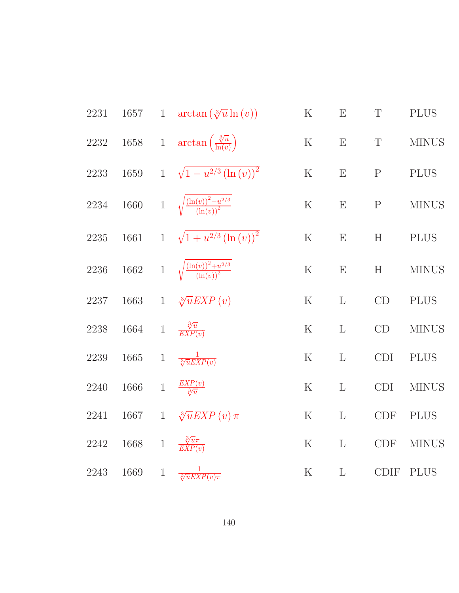| 2231     |          | 1657 1 $\arctan(\sqrt[3]{u}\ln(v))$                          | $\mathbf K$ | $\boldsymbol{\mathrm{E}}$ | $\mathbf T$                 | <b>PLUS</b>  |
|----------|----------|--------------------------------------------------------------|-------------|---------------------------|-----------------------------|--------------|
|          |          | 2232 1658 1 $\arctan\left(\frac{\sqrt[3]{u}}{\ln(v)}\right)$ | $\mathbf K$ | ${\bf E}$                 | $\mathbf T$                 | <b>MINUS</b> |
| 2233     | $1659\,$ | 1 $\sqrt{1-u^{2/3}(\ln(v))^{2}}$                             | ${\bf K}$   | ${\bf E}$                 | ${\bf P}$                   | <b>PLUS</b>  |
| $2234\,$ |          | 1660 1 $\sqrt{\frac{(\ln(v))^2 - u^{2/3}}{(\ln(v))^2}}$      | ${\bf K}$   | E                         | ${\bf P}$                   | <b>MINUS</b> |
| $2235\,$ |          | 1661 1 $\sqrt{1+u^{2/3}(\ln(v))^{2}}$                        | $\mathbf K$ | E                         | H                           | <b>PLUS</b>  |
| 2236     |          | 1662 1 $\sqrt{\frac{(\ln(v))^2 + u^{2/3}}{(\ln(v))^2}}$      | $\rm K$     | ${\bf E}$                 | H                           | <b>MINUS</b> |
| 2237     |          | 1663 1 $\sqrt[3]{u}EXP(v)$                                   | $\mathbf K$ | $\mathbf{L}$              | CD                          | <b>PLUS</b>  |
| 2238     |          | 1664 1 $\frac{\sqrt[3]{u}}{EXP(v)}$                          | $\rm K$     | $\mathbf{L}$              | CD                          | <b>MINUS</b> |
| $2239\,$ | $1665\,$ | 1 $\frac{1}{\sqrt[3]{u}EXP(v)}$                              | $\rm K$     | $\mathbf{L}$              | CDI                         | <b>PLUS</b>  |
| 2240     | $1666\,$ | 1 $\frac{EXP(v)}{3\sqrt{u}}$                                 | $\mathbf K$ | $\mathbf{L}$              | CDI                         | <b>MINUS</b> |
| $2241\,$ | 1667     | 1 $\sqrt[3]{u}EXP(v)\pi$                                     | ${\bf K}$   | $\mathbf{L}$              | $\ensuremath{\mathrm{CDF}}$ | <b>PLUS</b>  |
| 2242     |          | 1668 1 $\frac{\sqrt[3]{u}\pi}{\sqrt[3]{EXP(v)}}$             | $\rm K$     | $\mathbf{L}$              | <b>CDF</b>                  | <b>MINUS</b> |
| 2243     | 1669     | 1 $\frac{1}{\sqrt[3]{uEXP(v)\pi}}$                           | ${\bf K}$   | $\mathbf{L}$              | CDIF                        | <b>PLUS</b>  |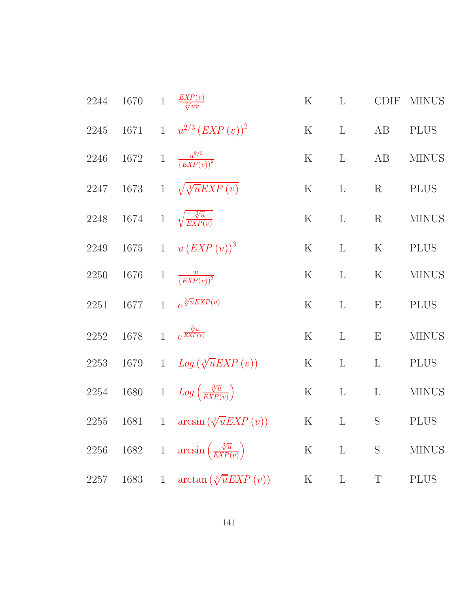| 2244 | $1670\,$ |              | 1 $\frac{EXP(v)}{\sqrt[3]{u\pi}}$                        | $\rm K$           | $\mathbf{L}$ | <b>CDIF</b>  | <b>MINUS</b> |
|------|----------|--------------|----------------------------------------------------------|-------------------|--------------|--------------|--------------|
| 2245 |          |              | 1671 1 $u^{2/3} (EXP(v))^{2}$                            | $\rm K$           | $\mathbf{L}$ | AB           | <b>PLUS</b>  |
| 2246 |          |              | 1672 1 $\frac{u^{2/3}}{(EXP(v))^{2}}$                    | $\rm K$           | $\mathbf{L}$ | AB           | <b>MINUS</b> |
| 2247 |          |              | 1673 1 $\sqrt{\sqrt[3]{u} EXP(v)}$                       | $\rm K$           | $\mathbf{L}$ | $\rm R$      | <b>PLUS</b>  |
| 2248 |          |              | 1674 1 $\sqrt{\frac{\sqrt[3]{u}}{EXP(v)}}$               | $K_{\mathcal{I}}$ | $\mathbf{L}$ | $\mathbf R$  | <b>MINUS</b> |
| 2249 |          |              | 1675 1 $u (EXP (v))^3$                                   | $\rm K$           | $\mathbf{L}$ | $\rm K$      | <b>PLUS</b>  |
| 2250 | 1676     | $\mathbf{1}$ | $\frac{u}{(EXP(v))^{3}}$                                 | $\rm K$           | $\mathbf{L}$ | $\mathbf K$  | <b>MINUS</b> |
| 2251 | 1677     |              | 1 $e^{\sqrt[3]{u}EXP(v)}$                                | $\rm K$           | $\mathbf{L}$ | E            | <b>PLUS</b>  |
| 2252 | 1678     |              | 1 $e^{\frac{\sqrt[3]{u}}{EXP(v)}}$                       | $\mathbf K$       | $\mathbf{L}$ | E            | <b>MINUS</b> |
| 2253 | 1679     |              | 1 $Log(\sqrt[3]{u}EXP(v))$                               | $\rm K$           | $\mathbf{L}$ | $\mathbf{L}$ | <b>PLUS</b>  |
|      |          |              | 2254 1680 1 $Log\left(\frac{\sqrt[3]{u}}{EXP(v)}\right)$ | $\rm K$           | $\mathbf{L}$ | $\mathbf{L}$ | <b>MINUS</b> |
| 2255 | 1681     |              | 1 $\arcsin(\sqrt[3]{u}EXP(v))$                           | K                 | $\mathbf{L}$ | S            | <b>PLUS</b>  |
| 2256 |          |              | 1682 1 $\arcsin\left(\frac{\sqrt[3]{u}}{EXP(v)}\right)$  | $\rm K$           | $\mathbf{L}$ | S            | <b>MINUS</b> |
| 2257 | 1683     | $\mathbf{1}$ | $\arctan(\sqrt[3]{u}EXP(v))$                             | $\rm K$           | $\mathbf{L}$ | T            | <b>PLUS</b>  |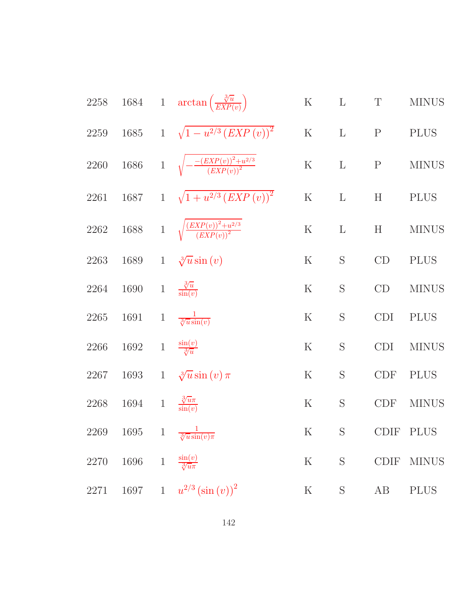2258 1684 1 
$$
\arctan\left(\frac{\sqrt[3]{u}}{EXP(v)}\right)
$$
 K L T MINUS  
\n2259 1685 1  $\sqrt{1-u^{2/3}(EXP(v))}^2$  K L P P LUS  
\n2260 1686 1  $\sqrt{-\frac{(EXP(v))^2+u^{2/3}}{(EXP(v))^2}}$  K L P MINUS  
\n2261 1687 1  $\sqrt{1+u^{2/3}(EXP(v))^2}$  K L H P LUS  
\n2262 1688 1  $\sqrt{\frac{(EXP(v))^2+u^{2/3}}{(EXP(v))^2}}$  K L H MINUS  
\n2262 1688 1  $\sqrt[3]{u \sin(v)}$  K S CD PLUS  
\n2263 1689 1  $\sqrt[3]{u \sin(v)}$  K S CD P LUS  
\n2264 1690 1  $\frac{\sqrt[3]{u}}{\sin(u)}$  K S CD MINUS  
\n2265 1691 1  $\frac{1}{\sqrt[3]{u \sin(v)}}$  K S CD I PLUS  
\n2266 1692 1  $\frac{\sin(v)}{\sqrt[3]{u}}$  K S CDI MINUS  
\n2267 1693 1  $\sqrt[3]{u \sin(v)} \pi$  K S CDF PLUS  
\n2268 1694 1  $\frac{\sqrt[3]{u \pi}}{\sin(u)}$  K S CDF PLUS  
\n2269 1695 1  $\frac{1}{\sqrt[3]{u \sin(v)} \pi}$  K S CDF NINUS  
\n2270 1696 1  $\frac{\sin(v)}{\sqrt[3]{u \pi}}$  K S CDF PLUS  
\n2271 1697 1  $u^{2/3}(\sin(v))^2$  K S AB PLUS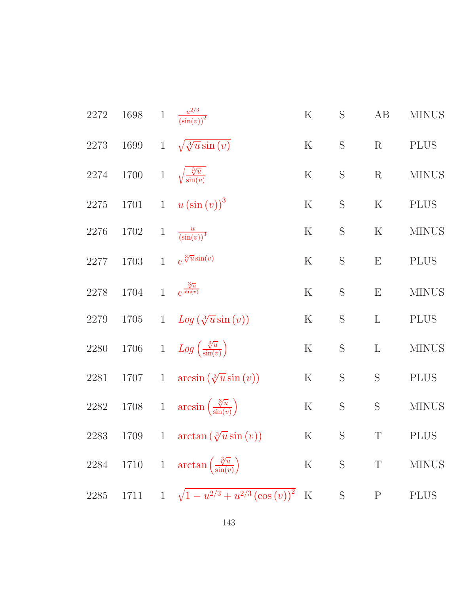| 2272     | 1698                                   | $\overline{1}$ | $\frac{u^{2/3}}{(\sin(v))^2}$                            | $\rm K$   | $\mathbf S$ | AB             | <b>MINUS</b> |
|----------|----------------------------------------|----------------|----------------------------------------------------------|-----------|-------------|----------------|--------------|
| 2273     |                                        |                | 1699 1 $\sqrt{\sqrt[3]{u}\sin(v)}$                       | $\rm K$   | $\mathbf S$ | $\mathbf R$    | <b>PLUS</b>  |
| 2274     | 1700 1 $\sqrt{\frac{3}{\sin(v)}}$      |                |                                                          | $\rm K$   | $\mathbf S$ | $\mathbf R$    | <b>MINUS</b> |
| $2275\,$ |                                        |                | 1701 1 $u(\sin(v))^3$                                    | $\rm K$   | $\mathbf S$ | ${\bf K}$      | <b>PLUS</b>  |
| 2276     | 1702                                   | $\mathbf{1}$   | $\frac{u}{\left(\sin(v)\right)^3}$                       | $\rm K$   | $\mathbf S$ | $\rm K$        | <b>MINUS</b> |
| 2277     | 1703                                   |                | 1 $e^{\sqrt[3]{u}\sin(v)}$                               | $\rm K$   | S           | ${\bf E}$      | <b>PLUS</b>  |
| 2278     | 1704 1 $e^{\frac{3\sqrt{u}}{\sin(v)}}$ |                |                                                          | $\rm K$   | $\mathbf S$ | E              | <b>MINUS</b> |
| 2279     | 1705                                   |                | 1 $Log(\sqrt[3]{u}sin(v))$                               | $\rm K$   | $\mathbf S$ | $\mathbf{L}$   | <b>PLUS</b>  |
| $2280\,$ |                                        |                | 1706 1 $Log\left(\frac{\sqrt[3]{u}}{\sin(v)}\right)$     | ${\bf K}$ | $\mathbf S$ | $\mathbf{L}$   | <b>MINUS</b> |
| 2281     | 1707 1                                 |                | $arcsin(\sqrt[3]{u}\sin(v))$                             | $\rm K$   | $\mathbf S$ | ${\mathcal S}$ | <b>PLUS</b>  |
| 2282     |                                        |                | 1708 1 $\arcsin\left(\frac{\sqrt[3]{u}}{\sin(v)}\right)$ | $\rm K$   | S           | $\mathbf S$    | <b>MINUS</b> |
| 2283     | 1709                                   |                | 1 $\arctan(\sqrt[3]{u}\sin(v))$                          | ${\bf K}$ | $\mathbf S$ | $\mathbf T$    | <b>PLUS</b>  |
| 2284     |                                        |                | 1710 1 $\arctan\left(\frac{\sqrt[3]{u}}{\sin(v)}\right)$ |           | K S T       |                | <b>MINUS</b> |
| $2285\,$ |                                        |                | 1711 1 $\sqrt{1-u^{2/3}+u^{2/3}(\cos{(v)})^2}$ K         |           | $S$ $P$     |                | <b>PLUS</b>  |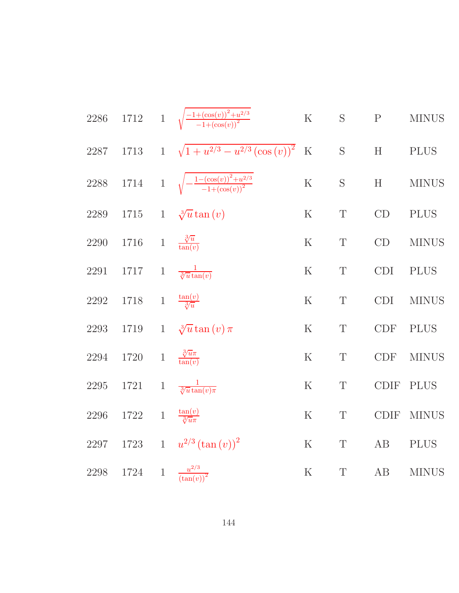| 2286     |            |       | 1712 1 $\sqrt{\frac{-1+(\cos(v))^2+u^{2/3}}{-1+(\cos(v))^2}}$ | ${\bf K}$   | S           | ${\bf P}$         | <b>MINUS</b> |
|----------|------------|-------|---------------------------------------------------------------|-------------|-------------|-------------------|--------------|
| 2287     |            |       | 1713 1 $\sqrt{1+u^{2/3}-u^{2/3}(\cos{(v)})^2}$ K              |             | $\mathbf S$ | H                 | <b>PLUS</b>  |
| $2288\,$ |            |       | 1714 1 $\sqrt{-\frac{1-(\cos(v))^2+u^{2/3}}{-1+(\cos(v))^2}}$ | $\rm K$     | S           | H                 | $\rm MINUS$  |
| $2289\,$ | $1715 - 1$ |       | $\sqrt[3]{u} \tan(v)$                                         | $\mathbf K$ | $\mathbf T$ | CD                | <b>PLUS</b>  |
| $2290\,$ | $1716\,$   |       | 1 $\frac{\sqrt[3]{u}}{\tan(v)}$                               | $\mathbf K$ | $\mathbf T$ | CD                | <b>MINUS</b> |
| $2291\,$ | 1717       |       | 1 $\frac{1}{\sqrt[3]{u}\tan(v)}$                              | $\mathbf K$ | $\mathbf T$ | <b>CDI</b>        | <b>PLUS</b>  |
| $2292\,$ | 1718       | $\,1$ | $\frac{\tan(v)}{3/u}$                                         | $\rm K$     | $\mathbf T$ | <b>CDI</b>        | <b>MINUS</b> |
| 2293     | 1719       |       | 1 $\sqrt[3]{u} \tan(v) \pi$                                   | $\mathbf K$ | $\mathbf T$ | CDF               | <b>PLUS</b>  |
| $2294\,$ | 1720       |       | 1 $\frac{\sqrt[3]{u}\pi}{\tan(v)}$                            | $\mathbf K$ | $\mathbf T$ | CDF               | <b>MINUS</b> |
| $2295\,$ | 1721       | $\,1$ | $\frac{1}{\sqrt[3]{u}\tan(v)}$                                | $\rm K$     | $\mathbf T$ | CDIF              | <b>PLUS</b>  |
| $2296\,$ | $1722\,$   | $1\,$ | $\frac{\tan(v)}{\sqrt[3]{u\pi}}$                              | ${\bf K}$   | $\mathbf T$ | $\text{\rm CDIF}$ | <b>MINUS</b> |
| 2297     |            |       | 1723 1 $u^{2/3} (\tan(v))^2$                                  | ${\bf K}$   | $\mathbf T$ | AB                | <b>PLUS</b>  |
| $2298\,$ | 1724       |       | 1 $\frac{u^{2/3}}{(\tan(v))^2}$                               | ${\bf K}$   | $\mathbf T$ | AB                | <b>MINUS</b> |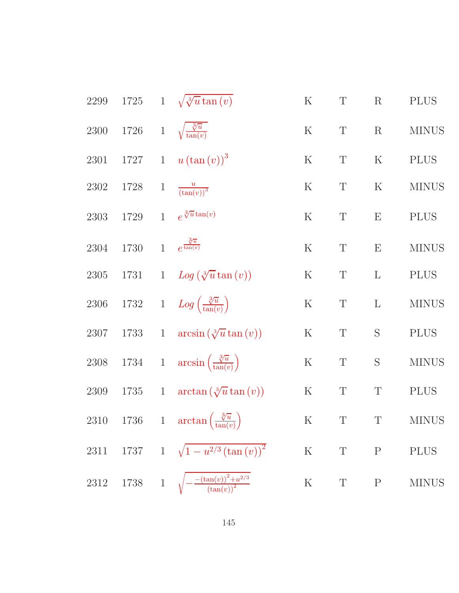| 2299     | $1725\,$                |              | 1 $\sqrt{\sqrt[3]{u} \tan(v)}$                           | $\rm K$   | $\mathbf T$ | $\mathbf R$  | <b>PLUS</b>  |
|----------|-------------------------|--------------|----------------------------------------------------------|-----------|-------------|--------------|--------------|
| $2300\,$ | $1726\,$                |              | 1 $\sqrt{\frac{\sqrt[3]{u}}{\tan(v)}}$                   | $\rm K$   | $\mathbf T$ | $\mathbf R$  | <b>MINUS</b> |
| $2301\,$ | 1727                    |              | 1 $u(\tan(v))^3$                                         | $\rm K$   | $\mathbf T$ | $\mathbf K$  | <b>PLUS</b>  |
| $2302\,$ | 1728                    | $\mathbf{1}$ | $\frac{u}{(\tan(v))^3}$                                  | $\rm K$   | $\mathbf T$ | $\mathbf K$  | <b>MINUS</b> |
| $\,2303$ | 1729                    | 1            | $e^{\sqrt[3]{u}\tan(v)}$                                 | $\rm K$   | $\mathbf T$ | E            | <b>PLUS</b>  |
| 2304     | 1730                    |              | 1 $e^{\frac{\sqrt[3]{u}}{\tan(v)}}$                      | $\rm K$   | $\mathbf T$ | E            | <b>MINUS</b> |
| $2305\,$ | 1731                    |              | 1 $Log(\sqrt[3]{u} \tan(v))$                             | $\rm K$   | $\mathbf T$ | $\mathbf{L}$ | <b>PLUS</b>  |
| $2306\,$ |                         |              | 1732 1 $Log\left(\frac{\sqrt[3]{u}}{\tan(v)}\right)$     | $\rm K$   | $\mathbf T$ | $\mathbf L$  | <b>MINUS</b> |
| 2307     | 1733                    |              | 1 $\arcsin (\sqrt[3]{u} \tan (v))$                       | $\rm K$   | $\mathbf T$ | $\mathbf S$  | <b>PLUS</b>  |
| $2308\,$ |                         |              | 1734 1 $\arcsin\left(\frac{\sqrt[3]{u}}{\tan(v)}\right)$ | ${\bf K}$ | $\mathbf T$ | $\mathbf S$  | <b>MINUS</b> |
| $2309\,$ | 1735                    |              | 1 $\arctan(\sqrt[3]{u} \tan(v))$                         | $\rm K$   | $\mathbf T$ | $\mathbf T$  | <b>PLUS</b>  |
| $2310\,$ |                         |              | 1736 1 $\arctan\left(\frac{\sqrt[3]{u}}{\tan(v)}\right)$ | ${\bf K}$ | $\mathbf T$ | $\mathbf T$  | <b>MINUS</b> |
| 2311     |                         |              | 1737 1 $\sqrt{1-u^{2/3}(\tan(v))^2}$                     | $\rm K$   | $\mathbf T$ | ${\bf P}$    | <b>PLUS</b>  |
| $2312\,$ | $1738 \t 1 \t \sqrt{ }$ |              | $-\frac{-(\tan(v))^2+u^{2/3}}{(\tan(v))^2}$              | ${\bf K}$ | $\mathbf T$ | $\mathbf P$  | <b>MINUS</b> |
|          |                         |              |                                                          |           |             |              |              |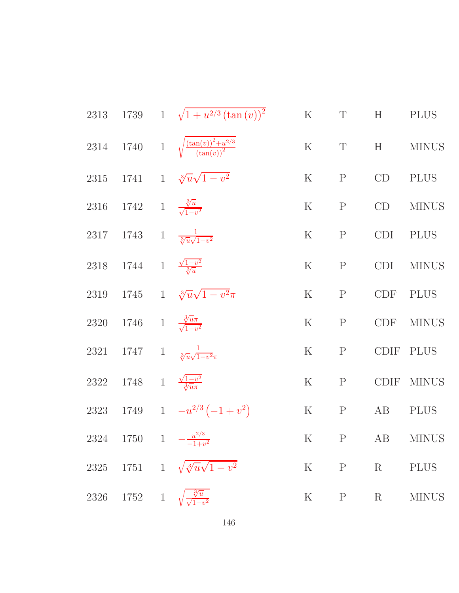|                                                   | 2313 1739 1 $\sqrt{1+u^{2/3}(\tan(v))^2}$                      | K T H PLUS    |                |
|---------------------------------------------------|----------------------------------------------------------------|---------------|----------------|
|                                                   | 2314 1740 1 $\sqrt{\frac{(\tan(v))^2 + u^{2/3}}{(\tan(v))^2}}$ |               | K T H MINUS    |
|                                                   | 2315 1741 1 $\sqrt[3]{u}\sqrt{1-v^2}$                          | $K$ P         | $CD$ PLUS      |
| 2316 1742 1 $\frac{\sqrt[3]{u}}{\sqrt{1-v^2}}$    |                                                                | K P           | CD MINUS       |
|                                                   | 2317 1743 1 $\frac{1}{\sqrt[3]{u}\sqrt{1-v^2}}$                | K P           | CDI PLUS       |
| 2318 1744 1 $\frac{\sqrt{1-v^2}}{3/n}$            |                                                                | K P           | CDI MINUS      |
|                                                   | 2319 1745 1 $\sqrt[3]{u}\sqrt{1-v^2}\pi$                       | K P           | CDF PLUS       |
| 2320 1746 1 $\frac{\sqrt[3]{u\pi}}{\sqrt{1-v^2}}$ |                                                                |               | K P CDF MINUS  |
|                                                   | 2321 1747 1 $\frac{1}{\sqrt[3]{u}\sqrt{1-v^2\pi}}$             | K P CDIF PLUS |                |
| 2322 1748 1 $\frac{\sqrt{1-v^2}}{3\sqrt{u}}$      |                                                                |               | K P CDIF MINUS |
|                                                   | 2323 1749 1 $-u^{2/3}(-1+v^2)$<br>K P AB PLUS                  |               |                |
|                                                   | 2324 1750 1 $-\frac{u^{2/3}}{-1+v^2}$ K P AB MINUS             |               |                |
|                                                   | 2325 1751 1 $\sqrt{\sqrt[3]{u}\sqrt{1-v^2}}$                   |               | K P R PLUS     |
|                                                   | 2326 1752 1 $\sqrt{\frac{\sqrt[3]{u}}{\sqrt{1-v^2}}}$          |               | K P R MINUS    |
|                                                   |                                                                |               |                |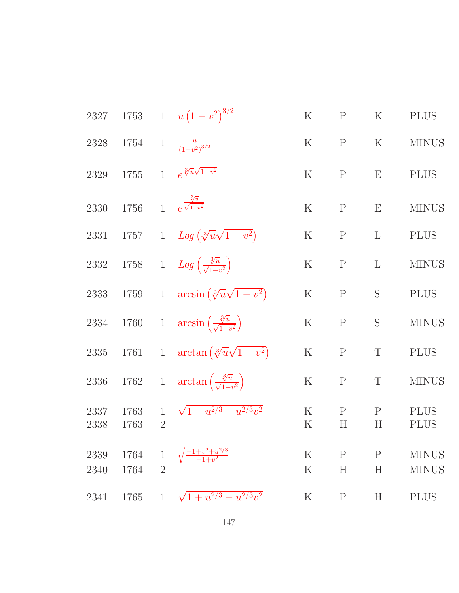| 2327         | 1753         |                                | 1 $u(1-v^2)^{3/2}$                                        | $\rm K$            | $\mathbf P$       | $\rm K$                  | <b>PLUS</b>                  |
|--------------|--------------|--------------------------------|-----------------------------------------------------------|--------------------|-------------------|--------------------------|------------------------------|
| 2328         | 1754         |                                | 1 $\frac{u}{(1-v^2)^{3/2}}$                               | $\rm K$            | $\mathbf P$       | $\rm K$                  | <b>MINUS</b>                 |
| 2329         | 1755         |                                | 1 $e^{\sqrt[3]{u}\sqrt{1-v^2}}$                           | $\rm K$            | $\mathbf{P}$      | E                        | <b>PLUS</b>                  |
| 2330         | 1756         |                                | 1 $e^{\frac{\sqrt[3]{u}}{\sqrt{1-v^2}}}$                  | $\rm K$            | $\mathbf{P}$      | E                        | <b>MINUS</b>                 |
| 2331         | 1757         |                                | 1 $Log(\sqrt[3]{u}\sqrt{1-v^2})$                          | $\rm K$            | $\mathbf{P}$      | $\mathbf{L}$             | <b>PLUS</b>                  |
| $2332\,$     |              |                                | 1758 1 $Log\left(\frac{\sqrt[3]{u}}{\sqrt{1-v^2}}\right)$ | $\rm K$            | $\mathbf{P}$      | $\mathbf{L}$             | <b>MINUS</b>                 |
| 2333         | 1759         |                                | 1 $\arcsin(\sqrt[3]{u}\sqrt{1-v^2})$                      | $\mathbf K$        | $\mathbf{P}$      | S                        | <b>PLUS</b>                  |
| $2334\,$     | 1760         |                                | 1 $\arcsin\left(\frac{\sqrt[3]{u}}{\sqrt{1-v^2}}\right)$  | $\rm K$            | $\mathbf{P}$      | S                        | <b>MINUS</b>                 |
| $2335\,$     | 1761         | $\mathbf{1}$                   | $\arctan\left(\sqrt[3]{u}\sqrt{1-v^2}\right)$             | $\rm K$            | $\mathbf{P}$      | $\mathbf T$              | <b>PLUS</b>                  |
| $2336\,$     | 1762         |                                | 1 $\arctan\left(\frac{\sqrt[3]{u}}{\sqrt{1-v^2}}\right)$  | $\rm K$            | $\mathbf P$       | $\mathbf T$              | <b>MINUS</b>                 |
| 2337<br>2338 | 1763<br>1763 | $\mathbf{1}$<br>$\overline{2}$ | $\sqrt{1-u^{2/3}+u^{2/3}v^2}$                             | $\rm K$<br>K       | $\mathbf{P}$<br>H | $\mathbf{P}$<br>Η        | <b>PLUS</b><br><b>PLUS</b>   |
| 2339<br>2340 | 1764<br>1764 | $\overline{2}$                 | $\frac{1+v^2+u^{2/3}}{-1+v^2}$                            | $\rm K$<br>$\rm K$ | $\mathbf P$<br>H  | $\mathbf P$<br>$H_{\rm}$ | <b>MINUS</b><br><b>MINUS</b> |
| 2341         | 1765         | $\mathbf{1}$                   | $\sqrt{1+u^{2/3}-u^{2/3}v^2}$                             | $\rm K$            | $\mathbf P$       | H                        | <b>PLUS</b>                  |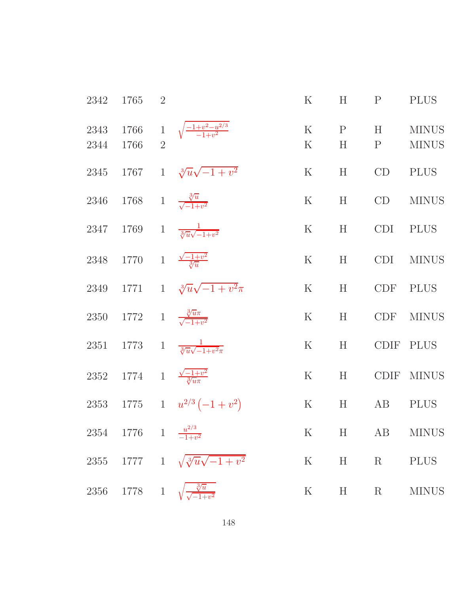| 2342         | 1765                                               | $\overline{2}$ |                                                             | $\rm K$            | H                 | P          | <b>PLUS</b>                                                            |
|--------------|----------------------------------------------------|----------------|-------------------------------------------------------------|--------------------|-------------------|------------|------------------------------------------------------------------------|
| 2343<br>2344 | 1766                                               |                | 1766 1 $\sqrt{\frac{-1+v^2-u^{2/3}}{-1+v^2}}$               | $\rm K$<br>$\rm K$ | $\mathbf{P}$<br>H | H<br>P     | <b>MINUS</b><br><b>MINUS</b>                                           |
|              |                                                    |                | 2345 1767 1 $\sqrt[3]{u}\sqrt{-1+v^2}$                      | $\rm K$            | H                 | CD         | <b>PLUS</b>                                                            |
| 2346         | 1768 1 $\frac{\sqrt[3]{u}}{\sqrt{-1+v^2}}$         |                |                                                             | $\rm K$            | H                 | CD         | <b>MINUS</b>                                                           |
| 2347         |                                                    |                | 1769 1 $\frac{1}{\sqrt[3]{u}\sqrt{-1+v^2}}$                 | $\rm K$            | H                 | <b>CDI</b> | <b>PLUS</b>                                                            |
|              | 2348 1770 1 $\frac{\sqrt{-1+v^2}}{3/u}$            |                |                                                             | $\rm K$            | H                 | CDI        | <b>MINUS</b>                                                           |
|              |                                                    |                | 2349 1771 1 $\sqrt[3]{u}\sqrt{-1+v^2}\pi$                   | $\rm K$            | H                 |            | CDF PLUS                                                               |
|              | 2350 1772 1 $\frac{\sqrt[3]{u}\pi}{\sqrt{-1+v^2}}$ |                |                                                             | $\rm K$            | H                 |            | CDF MINUS                                                              |
|              |                                                    |                | 2351 1773 1 $\frac{1}{\sqrt[3]{u}\sqrt{-1+v^2\pi}}$         | $\rm K$            | H                 | CDIF       | <b>PLUS</b>                                                            |
|              | 2352 1774 1 $\frac{\sqrt{-1+v^2}}{\sqrt[3]{u\pi}}$ |                |                                                             | $\rm K$            | H                 |            | CDIF MINUS                                                             |
|              |                                                    |                | 2353 1775 1 $u^{2/3}(-1+v^2)$                               | K                  | H                 | AB         | <b>PLUS</b>                                                            |
|              | 2354 1776 1 $\frac{u^{2/3}}{-1+v^2}$               |                |                                                             |                    |                   |            | K H AB MINUS                                                           |
|              |                                                    |                | 2355 1777 1 $\sqrt{\sqrt[3]{u}\sqrt{-1+v^2}}$<br>K H R PLUS |                    |                   |            |                                                                        |
|              |                                                    |                | 2356 1778 1 $\sqrt{\frac{3u}{\sqrt{-1+v^2}}}$               |                    |                   |            | ${\bf K}$ $\qquad$ ${\bf H}$ $\qquad$ ${\bf R}$ $\qquad$ ${\rm MINUS}$ |
|              |                                                    |                |                                                             |                    |                   |            |                                                                        |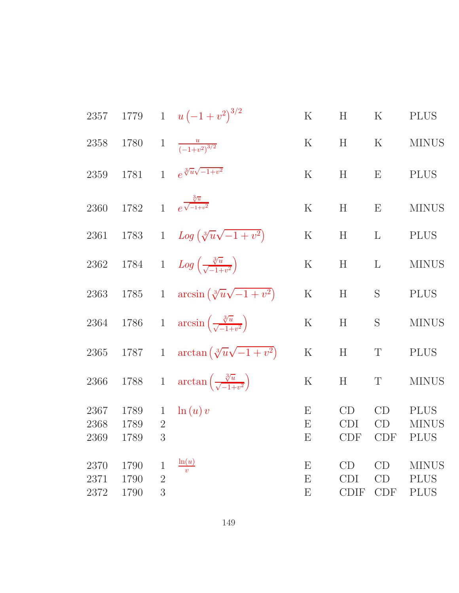| 2357                 | 1779                 | $\mathbf{1}$                       | $u(-1+v^2)^{3/2}$                                       | $\rm K$     | H                               | $\rm K$                | <b>PLUS</b>                                |
|----------------------|----------------------|------------------------------------|---------------------------------------------------------|-------------|---------------------------------|------------------------|--------------------------------------------|
| 2358                 | 1780                 | $\mathbf{1}$                       | $\frac{u}{(-1+v^2)^{3/2}}$                              | K           | H                               | $\rm K$                | <b>MINUS</b>                               |
| 2359                 | 1781                 | $\mathbf{1}$                       | $e^{\sqrt[3]{u}\sqrt{-1+v^2}}$                          | $\rm K$     | H                               | E                      | <b>PLUS</b>                                |
| 2360                 | 1782                 | $\overline{1}$                     | $e^{\frac{\sqrt[3]{u}}{\sqrt{-1+v^2}}}$                 | $\mathbf K$ | H                               | E                      | <b>MINUS</b>                               |
| 2361                 | $1783\,$             | $\mathbf{1}$                       | $Log(\sqrt[3]{u}\sqrt{-1+v^2})$                         | $\mathbf K$ | H                               | $\mathbf{L}$           | <b>PLUS</b>                                |
| 2362                 | 1784                 | $\mathbf{1}$                       | $Log\left(\frac{\sqrt[3]{u}}{\sqrt{-1+v^2}}\right)$     | $\rm K$     | H                               | $\mathbf{L}$           | <b>MINUS</b>                               |
| 2363                 | $1785\,$             | $\mathbf{1}$                       | $\arcsin(\sqrt[3]{u}\sqrt{-1+v^2})$                     | $\mathbf K$ | H                               | S                      | <b>PLUS</b>                                |
| 2364                 | $1786\,$             | $\,1$                              | $\arcsin\left(\frac{\sqrt[3]{u}}{\sqrt{-1+v^2}}\right)$ | $\rm K$     | H                               | S                      | <b>MINUS</b>                               |
| 2365                 | 1787                 | $\mathbf{1}$                       | $\arctan(\sqrt[3]{u}\sqrt{-1+v^2})$                     | $\mathbf K$ | H                               | $\mathbf T$            | <b>PLUS</b>                                |
| 2366                 | 1788                 | $1\,$                              | $\arctan\left(\frac{\sqrt[3]{u}}{\sqrt{-1+v^2}}\right)$ | $\rm K$     | H                               | $\mathbf T$            | <b>MINUS</b>                               |
| 2367<br>2368<br>2369 | 1789<br>1789<br>1789 | $\mathbf 1$<br>$\sqrt{2}$<br>3     | $\ln(u)v$                                               | E<br>E<br>E | CD<br><b>CDI</b><br><b>CDF</b>  | CD<br>CD<br><b>CDF</b> | <b>PLUS</b><br><b>MINUS</b><br><b>PLUS</b> |
| 2370<br>2371<br>2372 | 1790<br>1790<br>1790 | $\mathbf 1$<br>$\overline{2}$<br>3 | $\frac{\ln(u)}{v}$                                      | E<br>E<br>E | CD<br><b>CDI</b><br><b>CDIF</b> | CD<br>CD<br><b>CDF</b> | <b>MINUS</b><br><b>PLUS</b><br><b>PLUS</b> |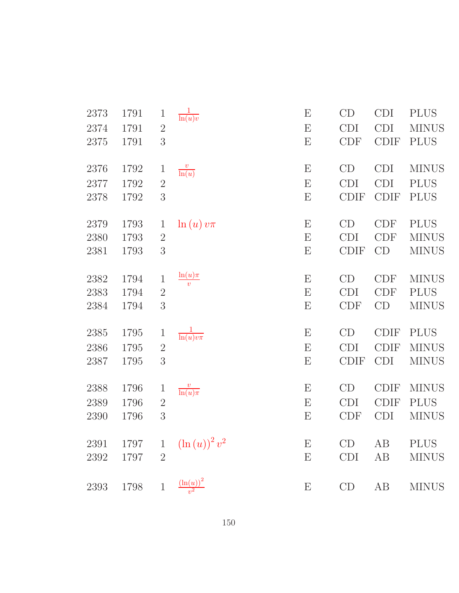| 2373 | 1791 | $\mathbf 1$    | $\frac{1}{\ln(u)v}$                       | ${\bf E}$                 | CD          | <b>CDI</b>  | <b>PLUS</b>  |
|------|------|----------------|-------------------------------------------|---------------------------|-------------|-------------|--------------|
| 2374 | 1791 | $\overline{2}$ |                                           | ${\rm E}$                 | <b>CDI</b>  | <b>CDI</b>  | <b>MINUS</b> |
| 2375 | 1791 | 3              |                                           | E                         | <b>CDF</b>  | <b>CDIF</b> | <b>PLUS</b>  |
| 2376 | 1792 | $\mathbf{1}$   | $\frac{v}{\ln(u)}$                        | ${\bf E}$                 | CD          | <b>CDI</b>  | <b>MINUS</b> |
| 2377 | 1792 | $\overline{2}$ |                                           | ${\rm E}$                 | <b>CDI</b>  | <b>CDI</b>  | <b>PLUS</b>  |
| 2378 | 1792 | 3              |                                           | E                         | <b>CDIF</b> | <b>CDIF</b> | <b>PLUS</b>  |
|      |      |                |                                           |                           |             |             |              |
| 2379 | 1793 | $\mathbf{1}$   | $\ln(u)v\pi$                              | ${\bf E}$                 | CD          | CDF         | <b>PLUS</b>  |
| 2380 | 1793 | $\sqrt{2}$     |                                           | E                         | <b>CDI</b>  | <b>CDF</b>  | <b>MINUS</b> |
| 2381 | 1793 | 3              |                                           | $\boldsymbol{\mathrm{E}}$ | <b>CDIF</b> | CD          | <b>MINUS</b> |
| 2382 | 1794 | $\mathbf 1$    | $\ln(u)\pi$                               | ${\bf E}$                 | CD          | <b>CDF</b>  | <b>MINUS</b> |
| 2383 | 1794 | $\overline{2}$ | $\overline{v}$                            | ${\rm E}$                 | <b>CDI</b>  | CDF         | <b>PLUS</b>  |
| 2384 | 1794 | 3              |                                           | ${\rm E}$                 | <b>CDF</b>  | CD          | <b>MINUS</b> |
|      |      |                |                                           |                           |             |             |              |
| 2385 | 1795 | $\mathbf{1}$   | $\frac{1}{\ln(u)v\pi}$                    | ${\bf E}$                 | CD          | <b>CDIF</b> | <b>PLUS</b>  |
| 2386 | 1795 | $\overline{2}$ |                                           | ${\rm E}$                 | <b>CDI</b>  | <b>CDIF</b> | <b>MINUS</b> |
| 2387 | 1795 | 3              |                                           | ${\rm E}$                 | <b>CDIF</b> | <b>CDI</b>  | <b>MINUS</b> |
| 2388 | 1796 | 1              |                                           | ${\bf E}$                 | CD          | <b>CDIF</b> | <b>MINUS</b> |
|      |      |                | $\frac{v}{\ln(u)\pi}$                     |                           |             |             |              |
| 2389 | 1796 | $\sqrt{2}$     |                                           | E                         | <b>CDI</b>  | <b>CDIF</b> | <b>PLUS</b>  |
| 2390 | 1796 | $\sqrt{3}$     |                                           | $\boldsymbol{\mathrm{E}}$ | <b>CDF</b>  | CDI         | <b>MINUS</b> |
| 2391 | 1797 | $\mathbf{1}$   | $\left(\ln\left(u\right)\right)^{2}v^{2}$ | E                         | CD          | AB          | <b>PLUS</b>  |
| 2392 | 1797 | $\overline{2}$ |                                           | ${\bf E}$                 | <b>CDI</b>  | AB          | <b>MINUS</b> |
| 2393 | 1798 | $\,1$          | $\frac{\left(\ln(u)\right)^2}{v^2}$       | $\boldsymbol{\mathrm{E}}$ | CD          | AB          | <b>MINUS</b> |
|      |      |                |                                           |                           |             |             |              |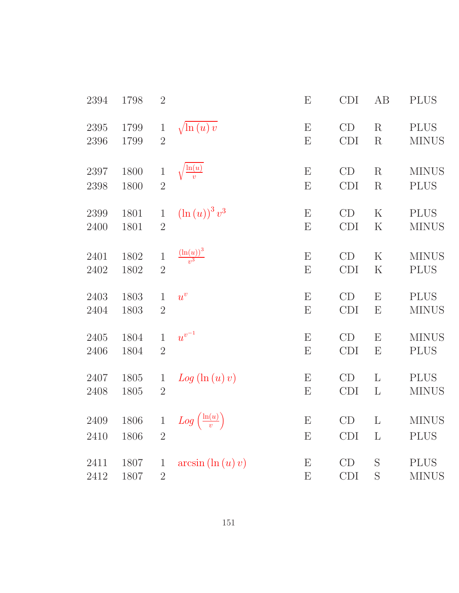| 2394 | 1798 | $\sqrt{2}$     |                                        | E | <b>CDI</b> | AB           | <b>PLUS</b>  |
|------|------|----------------|----------------------------------------|---|------------|--------------|--------------|
| 2395 | 1799 | $\,1$          | $\sqrt{\ln(u)} v$                      | E | CD         | R            | <b>PLUS</b>  |
| 2396 | 1799 | $\overline{2}$ |                                        | E | CDI        | $\mathbf R$  | <b>MINUS</b> |
| 2397 | 1800 | $\,1$          | $\frac{\ln(u)}{v}$                     | E | CD         | R            | <b>MINUS</b> |
| 2398 | 1800 | $\overline{2}$ |                                        | E | <b>CDI</b> | $\mathbf R$  | <b>PLUS</b>  |
| 2399 | 1801 | $\mathbf{1}$   | $(\ln(u))^3 v^3$                       | E | CD         | $\rm K$      | <b>PLUS</b>  |
| 2400 | 1801 | $\overline{2}$ |                                        | E | CDI        | $\mathbf K$  | <b>MINUS</b> |
| 2401 | 1802 | $\mathbf 1$    | $\frac{\left(\ln(u)\right)^3}{v^3}$    | E | CD         | $\rm K$      | <b>MINUS</b> |
| 2402 | 1802 | $\overline{2}$ |                                        | E | <b>CDI</b> | $\rm K$      | <b>PLUS</b>  |
| 2403 | 1803 | $\mathbf{1}$   | $u^v$                                  | E | CD         | E            | <b>PLUS</b>  |
| 2404 | 1803 | $\overline{2}$ |                                        | E | CDI        | E            | <b>MINUS</b> |
| 2405 | 1804 | $\mathbf{1}$   | $\boldsymbol{u}^{\boldsymbol{v}^{-1}}$ | E | CD         | $\mathbf E$  | <b>MINUS</b> |
| 2406 | 1804 | $\sqrt{2}$     |                                        | E | <b>CDI</b> | E            | <b>PLUS</b>  |
| 2407 | 1805 | $\mathbf{1}$   | $Log(\ln(u)v)$                         | E | CD         | $\mathbf{L}$ | <b>PLUS</b>  |
| 2408 | 1805 | $\overline{2}$ |                                        | E | CDI        | $\Gamma$     | <b>MINUS</b> |
| 2409 | 1806 | $\mathbf{1}$   | $Log\left(\frac{\ln(u)}{v}\right)$     | E | CD         | L            | <b>MINUS</b> |
| 2410 | 1806 | $\overline{2}$ |                                        | E | <b>CDI</b> | L            | <b>PLUS</b>  |
| 2411 | 1807 | $\mathbf{1}$   | $arcsin(\ln(u)v)$                      | E | CD         | S            | <b>PLUS</b>  |
| 2412 | 1807 | $\overline{2}$ |                                        | E | <b>CDI</b> | S            | <b>MINUS</b> |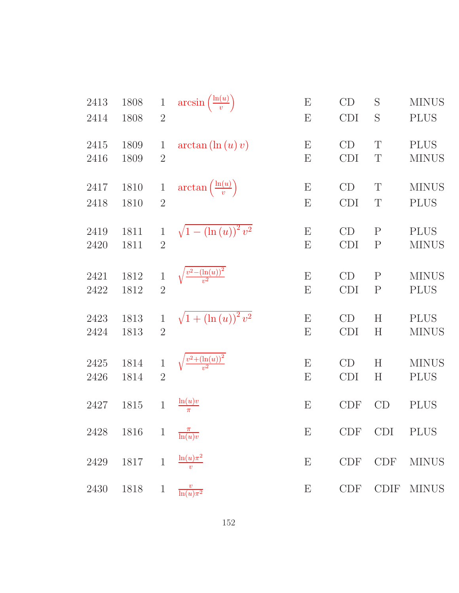| 2413 | 1808 | $\mathbf 1$    | $arcsin\left(\frac{\ln(u)}{v}\right)$          | $\boldsymbol{\mathrm{E}}$ | CD         | S            | <b>MINUS</b> |
|------|------|----------------|------------------------------------------------|---------------------------|------------|--------------|--------------|
| 2414 | 1808 | $\overline{2}$ |                                                | E                         | CDI        | S            | <b>PLUS</b>  |
| 2415 | 1809 | $\mathbf 1$    | $arctan(\ln(u)v)$                              | $\boldsymbol{\mathrm{E}}$ | CD         | T            | <b>PLUS</b>  |
| 2416 | 1809 | $\overline{2}$ |                                                | ${\rm E}$                 | CDI        | $\mathbf T$  | <b>MINUS</b> |
| 2417 | 1810 | $\mathbf{1}$   | $\arctan\left(\frac{\ln(u)}{v}\right)$         | $\boldsymbol{\mathrm{E}}$ | CD         | T            | <b>MINUS</b> |
| 2418 | 1810 | $\overline{2}$ |                                                | ${\rm E}$                 | CDI        | T            | <b>PLUS</b>  |
| 2419 | 1811 | $\mathbf{1}$   | $\sqrt{1-\left(\ln\left(u\right)\right)^2v^2}$ | E                         | CD         | $\mathbf P$  | <b>PLUS</b>  |
| 2420 | 1811 | $\overline{2}$ |                                                | E                         | <b>CDI</b> | $\mathbf P$  | <b>MINUS</b> |
| 2421 | 1812 | $\mathbf{1}$   | $\sqrt{\frac{v^2-(\ln(u))^2}{v^2}}$            | E                         | CD         | $\mathbf{P}$ | <b>MINUS</b> |
| 2422 | 1812 | $\overline{2}$ |                                                | E                         | <b>CDI</b> | $\mathbf P$  | <b>PLUS</b>  |
| 2423 | 1813 | $\mathbf{1}$   | $\sqrt{1 + (\ln(u))^{2} v^{2}}$                | ${\bf E}$                 | CD         | H            | <b>PLUS</b>  |
| 2424 | 1813 | $\overline{2}$ |                                                | E                         | <b>CDI</b> | H            | <b>MINUS</b> |
| 2425 | 1814 | $\,1$          | $\sqrt{\frac{v^2 + (\ln(u))^2}{v^2}}$          | ${\bf E}$                 | CD         | H            | <b>MINUS</b> |
| 2426 | 1814 | $\overline{2}$ |                                                | E                         | <b>CDI</b> | H            | <b>PLUS</b>  |
| 2427 | 1815 | $\mathbf{1}$   | $\frac{\ln(u)v}{\pi}$                          | E                         | <b>CDF</b> | CD           | <b>PLUS</b>  |
| 2428 | 1816 |                | 1 $\frac{\pi}{\ln(u)v}$                        | $\boldsymbol{\mathrm{E}}$ | CDF CDI    |              | <b>PLUS</b>  |
| 2429 | 1817 | $\,1\,$        | $\frac{\ln(u)\pi^2}{v}$                        | ${\bf E}$                 | CDF        | CDF          | <b>MINUS</b> |
| 2430 | 1818 | $\mathbf{1}$   | $\frac{v}{\ln(u)\pi^2}$                        | E                         | <b>CDF</b> | CDIF         | <b>MINUS</b> |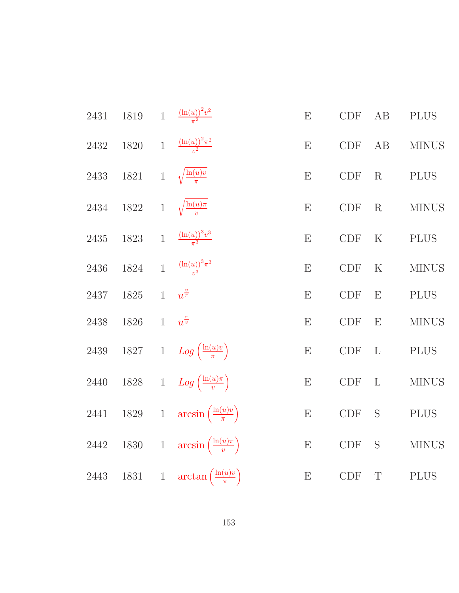| 2431     | 1819     |                | 1 $\frac{(\ln(u))^2 v^2}{\pi^2}$            | E         | CDF                         | AB           | <b>PLUS</b>  |
|----------|----------|----------------|---------------------------------------------|-----------|-----------------------------|--------------|--------------|
| 2432     | 1820     | $\mathbf{1}$   | $\frac{(\ln(u))^{2} \pi^{2}}{v^{2}}$        | E         | $\ensuremath{\mathrm{CDF}}$ | $\rm AB$     | <b>MINUS</b> |
| 2433     | $1821\,$ |                | 1 $\sqrt{\frac{\ln(u)v}{\pi}}$              | E         | $\ensuremath{\mathrm{CDF}}$ | R            | <b>PLUS</b>  |
| $2434\,$ | $1822\,$ |                | 1 $\sqrt{\frac{\ln(u)\pi}{v}}$              | E         | CDF                         | R            | <b>MINUS</b> |
| 2435     | 1823     |                | 1 $\frac{(\ln(u))^3 v^3}{\pi^3}$            | E         | CDF                         | $\rm K$      | <b>PLUS</b>  |
| 2436     | $1824\,$ | $\overline{1}$ | $\frac{(\ln(u))^{3}\pi^{3}}{v^{3}}$         | E         | CDF                         | $\rm K$      | <b>MINUS</b> |
| 2437     | $1825\,$ | $\mathbf{1}$   | $u^{\frac{v}{\pi}}$                         | E         | $\ensuremath{\mathrm{CDF}}$ | E            | <b>PLUS</b>  |
| 2438     | 1826     | $\mathbf{1}$   | $u^{\frac{\pi}{v}}$                         | E         | <b>CDF</b>                  | E            | <b>MINUS</b> |
| $2439\,$ | $1827\,$ |                | 1 $Log\left(\frac{\ln(u)v}{\pi}\right)$     | E         | CDF                         | $\mathbf{L}$ | <b>PLUS</b>  |
| $2440\,$ | $1828\,$ |                | 1 $Log\left(\frac{\ln(u)\pi}{v}\right)$     | E         | CDF                         | $\mathbf{L}$ | <b>MINUS</b> |
| $2441\,$ | $1829\,$ |                | 1 $\arcsin\left(\frac{\ln(u)v}{\pi}\right)$ | E         | CDF                         | S            | <b>PLUS</b>  |
| $2442\,$ | $1830\,$ |                | 1 $\arcsin\left(\frac{\ln(u)\pi}{v}\right)$ | E         | CDF                         | S            | <b>MINUS</b> |
| 2443     | $1831\,$ |                | 1 $\arctan\left(\frac{\ln(u)v}{\pi}\right)$ | ${\bf E}$ | $\ensuremath{\mathrm{CDF}}$ | $\mathbf T$  | <b>PLUS</b>  |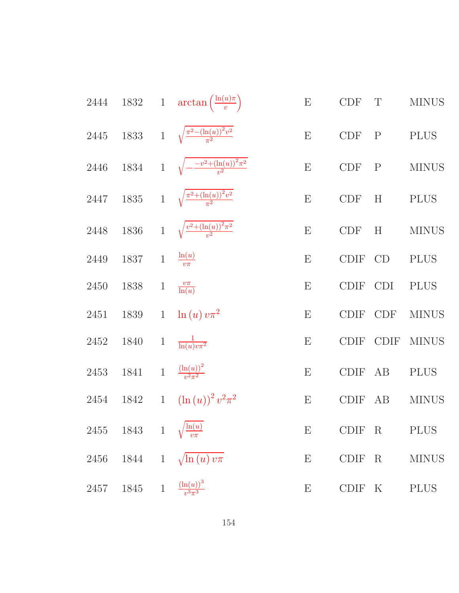| 2444 |                                          |              | 1832 1 $\arctan\left(\frac{\ln(u)\pi}{v}\right)$ | ${\bf E}$                 | CDF                         | $\mathbf T$ | <b>MINUS</b> |
|------|------------------------------------------|--------------|--------------------------------------------------|---------------------------|-----------------------------|-------------|--------------|
| 2445 | 1833                                     |              | 1 $\sqrt{\frac{\pi^2 - (\ln(u))^2 v^2}{\pi^2}}$  | E                         | CDF                         | $\mathbf P$ | <b>PLUS</b>  |
| 2446 | 1834                                     | $\mathbf{1}$ | $\sqrt{-\frac{-v^2 + (\ln(u))^2 \pi^2}{v^2}}$    | E                         | CDF                         | $\mathbf P$ | <b>MINUS</b> |
| 2447 | 1835                                     | $\mathbf{1}$ | $\sqrt{\frac{\pi^2 + (\ln(u))^2 v^2}{\pi^2}}$    | E                         | <b>CDF</b>                  | H           | <b>PLUS</b>  |
| 2448 | 1836                                     | $\mathbf{1}$ | $\sqrt{\frac{v^2 + (\ln(u))^2 \pi^2}{v^2}}$      | E                         | $\ensuremath{\mathrm{CDF}}$ | H           | <b>MINUS</b> |
| 2449 | 1837                                     | $\mathbf{1}$ | $-\frac{\ln(u)}{v\pi}$                           | E                         | <b>CDIF</b>                 | CD          | <b>PLUS</b>  |
| 2450 | 1838                                     | $\mathbf 1$  | $\frac{v\pi}{\ln(u)}$                            | E                         | <b>CDIF</b>                 | <b>CDI</b>  | <b>PLUS</b>  |
| 2451 | 1839                                     | $\mathbf{1}$ | $\ln(u)v\pi^2$                                   | E                         | <b>CDIF</b>                 | <b>CDF</b>  | <b>MINUS</b> |
| 2452 | 1840                                     | $\,1$        | $\frac{1}{\ln(u)v\pi^2}$                         | E                         | <b>CDIF</b>                 | <b>CDIF</b> | <b>MINUS</b> |
| 2453 | 1841                                     | $\mathbf{1}$ | $\frac{(\ln(u))^{2}}{v^{2}\pi^{2}}$              | E                         | <b>CDIF</b>                 | AB          | <b>PLUS</b>  |
| 2454 | 1842                                     | $\mathbf{1}$ | $(\ln(u))^2 v^2 \pi^2$                           | E                         | <b>CDIF</b>                 | AB          | <b>MINUS</b> |
|      | 2455 1843 1 $\sqrt{\frac{\ln(u)}{v\pi}}$ |              |                                                  | E                         | CDIF R                      |             | <b>PLUS</b>  |
| 2456 |                                          |              | 1844 1 $\sqrt{\ln(u) v \pi}$                     | $\boldsymbol{\mathrm{E}}$ | <b>CDIF</b>                 | $\rm R$     | <b>MINUS</b> |
| 2457 | 1845 1 $\frac{(\ln(u))^3}{v^3 \pi^3}$    |              |                                                  | ${\bf E}$                 | CDIF K                      |             | <b>PLUS</b>  |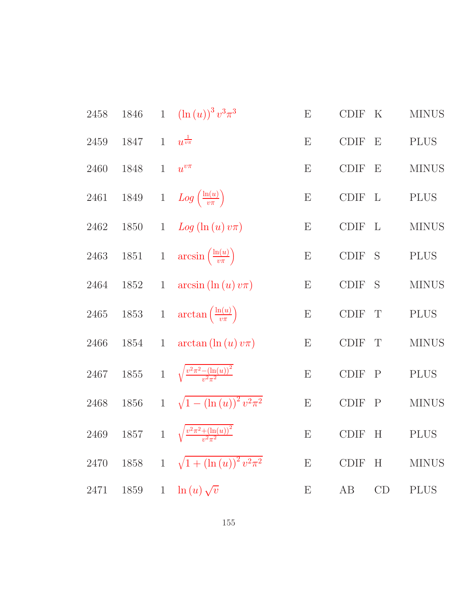| 2458 | 1846 |              | 1 $(\ln(u))^3 v^3 \pi^3$                                 | E                         | <b>CDIF</b> | $\rm K$                   | <b>MINUS</b> |
|------|------|--------------|----------------------------------------------------------|---------------------------|-------------|---------------------------|--------------|
| 2459 | 1847 | $\mathbf{1}$ | $u^{\frac{1}{v\pi}}$                                     | E                         | <b>CDIF</b> | $\boldsymbol{\mathrm{E}}$ | <b>PLUS</b>  |
| 2460 | 1848 | $\mathbf{1}$ | $u^{v\pi}$                                               | Ε                         | <b>CDIF</b> | $\boldsymbol{\mathrm{E}}$ | <b>MINUS</b> |
| 2461 | 1849 |              | 1 $Log\left(\frac{\ln(u)}{v\pi}\right)$                  | E                         | <b>CDIF</b> | $\mathbf{L}$              | <b>PLUS</b>  |
| 2462 | 1850 | $\mathbf{1}$ | $Log(\ln(u)v\pi)$                                        | $\boldsymbol{\mathrm{E}}$ | <b>CDIF</b> | $\mathbf{L}$              | <b>MINUS</b> |
| 2463 |      |              | 1851 1 $\arcsin\left(\frac{\ln(u)}{v\pi}\right)$         | E                         | <b>CDIF</b> | S                         | <b>PLUS</b>  |
| 2464 | 1852 | $\mathbf{1}$ | $arcsin(\ln(u)v\pi)$                                     | $\boldsymbol{\mathrm{E}}$ | <b>CDIF</b> | S                         | <b>MINUS</b> |
| 2465 |      |              | 1853 1 $\arctan\left(\frac{\ln(u)}{v\pi}\right)$         | E                         | CDIF        | T                         | <b>PLUS</b>  |
| 2466 | 1854 | $\mathbf{1}$ | $arctan(\ln(u)v\pi)$                                     | E                         | <b>CDIF</b> | T                         | <b>MINUS</b> |
| 2467 |      |              | 1855 1 $\sqrt{\frac{v^2 \pi^2 - (\ln(u))^2}{v^2 \pi^2}}$ | E                         | <b>CDIF</b> | $\mathbf{P}$              | $\rm PLUS$   |
| 2468 | 1856 |              | 1 $\sqrt{1-(\ln(u))^{2}v^{2}\pi^{2}}$                    | E                         | <b>CDIF</b> | $\mathbf P$               | <b>MINUS</b> |
| 2469 | 1857 |              | 1 $\sqrt{\frac{v^2 \pi^2 + (\ln(u))^2}{v^2 \pi^2}}$      | $\boldsymbol{\mathrm{E}}$ | <b>CDIF</b> | H                         | <b>PLUS</b>  |
| 2470 | 1858 |              | 1 $\sqrt{1 + (\ln(u))^2 v^2 \pi^2}$                      | ${\bf E}$                 | <b>CDIF</b> | H                         | <b>MINUS</b> |
| 2471 | 1859 | $\mathbf{1}$ | $-\ln(u)\sqrt{v}$                                        | E                         | AB          | CD                        | <b>PLUS</b>  |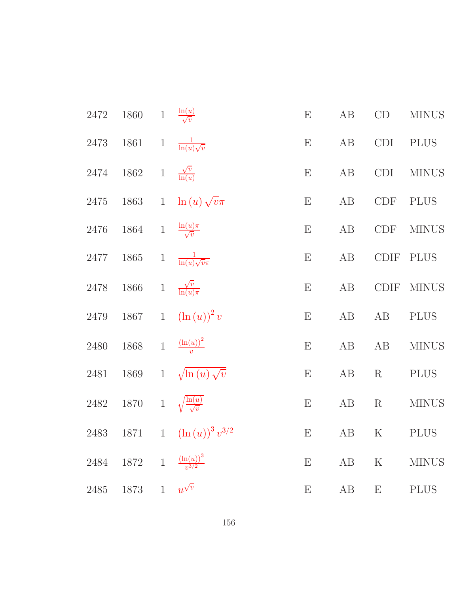| 2472 | $1860\,$ | $\,1$        | $\frac{\ln(u)}{\sqrt{v}}$                   | $\boldsymbol{\mathrm{E}}$ | AB       | $\mathrm{CD}$               | <b>MINUS</b> |
|------|----------|--------------|---------------------------------------------|---------------------------|----------|-----------------------------|--------------|
| 2473 | 1861     | $\,1$        | $\frac{1}{\ln(u)\sqrt{v}}$                  | E                         | AB       | <b>CDI</b>                  | <b>PLUS</b>  |
| 2474 | 1862     | $\,1$        | $\frac{\sqrt{v}}{\ln(u)}$                   | E                         | AB       | <b>CDI</b>                  | <b>MINUS</b> |
| 2475 | 1863     | $\mathbf{1}$ | $\ln(u)\sqrt{v}\pi$                         | $\boldsymbol{\mathrm{E}}$ | AB       | $\ensuremath{\mathrm{CDF}}$ | $\rm PLUS$   |
| 2476 | 1864     | $\,1$        | $\frac{\ln(u)\pi}{\sqrt{v}}$                | E                         | $\rm AB$ | <b>CDF</b>                  | <b>MINUS</b> |
| 2477 | $1865\,$ | $\,1$        | $\frac{1}{\ln(u)\sqrt{v}\pi}$               | $\boldsymbol{\mathrm{E}}$ | AB       | $\text{\rm CDIF}$           | <b>PLUS</b>  |
| 2478 | $1866\,$ | $\,1$        | $\frac{\sqrt{v}}{\ln(u)\pi}$                | E                         | $\rm AB$ | $\text{\rm CDIF}$           | <b>MINUS</b> |
| 2479 | 1867     | $1\,$        | $\left(\ln\left(u\right)\right)^{2}v$       | E                         | $\rm AB$ | AB                          | <b>PLUS</b>  |
| 2480 | 1868     | $1\,$        | $\frac{\left(\ln(u)\right)^2}{v}$           | $\boldsymbol{\mathrm{E}}$ | AB       | AB                          | <b>MINUS</b> |
| 2481 | $1869\,$ | $\mathbf{1}$ | $\sqrt{\ln(u)}\sqrt{v}$                     | $\boldsymbol{\mathrm{E}}$ | AB       | R                           | $\rm PLUS$   |
| 2482 | $1870\,$ | $\,1$        | $\sqrt{\frac{\ln(u)}{\sqrt{v}}}$            | E                         | $\rm AB$ | $\mathbf R$                 | <b>MINUS</b> |
| 2483 | $1871\,$ | $\,1$        | $\left(\ln\left(u\right)\right)^{3}v^{3/2}$ | $\boldsymbol{\mathrm{E}}$ | $\rm AB$ | $\rm K$                     | <b>PLUS</b>  |
| 2484 | 1872     |              | 1 $\frac{(\ln(u))^3}{v^{3/2}}$              | E                         | $\rm AB$ | $\mathbf K$                 | <b>MINUS</b> |
| 2485 | 1873     |              | 1 $u^{\sqrt{v}}$                            | E                         | $\rm AB$ | E                           | <b>PLUS</b>  |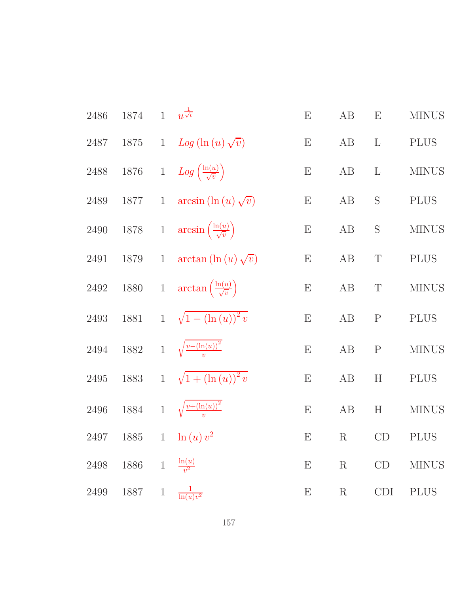| 2486     | 1874     |              | 1 $u^{\frac{1}{\sqrt{v}}}$                           | E                         | AB      | E            | <b>MINUS</b> |
|----------|----------|--------------|------------------------------------------------------|---------------------------|---------|--------------|--------------|
| 2487     | $1875\,$ | $\mathbf{1}$ | $Log(\ln(u)\sqrt{v})$                                | $\boldsymbol{\mathrm{E}}$ | AB      | $\mathbf{L}$ | <b>PLUS</b>  |
| $2488\,$ | $1876\,$ |              | 1 $Log\left(\frac{\ln(u)}{\sqrt{v}}\right)$          | $\boldsymbol{\mathrm{E}}$ | AB      | $\mathbf{L}$ | <b>MINUS</b> |
| $2489\,$ | 1877     | $\mathbf{1}$ | $arcsin(\ln(u)\sqrt{v})$                             | E                         | AB      | S            | <b>PLUS</b>  |
| $2490\,$ |          |              | 1878 1 $\arcsin\left(\frac{\ln(u)}{\sqrt{v}}\right)$ | E                         | AB      | S            | <b>MINUS</b> |
| 2491     | $1879\,$ | $\mathbf{1}$ | $\arctan(\ln(u)\sqrt{v})$                            | E                         | AB      | $\mathbf T$  | <b>PLUS</b>  |
| 2492     |          |              | 1880 1 $\arctan\left(\frac{\ln(u)}{\sqrt{v}}\right)$ | $\boldsymbol{\mathrm{E}}$ | AB      | $\mathbf T$  | <b>MINUS</b> |
| $2493\,$ | 1881     |              | 1 $\sqrt{1-(\ln(u))^{2}v}$                           | E                         | AB      | ${\bf P}$    | <b>PLUS</b>  |
| $\,2494$ |          |              | 1882 1 $\sqrt{\frac{v-(\ln(u))^2}{v}}$               | E                         | AB      | ${\bf P}$    | <b>MINUS</b> |
| $2495\,$ | 1883     |              | 1 $\sqrt{1 + (\ln(u))^2} v$                          | $\boldsymbol{\mathrm{E}}$ | AB      | H            | <b>PLUS</b>  |
| $2496\,$ |          |              | 1884 1 $\sqrt{\frac{v + (\ln(u))^2}{v}}$             | $\boldsymbol{\mathrm{E}}$ | AB      | H            | <b>MINUS</b> |
| 2497     | 1885     |              | 1 $\ln(u)v^2$                                        | $\boldsymbol{\mathrm{E}}$ | $\rm R$ | CD           | <b>PLUS</b>  |
| $2498\,$ | 1886 1   |              | $\frac{\ln(u)}{v^2}$                                 | $\boldsymbol{\mathrm{E}}$ | $\rm R$ | CD           | <b>MINUS</b> |
| $2499\,$ | 1887     | $\mathbf{1}$ | $\frac{1}{\ln(u)v^2}$                                | $\boldsymbol{\mathrm{E}}$ | $\rm R$ | CDI          | <b>PLUS</b>  |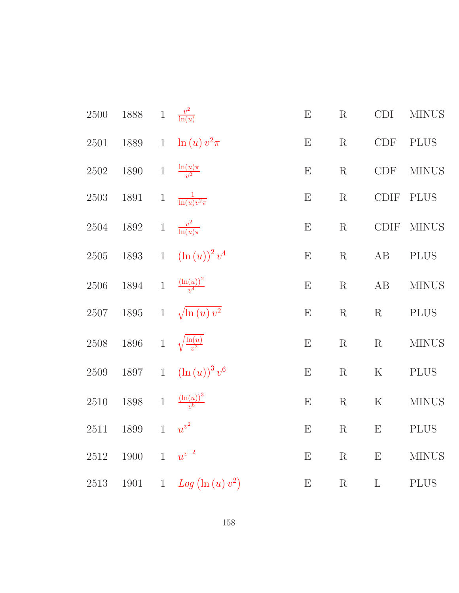| $2500\,$ | $1888\,$ | $\,1$        | $\frac{v^2}{\ln(u)}$                      | ${\bf E}$                 | R           | CDI                         | <b>MINUS</b> |
|----------|----------|--------------|-------------------------------------------|---------------------------|-------------|-----------------------------|--------------|
| 2501     | 1889     | $\,1$        | $-\ln(u)v^2\pi$                           | E                         | $\mathbf R$ | <b>CDF</b>                  | <b>PLUS</b>  |
| $2502\,$ | $1890\,$ | $\,1$        | $\frac{\ln(u)\pi}{v^2}$                   | E                         | $\mathbf R$ | $\ensuremath{\mathrm{CDF}}$ | $\rm MINUS$  |
| $2503\,$ | $1891\,$ | $\,1$        | $\frac{1}{\ln(u)v^2\pi}$                  | E                         | R           | CDIF                        | <b>PLUS</b>  |
| $2504\,$ | $1892\,$ | $\mathbf{1}$ | $\frac{v^2}{\ln(u)\pi}$                   | E                         | $\mathbf R$ | CDIF                        | <b>MINUS</b> |
| $2505\,$ | $1893\,$ | $\,1$        | $\left(\ln\left(u\right)\right)^{2}v^{4}$ | ${\bf E}$                 | $\mathbf R$ | AB                          | <b>PLUS</b>  |
| $2506\,$ | 1894     | $\mathbf{1}$ | $\frac{\left(\ln(u)\right)^2}{v^4}$       | E                         | R           | AB                          | $\rm MINUS$  |
| 2507     | $1895\,$ | $\mathbf{1}$ | $\sqrt{\ln(u)v^2}$                        | ${\bf E}$                 | $\mathbf R$ | R                           | <b>PLUS</b>  |
| $2508\,$ | 1896     |              | 1 $\sqrt{\frac{\ln(u)}{v^2}}$             | ${\bf E}$                 | $\mathbf R$ | R                           | <b>MINUS</b> |
| 2509     | 1897     | $1\,$        | $\left(\ln\left(u\right)\right)^{3}v^{6}$ | ${\bf E}$                 | $\mathbf R$ | $\rm K$                     | $\rm PLUS$   |
| $2510\,$ | $1898\,$ | $1\,$        | $\frac{\left(\ln(u)\right)^3}{v^6}$       | ${\bf E}$                 | $\mathbf R$ | ${\bf K}$                   | <b>MINUS</b> |
| $2511\,$ | $1899\,$ | $1\,$        | $u^{v^2}$                                 | $\boldsymbol{\mathrm{E}}$ | R           | E                           | <b>PLUS</b>  |
| $2512\,$ | 1900     | $\mathbf{1}$ | $u^{v^{-2}}$                              | ${\bf E}$                 | $\mathbf R$ | E                           | $\rm MINUS$  |
| $2513\,$ | $1901\,$ |              | 1 $Log (\ln (u) v^2)$                     | ${\bf E}$                 | $\mathbf R$ | $\Gamma$                    | $\rm PLUS$   |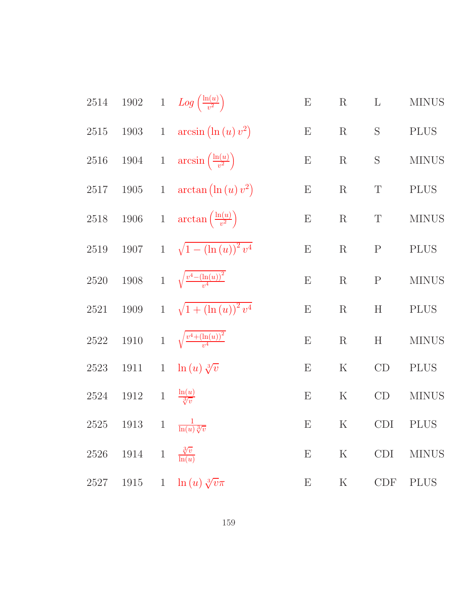| $2514\,$ |                                           |       | 1902 1 $Log\left(\frac{ln(u)}{v^2}\right)$           | ${\bf E}$                 | $\rm R$     | $\mathbf{L}$ | <b>MINUS</b> |
|----------|-------------------------------------------|-------|------------------------------------------------------|---------------------------|-------------|--------------|--------------|
| 2515     |                                           |       | 1903 1 $arcsin (\ln (u) v^2)$                        | $\boldsymbol{\mathrm{E}}$ | $\rm R$     | $\mathbf S$  | <b>PLUS</b>  |
| 2516     |                                           |       | 1904 1 $\arcsin\left(\frac{\ln(u)}{v^2}\right)$      | $\boldsymbol{\mathrm{E}}$ | $\rm R$     | S            | <b>MINUS</b> |
|          |                                           |       | 2517 1905 1 $\arctan (\ln (u) v^2)$                  | $\boldsymbol{\mathrm{E}}$ | $\rm R$     | $\mathbf T$  | <b>PLUS</b>  |
|          |                                           |       | 2518 1906 1 $\arctan\left(\frac{\ln(u)}{v^2}\right)$ | $\boldsymbol{\mathrm{E}}$ | $\rm R$     | $\mathbf T$  | <b>MINUS</b> |
| $2519\,$ |                                           |       | 1907 1 $\sqrt{1-(\ln(u))^{2}v^{4}}$                  | E                         | $\mathbf R$ | $\mathbf P$  | <b>PLUS</b>  |
| 2520     |                                           |       | 1908 1 $\sqrt{\frac{v^4-(\ln(u))^2}{v^4}}$           | E                         | $\mathbf R$ | ${\bf P}$    | <b>MINUS</b> |
| 2521     |                                           |       | 1909 1 $\sqrt{1 + (\ln(u))^2 v^4}$                   | $\boldsymbol{\mathrm{E}}$ | $\rm R$     | H            | <b>PLUS</b>  |
| $2522\,$ |                                           |       | 1910 1 $\sqrt{\frac{v^4 + (\ln(u))^2}{v^4}}$         | ${\rm E}$                 | $\mathbf R$ | H            | <b>MINUS</b> |
| 2523     | 1911                                      |       | 1 $\ln(u)\sqrt[3]{v}$                                | $\boldsymbol{\mathrm{E}}$ | $\rm K$     | CD           | <b>PLUS</b>  |
| 2524     | 1912 1 $\frac{\ln(u)}{\sqrt[3]{v}}$       |       |                                                      | $\boldsymbol{\mathrm{E}}$ | $\rm K$     | CD           | <b>MINUS</b> |
|          | 2525 1913 1 $\frac{1}{\ln(u)\sqrt[3]{v}}$ |       |                                                      | $\boldsymbol{\mathrm{E}}$ | $\rm K$     | <b>CDI</b>   | <b>PLUS</b>  |
| 2526     | 1914                                      | $\,1$ | $\frac{\sqrt[3]{v}}{\ln(u)}$                         | E                         | $\rm K$     | <b>CDI</b>   | <b>MINUS</b> |
| 2527     | $1915\,$                                  |       | 1 $\ln(u) \sqrt[3]{v} \pi$                           | $\boldsymbol{\mathrm{E}}$ | $\rm K$     | CDF          | <b>PLUS</b>  |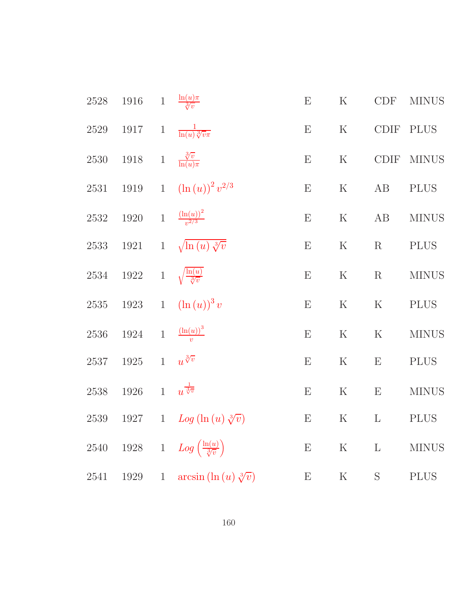| $2528\,$ | $1916\,$ | $\,1$        | $\frac{\ln(u)\pi}{\sqrt[3]{v}}$                | E         | $\rm K$     | CDF          | <b>MINUS</b> |
|----------|----------|--------------|------------------------------------------------|-----------|-------------|--------------|--------------|
| $2529\,$ | $1917\,$ | $\,1$        | $\frac{1}{\ln(u)\sqrt[3]{v}\pi}$               | E         | $\mathbf K$ | <b>CDIF</b>  | <b>PLUS</b>  |
| 2530     | $1918\,$ | $1\,$        | $\frac{\sqrt[3]{v}}{\ln(u)\pi}$                | E         | $\rm K$     | <b>CDIF</b>  | <b>MINUS</b> |
| 2531     | 1919     | $\mathbf{1}$ | $(\ln(u))^{2} v^{2/3}$                         | E         | $\mathbf K$ | AB           | <b>PLUS</b>  |
| $2532\,$ | 1920     | $\,1$        | $\frac{\left(\ln(u)\right)^2}{v^{2/3}}$        | E         | ${\bf K}$   | $\rm AB$     | <b>MINUS</b> |
| $2533\,$ | $1921\,$ | $\,1$        | $\sqrt{\ln(u)}\sqrt[3]{v}$                     | E         | $\mathbf K$ | $\mathbf R$  | <b>PLUS</b>  |
| $2534\,$ | 1922     | $\mathbf{1}$ | $\sqrt{\frac{\ln(u)}{\sqrt[3]{v}}}$            | E         | $\mathbf K$ | $\mathbf R$  | <b>MINUS</b> |
| $2535\,$ | $1923\,$ | $\mathbf{1}$ | $(\ln(u))^3 v$                                 | E         | $\rm K$     | $\rm K$      | <b>PLUS</b>  |
| $2536\,$ | $1924\,$ | $\mathbf{1}$ | $\frac{\left(\ln(u)\right)^3}{v}$              | E         | $\mathbf K$ | $\mathbf K$  | <b>MINUS</b> |
| $2537\,$ | $1925\,$ | $\mathbf{1}$ | $u^{\sqrt[3]{v}}$                              | E         | $\mathbf K$ | E            | <b>PLUS</b>  |
| 2538     | 1926     | $\mathbf{1}$ | $u^{\frac{1}{\sqrt[3]{v}}}$                    | E         | $\mathbf K$ | E            | <b>MINUS</b> |
| 2539     | 1927     | $\mathbf{1}$ | $Log(\ln(u)\sqrt[3]{v})$                       | E         | $\rm K$     | $\mathbf{L}$ | <b>PLUS</b>  |
| $2540\,$ | $1928\,$ |              | 1 $Log\left(\frac{\ln(u)}{\sqrt[3]{v}}\right)$ | ${\bf E}$ | ${\bf K}$   | $\Gamma$     | <b>MINUS</b> |
| 2541     | 1929     | $\mathbf{1}$ | $arcsin (\ln (u) \sqrt[3]{v})$                 | ${\bf E}$ | $\rm K$     | $\mathbf S$  | <b>PLUS</b>  |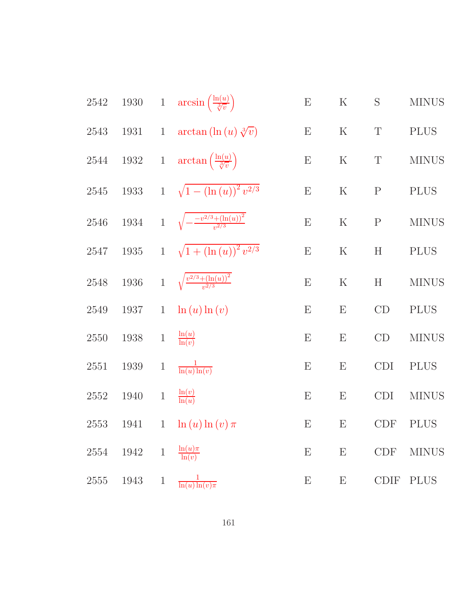| 2542     | $1930\,$ |                | 1 $\arcsin\left(\frac{\ln(u)}{\sqrt[3]{v}}\right)$ | ${\bf E}$ | $\rm K$                   | S                | <b>MINUS</b> |
|----------|----------|----------------|----------------------------------------------------|-----------|---------------------------|------------------|--------------|
| 2543     | 1931     | $\mathbf{1}$   | $\arctan\left(\ln\left(u\right)\sqrt[3]{v}\right)$ | E         | $\rm K$                   | $\mathbf T$      | <b>PLUS</b>  |
| 2544     | $1932\,$ | $\mathbf{1}$   | $\arctan\left(\frac{\ln(u)}{\sqrt[3]{v}}\right)$   | ${\bf E}$ | $\rm K$                   | $\boldsymbol{T}$ | <b>MINUS</b> |
| 2545     | $1933\,$ | $\mathbf{1}$   | $\sqrt{1-(\ln(u))^{2}v^{2/3}}$                     | ${\bf E}$ | $\rm K$                   | ${\bf P}$        | <b>PLUS</b>  |
| 2546     | 1934     |                | 1 $\sqrt{-\frac{-v^{2/3}+(\ln(u))^{2}}{v^{2/3}}}$  | E         | $\mathbf K$               | ${\bf P}$        | <b>MINUS</b> |
| 2547     | $1935\,$ | $\mathbf{1}$   | $\sqrt{1 + (\ln(u))^{2} v^{2/3}}$                  | E         | $\rm K$                   | H                | <b>PLUS</b>  |
| 2548     | 1936     |                | 1 $\sqrt{\frac{v^{2/3} + (\ln(u))^2}{v^{2/3}}}$    | E         | ${\bf K}$                 | H                | <b>MINUS</b> |
| 2549     | 1937     | $\mathbf{1}$   | $\ln(u) \ln(v)$                                    | E         | $\boldsymbol{\mathrm{E}}$ | CD               | <b>PLUS</b>  |
| 2550     | 1938     | $\mathbf{1}$   | $-\frac{\ln(u)}{\ln(v)}$                           | E         | $\boldsymbol{\mathrm{E}}$ | CD               | <b>MINUS</b> |
| 2551     | 1939     | $\mathbf 1$    | $\frac{1}{\ln(u)\ln(v)}$                           | E         | $\boldsymbol{\mathrm{E}}$ | CDI              | <b>PLUS</b>  |
| 2552     | 1940     | $\,1$          | $\frac{\ln(v)}{\ln(u)}$                            | E         | $\boldsymbol{\mathrm{E}}$ | <b>CDI</b>       | <b>MINUS</b> |
| 2553     | 1941     | $\mathbf{1}$   | $-\ln\left(u\right)\ln\left(v\right)\pi$           | ${\bf E}$ | E                         | <b>CDF</b>       | <b>PLUS</b>  |
| 2554     | 1942     | $\mathbf{1}$   | $\frac{\ln(u)\pi}{\ln(v)}$                         | ${\bf E}$ | $\boldsymbol{\mathrm{E}}$ | CDF              | <b>MINUS</b> |
| $2555\,$ | 1943     | $\overline{1}$ | $\frac{1}{\ln(u)\ln(v)\pi}$                        | E         | $\boldsymbol{\mathrm{E}}$ |                  | CDIF PLUS    |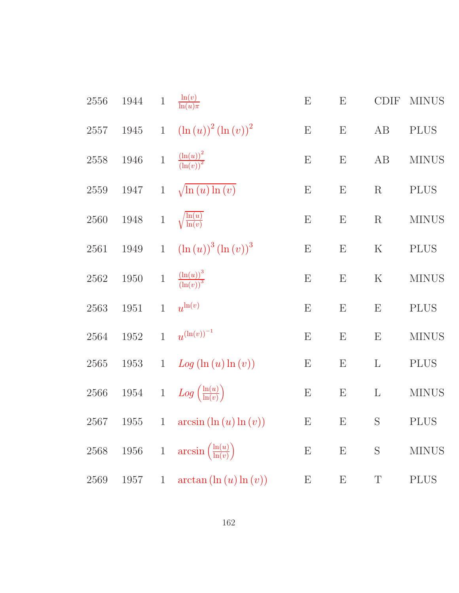| 2556     | 1944     | $\mathbf{1}$ | $\frac{\ln(v)}{\ln(u)\pi}$                            | E                         | $\boldsymbol{\mathrm{E}}$ | <b>CDIF</b>               | <b>MINUS</b> |
|----------|----------|--------------|-------------------------------------------------------|---------------------------|---------------------------|---------------------------|--------------|
| $2557\,$ | 1945     | $\mathbf{1}$ | $(\ln (u))^{2} (\ln (v))^{2}$                         | E                         | E                         | AB                        | <b>PLUS</b>  |
| 2558     | 1946     | $\,1$        | $\frac{\left(\ln(u)\right)^2}{\left(\ln(v)\right)^2}$ | E                         | $\boldsymbol{\mathrm{E}}$ | AB                        | <b>MINUS</b> |
| 2559     | 1947     | $\mathbf{1}$ | $\sqrt{\ln(u)\ln(v)}$                                 | E                         | $\boldsymbol{\mathrm{E}}$ | R                         | <b>PLUS</b>  |
| 2560     | 1948     | $\,1\,$      | $\sqrt{\frac{\ln(u)}{\ln(v)}}$                        | E                         | $\boldsymbol{\mathrm{E}}$ | $\mathbf R$               | <b>MINUS</b> |
| 2561     | 1949     | $\mathbf{1}$ | $\left(\ln(u)\right)^{3} \left(\ln(v)\right)^{3}$     | E                         | $\boldsymbol{\mathrm{E}}$ | $\rm K$                   | <b>PLUS</b>  |
| 2562     | 1950     | $\mathbf{1}$ | $\frac{\left(\ln(u)\right)^3}{\left(\ln(v)\right)^3}$ | E                         | $\boldsymbol{\mathrm{E}}$ | ${\bf K}$                 | <b>MINUS</b> |
| 2563     | 1951     | $\mathbf{1}$ | $u^{\ln(v)}$                                          | ${\bf E}$                 | ${\rm E}$                 | ${\rm E}$                 | <b>PLUS</b>  |
| 2564     | 1952     | $\mathbf{1}$ | $u^{(\ln(v))^{-1}}$                                   | E                         | $\boldsymbol{\mathrm{E}}$ | $\boldsymbol{\mathrm{E}}$ | <b>MINUS</b> |
| 2565     | 1953     | $\mathbf{1}$ | Log (ln (u) ln (v))                                   | $\boldsymbol{\mathrm{E}}$ | $\boldsymbol{\mathrm{E}}$ | $\Gamma$                  | <b>PLUS</b>  |
| 2566     | $1954\,$ | $\,1$        | $Log\left(\frac{\ln(u)}{\ln(v)}\right)$               | E                         | $\boldsymbol{\mathrm{E}}$ | $\Gamma$                  | <b>MINUS</b> |
| 2567     | 1955     | $\mathbf{1}$ | $arcsin(\ln(u) \ln(v))$                               | ${\bf E}$                 | E                         | S                         | <b>PLUS</b>  |
| 2568     | 1956     | $1\,$        | $arcsin\left(\frac{\ln(u)}{\ln(v)}\right)$            | E                         | Ε                         | S                         | <b>MINUS</b> |
| 2569     | 1957     | $\mathbf{1}$ | $arctan(\ln(u) \ln(v))$                               | E                         | Ε                         | T                         | <b>PLUS</b>  |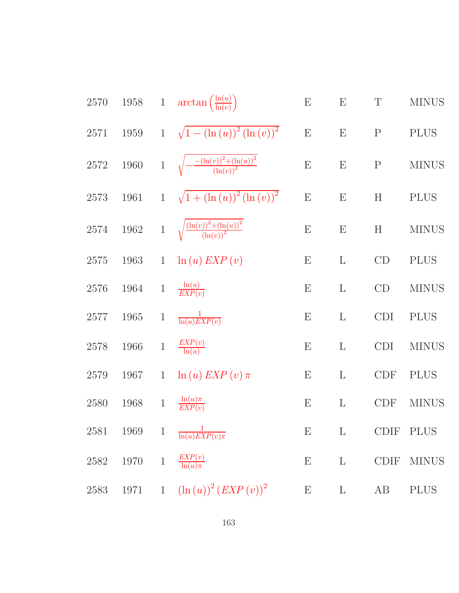2570 1958 1 arctan 
$$
\left(\frac{\ln(u)}{\ln(v)}\right)
$$
 E E F T MINUS  
\n2571 1959 1  $\sqrt{1 - (\ln(u))^2 (\ln(v))^2}$  E E P P  
\n2572 1960 1  $\sqrt{-\frac{(\ln(v))^2 + (\ln(u))^2}{(\ln(v))^2}}$  E E F P MINUS  
\n2573 1961 1  $\sqrt{1 + (\ln(u))^2 (\ln(v))^2}$  E E H P MINUS  
\n2574 1962 1  $\sqrt{\frac{(\ln(v))^2 + (\ln(u))^2}{(\ln(v))^2}}$  E E H MINUS  
\n2575 1963 1  $\ln(u) EXP(v)$  E L CD PLUS  
\n2576 1964 1  $\frac{\ln(u)}{EXP(v)}$  E L CD MINUS  
\n2577 1965 1  $\frac{\ln(u)}{\ln(u) EXP(v)}$  E L CD MINUS  
\n2578 1966 1  $\frac{EXP(v)}{\ln(u)}$  E L CD IMINUS  
\n2579 1967 1  $\ln(u) EXP(v) \pi$  E L CDF PLUS  
\n2580 1968 1  $\frac{\ln(u) \pi}{EXP(v)}$  E L CDF MINUS  
\n2581 1969 1  $\frac{1}{\ln(u) EXP(v) \pi}$  E L CDF MINUS  
\n2581 1969 1  $\frac{1}{\ln(u) EXP(v) \pi}$  E L CDF PLUS  
\n2582 1970 1  $\frac{EXP(v)}{\ln(u) \pi}$  E L CDF MINUS  
\n2583 1971 1  $(\ln(u))^2 (EXP(v))^2$  E L AB PLUS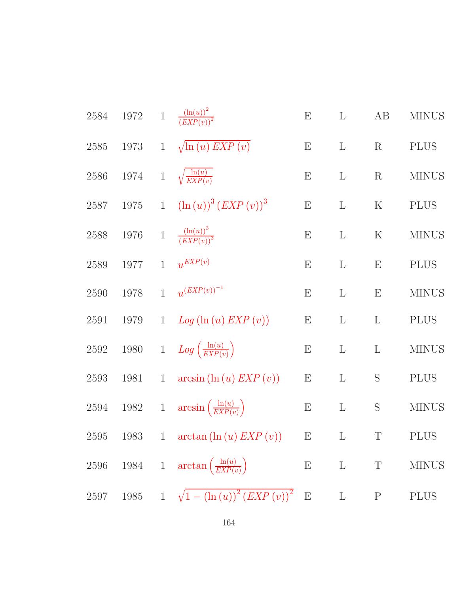| $2584\,$ | $1972\,$ | $1\,$        | $\frac{\left(\ln(u)\right)^2}{\left( EXP(v)\right)^2}$ | $\boldsymbol{\mathrm{E}}$ | $\Gamma$     | AB                        | <b>MINUS</b> |
|----------|----------|--------------|--------------------------------------------------------|---------------------------|--------------|---------------------------|--------------|
| $2585\,$ | 1973     | $\mathbf{1}$ | $\sqrt{\ln(u) EXP(v)}$                                 | E                         | $\mathbf{L}$ | R                         | <b>PLUS</b>  |
| $2586\,$ | 1974     | $\,1$        | $\sqrt{\frac{\ln(u)}{EXP(v)}}$                         | E                         | $\mathbf{L}$ | $\mathbf R$               | <b>MINUS</b> |
| $2587\,$ | $1975\,$ | $\mathbf{1}$ | $(\ln(u))^{3} (EXP(v))^{3}$                            | $\boldsymbol{\mathrm{E}}$ | $\mathbf{L}$ | ${\bf K}$                 | <b>PLUS</b>  |
| 2588     | 1976     |              | 1 $\frac{(\ln(u))^3}{(EXP(v))^3}$                      | $\boldsymbol{\mathrm{E}}$ | L            | $\rm K$                   | <b>MINUS</b> |
| 2589     | 1977     | $\mathbf{1}$ | $u^{EXP(v)}$                                           | $\boldsymbol{\mathrm{E}}$ | $\mathbf{L}$ | $\boldsymbol{\mathrm{E}}$ | <b>PLUS</b>  |
| 2590     | 1978     | $\mathbf{1}$ | $u^{\left( EXP(v) \right)^{-1}}$                       | E                         | $\mathbf{L}$ | $\boldsymbol{\mathrm{E}}$ | <b>MINUS</b> |
| 2591     | 1979     | $\mathbf{1}$ | $Log(\ln(u) EXP(v))$                                   | ${\bf E}$                 | $\mathbf{L}$ | $\Gamma$                  | <b>PLUS</b>  |
| 2592     | $1980\,$ |              | 1 $Log\left(\frac{\ln(u)}{EXP(v)}\right)$              | E                         | $\mathbf{L}$ | $\Gamma$                  | <b>MINUS</b> |
| 2593     | 1981     | $\mathbf{1}$ | $arcsin(\ln(u) EXP(v))$                                | ${\bf E}$                 | $\Gamma$     | S                         | <b>PLUS</b>  |
| $2594\,$ | $1982\,$ | $\,1$        | $arcsin\left(\frac{\ln(u)}{EXP(v)}\right)$             | ${\bf E}$                 | $\Gamma$     | S                         | <b>MINUS</b> |
| 2595     | 1983     | $\mathbf{1}$ | $\arctan(\ln(u) EXP(v))$                               | ${\bf E}$                 | $\Gamma$     | $\mathbf T$               | <b>PLUS</b>  |
| 2596     |          |              | 1984 1 $\arctan\left(\frac{\ln(u)}{EXP(v)}\right)$     | $\boldsymbol{\mathrm{E}}$ | $\mathbf L$  | T                         | <b>MINUS</b> |
| 2597     | 1985     |              | 1 $\sqrt{1 - (\ln(u))^2 (EXP(v))^2}$                   | $\mathbf{E}% _{0}$        | $\mathbf L$  | $\mathbf{P}$              | <b>PLUS</b>  |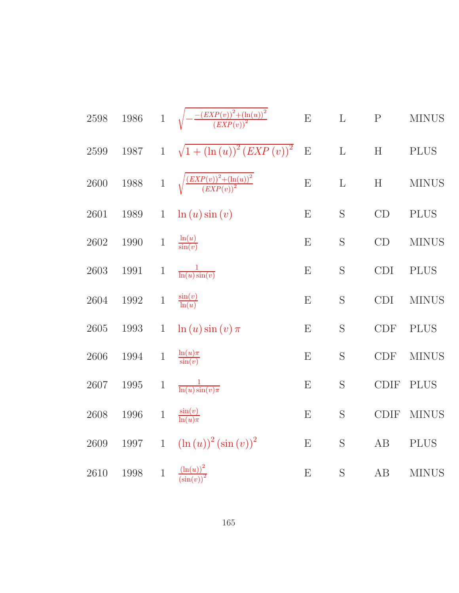| $2598\,$ | $1986\,$ | $\mathbf{1}$ | $-\frac{-(EXP(v))^{2}+(\ln(u))^{2}}{(EXP(v))^{2}}$                                         | ${\bf E}$ | $\mathbf L$ | $\mathbf P$                 | <b>MINUS</b> |
|----------|----------|--------------|--------------------------------------------------------------------------------------------|-----------|-------------|-----------------------------|--------------|
| $2599\,$ | 1987     | $\mathbf{1}$ | $\sqrt{1+\left(\ln\left(u\right)\right)^{2}\left( EXP\left(v\right)\right)^{2}}$           | E         | L           | $\boldsymbol{\mathrm{H}}$   | <b>PLUS</b>  |
| $2600\,$ | $1988\,$ | $1\,$        | $\sqrt{\frac{\left( EXP(v) \right)^2 + \left( \ln(u) \right)^2}{\left( EXP(v) \right)^2}}$ | E         | L           | $\boldsymbol{\mathrm{H}}$   | <b>MINUS</b> |
| $2601\,$ | $1989\,$ | $\mathbf{1}$ | $\ln(u)\sin(v)$                                                                            | E         | S           | CD                          | <b>PLUS</b>  |
| $2602\,$ | 1990     | $\,1$        | $\frac{\ln(u)}{\sin(v)}$                                                                   | E         | S           | CD                          | <b>MINUS</b> |
| 2603     | 1991     | $\,1$        | $\frac{1}{\ln(u)\sin(v)}$                                                                  | E         | S           | <b>CDI</b>                  | <b>PLUS</b>  |
| 2604     | 1992     | $\,1$        | $\frac{\sin(v)}{\ln(u)}$                                                                   | E         | S           | <b>CDI</b>                  | <b>MINUS</b> |
| $2605\,$ | $1993\,$ | $\mathbf{1}$ | $\ln(u)\sin(v)\pi$                                                                         | E         | S           | $\ensuremath{\mathrm{CDF}}$ | <b>PLUS</b>  |
| $2606\,$ | $1994\,$ | $1\,$        | $\frac{\ln(u)\pi}{\sin(v)}$                                                                | E         | S           | CDF                         | <b>MINUS</b> |
| $2607\,$ | $1995\,$ | $\,1$        | $\frac{1}{\ln(u)\sin(v)\pi}$                                                               | E         | S           | <b>CDIF</b>                 | PLUS         |
| 2608     | 1996     | $\,1$        | $\frac{\sin(v)}{\ln(u)\pi}$                                                                | E         | S           | <b>CDIF</b>                 | <b>MINUS</b> |
| $2609\,$ | 1997     | $\mathbf 1$  | $(\ln(u))^2 (\sin(v))^2$                                                                   | E         | S           | AB                          | $\rm PLUS$   |
| 2610     | 1998     | $1\,$        | $\frac{\left(\ln(u)\right)^2}{\left(\sin(v)\right)^2}$                                     | E         | S           | $\rm AB$                    | <b>MINUS</b> |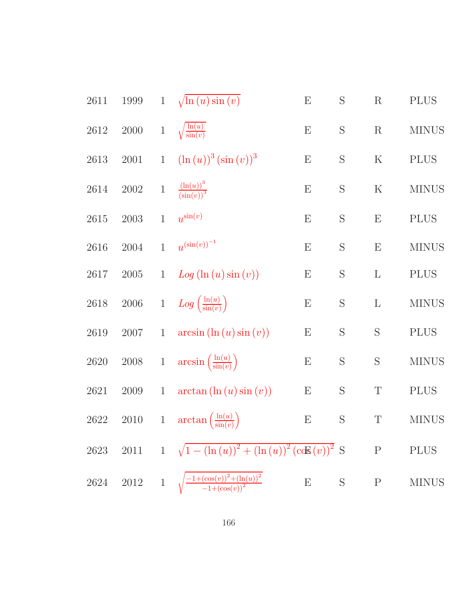| 2611     | 1999       | $\mathbf{1}$ | $\sqrt{\ln(u)}\sin(v)$                                      | ${\bf E}$                 | S | ${\bf R}$                 | <b>PLUS</b>  |
|----------|------------|--------------|-------------------------------------------------------------|---------------------------|---|---------------------------|--------------|
| 2612     | $2000\,$   | $1\,$        | $\sqrt{\frac{\ln(u)}{\sin(v)}}$                             | $\boldsymbol{\mathrm{E}}$ | S | ${\bf R}$                 | <b>MINUS</b> |
| 2613     | $2001\,$   | $\mathbf{1}$ | $(\ln(u))^{3} (\sin(v))^{3}$                                | ${\bf E}$                 | S | $\rm K$                   | <b>PLUS</b>  |
| 2614     | $2002\,$   | $\mathbf 1$  | $\frac{\left(\ln(u)\right)^3}{\left(\sin(v)\right)^3}$      | $\boldsymbol{\mathrm{E}}$ | S | $\rm K$                   | <b>MINUS</b> |
| $2615\,$ | $\,2003\,$ | $\mathbf{1}$ | $u^{\sin(v)}$                                               | ${\bf E}$                 | S | ${\bf E}$                 | <b>PLUS</b>  |
| 2616     | 2004       | $\mathbf{1}$ | $u^{(\sin(v))^{-1}}$                                        | ${\bf E}$                 | S | $\boldsymbol{\mathrm{E}}$ | <b>MINUS</b> |
| 2617     | $2005\,$   | $\mathbf{1}$ | Log (ln (u) sin (v))                                        | ${\bf E}$                 | S | $\Gamma$                  | <b>PLUS</b>  |
| 2618     | $2006\,$   | $1\,$        | $Log\left(\frac{\ln(u)}{\sin(v)}\right)$                    | ${\bf E}$                 | S | $\Gamma$                  | <b>MINUS</b> |
| 2619     | $2007\,$   | $\mathbf{1}$ | $arcsin(\ln(u)\sin(v))$                                     | ${\bf E}$                 | S | S                         | <b>PLUS</b>  |
| $2620\,$ | $2008\,$   | $\,1$        | $arcsin\left(\frac{\ln(u)}{\sin(v)}\right)$                 | ${\bf E}$                 | S | S                         | <b>MINUS</b> |
| 2621     | 2009       | $\mathbf{1}$ | $arctan(\ln(u)\sin(v))$                                     | $\boldsymbol{\mathrm{E}}$ | S | $\mathbf T$               | <b>PLUS</b>  |
| 2622     | $2010\,$   | $\,1$        | $\arctan\left(\frac{\ln(u)}{\sin(v)}\right)$                | ${\bf E}$                 | S | $\mathbf T$               | <b>MINUS</b> |
| 2623     | $2011\,$   |              | 1 $\sqrt{1-(\ln(u))^{2}+(\ln(u))^{2}(\csc(v))^{2}}$ S       |                           |   | ${\bf P}$                 | <b>PLUS</b>  |
| 2624     | $2012\,$   |              | 1 $\sqrt{\frac{-1+(\cos(v))^2+(\ln(u))^2}{-1+(\cos(v))^2}}$ | ${\bf E}$                 | S | $\mathbf P$               | <b>MINUS</b> |
|          |            |              |                                                             |                           |   |                           |              |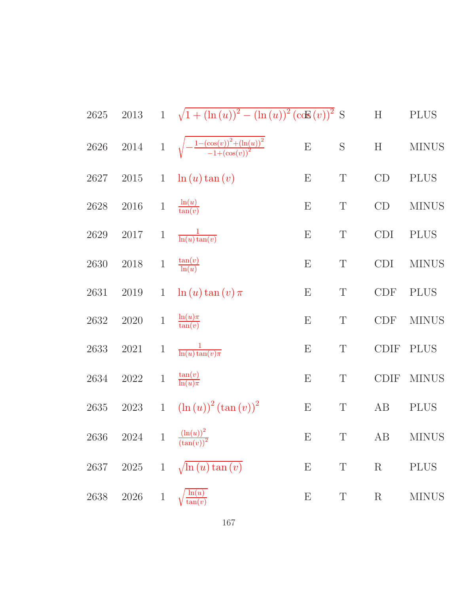| $2625\,$ | $2013\,$ |              |                                                           | 1 $\sqrt{1 + (\ln(u))^2 - (\ln(u))^2 (\cos(v))^2}$ S |             | H           | <b>PLUS</b>  |
|----------|----------|--------------|-----------------------------------------------------------|------------------------------------------------------|-------------|-------------|--------------|
| $2626\,$ | $2014\,$ | $\mathbf{1}$ | $\sqrt{-\frac{1-(\cos(v))^2+(\ln(u))^2}{-1+(\cos(v))^2}}$ | ${\bf E}$                                            | $\mathbf S$ | H           | <b>MINUS</b> |
| 2627     | $2015\,$ | $\mathbf{1}$ | $\ln(u)\tan(v)$                                           | E                                                    | $\mathbf T$ | CD          | <b>PLUS</b>  |
| $2628\,$ | $2016\,$ | $\,1$        | $\frac{\ln(u)}{\tan(v)}$                                  | E                                                    | $\mathbf T$ | CD          | <b>MINUS</b> |
| $2629\,$ | 2017     | $\mathbf 1$  | $\frac{1}{\ln(u)\tan(v)}$                                 | $\boldsymbol{\mathrm{E}}$                            | $\mathbf T$ | CDI         | <b>PLUS</b>  |
| $2630\,$ | $2018\,$ | $\,1$        | $\frac{\tan(v)}{\ln(u)}$                                  | E                                                    | $\mathbf T$ | CDI         | <b>MINUS</b> |
| 2631     | $2019\,$ | $\mathbf{1}$ | $\ln(u)\tan(v)\pi$                                        | $\boldsymbol{\mathrm{E}}$                            | $\mathbf T$ | CDF         | <b>PLUS</b>  |
| 2632     | $2020\,$ | $\,1$        | $\frac{\ln(u)\pi}{\tan(v)}$                               | $\boldsymbol{\mathrm{E}}$                            | $\mathbf T$ | CDF         | <b>MINUS</b> |
| 2633     | 2021     | $\mathbf{1}$ | $\frac{1}{\ln(u)\tan(v)\pi}$                              | E                                                    | $\mathbf T$ | CDIF        | <b>PLUS</b>  |
| 2634     | $2022\,$ | $\,1$        | $\frac{\tan(v)}{\ln(u)\pi}$                               | $\boldsymbol{\mathrm{E}}$                            | $\mathbf T$ | <b>CDIF</b> | <b>MINUS</b> |
| $2635\,$ | $2023\,$ | $\mathbf{1}$ | $\left(\ln(u)\right)^2 \left(\tan(v)\right)^2$            | $\boldsymbol{\mathrm{E}}$                            | $\mathbf T$ | AB          | <b>PLUS</b>  |
| $2636\,$ | 2024     |              | 1 $\frac{\left(\ln(u)\right)^2}{\left(\tan(v)\right)^2}$  | E                                                    | $\mathbf T$ | AB          | <b>MINUS</b> |
| 2637     | $2025\,$ | $\mathbf 1$  | $\sqrt{\ln(u)\tan(v)}$                                    | E                                                    | $\mathbf T$ | $\mathbf R$ | <b>PLUS</b>  |
| 2638     | $2026\,$ | $\mathbf{1}$ | ln(u)<br>tan(v)                                           | $\boldsymbol{\mathrm{E}}$                            | $\mathbf T$ | $\mathbf R$ | <b>MINUS</b> |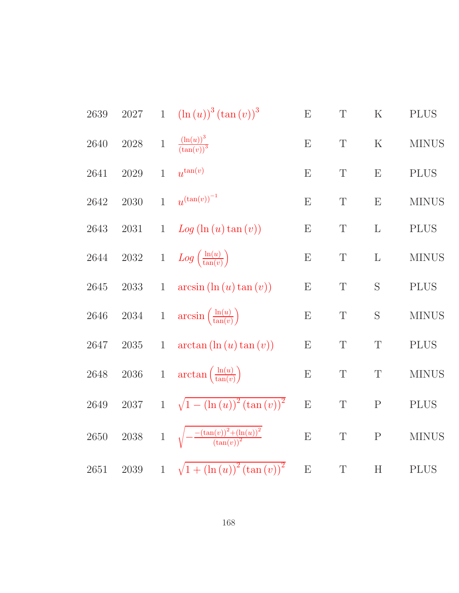| 2639     | $2027\,$ | $\mathbf{1}$ | $(\ln(u))^{3} (\tan(v))^{3}$                            | E         | $\mathbf T$ | ${\bf K}$                 | <b>PLUS</b>  |
|----------|----------|--------------|---------------------------------------------------------|-----------|-------------|---------------------------|--------------|
| 2640     | $2028\,$ | $\,1$        | $\frac{(\ln(u))^3}{(\tan(v))^3}$                        | E         | $\mathbf T$ | $\mathbf K$               | <b>MINUS</b> |
| 2641     | $2029\,$ | $\mathbf{1}$ | $u^{\tan(v)}$                                           | E         | $\mathbf T$ | E                         | <b>PLUS</b>  |
| 2642     | 2030     | $\mathbf{1}$ | $u^{(\tan(v))^{-1}}$                                    | E         | $\mathbf T$ | E                         | <b>MINUS</b> |
| 2643     | 2031     | $\mathbf{1}$ | Log (ln (u) tan (v))                                    | E         | $\mathbf T$ | $\mathbf{L}$              | <b>PLUS</b>  |
| 2644     | $2032\,$ | $\,1$        | $Log\left(\frac{\ln(u)}{\tan(v)}\right)$                | E         | $\mathbf T$ | $\mathbf{L}$              | <b>MINUS</b> |
| 2645     | $\,2033$ | $\mathbf{1}$ | $arcsin(\ln(u)\tan(v))$                                 | E         | $\mathbf T$ | S                         | $\rm PLUS$   |
| 2646     | $2034\,$ |              | 1 $\arcsin\left(\frac{\ln(u)}{\tan(v)}\right)$          | E         | $\mathbf T$ | S                         | <b>MINUS</b> |
| 2647     | $2035\,$ | $\mathbf{1}$ | $arctan(\ln(u)\tan(v))$                                 | E         | $\mathbf T$ | $\mathbf T$               | <b>PLUS</b>  |
| 2648     | $2036\,$ | $\,1$        | $\arctan\left(\frac{\ln(u)}{\tan(v)}\right)$            | ${\rm E}$ | $\mathbf T$ | $\mathbf T$               | <b>MINUS</b> |
| 2649     | 2037     | $\mathbf{1}$ | $\sqrt{1 - (\ln(u))^{2} (\tan(v))^{2}}$                 | E         | $\mathbf T$ | $\mathbf P$               | <b>PLUS</b>  |
| 2650     | $2038\,$ |              | 1 $\sqrt{-\frac{-(\tan(v))^2+(\ln(u))^2}{(\tan(v))^2}}$ | E         | T           | ${\bf P}$                 | <b>MINUS</b> |
| $2651\,$ | $2039\,$ | $\mathbf{1}$ | $\sqrt{1 + (\ln(u))^{2} (\tan(v))^{2}}$                 | ${\bf E}$ | $\mathbf T$ | $\boldsymbol{\mathrm{H}}$ | <b>PLUS</b>  |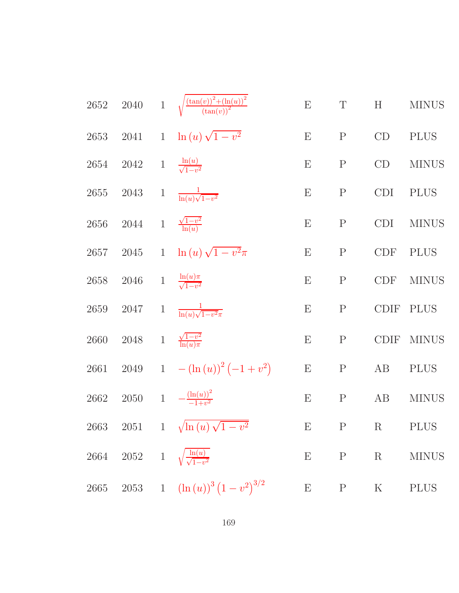|      |                                         | 2652 2040 1 $\sqrt{\frac{(\tan(v))^2 + (\ln(u))^2}{(\tan(v))^2}}$ | ${\rm E}$                 | $\mathbf T$  | H           | <b>MINUS</b> |
|------|-----------------------------------------|-------------------------------------------------------------------|---------------------------|--------------|-------------|--------------|
|      |                                         | 2653 2041 1 $\ln(u)\sqrt{1-v^2}$                                  | E                         | $\mathbf P$  | CD          | <b>PLUS</b>  |
| 2654 | 2042 1 $\frac{\ln(u)}{\sqrt{1-v^2}}$    |                                                                   | $\boldsymbol{\mathrm{E}}$ | ${\bf P}$    | CD          | <b>MINUS</b> |
|      | 2655 2043                               | 1 $\frac{1}{\ln(u)\sqrt{1-v^2}}$                                  | $\boldsymbol{\mathrm{E}}$ | ${\bf P}$    | CDI         | $\rm PLUS$   |
| 2656 | 2044 1 $\frac{\sqrt{1-v^2}}{\ln(u)}$    |                                                                   | $\boldsymbol{\mathrm{E}}$ | $\mathbf P$  | <b>CDI</b>  | <b>MINUS</b> |
|      |                                         | 2657 2045 1 $\ln(u)\sqrt{1-v^2}\pi$                               | $\boldsymbol{\mathrm{E}}$ | ${\bf P}$    | CDF         | <b>PLUS</b>  |
| 2658 | 2046                                    | 1 $\frac{\ln(u)\pi}{\sqrt{1-v^2}}$                                | $\boldsymbol{\mathrm{E}}$ | ${\bf P}$    | CDF         | <b>MINUS</b> |
|      | 2659 2047                               | 1 $\frac{1}{\ln(u)\sqrt{1-v^2\pi}}$                               | $\boldsymbol{\mathrm{E}}$ | $\mathbf P$  | CDIF        | <b>PLUS</b>  |
| 2660 | 2048 1 $\frac{\sqrt{1-v^2}}{\ln(u)\pi}$ |                                                                   | $\boldsymbol{\mathrm{E}}$ | $\mathbf P$  | <b>CDIF</b> | <b>MINUS</b> |
|      |                                         | 2661 2049 1 $-(\ln(u))^2(-1+v^2)$                                 | ${\bf E}$                 | $\mathbf P$  | AB          | <b>PLUS</b>  |
|      |                                         | 2662 2050 1 $-\frac{(\ln(u))^2}{-1+v^2}$                          | $\boldsymbol{\mathrm{E}}$ | $\mathbf{P}$ | $\rm AB$    | <b>MINUS</b> |
|      |                                         | 2663 2051 1 $\sqrt{\ln(u)\sqrt{1-v^2}}$                           |                           |              | E P R PLUS  |              |
|      |                                         | 2664 2052 1 $\sqrt{\frac{\ln(u)}{\sqrt{1-v^2}}}$                  |                           |              | $E$ $P$ $R$ | <b>MINUS</b> |
|      |                                         | 2665 2053 1 $(\ln(u))^3 (1 - v^2)^{3/2}$                          | ${\bf E}$                 |              | P K         | <b>PLUS</b>  |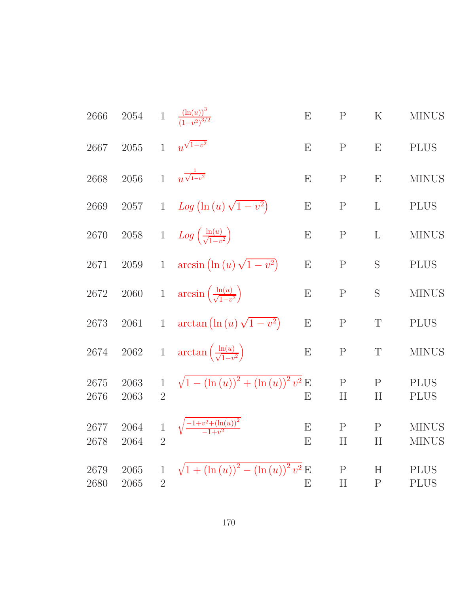| 2666         | 2054         | $1\,$                          | $\frac{(\ln(u))^{3}}{(1-v^{2})^{3/2}}$               | E      | $\mathbf{P}$      | $\rm K$           | <b>MINUS</b>                 |
|--------------|--------------|--------------------------------|------------------------------------------------------|--------|-------------------|-------------------|------------------------------|
| 2667         | 2055         | $\mathbf{1}$                   | $u^{\sqrt{1-v^2}}$                                   | E      | $\mathbf{P}$      | E                 | <b>PLUS</b>                  |
| 2668         | 2056         | $\overline{1}$                 | $u^{\frac{1}{\sqrt{1-v^2}}}$                         | E      | $\mathbf{P}$      | E                 | <b>MINUS</b>                 |
| 2669         | $2057\,$     | $\mathbf{1}$                   | $Log (\ln (u) \sqrt{1-v^2})$                         | E      | $\mathbf P$       | $\mathbf{L}$      | <b>PLUS</b>                  |
| $2670\,$     | $2058\,$     | $\,1$                          | $Log\left(\frac{\ln(u)}{\sqrt{1-v^2}}\right)$        | E      | ${\bf P}$         | L                 | <b>MINUS</b>                 |
| 2671         | 2059         | $\mathbf{1}$                   | $arcsin (\ln(u)\sqrt{1-v^2})$                        | E      | ${\bf P}$         | S                 | <b>PLUS</b>                  |
| $2672\,$     | $2060\,$     | $\,1$                          | $\arcsin\left(\frac{\ln(u)}{\sqrt{1-v^2}}\right)$    | E      | ${\bf P}$         | S                 | <b>MINUS</b>                 |
| 2673         | 2061         | $\mathbf{1}$                   | $\arctan\left(\ln\left(u\right)\sqrt{1-v^2}\right)$  | E      | ${\bf P}$         | T                 | <b>PLUS</b>                  |
| $2674\,$     | 2062         | $\,1$                          | $\arctan\left(\frac{\ln(u)}{\sqrt{1-v^2}}\right)$    | E      | $\mathbf P$       | $\mathbf T$       | <b>MINUS</b>                 |
| 2675<br>2676 | 2063<br>2063 | $\mathbf{1}$<br>$\overline{2}$ | $\sqrt{1 - (\ln(u))^{2} + (\ln(u))^{2} v^{2}} E$     | E      | $\mathbf P$<br>H  | $\mathbf{P}$<br>H | <b>PLUS</b><br><b>PLUS</b>   |
| 2677<br>2678 | 2064<br>2064 | $\mathbf{1}$<br>$\overline{2}$ | $\sqrt{\frac{-1+v^2+\left(\ln(u)\right)^2}{-1+v^2}}$ | E<br>E | $\mathbf{P}$<br>H | $\mathbf{P}$<br>H | <b>MINUS</b><br><b>MINUS</b> |
| 2679<br>2680 | 2065<br>2065 | $\mathbf{1}$<br>$\overline{2}$ | $\sqrt{1 + (\ln(u))^{2} - (\ln(u))^{2} v^{2}} E$     | E      | $\mathbf P$<br>H  | H<br>$\mathbf{P}$ | <b>PLUS</b><br><b>PLUS</b>   |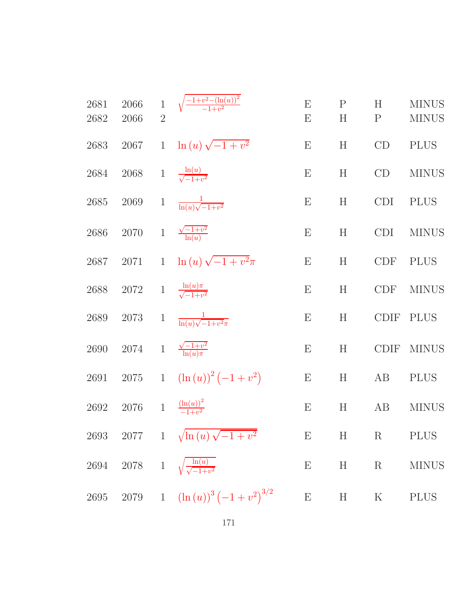| 2681<br>2682 | 2066<br>2066 | $\overline{2}$ | 1 $\sqrt{\frac{-1+v^2-(\ln(u))^2}{-1+v^2}}$       | $\boldsymbol{\mathrm{E}}$<br>E | $\mathbf P$<br>H | H<br>$\mathbf P$ | <b>MINUS</b><br><b>MINUS</b> |
|--------------|--------------|----------------|---------------------------------------------------|--------------------------------|------------------|------------------|------------------------------|
| 2683         | 2067         | $\mathbf{1}$   | $\ln(u)\sqrt{-1+v^2}$                             | E                              | H                | CD               | <b>PLUS</b>                  |
| 2684         | $2068\,$     |                | 1 $\frac{\ln(u)}{\sqrt{-1+v^2}}$                  | E                              | H                | CD               | <b>MINUS</b>                 |
| $2685\,$     | $2069\,$     | $\mathbf{1}$   | $\frac{1}{\ln(u)\sqrt{-1+v^2}}$                   | $\boldsymbol{\mathrm{E}}$      | H                | <b>CDI</b>       | <b>PLUS</b>                  |
| $2686\,$     | $2070\,$     |                | 1 $\frac{\sqrt{-1+v^2}}{\ln(u)}$                  | $\boldsymbol{\mathrm{E}}$      | H                | <b>CDI</b>       | <b>MINUS</b>                 |
| 2687         | 2071         |                | 1 $\ln(u)\sqrt{-1+v^2}\pi$                        | E                              | H                | <b>CDF</b>       | <b>PLUS</b>                  |
| $2688\,$     | $2072\,$     |                | 1 $\frac{\ln(u)\pi}{\sqrt{-1+v^2}}$               | E                              | H                | <b>CDF</b>       | <b>MINUS</b>                 |
| 2689         | $2073\,$     | $\mathbf{1}$   | $\frac{1}{\ln(u)\sqrt{-1+v^2\pi}}$                | $\boldsymbol{\mathrm{E}}$      | H                | <b>CDIF</b>      | <b>PLUS</b>                  |
| $2690\,$     | 2074         |                | 1 $\frac{\sqrt{-1+v^2}}{\ln(u)\pi}$               | E                              | H                | <b>CDIF</b>      | <b>MINUS</b>                 |
| $2691\,$     |              |                | 2075 1 $(\ln(u))^2(-1+v^2)$                       | ${\bf E}$                      | H                | AB               | <b>PLUS</b>                  |
| 2692         | 2076         |                | 1 $\frac{(\ln(u))^2}{-1+v^2}$                     | $\boldsymbol{\mathrm{E}}$      | H                | AB               | <b>MINUS</b>                 |
|              |              |                | 2693 2077 1 $\sqrt{\ln(u)\sqrt{-1+v^2}}$          | ${\bf E}$                      | H                | $\mathbf R$      | <b>PLUS</b>                  |
|              |              |                | 2694 2078 1 $\sqrt{\frac{\ln(u)}{\sqrt{-1+v^2}}}$ | ${\bf E}$                      | H                | $\mathbf R$      | <b>MINUS</b>                 |
| $2695\,$     |              |                | 2079 1 $(\ln(u))^3(-1+v^2)^{3/2}$                 | ${\bf E}$                      | H                | $\rm K$          | <b>PLUS</b>                  |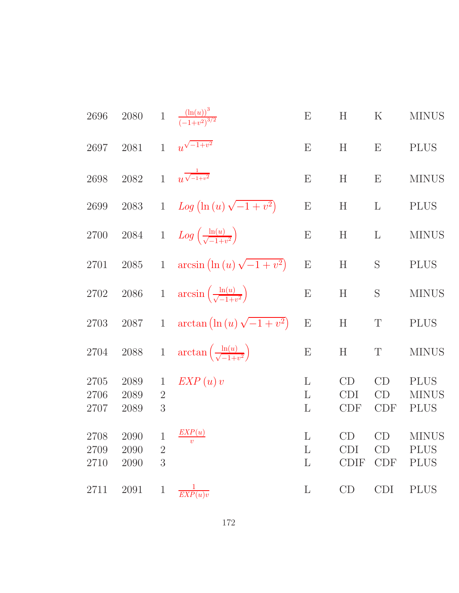| $2696\,$             | $2080\,$                 |                                     | 1 $\frac{(\ln(u))^{3}}{(-1+v^{2})^{3/2}}$            | E                      | H                              | $\rm K$                   | <b>MINUS</b>                               |
|----------------------|--------------------------|-------------------------------------|------------------------------------------------------|------------------------|--------------------------------|---------------------------|--------------------------------------------|
| 2697                 | $2081\,$                 | $\mathbf{1}$                        | $u^{\sqrt{-1+v^2}}$                                  | E                      | H                              | $\boldsymbol{\mathrm{E}}$ | <b>PLUS</b>                                |
| 2698                 | 2082                     | $\mathbf{1}$                        | $u^{\frac{1}{\sqrt{-1+v^2}}}$                        | E                      | H                              | E                         | <b>MINUS</b>                               |
| 2699                 | $\boldsymbol{2083}$      | $1\overline{ }$                     | Log $\left(\ln\left(u\right)\sqrt{-1+v^2}\right)$    | E                      | H                              | $\mathbf{L}$              | <b>PLUS</b>                                |
| $2700\,$             | $\,2084$                 |                                     | 1 $Log\left(\frac{\ln(u)}{\sqrt{-1+v^2}}\right)$     | ${\bf E}$              | H                              | $\mathbf{L}$              | <b>MINUS</b>                               |
| 2701                 | $2085\,$                 | $\overline{1}$                      | $arcsin (\ln(u)\sqrt{-1+v^2})$                       | ${\bf E}$              | H                              | S                         | <b>PLUS</b>                                |
| $2702\,$             | $2086\,$                 |                                     | 1 $\arcsin\left(\frac{\ln(u)}{\sqrt{-1+v^2}}\right)$ | E                      | H                              | S                         | <b>MINUS</b>                               |
| 2703                 | $2087\,$                 | $\mathbf{1}$                        | $\arctan\left(\ln\left(u\right)\sqrt{-1+v^2}\right)$ | ${\rm E}$              | H                              | $\mathbf T$               | <b>PLUS</b>                                |
| 2704                 | $2088\,$                 | $1\,$                               | $\arctan\left(\frac{\ln(u)}{\sqrt{-1+u^2}}\right)$   | ${\bf E}$              | H                              | T                         | <b>MINUS</b>                               |
| 2705<br>2706<br>2707 | 2089<br>2089<br>2089     | $\mathbf{1}$<br>$\overline{2}$<br>3 | EXP(u)v                                              | L<br>L<br>$\mathbf{L}$ | CD<br><b>CDI</b><br><b>CDF</b> | CD<br>CD<br><b>CDF</b>    | <b>PLUS</b><br><b>MINUS</b><br><b>PLUS</b> |
| 2708<br>2709<br>2710 | $2090\,$<br>2090<br>2090 | $\mathbf{1}$<br>$\overline{2}$<br>3 | EXP(u)<br>$\boldsymbol{v}$                           | $\Gamma$<br>L<br>L     | CD<br>CDI<br><b>CDIF</b>       | CD<br>CD<br>CDF           | <b>MINUS</b><br><b>PLUS</b><br><b>PLUS</b> |
| $2711\,$             | 2091                     | $\mathbf{1}$                        | $\overline{EXP(u)v}$                                 | $\Gamma$               | CD                             | <b>CDI</b>                | <b>PLUS</b>                                |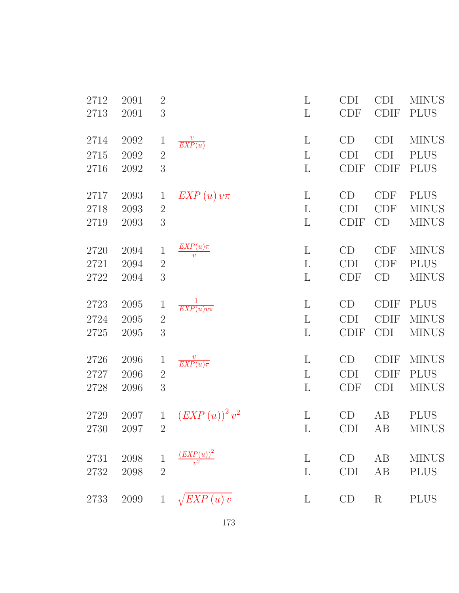| 2712     | 2091 | $\sqrt{2}$     |                                               | $\Gamma$     | <b>CDI</b>  | <b>CDI</b>  | <b>MINUS</b> |
|----------|------|----------------|-----------------------------------------------|--------------|-------------|-------------|--------------|
| 2713     | 2091 | 3              |                                               | L            | <b>CDF</b>  | <b>CDIF</b> | <b>PLUS</b>  |
| 2714     | 2092 | $\mathbf{1}$   | $\frac{v}{EXP(u)}$                            | $\mathbf{L}$ | CD          | <b>CDI</b>  | <b>MINUS</b> |
| 2715     | 2092 | $\sqrt{2}$     |                                               | L            | <b>CDI</b>  | <b>CDI</b>  | <b>PLUS</b>  |
| 2716     | 2092 | 3              |                                               | $\mathbf{L}$ | <b>CDIF</b> | <b>CDIF</b> | <b>PLUS</b>  |
| 2717     | 2093 | $\mathbf{1}$   | $EXP(u)v\pi$                                  | $\mathbf{L}$ | CD          | <b>CDF</b>  | <b>PLUS</b>  |
| 2718     | 2093 | $\sqrt{2}$     |                                               | $\Gamma$     | <b>CDI</b>  | <b>CDF</b>  | <b>MINUS</b> |
| 2719     | 2093 | 3              |                                               | $\mathbf{L}$ | <b>CDIF</b> | CD          | <b>MINUS</b> |
| 2720     | 2094 | $\mathbf{1}$   | $EXP(u)\pi$<br>$\overline{v}$                 | $\Gamma$     | CD          | <b>CDF</b>  | <b>MINUS</b> |
| 2721     | 2094 | $\sqrt{2}$     |                                               | $\Gamma$     | <b>CDI</b>  | <b>CDF</b>  | <b>PLUS</b>  |
| 2722     | 2094 | 3              |                                               | $\Gamma$     | <b>CDF</b>  | CD          | <b>MINUS</b> |
| 2723     | 2095 | $\mathbf{1}$   | $\frac{1}{EXP(u)v\pi}$                        | $\mathbf{L}$ | CD          | <b>CDIF</b> | <b>PLUS</b>  |
| 2724     | 2095 | $\overline{2}$ |                                               | $\Gamma$     | <b>CDI</b>  | <b>CDIF</b> | <b>MINUS</b> |
| $2725\,$ | 2095 | 3              |                                               | $\mathbf L$  | <b>CDIF</b> | <b>CDI</b>  | <b>MINUS</b> |
| 2726     | 2096 | $\mathbf{1}$   | $\frac{v}{EXP(u)\pi}$                         | $\Gamma$     | CD          | <b>CDIF</b> | <b>MINUS</b> |
| 2727     | 2096 | $\overline{2}$ |                                               | $\mathbf{L}$ | <b>CDI</b>  | <b>CDIF</b> | <b>PLUS</b>  |
| 2728     | 2096 | $\sqrt{3}$     |                                               | $\Gamma$     | <b>CDF</b>  | <b>CDI</b>  | <b>MINUS</b> |
| 2729     | 2097 | $\mathbf{1}$   | $\left( EXP\left( u\right) \right) ^{2}v^{2}$ | $\mathbf{L}$ | CD          | AB          | <b>PLUS</b>  |
| 2730     | 2097 | $\mathfrak{D}$ |                                               | $\mathbf{L}$ | <b>CDI</b>  | AВ          | <b>MINUS</b> |
| 2731     | 2098 | $\,1$          | $\frac{(EXP(u))^{2}}{v^{2}}$                  | $\Gamma$     | CD          | AB          | <b>MINUS</b> |
| 2732     | 2098 | $\overline{2}$ |                                               | L            | <b>CDI</b>  | AB          | <b>PLUS</b>  |
| 2733     | 2099 | $\mathbf{1}$   | $\sqrt{EXP(u)v}$                              | $\Gamma$     | CD          | $\rm R$     | <b>PLUS</b>  |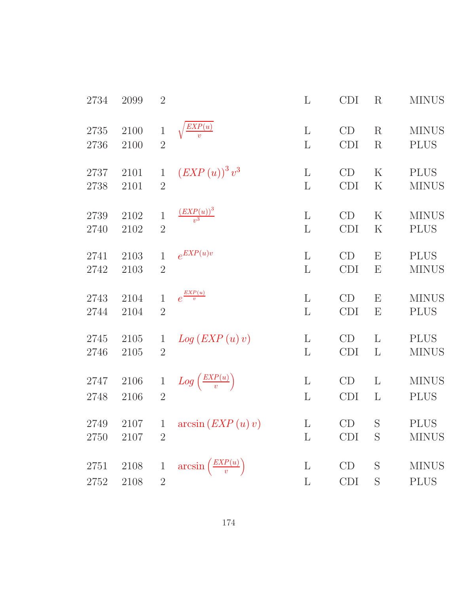| 2734 | 2099 | $\overline{2}$ |                                               | $\mathbf{L}$ | <b>CDI</b> | $\rm R$                   | <b>MINUS</b> |
|------|------|----------------|-----------------------------------------------|--------------|------------|---------------------------|--------------|
| 2735 | 2100 | $\mathbf{1}$   | $\frac{EXP(u)}{v}$                            | $\mathbf{L}$ | CD         | $\rm R$                   | <b>MINUS</b> |
| 2736 | 2100 | $\overline{2}$ |                                               | $\mathbf{L}$ | <b>CDI</b> | $\rm R$                   | <b>PLUS</b>  |
| 2737 | 2101 | $\mathbf{1}$   | $\left( EXP\left( u\right) \right) ^{3}v^{3}$ | $\mathbf L$  | CD         | $\rm K$                   | <b>PLUS</b>  |
| 2738 | 2101 | $\overline{2}$ |                                               | $\mathbf{L}$ | <b>CDI</b> | $\rm K$                   | <b>MINUS</b> |
| 2739 | 2102 | $\mathbf{1}$   | $\frac{(EXP(u))^3}{v^3}$                      | $\Gamma$     | CD         | $\rm K$                   | <b>MINUS</b> |
| 2740 | 2102 | $\overline{2}$ |                                               | $\mathbf{L}$ | <b>CDI</b> | $\rm K$                   | <b>PLUS</b>  |
| 2741 | 2103 | $\mathbf{1}$   | $e^{EXP(u)v}$                                 | $\Gamma$     | CD         | $\boldsymbol{\mathrm{E}}$ | <b>PLUS</b>  |
| 2742 | 2103 | $\overline{2}$ |                                               | $\mathbf{L}$ | <b>CDI</b> | $\boldsymbol{\mathrm{E}}$ | <b>MINUS</b> |
| 2743 | 2104 | $\mathbf{1}$   | $e^{\frac{EXP(u)}{v}}$                        | $\mathbf L$  | CD         | $\mathbf{E}$              | <b>MINUS</b> |
| 2744 | 2104 | $\overline{2}$ |                                               | L            | <b>CDI</b> | $\boldsymbol{\mathrm{E}}$ | <b>PLUS</b>  |
| 2745 | 2105 | $\mathbf 1$    | Log (EXP(u)v)                                 | $\Gamma$     | CD         | L                         | <b>PLUS</b>  |
| 2746 | 2105 | $\overline{2}$ |                                               | $\Gamma$     | <b>CDI</b> | $\Gamma$                  | <b>MINUS</b> |
| 2747 | 2106 | $\mathbf{1}$   | $Log\left(\frac{EXP(u)}{v}\right)$            | $\mathbf{L}$ | CD         | L                         | <b>MINUS</b> |
| 2748 | 2106 | $\overline{2}$ |                                               | $\Gamma$     | <b>CDI</b> | $\mathbf{L}$              | <b>PLUS</b>  |
| 2749 | 2107 | $\mathbf{1}$   | $arcsin\left( EXP\left( u\right) v\right)$    | $\mathbf L$  | CD         | S                         | <b>PLUS</b>  |
| 2750 | 2107 | $\overline{2}$ |                                               | $\mathbf{L}$ | <b>CDI</b> | S                         | <b>MINUS</b> |
| 2751 | 2108 | $\mathbf 1$    | $\arcsin\left(\frac{EXP(u)}{v}\right)$        | L            | CD         | S                         | <b>MINUS</b> |
| 2752 | 2108 | $\overline{2}$ |                                               | $\mathbf{L}$ | CDI        | S                         | <b>PLUS</b>  |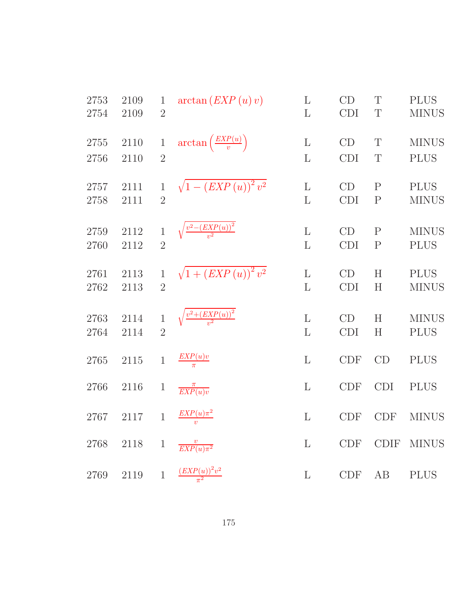| 2753 | 2109 | $\mathbf{1}$   | arctan (EXP(u)v)                                   | $\mathbf{L}$ | CD            | T            | <b>PLUS</b>  |
|------|------|----------------|----------------------------------------------------|--------------|---------------|--------------|--------------|
| 2754 | 2109 | $\overline{2}$ |                                                    | L            | <b>CDI</b>    | T            | <b>MINUS</b> |
| 2755 | 2110 | $\mathbf{1}$   | $\arctan\left(\frac{EXP(u)}{v}\right)$             | $\mathbf{L}$ | $\mathrm{CD}$ | T            | <b>MINUS</b> |
| 2756 | 2110 | $\overline{2}$ |                                                    | $\mathbf{L}$ | <b>CDI</b>    | T            | <b>PLUS</b>  |
| 2757 | 2111 | $\mathbf{1}$   | $\sqrt{1-(EXP(u))^{2}v^{2}}$                       | $\mathbf{L}$ | CD            | $\mathbf{P}$ | <b>PLUS</b>  |
| 2758 | 2111 | $\overline{2}$ |                                                    | L            | CDI           | $\mathbf P$  | <b>MINUS</b> |
| 2759 | 2112 | $\mathbf{1}$   | $\sqrt{\frac{v^2-(EXP(u))^2}{v^2}}$                | $\mathbf{L}$ | CD            | $\mathbf P$  | <b>MINUS</b> |
| 2760 | 2112 | $\overline{2}$ |                                                    | L            | <b>CDI</b>    | $\mathbf{P}$ | <b>PLUS</b>  |
| 2761 | 2113 | $\,1$          | $\sqrt{1 + (EXP(u))^{2} v^{2}}$                    | $\mathbf L$  | CD            | H            | <b>PLUS</b>  |
| 2762 | 2113 | $\overline{2}$ |                                                    | L            | <b>CDI</b>    | H            | <b>MINUS</b> |
| 2763 | 2114 | $\mathbf{1}$   | $\sqrt{\frac{v^2 + \left( EXP(u) \right)^2}{v^2}}$ | $\mathbf{L}$ | CD            | H            | <b>MINUS</b> |
| 2764 | 2114 | $\overline{2}$ |                                                    | L            | CDI           | H            | <b>PLUS</b>  |
| 2765 | 2115 | $\mathbf{1}$   | $\frac{EXP(u)v}{\pi}$                              | $\mathbf{L}$ | CDF           | CD           | <b>PLUS</b>  |
| 2766 | 2116 | $\mathbf{1}$   | $\frac{\pi}{EXP(u)v}$                              | $\mathbf L$  | CDF           | <b>CDI</b>   | <b>PLUS</b>  |
| 2767 | 2117 | $\mathbf{1}$   | $\frac{EXP(u)\pi^2}{v}$                            | $\mathbf{L}$ | CDF           | CDF          | <b>MINUS</b> |
| 2768 | 2118 | $\mathbf{1}$   | $\frac{v}{EXP(u)\pi^2}$                            | L            | CDF           | <b>CDIF</b>  | <b>MINUS</b> |
| 2769 | 2119 |                | 1 $\frac{(EXP(u))^2v^2}{\pi^2}$                    | $\mathbf{L}$ | CDF           | AB           | <b>PLUS</b>  |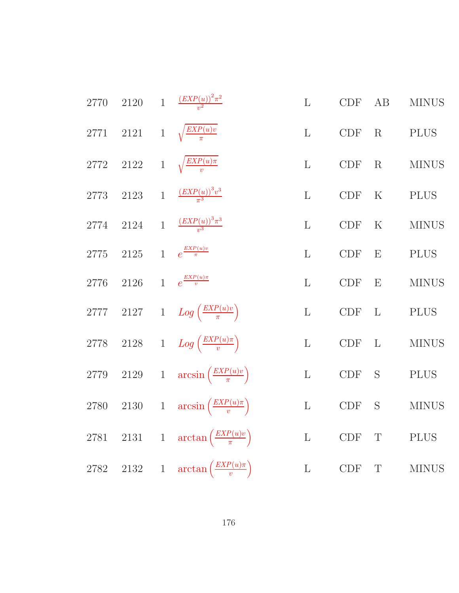| 2770     |  | 2120 1 $\frac{(EXP(u))^2\pi^2}{v^2}$                  | $\mathbf{L}$ | <b>CDF</b>                  | $\rm AB$     | <b>MINUS</b> |
|----------|--|-------------------------------------------------------|--------------|-----------------------------|--------------|--------------|
|          |  | 2771 2121 1 $\sqrt{\frac{EXP(u)v}{\pi}}$              | $\mathbf{L}$ | CDF                         | R            | <b>PLUS</b>  |
|          |  | 2772 2122 1 $\sqrt{\frac{EXP(u)\pi}{n}}$              | $\mathbf{L}$ | CDF                         | R            | <b>MINUS</b> |
|          |  | 2773 2123 1 $\frac{(EXP(u))^3v^3}{\pi^3}$             | $\mathbf{L}$ | CDF                         | $\rm K$      | <b>PLUS</b>  |
| 2774     |  | 2124 1 $\frac{(EXP(u))^3\pi^3}{u^3}$                  | $\mathbf{L}$ | $\ensuremath{\mathrm{CDF}}$ | ${\bf K}$    | <b>MINUS</b> |
| $2775\,$ |  | 2125 1 $e^{\frac{EXP(u)v}{\pi}}$                      | $\mathbf{L}$ | $\ensuremath{\mathrm{CDF}}$ | E            | <b>PLUS</b>  |
| 2776     |  | 2126 1 $e^{\frac{EXP(u)\pi}{v}}$                      | $\mathbf{L}$ | $\ensuremath{\mathrm{CDF}}$ | E            | <b>MINUS</b> |
|          |  | 2777 2127 1 $Log\left(\frac{EXP(u)v}{\pi}\right)$     | $\mathbf{L}$ | $\ensuremath{\mathrm{CDF}}$ | $\mathbf{L}$ | <b>PLUS</b>  |
|          |  | 2778 2128 1 $Log\left(\frac{EXP(u)\pi}{v}\right)$     | $\mathbf{L}$ | $\ensuremath{\mathrm{CDF}}$ | $\mathbf{L}$ | <b>MINUS</b> |
|          |  | 2779 2129 1 $\arcsin\left(\frac{EXP(u)v}{\pi}\right)$ | $\mathbf{L}$ | CDF                         | S            | <b>PLUS</b>  |
| 2780     |  | 2130 1 $\arcsin\left(\frac{EXP(u)\pi}{v}\right)$      | $\mathbf L$  | CDF                         | S            | $\rm MINUS$  |
|          |  | 2781 2131 1 $\arctan\left(\frac{EXP(u)v}{\pi}\right)$ | L            | <b>CDF</b>                  | $\mathbf T$  | $\rm PLUS$   |
|          |  | 2782 2132 1 $\arctan\left(\frac{EXP(u)\pi}{v}\right)$ | $\mathbf L$  | CDF                         | $\mathbf T$  | <b>MINUS</b> |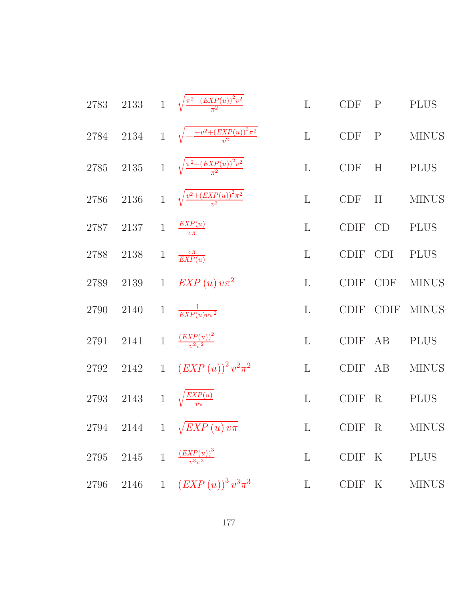2783 2133 1 
$$
\sqrt{\frac{\pi^2 - (EXP(u))^2 v^2}{\pi^2}}
$$
 L CDF P P LUS  
\n2784 2134 1  $\sqrt{-\frac{-v^2 + (EXP(u))^2 v^2}{v^2}}$  L CDF P MINUS  
\n2785 2135 1  $\sqrt{\frac{\pi^2 + (EXP(u))^2 v^2}{\pi^2}}$  L CDF H P MINUS  
\n2786 2136 1  $\sqrt{\frac{v^2 + (EXP(u))^2 v^2}{v^2}}$  L CDF H MINUS  
\n2787 2137 1  $\frac{EXP(u)}{v \pi}$  L CDF CDF H MINUS  
\n2788 2138 1  $\frac{v \pi}{EXP(u)}$  L CDF CDF NINUS  
\n2789 2139 1 *EXP(u) v \pi^2* L CDF CDF MINUS  
\n2790 2140 1  $\frac{1}{EXP(u)v \pi^2}$  L CDF CDF MINUS  
\n2791 2141 1  $\frac{(EXP(u))^2}{v^2 \pi^2}$  L CDF AB PLUS  
\n2792 2142 1  $(EXP(u))^2 v^2 \pi^2$  L CDF F AB MINUS  
\n2793 2143 1  $\sqrt{\frac{EXP(u)}{v \pi}}$  L CDF F R PLUS  
\n2794 2144 1  $\sqrt{EXP(u)v \pi}$  L CDF F R MINUS  
\n2795 2145 1  $\frac{(EXP(u))^3}{v^3 \pi^3}$  L CDF F K PLUS  
\n2796 2146 1  $(EXP(u))^3 v^3 \pi^3$  L CDF F K MINUS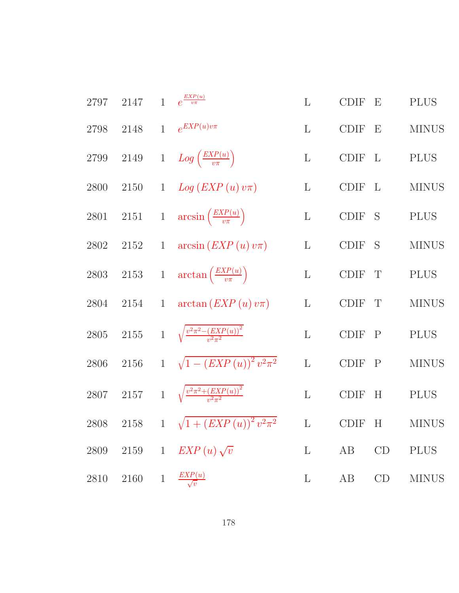| 2797     | 2147     |              | $1 \quad e^{\frac{EXP(u)}{v\pi}}$                        | $\mathbf{L}$ | <b>CDIF</b> | $\boldsymbol{\mathrm{E}}$ | <b>PLUS</b>  |
|----------|----------|--------------|----------------------------------------------------------|--------------|-------------|---------------------------|--------------|
| 2798     | 2148     | $\mathbf{1}$ | $e^{EXP(u)v\pi}$                                         | $\mathbf{L}$ | <b>CDIF</b> | E                         | <b>MINUS</b> |
| $2799\,$ | $2149\,$ |              | 1 $Log\left(\frac{EXP(u)}{v\pi}\right)$                  | $\mathbf{L}$ | CDIF        | $\mathbf{L}$              | <b>PLUS</b>  |
| 2800     | 2150     |              | 1 $Log (EXP(u) v\pi)$                                    | $\mathbf{L}$ | <b>CDIF</b> | $\mathbf{L}$              | <b>MINUS</b> |
| 2801     |          |              | 2151 1 $\arcsin\left(\frac{EXP(u)}{v\pi}\right)$         | $\mathbf{L}$ | CDIF S      |                           | <b>PLUS</b>  |
| $2802\,$ | $2152\,$ | $\mathbf{1}$ | $arcsin (EXP(u)v\pi)$                                    | $\mathbf{L}$ | CDIF S      |                           | <b>MINUS</b> |
| $2803\,$ |          |              | 2153 1 $\arctan\left(\frac{EXP(u)}{v\pi}\right)$         | $\Gamma$     | CDIF        | $\mathbf{T}$              | <b>PLUS</b>  |
| 2804     | 2154     | $\mathbf{1}$ | $arctan (EXP(u)v\pi)$                                    | $\mathbf L$  | <b>CDIF</b> | T                         | <b>MINUS</b> |
| $2805\,$ |          |              | 2155 1 $\sqrt{\frac{v^2 \pi^2 - (EXP(u))^2}{v^2 \pi^2}}$ | $\mathbf{L}$ | <b>CDIF</b> | $\mathbf{P}$              | <b>PLUS</b>  |
| 2806     | $2156\,$ |              | 1 $\sqrt{1-(EXP(u))^{2}v^{2}\pi^{2}}$                    | $\mathbf{L}$ | <b>CDIF</b> | $\mathbf{P}$              | <b>MINUS</b> |
| 2807     |          |              | 2157 1 $\sqrt{\frac{v^2 \pi^2 + (EXP(u))^2}{v^2 \pi^2}}$ | $\mathbf L$  | <b>CDIF</b> | H                         | <b>PLUS</b>  |
| 2808     | $2158\,$ |              | 1 $\sqrt{1 + (EXP(u))^{2} v^{2} \pi^{2}}$                | $\mathbf L$  | <b>CDIF</b> | H                         | <b>MINUS</b> |
| 2809     | 2159     | $\mathbf{1}$ | $EXP(u)\sqrt{v}$                                         | $\Gamma$     | AB          | CD                        | <b>PLUS</b>  |
| 2810     | 2160     | $\mathbf{1}$ | $\frac{EXP(u)}{\sqrt{v}}$                                | $\Gamma$     | AB          | CD                        | <b>MINUS</b> |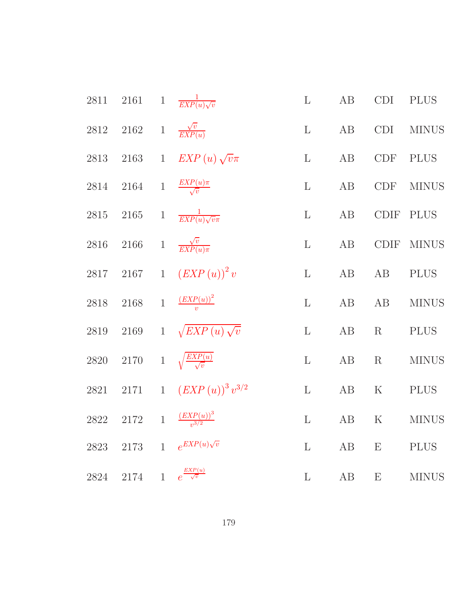| 2811     | $2161\,$                         | $\mathbf{1}$ | $\frac{1}{EXP(u)\sqrt{v}}$         | $\mathbf{L}$ | $\rm AB$ | <b>CDI</b>                | <b>PLUS</b>  |
|----------|----------------------------------|--------------|------------------------------------|--------------|----------|---------------------------|--------------|
| 2812     | 2162 1 $\frac{\sqrt{v}}{EXP(u)}$ |              |                                    | $\mathbf{L}$ | AB       | CDI                       | <b>MINUS</b> |
| 2813     | 2163                             | $\mathbf{1}$ | $EXP(u)\sqrt{v}\pi$                | $\mathbf{L}$ | AB       | <b>CDF</b>                | <b>PLUS</b>  |
| 2814     | 2164                             |              | 1 $\frac{EXP(u)\pi}{\sqrt{v}}$     | $\mathbf{L}$ | $\rm AB$ | <b>CDF</b>                | <b>MINUS</b> |
| $2815\,$ | $2165\,$                         | $\,1$        | $\frac{1}{EXP(u)\sqrt{v\pi}}$      | $\mathbf{L}$ | $\rm AB$ | CDIF                      | <b>PLUS</b>  |
| 2816     | 2166                             |              | 1 $\frac{\sqrt{v}}{EXP(u)\pi}$     | $\mathbf{L}$ | AB       | CDIF                      | <b>MINUS</b> |
| 2817     | 2167                             | $1\,$        | $(EXP(u))^{2}v$                    | $\mathbf{L}$ | AB       | AB                        | <b>PLUS</b>  |
| 2818     | $2168\,$                         | $\mathbf{1}$ | $\frac{(EXP(u))^{2}}{v}$           | $\mathbf{L}$ | AB       | AB                        | $\rm MINUS$  |
| $2819\,$ | $2169\,$                         | $\mathbf{1}$ | $\sqrt{EXP(u)}\sqrt{v}$            | $\mathbf{L}$ | AB       | R                         | <b>PLUS</b>  |
| 2820     | $2170\,$                         |              | 1 $\sqrt{\frac{EXP(u)}{\sqrt{v}}}$ | $\mathbf{L}$ | $\rm AB$ | R                         | <b>MINUS</b> |
| 2821     | $2171\,$                         | $\mathbf{1}$ | $(EXP(u))^{3}v^{3/2}$              | $\mathbf{L}$ | $\rm AB$ | ${\bf K}$                 | <b>PLUS</b>  |
| 2822     | $2172\,$                         | $\mathbf{1}$ | $\frac{(EXP(u))^{3}}{v^{3/2}}$     | $\mathbf{L}$ | AB       | $\mathbf K$               | <b>MINUS</b> |
| 2823     | $2173\,$                         | $\mathbf{1}$ | $e^{EXP(u)\sqrt{v}}$               | $\mathbf{L}$ | AB       | $\boldsymbol{\mathrm{E}}$ | <b>PLUS</b>  |
| 2824     | 2174                             | $\mathbf{1}$ | $e^{\frac{EXP(u)}{\sqrt{v}}}$      | $\mathbf{L}$ | AB       | $\boldsymbol{\mathrm{E}}$ | <b>MINUS</b> |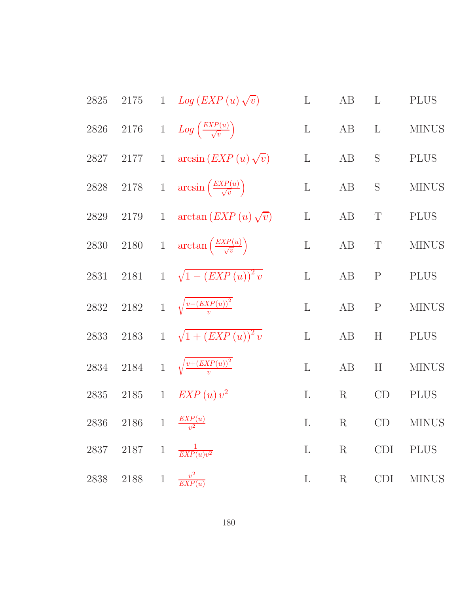| 2825 | $2175\,$                    | 1 $Log (EXP(u)\sqrt{v})$                                  | $\mathbf{L}$ | AB              | $\Gamma$     | <b>PLUS</b>  |
|------|-----------------------------|-----------------------------------------------------------|--------------|-----------------|--------------|--------------|
| 2826 | 2176                        | 1 $Log\left(\frac{EXP(u)}{\sqrt{v}}\right)$               | $\mathbf{L}$ | AB              | $\mathbf{L}$ | <b>MINUS</b> |
| 2827 | $2177$ 1                    | $arcsin (EXP(u)\sqrt{v})$                                 | $\mathbf{L}$ | AB              | S            | <b>PLUS</b>  |
|      |                             | 2828 2178 1 $\arcsin\left(\frac{EXP(u)}{\sqrt{v}}\right)$ | $\mathbf L$  | AB              | $\mathbf S$  | <b>MINUS</b> |
| 2829 | 2179                        | 1 $\arctan\left( EXP(u)\sqrt{v}\right)$                   | $\mathbf{L}$ | AB              | $\mathbf T$  | <b>PLUS</b>  |
|      | $2830\quad 2180$            | 1 $\arctan\left(\frac{EXP(u)}{\sqrt{v}}\right)$           | $\mathbf L$  | AB              | $\mathbf T$  | <b>MINUS</b> |
| 2831 |                             | 2181 1 $\sqrt{1-(EXP(u))^{2}v}$                           | $\mathbf{L}$ | AB              | $\mathbf P$  | <b>PLUS</b>  |
| 2832 |                             | 2182 1 $\sqrt{\frac{v-(EXP(u))^2}{v}}$                    | $\mathbf{L}$ | AB              | $\mathbf{P}$ | <b>MINUS</b> |
| 2833 | 2183                        | $1 \sqrt{1 + (EXP(u))^2}$                                 | $\mathbf{L}$ | AB              | H            | <b>PLUS</b>  |
| 2834 |                             | 2184 1 $\sqrt{\frac{v+(EXP(u))^{2}}{n}}$                  | $\mathbf{L}$ | AB              | H            | <b>MINUS</b> |
| 2835 |                             | 2185 1 $EXP(u)v^2$                                        | $\mathbf{L}$ | $R_{\parallel}$ | CD           | <b>PLUS</b>  |
| 2836 |                             | 2186 1 $\frac{EXP(u)}{v^2}$                               | $\mathbf{L}$ | $\rm R$         | CD           | <b>MINUS</b> |
|      |                             | 2837 2187 1 $\frac{1}{EXP(u)v^2}$                         | $\mathbf{L}$ | $\rm R$         | <b>CDI</b>   | <b>PLUS</b>  |
| 2838 | 2188 1 $\frac{v^2}{EXP(u)}$ |                                                           | $\mathbf{L}$ | $\mathbf R$     | <b>CDI</b>   | <b>MINUS</b> |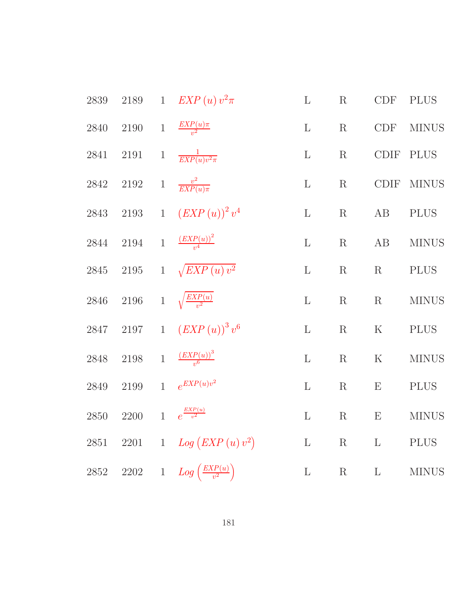| 2839     | $2189\,$ |              | 1 $EXP(u)v^2\pi$                              | $\mathbf{L}$ | R           | <b>CDF</b>        | <b>PLUS</b>  |
|----------|----------|--------------|-----------------------------------------------|--------------|-------------|-------------------|--------------|
| 2840     | $2190\,$ |              | 1 $\frac{EXP(u)\pi}{v^2}$                     | $\mathbf{L}$ | R           | CDF               | <b>MINUS</b> |
| 2841     | $2191\,$ | $\mathbf{1}$ | $\frac{1}{EXP(u)v^2\pi}$                      | $\mathbf{L}$ | $\mathbf R$ | $\text{\rm CDIF}$ | <b>PLUS</b>  |
| 2842     | $2192\,$ | $\,1$        | $\frac{v^2}{EXP(u)\pi}$                       | $\mathbf{L}$ | $\mathbf R$ |                   | CDIF MINUS   |
| 2843     | $2193\,$ | $\mathbf{1}$ | $\left( EXP\left( u\right) \right) ^{2}v^{4}$ | $\mathbf L$  | R           | AB                | <b>PLUS</b>  |
| 2844     | $2194\,$ |              | 1 $\frac{(EXP(u))^2}{v^4}$                    | $\mathbf{L}$ | $\mathbf R$ | AB                | <b>MINUS</b> |
| 2845     | $2195\,$ |              | 1 $\sqrt{EXP(u)v^2}$                          | $\mathbf{L}$ | R           | R                 | <b>PLUS</b>  |
| $2846\,$ | $2196\,$ |              | 1 $\sqrt{\frac{EXP(u)}{v^2}}$                 | $\mathbf{L}$ | $\mathbf R$ | $\mathbf R$       | <b>MINUS</b> |
| 2847     | 2197     | $\mathbf{1}$ | $\left( EXP\left( u\right) \right) ^{3}v^{6}$ | $\mathbf{L}$ | $\mathbf R$ | $\mathbf K$       | <b>PLUS</b>  |
| $2848\,$ | $2198\,$ |              | 1 $\frac{(EXP(u))^3}{v^6}$                    | $\mathbf{L}$ | $\mathbf R$ | ${\bf K}$         | <b>MINUS</b> |
| 2849     | $2199\,$ | $\mathbf{1}$ | $e^{EXP(u)v^2}$                               | $\mathbf{L}$ | $\mathbf R$ | E                 | <b>PLUS</b>  |
| 2850     | 2200     | $\mathbf{1}$ | $e^{\frac{EXP(u)}{v^2}}$                      | $\mathbf{L}$ | R           | E                 | <b>MINUS</b> |
| 2851     | $2201\,$ |              | 1 $Log (EXP(u)v^2)$                           | $\mathbf L$  | $\rm R$     | $\mathbf{L}$      | PLUS         |
| $2852\,$ | 2202     |              | 1 $Log\left(\frac{EXP(u)}{v^2}\right)$        | $\mathbf L$  | $\mathbf R$ | $\mathbf{L}$      | <b>MINUS</b> |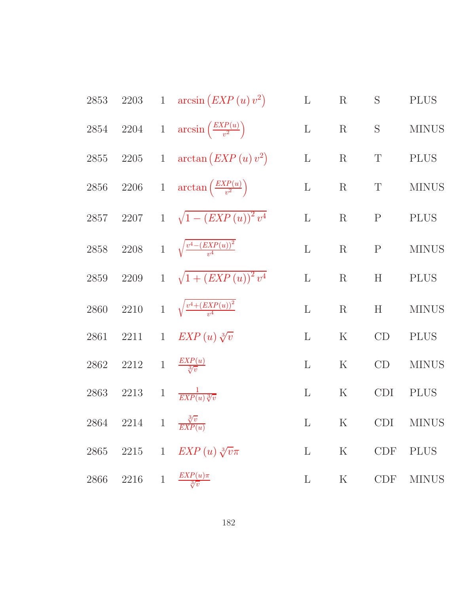| 2853     |                                          |                | 2203 1 $\arcsin (EXP(u)v^2)$                    | $\mathbf{L}$ | $\rm R$     | $\mathbf S$  | <b>PLUS</b>  |
|----------|------------------------------------------|----------------|-------------------------------------------------|--------------|-------------|--------------|--------------|
| 2854     |                                          |                | 2204 1 $\arcsin\left(\frac{EXP(u)}{v^2}\right)$ | $\mathbf L$  | $\rm R$     | $\mathbf S$  | <b>MINUS</b> |
| 2855     |                                          |                | 2205 1 $\arctan\left( EXP(u)v^2\right)$         | $\mathbf{L}$ | $\rm R$     | $\mathbf T$  | <b>PLUS</b>  |
| 2856     | 2206                                     |                | 1 $\arctan\left(\frac{EXP(u)}{v^2}\right)$      | $\mathbf L$  | $\rm R$     | $\mathbf T$  | <b>MINUS</b> |
| 2857     |                                          |                | 2207 1 $\sqrt{1-(EXP(u))^{2}v^{4}}$             | $\mathbf L$  | $\mathbf R$ | ${\bf P}$    | <b>PLUS</b>  |
| 2858     |                                          |                | 2208 1 $\sqrt{\frac{v^4-(EXP(u))^2}{v^4}}$      | $\mathbf L$  | $\mathbf R$ | $\mathbf{P}$ | <b>MINUS</b> |
| $2859\,$ | $2209\,$                                 |                | 1 $\sqrt{1 + (EXP(u))^{2} v^{4}}$               | $\mathbf L$  | $\rm R$     | H            | <b>PLUS</b>  |
| 2860     | 2210                                     |                | 1 $\sqrt{\frac{v^4 + (EXP(u))^2}{v^4}}$         | $\mathbf{L}$ | $\rm R$     | H            | <b>MINUS</b> |
| 2861     | 2211                                     |                | 1 $EXP(u) \sqrt[3]{v}$                          | $\mathbf{L}$ | $\rm K$     | CD           | <b>PLUS</b>  |
| 2862     | $2212\,$                                 |                | 1 $\frac{EXP(u)}{\sqrt[3]{v}}$                  | $\mathbf{L}$ | $\rm K$     | CD           | <b>MINUS</b> |
| 2863     | 2213                                     |                | 1 $\frac{1}{EXP(u)\sqrt[3]{v}}$                 | $\mathbf{L}$ | $\rm K$     | <b>CDI</b>   | <b>PLUS</b>  |
|          | 2864 2214 1 $\frac{\sqrt[3]{v}}{EXP(u)}$ |                |                                                 | $\mathbf{L}$ | $\mathbf K$ | CDI          | <b>MINUS</b> |
| 2865     | 2215                                     | $\overline{1}$ | $EXP(u) \sqrt[3]{v}\pi$                         | $\mathbf{L}$ | $\rm K$     | CDF          | <b>PLUS</b>  |
| 2866     | 2216                                     | $\mathbf{1}$   | $\frac{EXP(u)\pi}{\sqrt[3]{v}}$                 | L            | $\rm K$     | <b>CDF</b>   | <b>MINUS</b> |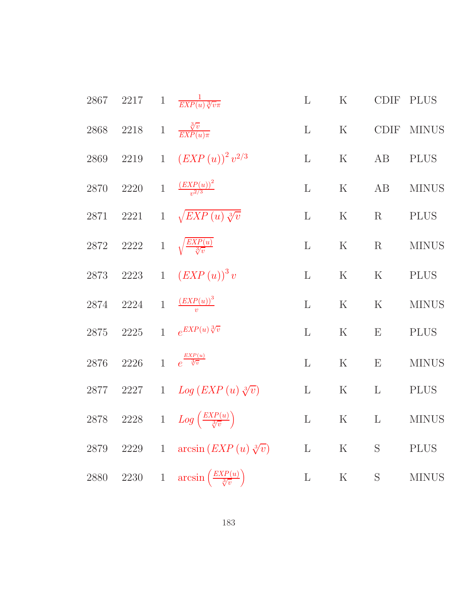|      |                                              |              | 2867 2217 1 $\frac{1}{EXP(u)\sqrt[3]{v\pi}}$             | L            | K           |                                      | CDIF PLUS    |
|------|----------------------------------------------|--------------|----------------------------------------------------------|--------------|-------------|--------------------------------------|--------------|
|      |                                              |              | 2868 2218 1 $\frac{\sqrt[3]{v}}{EXP(u)\pi}$              | $\mathbf{L}$ |             |                                      | K CDIF MINUS |
|      |                                              |              | 2869 2219 1 $\left( EXP(u) \right)^2 v^{2/3}$            | L            | K           | AB                                   | <b>PLUS</b>  |
|      |                                              |              | 2870 2220 1 $\frac{(EXP(u))^2}{n^{2/3}}$                 |              |             |                                      | L K AB MINUS |
|      |                                              |              | 2871 2221 1 $\sqrt{EXP(u)}\sqrt[3]{v}$                   | $\mathbf{L}$ |             | $\mathbf K$ $\qquad$ R $\qquad$ PLUS |              |
|      |                                              |              | 2872 2222 1 $\sqrt{\frac{EXP(u)}{\sqrt[3]{v}}}$          | L            | K           | R                                    | <b>MINUS</b> |
|      |                                              |              | 2873 2223 1 $(EXP(u))^3 v$                               | $\mathbf{L}$ | K           |                                      | K PLUS       |
|      |                                              |              | 2874 2224 1 $(\frac{EXP(u))^3}{N}$                       | $\mathbf{L}$ | $\mathbf K$ |                                      | K MINUS      |
|      |                                              |              | 2875 2225 1 $e^{EXP(u)\sqrt[3]{v}}$                      | $\mathbf{L}$ | K           | E PLUS                               |              |
|      | 2876 2226 1 $e^{\frac{EXP(u)}{\sqrt[3]{v}}}$ |              |                                                          | $\mathbf{L}$ | K           | $\mathbf{E}$                         | <b>MINUS</b> |
|      |                                              |              | 2877 2227 1 $Log (EXP(u) \sqrt[3]{v})$                   | $\mathbf{L}$ | $K$ L       |                                      | PLUS         |
|      |                                              |              | 2878 2228 1 $Log\left(\frac{EXP(u)}{\sqrt[3]{v}}\right)$ | $\mathbf{L}$ |             |                                      | K L MINUS    |
| 2879 | 2229                                         | $\mathbf{1}$ | $arcsin (EXP(u) \sqrt[3]{v})$                            | $\mathbf{L}$ | $\rm K$     | S                                    | <b>PLUS</b>  |
| 2880 | 2230                                         | $\mathbf{1}$ | arcsin                                                   | $\mathbf{L}$ | $\rm K$     | S                                    | <b>MINUS</b> |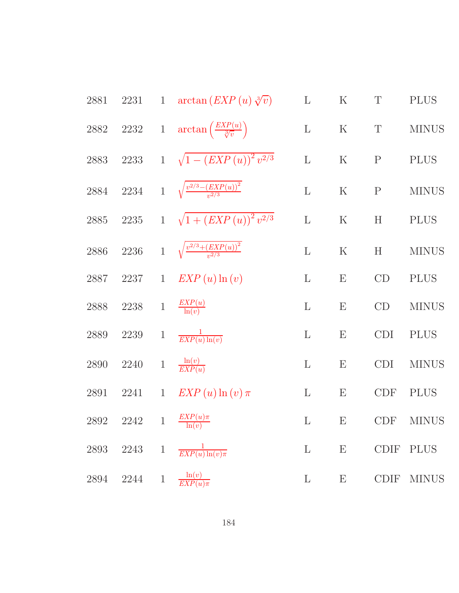| 2881     | 2231                               |              | 1 $\arctan\left( EXP(u) \sqrt[3]{v}\right)$                  | $\mathbf{L}$ | $\rm K$                   | $\mathbf T$ | <b>PLUS</b>  |
|----------|------------------------------------|--------------|--------------------------------------------------------------|--------------|---------------------------|-------------|--------------|
|          |                                    |              | 2882 2232 1 $\arctan\left(\frac{EXP(u)}{\sqrt[3]{v}}\right)$ | $\Gamma$     | $\rm K$                   | $\mathbf T$ | <b>MINUS</b> |
| 2883     |                                    |              | 2233 1 $\sqrt{1-(EXP(u))^{2}v^{2/3}}$                        | $\mathbf L$  | $\rm K$                   | ${\bf P}$   | <b>PLUS</b>  |
| 2884     |                                    |              | 2234 1 $\sqrt{\frac{v^{2/3}-(EXP(u))^{2}}{v^{2/3}}}$         | $\mathbf{L}$ | $\mathbf K$               | ${\bf P}$   | <b>MINUS</b> |
| $2885\,$ | $2235\,$                           |              | 1 $\sqrt{1 + (EXP(u))^{2} v^{2/3}}$                          | $\mathbf{L}$ | $\rm K$                   | H           | <b>PLUS</b>  |
| $2886\,$ | 2236                               |              | 1 $\sqrt{\frac{v^{2/3} + (EXP(u))^2}{v^{2/3}}}$              | $\mathbf{L}$ | $\rm K$                   | H           | <b>MINUS</b> |
| 2887     | $2237\,$                           | $\mathbf{1}$ | $EXP(u) \ln(v)$                                              | $\mathbf{L}$ | E                         | CD          | <b>PLUS</b>  |
| $2888\,$ | $2238\,$                           |              | 1 $\frac{EXP(u)}{\ln(v)}$                                    | $\mathbf{L}$ | $\boldsymbol{\mathrm{E}}$ | CD          | <b>MINUS</b> |
| 2889     | $2239\,$                           | $\mathbf{1}$ | $\frac{1}{EXP(u)\ln(v)}$                                     | $\mathbf{L}$ | ${\bf E}$                 | <b>CDI</b>  | <b>PLUS</b>  |
| 2890     | 2240                               | $1\,$        | $\frac{\ln(v)}{EXP(u)}$                                      | $\mathbf{L}$ | $\boldsymbol{\mathrm{E}}$ | <b>CDI</b>  | <b>MINUS</b> |
| 2891     | 2241                               | $\mathbf{1}$ | $EXP(u) \ln(v) \pi$                                          | $\mathbf{L}$ | $\boldsymbol{\mathrm{E}}$ | CDF         | <b>PLUS</b>  |
| 2892     | 2242                               |              | 1 $\frac{EXP(u)\pi}{\ln(v)}$                                 | $\mathbf{L}$ | $\boldsymbol{\mathrm{E}}$ | <b>CDF</b>  | <b>MINUS</b> |
|          | ${\bf 2893 \quad 2243 \quad \  1}$ |              | $\frac{1}{EXP(u)\ln(v)\pi}$                                  | $\mathbf{L}$ | Ε                         |             | CDIF PLUS    |
| 2894     | 2244 1                             |              | $\frac{\ln(v)}{EXP(u)\pi}$                                   | L            | E                         |             | CDIF MINUS   |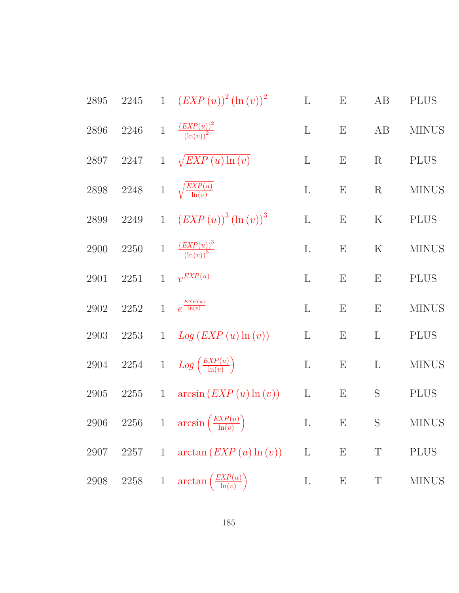| 2895     |          |                | 2245 1 $(EXP(u))^2 (\ln(v))^2$                            | $\mathbf L$  | E                         | AB                        | <b>PLUS</b>  |
|----------|----------|----------------|-----------------------------------------------------------|--------------|---------------------------|---------------------------|--------------|
| 2896     | $2246\,$ | $\mathbf{1}$   | $\frac{\left( EXP(u) \right)^2}{\left( \ln(v) \right)^2}$ | $\mathbf{L}$ | $\boldsymbol{\mathrm{E}}$ | AB                        | <b>MINUS</b> |
| 2897     | 2247     |                | 1 $\sqrt{EXP(u)\ln(v)}$                                   | $\mathbf{L}$ | $\boldsymbol{\mathrm{E}}$ | $\mathbf R$               | <b>PLUS</b>  |
| $2898\,$ | $2248\,$ |                | 1 $\sqrt{\frac{EXP(u)}{\ln(v)}}$                          | $\mathbf{L}$ | $\boldsymbol{\mathrm{E}}$ | $\mathbf R$               | <b>MINUS</b> |
| 2899     | $2249\,$ |                | 1 $(EXP(u))^3(\ln(v))^3$                                  | $\mathbf{L}$ | $\boldsymbol{\mathrm{E}}$ | $\rm K$                   | <b>PLUS</b>  |
| 2900     | 2250     | $\,1$          | $\frac{\left( EXP(u) \right)^3}{\left( \ln(v) \right)^3}$ | $\mathbf{L}$ | $\boldsymbol{\mathrm{E}}$ | $\mathbf K$               | <b>MINUS</b> |
| 2901     | $2251\,$ | $\mathbf{1}$   | $v^{EXP(u)}$                                              | $\mathbf{L}$ | $\boldsymbol{\mathrm{E}}$ | $\boldsymbol{\mathrm{E}}$ | <b>PLUS</b>  |
| 2902     | $2252\,$ | $\overline{1}$ | $e^{\frac{EXP(u)}{\ln(v)}}$                               | $\mathbf{L}$ | $\boldsymbol{\mathrm{E}}$ | $\boldsymbol{\mathrm{E}}$ | <b>MINUS</b> |
| 2903     | 2253     | 1              | Log (EXP(u)ln (v))                                        | $\mathbf{L}$ | $\boldsymbol{\mathrm{E}}$ | $\mathbf{L}$              | <b>PLUS</b>  |
| 2904     |          |                | 2254 1 $Log\left(\frac{EXP(u)}{\ln(v)}\right)$            | $\mathbf L$  | $\boldsymbol{\mathrm{E}}$ | $\Gamma$                  | <b>MINUS</b> |
| 2905     | $2255\,$ | $\overline{1}$ | arcsin (EXP(u)ln (v))                                     | $\Gamma$     | E                         | S                         | <b>PLUS</b>  |
| 2906     |          |                | 2256 1 $\arcsin\left(\frac{EXP(u)}{\ln(v)}\right)$        | $\mathbf{L}$ | $\boldsymbol{\mathrm{E}}$ | ${\mathcal S}$            | <b>MINUS</b> |
| 2907     | 2257     | $\mathbf{1}$   | arctan (EXP(u)ln (v))                                     | $\Gamma$     | E                         | $\mathbf T$               | <b>PLUS</b>  |
| 2908     | $2258\,$ | $\mathbf{1}$   | $\arctan\left(\frac{EXP(u)}{\ln(v)}\right)$               | $\Gamma$     | $\boldsymbol{\mathrm{E}}$ | $\mathbf T$               | <b>MINUS</b> |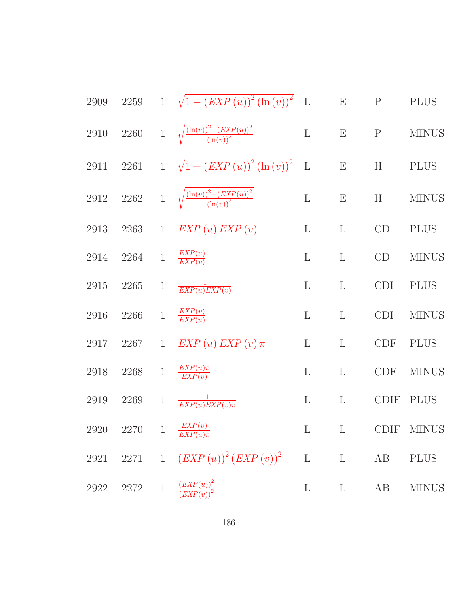| 2909 |                                        |              | 2259 1 $\sqrt{1-(EXP(u))^{2}(\ln(v))^{2}}$ L               |              | $E \t P$                  |              | <b>PLUS</b>    |
|------|----------------------------------------|--------------|------------------------------------------------------------|--------------|---------------------------|--------------|----------------|
| 2910 | 2260                                   |              | 1 $\sqrt{\frac{(\ln(v))^2 - (EXP(u))^2}{(\ln(v))^2}}$      | $\mathbf{L}$ | $\boldsymbol{\mathrm{E}}$ | $\mathbf{P}$ | <b>MINUS</b>   |
| 2911 |                                        |              | 2261 1 $\sqrt{1 + (EXP(u))^2 (\ln(v))^2}$                  | $\mathbf{L}$ | E                         | H            | <b>PLUS</b>    |
| 2912 |                                        |              | 2262 1 $\sqrt{\frac{(\ln(v))^2 + (EXP(u))^2}{(\ln(v))^2}}$ | $\mathbf L$  | $\boldsymbol{\mathrm{E}}$ | H            | <b>MINUS</b>   |
| 2913 |                                        |              | 2263 1 $EXP(u) EXP(v)$                                     | $\mathbf{L}$ | $\mathbf{L}$              | CD           | <b>PLUS</b>    |
| 2914 | 2264                                   |              | 1 $\frac{EXP(u)}{EXP(v)}$                                  | $\mathbf{L}$ | $\mathbf{L}$              | CD           | <b>MINUS</b>   |
| 2915 | 2265                                   |              | 1 $\frac{1}{EXP(u)EXP(v)}$                                 | $\mathbf{L}$ | L                         | <b>CDI</b>   | <b>PLUS</b>    |
| 2916 | 2266                                   | $\,1$        | $\frac{EXP(v)}{EXP(u)}$                                    | L            | $\mathbf{L}$              | <b>CDI</b>   | <b>MINUS</b>   |
| 2917 | 2267                                   |              | 1 $EXP(u) EXP(v) \pi$                                      | $\mathbf{L}$ | $\mathbf{L}$              | <b>CDF</b>   | <b>PLUS</b>    |
| 2918 | 2268                                   | $1\,$        | $\frac{EXP(u)\pi}{EXP(v)}$                                 | $\mathbf{L}$ | $\mathbf{L}$              | <b>CDF</b>   | <b>MINUS</b>   |
| 2919 | 2269                                   | $\mathbf{1}$ | $\frac{1}{EXP(u)EXP(v)\pi}$                                | $\mathbf{L}$ | $\mathbf{L}$              | <b>CDIF</b>  | <b>PLUS</b>    |
|      | 2920 2270 1 $\frac{EXP(v)}{EXP(u)\pi}$ |              |                                                            |              |                           |              | L L CDIF MINUS |
| 2921 |                                        |              | 2271 1 $(EXP(u))^2 (EXP(v))^2$ L                           |              | $\Gamma$                  | AB           | <b>PLUS</b>    |
| 2922 | 2272                                   | $\mathbf{1}$ | $\frac{(EXP(u))^2}{(EXP(v))^2}$                            | $\mathbf{L}$ | $\mathbf{L}$              | AB           | <b>MINUS</b>   |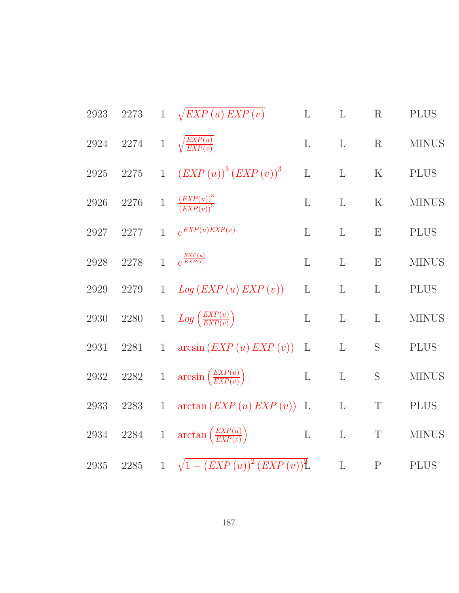|          |              |                | $\mathbf{L}$                                                                                                                                                                                                                                                                                                                                                                                                                  | $\mathbf{L}$                                                                                         | $\mathbf R$  | <b>PLUS</b>  |
|----------|--------------|----------------|-------------------------------------------------------------------------------------------------------------------------------------------------------------------------------------------------------------------------------------------------------------------------------------------------------------------------------------------------------------------------------------------------------------------------------|------------------------------------------------------------------------------------------------------|--------------|--------------|
|          |              |                | $\mathbf{L}$                                                                                                                                                                                                                                                                                                                                                                                                                  | $\mathbf{L}$                                                                                         | $\mathbf R$  | <b>MINUS</b> |
|          |              |                | $\mathbf L$                                                                                                                                                                                                                                                                                                                                                                                                                   | $\mathbf{L}$                                                                                         | ${\bf K}$    | <b>PLUS</b>  |
| 2276     |              |                | $\mathbf{L}$                                                                                                                                                                                                                                                                                                                                                                                                                  | $\mathbf{L}$                                                                                         | ${\bf K}$    | <b>MINUS</b> |
| 2277     | $\mathbf{1}$ |                | $\mathbf{L}$                                                                                                                                                                                                                                                                                                                                                                                                                  | $\mathbf{L}$                                                                                         | E            | <b>PLUS</b>  |
| 2278     |              |                | $\mathbf{L}$                                                                                                                                                                                                                                                                                                                                                                                                                  | $\mathbf{L}$                                                                                         | ${\bf E}$    | <b>MINUS</b> |
| $2279\,$ |              |                | $\mathbf L$                                                                                                                                                                                                                                                                                                                                                                                                                   | $\mathbf{L}$                                                                                         | $\mathbf{L}$ | <b>PLUS</b>  |
| $2280\,$ |              |                | $\mathbf L$                                                                                                                                                                                                                                                                                                                                                                                                                   | $\Gamma$                                                                                             | $\mathbf{L}$ | <b>MINUS</b> |
| 2281     |              |                | $\mathbf{L}$                                                                                                                                                                                                                                                                                                                                                                                                                  | $\mathbf L$                                                                                          | $\mathbf S$  | <b>PLUS</b>  |
|          |              |                | $\mathbf{L}$                                                                                                                                                                                                                                                                                                                                                                                                                  | $\mathbf L$                                                                                          | S            | <b>MINUS</b> |
| 2283     | $\mathbf{1}$ |                |                                                                                                                                                                                                                                                                                                                                                                                                                               | $\mathbf{L}$                                                                                         | $\mathbf T$  | <b>PLUS</b>  |
|          |              |                |                                                                                                                                                                                                                                                                                                                                                                                                                               | $\rm L$                                                                                              | $\mathbf T$  | <b>MINUS</b> |
|          |              |                |                                                                                                                                                                                                                                                                                                                                                                                                                               | $\mathbf{L}$                                                                                         | $\mathbf P$  | <b>PLUS</b>  |
|          |              | 2273<br>2275 1 | 1 $\sqrt{EXP(u) EXP(v)}$<br>2274 1 $\sqrt{\frac{EXP(u)}{EXP(v)}}$<br>$(EXP(u))^{3} (EXP(v))^{3}$<br>$\frac{(EXP(u))^3}{(EXP(v))^3}$<br>$e^{EXP(u)EXP(v)}$<br>1 $e^{\frac{EXP(u)}{EXP(v)}}$<br>1 $Log (EXP(u) EXP(v))$<br>1 $Log\left(\frac{EXP(u)}{EXP(v)}\right)$<br>1 $\arcsin\left( EXP(u) EXP(v)\right)$<br>2282 1 $\arcsin\left(\frac{EXP(u)}{EXP(v)}\right)$<br>2934 2284 1 $\arctan\left(\frac{EXP(u)}{EXP(v)}\right)$ | $\arctan\left( EXP(u) EXP(v)\right)$ L<br>$\mathbf{L}$<br>2285 1 $\sqrt{1-(EXP(u))^{2}(EXP(v))^{2}}$ |              |              |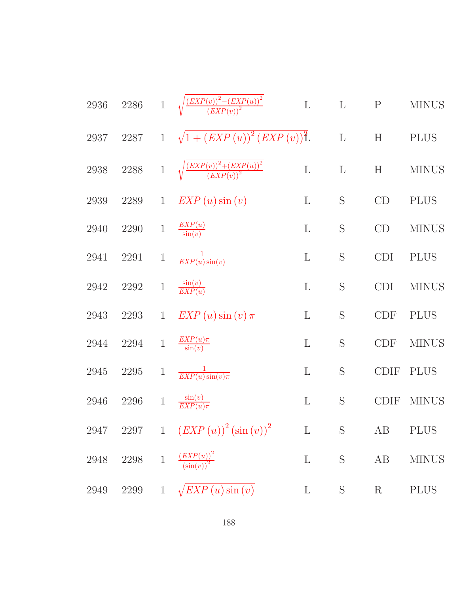| $2936\,$ | $2286\,$ | $\mathbf{1}$    | $\sqrt{\frac{(EXP(v))^2-(EXP(u))^2}{(EXP(v))^2}}$                                   | $\mathbf L$  | $\mathbf L$  | ${\bf P}$                 | <b>MINUS</b> |
|----------|----------|-----------------|-------------------------------------------------------------------------------------|--------------|--------------|---------------------------|--------------|
| 2937     | 2287     | $1\overline{ }$ | $\sqrt{1 + (EXP(u))^{2} (EXP(v))^{2}}$                                              |              | $\mathbf L$  | $\boldsymbol{\mathrm{H}}$ | <b>PLUS</b>  |
| $2938\,$ | $2288\,$ | $\mathbf 1$     | $\frac{\left( EXP(v) \right)^2 + \left( EXP(u) \right)^2}{\left( EXP(v) \right)^2}$ | $\mathbf L$  | $\mathbf{L}$ | H                         | <b>MINUS</b> |
| $2939\,$ | 2289     | $\mathbf{1}$    | $EXP(u) \sin(v)$                                                                    | $\mathbf{L}$ | S            | CD                        | <b>PLUS</b>  |
| 2940     | 2290     | $\mathbf{1}$    | $\frac{EXP(u)}{\sin(v)}$                                                            | $\mathbf{L}$ | S            | CD                        | <b>MINUS</b> |
| 2941     | 2291     | $\mathbf{1}$    | $\frac{1}{EXP(u)\sin(v)}$                                                           | $\mathbf{L}$ | S            | <b>CDI</b>                | <b>PLUS</b>  |
| 2942     | 2292     | $\,1$           | $\frac{\sin(v)}{EXP(u)}$                                                            | $\mathbf{L}$ | S            | <b>CDI</b>                | <b>MINUS</b> |
| 2943     | 2293     | $\mathbf{1}$    | $EXP(u) \sin(v) \pi$                                                                | $\Gamma$     | S            | <b>CDF</b>                | <b>PLUS</b>  |
| 2944     | 2294     | $\,1$           | $\frac{EXP(u)\pi}{\sin(v)}$                                                         | $\mathbf{L}$ | S            | CDF                       | <b>MINUS</b> |
| 2945     | 2295     | $\mathbf{1}$    | $\frac{1}{EXP(u)\sin(v)\pi}$                                                        | $\Gamma$     | S            | <b>CDIF</b>               | <b>PLUS</b>  |
| 2946     | $2296\,$ | $\,1$           | $\frac{\sin(v)}{EXP(u)\pi}$                                                         | $\mathbf L$  | S            | <b>CDIF</b>               | <b>MINUS</b> |
|          |          |                 | 2947 2297 1 $(EXP(u))^2 (\sin(v))^2$ L S AB PLUS                                    |              |              |                           |              |
|          |          |                 | 2948 2298 1 $\frac{(EXP(u))^2}{(\sin(v))^2}$                                        | $\mathbf L$  | $\mathbf S$  | AB                        | <b>MINUS</b> |
|          |          |                 | 2949 2299 1 $\sqrt{EXP(u)\sin(v)}$                                                  |              | L S          | R                         | <b>PLUS</b>  |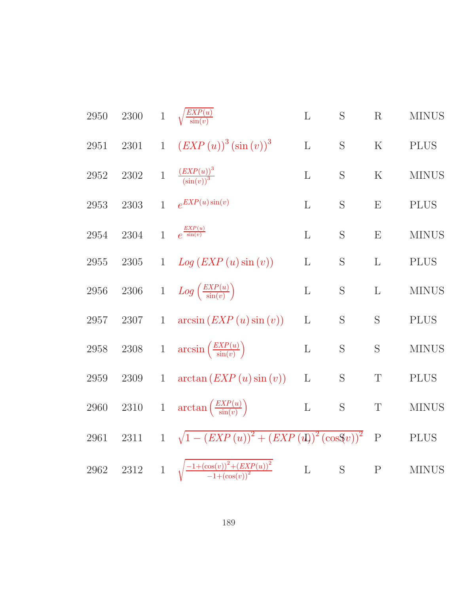| $2300\,$ |              |                               | $\Gamma$                                                                                                                                                                                                                                                                           | S           | $\mathbf R$                                               | <b>MINUS</b> |
|----------|--------------|-------------------------------|------------------------------------------------------------------------------------------------------------------------------------------------------------------------------------------------------------------------------------------------------------------------------------|-------------|-----------------------------------------------------------|--------------|
| $2301\,$ |              | $(EXP(u))^{3}(\sin(v))^{3}$   | $\mathbf L$                                                                                                                                                                                                                                                                        | S           | ${\bf K}$                                                 | <b>PLUS</b>  |
| $2302\,$ | $\mathbf{1}$ |                               | $\mathbf{L}$                                                                                                                                                                                                                                                                       | S           | $\mathbf K$                                               | <b>MINUS</b> |
| $2303\,$ | $\mathbf{1}$ | $e^{EXP(u)\sin(v)}$           | $\mathbf{L}$                                                                                                                                                                                                                                                                       | S           | E                                                         | <b>PLUS</b>  |
| 2304     | $\mathbf{1}$ | $e^{\frac{EXP(u)}{\sin(v)}}$  | L                                                                                                                                                                                                                                                                                  | S           | E                                                         | <b>MINUS</b> |
| $2305\,$ | $\mathbf{1}$ | Log (EXP(u)sin (v))           | L                                                                                                                                                                                                                                                                                  | $\mathbf S$ | $\mathbf{L}$                                              | <b>PLUS</b>  |
| 2306     | $\,1$        |                               | $\mathbf L$                                                                                                                                                                                                                                                                        | S           | $\mathbf{L}$                                              | <b>MINUS</b> |
| 2307     | $\mathbf{1}$ | arcsin (EXP(u)sin (v))        | $\mathbf{L}$                                                                                                                                                                                                                                                                       | S           | S                                                         | <b>PLUS</b>  |
| $2308\,$ |              |                               | $\mathbf{L}$                                                                                                                                                                                                                                                                       | $\mathbf S$ | S                                                         | <b>MINUS</b> |
| 2309     | $\mathbf{1}$ | arctan (EXP(u)sin (v))        | L                                                                                                                                                                                                                                                                                  | S           | $\mathbf T$                                               | <b>PLUS</b>  |
| $2310\,$ |              |                               | $\mathbf L$                                                                                                                                                                                                                                                                        | $\mathbf S$ | $\mathbf T$                                               | <b>MINUS</b> |
| $2311\,$ |              |                               |                                                                                                                                                                                                                                                                                    |             | $\mathbf{P}$                                              | <b>PLUS</b>  |
| $2312\,$ |              |                               | $\mathbf L$                                                                                                                                                                                                                                                                        | $\mathbf S$ | ${\bf P}$                                                 | <b>MINUS</b> |
|          |              | $\overline{1}$<br>$\mathbf 1$ | 1 $\sqrt{\frac{EXP(u)}{\sin(v)}}$<br>$\frac{(EXP(u))^3}{(\sin(v))^3}$<br>$Log\left(\frac{EXP(u)}{\sin(v)}\right)$<br>1 $\arcsin\left(\frac{EXP(u)}{\sin(v)}\right)$<br>$\arctan\left(\frac{EXP(u)}{\sin(v)}\right)$<br>$1 \sqrt{\frac{-1+(\cos(v))^2+(EXP(u))^2}{-1+(\cos(v))^2}}$ |             | 1 $\sqrt{1 - (EXP(u))^{2} + (EXP(u))^{2} (\cos 9u))^{2}}$ |              |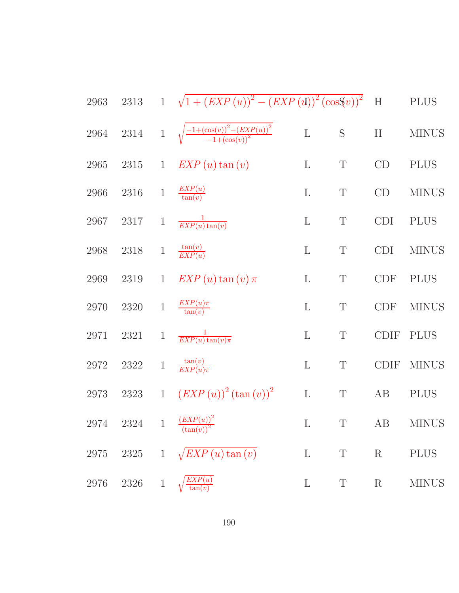| 2963       | $2313\,$ |              | 1 $\sqrt{1 + (EXP(u))^{2} - (EXP(u))^{2} (\cos 9v))^{2}}$   |              |             | $\mathbf H$ | <b>PLUS</b>  |
|------------|----------|--------------|-------------------------------------------------------------|--------------|-------------|-------------|--------------|
| $\,2964$   | 2314     |              | 1 $\sqrt{\frac{-1+(\cos(v))^2-(EXP(u))^2}{-1+(\cos(v))^2}}$ | $\mathbf L$  | S           | H           | <b>MINUS</b> |
| $\,2965$   | $2315\,$ | $\mathbf{1}$ | $EXP(u) \tan(v)$                                            | $\mathbf L$  | $\mathbf T$ | CD          | <b>PLUS</b>  |
| 2966       | $2316\,$ | $\,1$        | $\frac{EXP(u)}{\tan(v)}$                                    | $\mathbf{L}$ | $\mathbf T$ | CD          | <b>MINUS</b> |
| 2967       | 2317     | $\mathbf{1}$ | $\frac{1}{EXP(u)\tan(v)}$                                   | $\Gamma$     | $\mathbf T$ | CDI         | <b>PLUS</b>  |
| $\,2968$   | $2318\,$ | $\mathbf{1}$ | $\frac{\tan(v)}{EXP(u)}$                                    | $\mathbf{L}$ | $\mathbf T$ | <b>CDI</b>  | <b>MINUS</b> |
| 2969       | $2319\,$ | $\mathbf{1}$ | $EXP(u) \tan(v) \pi$                                        | $\Gamma$     | $\mathbf T$ | CDF         | <b>PLUS</b>  |
| 2970       | $2320\,$ | $1\,$        | $\frac{EXP(u)\pi}{\tan(v)}$                                 | $\mathbf{L}$ | $\mathbf T$ | CDF         | <b>MINUS</b> |
| $\bf 2971$ | 2321     | $\mathbf{1}$ | $\frac{1}{EXP(u)\tan(v)\pi}$                                | $\mathbf{L}$ | $\mathbf T$ | <b>CDIF</b> | <b>PLUS</b>  |
| $2972\,$   | $2322\,$ | $\,1$        | $\frac{\tan(v)}{EXP(u)\pi}$                                 | $\mathbf{L}$ | $\mathbf T$ | <b>CDIF</b> | <b>MINUS</b> |
| 2973       | 2323     | 1            | $(EXP(u))^{2} (\tan(v))^{2}$                                | $\mathbf L$  | $\mathbf T$ | AB          | <b>PLUS</b>  |
| 2974       |          |              | 2324 1 $\frac{(EXP(u))^2}{(\tan(v))^2}$                     | $\mathbf{L}$ | T           |             | AB MINUS     |
| $2975\,$   | 2325     | $\mathbf{1}$ | $\sqrt{EXP(u)\tan(v)}$                                      | $\mathbf{L}$ | $\mathbf T$ | $\mathbf R$ | <b>PLUS</b>  |
| 2976       | 2326     | $\mathbf{1}$ | $\textit{EXP}(u)$<br>$\tan(v)$                              | $\Gamma$     | T           | $\rm R$     | <b>MINUS</b> |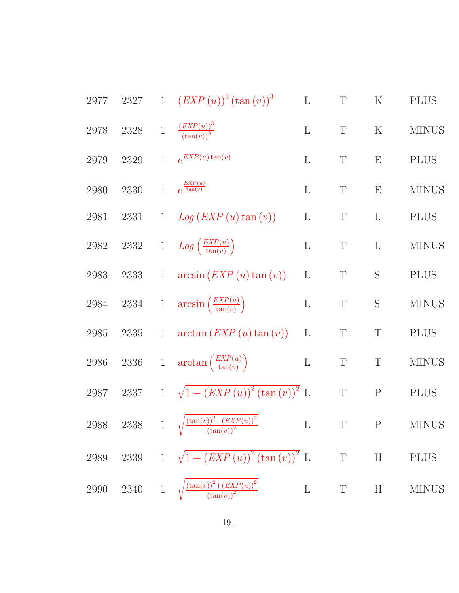| $2977\,$            | $2327\,$ |              | 1 $(EXP(u))^{3}(\tan(v))^{3}$                                                        | $\mathbf L$  | $\mathbf T$ | $\mathbf K$ | <b>PLUS</b>  |
|---------------------|----------|--------------|--------------------------------------------------------------------------------------|--------------|-------------|-------------|--------------|
| 2978                | $2328\,$ | $1\,$        | $\frac{(EXP(u))^3}{(\tan(v))^3}$                                                     | $\mathbf{L}$ | $\mathbf T$ | $\rm K$     | <b>MINUS</b> |
| 2979                | 2329     | $\mathbf{1}$ | $e^{EXP(u)\tan(v)}$                                                                  | $\mathbf L$  | $\mathbf T$ | E           | <b>PLUS</b>  |
| 2980                | 2330     | $\mathbf{1}$ | $e^{\frac{EXP(u)}{\tan(v)}}$                                                         | $\mathbf{L}$ | $\mathbf T$ | E           | <b>MINUS</b> |
| 2981                | 2331     | $\mathbf{1}$ | $Log (EXP(u) \tan (v))$                                                              | $\Gamma$     | $\mathbf T$ | $\Gamma$    | <b>PLUS</b>  |
| $2982\,$            | $2332\,$ |              | 1 $Log\left(\frac{EXP(u)}{tan(v)}\right)$                                            | $\Gamma$     | $\mathbf T$ | $\Gamma$    | <b>MINUS</b> |
| 2983                | $2333\,$ | $\mathbf{1}$ | $arcsin (EXP(u) \tan (v))$                                                           | $\Gamma$     | T           | S           | <b>PLUS</b>  |
| $\boldsymbol{2984}$ | $2334\,$ |              | 1 $\arcsin\left(\frac{EXP(u)}{\tan(v)}\right)$                                       | $\Gamma$     | $\mathbf T$ | S           | <b>MINUS</b> |
| $\boldsymbol{2985}$ | $2335\,$ | $\mathbf{1}$ | $arctan (EXP(u) \tan (v))$                                                           | L            | $\mathbf T$ | $\mathbf T$ | <b>PLUS</b>  |
| $2986\,$            | $2336\,$ |              | 1 $\arctan\left(\frac{EXP(u)}{\tan(v)}\right)$                                       | $\mathbf{L}$ | $\mathbf T$ | $\mathbf T$ | <b>MINUS</b> |
| 2987                | $2337\,$ |              | $1 \sqrt{1-(EXP(u))^{2} (\tan(v))^{2}} L$                                            |              | $\mathbf T$ | ${\bf P}$   | <b>PLUS</b>  |
| $2988\,$            | $2338\,$ | $\mathbf{1}$ | $\sqrt{\frac{\left(\tan(v)\right)^2-\left(EXP(u)\right)^2}{\left(\tan(v)\right)^2}}$ | $\Gamma$     | $\mathbf T$ | ${\bf P}$   | <b>MINUS</b> |
| 2989                | $2339\,$ | $\mathbf{1}$ | $\sqrt{1 + (EXP(u))^{2} (\tan(v))^{2}}$ L                                            |              | $\mathbf T$ | H           | <b>PLUS</b>  |
| 2990                | 2340     | $\mathbf{1}$ | $\overline{\left(\tan(v)\right)^2 + \left( EXP(u)\right)^2}$<br>$(\tan(v))^2$        | $\Gamma$     | T           | H           | <b>MINUS</b> |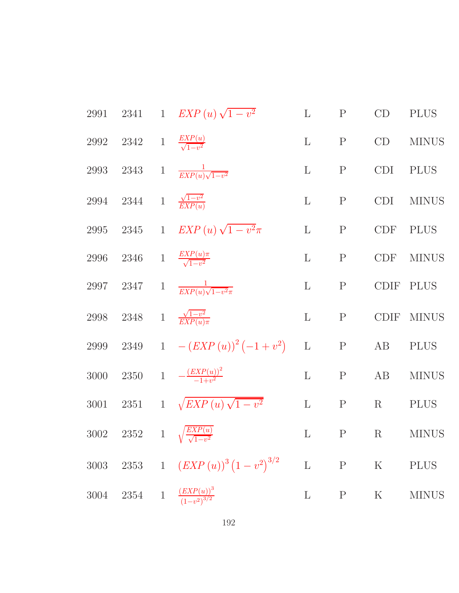| 2991     |                                           | 2341 1 $EXP(u)\sqrt{1-v^2}$                      | $\mathbf{L}$ | $\mathbf{P}$ | CD          | <b>PLUS</b>  |
|----------|-------------------------------------------|--------------------------------------------------|--------------|--------------|-------------|--------------|
| 2992     | 2342 1 $\frac{EXP(u)}{\sqrt{1-v^2}}$      |                                                  | $\mathbf L$  | $\mathbf{P}$ | CD          | <b>MINUS</b> |
|          |                                           | 2993 2343 1 $\frac{1}{EXP(u)\sqrt{1-v^2}}$       | $\mathbf{L}$ | $\mathbf P$  | <b>CDI</b>  | <b>PLUS</b>  |
|          | 2994 2344 1 $\frac{\sqrt{1-v^2}}{EXP(u)}$ |                                                  | $\mathbf{L}$ | $\mathbf{P}$ | CDI         | <b>MINUS</b> |
|          |                                           | 2995 2345 1 $EXP(u)\sqrt{1-v^2}\pi$              | $\mathbf{L}$ | P            | <b>CDF</b>  | <b>PLUS</b>  |
| 2996     |                                           | 2346 1 $\frac{EXP(u)\pi}{\sqrt{1-v^2}}$          | $\mathbf{L}$ | P            | <b>CDF</b>  | <b>MINUS</b> |
| 2997     |                                           | 2347 1 $\frac{1}{EXP(u)\sqrt{1-v^2\pi}}$         | $\mathbf{L}$ | ${\bf P}$    |             | CDIF PLUS    |
| 2998     |                                           | 2348 1 $\frac{\sqrt{1-v^2}}{EXP(u)\pi}$          | $\mathbf L$  | $\mathbf{P}$ |             | CDIF MINUS   |
|          |                                           | 2999 2349 1 $-(EXP(u))^2(-1+v^2)$                | $\mathbf{L}$ | P            | AB          | <b>PLUS</b>  |
| 3000     |                                           | 2350 1 $-\frac{(EXP(u))^2}{-1+v^2}$              | $\mathbf{L}$ | P            | AB          | <b>MINUS</b> |
| 3001     |                                           | 2351 1 $\sqrt{EXP(u)\sqrt{1-v^2}}$               | $\mathbf{L}$ | P            | R           | <b>PLUS</b>  |
|          |                                           | 3002 2352 1 $\sqrt{\frac{EXP(u)}{\sqrt{1-v^2}}}$ | $\mathbf{L}$ | $\mathbf{P}$ | $\mathbf R$ | <b>MINUS</b> |
| $3003\,$ |                                           | 2353 1 $(EXP(u))^3(1-v^2)^{3/2}$                 | $\mathbf L$  | $\mathbf{P}$ | $\rm K$     | <b>PLUS</b>  |
| 3004     |                                           | 2354 1 $\frac{(EXP(u))^3}{(1-v^2)^{3/2}}$        | $\mathbf{L}$ | $\mathbf P$  | $\rm K$     | <b>MINUS</b> |
|          |                                           |                                                  |              |              |             |              |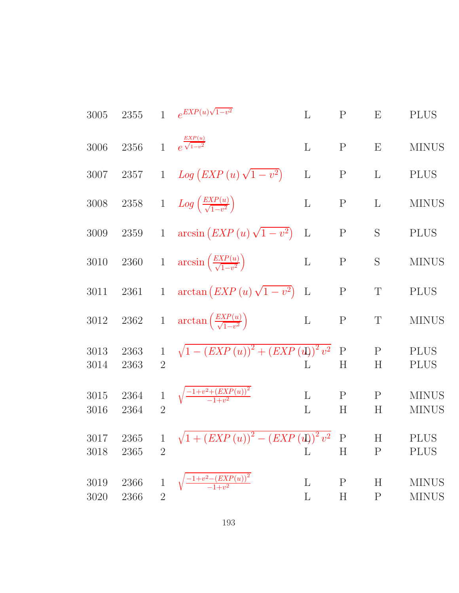| 3005             | 2355         | $\mathbf{1}$                   | $e^{EXP(u)\sqrt{1-v^2}}$                            | $\Gamma$     | ${\bf P}$                | E                 | <b>PLUS</b>                  |
|------------------|--------------|--------------------------------|-----------------------------------------------------|--------------|--------------------------|-------------------|------------------------------|
| 3006             | 2356         | $\overline{1}$                 | $\frac{EXP(u)}{e^{\sqrt{1-v^2}}}$                   | L            | $\mathbf P$              | $\mathbf{E}$      | <b>MINUS</b>                 |
| 3007             | $2357\,$     | $\mathbf{1}$                   | $Log (EXP(u) \sqrt{1-v^2})$                         | $\mathbf L$  | $\mathbf P$              | $\mathbf{L}$      | <b>PLUS</b>                  |
| 3008             | $2358\,$     |                                | 1 $Log\left(\frac{EXP(u)}{\sqrt{1-v^2}}\right)$     | $\Gamma$     | ${\bf P}$                | $\mathbf{L}$      | <b>MINUS</b>                 |
| 3009             | $2359\,$     | $\mathbf{1}$                   | $arcsin (EXP(u)\sqrt{1-v^2})$                       | $\Gamma$     | $\mathbf{P}$             | S                 | <b>PLUS</b>                  |
| $3010\,$         | 2360         |                                | 1 $\arcsin\left(\frac{EXP(u)}{\sqrt{1-v^2}}\right)$ | $\mathbf L$  | $\mathbf P$              | S                 | <b>MINUS</b>                 |
| $3011\,$         | $2361\,$     | $\mathbf{1}$                   | $\arctan\left( EXP(u)\sqrt{1-v^2}\right)$           | $\mathbf{L}$ | ${\bf P}$                | $\mathbf T$       | <b>PLUS</b>                  |
| $3012\,$         | $2362\,$     | $\,1$                          | $\arctan\left(\frac{EXP(u)}{\sqrt{1-v^2}}\right)$   | $\mathbf L$  | ${\bf P}$                | $\mathbf T$       | <b>MINUS</b>                 |
| 3013<br>3014     | 2363<br>2363 | $\mathbf{1}$<br>$\overline{2}$ | $\sqrt{1-(EXP(u))^{2}+(EXP(u))^{2}v^{2}}$           | L            | $\mathbf P$<br>H         | $\mathbf{P}$<br>H | <b>PLUS</b><br><b>PLUS</b>   |
| 3015<br>3016     | 2364<br>2364 | $\mathbf{1}$<br>$\overline{2}$ | $\sqrt{\frac{-1+v^2+(EXP(u))^2}{-1+v^2}}$           | L<br>L       | $\mathbf{P}$<br>H        | $\mathbf{P}$<br>H | <b>MINUS</b><br><b>MINUS</b> |
| 3017<br>3018     | 2365<br>2365 | $\overline{2}$                 | 1 $\sqrt{1 + (EXP(u))^{2} - (EXP(u))^{2}v^{2}}$ P   | L            | $H_{\rm}$                | H<br>$\mathbf{P}$ | <b>PLUS</b><br><b>PLUS</b>   |
| $3019\,$<br>3020 | 2366<br>2366 | $\overline{2}$                 | $\frac{1+v^2-(EXP(u))^2}{-1+v^2}$                   | L<br>L       | $\mathbf P$<br>$H_{\rm}$ | H<br>$\mathbf P$  | <b>MINUS</b><br><b>MINUS</b> |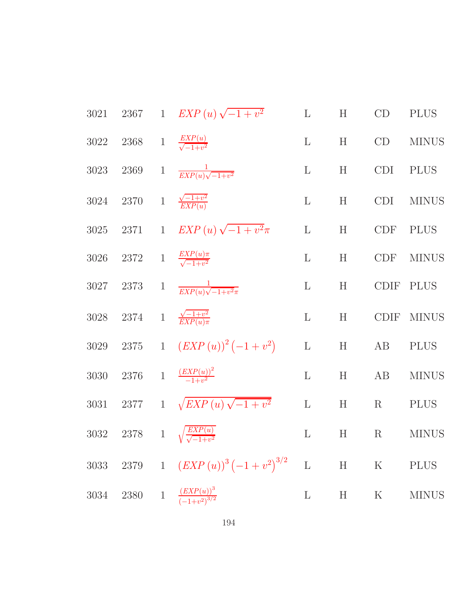| 3021     |                  | 2367 1 $EXP(u)\sqrt{-1+v^2}$              | $\mathbf{L}$ | H     | CD          | <b>PLUS</b>  |
|----------|------------------|-------------------------------------------|--------------|-------|-------------|--------------|
| 3022     |                  | 2368 1 $\frac{EXP(u)}{\sqrt{-1+v^2}}$     | $\mathbf{L}$ | H     | CD          | <b>MINUS</b> |
| 3023     |                  | 2369 1 $\frac{1}{EXP(u)\sqrt{-1+v^2}}$    | $\mathbf{L}$ | H     | <b>CDI</b>  | <b>PLUS</b>  |
| 3024     |                  | 2370 1 $\frac{\sqrt{-1+v^2}}{EXP(u)}$     | $\mathbf{L}$ | H     | CDI         | <b>MINUS</b> |
| 3025     |                  | 2371 1 $EXP(u)\sqrt{-1+v^2}\pi$           | $\mathbf{L}$ | H     | <b>CDF</b>  | <b>PLUS</b>  |
| 3026     |                  | 2372 1 $\frac{EXP(u)\pi}{\sqrt{-1+v^2}}$  | $\mathbf{L}$ | H     | <b>CDF</b>  | <b>MINUS</b> |
| 3027     |                  | 2373 1 $\frac{1}{EXP(u)\sqrt{-1+v^2\pi}}$ | $\mathbf{L}$ | H     |             | CDIF PLUS    |
| 3028     |                  | 2374 1 $\frac{\sqrt{-1+v^2}}{EXP(u)\pi}$  | $\mathbf{L}$ | H     | <b>CDIF</b> | <b>MINUS</b> |
| $3029\,$ |                  | 2375 1 $(EXP(u))^2(-1+v^2)$               | $\mathbf L$  | H     | AB          | <b>PLUS</b>  |
| 3030     | 2376             | 1 $\frac{(EXP(u))^2}{-1+v^2}$             | $\mathbf{L}$ | H     | AB          | <b>MINUS</b> |
| 3031     |                  | 2377 1 $\sqrt{EXP(u)\sqrt{-1+v^2}}$       | $\mathbf L$  | H     | $\rm R$     | <b>PLUS</b>  |
|          | 3032 2378        | 1 $\sqrt{\frac{EXP(u)}{\sqrt{-1+v^2}}}$   | $\mathbf{L}$ | H     | $\rm R$     | <b>MINUS</b> |
| $3033\,$ |                  | 2379 1 $(EXP (u))^3 (-1 + v^2)^{3/2}$     | $\mathbf{L}$ | $H$ K |             | <b>PLUS</b>  |
| 3034     | $2380\quad \  1$ | $\frac{(EXP(u))^3}{(-1+v^2)^{3/2}}$       | $\mathbf{L}$ | H     | $\rm K$     | <b>MINUS</b> |
|          |                  |                                           |              |       |             |              |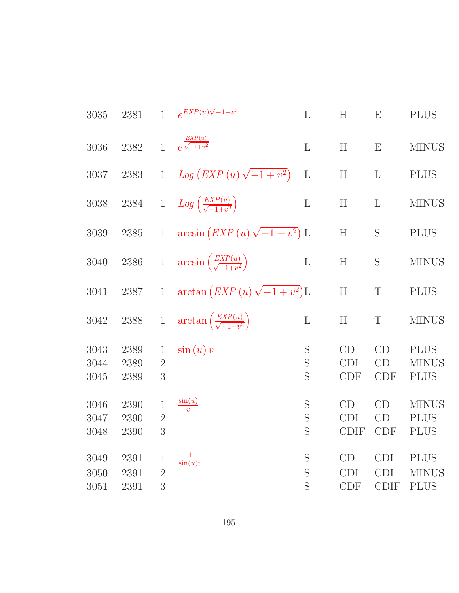| 3035                 | 2381                 | $\mathbf{1}$                        | $e^{EXP(u)\sqrt{-1+v^2}}$                          | L            | H                               | E                                       | <b>PLUS</b>                                |
|----------------------|----------------------|-------------------------------------|----------------------------------------------------|--------------|---------------------------------|-----------------------------------------|--------------------------------------------|
| 3036                 | 2382                 | $\mathbf{1}$                        | $e^{\frac{EXP(u)}{\sqrt{-1+v^2}}}$                 | L            | H                               | E                                       | <b>MINUS</b>                               |
| 3037                 | $2383\,$             | $\mathbf{1}$                        | $Log (EXP(u) \sqrt{-1 + v^2})$                     | $\mathbf{L}$ | H                               | $\mathbf{L}$                            | <b>PLUS</b>                                |
| 3038                 | $\,2384$             | $\,1$                               | $Log\left(\frac{EXP(u)}{\sqrt{-1+v^2}}\right)$     | $\mathbf{L}$ | H                               | $\mathbf{L}$                            | <b>MINUS</b>                               |
| 3039                 | 2385                 | $\mathbf{1}$                        | $arcsin (EXP(u)\sqrt{-1+v^2}) L$                   |              | H                               | S                                       | <b>PLUS</b>                                |
| 3040                 | 2386                 | $\,1$                               | $arcsin\left(\frac{EXP(u)}{\sqrt{-1+v^2}}\right)$  | $\mathbf{L}$ | H                               | S                                       | <b>MINUS</b>                               |
| 3041                 | 2387                 | $\mathbf{1}$                        | $\arctan\left( EXP(u)\sqrt{-1+v^2}\right) L$       |              | H                               | $\mathbf T$                             | <b>PLUS</b>                                |
| 3042                 | 2388                 | $\,1$                               | $\arctan\left(\frac{EXP(u)}{\sqrt{-1+v^2}}\right)$ | $\mathbf L$  | H                               | $\boldsymbol{T}$                        | <b>MINUS</b>                               |
| 3043<br>3044<br>3045 | 2389<br>2389<br>2389 | $\mathbf{1}$<br>$\overline{2}$<br>3 | $\sin(u)v$                                         | S<br>S<br>S  | CD<br><b>CDI</b><br><b>CDF</b>  | CD<br>CD<br><b>CDF</b>                  | <b>PLUS</b><br><b>MINUS</b><br><b>PLUS</b> |
| 3046<br>3047<br>3048 | 2390<br>2390<br>2390 | $\mathbf 1$<br>$\overline{2}$<br>3  | $\frac{\sin(u)}{v}$                                | S<br>S<br>S  | CD<br><b>CDI</b><br><b>CDIF</b> | CD<br>CD<br><b>CDF</b>                  | <b>MINUS</b><br><b>PLUS</b><br><b>PLUS</b> |
| 3049<br>3050<br>3051 | 2391<br>2391<br>2391 | $\mathbf{1}$<br>$\overline{2}$<br>3 | $rac{1}{\sin(u)v}$                                 | S<br>S<br>S  | CD<br><b>CDI</b><br><b>CDF</b>  | <b>CDI</b><br><b>CDI</b><br><b>CDIF</b> | <b>PLUS</b><br><b>MINUS</b><br><b>PLUS</b> |
|                      |                      |                                     |                                                    |              |                                 |                                         |                                            |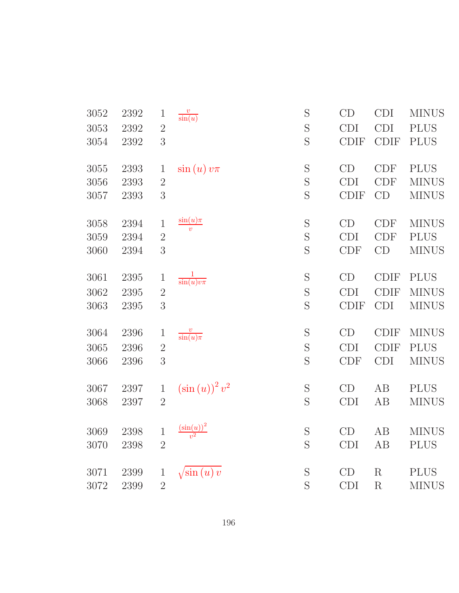| 3052 | 2392 | $\mathbf{1}$   | $\frac{v}{\sin(u)}$                  | S           | CD          | <b>CDI</b>  | <b>MINUS</b> |
|------|------|----------------|--------------------------------------|-------------|-------------|-------------|--------------|
| 3053 | 2392 | $\overline{2}$ |                                      | S           | <b>CDI</b>  | <b>CDI</b>  | <b>PLUS</b>  |
| 3054 | 2392 | 3              |                                      | S           | <b>CDIF</b> | <b>CDIF</b> | <b>PLUS</b>  |
| 3055 | 2393 | $\mathbf{1}$   | $\sin(u)v\pi$                        | S           | CD          | <b>CDF</b>  | <b>PLUS</b>  |
| 3056 | 2393 | $\overline{2}$ |                                      | S           | <b>CDI</b>  | CDF         | <b>MINUS</b> |
| 3057 | 2393 | $\overline{3}$ |                                      | S           | <b>CDIF</b> | CD          | <b>MINUS</b> |
| 3058 | 2394 | $\,1$          | $\frac{\sin(u)\pi}{v}$               | $\mathbf S$ | CD          | <b>CDF</b>  | <b>MINUS</b> |
| 3059 | 2394 | $\sqrt{2}$     |                                      | S           | <b>CDI</b>  | <b>CDF</b>  | <b>PLUS</b>  |
| 3060 | 2394 | 3              |                                      | S           | <b>CDF</b>  | CD          | <b>MINUS</b> |
| 3061 | 2395 | $\mathbf 1$    | $\frac{1}{\sin(u)v\pi}$              | S           | CD          | <b>CDIF</b> | <b>PLUS</b>  |
| 3062 | 2395 | $\overline{2}$ |                                      | S           | <b>CDI</b>  | <b>CDIF</b> | <b>MINUS</b> |
| 3063 | 2395 | 3              |                                      | S           | <b>CDIF</b> | <b>CDI</b>  | <b>MINUS</b> |
| 3064 | 2396 | $\mathbf 1$    | $\frac{v}{\sin(u)\pi}$               | S           | CD          | <b>CDIF</b> | <b>MINUS</b> |
| 3065 | 2396 | $\overline{2}$ |                                      | $\mathbf S$ | <b>CDI</b>  | <b>CDIF</b> | <b>PLUS</b>  |
| 3066 | 2396 | 3              |                                      | S           | CDF         | <b>CDI</b>  | <b>MINUS</b> |
| 3067 | 2397 | $\mathbf{1}$   | $(\sin(u))^2 v^2$                    | $\mathbf S$ | CD          | AB          | <b>PLUS</b>  |
| 3068 | 2397 | $\overline{2}$ |                                      | S           | <b>CDI</b>  | AB          | <b>MINUS</b> |
| 3069 | 2398 | $\,1$          | $\frac{\left(\sin(u)\right)^2}{v^2}$ | S           | CD          | AB          | <b>MINUS</b> |
| 3070 | 2398 | $\overline{2}$ |                                      | S           | CDI         | AB          | <b>PLUS</b>  |
| 3071 | 2399 | $\mathbf{1}$   | $\sqrt{\sin(u)} v$                   | $\mathbf S$ | CD          | R           | <b>PLUS</b>  |
| 3072 | 2399 | $\overline{2}$ |                                      | S           | <b>CDI</b>  | $\mathbf R$ | <b>MINUS</b> |
|      |      |                |                                      |             |             |             |              |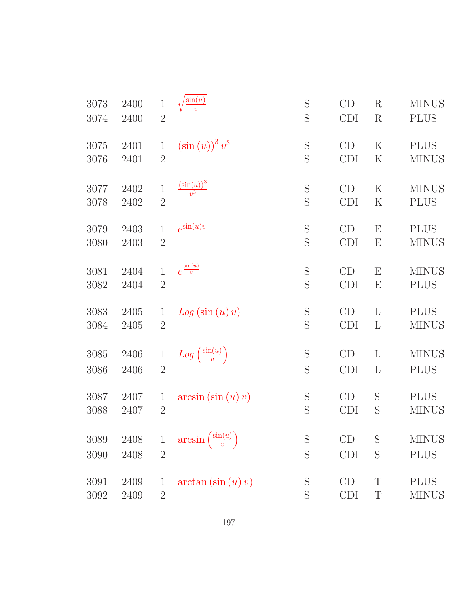| 3073 | 2400 | $\mathbf{1}$   | $\sin(u)$                               | S           | CD         | $\rm R$  | <b>MINUS</b> |
|------|------|----------------|-----------------------------------------|-------------|------------|----------|--------------|
| 3074 | 2400 | $\overline{2}$ |                                         | S           | <b>CDI</b> | $\rm R$  | <b>PLUS</b>  |
| 3075 | 2401 | $\mathbf{1}$   | $\left(\sin\left(u\right)\right)^3 v^3$ | S           | CD         | $\rm K$  | <b>PLUS</b>  |
| 3076 | 2401 | $\overline{2}$ |                                         | S           | <b>CDI</b> | $\rm K$  | <b>MINUS</b> |
| 3077 | 2402 | $\mathbf{1}$   | $\frac{\left(\sin(u)\right)^3}{v^3}$    | S           | CD         | $\rm K$  | <b>MINUS</b> |
| 3078 | 2402 | $\overline{2}$ |                                         | S           | <b>CDI</b> | $\rm K$  | <b>PLUS</b>  |
| 3079 | 2403 | $\mathbf{1}$   | $e^{\sin(u)v}$                          | $\mathbf S$ | CD         | E        | <b>PLUS</b>  |
| 3080 | 2403 | $\sqrt{2}$     |                                         | S           | <b>CDI</b> | E        | <b>MINUS</b> |
| 3081 | 2404 | 1              | $e^{\frac{\sin(u)}{v}}$                 | $\mathbf S$ | CD         | E        | <b>MINUS</b> |
| 3082 | 2404 | $\overline{2}$ |                                         | S           | <b>CDI</b> | E        | <b>PLUS</b>  |
| 3083 | 2405 | $\mathbf{1}$   | Log(sin(u)v)                            | S           | CD         | L        | <b>PLUS</b>  |
| 3084 | 2405 | $\overline{2}$ |                                         | S           | <b>CDI</b> | L        | <b>MINUS</b> |
| 3085 | 2406 | $\mathbf{1}$   | $Log\left(\frac{\sin(u)}{v}\right)$     | S           | CD         | L        | <b>MINUS</b> |
| 3086 | 2406 | $\overline{2}$ |                                         | S           | <b>CDI</b> | $\Gamma$ | <b>PLUS</b>  |
| 3087 | 2407 | $\mathbf 1$    | $arcsin(\sin(u)v)$                      | $\mathbf S$ | CD         | S        | <b>PLUS</b>  |
| 3088 | 2407 | $\overline{2}$ |                                         | S           | <b>CDI</b> | S        | <b>MINUS</b> |
| 3089 | 2408 | $\mathbf 1$    | $\arcsin\left(\frac{\sin(u)}{v}\right)$ | S           | CD         | S        | <b>MINUS</b> |
| 3090 | 2408 | $\sqrt{2}$     |                                         | S           | <b>CDI</b> | S        | <b>PLUS</b>  |
| 3091 | 2409 | $\mathbf 1$    | $arctan(\sin(u)v)$                      | S           | CD         | T        | <b>PLUS</b>  |
| 3092 | 2409 | $\overline{2}$ |                                         | S           | <b>CDI</b> | T        | <b>MINUS</b> |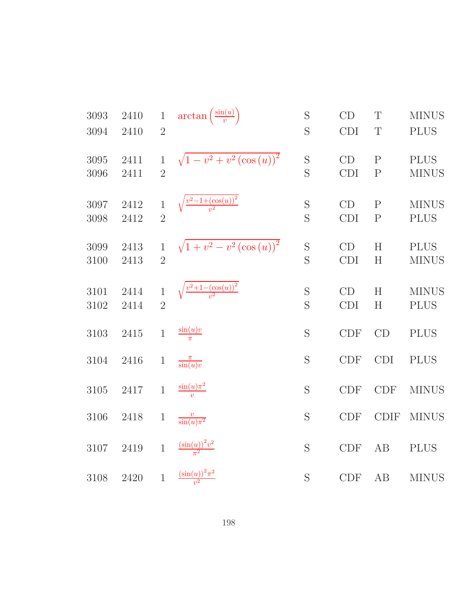| 3093<br>3094 | 2410<br>2410 | $\,1$<br>$\overline{2}$        | $\arctan\left(\frac{\sin(u)}{v}\right)$    | S<br>S           | CD<br>CDI        | T<br>T                       | <b>MINUS</b><br><b>PLUS</b> |
|--------------|--------------|--------------------------------|--------------------------------------------|------------------|------------------|------------------------------|-----------------------------|
| 3095<br>3096 | 2411<br>2411 | $\mathbf{1}$<br>$\overline{2}$ | $\sqrt{1-v^2+v^2(\cos(u))^2}$              | S<br>S           | CD<br><b>CDI</b> | $\mathbf{P}$<br>$\mathbf{P}$ | <b>PLUS</b><br><b>MINUS</b> |
| 3097<br>3098 | 2412<br>2412 | $\mathbf{1}$<br>$\overline{2}$ | $\sqrt{\frac{v^2-1+(\cos(u))^2}{v^2}}$     | S<br>S           | CD<br><b>CDI</b> | $\mathbf{P}$<br>$\mathbf{P}$ | <b>MINUS</b><br><b>PLUS</b> |
| 3099<br>3100 | 2413<br>2413 | $\mathbf{1}$<br>$\overline{2}$ | $\sqrt{1+v^2-v^2(\cos(u))^2}$              | $\mathbf S$<br>S | CD<br><b>CDI</b> | H<br>H                       | <b>PLUS</b><br><b>MINUS</b> |
| 3101<br>3102 | 2414<br>2414 | $\mathbf{1}$<br>$\overline{2}$ | $\sqrt{\frac{v^2+1-(\cos(u))^2}{v^2}}$     | S<br>S           | CD<br><b>CDI</b> | H<br>H                       | <b>MINUS</b><br><b>PLUS</b> |
| $3103\,$     | 2415         | $\mathbf{1}$                   | $\frac{\sin(u)v}{\pi}$                     | S                | <b>CDF</b>       | CD                           | <b>PLUS</b>                 |
| 3104         | 2416         | $\mathbf{1}$                   | $\frac{\pi}{\sin(u)v}$                     | S                | <b>CDF</b>       | <b>CDI</b>                   | <b>PLUS</b>                 |
| 3105         | 2417         | $\mathbf{1}$                   | $\frac{\sin(u)\pi^2}{v}$                   | S                | <b>CDF</b>       | CDF                          | <b>MINUS</b>                |
| $3106\,$     | 2418         | $\,1$                          | $\frac{v}{\sin(u)\pi^2}$                   | S                | CDF              | <b>CDIF</b>                  | <b>MINUS</b>                |
| 3107         | $2419\,$     | $\mathbf{1}$                   | $\frac{\left(\sin(u)\right)^2 v^2}{\pi^2}$ | S                | CDF              | AB                           | <b>PLUS</b>                 |
| 3108         | 2420         | $\mathbf{1}$                   | $\frac{(\sin(u))^{2}\pi^{2}}{u^{2}}$       | S                | CDF              | AB                           | <b>MINUS</b>                |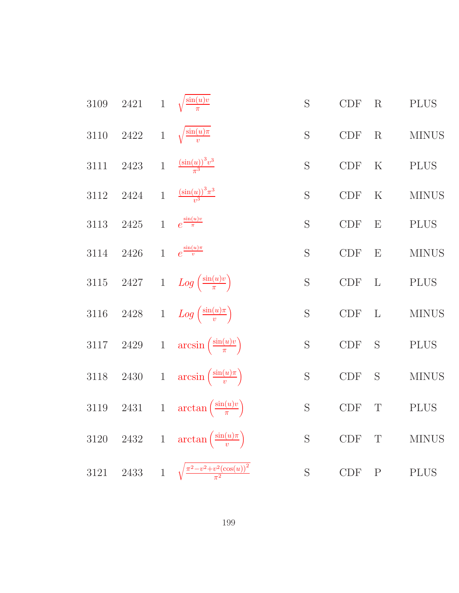| 3109     | 2421     |                | 1 $\sqrt{\frac{\sin(u)v}{\pi}}$                       | S           | CDF                         | R            | <b>PLUS</b>  |
|----------|----------|----------------|-------------------------------------------------------|-------------|-----------------------------|--------------|--------------|
| $3110\,$ | $2422\,$ | $1\,$          | $\sqrt{\frac{\sin(u)\pi}{v}}$                         | S           | $\ensuremath{\mathrm{CDF}}$ | R            | <b>MINUS</b> |
| 3111     | $2423\,$ | $\mathbf{1}$   | $\frac{(\sin(u))^{3}v^{3}}{\pi^{3}}$                  | S           | $\ensuremath{\mathrm{CDF}}$ | $\rm K$      | <b>PLUS</b>  |
| $3112\,$ | $2424\,$ | $\overline{1}$ | $\frac{\left(\sin(u)\right)^3 \pi^3}{v^3}$            | S           | $\ensuremath{\mathrm{CDF}}$ | $\rm K$      | <b>MINUS</b> |
| $3113\,$ | $2425\,$ | $\overline{1}$ | $e^{\frac{\sin(u)v}{\pi}}$                            | S           | CDF                         | E            | <b>PLUS</b>  |
| 3114     | 2426     | $\overline{1}$ | $e^{\frac{\sin(u)\pi}{v}}$                            | S           | CDF                         | E            | <b>MINUS</b> |
| $3115\,$ | $2427\,$ |                | 1 $Log\left(\frac{\sin(u)v}{\pi}\right)$              | S           | CDF                         | $\mathbf{L}$ | <b>PLUS</b>  |
| 3116     | $2428\,$ |                | 1 $Log\left(\frac{\sin(u)\pi}{v}\right)$              | $\mathbf S$ | $\ensuremath{\mathrm{CDF}}$ | $\mathbf{L}$ | <b>MINUS</b> |
| $3117\,$ | $2429\,$ | $\mathbf{1}$   | $arcsin\left(\frac{\sin(u)v}{\pi}\right)$             | $\mathbf S$ | $\ensuremath{\mathrm{CDF}}$ | S            | <b>PLUS</b>  |
| $3118\,$ | $2430\,$ | $\mathbf{1}$   | $arcsin\left(\frac{\sin(u)\pi}{v}\right)$             | S           | $\ensuremath{\mathrm{CDF}}$ | S            | <b>MINUS</b> |
| 3119     | $2431\,$ | $\mathbf{1}$   | $\arctan\left(\frac{\sin(u)v}{\pi}\right)$            | $\mathbf S$ | $\ensuremath{\mathrm{CDF}}$ | $\mathbf T$  | <b>PLUS</b>  |
| $3120\,$ | $2432\,$ | $\mathbf{1}$   | $\arctan\left(\frac{\sin(u)\pi}{v}\right)$            | S           | CDF                         | T            | <b>MINUS</b> |
| 3121     | 2433     |                | 1 $\sqrt{\frac{\pi^2 - v^2 + v^2(\cos(u))^2}{\pi^2}}$ | S           | CDF                         | ${\bf P}$    | <b>PLUS</b>  |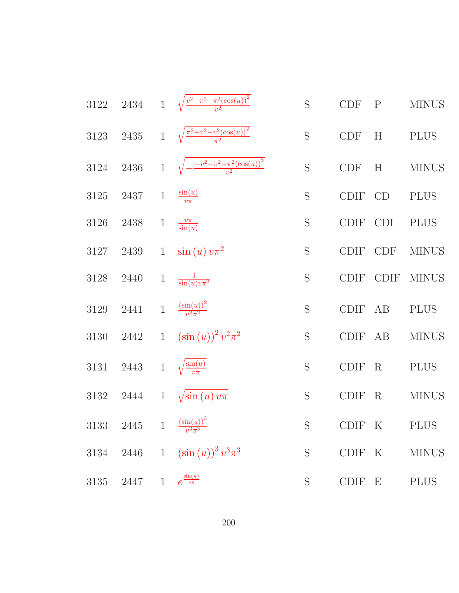3122 2434 1 
$$
\sqrt{\frac{v^2 - \pi^2 + \pi^2(\cos(u))^2}{v^2}}
$$
 S CDF P MINUS  
\n3123 2435 1  $\sqrt{\frac{\pi^2 + v^2 - v^2(\cos(u))^2}{\pi^2}}$  S CDF H P LUS  
\n3124 2436 1  $\sqrt{-\frac{v^2 - \pi^2 + \pi^2(\cos(u))^2}{v^2}}$  S CDF H MINUS  
\n3125 2437 1  $\frac{\sin(u)}{v\pi}$  S CDF CD P LUS  
\n3126 2438 1  $\frac{v\pi}{\sin(u)}$  S CDF CD P LUS  
\n3127 2439 1  $\sin(u) v\pi^2$  S CDF CDF NINUS  
\n3128 2440 1  $\frac{1}{\sin(u)v\pi^2}$  S CDF CDF MINUS  
\n3129 2441 1  $\frac{(\sin(u))^2}{v^2\pi^2}$  S CDF F AB P LUS  
\n3130 2442 1  $(\sin(u))^2 v^2 \pi^2$  S CDF F AB MINUS  
\n3131 2443 1  $\sqrt{\frac{\sin(u)}{v\pi}}$  S CDF F R P LUS  
\n3132 2444 1  $\sqrt{\sin(u)v\pi}$  S CDF F R P LUS  
\n3133 2445 1  $\frac{(\sin(u))^3}{v^3\pi^3}$  S CDF F K P LUS  
\n3134 2446 1  $(\sin(u))^3 v^3 \pi^3$  S CDF F E P LUS  
\n3135 2447 1  $e^{\frac{\sin(u)}{v\pi}}$  S CDF F E P LUS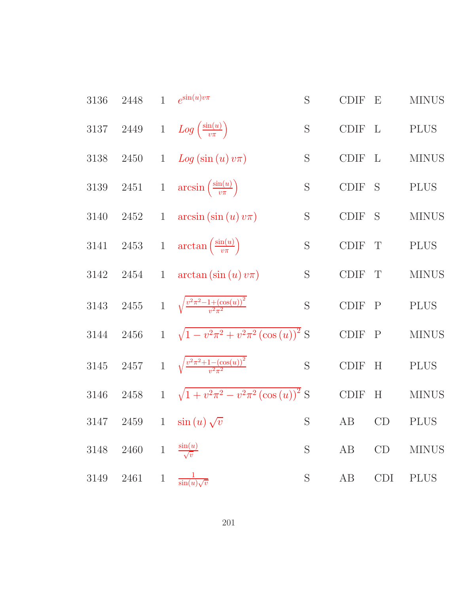| 3136     | 2448     | $\mathbf{1}$ | $e^{\sin(u)v\pi}$                                        | S           | <b>CDIF</b> | E            | <b>MINUS</b> |
|----------|----------|--------------|----------------------------------------------------------|-------------|-------------|--------------|--------------|
| $3137\,$ | $2449\,$ |              | 1 $Log\left(\frac{\sin(u)}{v\pi}\right)$                 | S           | <b>CDIF</b> | $\mathbf{L}$ | <b>PLUS</b>  |
| 3138     | $2450\,$ |              | 1 $Log(sin(u) v \pi)$                                    | S           | <b>CDIF</b> | L            | <b>MINUS</b> |
| 3139     | 2451     |              | 1 $\arcsin\left(\frac{\sin(u)}{v\pi}\right)$             | S           | <b>CDIF</b> | S            | <b>PLUS</b>  |
| 3140     | 2452     | $\mathbf{1}$ | $arcsin(\sin(u)v\pi)$                                    | S           | <b>CDIF</b> | <sub>S</sub> | <b>MINUS</b> |
| $3141\,$ | $2453\,$ |              | 1 $\arctan\left(\frac{\sin(u)}{v\pi}\right)$             | $\mathbf S$ | <b>CDIF</b> | $\mathbf T$  | <b>PLUS</b>  |
| 3142     | 2454     | $\mathbf{1}$ | $arctan(\sin(u)v\pi)$                                    | S           | <b>CDIF</b> | T            | <b>MINUS</b> |
| 3143     | $2455\,$ |              | 1 $\sqrt{\frac{v^2 \pi^2 - 1 + (\cos(u))^2}{v^2 \pi^2}}$ | $\mathbf S$ | <b>CDIF</b> | $\mathbf{P}$ | <b>PLUS</b>  |
| 3144     | 2456     |              | $1 \sqrt{1-v^2\pi^2+v^2\pi^2(\cos(u))^2}$ S              |             | <b>CDIF</b> | $\mathbf{P}$ | <b>MINUS</b> |
| 3145     | 2457     |              | 1 $\sqrt{\frac{v^2 \pi^2 + 1 - (\cos(u))^2}{v^2 \pi^2}}$ | S           | <b>CDIF</b> | H            | <b>PLUS</b>  |
| 3146     | $2458\,$ | $\mathbf{1}$ | $\sqrt{1+v^2\pi^2-v^2\pi^2(\cos(u))^2}$ S                |             | <b>CDIF</b> | H            | <b>MINUS</b> |
| 3147     | $2459\,$ | $\mathbf{1}$ | $\sin(u)\sqrt{v}$                                        | S           | AB          | CD           | <b>PLUS</b>  |
| 3148     | 2460     | $\mathbf{1}$ | $\frac{\sin(u)}{\sqrt{v}}$                               | S           | AB          | CD           | <b>MINUS</b> |
| 3149     | 2461     | $\mathbf{1}$ | $\frac{1}{\sin(u)\sqrt{v}}$                              | S           | AB          | <b>CDI</b>   | <b>PLUS</b>  |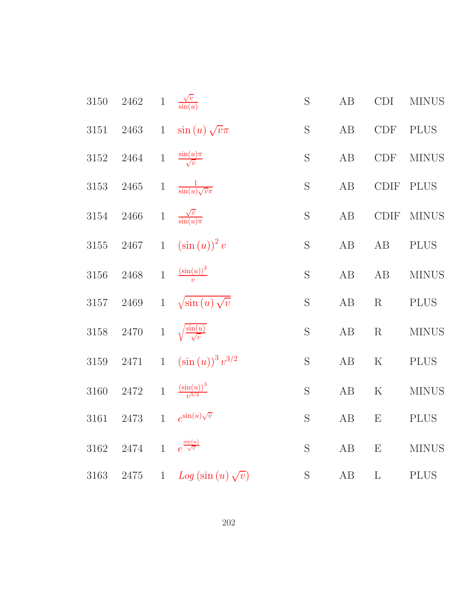| 3150 | 2462     |              | 1 $\frac{\sqrt{v}}{\sin(u)}$             | S              | $\rm AB$ | CDI                   | <b>MINUS</b> |
|------|----------|--------------|------------------------------------------|----------------|----------|-----------------------|--------------|
| 3151 | 2463     | $\mathbf{1}$ | $\sin(u)\sqrt{v}\pi$                     | ${\mathcal S}$ | AB       | CDF                   | <b>PLUS</b>  |
| 3152 | 2464     | $\,1$        | $\frac{\sin(u)\pi}{\sqrt{v}}$            | $\mathbf S$    | $\rm AB$ | <b>CDF</b>            | <b>MINUS</b> |
| 3153 | $2465\,$ | $\mathbf{1}$ | $rac{1}{\sin(u)\sqrt{v}\pi}$             | S              | AB       | $\operatorname{CDIF}$ | <b>PLUS</b>  |
| 3154 | $2466\,$ | $1\,$        | $\frac{\sqrt{v}}{\sin(u)\pi}$            | S              | $\rm AB$ | <b>CDIF</b>           | <b>MINUS</b> |
| 3155 | $2467\,$ | $\mathbf{1}$ | $(\sin(u))^2 v$                          | $\mathbf S$    | $\rm AB$ | AB                    | <b>PLUS</b>  |
| 3156 | 2468     | $\mathbf{1}$ | $\frac{\left(\sin(u)\right)^2}{v}$       | S              | AB       | AB                    | <b>MINUS</b> |
| 3157 | 2469     | $1\,$        | $\sqrt{\sin(u)}\sqrt{v}$                 | $\mathbf S$    | AB       | $\mathbf R$           | <b>PLUS</b>  |
| 3158 | $2470\,$ | $\,1$        | $\sqrt{\frac{\sin(u)}{\sqrt{v}}}$        | S              | $\rm AB$ | R                     | <b>MINUS</b> |
| 3159 | $2471\,$ | $\mathbf{1}$ | $(\sin(u))^3 v^{3/2}$                    | S              | AB       | $\mathbf K$           | <b>PLUS</b>  |
| 3160 | 2472     | $\mathbf{1}$ | $\frac{\left(\sin(u)\right)^3}{v^{3/2}}$ | $\mathbf S$    | $\rm AB$ | $\mathbf K$           | <b>MINUS</b> |
| 3161 | 2473     | $\mathbf{1}$ | $e^{\sin(u)\sqrt{v}}$                    | S              | AB       | E                     | $\rm PLUS$   |
| 3162 | 2474     | $\mathbf{1}$ | $e^{\frac{\sin(u)}{\sqrt{v}}}$           | S              | AB       | E                     | <b>MINUS</b> |
| 3163 | 2475     |              | 1 $Log(sin(u)\sqrt{v})$                  | $\mathbf S$    | AB       | $\mathbf{L}$          | <b>PLUS</b>  |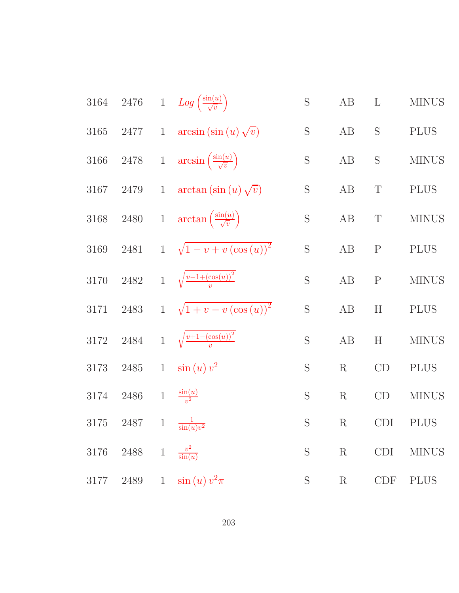3164 2476 1 
$$
Log\left(\frac{\sin(u)}{\sqrt{v}}\right)
$$
 S AB L MINUS  
\n3165 2477 1 arcsin( $\sin(u)\sqrt{v}$ ) S AB S PLUS  
\n3166 2478 1 arcsin( $\frac{\sin(u)}{\sqrt{v}}$ ) S AB S MINUS  
\n3167 2479 1 arctan( $\sin(u)\sqrt{v}$ ) S AB T PLUS  
\n3168 2480 1 arctan( $\frac{\sin(u)}{\sqrt{v}}$ ) S AB T PLUS  
\n3169 2481 1  $\sqrt{1-v+v(\cos(u))^2}$  S AB P PLUS  
\n3170 2482 1  $\sqrt{\frac{v-1+(\cos(u))^2}{v}}$  S AB P NLUS  
\n3171 2483 1  $\sqrt{1+v-v(\cos(u))^2}$  S AB H PLUS  
\n3172 2484 1  $\sqrt{\frac{v+1-(\cos(u))^2}{v}}$  S AB H MINUS  
\n3173 2485 1 sin(u) v<sup>2</sup> S B R CD PLUS  
\n3174 2486 1  $\frac{\sin(u)}{v^2}$  S B R CD MINUS  
\n3175 2487 1  $\frac{1}{\sin(u)v^2}$  S B R CD MINUS  
\n3176 2488 1  $\frac{v^2}{\sin(u)v^2}$  S B C D ID PLUS  
\n3176 2488 1  $\frac{v^2}{\sin(u)v^2}$  S B C D I PLUS  
\n3177 2489 1 sin(u) v<sup>2</sup>   
\n3 R C D F PLUS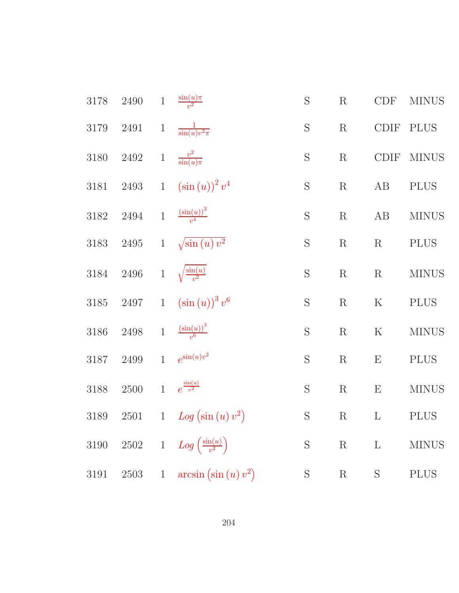| $3178\,$ | 2490     | $\mathbf{1}$ | $\frac{\sin(u)\pi}{v^2}$                | $\mathbf S$ | $\mathbf R$ | CDF                       | <b>MINUS</b> |
|----------|----------|--------------|-----------------------------------------|-------------|-------------|---------------------------|--------------|
| 3179     | $2491\,$ | $\,1$        | $\frac{1}{\sin(u)v^2\pi}$               | $\mathbf S$ | R           | $\text{\rm CDIF}$         | <b>PLUS</b>  |
| 3180     | $2492\,$ | $\,1$        | $\frac{v^2}{\sin(u)\pi}$                | S           | $\mathbf R$ | CDIF                      | <b>MINUS</b> |
| 3181     | $2493\,$ | $\mathbf{1}$ | $(\sin(u))^2 v^4$                       | $\mathbf S$ | $\mathbf R$ | $\rm AB$                  | <b>PLUS</b>  |
| $3182\,$ | 2494     | $\,1$        | $\frac{\left(\sin(u)\right)^2}{v^4}$    | $\mathbf S$ | $\mathbf R$ | AB                        | <b>MINUS</b> |
| 3183     | $2495\,$ | $\mathbf{1}$ | $\sqrt{\sin(u)v^2}$                     | $\mathbf S$ | $\mathbf R$ | R                         | <b>PLUS</b>  |
| 3184     | $2496\,$ | $\mathbf{1}$ | $\sqrt{\frac{\sin(u)}{v^2}}$            | $\mathbf S$ | $\mathbf R$ | R                         | <b>MINUS</b> |
| $3185\,$ | 2497     | $1\,$        | $(\sin(u))^3 v^6$                       | $\mathbf S$ | $\mathbf R$ | ${\bf K}$                 | <b>PLUS</b>  |
| 3186     | $2498\,$ | $\mathbf{1}$ | $\frac{\left(\sin(u)\right)^3}{v^6}$    | $\mathbf S$ | $\mathbf R$ | $\mathbf K$               | <b>MINUS</b> |
| 3187     | 2499     | $\mathbf{1}$ | $e^{\sin(u)v^2}$                        | $\mathbf S$ | $\mathbf R$ | E                         | <b>PLUS</b>  |
| 3188     | $2500\,$ | $\mathbf{1}$ | $e^{\frac{\sin(u)}{v^2}}$               | $\mathbf S$ | $\mathbf R$ | $\boldsymbol{\mathrm{E}}$ | <b>MINUS</b> |
| $3189\,$ | $2501\,$ | $\mathbf{1}$ | Log (sin (u) v <sup>2</sup> )           | $\mathbf S$ | $\mathbf R$ | $\Gamma$                  | <b>PLUS</b>  |
| $3190\,$ | $2502\,$ |              | 1 $Log\left(\frac{\sin(u)}{v^2}\right)$ | $\mathbf S$ | $\mathbf R$ | $\Gamma$                  | <b>MINUS</b> |
| $3191\,$ | $2503\,$ | $\,1$        | $arcsin(\sin(u)v^2)$                    | S           | ${\bf R}$   | $\mathbf S$               | <b>PLUS</b>  |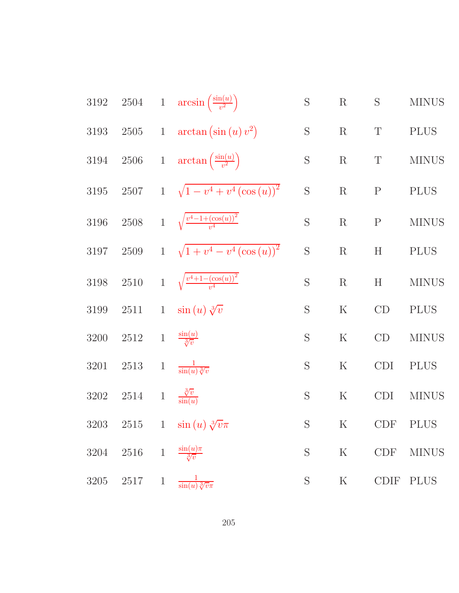3192 2504 1 arcsin 
$$
\left(\frac{\sin(u)}{v^2}\right)
$$
 S R S MINUS  
\n3193 2505 1 arctan  $\left(\sin(u) v^2\right)$  S R T PLUS  
\n3194 2506 1 arctan  $\left(\frac{\sin(u)}{v^2}\right)$  S R T MINUS  
\n3195 2507 1  $\sqrt{1 - v^4 + v^4 \left(\cos(u)\right)^2}$  S R P PLUS  
\n3196 2508 1  $\sqrt{\frac{v^4 - 1 + (\cos(u))^2}{v^4}}$  S R P MINUS  
\n3197 2509 1  $\sqrt{1 + v^4 - v^4 \left(\cos(u)\right)^2}$  S R H PLUS  
\n3198 2510 1  $\sqrt{\frac{v^4 + 1 - (\cos(u))^2}{v^4}}$  S R H MINUS  
\n3199 2511 1 sin  $(u) \sqrt[3]{v}$  S K CD PLUS  
\n3200 2512 1  $\frac{\sin(u)}{\sqrt[3]{v}}$  S S K CD MINUS  
\n3201 2513 1  $\frac{1}{\sin(u) \sqrt[3]{v}}$  S K CD IMINUS  
\n3202 2514 1  $\frac{\sqrt[3]{v}}{\sqrt[3]{v}}$  S K CDI PLUS  
\n3203 2515 1 sin  $(u) \sqrt[3]{v} \pi$  S K CDF PLUS  
\n3204 2516 1  $\frac{\sin(u)\pi}{\sqrt[3]{v}}$  S K CDF PLUS  
\n3205 2517 1  $\frac{1}{\sin(u) \sqrt[3]{v} \pi}$  S K CDF MINUS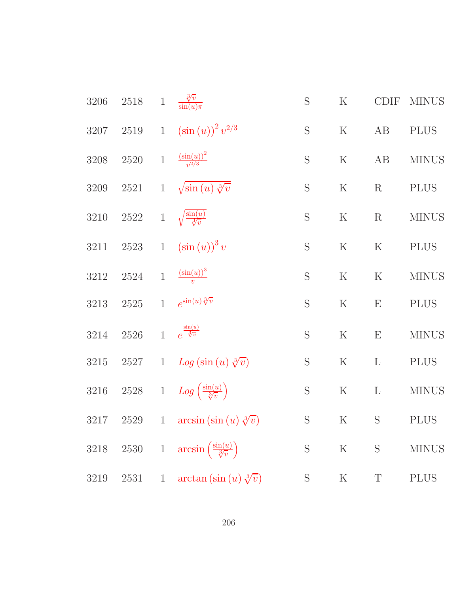| 3206     | $2518\,$         | $1\,$          | $\frac{\sqrt[3]{v}}{\sin(u)\pi}$                         | $\mathbf S$ | $\mathbf K$ | <b>CDIF</b>  | <b>MINUS</b> |
|----------|------------------|----------------|----------------------------------------------------------|-------------|-------------|--------------|--------------|
| 3207     | $2519\,$         | $\mathbf{1}$   | $(\sin(u))^2 v^{2/3}$                                    | $\mathbf S$ | $\rm K$     | AB           | <b>PLUS</b>  |
| 3208     | 2520             | $1\,$          | $\frac{\left(\sin(u)\right)^2}{v^{2/3}}$                 | S           | $\rm K$     | AB           | <b>MINUS</b> |
| 3209     | 2521             | $\mathbf{1}$   | $\sqrt{\sin(u)}\sqrt[3]{v}$                              | S           | $\rm K$     | $\mathbf R$  | <b>PLUS</b>  |
| 3210     | $2522\quad \, 1$ |                | $\sqrt{\frac{\sin(u)}{\sqrt[3]{v}}}$                     | $\mathbf S$ | ${\bf K}$   | $\mathbf R$  | <b>MINUS</b> |
| 3211     | $2523\,$         | $1\,$          | $\left(\sin\left(u\right)\right)^{3}v$                   | S           | $\rm K$     | $\rm K$      | <b>PLUS</b>  |
| 3212     | 2524             | $\mathbf{1}$   | $\frac{\left(\sin(u)\right)^3}{v}$                       | S           | $\mathbf K$ | $\mathbf K$  | <b>MINUS</b> |
| $3213\,$ | $2525\,$         | $\mathbf{1}$   | $e^{\sin(u)\sqrt[3]{v}}$                                 | S           | $\rm K$     | E            | <b>PLUS</b>  |
| 3214     | $2526\,$         | $\overline{1}$ | $e^{\frac{\sin(u)}{3\overline{\overline{v}}}}$           | S           | ${\bf K}$   | E            | <b>MINUS</b> |
| $3215\,$ | 2527             | $\mathbf{1}$   | $Log (sin (u) \sqrt[3]{v})$                              | $\mathbf S$ | ${\bf K}$   | $\Gamma$     | <b>PLUS</b>  |
| 3216     | $2528\,$         |                | 1 $Log\left(\frac{\sin(u)}{\sqrt[3]{v}}\right)$          | $\mathbf S$ | $\rm K$     | $\mathbf{L}$ | <b>MINUS</b> |
| 3217     | 2529             | $\mathbf{1}$   | $arcsin(\sin(u)\sqrt[3]{v})$                             | $\mathbf S$ | ${\bf K}$   | S            | <b>PLUS</b>  |
| 3218     |                  |                | 2530 1 $\arcsin\left(\frac{\sin(u)}{\sqrt[3]{v}}\right)$ | S           | $\rm K$     | S            | <b>MINUS</b> |
| 3219     | 2531             | $\mathbf{1}$   | $\arctan\left(\sin\left(u\right)\sqrt[3]{v}\right)$      | S           | $\rm K$     | $\mathbf T$  | <b>PLUS</b>  |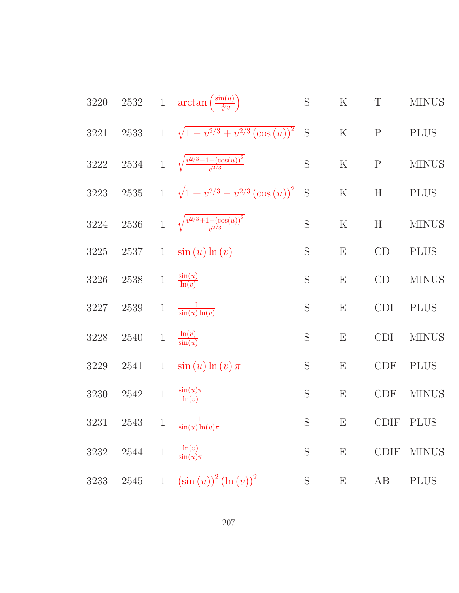| 3220     |          |                | 2532 1 $\arctan\left(\frac{\sin(u)}{\sqrt[3]{v}}\right)$                | $\mathbf S$ | ${\bf K}$                 | $\mathbf T$ | <b>MINUS</b> |
|----------|----------|----------------|-------------------------------------------------------------------------|-------------|---------------------------|-------------|--------------|
| 3221     | $2533\,$ |                | 1 $\sqrt{1-v^{2/3}+v^{2/3}(\cos(u))^2}$                                 | S           | ${\bf K}$                 | $\mathbf P$ | <b>PLUS</b>  |
| $3222\,$ |          |                | 2534 1 $\sqrt{\frac{v^{2/3}-1+(\cos(u))^{2}}{v^{2/3}}}$                 | S           | $\mathbf K$               | $\mathbf P$ | <b>MINUS</b> |
| $3223\,$ | $2535\,$ |                | 1 $\sqrt{1+v^{2/3}-v^{2/3}(\cos(u))^2}$                                 | S           | $\rm K$                   | H           | <b>PLUS</b>  |
| 3224     | $2536\,$ |                | 1 $\sqrt{\frac{v^{2/3}+1-(\cos(u))^2}{v^{2/3}}}$                        | S           | $\rm K$                   | H           | <b>MINUS</b> |
| $3225\,$ | $2537\,$ | $\mathbf{1}$   | $\sin(u) \ln(v)$                                                        | $\mathbf S$ | ${\bf E}$                 | CD          | <b>PLUS</b>  |
| 3226     | $2538\,$ | $1\,$          | $\frac{\sin(u)}{\ln(v)}$                                                | S           | ${\bf E}$                 | CD          | <b>MINUS</b> |
| 3227     | $2539\,$ | $\mathbf{1}$   | $\frac{1}{\sin(u)\ln(v)}$                                               | S           | ${\bf E}$                 | CDI         | <b>PLUS</b>  |
| $3228\,$ | 2540     | $\,1$          | $\frac{\ln(v)}{\sin(u)}$                                                | S           | $\boldsymbol{\mathrm{E}}$ | <b>CDI</b>  | <b>MINUS</b> |
| 3229     | 2541     | $\mathbf{1}$   | $\sin(u) \ln(v) \pi$                                                    | $\mathbf S$ | E                         | CDF         | <b>PLUS</b>  |
| 3230     | 2542     | $\overline{1}$ | $\frac{\sin(u)\pi}{\ln(v)}$                                             | S           | E                         | <b>CDF</b>  | <b>MINUS</b> |
| 3231     | 2543     |                | 1 $\frac{1}{\sin(u)\ln(v)\pi}$                                          | $\mathbf S$ | $\boldsymbol{\mathrm{E}}$ | <b>CDIF</b> | <b>PLUS</b>  |
| 3232     | 2544     | $\mathbf 1$    | $\frac{\ln(v)}{\sin(u)\pi}$                                             | S           | E                         | <b>CDIF</b> | <b>MINUS</b> |
| 3233     | $2545\,$ | $\mathbf{1}$   | $\left(\sin\left(u\right)\right)^{2}\left(\ln\left(v\right)\right)^{2}$ | $\mathbf S$ | ${\bf E}$                 | AB          | <b>PLUS</b>  |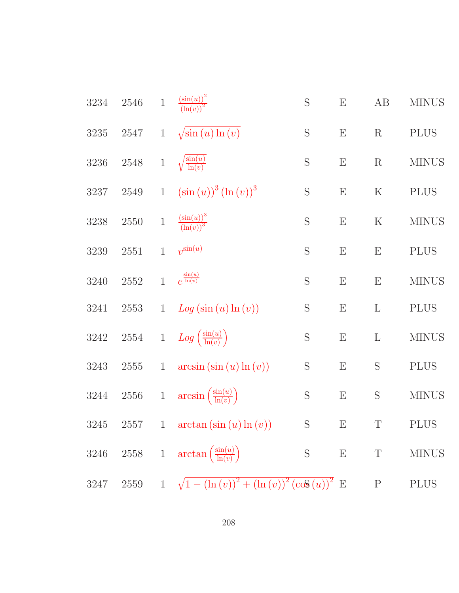| 3234     | 2546     | $\mathbf{1}$ | $\frac{\left(\sin(u)\right)^2}{\left(\ln(v)\right)^2}$    | S           | E                         | AB           | <b>MINUS</b> |
|----------|----------|--------------|-----------------------------------------------------------|-------------|---------------------------|--------------|--------------|
| 3235     | 2547     | $\mathbf{1}$ | $\sqrt{\sin(u)\ln(v)}$                                    | S           | $\boldsymbol{\mathrm{E}}$ | $\mathbf R$  | <b>PLUS</b>  |
| 3236     | $2548\,$ | $\,1$        | $\sqrt{\frac{\sin(u)}{\ln(v)}}$                           | S           | E                         | $\mathbf R$  | <b>MINUS</b> |
| 3237     | 2549     | $\mathbf{1}$ | $(\sin(u))^3 (\ln(v))^3$                                  | $\mathbf S$ | ${\bf E}$                 | $\rm K$      | <b>PLUS</b>  |
| $3238\,$ | 2550     | $1\,$        | $\frac{\left(\sin(u)\right)^3}{\left(\ln(v)\right)^3}$    | S           | $\boldsymbol{\mathrm{E}}$ | $\rm K$      | <b>MINUS</b> |
| 3239     | 2551     | $\mathbf{1}$ | $v^{\sin(u)}$                                             | S           | $\boldsymbol{\mathrm{E}}$ | E            | <b>PLUS</b>  |
| 3240     | $2552\,$ | $\mathbf{1}$ | $e^{\frac{\sin(u)}{\ln(v)}}$                              | S           | ${\bf E}$                 | ${\bf E}$    | <b>MINUS</b> |
| 3241     | $2553\,$ | $\mathbf{1}$ | $Log(sin(u) \ln(v))$                                      | $\mathbf S$ | E                         | L            | <b>PLUS</b>  |
| 3242     | $2554\,$ |              | 1 $Log\left(\frac{\sin(u)}{\ln(v)}\right)$                | S           | $\boldsymbol{\mathrm{E}}$ | $\mathbf{L}$ | <b>MINUS</b> |
| 3243     | 2555     | $\mathbf{1}$ | $arcsin(\sin(u) \ln(v))$                                  | S           | $\boldsymbol{\mathrm{E}}$ | S            | <b>PLUS</b>  |
| 3244     | $2556\,$ | $\,1$        | $arcsin\left(\frac{\sin(u)}{\ln(v)}\right)$               | S           | $\boldsymbol{\mathrm{E}}$ | S            | <b>MINUS</b> |
| 3245     | 2557     | $\mathbf{1}$ | $\arctan\left(\sin\left(u\right)\ln\left(v\right)\right)$ | $\mathbf S$ | ${\bf E}$                 | T            | <b>PLUS</b>  |
| 3246     |          |              | 2558 1 $\arctan\left(\frac{\sin(u)}{\ln(v)}\right)$       | S           | E                         | $\mathbf T$  | <b>MINUS</b> |
| 3247     | 2559     |              | 1 $\sqrt{1-(\ln(v))^2+(\ln(v))^2(\cos(u))^2}$ E           |             |                           | $\mathbf{P}$ | <b>PLUS</b>  |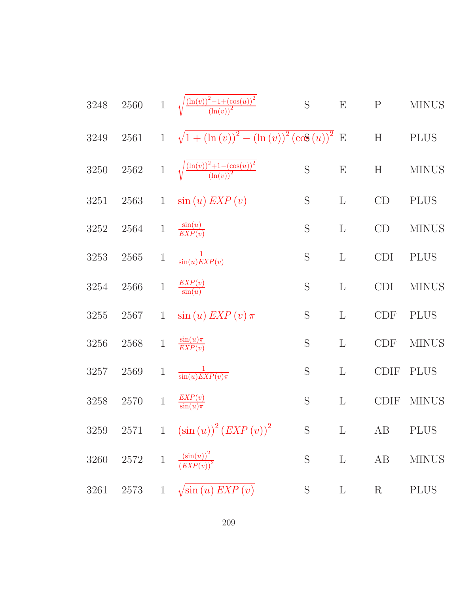| 3248 | $2560\,$ | $\mathbf{1}$ | $\sqrt{\frac{(\ln(v))^2 - 1 + (\cos(u))^2}{(\ln(v))^2}}$ | $\mathbf S$   | E                         | ${\bf P}$                 | <b>MINUS</b> |
|------|----------|--------------|----------------------------------------------------------|---------------|---------------------------|---------------------------|--------------|
| 3249 | $2561\,$ | $\mathbf{1}$ | $\sqrt{1 + (\ln(v))^{2} - (\ln(v))^{2} (\cos(u))^{2}}$ E |               |                           | $\boldsymbol{\mathrm{H}}$ | <b>PLUS</b>  |
| 3250 | 2562     | $\,1$        | $\frac{(\ln(v))^{2}+1-(\cos(u))^{2}}{(\ln(v))^{2}}$      | S             | $\boldsymbol{\mathrm{E}}$ | H                         | <b>MINUS</b> |
| 3251 | 2563     | $\mathbf{1}$ | $\sin(u)$ $EXP(v)$                                       | $\mathbf S$   | $\mathbf{L}$              | CD                        | <b>PLUS</b>  |
| 3252 | 2564     | $\mathbf{1}$ | $\frac{\sin(u)}{EXP(v)}$                                 | S             | $\mathbf{L}$              | CD                        | <b>MINUS</b> |
| 3253 | 2565     | $\mathbf{1}$ | $\frac{1}{\sin(u)EXP(v)}$                                | S             | $\mathbf{L}$              | <b>CDI</b>                | <b>PLUS</b>  |
| 3254 | 2566     | $\mathbf{1}$ | $\frac{EXP(v)}{\sin(u)}$                                 | S             | $\mathbf{L}$              | <b>CDI</b>                | <b>MINUS</b> |
| 3255 | 2567     | $\mathbf{1}$ | $\sin(u)$ EXP $(v)$ $\pi$                                | $\mathbf S$   | $\mathbf{L}$              | <b>CDF</b>                | <b>PLUS</b>  |
| 3256 | 2568     | $\,1$        | $\frac{\sin(u)\pi}{EXP(v)}$                              | S             | $\mathbf{L}$              | <b>CDF</b>                | <b>MINUS</b> |
| 3257 | 2569     | $\mathbf{1}$ | $\frac{1}{\sin(u)EXP(v)\pi}$                             | $\mathbf S$   | $\mathbf{L}$              | <b>CDIF</b>               | <b>PLUS</b>  |
| 3258 | 2570     | $\,1$        | $\frac{EXP(v)}{\sin(u)\pi}$                              | S             | $\mathbf{L}$              | <b>CDIF</b>               | <b>MINUS</b> |
|      |          |              | 3259 2571 1 $(\sin(u))^2 (EXP(v))^2$ S L                 |               |                           | AB PLUS                   |              |
| 3260 |          |              | 2572 1 $\frac{(\sin(u))^2}{(EXP(v))^2}$                  | ${\bf S}$     | $\mathbf{L}$              | AB                        | <b>MINUS</b> |
| 3261 |          |              | 2573 1 $\sqrt{\sin(u) EXP(v)}$                           | $S_{\text{}}$ | $\mathbf{L}$              | $\rm R$                   | <b>PLUS</b>  |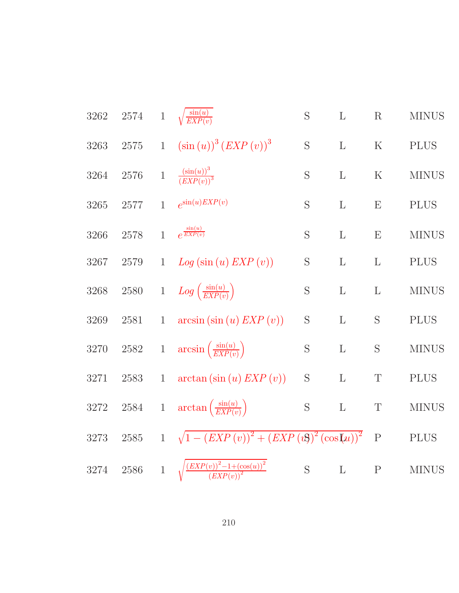| 3262     | $2574\,$ | $1\,$        | $\sqrt{\frac{\sin(u)}{EXP(v)}}$                            | S              | L            | R            | <b>MINUS</b> |
|----------|----------|--------------|------------------------------------------------------------|----------------|--------------|--------------|--------------|
| 3263     | $2575\,$ | $\mathbf{1}$ | $(\sin(u))^3 (EXP(v))^3$                                   | S              | L            | $\mathbf K$  | <b>PLUS</b>  |
| 3264     | 2576     |              | 1 $\frac{\left(\sin(u)\right)^3}{\left( EXP(v)\right)^3}$  | S              | L            | $\mathbf K$  | <b>MINUS</b> |
| 3265     | $2577\,$ | $\mathbf{1}$ | $e^{\sin(u)EXP(v)}$                                        | S              | L            | E            | <b>PLUS</b>  |
| 3266     | 2578     | $\mathbf{1}$ | $e^{\frac{\sin(u)}{EXP(v)}}$                               | S              | L            | E            | <b>MINUS</b> |
| 3267     | 2579     | $\mathbf{1}$ | Log(sin(u) EXP(v))                                         | S              | L            | $\mathbf{L}$ | <b>PLUS</b>  |
| 3268     | $2580\,$ | $1\,$        | $Log\left(\frac{\sin(u)}{EXP(v)}\right)$                   | S              | L            | $\mathbf{L}$ | <b>MINUS</b> |
| 3269     | 2581     | $\mathbf{1}$ | $arcsin(\sin(u) EXP(v))$                                   | S              | L            | S            | <b>PLUS</b>  |
| 3270     | $2582\,$ |              | 1 $\arcsin\left(\frac{\sin(u)}{EXP(v)}\right)$             | S              | $\mathbf{L}$ | S            | <b>MINUS</b> |
| 3271     | 2583     | $\mathbf{1}$ | $arctan(\sin(u) EXP(v))$                                   | S              | L            | $\mathbf T$  | <b>PLUS</b>  |
| $3272\,$ | $2584\,$ | $\,1$        | $\arctan\left(\frac{\sin(u)}{EXP(v)}\right)$               | ${\mathcal S}$ | $\mathbf L$  | $\mathbf T$  | <b>MINUS</b> |
| 3273     | $2585\,$ | $\mathbf{1}$ | $\sqrt{1-(EXP(v))^{2}+(EXP(vS))^{2}(cos(u))^{2}}$          |                |              | ${\bf P}$    | <b>PLUS</b>  |
| 3274     | $2586\,$ | $\mathbf{1}$ | $\sqrt{\frac{(EXP(v))^{2}-1+(\cos(u))^{2}}{(EXP(v))^{2}}}$ | S              | $\mathbf{L}$ | ${\bf P}$    | <b>MINUS</b> |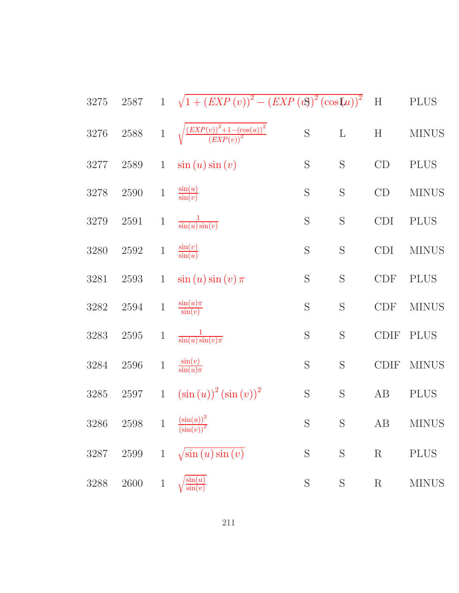| $3275\,$ | $2587\,$ | $\mathbf{1}$ | $\sqrt{1 + (EXP(v))^{2} - (EXP(v))^{2} (\cos(u))^{2}}$     |                |             | $\mathbf H$               | <b>PLUS</b>  |
|----------|----------|--------------|------------------------------------------------------------|----------------|-------------|---------------------------|--------------|
| 3276     | $2588\,$ | $\,1$        | $\sqrt{\frac{(EXP(v))^{2}+1-(\cos(u))^{2}}{(EXP(v))^{2}}}$ | S              | $\mathbf L$ | $\boldsymbol{\mathrm{H}}$ | <b>MINUS</b> |
| 3277     | 2589     | $\mathbf{1}$ | $\sin(u)\sin(v)$                                           | $\mathbf S$    | $\mathbf S$ | CD                        | <b>PLUS</b>  |
| 3278     | $2590\,$ | $\,1$        | $\frac{\sin(u)}{\sin(v)}$                                  | $\mathbf S$    | S           | CD                        | <b>MINUS</b> |
| 3279     | 2591     | $\,1$        | $rac{1}{\sin(u)\sin(v)}$                                   | S              | $\mathbf S$ | <b>CDI</b>                | <b>PLUS</b>  |
| $3280\,$ | $2592\,$ | $\mathbf{1}$ | $\frac{\sin(v)}{\sin(u)}$                                  | S              | $\mathbf S$ | <b>CDI</b>                | <b>MINUS</b> |
| 3281     | 2593     | $\mathbf{1}$ | $\sin(u)\sin(v)\pi$                                        | S              | S           | CDF                       | <b>PLUS</b>  |
| $3282\,$ | $2594\,$ | $\,1\,$      | $\frac{\sin(u)\pi}{\sin(v)}$                               | S              | S           | CDF                       | <b>MINUS</b> |
| 3283     | $2595\,$ | $\mathbf{1}$ | $\frac{1}{\sin(u)\sin(v)\pi}$                              | S              | S           | <b>CDIF</b>               | <b>PLUS</b>  |
| 3284     | $2596\,$ | $\,1\,$      | $\frac{\sin(v)}{\sin(u)\pi}$                               | S              | $\mathbf S$ | <b>CDIF</b>               | <b>MINUS</b> |
| $3285\,$ | $2597\,$ | $\mathbf{1}$ | $(\sin(u))^2 (\sin(v))^2$                                  | ${\mathcal S}$ | $\mathbf S$ | AB                        | <b>PLUS</b>  |
| 3286     | 2598     | $\mathbf{1}$ | $\frac{\left(\sin(u)\right)^2}{\left(\sin(v)\right)^2}$    | $S_{\text{}}$  | S           | AB                        | <b>MINUS</b> |
| 3287     | $2599\,$ | $\mathbf{1}$ | $\sqrt{\sin(u)\sin(v)}$                                    | S              | S           | $\mathbf R$               | <b>PLUS</b>  |
| 3288     | 2600     | $\mathbf{1}$ | $\sin(u)$<br>$\sin(v)$                                     | S              | S           | $\rm R$                   | <b>MINUS</b> |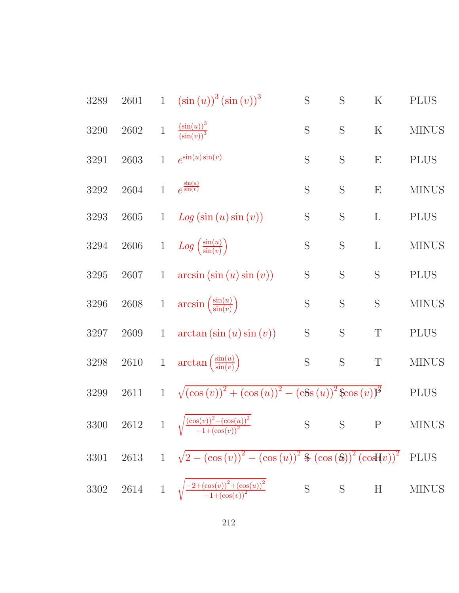| 3289     | $2601\,$ | $\mathbf{1}$ | $(\sin(u))^3(\sin(v))^3$                                                                                  | $\mathbf S$ | S           | $\rm K$     | <b>PLUS</b>  |
|----------|----------|--------------|-----------------------------------------------------------------------------------------------------------|-------------|-------------|-------------|--------------|
| 3290     | $2602\,$ | $\,1$        | $\frac{\left(\sin(u)\right)^3}{\left(\sin(v)\right)^3}$                                                   | S           | $\mathbf S$ | $\rm K$     | <b>MINUS</b> |
| 3291     | 2603     | $\mathbf{1}$ | $e^{\sin(u)\sin(v)}$                                                                                      | S           | S           | E           | <b>PLUS</b>  |
| 3292     | 2604     | $\mathbf{1}$ | $e^{\frac{\sin(u)}{\sin(v)}}$                                                                             | S           | S           | E           | <b>MINUS</b> |
| 3293     | $2605\,$ | $\mathbf{1}$ | Log(sin(u)sin(v))                                                                                         | $\mathbf S$ | S           | $\Gamma$    | <b>PLUS</b>  |
| $3294\,$ | $2606\,$ | $\,1$        | $Log\left(\frac{\sin(u)}{\sin(v)}\right)$                                                                 | S           | S           | $\Gamma$    | <b>MINUS</b> |
| $3295\,$ | 2607     | $\mathbf{1}$ | $arcsin(\sin(u)\sin(v))$                                                                                  | S           | S           | S           | <b>PLUS</b>  |
| 3296     | $2608\,$ | $\,1$        | $arcsin\left(\frac{\sin(u)}{\sin(v)}\right)$                                                              | S           | S           | S           | <b>MINUS</b> |
| 3297     | 2609     | $\mathbf{1}$ | $arctan(\sin(u)\sin(v))$                                                                                  | S           | $\mathbf S$ | $\mathbf T$ | <b>PLUS</b>  |
| 3298     | $2610\,$ | $\mathbf{1}$ | $\arctan\left(\frac{\sin(u)}{\sin(v)}\right)$                                                             | $\mathbf S$ | $\mathbf S$ | $\mathbf T$ | <b>MINUS</b> |
| $3299\,$ | 2611     | $\mathbf{1}$ | $\sqrt{\left(\cos{(v)}\right)^2 + \left(\cos{(u)}\right)^2 - \left(\cosh{(u)}\right)^2} \cos{(v)}\vec{P}$ |             |             |             | <b>PLUS</b>  |
| $3300\,$ | $2612\,$ | $\mathbf{1}$ | $\sqrt{\frac{(\cos(v))^2-(\cos(u))^2}{-1+(\cos(v))^2}}$                                                   | $\mathbf S$ | S           | $\mathbf P$ | <b>MINUS</b> |
| 3301     |          |              | 2613 1 $\sqrt{2-(\cos{(v)})^2-(\cos{(u)})^2 \cdot (\cos{(b)})^2 (\cos{(v)})^2}$ PLUS                      |             |             |             |              |
| $3302\,$ |          |              | 2614 1 $\sqrt{\frac{-2+(\cos(v))^2+(\cos(u))^2}{-1+(\cos(v))^2}}$                                         |             |             | S S H       | <b>MINUS</b> |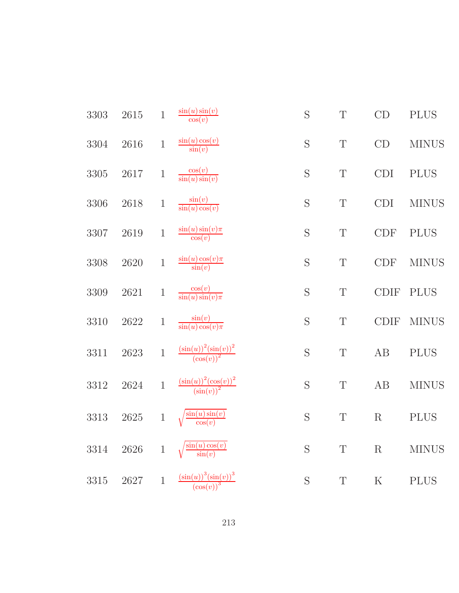| 3303     | $2615\,$ | $\,1\,$     | $\frac{\sin(u)\sin(v)}{\cos(v)}$                                              | S | $\mathbf T$ | CD          | <b>PLUS</b>  |
|----------|----------|-------------|-------------------------------------------------------------------------------|---|-------------|-------------|--------------|
| $3304\,$ | 2616     | $\,1$       | $\frac{\sin(u)\cos(v)}{\sin(v)}$                                              | S | $\mathbf T$ | CD          | <b>MINUS</b> |
| $3305\,$ | $2617\,$ | $\mathbf 1$ | $\frac{\cos(v)}{\sin(u)\sin(v)}$                                              | S | $\mathbf T$ | <b>CDI</b>  | <b>PLUS</b>  |
| 3306     | 2618     | $\,1$       | $\frac{\sin(v)}{\sin(u)\cos(v)}$                                              | S | $\mathbf T$ | <b>CDI</b>  | <b>MINUS</b> |
| 3307     | 2619     | $\,1$       | $\frac{\sin(u)\sin(v)\pi}{\cos(v)}$                                           | S | $\mathbf T$ | <b>CDF</b>  | <b>PLUS</b>  |
| 3308     | 2620     | $\,1$       | $\frac{\sin(u)\cos(v)\pi}{\sin(v)}$                                           | S | $\mathbf T$ | CDF         | <b>MINUS</b> |
| 3309     | 2621     | $\mathbf 1$ | $\frac{\cos(v)}{\sin(u)\sin(v)\pi}$                                           | S | $\mathbf T$ | <b>CDIF</b> | <b>PLUS</b>  |
| 3310     | 2622     | $\,1$       | $\frac{\sin(v)}{\sin(u)\cos(v)\pi}$                                           | S | $\mathbf T$ | <b>CDIF</b> | <b>MINUS</b> |
| 3311     | 2623     | $\mathbf 1$ | $\frac{\left(\sin(u)\right)^2\left(\sin(v)\right)^2}{\left(\cos(v)\right)^2}$ | S | $\mathbf T$ | AB          | <b>PLUS</b>  |
| 3312     | 2624     | $\mathbf 1$ | $\frac{\left(\sin(u)\right)^2\left(\cos(v)\right)^2}{\left(\sin(v)\right)^2}$ | S | $\mathbf T$ | AB          | <b>MINUS</b> |
| 3313     | $2625\,$ | $\,1$       | $\frac{\sin(u)\sin(v)}{\cos(v)}$                                              | S | T           | R           | <b>PLUS</b>  |
| 3314     | 2626     | $\mathbf 1$ | $\frac{\sin(u)\cos(v)}{\sin(v)}$                                              | S | $\mathbf T$ | R           | <b>MINUS</b> |
| 3315     | 2627     | $\mathbf 1$ | $\frac{\left(\sin(u)\right)^3\left(\sin(v)\right)^3}{\left(\cos(v)\right)^3}$ | S | $\mathbf T$ | ${\bf K}$   | <b>PLUS</b>  |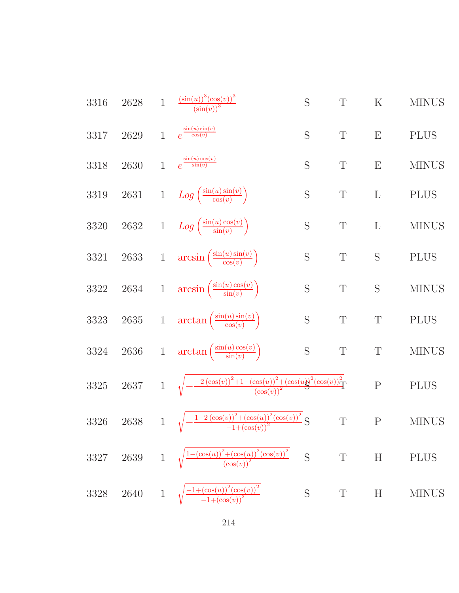3316 2628 1 
$$
\frac{(\sin(u))^3(\cos(v))^3}{(\sin(v))^5}
$$
 S T K MINUS  
\n3317 2629 1  $e^{\frac{\sin(u)\sin(v)}{\cos(u)}$  S T E PLUS  
\n3318 2630 1  $e^{\frac{\sin(u)\cos(v)}{\cos(v)}}$  S T E MINUS  
\n3319 2631 1  $Log\left(\frac{\sin(u)\sin(v)}{\cos(v)}\right)$  S T L PLUS  
\n3320 2632 1  $Log\left(\frac{\sin(u)\sin(v)}{\sin(v)}\right)$  S T L MINUS  
\n3321 2633 1  $arcsin\left(\frac{\sin(u)\sin(v)}{\cos(v)}\right)$  S T S PLUS  
\n3322 2634 1  $arcsin\left(\frac{\sin(u)\sin(v)}{\cos(v)}\right)$  S T S MINUS  
\n3323 2635 1  $arctan\left(\frac{\sin(u)\cos(v)}{\cos(v)}\right)$  S T T PLUS  
\n3324 2636 1  $arctan\left(\frac{\sin(u)\cos(v)}{\cos(v)}\right)$  S T T MINUS  
\n3325 2637 1  $\sqrt{-\frac{-2(\cos(v))^2 + (\cos(u))^2 + (\cos(u))^2(\cos(v))^2}{(\cos(v))^2}}$  P PLUS  
\n3326 2638 1  $\sqrt{-\frac{1-2(\cos(v))^2 + (\cos(u))^2(\cos(v))^2}{(\cos(v))^2}}$  S T P MINUS  
\n3327 2639 1  $\sqrt{\frac{1+(\cos(u))^2 + (\cos(u))^2(\cos(v))^2}{(\cos(v))^2}}$  S T H PLUS  
\n3328 2640 1  $\sqrt{\frac{-1+(\cos(u))^2(\cos(v))^2}{-1+(\cos(v))^2}}$  S T H MINUS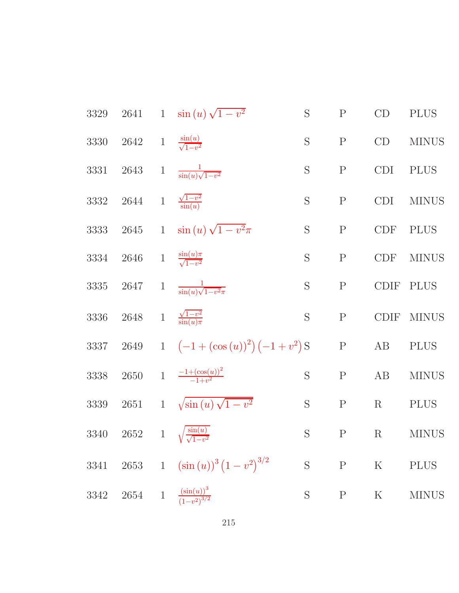| 3329     | 2641     |                 | 1 $\sin(u)\sqrt{1-v^2}$                                   | S           | ${\bf P}$    | CD          | <b>PLUS</b>  |
|----------|----------|-----------------|-----------------------------------------------------------|-------------|--------------|-------------|--------------|
| $3330\,$ | 2642     |                 | 1 $\frac{\sin(u)}{\sqrt{1-v^2}}$                          | S           | $\mathbf P$  | CD          | <b>MINUS</b> |
| 3331     | 2643     | $\mathbf{1}$    | $\frac{1}{\sin(u)\sqrt{1-v^2}}$                           | S           | $\mathbf P$  | CDI         | <b>PLUS</b>  |
| $3332\,$ | 2644     | $\mathbf{1}$    | $\frac{\sqrt{1-v^2}}{\sin(u)}$                            | S           | $\mathbf P$  | <b>CDI</b>  | <b>MINUS</b> |
| 3333     | $2645\,$ | $\mathbf{1}$    | $\sin\left(u\right)\sqrt{1-v^2}\pi$                       | S           | ${\bf P}$    | CDF         | <b>PLUS</b>  |
| 3334     | $2646\,$ |                 | $1 - \frac{\sin(u)\pi}{\sqrt{1-v^2}}$                     | S           | $\mathbf P$  | CDF         | <b>MINUS</b> |
| 3335     | $2647\,$ | $\,1$           | $\frac{1}{\sin(u)\sqrt{1-v^2\pi}}$                        | S           | $\mathbf P$  | <b>CDIF</b> | <b>PLUS</b>  |
| $3336\,$ | $2648\,$ | $1\overline{ }$ | $\frac{\sqrt{1-v^2}}{\sin(u)\pi}$                         | S           | ${\bf P}$    | <b>CDIF</b> | <b>MINUS</b> |
| 3337     | $2649\,$ |                 | 1 $(-1+(\cos(u))^2)(-1+v^2)$ S                            |             | $\mathbf{P}$ | AB          | <b>PLUS</b>  |
| 3338     | 2650     |                 | 1 $\frac{-1+(\cos(u))^2}{-1+v^2}$                         | S           | ${\bf P}$    | AB          | <b>MINUS</b> |
| 3339     | 2651     | $\mathbf{1}$    | $\sqrt{\sin(u)\sqrt{1-v^2}}$                              | S           | $\mathbf P$  | $\mathbf R$ | <b>PLUS</b>  |
| 3340     | 2652     | $1 -$           | $\sqrt{\frac{\sin(u)}{\sqrt{1-v^2}}}$                     | S           | $\mathbf P$  | $\rm R$     | <b>MINUS</b> |
| 3341     |          |                 | 2653 1 $(\sin(u))^3 (1-v^2)^{3/2}$                        | $\mathbf S$ | P            | $\rm K$     | <b>PLUS</b>  |
| 3342     | 2654     | $\overline{1}$  | $\frac{\left(\sin(u)\right)^3}{\left(1-v^2\right)^{3/2}}$ | S           | $\mathbf P$  | $\rm K$     | <b>MINUS</b> |
|          |          |                 |                                                           |             |              |             |              |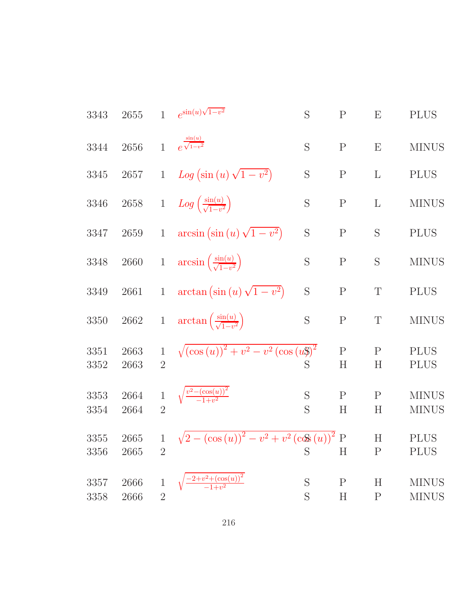| 3343             | 2655         | $\mathbf{1}$                   | $e^{\sin(u)\sqrt{1-v^2}}$                                             | S           | $\mathbf{P}$             | E                 | <b>PLUS</b>                  |
|------------------|--------------|--------------------------------|-----------------------------------------------------------------------|-------------|--------------------------|-------------------|------------------------------|
| 3344             | 2656         | $\mathbf{1}$                   | $e^{\frac{\sin(u)}{\sqrt{1-v^2}}}$                                    | S           | ${\bf P}$                | E                 | <b>MINUS</b>                 |
| $3345\,$         | 2657         | $\mathbf{1}$                   | Log $(\sin(u)\sqrt{1-v^2})$                                           | S           | $\mathbf P$              | $\mathbf{L}$      | <b>PLUS</b>                  |
| $3346\,$         | $2658\,$     | $\mathbf{1}$                   | $Log\left(\frac{\sin(u)}{\sqrt{1-v^2}}\right)$                        | S           | ${\bf P}$                | $\mathbf{L}$      | <b>MINUS</b>                 |
| $3347\,$         | $2659\,$     | $\mathbf{1}$                   | $arcsin(\sin(u)\sqrt{1-v^2})$                                         | $\mathbf S$ | $\mathbf P$              | S                 | <b>PLUS</b>                  |
| 3348             | $2660\,$     | $\,1$                          | $arcsin\left(\frac{\sin(u)}{\sqrt{1-v^2}}\right)$                     | S           | ${\bf P}$                | S                 | <b>MINUS</b>                 |
| $3349\,$         | 2661         | $\mathbf{1}$                   | $\arctan\left(\sin\left(u\right)\sqrt{1-v^2}\right)$                  | S           | ${\bf P}$                | $\mathbf T$       | <b>PLUS</b>                  |
| $3350\,$         | $2662\,$     | $\mathbf{1}$                   | $\arctan\left(\frac{\sin(u)}{\sqrt{1-v^2}}\right)$                    | S           | ${\bf P}$                | $\mathbf T$       | <b>MINUS</b>                 |
| 3351<br>3352     | 2663<br>2663 | $\mathbf{1}$<br>$\overline{2}$ | $\sqrt{\left(\cos(u)\right)^{2}+v^{2}-v^{2}\left(\cos(u)\right)^{2}}$ |             | $\mathbf P$<br>H         | $\mathbf{P}$<br>H | <b>PLUS</b><br><b>PLUS</b>   |
| 3353<br>3354     | 2664<br>2664 | $\mathbf{1}$<br>$\overline{2}$ | $\sqrt{\frac{v^2-(\cos(u))^2}{-1+v^2}}$                               | S<br>S      | $\mathbf P$<br>$H_{\rm}$ | $\mathbf{P}$<br>H | $\rm MINUS$<br><b>MINUS</b>  |
| 3355<br>3356     | 2665<br>2665 | $\mathbf{1}$<br>$\overline{2}$ | $\sqrt{2-(\cos(u))^2-v^2+v^2(\cos(u))^2}$ P                           | S           | H                        | H<br>$\mathbf{P}$ | <b>PLUS</b><br><b>PLUS</b>   |
| $3357\,$<br>3358 | 2666<br>2666 | $\overline{2}$                 | $\frac{2+v^2+(\cos(u))^2}{-1+v^2}$                                    | S<br>S      | $\rm P$<br>$H_{\rm}$     | H<br>${\bf P}$    | <b>MINUS</b><br><b>MINUS</b> |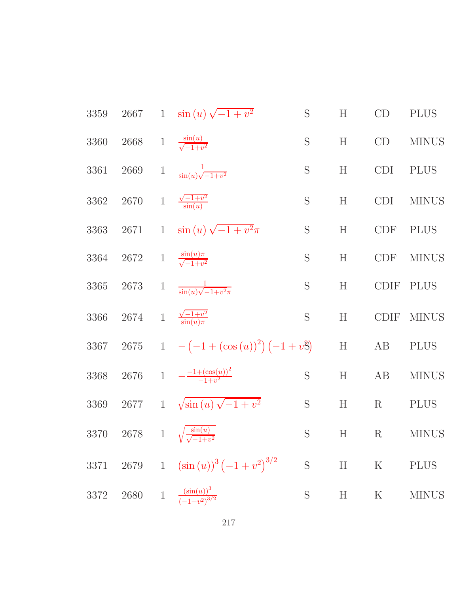| 3359 | 2667       |              | 1 $\sin(u)\sqrt{-1+v^2}$                                   | S              | H | CD               | <b>PLUS</b>  |
|------|------------|--------------|------------------------------------------------------------|----------------|---|------------------|--------------|
| 3360 |            |              | 2668 1 $\frac{\sin(u)}{\sqrt{-1+v^2}}$                     | S              | H | CD               | <b>MINUS</b> |
| 3361 | 2669       | $\mathbf{1}$ | $\frac{1}{\sin(u)\sqrt{-1+v^2}}$                           | $\mathbf S$    | H | <b>CDI</b>       | <b>PLUS</b>  |
| 3362 | $2670\,$   |              | 1 $\frac{\sqrt{-1+v^2}}{\sin(u)}$                          | $\mathbf S$    | H | CDI <sup>-</sup> | <b>MINUS</b> |
| 3363 | 2671       |              | 1 $\sin(u)\sqrt{-1+v^2}\pi$                                | ${\mathcal S}$ | H | <b>CDF</b>       | <b>PLUS</b>  |
| 3364 | 2672       |              | 1 $\frac{\sin(u)\pi}{\sqrt{-1+v^2}}$                       | S              | H | <b>CDF</b>       | <b>MINUS</b> |
| 3365 | 2673       |              | 1 $\frac{1}{\sin(u)\sqrt{-1+v^2\pi}}$                      | $\mathbf S$    | H | <b>CDIF</b>      | <b>PLUS</b>  |
| 3366 |            |              | 2674 1 $\frac{\sqrt{-1+v^2}}{\sin(u)\pi}$                  | S              | H | <b>CDIF</b>      | <b>MINUS</b> |
| 3367 |            |              | 2675 1 $-(-1+(\cos(u))^2)(-1+v^2)$                         |                | H | AB               | <b>PLUS</b>  |
| 3368 |            |              | 2676 1 $-\frac{-1+(\cos(u))^2}{-1+v^2}$                    | S              | H | AB               | <b>MINUS</b> |
| 3369 | $2677 - 1$ |              | $\sqrt{\sin(u)\sqrt{-1+v^2}}$                              | ${\mathcal S}$ | H | $\rm R$          | <b>PLUS</b>  |
| 3370 |            |              | 2678 1 $\sqrt{\frac{\sin(u)}{\sqrt{-1+v^2}}}$              | S              | H | $\rm R$          | <b>MINUS</b> |
| 3371 | $2679\,$   | $\,1$        | $(\sin(u))^3(-1+v^2)^{3/2}$                                | $\mathbf S$    | H | $\rm K$          | <b>PLUS</b>  |
| 3372 | $2680\,$   | $1\,$        | $\frac{\left(\sin(u)\right)^3}{\left(-1+v^2\right)^{3/2}}$ | $\mathbf S$    | H | $\rm K$          | <b>MINUS</b> |
|      |            |              |                                                            |                |   |                  |              |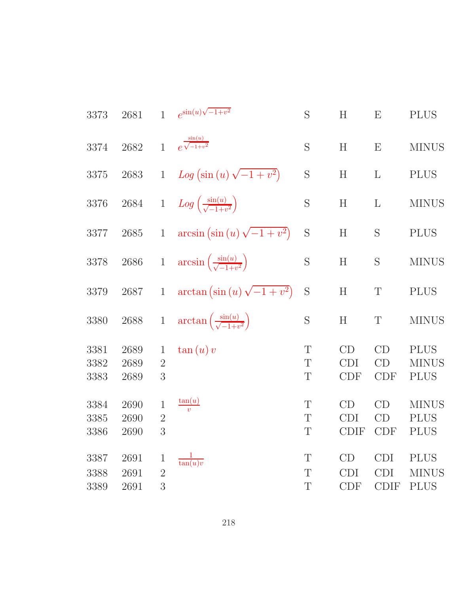| 3373                 | 2681                 | $\mathbf{1}$                        | $e^{\sin(u)\sqrt{-1+v^2}}$                            | S           | H                               | E                                       | <b>PLUS</b>                                |
|----------------------|----------------------|-------------------------------------|-------------------------------------------------------|-------------|---------------------------------|-----------------------------------------|--------------------------------------------|
| 3374                 | 2682                 | $\mathbf{1}$                        | $e^{\frac{\sin(u)}{\sqrt{-1+v^2}}}$                   | S           | H                               | E                                       | <b>MINUS</b>                               |
| 3375                 | 2683                 | $\mathbf{1}$                        | $Log (sin (u) \sqrt{-1 + v^2})$                       | S           | H                               | $\mathbf{L}$                            | <b>PLUS</b>                                |
| 3376                 | $2684\,$             | $\,1$                               | $Log\left(\frac{\sin(u)}{\sqrt{-1+v^2}}\right)$       | $\mathbf S$ | $\boldsymbol{\mathrm{H}}$       | L                                       | <b>MINUS</b>                               |
| 3377                 | 2685                 | $\mathbf{1}$                        | $arcsin(\sin(u)\sqrt{-1+v^2})$                        | S           | H                               | S                                       | <b>PLUS</b>                                |
| 3378                 | 2686                 | $\,1$                               | $\arcsin\left(\frac{\sin(u)}{\sqrt{-1+v^2}}\right)$   | S           | H                               | S                                       | <b>MINUS</b>                               |
| 3379                 | 2687                 | $\mathbf{1}$                        | $\arctan\left(\sin\left(u\right)\sqrt{-1+v^2}\right)$ | S           | $\boldsymbol{\mathrm{H}}$       | $\mathbf T$                             | <b>PLUS</b>                                |
| 3380                 | 2688                 | $\,1$                               | $\arctan\left(\frac{\sin(u)}{\sqrt{-1+u^2}}\right)$   | S           | $\boldsymbol{\mathrm{H}}$       | T                                       | <b>MINUS</b>                               |
| 3381<br>3382<br>3383 | 2689<br>2689<br>2689 | $\mathbf{1}$<br>$\overline{2}$<br>3 | $\tan(u)v$                                            | T<br>T<br>T | CD<br><b>CDI</b><br><b>CDF</b>  | CD<br>CD<br><b>CDF</b>                  | <b>PLUS</b><br><b>MINUS</b><br><b>PLUS</b> |
| 3384<br>3385<br>3386 | 2690<br>2690<br>2690 | $\mathbf 1$<br>$\overline{2}$<br>3  | $\frac{\tan(u)}{v}$                                   | T<br>T<br>T | CD<br><b>CDI</b><br><b>CDIF</b> | CD<br>CD<br><b>CDF</b>                  | <b>MINUS</b><br><b>PLUS</b><br><b>PLUS</b> |
| 3387<br>3388<br>3389 | 2691<br>2691<br>2691 | $\mathbf{1}$<br>$\overline{2}$<br>3 | $\frac{1}{\tan(u)v}$                                  | T<br>T<br>T | CD<br><b>CDI</b><br><b>CDF</b>  | <b>CDI</b><br><b>CDI</b><br><b>CDIF</b> | <b>PLUS</b><br><b>MINUS</b><br><b>PLUS</b> |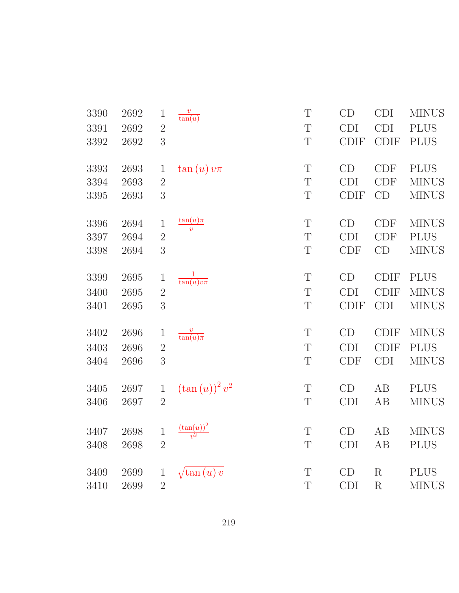| 3390 | 2692 | $\mathbf{1}$   | $\frac{v}{\tan(u)}$       | T           | CD          | <b>CDI</b>        | <b>MINUS</b> |
|------|------|----------------|---------------------------|-------------|-------------|-------------------|--------------|
| 3391 | 2692 | $\overline{2}$ |                           | T           | <b>CDI</b>  | <b>CDI</b>        | <b>PLUS</b>  |
| 3392 | 2692 | 3              |                           | T           | <b>CDIF</b> | <b>CDIF</b>       | <b>PLUS</b>  |
| 3393 | 2693 | $\mathbf 1$    | $\tan(u)v\pi$             | T           | CD          | <b>CDF</b>        | <b>PLUS</b>  |
| 3394 | 2693 | $\sqrt{2}$     |                           | $\mathbf T$ | <b>CDI</b>  | <b>CDF</b>        | <b>MINUS</b> |
| 3395 | 2693 | 3              |                           | $\mathbf T$ | <b>CDIF</b> | CD                | <b>MINUS</b> |
| 3396 | 2694 | $\mathbf{1}$   | $\frac{\tan(u)\pi}{v}$    | $\mathbf T$ | CD          | <b>CDF</b>        | <b>MINUS</b> |
| 3397 | 2694 | $\sqrt{2}$     |                           | $\mathbf T$ | <b>CDI</b>  | <b>CDF</b>        | <b>PLUS</b>  |
| 3398 | 2694 | $\overline{3}$ |                           | $\mathbf T$ | CDF         | CD                | <b>MINUS</b> |
| 3399 | 2695 | $\mathbf 1$    | $\frac{1}{\tan(u)v\pi}$   | $\mathbf T$ | CD          | <b>CDIF</b>       | <b>PLUS</b>  |
| 3400 | 2695 | $\overline{2}$ |                           | $\mathbf T$ | <b>CDI</b>  | <b>CDIF</b>       | <b>MINUS</b> |
| 3401 | 2695 | 3              |                           | $\mathbf T$ | <b>CDIF</b> | <b>CDI</b>        | <b>MINUS</b> |
| 3402 | 2696 | $\mathbf{1}$   | $rac{v}{\tan(u)\pi}$      | $\mathbf T$ | CD          | $\text{\rm CDIF}$ | <b>MINUS</b> |
| 3403 | 2696 | $\sqrt{2}$     |                           | $\mathbf T$ | <b>CDI</b>  | <b>CDIF</b>       | <b>PLUS</b>  |
| 3404 | 2696 | 3              |                           | T           | <b>CDF</b>  | <b>CDI</b>        | <b>MINUS</b> |
| 3405 | 2697 | $\,1$          | $(\tan(u))^2 v^2$         | $\mathbf T$ | CD          | $\rm AB$          | <b>PLUS</b>  |
| 3406 | 2697 | $\overline{2}$ |                           | $\mathbf T$ | CDI         | AB                | <b>MINUS</b> |
| 3407 | 2698 | $\,1$          | $\frac{(\tan(u))^2}{v^2}$ | $\mathbf T$ | CD          | AB                | <b>MINUS</b> |
| 3408 | 2698 | $\overline{2}$ |                           | $\mathbf T$ | CDI         | AB                | <b>PLUS</b>  |
| 3409 | 2699 | $\mathbf{1}$   | $\sqrt{\tan(u)} v$        | $\mathbf T$ | CD          | ${\bf R}$         | <b>PLUS</b>  |
| 3410 | 2699 | $\overline{2}$ |                           | $\mathbf T$ | <b>CDI</b>  | ${\bf R}$         | <b>MINUS</b> |
|      |      |                |                           |             |             |                   |              |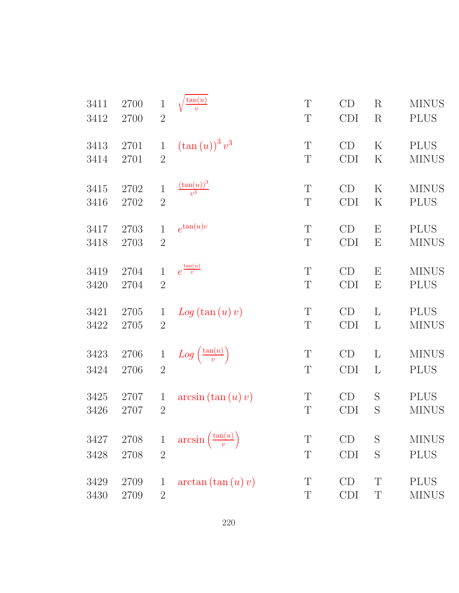| 3411 | 2700 | $\mathbf{1}$   | $\frac{\tan(u)}{v}$                    | T           | CD         | $\rm R$                   | <b>MINUS</b> |
|------|------|----------------|----------------------------------------|-------------|------------|---------------------------|--------------|
| 3412 | 2700 | $\overline{2}$ |                                        | $\mathbf T$ | <b>CDI</b> | $\rm R$                   | <b>PLUS</b>  |
| 3413 | 2701 | $\mathbf{1}$   | $(\tan(u))^3 v^3$                      | $\mathbf T$ | CD         | $\rm K$                   | <b>PLUS</b>  |
| 3414 | 2701 | $\overline{2}$ |                                        | T           | <b>CDI</b> | $\rm K$                   | <b>MINUS</b> |
| 3415 | 2702 | $\mathbf{1}$   | $\frac{\left(\tan(u)\right)^3}{v^3}$   | T           | CD         | $\rm K$                   | <b>MINUS</b> |
| 3416 | 2702 | $\overline{2}$ |                                        | $\mathbf T$ | <b>CDI</b> | $\rm K$                   | <b>PLUS</b>  |
| 3417 | 2703 | $\mathbf{1}$   | $e^{\tan(u)v}$                         | T           | CD         | $\boldsymbol{\mathrm{E}}$ | <b>PLUS</b>  |
| 3418 | 2703 | $2\,$          |                                        | $\mathbf T$ | <b>CDI</b> | $\boldsymbol{\mathrm{E}}$ | <b>MINUS</b> |
| 3419 | 2704 | $\mathbf{1}$   | $e^{\frac{\tan(u)}{v}}$                | T           | CD         | $\boldsymbol{\mathrm{E}}$ | <b>MINUS</b> |
| 3420 | 2704 | $\overline{2}$ |                                        | $\mathbf T$ | <b>CDI</b> | $\boldsymbol{\mathrm{E}}$ | <b>PLUS</b>  |
| 3421 | 2705 | $\mathbf{1}$   | Log(tan(u)v)                           | $\mathbf T$ | CD         | L                         | <b>PLUS</b>  |
| 3422 | 2705 | $\overline{2}$ |                                        | T           | <b>CDI</b> | L                         | <b>MINUS</b> |
| 3423 | 2706 | $\mathbf{1}$   | $Log\left(\frac{\tan(u)}{v}\right)$    | $\mathbf T$ | CD         | L                         | <b>MINUS</b> |
| 3424 | 2706 | $\overline{2}$ |                                        | $\mathbf T$ | <b>CDI</b> | L                         | <b>PLUS</b>  |
| 3425 | 2707 | 1              | $arcsin (\tan (u) v)$                  | T           | CD         | S                         | <b>PLUS</b>  |
| 3426 | 2707 | $\overline{2}$ |                                        | T           | <b>CDI</b> | S                         | <b>MINUS</b> |
| 3427 | 2708 | $\mathbf 1$    | $arcsin\left(\frac{\tan(u)}{v}\right)$ | $\mathbf T$ | CD         | S                         | <b>MINUS</b> |
| 3428 | 2708 | $\overline{2}$ |                                        | Τ           | <b>CDI</b> | S                         | <b>PLUS</b>  |
| 3429 | 2709 | $\mathbf 1$    | $arctan(\tan(u)v)$                     | Τ           | CD         | T                         | <b>PLUS</b>  |
| 3430 | 2709 | $\overline{2}$ |                                        | T           | <b>CDI</b> | T                         | <b>MINUS</b> |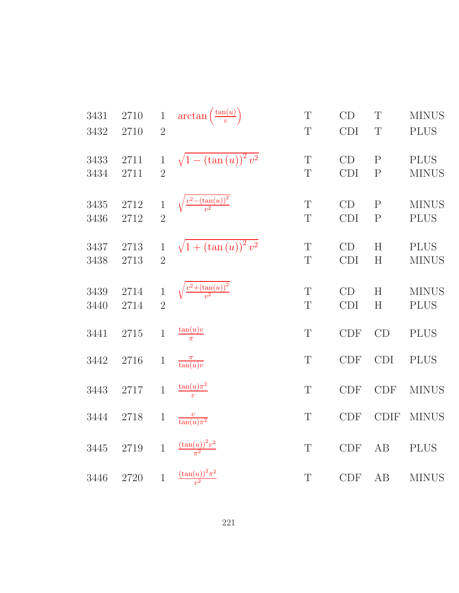| 3431         | 2710         | $\,1$                          | $\arctan\left(\frac{\tan(u)}{v}\right)$ | $\mathbf T$      | CD               | $\mathbb{T}$                   | <b>MINUS</b>                |
|--------------|--------------|--------------------------------|-----------------------------------------|------------------|------------------|--------------------------------|-----------------------------|
| 3432         | 2710         | $\overline{2}$                 |                                         | T                | <b>CDI</b>       | T                              | <b>PLUS</b>                 |
| 3433<br>3434 | 2711<br>2711 | $\mathbf{1}$<br>$\overline{2}$ | $\sqrt{1-(\tan(u))^2 v^2}$              | $\mathbf T$<br>T | CD<br><b>CDI</b> | $\mathbf{P}$<br>$\mathbf P$    | <b>PLUS</b><br><b>MINUS</b> |
| 3435         | 2712         | $\mathbf{1}$                   | $\sqrt{\frac{v^2-(\tan(u))^2}{v^2}}$    | $\mathbf T$      | CD               | $\mathbf{P}$                   | <b>MINUS</b>                |
| 3436         | 2712         | $\overline{2}$                 |                                         | T                | <b>CDI</b>       | $\mathbf{P}$                   | <b>PLUS</b>                 |
| 3437<br>3438 | 2713<br>2713 | $\mathbf{1}$<br>$\overline{2}$ | $\sqrt{1 + (\tan(u))^2 v^2}$            | $\mathbf T$<br>T | CD<br>CDI        | H<br>$\boldsymbol{\mathrm{H}}$ | <b>PLUS</b><br><b>MINUS</b> |
| 3439<br>3440 | 2714<br>2714 | $\mathbf{1}$<br>$\overline{2}$ | $\sqrt{\frac{v^2 + (\tan(u))^2}{v^2}}$  | T<br>T           | CD<br>CDI        | H<br>H                         | <b>MINUS</b><br><b>PLUS</b> |
| 3441         | 2715         | $\,1$                          | $\frac{\tan(u)v}{\pi}$                  | $\mathbf T$      | <b>CDF</b>       | CD                             | <b>PLUS</b>                 |
| 3442         | 2716         | $\mathbf{1}$                   | $\frac{\pi}{\tan(u)v}$                  | $\mathbf T$      | <b>CDF</b>       | <b>CDI</b>                     | <b>PLUS</b>                 |
| 3443         | 2717         | $\mathbf{1}$                   | $\frac{\tan(u)\pi^2}{v}$                | $\mathbf T$      | <b>CDF</b>       | CDF                            | <b>MINUS</b>                |
| 3444         | $2718\,$     | $\,1$                          | $\frac{v}{\tan(u)\pi^2}$                | T                | <b>CDF</b>       | <b>CDIF</b>                    | <b>MINUS</b>                |
| 3445         | 2719         | $\mathbf{1}$                   | $\frac{(\tan(u))^2v^2}{\pi^2}$          | $\mathbf T$      | <b>CDF</b>       | AB                             | <b>PLUS</b>                 |
| 3446         | 2720         | $\mathbf{1}$                   | $\frac{(\tan(u))^2\pi^2}{v^2}$          | T                | <b>CDF</b>       | AB                             | <b>MINUS</b>                |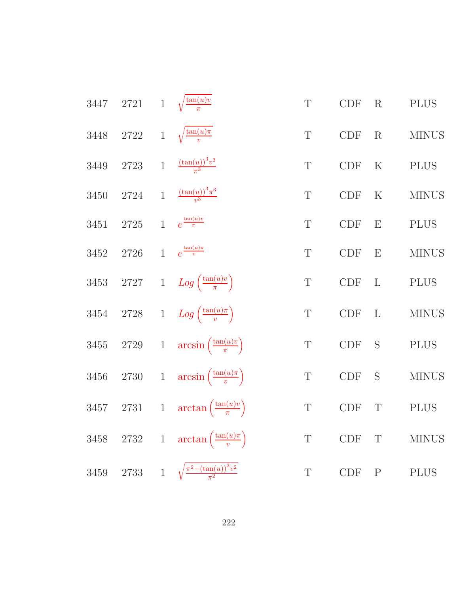| 3447     | $2721\,$ |                | 1 $\sqrt{\frac{\tan(u)v}{\pi}}$               | $\mathbf T$ | $\ensuremath{\mathrm{CDF}}$ | R           | <b>PLUS</b>  |
|----------|----------|----------------|-----------------------------------------------|-------------|-----------------------------|-------------|--------------|
| 3448     | $2722\,$ |                | 1 $\sqrt{\frac{\tan(u)\pi}{v}}$               | T           | CDF                         | R           | $\rm MINUS$  |
| $3449\,$ | $2723\,$ | $\mathbf{1}$   | $\frac{(\tan(u))^{3}v^{3}}{\pi^{3}}$          | T           | $\ensuremath{\mathrm{CDF}}$ | $\rm K$     | <b>PLUS</b>  |
| $3450\,$ | $2724\,$ | $\mathbf{1}$   | $\frac{\left(\tan(u)\right)^3 \pi^3}{v^3}$    | $\mathbf T$ | CDF                         | K           | <b>MINUS</b> |
| 3451     | 2725     | $\overline{1}$ | $e^{\frac{\tan(u)v}{\pi}}$                    | T           | CDF                         | E           | <b>PLUS</b>  |
| 3452     | $2726\,$ | $\mathbf{1}$   | $e^{\frac{\tan(u)\pi}{v}}$                    | T           | $\ensuremath{\mathrm{CDF}}$ | E           | <b>MINUS</b> |
| $3453\,$ | $2727\,$ |                | 1 $Log\left(\frac{\tan(u)v}{\pi}\right)$      | $\mathbf T$ | CDF                         | L           | <b>PLUS</b>  |
| $3454\,$ | $2728\,$ |                | 1 $Log\left(\frac{\tan(u)\pi}{v}\right)$      | $\mathbf T$ | CDF                         | L           | <b>MINUS</b> |
| $3455\,$ | $2729\,$ | $\mathbf{1}$   | $arcsin\left(\frac{\tan(u)v}{\pi}\right)$     | $\mathbf T$ | CDF                         | S           | <b>PLUS</b>  |
| $3456\,$ | $2730\,$ | $1\,$          | $arcsin\left(\frac{\tan(u)\pi}{v}\right)$     | $\mathbf T$ | CDF                         | S           | <b>MINUS</b> |
| 3457     | $2731\,$ | $1\,$          | $\arctan\left(\frac{\tan(u)v}{\pi}\right)$    | $\mathbf T$ | $\ensuremath{\mathrm{CDF}}$ | T           | <b>PLUS</b>  |
| $3458\,$ | 2732     |                | 1 $\arctan\left(\frac{\tan(u)\pi}{v}\right)$  | $\mathbf T$ | $\ensuremath{\mathrm{CDF}}$ | $\mathbf T$ | <b>MINUS</b> |
| 3459     | 2733     |                | 1 $\sqrt{\frac{\pi^2-(\tan(u))^2v^2}{\pi^2}}$ | $\mathbf T$ | CDF                         | $\mathbf P$ | <b>PLUS</b>  |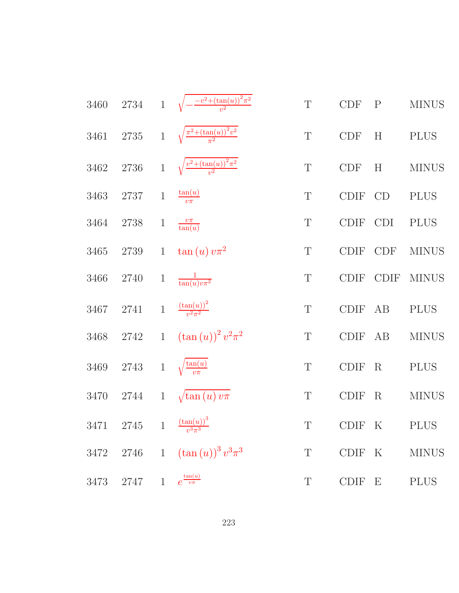|      |                                            |                | 3460 2734 1 $\sqrt{-\frac{-v^2 + (\tan(u))^2 \pi^2}{v^2}}$ | $\mathbf T$ | CDF                         | $\mathbf P$  | <b>MINUS</b> |
|------|--------------------------------------------|----------------|------------------------------------------------------------|-------------|-----------------------------|--------------|--------------|
| 3461 |                                            |                | 2735 1 $\sqrt{\frac{\pi^2 + (\tan(u))^2 v^2}{\pi^2}}$      | $\mathbf T$ | <b>CDF</b>                  | H            | <b>PLUS</b>  |
| 3462 |                                            |                | 2736 1 $\sqrt{\frac{v^2 + (\tan(u))^2 \pi^2}{v^2}}$        | $\mathbf T$ | $\ensuremath{\mathrm{CDF}}$ | H            | <b>MINUS</b> |
| 3463 | 2737                                       | $\overline{1}$ | $\frac{\tan(u)}{v\pi}$                                     | T           | <b>CDIF</b>                 | CD           | <b>PLUS</b>  |
| 3464 | 2738                                       | $\mathbf{1}$   | $\frac{v\pi}{\tan(u)}$                                     | T           | <b>CDIF</b>                 | <b>CDI</b>   | <b>PLUS</b>  |
| 3465 | 2739                                       |                | 1 $\tan(u)v\pi^2$                                          | T           | <b>CDIF</b>                 | <b>CDF</b>   | <b>MINUS</b> |
| 3466 | 2740                                       |                | 1 $\frac{1}{\tan(u)v\pi^2}$                                | T           | <b>CDIF</b>                 | <b>CDIF</b>  | <b>MINUS</b> |
| 3467 | 2741                                       |                | 1 $\frac{(\tan(u))^2}{v^2 \pi^2}$                          | T           | <b>CDIF</b>                 | AB           | <b>PLUS</b>  |
| 3468 | 2742                                       |                | 1 $(\tan(u))^2 v^2 \pi^2$                                  | T           | <b>CDIF</b>                 | AB           | <b>MINUS</b> |
| 3469 | 2743                                       | $\,1$          | $\sqrt{\frac{\tan(u)}{v\pi}}$                              | T           | <b>CDIF</b>                 | R            | <b>PLUS</b>  |
| 3470 | 2744                                       |                | 1 $\sqrt{\tan(u)v\pi}$                                     | T           | <b>CDIF</b>                 | $\rm R$      | <b>MINUS</b> |
|      | 3471 2745 1 $\frac{(\tan(u))^3}{v^3\pi^3}$ |                |                                                            | T           | CDIF K                      |              | <b>PLUS</b>  |
| 3472 | 2746 1                                     |                | $\left(\tan\left(u\right)\right)^3 v^3 \pi ^3$             | T           | <b>CDIF</b>                 | $\mathbf{K}$ | <b>MINUS</b> |
| 3473 | 2747                                       | $\mathbf{1}$   | $e^{\frac{\tan(u)}{v\pi}}$                                 | T           | CDIF E                      |              | <b>PLUS</b>  |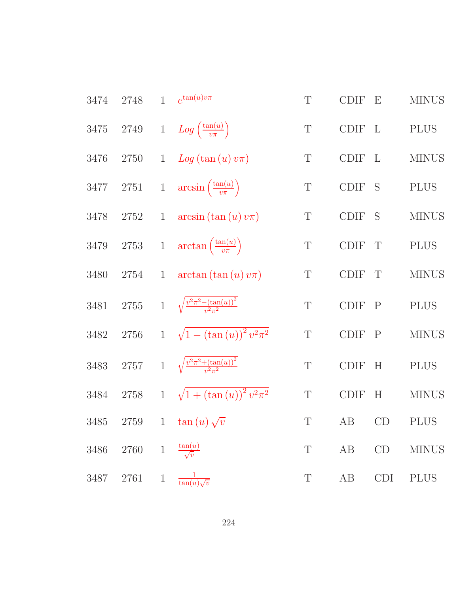| 3474     | 2748     | $\mathbf{1}$ | $e^{\tan(u)v\pi}$                                    | T           | <b>CDIF</b>       | $\boldsymbol{\mathrm{E}}$ | <b>MINUS</b> |
|----------|----------|--------------|------------------------------------------------------|-------------|-------------------|---------------------------|--------------|
| 3475     | $2749\,$ |              | 1 $Log\left(\frac{\tan(u)}{v\pi}\right)$             | $\mathbf T$ | <b>CDIF</b>       | $\mathbf{L}$              | <b>PLUS</b>  |
| 3476     | 2750     | $\mathbf{1}$ | $Log(tan(u)v\pi)$                                    | $\mathbf T$ | CDIF              | $\mathbf{L}$              | $\rm MINUS$  |
| 3477     | 2751     |              | 1 $\arcsin\left(\frac{\tan(u)}{v\pi}\right)$         | T           | <b>CDIF</b>       | S                         | <b>PLUS</b>  |
| 3478     | 2752     | $\mathbf{1}$ | $arcsin (\tan(u) v \pi)$                             | T           | <b>CDIF</b>       | S                         | <b>MINUS</b> |
| $3479\,$ | $2753\,$ |              | 1 $\arctan\left(\frac{\tan(u)}{v\pi}\right)$         | $\mathbf T$ | <b>CDIF</b>       | $\mathbf T$               | <b>PLUS</b>  |
| 3480     | 2754     | $\mathbf{1}$ | $arctan (\tan(u) v \pi)$                             | T           | <b>CDIF</b>       | T                         | <b>MINUS</b> |
| 3481     | $2755\,$ |              | 1 $\sqrt{\frac{v^2 \pi^2 - (\tan(u))^2}{v^2 \pi^2}}$ | $\mathbf T$ | $\text{\rm CDIF}$ | $\mathbf{P}$              | <b>PLUS</b>  |
| 3482     | $2756\,$ | $1 -$        | $\sqrt{1-(\tan(u))^2 v^2 \pi^2}$                     | $\mathbf T$ | <b>CDIF</b>       | $\mathbf{P}$              | <b>MINUS</b> |
| $3483\,$ | $2757\,$ |              | 1 $\sqrt{\frac{v^2 \pi^2 + (\tan(u))^2}{v^2 \pi^2}}$ | T           | <b>CDIF</b>       | H                         | <b>PLUS</b>  |
| 3484     | 2758     | $\mathbf{1}$ | $\sqrt{1 + (\tan(u))^2 v^2 \pi^2}$                   | $\mathbf T$ | <b>CDIF</b>       | H                         | <b>MINUS</b> |
| 3485     | 2759     | $\mathbf{1}$ | $\tan(u)\sqrt{v}$                                    | T           | AB                | CD                        | <b>PLUS</b>  |
| 3486     | 2760     | $1\,$        | $\frac{\tan(u)}{\sqrt{v}}$                           | $\mathbf T$ | AB                | CD                        | <b>MINUS</b> |
| 3487     | 2761     | $\mathbf{1}$ | $\frac{1}{\tan(u)\sqrt{v}}$                          | T           | AB                | <b>CDI</b>                | <b>PLUS</b>  |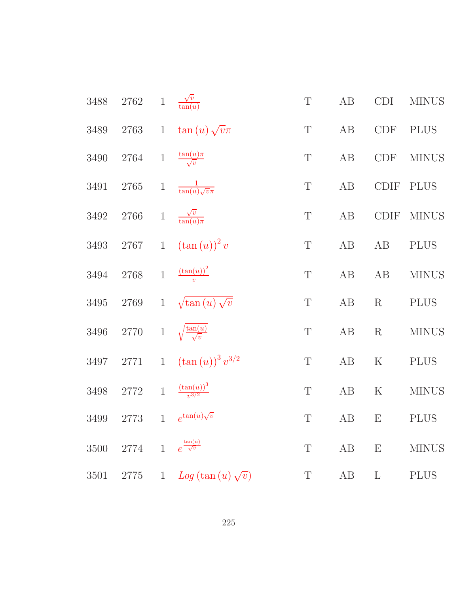| 3488     | $2762\,$ | $\,1$        | $\frac{\sqrt{v}}{\tan(u)}$                 | $\mathbf T$ | $\rm AB$ | CDI                   | <b>MINUS</b> |
|----------|----------|--------------|--------------------------------------------|-------------|----------|-----------------------|--------------|
| 3489     | $2763\,$ | $\mathbf{1}$ | $\tan(u)\sqrt{v}\pi$                       | $\mathbf T$ | $\rm AB$ | <b>CDF</b>            | <b>PLUS</b>  |
| 3490     | 2764     | $\,1$        | $\frac{\tan(u)\pi}{\sqrt{v}}$              | $\mathbf T$ | AB       | <b>CDF</b>            | <b>MINUS</b> |
| 3491     | $2765\,$ | $\mathbf{1}$ | $\frac{1}{\tan(u)\sqrt{v}\pi}$             | T           | AB       | CDIF                  | <b>PLUS</b>  |
| 3492     | $2766\,$ | $\,1$        | $\frac{\sqrt{v}}{\tan(u)\pi}$              | $\mathbf T$ | $\rm AB$ | $\operatorname{CDIF}$ | <b>MINUS</b> |
| 3493     | 2767     | $\mathbf{1}$ | $(\tan(u))^2 v$                            | $\mathbf T$ | AB       | $\rm AB$              | <b>PLUS</b>  |
| 3494     | $2768\,$ | $\mathbf{1}$ | $\frac{(\tan(u))^2}{v}$                    | $\mathbf T$ | $\rm AB$ | $\rm AB$              | <b>MINUS</b> |
| 3495     | $2769\,$ | $\mathbf{1}$ | $\sqrt{\tan(u)\sqrt{v}}$                   | $\mathbf T$ | AB       | R                     | <b>PLUS</b>  |
| 3496     | $2770\,$ | $\,1$        | $\sqrt{\frac{\tan(u)}{\sqrt{v}}}$          | $\mathbf T$ | AB       | R                     | <b>MINUS</b> |
| 3497     | $2771\,$ | $\mathbf{1}$ | $\left(\tan\left(u\right)\right)^3v^{3/2}$ | $\mathbf T$ | $\rm AB$ | ${\bf K}$             | <b>PLUS</b>  |
| $3498\,$ | $2772\,$ | $\mathbf{1}$ | $\frac{\left(\tan(u)\right)^3}{v^{3/2}}$   | $\mathbf T$ | $\rm AB$ | $\mathbf K$           | <b>MINUS</b> |
| 3499     | $2773\,$ | $\mathbf{1}$ | $e^{\tan(u)\sqrt{v}}$                      | $\mathbf T$ | AB       | E                     | <b>PLUS</b>  |
| $3500\,$ | 2774     | $\mathbf{1}$ | $e^{\frac{\tan(u)}{\sqrt{v}}}$             | T           | AB       | E                     | <b>MINUS</b> |
| 3501     | 2775     | $\mathbf{1}$ | $Log(tan(u)\sqrt{v})$                      | $\mathbf T$ | AB       | $\Gamma$              | <b>PLUS</b>  |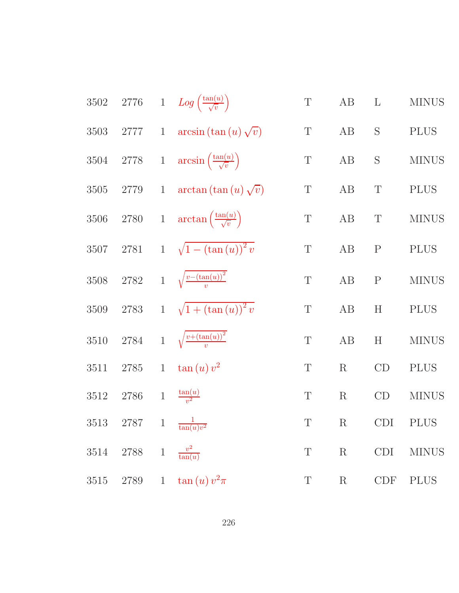| 3502     |                              |              | 2776 1 $Log\left(\frac{\tan(u)}{\sqrt{v}}\right)$     | $\mathbf T$ | AB          | $\Gamma$    | <b>MINUS</b> |
|----------|------------------------------|--------------|-------------------------------------------------------|-------------|-------------|-------------|--------------|
| $3503\,$ | 2777                         |              | 1 $arcsin (\tan (u) \sqrt{v})$                        | $\mathbf T$ | AB          | S           | <b>PLUS</b>  |
| 3504     |                              |              | 2778 1 $\arcsin\left(\frac{\tan(u)}{\sqrt{v}}\right)$ | $\mathbf T$ | AB          | S           | <b>MINUS</b> |
| 3505     | $2779\,$                     |              | 1 $\arctan (\tan (u) \sqrt{v})$                       | $\mathbf T$ | $\rm AB$    | $\mathbf T$ | <b>PLUS</b>  |
| $3506\,$ | 2780                         |              | 1 $\arctan\left(\frac{\tan(u)}{\sqrt{v}}\right)$      | $\mathbf T$ | $\rm AB$    | $\mathbf T$ | <b>MINUS</b> |
| 3507     | 2781                         |              | 1 $\sqrt{1-(\tan(u))^2}$                              | $\mathbf T$ | AB          | ${\bf P}$   | <b>PLUS</b>  |
| $3508\,$ |                              |              | 2782 1 $\sqrt{\frac{v-(\tan(u))^2}{v}}$               | $\mathbf T$ | AB          | ${\bf P}$   | <b>MINUS</b> |
| $3509\,$ | 2783                         |              | 1 $\sqrt{1 + (\tan(u))^2 v}$                          | $\mathbf T$ | AB          | H           | <b>PLUS</b>  |
| 3510     | 2784                         |              | 1 $\sqrt{\frac{v + (\tan(u))^2}{v}}$                  | $\mathbf T$ | AB          | H           | <b>MINUS</b> |
| 3511     | $2785\,$                     | $\mathbf{1}$ | $\tan{(u)} v^2$                                       | $\mathbf T$ | $\rm R$     | CD          | <b>PLUS</b>  |
| 3512     | 2786                         |              | 1 $\frac{\tan(u)}{v^2}$                               | $\mathbf T$ | $\mathbf R$ | CD          | <b>MINUS</b> |
| 3513     |                              |              | 2787 1 $\frac{1}{\tan(u)v^2}$                         | $\mathbf T$ | $\mathbf R$ | <b>CDI</b>  | <b>PLUS</b>  |
| $3514\,$ | 2788 1 $\frac{v^2}{\tan(u)}$ |              |                                                       | $\mathbf T$ | $\mathbf R$ | CDI         | <b>MINUS</b> |
| $3515\,$ |                              |              | 2789 1 $\tan(u) v^2 \pi$                              | $\mathbf T$ | $\rm R$     | CDF         | <b>PLUS</b>  |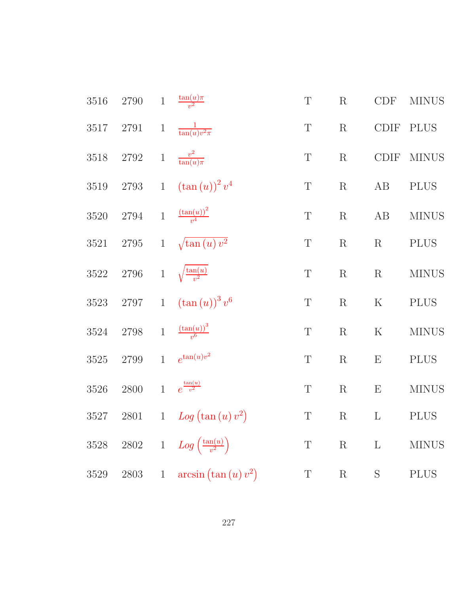| 3516     | 2790     | $\mathbf 1$  | $\frac{\tan(u)\pi}{v^2}$              | $\mathbf T$ | $\mathbf R$ | CDF                       | <b>MINUS</b> |
|----------|----------|--------------|---------------------------------------|-------------|-------------|---------------------------|--------------|
| 3517     | $2791\,$ | $\,1$        | $\frac{1}{\tan(u)v^2\pi}$             | $\mathbf T$ | $\mathbf R$ | CDIF                      | <b>PLUS</b>  |
| 3518     | $2792\,$ | $\,1$        | $\frac{v^2}{\tan(u)\pi}$              | $\mathbf T$ | $\mathbf R$ | CDIF                      | <b>MINUS</b> |
| $3519\,$ | $2793\,$ | $\mathbf{1}$ | $(\tan(u))^2 v^4$                     | $\mathbf T$ | $\mathbf R$ | AB                        | <b>PLUS</b>  |
| $3520\,$ | 2794     | $1\,$        | $\frac{\left(\tan(u)\right)^2}{v^4}$  | $\mathbf T$ | ${\bf R}$   | AB                        | <b>MINUS</b> |
| 3521     | $2795\,$ | $\mathbf{1}$ | $\sqrt{\tan(u)v^2}$                   | $\mathbf T$ | $\mathbf R$ | R                         | <b>PLUS</b>  |
| $3522\,$ | $2796\,$ | $\,1$        | $\sqrt{\frac{\tan(u)}{v^2}}$          | $\mathbf T$ | R           | R                         | <b>MINUS</b> |
| $3523\,$ | $2797\,$ | $1\,$        | $(\tan(u))^3 v^6$                     | $\mathbf T$ | R           | $\rm K$                   | <b>PLUS</b>  |
| $3524\,$ | 2798     | $\mathbf{1}$ | $\frac{\left(\tan(u)\right)^3}{v^6}$  | $\mathbf T$ | $\mathbf R$ | $\rm K$                   | <b>MINUS</b> |
| $3525\,$ | $2799\,$ | $\mathbf{1}$ | $e^{\tan(u)v^2}$                      | $\mathbf T$ | R           | $\boldsymbol{\mathrm{E}}$ | <b>PLUS</b>  |
| $3526\,$ | 2800     | $\mathbf{1}$ | $e^{\frac{\tan(u)}{v^2}}$             | $\mathbf T$ | $\mathbf R$ | E                         | <b>MINUS</b> |
| $3527\,$ | $2801\,$ | $\,1$        | Log (tan (u) v <sup>2</sup> )         | $\mathbf T$ | $\mathbf R$ | $\Gamma$                  | <b>PLUS</b>  |
| $3528\,$ | $2802\,$ | $\mathbf{1}$ | $Log\left(\frac{\tan(u)}{v^2}\right)$ | $\mathbf T$ | $\mathbf R$ | $\mathbf{L}$              | <b>MINUS</b> |
| 3529     | $2803\,$ | $1\,$        | $arcsin (\tan (u) v^2)$               | $\mathbf T$ | ${\bf R}$   | $\mathbf S$               | <b>PLUS</b>  |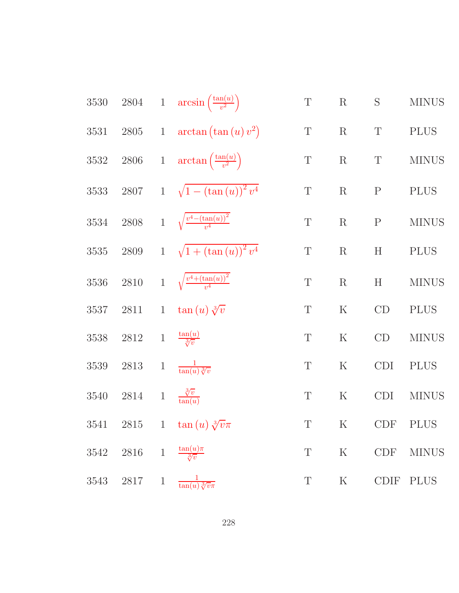3530 2804 1 arcsin 
$$
\left(\frac{\tan(u)}{v^2}\right)
$$
 T R S MINUS  
\n3531 2805 1 arctan  $(\tan(u) v^2)$  T R T PLUS  
\n3532 2806 1 arctan  $\left(\frac{\tan(u)}{v^2}\right)$  T R T PLUS  
\n3533 2807 1  $\sqrt{1 - (\tan(u))^2 v^4}$  T R P PLUS  
\n3534 2808 1  $\sqrt{\frac{v^4 - (\tan(u))^2}{v^4}}$  T R P MINUS  
\n3535 2809 1  $\sqrt{1 + (\tan(u))^2 v^4}$  T R H PLUS  
\n3536 2810 1  $\sqrt{\frac{v^4 + (\tan(u))^2}{v^4}}$  T R H MINUS  
\n3537 2811 1 tan  $(u) \sqrt[3]{v}$  T K CD PLUS  
\n3538 2812 1  $\frac{\tan(u)}{\sqrt[3]{v}}$  T K CD MINUS  
\n3539 2813 1  $\frac{1}{\tan(u) \sqrt[3]{v}}$  T K CD IMINUS  
\n3539 2813 1  $\frac{1}{\tan(u) \sqrt[3]{v}}$  T K CDI PLUS  
\n3540 2814 1  $\frac{\sqrt[3]{v}}{\sqrt[3]{v}}$  T K CDI MINUS  
\n3541 2815 1 tan  $(u) \sqrt[3]{v\pi}$  T K CDF PLUS  
\n3542 2816 1  $\frac{\tan(u)\pi}{\sqrt[3]{v}}$  T K CDF MINUS  
\n3543 2817 1  $\frac{1}{\tan(u) \sqrt[3]{v\pi}}$  T K CDF MINUS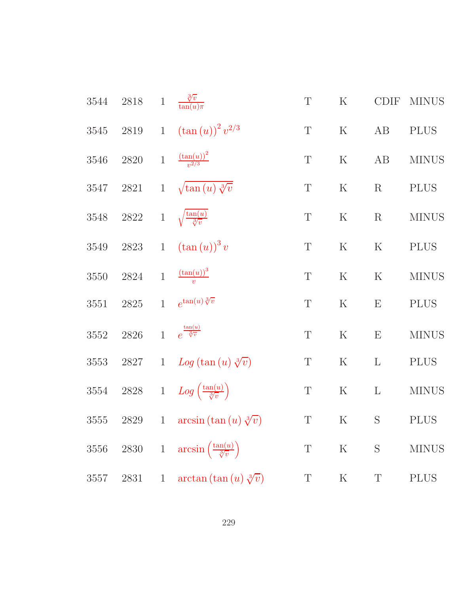| 3544 | 2818     | $\,1$        | $\frac{\sqrt[3]{v}}{\tan(u)\pi}$                         | $\mathbf T$ | $\mathbf K$ | <b>CDIF</b>  | <b>MINUS</b> |
|------|----------|--------------|----------------------------------------------------------|-------------|-------------|--------------|--------------|
| 3545 | $2819\,$ | $\mathbf{1}$ | $(\tan(u))^2 v^{2/3}$                                    | $\mathbf T$ | ${\bf K}$   | AB           | <b>PLUS</b>  |
| 3546 | $2820\,$ | $\,1\,$      | $\frac{(\tan(u))^2}{v^{2/3}}$                            | $\mathbf T$ | $\rm K$     | AB           | <b>MINUS</b> |
| 3547 | 2821     | $\mathbf{1}$ | $\sqrt{\tan(u)}\sqrt[3]{v}$                              | $\mathbf T$ | $\rm K$     | $\mathbf R$  | <b>PLUS</b>  |
| 3548 | $2822\,$ | $\,1$        | $\sqrt{\frac{\tan(u)}{\sqrt[3]{v}}}$                     | $\mathbf T$ | ${\bf K}$   | $\mathbf R$  | <b>MINUS</b> |
| 3549 | $2823\,$ | $1\,$        | $\left(\tan\left(u\right)\right)^{3}v$                   | $\mathbf T$ | $\rm K$     | $\rm K$      | <b>PLUS</b>  |
| 3550 | 2824     | $\mathbf{1}$ | $\frac{\left(\tan(u)\right)^3}{v}$                       | $\mathbf T$ | $\mathbf K$ | ${\bf K}$    | <b>MINUS</b> |
| 3551 | $2825\,$ | $\mathbf{1}$ | $e^{\tan(u)\sqrt[3]{v}}$                                 | $\mathbf T$ | $\mathbf K$ | E            | <b>PLUS</b>  |
| 3552 | 2826     | $\mathbf{1}$ | $e^{\frac{\tan(u)}{3\overline{v}}}$                      | $\mathbf T$ | $\mathbf K$ | E            | <b>MINUS</b> |
| 3553 | 2827     | $\mathbf{1}$ | $Log(tan(u) \sqrt[3]{v})$                                | $\mathbf T$ | ${\bf K}$   | $\mathbf{L}$ | <b>PLUS</b>  |
| 3554 | $2828\,$ | $1\,$        | $Log\left(\frac{\tan(u)}{\sqrt[3]{v}}\right)$            | $\mathbf T$ | $\rm K$     | $\mathbf{L}$ | <b>MINUS</b> |
| 3555 | 2829     | $\mathbf{1}$ | $arcsin (\tan(u) \sqrt[3]{v})$                           | $\mathbf T$ | ${\bf K}$   | S            | <b>PLUS</b>  |
| 3556 |          |              | 2830 1 $\arcsin\left(\frac{\tan(u)}{\sqrt[3]{v}}\right)$ | T           | $\rm K$     | S            | <b>MINUS</b> |
| 3557 | 2831     | $\mathbf{1}$ | $\arctan (\tan(u) \sqrt[3]{v})$                          | T           | $\rm K$     | T            | <b>PLUS</b>  |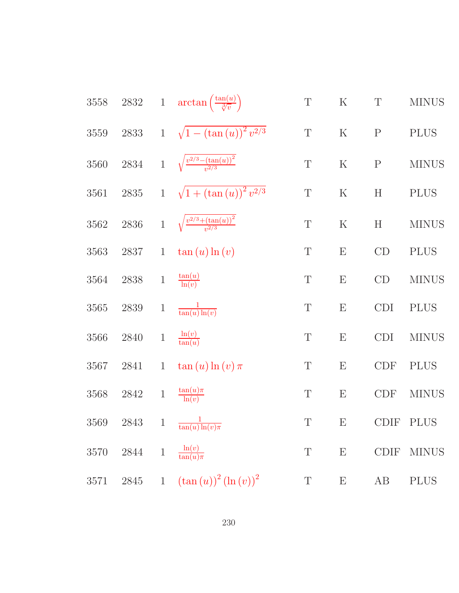| $3558\,$ | $2832\,$ |                | 1 $\arctan\left(\frac{\tan(u)}{\sqrt[3]{v}}\right)$ | $\mathbf T$ | $\rm K$                   | $\mathbf T$               | <b>MINUS</b> |
|----------|----------|----------------|-----------------------------------------------------|-------------|---------------------------|---------------------------|--------------|
| $3559\,$ | 2833     | $\mathbf{1}$   | $\sqrt{1-(\tan(u))^2}v^{2/3}$                       | $\mathbf T$ | $\mathbf K$               | $\mathbf P$               | <b>PLUS</b>  |
| 3560     | 2834     | $\mathbf{1}$   | $\sqrt{\frac{v^{2/3}-(\tan(u))^2}{v^{2/3}}}$        | $\mathbf T$ | ${\bf K}$                 | ${\bf P}$                 | <b>MINUS</b> |
| 3561     | $2835\,$ | $\mathbf{1}$   | $\sqrt{1 + (\tan(u))^2 v^{2/3}}$                    | $\mathbf T$ | ${\bf K}$                 | $\boldsymbol{\mathrm{H}}$ | <b>PLUS</b>  |
| 3562     | 2836     | $\overline{1}$ | $\sqrt{\frac{v^{2/3}+(\tan(u))^2}{v^{2/3}}}$        | T           | $\rm K$                   | H                         | <b>MINUS</b> |
| 3563     | 2837     | $\mathbf{1}$   | $\tan(u) \ln(v)$                                    | $\mathbf T$ | $\boldsymbol{\mathrm{E}}$ | CD                        | <b>PLUS</b>  |
| 3564     | 2838     | $\mathbf{1}$   | $\frac{\tan(u)}{\ln(v)}$                            | T           | $\boldsymbol{\mathrm{E}}$ | CD                        | <b>MINUS</b> |
| 3565     | 2839     | $\mathbf 1$    | $\frac{1}{\tan(u)\ln(v)}$                           | $\mathbf T$ | E                         | CDI                       | <b>PLUS</b>  |
| 3566     | 2840     | $\,1$          | $\frac{\ln(v)}{\tan(u)}$                            | T           | $\boldsymbol{\mathrm{E}}$ | <b>CDI</b>                | <b>MINUS</b> |
| 3567     | 2841     | $\mathbf{1}$   | $\tan(u) \ln(v) \pi$                                | $\mathbf T$ | $\boldsymbol{\mathrm{E}}$ | <b>CDF</b>                | <b>PLUS</b>  |
| 3568     | $2842\,$ | $\,1\,$        | $\frac{\tan(u)\pi}{\ln(v)}$                         | T           | $\boldsymbol{\mathrm{E}}$ | <b>CDF</b>                | <b>MINUS</b> |
| 3569     | 2843     | $\,1$          | $\frac{1}{\tan(u)\ln(v)\pi}$                        | T           | $\boldsymbol{\mathrm{E}}$ | <b>CDIF</b>               | <b>PLUS</b>  |
| 3570     | 2844     | $\mathbf 1$    | $\frac{\ln(v)}{\tan(u)\pi}$                         | $\mathbf T$ | $\boldsymbol{\mathrm{E}}$ | <b>CDIF</b>               | <b>MINUS</b> |
| 3571     | 2845     | $\mathbf{1}$   | $(\tan(u))^{2} (\ln(v))^{2}$                        | $\mathbf T$ | $\boldsymbol{\mathrm{E}}$ | AB                        | <b>PLUS</b>  |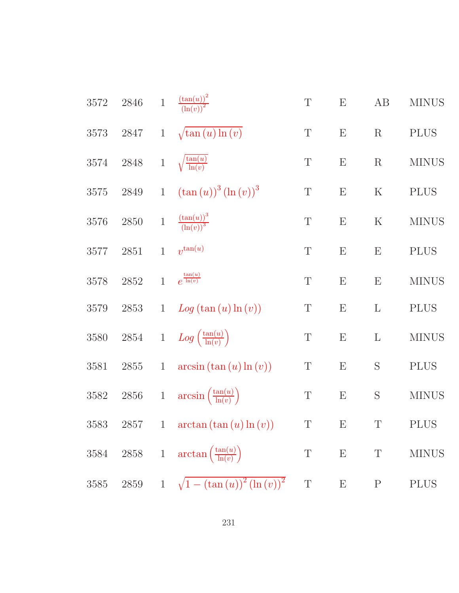| 3572     | 2846     | $\mathbf{1}$ | $\frac{\left(\tan(u)\right)^2}{\left(\ln(v)\right)^2}$ | $\mathbf T$      | E                         | AB           | <b>MINUS</b> |
|----------|----------|--------------|--------------------------------------------------------|------------------|---------------------------|--------------|--------------|
| $3573\,$ | $2847\,$ | $\mathbf{1}$ | $\sqrt{\tan(u)\ln(v)}$                                 | $\mathbf T$      | $\boldsymbol{\mathrm{E}}$ | $\mathbf R$  | <b>PLUS</b>  |
| 3574     | $2848\,$ | $\,1\,$      | $\sqrt{\frac{\tan(u)}{\ln(v)}}$                        | T                | E                         | $\mathbf R$  | $\rm MINUS$  |
| $3575\,$ | 2849     | $\mathbf{1}$ | $(\tan(u))^3 (\ln(v))^3$                               | $\mathbf T$      | ${\bf E}$                 | ${\bf K}$    | <b>PLUS</b>  |
| 3576     | 2850     | $\mathbf 1$  | $\frac{(\tan(u))^3}{(\ln(v))^3}$                       | $\mathbf T$      | ${\bf E}$                 | $\rm K$      | $\rm MINUS$  |
| 3577     | 2851     | $\mathbf{1}$ | $v^{\tan(u)}$                                          | $\mathbf T$      | E                         | E            | <b>PLUS</b>  |
| 3578     | $2852\,$ | $\mathbf{1}$ | $e^{\frac{\tan(u)}{\ln(v)}}$                           | $\mathbf T$      | ${\rm E}$                 | E            | <b>MINUS</b> |
| 3579     | $2853\,$ | $\mathbf{1}$ | Log(tan(u)ln(v))                                       | $\mathbf T$      | $\boldsymbol{\mathrm{E}}$ | $\mathbf{L}$ | <b>PLUS</b>  |
| 3580     | $2854\,$ | $\,1$        | $Log\left(\frac{\tan(u)}{\ln(v)}\right)$               | $\boldsymbol{T}$ | E                         | $\Gamma$     | <b>MINUS</b> |
| 3581     | 2855     | $\mathbf{1}$ | $arcsin (\tan (u) \ln (v))$                            | $\mathbf T$      | E                         | S            | <b>PLUS</b>  |
| $3582\,$ | $2856\,$ | $\,1\,$      | $arcsin\left(\frac{\tan(u)}{\ln(v)}\right)$            | $\mathbf T$      | E                         | S            | <b>MINUS</b> |
| 3583     | 2857     | $\mathbf{1}$ | $\arctan (\tan (u) \ln (v))$                           | $\mathbf T$      | ${\bf E}$                 | T            | <b>PLUS</b>  |
| 3584     |          |              | 2858 1 $\arctan\left(\frac{\tan(u)}{\ln(v)}\right)$    | $\mathbf T$      | ${\bf E}$                 | $\mathbf T$  | <b>MINUS</b> |
| $3585\,$ | $2859\,$ |              | 1 $\sqrt{1-(\tan(u))^2(\ln(v))^2}$                     | $\mathbf T$      | E                         | $\mathbf{P}$ | <b>PLUS</b>  |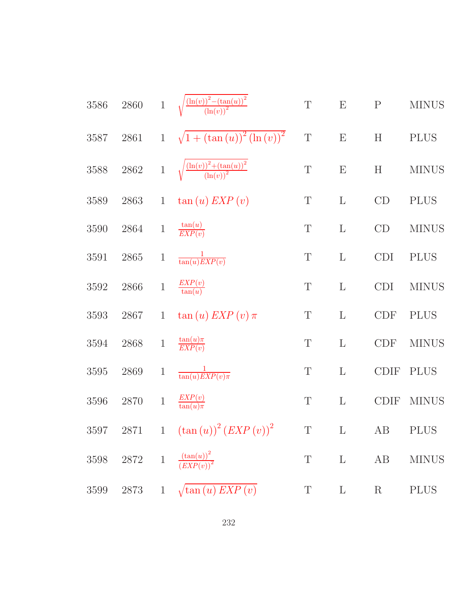| $3586\,$ | 2860     |              | 1 $\sqrt{\frac{(\ln(v))^2-(\tan(u))^2}{(\ln(v))^2}}$ | $\mathbf T$ | E                         | ${\bf P}$   | <b>MINUS</b> |
|----------|----------|--------------|------------------------------------------------------|-------------|---------------------------|-------------|--------------|
| 3587     | 2861     | $\mathbf{1}$ | $\sqrt{1 + (\tan(u))^2 (\ln(v))^2}$                  | $\mathbf T$ | E                         | H           | <b>PLUS</b>  |
| 3588     | $2862\,$ | $\mathbf 1$  | $\sqrt{\frac{(\ln(v))^2 + (\tan(u))^2}{(\ln(v))^2}}$ | $\mathbf T$ | $\boldsymbol{\mathrm{E}}$ | H           | <b>MINUS</b> |
| 3589     | 2863     | $\mathbf{1}$ | $\tan(u) EXP(v)$                                     | $\mathbf T$ | $\mathbf{L}$              | CD          | <b>PLUS</b>  |
| 3590     | 2864     | $\mathbf{1}$ | $\frac{\tan(u)}{EXP(v)}$                             | $\mathbf T$ | $\mathbf{L}$              | CD          | <b>MINUS</b> |
| 3591     | 2865     | $\mathbf{1}$ | $\frac{1}{\tan(u)EXP(v)}$                            | $\mathbf T$ | $\mathbf{L}$              | CDI         | <b>PLUS</b>  |
| 3592     | 2866     | $\,1$        | $\frac{EXP(v)}{\tan(u)}$                             | T           | $\mathbf{L}$              | <b>CDI</b>  | <b>MINUS</b> |
| 3593     | 2867     | $\mathbf{1}$ | $\tan(u) EXP(v) \pi$                                 | $\mathbf T$ | $\mathbf{L}$              | <b>CDF</b>  | <b>PLUS</b>  |
| 3594     | 2868     | $\,1$        | $\frac{\tan(u)\pi}{EXP(v)}$                          | $\mathbf T$ | $\mathbf{L}$              | CDF         | <b>MINUS</b> |
| 3595     | 2869     | $\mathbf{1}$ | $\frac{1}{\tan(u)EXP(v)\pi}$                         | $\mathbf T$ | $\mathbf{L}$              | <b>CDIF</b> | <b>PLUS</b>  |
| 3596     | 2870     | $\,1\,$      | $\frac{EXP(v)}{\tan(u)\pi}$                          | T           | $\mathbf{L}$              | <b>CDIF</b> | <b>MINUS</b> |
|          |          |              | 3597 2871 1 $(\tan(u))^2 (EXP(v))^2$                 |             |                           | T L AB PLUS |              |
|          |          |              | 3598 2872 1 $\frac{(\tan(u))^2}{(EXP(v))^2}$         | $\mathbf T$ | $\mathbf{L}$              | AB          | <b>MINUS</b> |
| 3599     |          |              | 2873 1 $\sqrt{\tan(u) EXP(v)}$                       | $\mathbf T$ | $\mathbf{L}$              | $\rm R$     | <b>PLUS</b>  |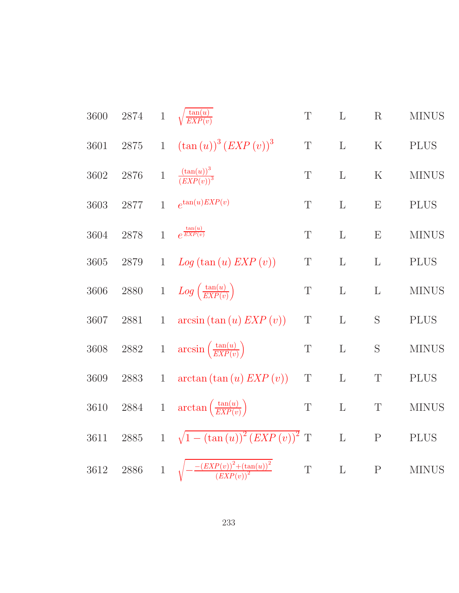| $2874\,$ | $\mathbf 1$  | $\sqrt{\frac{\tan(u)}{EXP(v)}}$                                                                  | $\mathbf T$                                                                                 | $\mathbf{L}$                           | R            | <b>MINUS</b> |
|----------|--------------|--------------------------------------------------------------------------------------------------|---------------------------------------------------------------------------------------------|----------------------------------------|--------------|--------------|
| 2875     | $\mathbf{1}$ | $(\tan(u))^3 (EXP(v))^3$                                                                         | $\mathbf T$                                                                                 | $\mathbf L$                            | $\mathbf K$  | <b>PLUS</b>  |
| 2876     | $\,1$        | $\frac{(\tan(u))^3}{(EXP(v))^3}$                                                                 | $\mathbf T$                                                                                 | L                                      | K            | <b>MINUS</b> |
| $2877\,$ | $\mathbf{1}$ | $e^{\tan(u)EXP(v)}$                                                                              | $\mathbf T$                                                                                 | L                                      | E            | <b>PLUS</b>  |
| 2878     | $\mathbf{1}$ | $e^{\frac{\tan(u)}{EXP(v)}}$                                                                     | $\mathbf T$                                                                                 | $\mathbf{L}$                           | E            | <b>MINUS</b> |
| 2879     | $\mathbf{1}$ | Log(tan(u) EXP(v))                                                                               | Τ                                                                                           | $\mathbf{L}$                           | $\mathbf{L}$ | <b>PLUS</b>  |
| 2880     | $1\,$        | $Log\left(\frac{\tan(u)}{EXP(v)}\right)$                                                         | Τ                                                                                           | L                                      | $\mathbf{L}$ | <b>MINUS</b> |
| 2881     | $\mathbf{1}$ | $arcsin (\tan (u) EXP (v))$                                                                      | $\mathbf T$                                                                                 | L                                      | S            | <b>PLUS</b>  |
| $2882\,$ | $\,1$        |                                                                                                  | T                                                                                           | $\Gamma$                               | S            | <b>MINUS</b> |
| 2883     | $\mathbf{1}$ | arctan (tan (u) EXP (v))                                                                         | $\mathbf T$                                                                                 | L                                      | $\mathbf T$  | <b>PLUS</b>  |
| $\,2884$ | $\,1$        |                                                                                                  | $\mathbf T$                                                                                 | $\mathbf L$                            | $\mathbf T$  | <b>MINUS</b> |
| $2885\,$ | $\mathbf{1}$ |                                                                                                  |                                                                                             | L                                      | $\mathbf P$  | <b>PLUS</b>  |
| $2886\,$ | $\mathbf{1}$ | $\frac{-\left( EXP(v) \right)^2 + \overline{\left( \tan(u) \right)^2}}{\left( EXP(v) \right)^2}$ | $\mathbf T$                                                                                 | $\mathbf L$                            | ${\bf P}$    | <b>MINUS</b> |
|          |              |                                                                                                  | $arcsin\left(\frac{\tan(u)}{EXP(v)}\right)$<br>$\arctan\left(\frac{\tan(u)}{EXP(v)}\right)$ | $\sqrt{1-(\tan(u))^{2}(EXP(v))^{2}}$ T |              |              |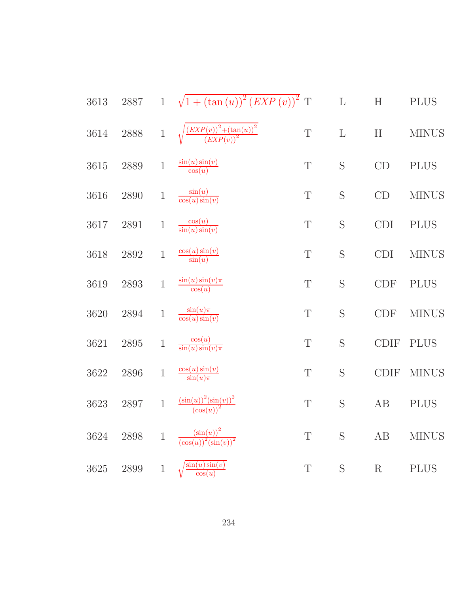| 3613     | 2887     |              | 1 $\sqrt{1 + (\tan(u))^2 (EXP(v))^2}$ T                                                     |             | $\mathbf L$ | $\boldsymbol{\mathrm{H}}$   | <b>PLUS</b>  |
|----------|----------|--------------|---------------------------------------------------------------------------------------------|-------------|-------------|-----------------------------|--------------|
| $3614\,$ | 2888     | $\mathbf{1}$ | $\sqrt{\frac{\left( EXP(v) \right)^2 + \left( \tan(u) \right)^2}{\left( EXP(v) \right)^2}}$ | $\mathbf T$ | $\mathbf L$ | $\boldsymbol{\mathrm{H}}$   | <b>MINUS</b> |
| 3615     | 2889     | $\,1$        | $\frac{\sin(u)\sin(v)}{\cos(u)}$                                                            | T           | S           | CD                          | <b>PLUS</b>  |
| 3616     | 2890     | $\mathbf 1$  | $\frac{\sin(u)}{\cos(u)\sin(v)}$                                                            | $\mathbf T$ | S           | CD                          | <b>MINUS</b> |
| $3617\,$ | $2891\,$ | $\,1\,$      | $\frac{\cos(u)}{\sin(u)\sin(v)}$                                                            | T           | S           | CDI                         | $\rm PLUS$   |
| 3618     | $2892\,$ | $\mathbf 1$  | $\frac{\cos(u)\sin(v)}{\sin(u)}$                                                            | $\mathbf T$ | S           | <b>CDI</b>                  | <b>MINUS</b> |
| 3619     | $2893\,$ | $\mathbf{1}$ | $\frac{\sin(u)\sin(v)\pi}{\cos(u)}$                                                         | $\mathbf T$ | S           | $\ensuremath{\mathrm{CDF}}$ | <b>PLUS</b>  |
| 3620     | $\,2894$ | $\mathbf 1$  | $\frac{\sin(u)\pi}{\cos(u)\sin(v)}$                                                         | T           | S           | <b>CDF</b>                  | <b>MINUS</b> |
| $3621\,$ | $2895\,$ | $\,1$        | $\frac{\cos(u)}{\sin(u)\sin(v)\pi}$                                                         | $\mathbf T$ | S           | <b>CDIF</b>                 | <b>PLUS</b>  |
| 3622     | $2896\,$ | $\mathbf 1$  | $\frac{\cos(u)\sin(v)}{\sin(u)\pi}$                                                         | $\mathbf T$ | S           | <b>CDIF</b>                 | <b>MINUS</b> |
| 3623     | $2897\,$ | $\mathbf{1}$ | $\frac{\left(\sin(u)\right)^2\left(\sin(v)\right)^2}{\left(\cos(u)\right)^2}$               | $\mathbf T$ | S           | AB                          | <b>PLUS</b>  |
| $3624\,$ | $2898\,$ | $\mathbf{1}$ | $\frac{\left(\sin(u)\right)^2}{\left(\cos(u)\right)^2\left(\sin(v)\right)^2}$               | $\mathbf T$ | S           | AB                          | <b>MINUS</b> |
| 3625     | $2899\,$ | $\mathbf{1}$ | $\sqrt{\frac{\sin(u)\sin(v)}{\cos(u)}}$                                                     | $\mathbf T$ | S           | $\mathbf R$                 | <b>PLUS</b>  |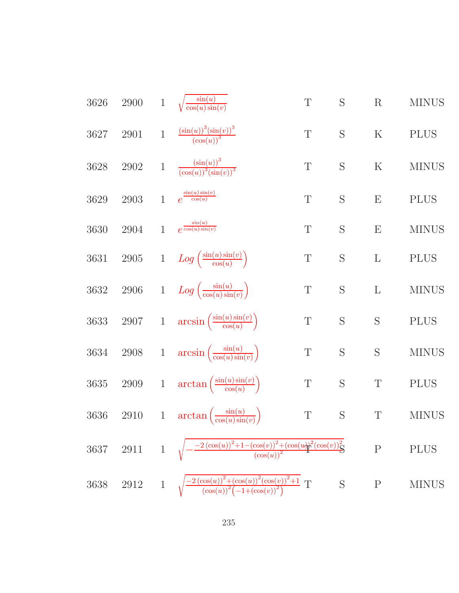3626 2900 1 
$$
\sqrt{\frac{\sin(u)}{\cos(u)\sin(v)}}
$$
 T S R MINUS  
\n3627 2901 1  $\frac{(\sin(u))^3(\sin(v))^3}{(\cos(u))^3}$  T S K PLUS  
\n3628 2902 1  $\frac{(\sin(u))^3}{(\cos(u))^3(\sin(v))^3}$  T S K MINUS  
\n3629 2903 1  $e^{\frac{\sin(v)\sin(v)}{\cos(u)}}$  T S E PLUS  
\n3630 2904 1  $e^{\frac{\sin(u)}{\cos(u)\sin(v)}}$  T S E MINUS  
\n3631 2905 1  $Log\left(\frac{\sin(u)\sin(v)}{\cos(u)}$  T S L PLUS  
\n3632 2906 1  $Log\left(\frac{\sin(u)\sin(v)}{\cos(u)\sin(v)}\right)$  T S L MINUS  
\n3633 2907 1  $arcsin\left(\frac{\sin(u)\sin(v)}{\cos(u)\sin(v)}\right)$  T S S N  
\n3634 2908 1  $arcsin\left(\frac{\sin(u)\sin(v)}{\cos(u)\sin(v)}\right)$  T S S MINUS  
\n3635 2909 1  $arctan\left(\frac{\sin(u)\sin(v)}{\cos(u)\sin(v)}\right)$  T S T PLUS  
\n3636 2910 1  $arctan\left(\frac{\sin(u)}{\cos(u)\sin(v)}\right)$  T S T PLUS  
\n3636 2910 1  $arctan\left(\frac{\sin(u)}{\cos(u)\sin(v)}\right)$  T S T MINUS  
\n3637 2911 1  $\sqrt{-\frac{2(\cos(u))^2 + (\cos(u))^2(\cos(v))^2 + (\cos(u))^2}{(\cos(u))^2}}$  P PLUS  
\n3638 2912 1  $\sqrt{\frac{-2(\cos(u))^2 + (\cos(u))^2(\cos(v))^2 + 1}{(\cos(u))^2}}$  T S P MINUS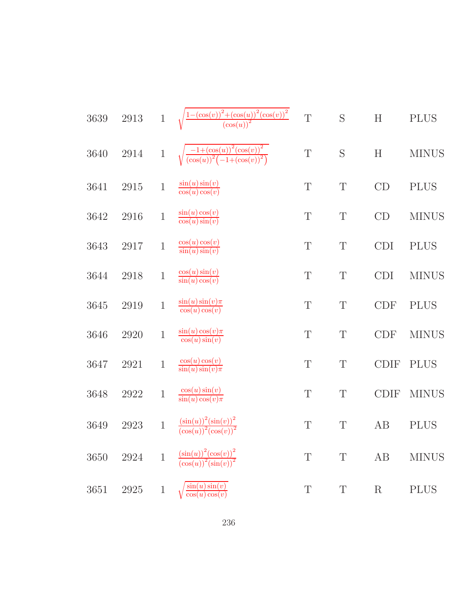| 3639 | 2913 | $\mathbf 1$  | $\frac{-(\cos(v))^2+(\cos(u))^2(\cos(v))^2}{(\cos(u))^2}$                     | $\mathbf T$ | S           | H                         | <b>PLUS</b>  |
|------|------|--------------|-------------------------------------------------------------------------------|-------------|-------------|---------------------------|--------------|
| 3640 | 2914 | $\mathbf{1}$ | $\frac{-1+(\cos(u))^2(\cos(v))^2}{(\cos(u))^2(-1+(\cos(v))^2)}$               | $\mathbf T$ | S           | $\boldsymbol{\mathrm{H}}$ | <b>MINUS</b> |
| 3641 | 2915 | $\mathbf 1$  | $\frac{\sin(u)\sin(v)}{\cos(u)\cos(v)}$                                       | $\mathbf T$ | $\mathbf T$ | CD                        | <b>PLUS</b>  |
| 3642 | 2916 | $\,1$        | $\frac{\sin(u)\cos(v)}{\cos(u)\sin(v)}$                                       | T           | $\mathbf T$ | CD                        | <b>MINUS</b> |
| 3643 | 2917 | $\,1$        | $\frac{\cos(u)\cos(v)}{\sin(u)\sin(v)}$                                       | T           | $\mathbf T$ | <b>CDI</b>                | <b>PLUS</b>  |
| 3644 | 2918 | $\,1$        | $\frac{\cos(u)\sin(v)}{\sin(u)\cos(v)}$                                       | T           | $\mathbf T$ | <b>CDI</b>                | <b>MINUS</b> |
| 3645 | 2919 | $\mathbf 1$  | $\frac{\sin(u)\sin(v)\pi}{\cos(u)\cos(v)}$                                    | T           | T           | <b>CDF</b>                | <b>PLUS</b>  |
| 3646 | 2920 | $\mathbf 1$  | $\frac{\sin(u)\cos(v)\pi}{\cos(u)\sin(v)}$                                    | T           | T           | <b>CDF</b>                | <b>MINUS</b> |
| 3647 | 2921 | $\mathbf{1}$ | $\frac{\cos(u)\cos(v)}{\sin(u)\sin(v)\pi}$                                    | $\mathbf T$ | $\mathbf T$ | <b>CDIF</b>               | <b>PLUS</b>  |
| 3648 | 2922 | $\,1$        | $\frac{\cos(u)\sin(v)}{\sin(u)\cos(v)\pi}$                                    | T           | $\mathbf T$ | <b>CDIF</b>               | <b>MINUS</b> |
| 3649 | 2923 | $\mathbf 1$  | $\frac{\left(\sin(u)\right)^2\left(\sin(v)\right)^2}{\left(\sin(v)\right)^2}$ | T           | $\mathbf T$ | AB                        | <b>PLUS</b>  |
| 3650 | 2924 | $\mathbf 1$  | $\frac{(\sin(u))^{2}(\cos(v))^{2}}{(\cos(u))^{2}(\sin(v))^{2}}$               | T           | T           | AB                        | <b>MINUS</b> |
| 3651 | 2925 | $\,1$        | $\sin(u)\sin(v)$<br>$\cos(u)\cos(v)$                                          | T           | $\mathbf T$ | $\rm R$                   | <b>PLUS</b>  |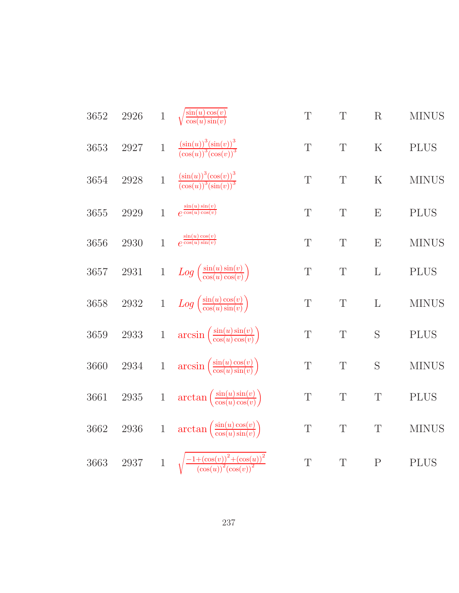| 3652 | 2926     | $\,1$        | $\sqrt{\frac{\sin(u)\cos(v)}{\cos(u)\sin(v)}}$                     | $\mathbf T$ | $\mathbf T$ | R              | <b>MINUS</b> |
|------|----------|--------------|--------------------------------------------------------------------|-------------|-------------|----------------|--------------|
| 3653 | 2927     | $\mathbf 1$  | $\frac{(\sin(u))^{3}(\sin(v))^{3}}{(\cos(u))^{3}(\cos(v))^{3}}$    | $\mathbf T$ | $\mathbf T$ | $\mathbf K$    | <b>PLUS</b>  |
| 3654 | 2928     | $\mathbf{1}$ | $\frac{(\sin(u))^{3}(\cos(v))^{3}}{(\cos(u))^{3}(\sin(v))^{3}}$    | T           | $\mathbf T$ | $\rm K$        | <b>MINUS</b> |
| 3655 | 2929     | $\mathbf{1}$ | $e^{\frac{\sin(u)\sin(v)}{\cos(u)\cos(v)}}$                        | $\mathbf T$ | T           | E              | <b>PLUS</b>  |
| 3656 | 2930     | $\mathbf{1}$ | $e^{\frac{\sin(u)\cos(v)}{\cos(u)\sin(v)}}$                        | $\mathbf T$ | $\mathbf T$ | E              | <b>MINUS</b> |
| 3657 | $2931\,$ |              | 1 $Log\left(\frac{\sin(u)\sin(v)}{\cos(u)\cos(v)}\right)$          | $\mathbf T$ | $\mathbf T$ | $\mathbf L$    | <b>PLUS</b>  |
| 3658 | $2932\,$ |              | 1 $Log\left(\frac{\sin(u)\cos(v)}{\cos(u)\sin(v)}\right)$          | $\mathbf T$ | $\mathbf T$ | $\mathbf{L}$   | <b>MINUS</b> |
| 3659 | $2933\,$ | $\,1\,$      | $\arcsin\left(\frac{\sin(u)\sin(v)}{\cos(u)\cos(v)}\right)$        | $\mathbf T$ | $\mathbf T$ | S              | <b>PLUS</b>  |
| 3660 | 2934     | $\,1\,$      | $arcsin\left(\frac{\sin(u)\cos(v)}{\cos(u)\sin(v)}\right)$         | $\mathbf T$ | $\mathbf T$ | S              | <b>MINUS</b> |
| 3661 | $2935\,$ | $\,1$        | $\arctan\left(\frac{\sin(u)\sin(v)}{\cos(u)\cos(v)}\right)$        | $\mathbf T$ | $\mathbf T$ | $\mathbf T$    | <b>PLUS</b>  |
| 3662 | $2936\,$ | $\,1$        | $\arctan\left(\frac{\sin(u)\cos(v)}{\cos(u)\sin(v)}\right)$        | $\mathbf T$ | $\mathbf T$ | T              | <b>MINUS</b> |
| 3663 | $2937\,$ | $\mathbf{1}$ | $\sqrt{\frac{-1+(\cos(v))^2+(\cos(u))^2}{(\cos(u))^2(\cos(v))^2}}$ | T           | T           | $\overline{P}$ | <b>PLUS</b>  |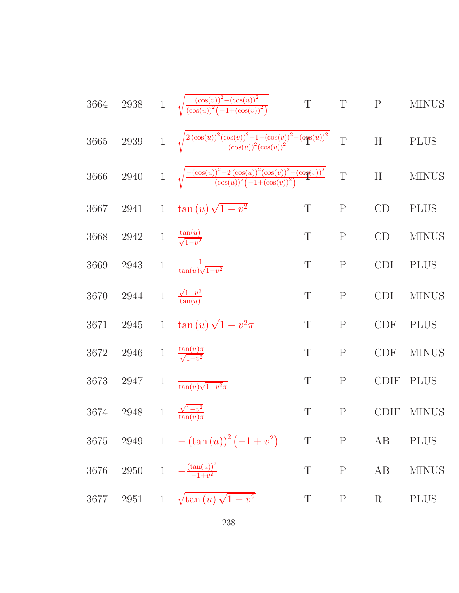3664 2938 1 
$$
\sqrt{\frac{(\cos(u))^2 - (\cos(u))^2}{(\cos(u))^2 (1 + (\cos(v))^2)}} \text{ T}
$$
 T P MINUS  
\n3665 2939 1  $\sqrt{\frac{2(\cos(u))^2 (\cos(u))^2 + 1 - (\cos(v))^2 - (\cos(u))^2}{(\cos(u))^2 (1 + (\cos(v))^2)}} \text{ T}$  H PLUS  
\n3666 2940 1  $\sqrt{\frac{-(\cos(u))^2 + 2(\cos(u))^2 (\cos(u))^2 - (\cos(u))^2}{(\cos(u))^2 (1 + (\cos(v))^2)}} \text{ T}$  H MINUS  
\n3667 2941 1  $\tan(u) \sqrt{1 - v^2}$  T P CD PLUS  
\n3668 2942 1  $\frac{\tan(u)}{\frac{1}{\sqrt{1 - v^2}}}$  T P CD MINUS  
\n3669 2943 1  $\frac{\tan(u)}{\tan(u)\sqrt{1 - v^2}}$  T P CD ININUS  
\n3670 2944 1  $\frac{\sqrt{1 - v^2}}{\tan(u)}$  T P CDI MINUS  
\n3671 2945 1  $\tan(u) \sqrt{1 - v^2}\pi$  T P CDF PLUS  
\n3672 2946 1  $\frac{\tan(u)\pi}{\sqrt{1 - v^2}}$  T P CDF MINUS  
\n3673 2947 1  $\frac{1}{\tan(u)\pi}$  T P CDF MINUS  
\n3674 2948 1  $\frac{\sqrt{1 - v^2}}{\tan(u)\pi}$  T P CDF MINUS  
\n3675 2949 1  $-(\tan(u))^2(-1+v^2)$  T P AB PLUS  
\n3676 2950 1  $-\frac{(\tan(u))^2}{-1+v^2}$  T P AB MINUS  
\n3677 2951 1  $\sqrt{\tan(u)\sqrt{1 - v^2}}$  T P R PLUS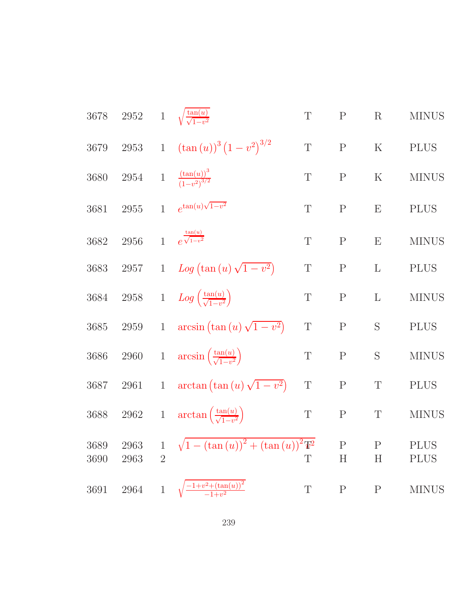| $2952\,$     |                                |                                                      | T                                                                                                                                                                                                                                           | $\mathbf P$                                                      | $\mathbf R$               | <b>MINUS</b>               |
|--------------|--------------------------------|------------------------------------------------------|---------------------------------------------------------------------------------------------------------------------------------------------------------------------------------------------------------------------------------------------|------------------------------------------------------------------|---------------------------|----------------------------|
| $2953\,$     | $\mathbf{1}$                   | $(\tan(u))^3 (1-v^2)^{3/2}$                          | $\mathbf T$                                                                                                                                                                                                                                 | $\mathbf P$                                                      | $\mathbf K$               | <b>PLUS</b>                |
| $2954\,$     | $\,1$                          |                                                      | $\mathbf T$                                                                                                                                                                                                                                 | ${\bf P}$                                                        | $\rm K$                   | <b>MINUS</b>               |
| 2955         | $\mathbf{1}$                   | $e^{\tan(u)\sqrt{1-v^2}}$                            | $\mathbf T$                                                                                                                                                                                                                                 | ${\bf P}$                                                        | E                         | <b>PLUS</b>                |
| 2956         | $\mathbf{1}$                   | $e^{\frac{\tan(u)}{\sqrt{1-v^2}}}$                   | $\mathbf T$                                                                                                                                                                                                                                 | ${\bf P}$                                                        | E                         | <b>MINUS</b>               |
| 2957         | $\mathbf{1}$                   | $Log (tan (u) \sqrt{1-v^2})$                         | $\mathbf T$                                                                                                                                                                                                                                 | ${\bf P}$                                                        | L                         | <b>PLUS</b>                |
| $2958\,$     | $1\,$                          |                                                      | $\mathbf T$                                                                                                                                                                                                                                 | ${\bf P}$                                                        | $\mathbf{L}$              | <b>MINUS</b>               |
| $2959\,$     | $\mathbf{1}$                   | $arcsin (\tan (u) \sqrt{1-v^2})$                     | $\mathbf T$                                                                                                                                                                                                                                 | ${\bf P}$                                                        | S                         | <b>PLUS</b>                |
| 2960         | $\,1$                          |                                                      | $\mathbf T$                                                                                                                                                                                                                                 | ${\bf P}$                                                        | S                         | <b>MINUS</b>               |
| 2961         | $\mathbf{1}$                   | $\arctan\left(\tan\left(u\right)\sqrt{1-v^2}\right)$ | $\mathbf T$                                                                                                                                                                                                                                 | ${\bf P}$                                                        | $\mathbf T$               | <b>PLUS</b>                |
| $\,2962$     | $1\,$                          |                                                      | $\mathbf T$                                                                                                                                                                                                                                 | ${\bf P}$                                                        | $\mathbf T$               | <b>MINUS</b>               |
| 2963<br>2963 | $\mathbf{1}$<br>$\overline{2}$ |                                                      | $\mathbf T$                                                                                                                                                                                                                                 | $\mathbf P$<br>$H_{\rm}$                                         | $\mathbf{P}$<br>$H_{\rm}$ | <b>PLUS</b><br><b>PLUS</b> |
| $\,2964$     | $\mathbf{1}$                   | $\frac{-1+v^2 + (\tan(u))^2}{-1+v^2}$                | $\mathbf T$                                                                                                                                                                                                                                 | $\mathbf P$                                                      | $\rm P$                   | <b>MINUS</b>               |
|              |                                |                                                      | 1 $\sqrt{\frac{\tan(u)}{\sqrt{1-v^2}}}$<br>$\frac{(\tan(u))^3}{(1-v^2)^{3/2}}$<br>$Log\left(\frac{\tan(u)}{\sqrt{1-v^2}}\right)$<br>$arcsin\left(\frac{\tan(u)}{\sqrt{1-v^2}}\right)$<br>$\arctan\left(\frac{\tan(u)}{\sqrt{1-v^2}}\right)$ | $\sqrt{1-(\tan(u))^{2}+(\tan(u))^{2}\mathbf{\mathbf{\Psi}}^{2}}$ |                           |                            |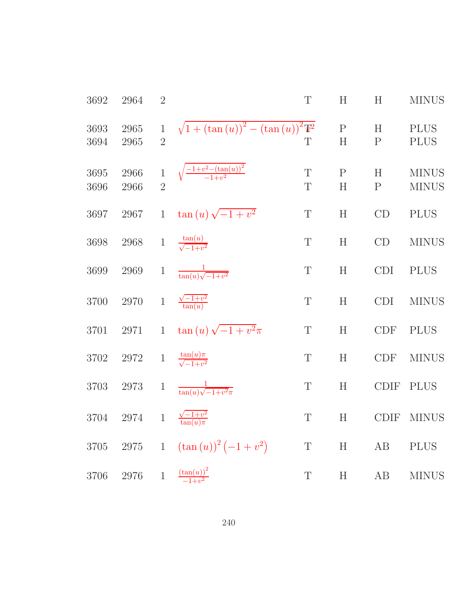| 3692         | 2964         | $\overline{2}$                 |                                                     | T                          | H                         | H                 | <b>MINUS</b>                 |
|--------------|--------------|--------------------------------|-----------------------------------------------------|----------------------------|---------------------------|-------------------|------------------------------|
| 3693<br>3694 | 2965<br>2965 | $\mathbf{1}$<br>$\overline{2}$ | $\sqrt{1 + (\tan(u))^2 - (\tan(u))^2 \mathbb{T}^2}$ | T                          | $\mathbf P$<br>H          | H<br>${\bf P}$    | <b>PLUS</b><br><b>PLUS</b>   |
| 3695<br>3696 | 2966<br>2966 | $\mathbf 1$<br>$\overline{2}$  | $\sqrt{\frac{-1+v^2-(\tan(u))^2}{-1+v^2}}$          | $\mathbf T$<br>$\mathbf T$ | $\mathbf{P}$<br>H         | H<br>$\mathbf{P}$ | <b>MINUS</b><br><b>MINUS</b> |
| 3697         | 2967         | $\mathbf{1}$                   | $\tan(u)\sqrt{-1+v^2}$                              | $\mathbf T$                | $\boldsymbol{\mathrm{H}}$ | CD                | <b>PLUS</b>                  |
| 3698         | 2968         | $\,1$                          | $\frac{\tan(u)}{\sqrt{-1+v^2}}$                     | $\mathbf T$                | H                         | CD                | <b>MINUS</b>                 |
| 3699         | 2969         | $\mathbf{1}$                   | $\frac{1}{\tan(u)\sqrt{-1+v^2}}$                    | $\mathbf T$                | H                         | <b>CDI</b>        | <b>PLUS</b>                  |
| 3700         | 2970         | $\mathbf 1$                    | $\frac{\sqrt{-1+v^2}}{\tan(u)}$                     | $\mathbf T$                | $\boldsymbol{\mathrm{H}}$ | <b>CDI</b>        | <b>MINUS</b>                 |
| 3701         | 2971         | $\mathbf{1}$                   | $\tan(u)\sqrt{-1+v^2}\pi$                           | $\mathbf T$                | H                         | <b>CDF</b>        | <b>PLUS</b>                  |
| 3702         | 2972         | $\,1$                          | $\frac{\tan(u)\pi}{\sqrt{-1+v^2}}$                  | $\mathbf T$                | H                         | <b>CDF</b>        | <b>MINUS</b>                 |
| 3703         | 2973         | $\mathbf{1}$                   | $\frac{1}{\tan(u)\sqrt{-1+v^2}\pi}$                 | $\mathbf T$                | $\boldsymbol{\mathrm{H}}$ | <b>CDIF</b>       | <b>PLUS</b>                  |
| 3704         | 2974         | $\mathbf{1}$                   |                                                     | T                          | H                         | <b>CDIF</b>       | <b>MINUS</b>                 |
| 3705         | $2975\,$     | $\mathbf{1}$                   | $(\tan(u))^2(-1+v^2)$                               | $\mathbf T$                | H                         | AB                | <b>PLUS</b>                  |
| 3706         | 2976         | $\,1$                          | $\frac{(\tan(u))^2}{-1+v^2}$                        | T                          | H                         | $\rm AB$          | <b>MINUS</b>                 |
|              |              |                                |                                                     |                            |                           |                   |                              |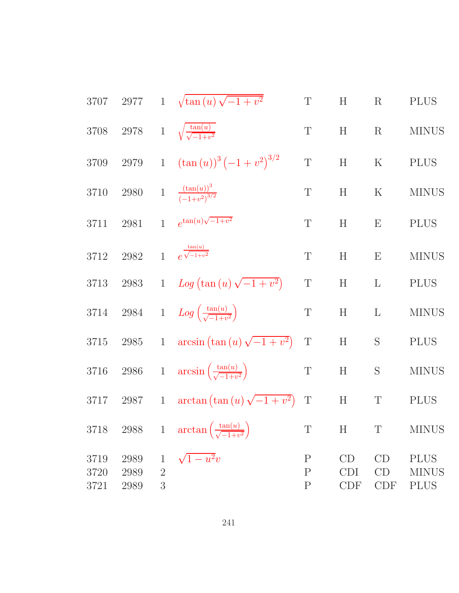| 3707                 | 2977                 |                                     | 1 $\sqrt{\tan(u)\sqrt{-1+v^2}}$                              | $\mathbf T$                                 | $H_{\rm}$                 | $\mathbf R$     | <b>PLUS</b>                                |
|----------------------|----------------------|-------------------------------------|--------------------------------------------------------------|---------------------------------------------|---------------------------|-----------------|--------------------------------------------|
| 3708                 | $2978\,$             |                                     | 1 $\sqrt{\frac{\tan(u)}{\sqrt{-1+v^2}}}$                     | $\mathbf T$                                 | H                         | $\mathbf R$     | <b>MINUS</b>                               |
| 3709                 | $2979\,$             | $\overline{1}$                      | $(\tan(u))^3(-1+v^2)^{3/2}$                                  | $\mathbf T$                                 | H                         | $\mathbf K$     | <b>PLUS</b>                                |
| 3710                 | $2980\,$             |                                     | 1 $\frac{(\tan(u))^3}{(-1+v^2)^{3/2}}$                       | $\mathbf T$                                 | H                         | $\mathbf K$     | <b>MINUS</b>                               |
| 3711                 | 2981                 | $\mathbf{1}$                        | $e^{\tan(u)\sqrt{-1+v^2}}$                                   | T                                           | H                         | E               | <b>PLUS</b>                                |
| $3712\,$             | 2982                 |                                     | $\frac{\tan(u)}{e^{\frac{\tan(u)}{\sqrt{-1+v^2}}}}$          | $\mathbf T$                                 | $\boldsymbol{\mathrm{H}}$ | E               | <b>MINUS</b>                               |
| 3713                 | 2983                 |                                     | 1 <i>Log</i> $(\tan(u)\sqrt{-1+v^2})$                        | $\mathbf T$                                 | H                         | $\mathbf{L}$    | <b>PLUS</b>                                |
| 3714                 | 2984                 |                                     | 1 $Log\left(\frac{\tan(u)}{\sqrt{-1+u^2}}\right)$            | $\mathbf T$                                 | $H_{\rm}$                 | $\mathbf{L}$    | <b>MINUS</b>                               |
| $3715\,$             | $2985\,$             |                                     | 1 $\arcsin (\tan(u) \sqrt{-1 + v^2})$                        | $\mathbf T$                                 | H                         | S               | <b>PLUS</b>                                |
| $3716\,$             |                      |                                     | 2986 1 $\arcsin\left(\frac{\tan(u)}{\sqrt{-1+v^2}}\right)$   | $\mathbf T$                                 | H                         | S               | <b>MINUS</b>                               |
| 3717                 |                      |                                     | 2987 1 $\arctan (\tan (u) \sqrt{-1 + v^2})$                  | $\mathbf T$                                 | H                         | $\mathbf T$     | <b>PLUS</b>                                |
| 3718                 |                      |                                     | 2988 1 $\arctan\left(\frac{\tan(u)}{\sqrt{-1+v^2}}\right)$ T |                                             | H                         | T               | MINUS                                      |
| 3719<br>3720<br>3721 | 2989<br>2989<br>2989 | $\mathbf{1}$<br>$\overline{2}$<br>3 | $\sqrt{1-u^2}v$                                              | $\mathbf{P}$<br>$\mathbf P$<br>$\mathbf{P}$ | CD<br><b>CDI</b><br>CDF   | CD<br>CD<br>CDF | <b>PLUS</b><br><b>MINUS</b><br><b>PLUS</b> |
|                      |                      |                                     |                                                              |                                             |                           |                 |                                            |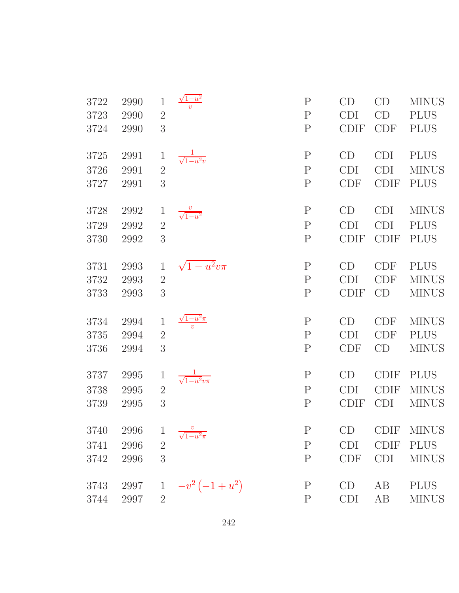| 3722         | 2990         | $\mathbf 1$         | $\sqrt{1-u^2}$               | $\mathbf{P}$                 | CD                | CD                        | <b>MINUS</b>                |
|--------------|--------------|---------------------|------------------------------|------------------------------|-------------------|---------------------------|-----------------------------|
| 3723         | 2990         | $\overline{2}$      |                              | $\mathbf{P}$                 | <b>CDI</b>        | CD                        | <b>PLUS</b>                 |
| 3724         | 2990         | 3                   |                              | $\mathbf P$                  | <b>CDIF</b>       | CDF                       | <b>PLUS</b>                 |
| 3725         | 2991         | $\mathbf 1$         | $\frac{1}{\sqrt{1-u^2}v}$    | ${\bf P}$                    | CD                | <b>CDI</b>                | <b>PLUS</b>                 |
| 3726         | 2991         | $\overline{2}$      |                              | $\mathbf P$                  | <b>CDI</b>        | <b>CDI</b>                | <b>MINUS</b>                |
| 3727         | 2991         | 3                   |                              | $\mathbf P$                  | <b>CDF</b>        | <b>CDIF</b>               | <b>PLUS</b>                 |
| 3728         | 2992         |                     | $\frac{v}{\sqrt{1-u^2}}$     | $\mathbf P$                  | CD                | <b>CDI</b>                | <b>MINUS</b>                |
| 3729         | 2992         | $\overline{2}$      |                              | $\mathbf P$                  | <b>CDI</b>        | CDI                       | <b>PLUS</b>                 |
| 3730         | 2992         | 3                   |                              | $\mathbf P$                  | <b>CDIF</b>       | <b>CDIF</b>               | <b>PLUS</b>                 |
| 3731         | 2993         | $\mathbf{1}$        |                              | $\mathbf{P}$                 | CD                | <b>CDF</b>                | <b>PLUS</b>                 |
| 3732         | 2993         | $\overline{2}$      | $\sqrt{1-u^2}v\pi$           | $\mathbf P$                  | <b>CDI</b>        | CDF                       | <b>MINUS</b>                |
| 3733         | 2993         | 3                   |                              | $\mathbf P$                  | <b>CDIF</b>       | CD                        | <b>MINUS</b>                |
| 3734         | 2994         | $\mathbf{1}$        | $\frac{1 - u^2 \pi}{v}$      | $\mathbf P$                  | CD                | <b>CDF</b>                | <b>MINUS</b>                |
| 3735         | 2994         | $\overline{2}$      |                              | $\mathbf P$                  | <b>CDI</b>        | <b>CDF</b>                | <b>PLUS</b>                 |
| 3736         | 2994         | 3                   |                              | ${\bf P}$                    | <b>CDF</b>        | CD                        | <b>MINUS</b>                |
| 3737         | 2995         | $\mathbf 1$         | $\frac{1}{\sqrt{1-u^2}v\pi}$ | $\mathbf P$                  | CD                | <b>CDIF</b>               | <b>PLUS</b>                 |
| 3738         | 2995         | $\overline{2}$      |                              | $\mathbf P$                  | <b>CDI</b>        | <b>CDIF</b>               | <b>MINUS</b>                |
|              |              |                     |                              |                              |                   |                           |                             |
| 3739         | 2995         | 3                   |                              | ${\bf P}$                    | <b>CDIF</b>       | <b>CDI</b>                | <b>MINUS</b>                |
|              |              |                     |                              |                              |                   |                           |                             |
| 3740         | 2996         | $\overline{1}$      | $\sqrt{1-u^2\pi}$            | $\mathbf{P}$                 | CD                |                           | CDIF MINUS                  |
| 3741<br>3742 | 2996<br>2996 | $\overline{2}$<br>3 |                              | $\mathbf{P}$<br>$\mathbf{P}$ | <b>CDI</b><br>CDF | <b>CDIF</b><br><b>CDI</b> | <b>PLUS</b><br><b>MINUS</b> |
| 3743         | 2997         | $\mathbf 1$         | $-v^2(-1+u^2)$               | $\rm P$                      | CD                | AB                        | <b>PLUS</b>                 |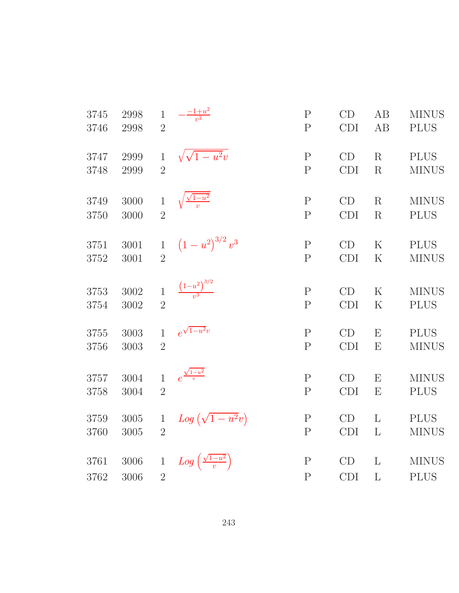| 3745 | 2998 | $\mathbf{1}$   | $-\frac{-1+u^2}{v^2}$                    | $\mathbf{P}$   | CD         | AB           | <b>MINUS</b> |
|------|------|----------------|------------------------------------------|----------------|------------|--------------|--------------|
| 3746 | 2998 | $\overline{2}$ |                                          | $\mathbf{P}$   | <b>CDI</b> | AB           | <b>PLUS</b>  |
| 3747 | 2999 | $\mathbf{1}$   | $\sqrt{\sqrt{1-u^2}v}$                   | $\mathbf{P}$   | CD         | R            | <b>PLUS</b>  |
| 3748 | 2999 | $\overline{2}$ |                                          | $\mathbf{P}$   | CDI        | R            | <b>MINUS</b> |
| 3749 | 3000 | $\mathbf{1}$   | $\sqrt{\frac{\sqrt{1-u^2}}{v}}$          | $\mathbf{P}$   | CD         | R            | <b>MINUS</b> |
| 3750 | 3000 | $\overline{2}$ |                                          | $\overline{P}$ | <b>CDI</b> | R            | <b>PLUS</b>  |
| 3751 | 3001 | $\mathbf{1}$   | $(1-u^2)^{3/2}v^3$                       | $\mathbf P$    | CD         | $\rm K$      | <b>PLUS</b>  |
| 3752 | 3001 | $\overline{2}$ |                                          | $\mathbf P$    | <b>CDI</b> | K            | <b>MINUS</b> |
| 3753 | 3002 | $\mathbf 1$    | $\frac{(1-u^2)^{3/2}}{v^3}$              | $\mathbf{P}$   | CD         | K            | <b>MINUS</b> |
| 3754 | 3002 | $\overline{2}$ |                                          | $\mathbf P$    | CDI        | $\rm K$      | <b>PLUS</b>  |
| 3755 | 3003 | $\mathbf{1}$   | $e^{\sqrt{1-u^2}v}$                      | $\mathbf P$    | CD         | E            | <b>PLUS</b>  |
| 3756 | 3003 | $\overline{2}$ |                                          | $\overline{P}$ | <b>CDI</b> | E            | <b>MINUS</b> |
| 3757 | 3004 | $\mathbf{1}$   | $e^{\frac{\sqrt{1-u^2}}{v}}$             | $\mathbf{P}$   | CD         | E            | <b>MINUS</b> |
| 3758 | 3004 | $\overline{2}$ |                                          | $\mathbf{P}$   | <b>CDI</b> | E            | <b>PLUS</b>  |
| 3759 | 3005 | $\mathbf 1$    | $Log(\sqrt{1-u^2}v)$                     | $\mathbf P$    | CD         | L            | <b>PLUS</b>  |
| 3760 | 3005 | $\overline{2}$ |                                          | $\mathbf{P}$   | CDI        | $\mathbf{L}$ | <b>MINUS</b> |
| 3761 | 3006 | $\mathbf{1}$   | $Log\left(\frac{\sqrt{1-u^2}}{v}\right)$ | $\mathbf P$    | CD         | L            | <b>MINUS</b> |
| 3762 | 3006 | $\overline{2}$ |                                          | ${\bf P}$      | <b>CDI</b> | L            | <b>PLUS</b>  |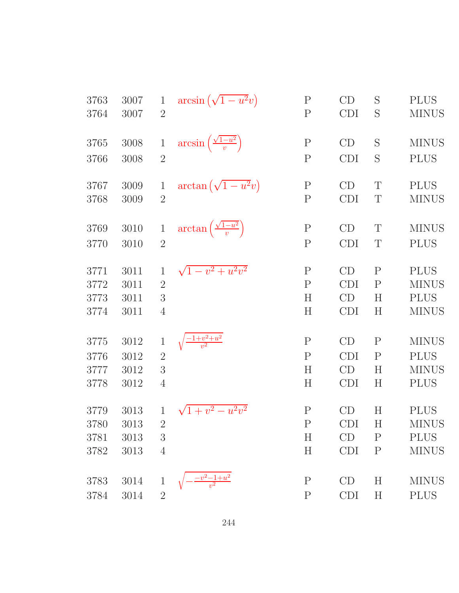| 3763 | 3007     | $\mathbf{1}$   | $arcsin(\sqrt{1-u^2}v)$                      | $\mathbf P$  | CD         | S            | <b>PLUS</b>  |
|------|----------|----------------|----------------------------------------------|--------------|------------|--------------|--------------|
| 3764 | 3007     | $\overline{2}$ |                                              | $\mathbf{P}$ | <b>CDI</b> | S            | <b>MINUS</b> |
| 3765 | 3008     | $\mathbf{1}$   | $\arcsin\left(\frac{\sqrt{1-u^2}}{v}\right)$ | $\mathbf P$  | CD         | S            | <b>MINUS</b> |
| 3766 | 3008     | $\overline{2}$ |                                              | ${\bf P}$    | <b>CDI</b> | S            | <b>PLUS</b>  |
| 3767 | 3009     | 1              | $\arctan\left(\sqrt{1-u^2}v\right)$          | ${\bf P}$    | CD         | T            | <b>PLUS</b>  |
| 3768 | 3009     | $\overline{2}$ |                                              | ${\bf P}$    | <b>CDI</b> | T            | <b>MINUS</b> |
| 3769 | 3010     | $\mathbf{1}$   | $\arctan\left(\frac{\sqrt{1-u^2}}{v}\right)$ | $\mathbf P$  | CD         | T            | <b>MINUS</b> |
| 3770 | 3010     | $\overline{2}$ |                                              | $\mathbf{P}$ | <b>CDI</b> | T            | <b>PLUS</b>  |
| 3771 | 3011     | $\mathbf{1}$   | $\sqrt{1-v^2+u^2v^2}$                        | ${\bf P}$    | CD         | $\mathbf{P}$ | <b>PLUS</b>  |
| 3772 | 3011     | $\overline{2}$ |                                              | $\mathbf P$  | <b>CDI</b> | $\mathbf{P}$ | <b>MINUS</b> |
| 3773 | 3011     | 3              |                                              | H            | CD         | H            | <b>PLUS</b>  |
| 3774 | 3011     | $\overline{4}$ |                                              | H            | <b>CDI</b> | H            | <b>MINUS</b> |
| 3775 | 3012     | $\mathbf{1}$   | $\sqrt{\frac{-1+v^2+u^2}{v^2}}$              | $\mathbf P$  | CD         | $\mathbf P$  | <b>MINUS</b> |
| 3776 | 3012     | $\overline{2}$ |                                              | ${\bf P}$    | <b>CDI</b> | $\mathbf{P}$ | <b>PLUS</b>  |
| 3777 | 3012     | 3              |                                              | H            | CD         | H            | <b>MINUS</b> |
| 3778 | 3012     | $\overline{4}$ |                                              | H            | <b>CDI</b> | H            | <b>PLUS</b>  |
| 3779 | 3013     | 1              | $\sqrt{1+v^2-u^2v^2}$                        | $\mathbf{P}$ | CD         | H            | <b>PLUS</b>  |
| 3780 | 3013     | $\sqrt{2}$     |                                              | ${\bf P}$    | <b>CDI</b> | $H_{\rm}$    | <b>MINUS</b> |
| 3781 | 3013     | 3              |                                              | H            | CD         | $\mathbf{P}$ | <b>PLUS</b>  |
| 3782 | 3013     | $\overline{4}$ |                                              | H            | <b>CDI</b> | $\mathbf P$  | <b>MINUS</b> |
| 3783 | 3014     | $\mathbf 1$    | $\frac{-v^2-1+u^2}{v^2}$                     | $\mathbf P$  | CD         | H            | <b>MINUS</b> |
| 3784 | $3014\,$ | $\sqrt{2}$     |                                              | $\mathbf P$  | CDI        | H            | <b>PLUS</b>  |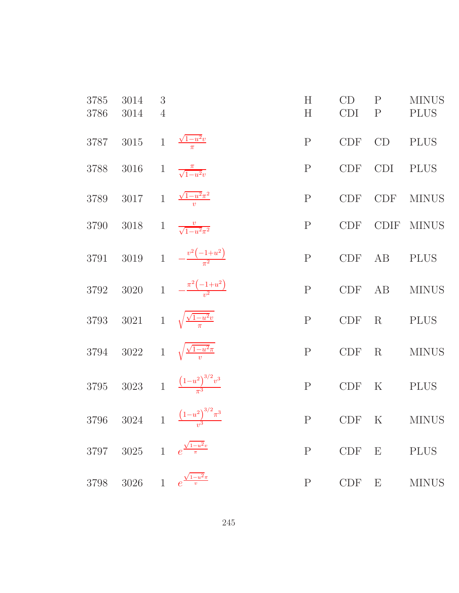| 3785<br>3786 | 3014<br>3014 | 3<br>$\overline{4}$ |                                                | H<br>H       | CD<br><b>CDI</b>            | $\mathbf{P}$<br>$\mathbf{P}$ | <b>MINUS</b><br><b>PLUS</b> |
|--------------|--------------|---------------------|------------------------------------------------|--------------|-----------------------------|------------------------------|-----------------------------|
| 3787         | $3015\,$     | $\mathbf{1}$        | $\frac{\sqrt{1-u^2}v}{\pi}$                    | $\mathbf P$  | CDF                         | CD                           | <b>PLUS</b>                 |
| 3788         | 3016         | $\overline{1}$      | $\frac{\pi}{\sqrt{1-u^2}v}$                    | $\mathbf P$  | <b>CDF</b>                  | <b>CDI</b>                   | <b>PLUS</b>                 |
| 3789         |              |                     | 3017 1 $\frac{\sqrt{1-u^2}\pi^2}{v}$           | $\mathbf P$  | CDF                         | <b>CDF</b>                   | <b>MINUS</b>                |
| 3790         | 3018         |                     | 1 $\frac{v}{\sqrt{1-u^2\pi^2}}$                | $\mathbf P$  | <b>CDF</b>                  | CDIF                         | <b>MINUS</b>                |
| 3791         |              |                     | 3019 1 $-\frac{v^2(-1+u^2)}{\pi^2}$            | $\mathbf{P}$ | CDF                         | AB                           | <b>PLUS</b>                 |
| 3792         |              |                     | 3020 1 $-\frac{\pi^2(-1+u^2)}{u^2}$            | $\mathbf P$  | <b>CDF</b>                  | AB                           | <b>MINUS</b>                |
| 3793         |              |                     | 3021 1 $\sqrt{\frac{\sqrt{1-u^2}v}{\pi}}$      | $\mathbf P$  | $\ensuremath{\mathrm{CDF}}$ | $\mathbf R$                  | <b>PLUS</b>                 |
|              |              |                     | 3794 3022 1 $\sqrt{\frac{\sqrt{1-u^2\pi}}{v}}$ | $\mathbf P$  | $\ensuremath{\mathrm{CDF}}$ | R                            | <b>MINUS</b>                |
| 3795         |              |                     | 3023 1 $\frac{(1-u^2)^{3/2}v^3}{\pi^3}$        | $\mathbf P$  | CDF                         | $\rm K$                      | <b>PLUS</b>                 |
| 3796         |              |                     | 3024 1 $\frac{(1-u^2)^{3/2}\pi^3}{v^3}$        | $\mathbf P$  | <b>CDF</b>                  | $\mathbf K$                  | <b>MINUS</b>                |
| 3797         | 3025         | 1 e                 |                                                | ${\bf P}$    | CDF                         | $\boldsymbol{\mathrm{E}}$    | <b>PLUS</b>                 |
| 3798         | 3026         | $\mathbf{1}$        | $\frac{\sqrt{1-u^2}\pi}{v}$                    | ${\bf P}$    | CDF                         | $\boldsymbol{\mathrm{E}}$    | <b>MINUS</b>                |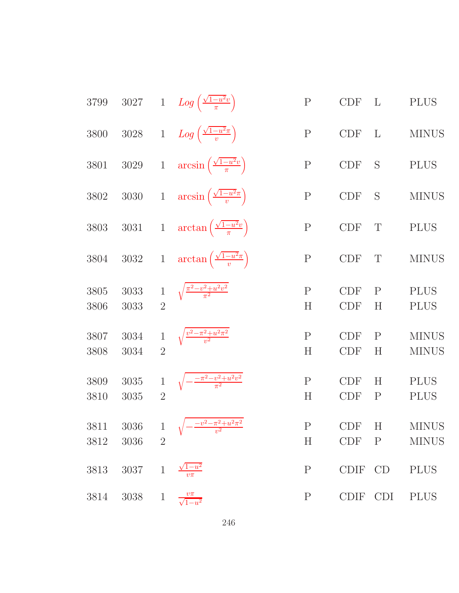| 3799         | $3027\,$         |                                | 1 $Log\left(\frac{\sqrt{1-u^2}v}{\pi}\right)$     | ${\bf P}$              | <b>CDF</b>               | $\mathbf{L}$              | <b>PLUS</b>                  |
|--------------|------------------|--------------------------------|---------------------------------------------------|------------------------|--------------------------|---------------------------|------------------------------|
| 3800         | $3028\,$         |                                | 1 $Log\left(\frac{\sqrt{1-u^2}\pi}{v}\right)$     | ${\bf P}$              | <b>CDF</b>               | L                         | <b>MINUS</b>                 |
| $3801\,$     | $3029\,$         |                                | 1 $\arcsin\left(\frac{\sqrt{1-u^2}v}{\pi}\right)$ | ${\bf P}$              | <b>CDF</b>               | S                         | <b>PLUS</b>                  |
| $3802\,$     | $3030\,$         |                                | 1 $\arcsin\left(\frac{\sqrt{1-u^2\pi}}{v}\right)$ | ${\bf P}$              | CDF                      | S                         | <b>MINUS</b>                 |
| $3803\,$     | $3031\,$         |                                | 1 $\arctan\left(\frac{\sqrt{1-u^2}v}{\pi}\right)$ | ${\bf P}$              | <b>CDF</b>               | T                         | <b>PLUS</b>                  |
| 3804         | $3032\,$         |                                | 1 $\arctan\left(\frac{\sqrt{1-u^2\pi}}{v}\right)$ | ${\bf P}$              | <b>CDF</b>               | T                         | <b>MINUS</b>                 |
| 3805<br>3806 | 3033<br>3033     | $1\,$<br>$\overline{2}$        | $\sqrt{\frac{\pi^2 - v^2 + u^2 v^2}{\pi^2}}$      | $\mathbf{P}$<br>H      | <b>CDF</b><br><b>CDF</b> | $\mathbf{P}$<br>H         | <b>PLUS</b><br><b>PLUS</b>   |
| 3807<br>3808 | 3034<br>3034     | $\,1$<br>$\overline{2}$        | $\sqrt{\frac{v^2 - \pi^2 + u^2 \pi^2}{v^2}}$      | ${\bf P}$<br>H         | <b>CDF</b><br><b>CDF</b> | $\mathbf{P}$<br>H         | <b>MINUS</b><br><b>MINUS</b> |
| 3809<br>3810 | 3035<br>3035     | $\,1$<br>$\overline{2}$        | $\sqrt{-\frac{-\pi^2-v^2+u^2v^2}{\pi^2}}$         | ${\bf P}$<br>$H_{\rm}$ | <b>CDF</b><br><b>CDF</b> | H<br>$\mathbf P$          | <b>PLUS</b><br><b>PLUS</b>   |
| 3811<br>3812 | $3036\,$<br>3036 | $\mathbf{1}$<br>$\overline{2}$ | $\sqrt{-\frac{-v^2 - \pi^2 + u^2 \pi^2}{v^2}}$    | ${\bf P}$<br>H         | <b>CDF</b><br>CDF        | $H_{\rm}$<br>$\mathbf{P}$ | <b>MINUS</b><br><b>MINUS</b> |
| 3813         | 3037             | $\mathbf{1}$                   | $\sqrt{1-u^2}$                                    | $\mathbf P$            | <b>CDIF</b>              | CD                        | <b>PLUS</b>                  |
| 3814         | 3038             | $\mathbf{1}$                   | $\frac{v\pi}{\sqrt{1-u^2}}$                       | $\mathbf P$            | CDIF CDI                 |                           | <b>PLUS</b>                  |
|              |                  |                                |                                                   |                        |                          |                           |                              |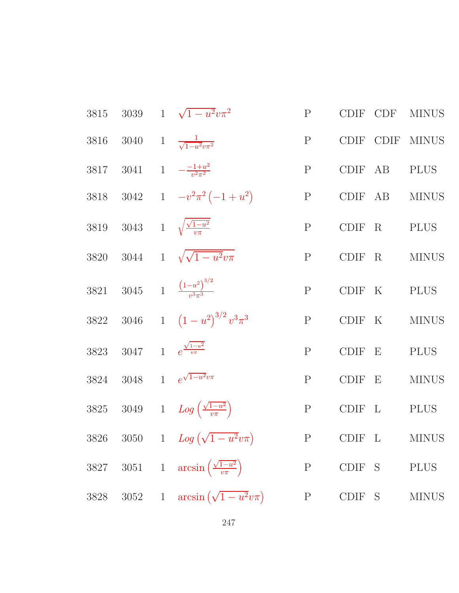3815 3039 1 
$$
\sqrt{1-u^2}v\pi^2
$$
 P CDF CDF MINUS  
\n3816 3040 1  $\frac{1}{\sqrt{1-u^2}v\pi^2}$  P CDF CDF MINUS  
\n3817 3041 1  $-\frac{-1+u^2}{v^2\pi^2}$  P CDF AB PLUS  
\n3818 3042 1  $-v^2\pi^2(-1+u^2)$  P CDF AB MINUS  
\n3819 3043 1  $\sqrt{\frac{\sqrt{1-u^2}}{v\pi}}$  P CDF R P LUS  
\n3820 3044 1  $\sqrt{\sqrt{1-u^2}v\pi}$  P CDF R MINUS  
\n3821 3045 1  $\frac{(1-u^2)^{3/2}}{v^3\pi^3}$  P CDF K P LUS  
\n3822 3046 1  $(1-u^2)^{3/2}v^3\pi^3$  P CDF E N MINUS  
\n3823 3047 1  $e^{\frac{\sqrt{1-u^2}}{v\pi}}$  P CDF E P LUS  
\n3824 3048 1  $e^{\sqrt{1-u^2}v\pi}$  P CDF E MINUS  
\n3825 3049 1  $Log(\frac{\sqrt{1-u^2}}{v\pi})$  P CDF L P LUS  
\n3826 3050 1  $Log(\sqrt{1-u^2}v\pi)$  P CDF E MINUS  
\n3827 3051 1  $arcsin(\frac{\sqrt{1-u^2}}{v\pi})$  P CDF S P LUS  
\n3828 3052 1  $arcsin(\sqrt{1-u^2}v\pi)$  P CDF S MINUS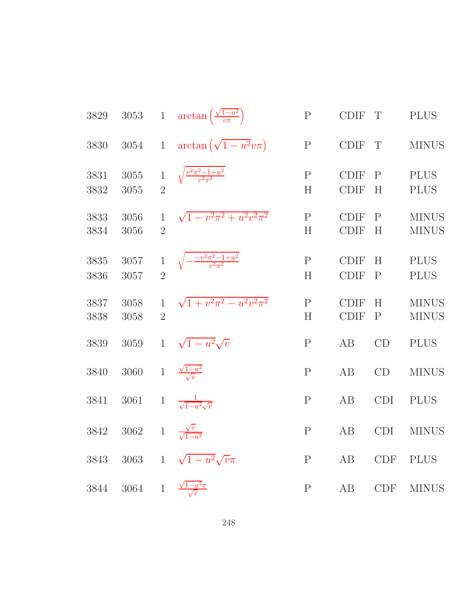| 3829         | 3053         |                                | 1 $\arctan\left(\frac{\sqrt{1-u^2}}{v\pi}\right)$ | ${\bf P}$         | <b>CDIF</b>                | T                 | <b>PLUS</b>                  |
|--------------|--------------|--------------------------------|---------------------------------------------------|-------------------|----------------------------|-------------------|------------------------------|
| 3830         | $3054\,$     | $\mathbf{1}$                   | $\arctan\left(\sqrt{1-u^2}v\pi\right)$            | ${\bf P}$         | <b>CDIF</b>                | T                 | <b>MINUS</b>                 |
| 3831<br>3832 | 3055<br>3055 | $\,1$<br>$\overline{2}$        | $\sqrt{\frac{v^2 \pi^2 - 1 + u^2}{v^2 \pi^2}}$    | $\mathbf{P}$<br>H | <b>CDIF</b><br><b>CDIF</b> | $\mathbf{P}$<br>H | <b>PLUS</b><br><b>PLUS</b>   |
| 3833<br>3834 | 3056<br>3056 | $\mathbf{1}$<br>$\overline{2}$ | $\sqrt{1-v^2\pi^2+u^2v^2\pi^2}$                   | $\mathbf{P}$<br>H | <b>CDIF</b><br><b>CDIF</b> | $\mathbf{P}$<br>H | <b>MINUS</b><br><b>MINUS</b> |
| 3835<br>3836 | 3057<br>3057 | $\mathbf{1}$<br>$\overline{2}$ | $\sqrt{-\frac{-v^2\pi^2-1+u^2}{v^2\pi^2}}$        | $\mathbf{P}$<br>H | <b>CDIF</b><br><b>CDIF</b> | H<br>$\mathbf{P}$ | <b>PLUS</b><br><b>PLUS</b>   |
| 3837<br>3838 | 3058<br>3058 | $\mathbf{1}$<br>$\overline{2}$ | $\sqrt{1+v^2\pi^2-u^2v^2\pi^2}$                   | $\mathbf P$<br>H  | <b>CDIF</b><br><b>CDIF</b> | H<br>$\mathbf{P}$ | <b>MINUS</b><br><b>MINUS</b> |
| 3839         | 3059         | $\mathbf{1}$                   | $\sqrt{1-u^2}\sqrt{v}$                            | ${\bf P}$         | AB                         | CD                | <b>PLUS</b>                  |
| 3840         | 3060         | $1\,$                          | $\frac{\sqrt{1-u^2}}{\sqrt{v}}$                   | $\mathbf{P}$      | AB                         | CD                | <b>MINUS</b>                 |
| 3841         | 3061         | $\mathbf{1}$                   | $\frac{1}{\sqrt{1-u^2}\sqrt{v}}$                  | $\mathbf P$       | AB                         | <b>CDI</b>        | <b>PLUS</b>                  |
| 3842         | $3062\,$     | $\,1$                          | $\frac{\sqrt{v}}{\sqrt{1-u^2}}$                   | $\mathbf P$       | AB                         | <b>CDI</b>        | <b>MINUS</b>                 |
| 3843         | 3063         | $\mathbf{1}$                   | $\sqrt{1-u^2}\sqrt{v}\pi$                         | $\mathbf P$       | AB                         | CDF               | <b>PLUS</b>                  |
| 3844         | $3064\,$     | $\mathbf{1}$                   | $\frac{\sqrt{1-u^2}\pi}{\sqrt{v}}$                | $\mathbf P$       | AB                         | <b>CDF</b>        | <b>MINUS</b>                 |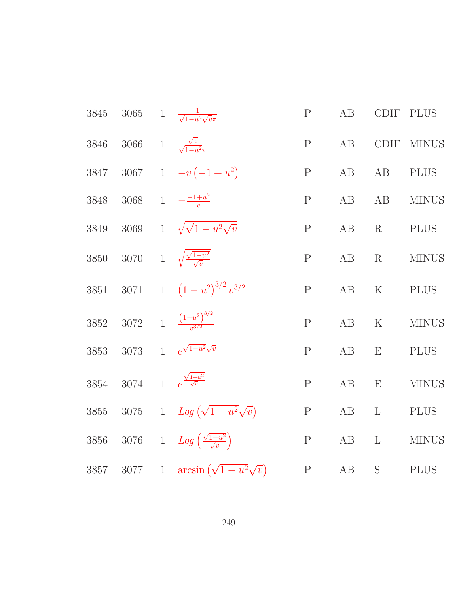| 3845 | $3065\,$ | 1 $\frac{1}{\sqrt{1-u^2}\sqrt{v}\pi}$             | $\mathbf{P}$ | AB       | <b>CDIF</b>    | <b>PLUS</b>  |
|------|----------|---------------------------------------------------|--------------|----------|----------------|--------------|
| 3846 | 3066     | 1 $\frac{\sqrt{v}}{\sqrt{1-u^2}\pi}$              | $\mathbf{P}$ | $\rm AB$ | CDIF           | <b>MINUS</b> |
| 3847 |          | 3067 1 $-v(-1+u^2)$                               | $\mathbf{P}$ | AB       | AB             | <b>PLUS</b>  |
| 3848 |          | 3068 1 $-\frac{-1+u^2}{v}$                        | $\mathbf{P}$ | AB       | $\rm AB$       | <b>MINUS</b> |
| 3849 | 3069     | $1 \sqrt{\sqrt{1-u^2}\sqrt{v}}$                   | $\mathbf{P}$ | AB       | R              | <b>PLUS</b>  |
| 3850 |          | 3070 1 $\sqrt{\frac{\sqrt{1-u^2}}{\sqrt{v}}}$     | $\mathbf{P}$ | AB       | R              | <b>MINUS</b> |
| 3851 | 3071     | 1 $(1-u^2)^{3/2}v^{3/2}$                          | ${\bf P}$    | AB       | $\mathbf K$    | <b>PLUS</b>  |
| 3852 |          | $3072 \t 1 \t \frac{(1-u^2)^{3/2}}{u^{3/2}}$      | $\mathbf P$  | $\rm AB$ | $\mathbf K$    | <b>MINUS</b> |
| 3853 | 3073     | 1 $e^{\sqrt{1-u^2}\sqrt{v}}$                      | $\mathbf{P}$ | $\rm AB$ | E              | <b>PLUS</b>  |
| 3854 | 3074     | 1 $e^{\frac{\sqrt{1-u^2}}{\sqrt{v}}}$             | ${\bf P}$    | $\rm AB$ | ${\rm E}$      | <b>MINUS</b> |
| 3855 | $3075\,$ | 1 $Log(\sqrt{1-u^2}\sqrt{v})$                     | ${\bf P}$    | AB       | $\mathbf{L}$   | <b>PLUS</b>  |
| 3856 | $3076\,$ | 1 $Log\left(\frac{\sqrt{1-u^2}}{\sqrt{v}}\right)$ | ${\bf P}$    | $\rm AB$ | $\mathbf{L}$   | <b>MINUS</b> |
| 3857 | 3077     | 1 $\arcsin(\sqrt{1-u^2}\sqrt{v})$                 | ${\bf P}$    | AB       | ${\mathcal S}$ | <b>PLUS</b>  |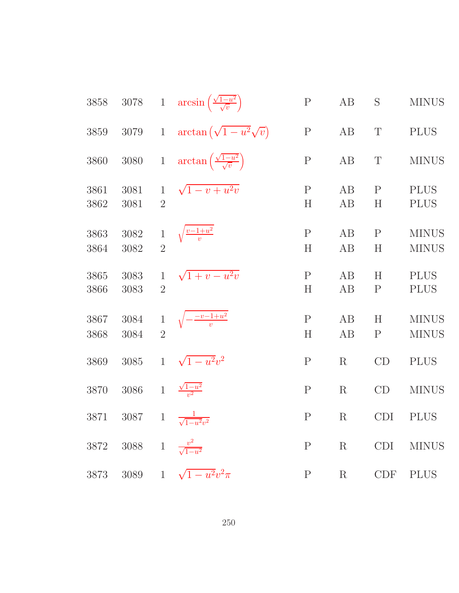| 3858         | $3078\,$                               |                                | 1 $\arcsin\left(\frac{\sqrt{1-u^2}}{\sqrt{v}}\right)$ | ${\bf P}$                | AB       | S                 | <b>MINUS</b>                 |
|--------------|----------------------------------------|--------------------------------|-------------------------------------------------------|--------------------------|----------|-------------------|------------------------------|
| 3859         | 3079                                   | $\mathbf{1}$                   | $\arctan\left(\sqrt{1-u^2}\sqrt{v}\right)$            | ${\bf P}$                | AB       | $\mathbf T$       | <b>PLUS</b>                  |
| 3860         | 3080                                   | $\mathbf{1}$                   | $\arctan\left(\frac{\sqrt{1-u^2}}{\sqrt{v}}\right)$   | ${\bf P}$                | AB       | T                 | <b>MINUS</b>                 |
| 3861<br>3862 | 3081<br>3081                           | $\mathbf{1}$<br>$\overline{2}$ | $\sqrt{1-v+u^2v}$                                     | $\mathbf P$<br>H         | AB<br>AB | $\mathbf{P}$<br>H | <b>PLUS</b><br><b>PLUS</b>   |
| 3863<br>3864 | 3082<br>3082                           | $\,1$<br>$\overline{2}$        | $\sqrt{\frac{v-1+u^2}{v}}$                            | $\mathbf P$<br>H         | AB<br>AB | $\mathbf{P}$<br>H | <b>MINUS</b><br><b>MINUS</b> |
| 3865<br>3866 | 3083<br>3083                           | $\mathbf{1}$<br>$\overline{2}$ | $\sqrt{1+v-u^2v}$                                     | $\mathbf P$<br>H         | AB<br>AB | H<br>$\mathbf P$  | <b>PLUS</b><br><b>PLUS</b>   |
| 3867<br>3868 | 3084<br>3084                           | $\mathbf{1}$<br>$\overline{2}$ | $\sqrt{-\frac{-v-1+u^2}{v}}$                          | $\mathbf P$<br>$H_{\rm}$ | AB<br>AB | H<br>$\mathbf P$  | <b>MINUS</b><br><b>MINUS</b> |
| 3869         | 3085                                   | $\mathbf{1}$                   | $\sqrt{1-u^2}v^2$                                     | ${\bf P}$                | R        | CD                | <b>PLUS</b>                  |
| 3870         | 3086                                   | $\mathbf{1}$                   | $\frac{\sqrt{1-u^2}}{v^2}$                            | ${\bf P}$                | R        | CD                | <b>MINUS</b>                 |
| 3871         | 3087                                   | $\mathbf{1}$                   | $\frac{1}{\sqrt{1-u^2}v^2}$                           | $\mathbf P$              | R        | <b>CDI</b>        | <b>PLUS</b>                  |
|              | 3872 3088 1 $\frac{v^2}{\sqrt{1-u^2}}$ |                                |                                                       | $\mathbf{P}$             | R        | CDI               | <b>MINUS</b>                 |
|              |                                        |                                | 3873 3089 1 $\sqrt{1-u^2}v^2\pi$                      | P                        | R        |                   | CDF PLUS                     |
|              |                                        |                                |                                                       |                          |          |                   |                              |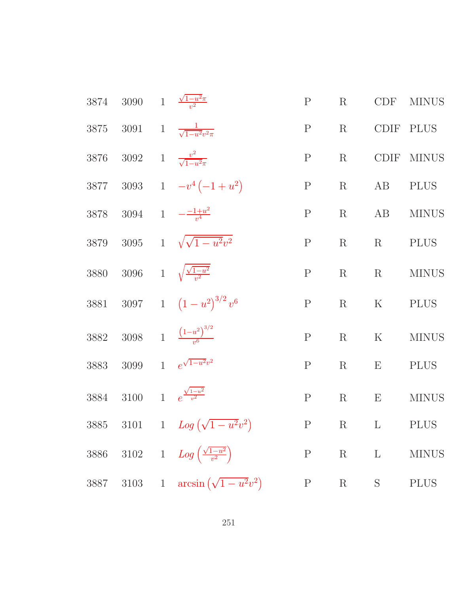| 3874 | 3090 $1 - \frac{\sqrt{1-u^2}\pi}{u^2}$ |                                                   | $\mathbf P$  | $\rm R$ | CDF                       | <b>MINUS</b> |
|------|----------------------------------------|---------------------------------------------------|--------------|---------|---------------------------|--------------|
|      |                                        | 3875 3091 1 $\frac{1}{\sqrt{1-u^2v^2\pi}}$        | $\mathbf{P}$ | $\rm R$ |                           | CDIF PLUS    |
| 3876 | 3092 1 $\frac{v^2}{\sqrt{1-u^2\pi}}$   |                                                   | ${\bf P}$    | $\rm R$ | CDIF                      | <b>MINUS</b> |
|      |                                        | 3877 3093 1 $-v^4(-1+u^2)$                        | $\mathbf{P}$ | $\rm R$ | AB                        | <b>PLUS</b>  |
|      |                                        | 3878 3094 1 $-\frac{-1+u^2}{v^4}$                 | $\mathbf P$  | $\rm R$ | AB                        | <b>MINUS</b> |
|      |                                        | 3879 3095 1 $\sqrt{\sqrt{1-u^2}v^2}$              | $\mathbf P$  | R       | R                         | PLUS         |
|      |                                        | 3880 3096 1 $\sqrt{\frac{\sqrt{1-u^2}}{v^2}}$     | ${\bf P}$    | R       | R                         | <b>MINUS</b> |
|      |                                        | 3881 3097 1 $(1-u^2)^{3/2}v^6$                    | $\mathbf P$  | $\rm R$ | $K_{\parallel}$           | <b>PLUS</b>  |
|      |                                        | 3882 3098 1 $\frac{(1-u^2)^{3/2}}{u^6}$           | $\mathbf P$  | $\rm R$ | $\mathbf K$               | <b>MINUS</b> |
|      |                                        | 3883 3099 1 $e^{\sqrt{1-u^2}v^2}$                 | $\mathbf P$  | $\rm R$ | $\boldsymbol{\mathrm{E}}$ | <b>PLUS</b>  |
| 3884 | 3100                                   | 1 $e^{\frac{\sqrt{1-u^2}}{v^2}}$                  | $\mathbf P$  | R       | E                         | <b>MINUS</b> |
|      |                                        | 3885 3101 1 $Log(\sqrt{1-u^2}v^2)$                | P            |         | $R$ $L$                   | PLUS         |
| 3886 |                                        | 3102 1 $Log\left(\frac{\sqrt{1-u^2}}{v^2}\right)$ |              | $P$ R L |                           | <b>MINUS</b> |
|      |                                        | 3887 3103 1 $\arcsin(\sqrt{1-u^2}v^2)$            | P            | R S     |                           | <b>PLUS</b>  |
|      |                                        |                                                   |              |         |                           |              |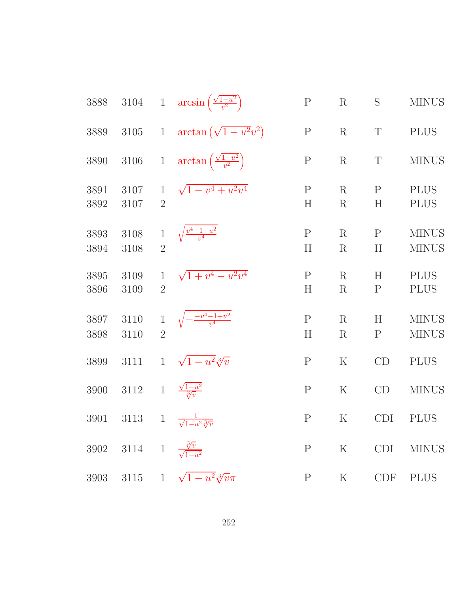| 3888         | $3104\,$                                  | $1\,$                          | $arcsin\left(\frac{\sqrt{1-u^2}}{v^2}\right)$  | ${\bf P}$         | $\mathbf R$        | S                 | <b>MINUS</b>                 |
|--------------|-------------------------------------------|--------------------------------|------------------------------------------------|-------------------|--------------------|-------------------|------------------------------|
| 3889         | 3105                                      | $\mathbf{1}$                   | $\arctan(\sqrt{1-u^2}v^2)$                     | ${\bf P}$         | $\rm R$            | $\mathbf T$       | <b>PLUS</b>                  |
| 3890         | 3106                                      | $1\,$                          | $\arctan\left(\frac{\sqrt{1-u^2}}{v^2}\right)$ | ${\bf P}$         | $\mathbf R$        | $\mathbf T$       | <b>MINUS</b>                 |
| 3891<br>3892 | 3107<br>3107                              | $\mathbf{1}$<br>$\overline{2}$ | $\sqrt{1-v^4+u^2v^4}$                          | $\mathbf P$<br>H  | $\rm R$<br>$\rm R$ | $\mathbf{P}$<br>H | <b>PLUS</b><br><b>PLUS</b>   |
| 3893<br>3894 | 3108<br>3108                              | $\mathbf 1$<br>$\overline{2}$  | $\sqrt{\frac{v^4 - 1 + u^2}{v^4}}$             | $\mathbf{P}$<br>H | $\rm R$<br>$\rm R$ | $\mathbf{P}$<br>H | <b>MINUS</b><br><b>MINUS</b> |
| 3895<br>3896 | 3109<br>3109                              | $\mathbf{1}$<br>$\overline{2}$ | $\sqrt{1+v^4-u^2v^4}$                          | $\mathbf P$<br>H  | $\rm R$<br>$\rm R$ | H<br>$\mathbf P$  | <b>PLUS</b><br><b>PLUS</b>   |
| 3897<br>3898 | 3110<br>3110                              | $\overline{2}$                 | $\sqrt{-\frac{-v^4 - 1 + u^2}{v^4}}$           | $\mathbf{P}$<br>H | $\rm R$<br>$\rm R$ | H<br>$\mathbf P$  | <b>MINUS</b><br><b>MINUS</b> |
| 3899         | 3111                                      | $\mathbf{1}$                   | $\sqrt{1-u^2}\sqrt[3]{v}$                      | $\mathbf P$       | $\rm K$            | CD                | <b>PLUS</b>                  |
| 3900         | 3112                                      | $\mathbf{1}$                   | $\frac{\sqrt{1-u^2}}{3/v}$                     | $\mathbf P$       | $\mathbf K$        | CD                | <b>MINUS</b>                 |
| 3901         | 3113                                      | $\mathbf{1}$                   | $\frac{1}{\sqrt{1-u^2}\sqrt[3]{v}}$            | $\mathbf P$       | ${\bf K}$          | <b>CDI</b>        | <b>PLUS</b>                  |
| 3902         | 3114 1 $\frac{\sqrt[3]{v}}{\sqrt{1-u^2}}$ |                                |                                                | $\mathbf P$       | $\mathbf K$        | <b>CDI</b>        | <b>MINUS</b>                 |
| 3903         |                                           |                                | 3115 1 $\sqrt{1-u^2}\sqrt[3]{v}\pi$            | $\rm P$           | $\rm K$            | <b>CDF</b>        | <b>PLUS</b>                  |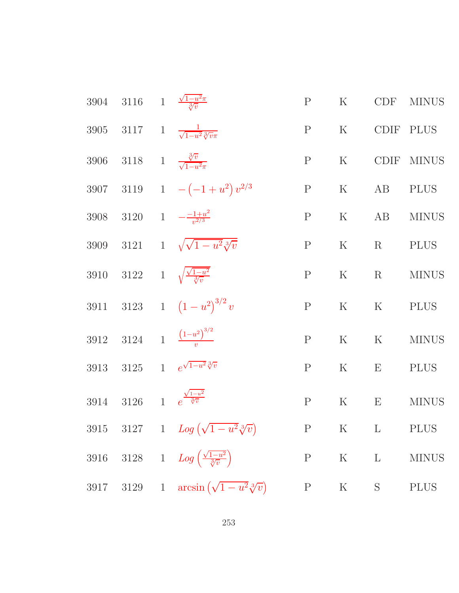| 3904 3116 1 $\frac{\sqrt{1-u^2}\pi}{\sqrt[3]{v}}$  |                                                                | P            |               |            | K CDF MINUS                                     |
|----------------------------------------------------|----------------------------------------------------------------|--------------|---------------|------------|-------------------------------------------------|
|                                                    | 3905 3117 1 $\frac{1}{\sqrt{1-u^2}\sqrt[3]{v}\pi}$             |              | P K CDIF PLUS |            |                                                 |
|                                                    | 3906 3118 1 $\frac{\sqrt[3]{v}}{\sqrt{1-u^2\pi}}$              | P            | K             |            | CDIF MINUS                                      |
|                                                    | 3907 3119 1 $-(-1+u^2)v^{2/3}$                                 | P            |               | K AB PLUS  |                                                 |
|                                                    | 3908 3120 1 $-\frac{-1+u^2}{v^{2/3}}$                          | P            |               |            | K AB MINUS                                      |
|                                                    | 3909 3121 1 $\sqrt{\sqrt{1-u^2}\sqrt[3]{v}}$                   | P            |               | K R PLUS   |                                                 |
|                                                    | 3910 3122 1 $\sqrt{\frac{\sqrt{1-u^2}}{\sqrt[3]{v}}}$          | P            |               |            | $\mathbf K$ $\qquad$ R $\qquad$ MINUS           |
|                                                    | 3911 3123 1 $(1-u^2)^{3/2}v$                                   | P            |               | K K PLUS   |                                                 |
|                                                    | 3912 3124 1 $\frac{(1-u^2)^{3/2}}{u}$                          | P            |               |            | $\mathbf K$ $\qquad$ $\mathbf K$ $\qquad$ MINUS |
|                                                    | 3913 3125 1 $e^{\sqrt{1-u^2}\sqrt[3]{v}}$                      | $\mathbf{P}$ |               | K $E$ PLUS |                                                 |
| 3914 3126 1 $e^{\frac{\sqrt{1-u^2}}{\sqrt[3]{v}}}$ |                                                                | P            | K             |            | E MINUS                                         |
|                                                    | 3915 3127 1 $Log(\sqrt{1-u^2}\sqrt[3]{v})$ P K L PLUS          |              |               |            |                                                 |
|                                                    | 3916 3128 1 $Log\left(\frac{\sqrt{1-u^2}}{\sqrt[3]{v}}\right)$ | $\mathbf{P}$ | $K$ L         |            | <b>MINUS</b>                                    |
|                                                    | 3917 3129 1 $\arcsin(\sqrt{1-u^2}\sqrt[3]{v})$                 | $\mathbf P$  | K             | S          | <b>PLUS</b>                                     |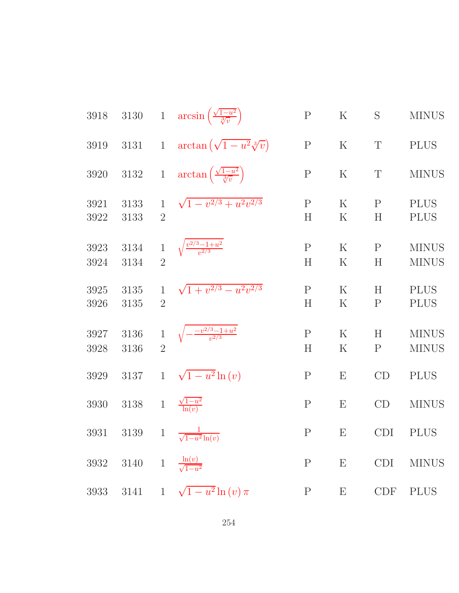| 3918         |              |                                | 3130 1 $\arcsin\left(\frac{\sqrt{1-u^2}}{\sqrt[3]{v}}\right)$ | ${\bf P}$         | $\rm K$                   | S                 | <b>MINUS</b>                 |
|--------------|--------------|--------------------------------|---------------------------------------------------------------|-------------------|---------------------------|-------------------|------------------------------|
| 3919         | $3131\,$     | $\mathbf{1}$                   | $\arctan\left(\sqrt{1-u^2}\sqrt[3]{v}\right)$                 | ${\bf P}$         | $\mathbf K$               | T                 | <b>PLUS</b>                  |
| 3920         | $3132\,$     | $\overline{1}$                 | $\arctan\left(\frac{\sqrt{1-u^2}}{\sqrt[3]{v}}\right)$        | ${\bf P}$         | $\mathbf K$               | T                 | <b>MINUS</b>                 |
| 3921<br>3922 | 3133<br>3133 | $\mathbf{1}$<br>$\overline{2}$ | $\sqrt{1-v^{2/3}+u^2v^{2/3}}$                                 | ${\bf P}$<br>H    | $\rm K$<br>$\mathbf K$    | $\mathbf{P}$<br>H | <b>PLUS</b><br><b>PLUS</b>   |
| 3923<br>3924 | 3134<br>3134 | $\mathbf{1}$<br>$\overline{2}$ | $\sqrt{\frac{v^{2/3}-1+u^2}{v^{2/3}}}$                        | $\mathbf P$<br>H  | $\rm K$<br>$\rm K$        | $\mathbf{P}$<br>H | <b>MINUS</b><br><b>MINUS</b> |
| 3925<br>3926 | 3135<br>3135 | $\mathbf{1}$<br>$\overline{2}$ | $\sqrt{1+v^{2/3}-u^2v^{2/3}}$                                 | ${\bf P}$<br>H    | $\mathbf K$<br>$\rm K$    | H<br>$\mathbf P$  | <b>PLUS</b><br><b>PLUS</b>   |
| 3927<br>3928 | 3136<br>3136 | $\,1$<br>$\overline{2}$        | $\sqrt{-\frac{-v^{2/3}-1+u^2}{v^{2/3}}}$                      | $\mathbf{P}$<br>H | $\rm K$<br>$\rm K$        | H<br>${\bf P}$    | <b>MINUS</b><br><b>MINUS</b> |
| 3929         | 3137         | $\mathbf{1}$                   | $\sqrt{1-u^2}\ln(v)$                                          | $\mathbf P$       | ${\bf E}$                 | CD                | <b>PLUS</b>                  |
| 3930         | $3138\,$     | $\,1$                          | $\frac{\sqrt{1-u^2}}{\ln(v)}$                                 | $\mathbf P$       | E                         | CD                | <b>MINUS</b>                 |
| 3931         | 3139         |                                | 1 $\frac{1}{\sqrt{1-u^2}\ln(v)}$                              | $\mathbf P$       | E                         | <b>CDI</b>        | <b>PLUS</b>                  |
| 3932         |              |                                | 3140 1 $\frac{\ln(v)}{\sqrt{1-u^2}}$                          | $\mathbf P$       | $\boldsymbol{\mathrm{E}}$ | <b>CDI</b>        | $\rm MINUS$                  |
| 3933         |              |                                | 3141 1 $\sqrt{1-u^2} \ln(v) \pi$                              | $\mathbf{P}$      | $\boldsymbol{\mathrm{E}}$ | <b>CDF</b>        | <b>PLUS</b>                  |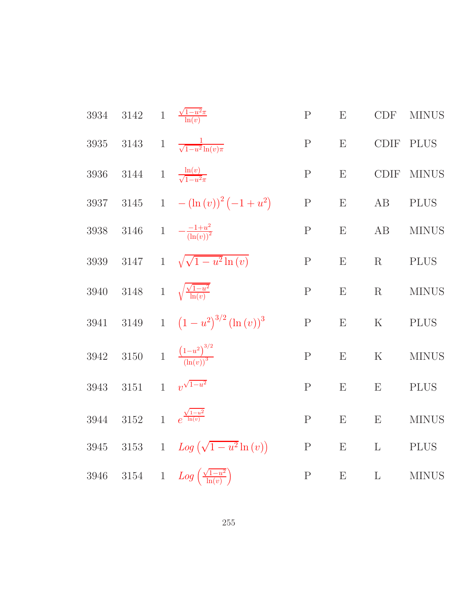3934 3142 1 
$$
\frac{\sqrt{1-u^2\pi}}{\ln(v)}
$$
 P E CDF MINUS  
\n3935 3143 1  $\frac{1}{\sqrt{1-u^2\ln(v)\pi}}$  P E CDF PLUS  
\n3936 3144 1  $\frac{\ln(v)}{\sqrt{1-u^2\pi}}$  P E CDF MINUS  
\n3937 3145 1  $-(\ln(v))^2(-1+u^2)$  P E AB PLUS  
\n3938 3146 1  $-\frac{1+u^2}{(\ln(v))^2}$  P E AB MINUS  
\n3939 3147 1  $\sqrt{\sqrt{1-u^2\ln(v)}}$  P E R PLUS  
\n3940 3148 1  $\sqrt{\frac{\sqrt{1-u^2}}{\ln(v)}}$  P E R MINUS  
\n3941 3149 1  $(1-u^2)^{3/2}(\ln(v))^3$  P E K PLUS  
\n3942 3150 1  $\frac{(1-u^2)^{3/2}}{(\ln(v))^3}$  P E K MINUS  
\n3943 3151 1  $v^{\sqrt{1-u^2}}$  P E E E PLUS  
\n3944 3152 1  $e^{\frac{\sqrt{1-u^2}}{\ln(v)}}$  P E E E MINUS  
\n3945 3153 1  $Log(\sqrt{1-u^2\ln(v)})$  P E L PLUS  
\n3946 3154 1  $Log(\frac{\sqrt{1-u^2}}{\ln(v)})$  P E L PLUS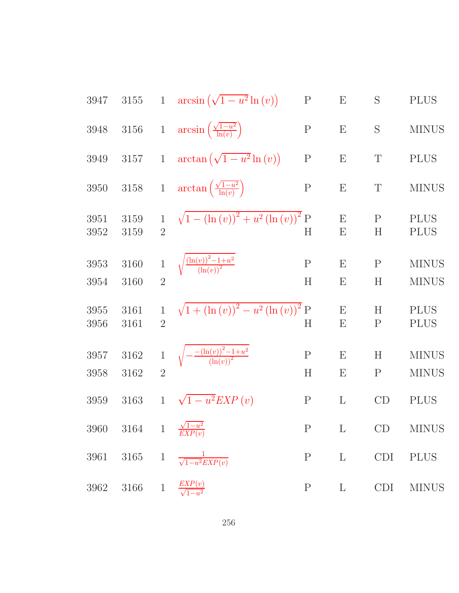3947 3155 1 arcsin(
$$
\sqrt{1-u^2} \ln(v)
$$
) P E S PLUS  
\n3948 3156 1 arcsin( $\frac{\sqrt{1-u^2}}{\ln(v)}$ ) P E S MINUS  
\n3949 3157 1 arctan( $\sqrt{1-u^2} \ln(v)$ ) P E T PLUS  
\n3950 3158 1 arctan( $\frac{\sqrt{1-u^2}}{\ln(v)}$ ) P E T MINUS  
\n3951 3159 1  $\sqrt{1-(\ln(v))^2 + u^2(\ln(v))^2}$  P E P P LUS  
\n3952 3159 2 H E H PLUS  
\n3953 3160 1  $\sqrt{\frac{(\ln(v))^2 - 1 + u^2}{(\ln(v))^4}}$  P E P MINUS  
\n3954 3160 2 H E H MINUS  
\n3955 3161 1  $\sqrt{1 + (\ln(v))^2 - u^2(\ln(v))^2}$  P E H P LUS  
\n3956 3161 2 H E P P LUS  
\n3957 3162 1  $\sqrt{-\frac{(\ln(v))^2 - 1 + u^2}{(\ln(v))^2}}$  P E H MINUS  
\n3958 3162 2 H E P MINUS  
\n3959 3163 1  $\sqrt{1 - u^2} \mathbb{E} \times \mathbb{P} \times \mathbb{P} \times \mathbb{P} \times \mathbb{P} \times \mathbb{P} \times \mathbb{P} \times \mathbb{P} \times \mathbb{P} \times \mathbb{P} \times \mathbb{P} \times \mathbb{P} \times \mathbb{P} \times \mathbb{P} \times \mathbb{P} \times \mathbb{P} \times \mathbb{P} \times \mathbb{P} \times \mathbb{P} \times \mathbb{P} \times \mathbb{P} \times \mathbb{P} \times \mathbb{P} \times \mathbb{P} \times \mathbb{P} \times \mathbb{P} \times \mathbb{P} \times \mathbb{P} \times \mathbb{P} \times \mathbb{P} \times \mathbb{P} \times \mathbb{P} \times \mathbb{P} \times \mathbb{P} \times \mathbb{P} \times \mathbb{P} \times \mathbb{P} \times \mathbb{P} \times \mathbb{P} \times \mathbb{P} \times$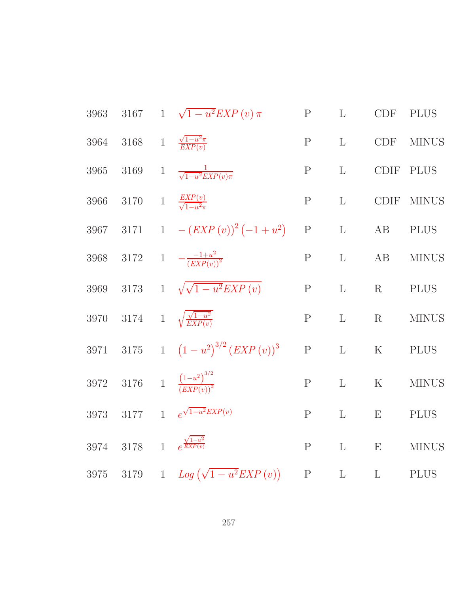3963 3167 1 
$$
\sqrt{1-u^2}EXP(v)\pi
$$
 P L CDF PLUS  
\n3964 3168 1  $\frac{\sqrt{1-u^2}\pi}{EXP(v)}$  P L CDF MINUS  
\n3965 3169 1  $\frac{1}{\sqrt{1-u^2}EXP(v)\pi}$  P L CDF PLUS  
\n3966 3170 1  $\frac{EXP(v)}{\sqrt{1-u^2}\pi}$  P L CDF MINUS  
\n3967 3171 1  $-(EXP(v))^2(-1+u^2)$  P L AB PLUS  
\n3968 3172 1  $-\frac{1+u^2}{(EXP(v))^2}$  P L AB MINUS  
\n3969 3173 1  $\sqrt{\sqrt{1-u^2}EXP(v)}$  P L R PLUS  
\n3970 3174 1  $\sqrt{\frac{\sqrt{1-u^2}}{EXP(v)}}$  P L R MINUS  
\n3971 3175 1  $(1-u^2)^{3/2}(EXP(v))^3$  P L K PLUS  
\n3972 3176 1  $\frac{(1-u^2)^{3/2}}{(EXP(v))^3}$  P L K MINUS  
\n3973 3177 1  $e^{\sqrt{1-u^2}EXP(v)}$  P L E PLUS  
\n3973 3177 1  $e^{\sqrt{1-u^2}EXP(v)}$  P L E PLUS  
\n3974 3178 1  $e^{\frac{\sqrt{1-u^2}}{EXP(v)}}$  P L E MINUS  
\n3975 3179 1  $Log(\sqrt{1-u^2}EXP(v))$  P L L E MINUS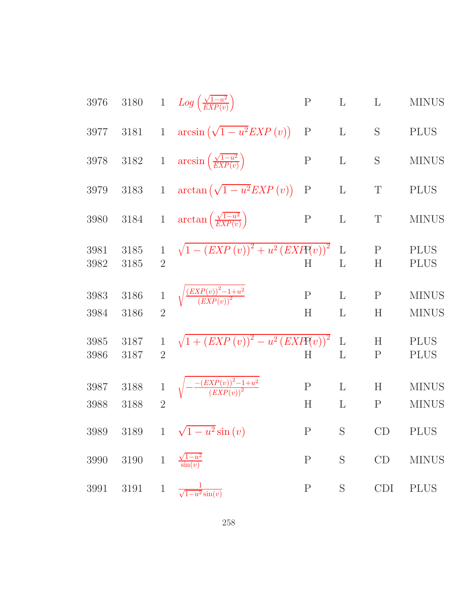| 3976         | $3180\,$     |                                | 1 $Log\left(\frac{\sqrt{1-u^2}}{EXP(v)}\right)$                            | ${\bf P}$        | $\Gamma$          | L                        | <b>MINUS</b>                 |
|--------------|--------------|--------------------------------|----------------------------------------------------------------------------|------------------|-------------------|--------------------------|------------------------------|
| 3977         | 3181         | $\mathbf{1}$                   | $arcsin(\sqrt{1-u^2}EXP(v))$                                               | ${\bf P}$        | $\mathbf{L}$      | S                        | <b>PLUS</b>                  |
| 3978         | $3182\,$     | $1\,$                          | $arcsin\left(\frac{\sqrt{1-u^2}}{EXP(v)}\right)$                           | $\mathbf P$      | $\mathbf{L}$      | S                        | <b>MINUS</b>                 |
| 3979         | 3183         | $\mathbf{1}$                   | $\arctan\left(\sqrt{1-u^2}EXP(v)\right)$                                   | $\mathbf P$      | $\mathbf{L}$      | $\mathbf T$              | <b>PLUS</b>                  |
| 3980         | 3184         | $\mathbf{1}$                   | $\arctan\left(\frac{\sqrt{1-u^2}}{EXP(v)}\right)$                          | $\mathbf P$      | $\mathbf{L}$      | T                        | <b>MINUS</b>                 |
| 3981<br>3982 | 3185<br>3185 | $\overline{2}$                 | $\sqrt{1-(EXP(v))^{2}+u^{2}(EXP(v))^{2}}$                                  | Η                | $\mathbf L$<br>L  | ${\bf P}$<br>H           | <b>PLUS</b><br><b>PLUS</b>   |
| 3983<br>3984 | 3186<br>3186 | $\overline{2}$                 | $\sqrt{\frac{\left( EXP(v) \right)^2 - 1 + u^2}{\left( EXP(v) \right)^2}}$ | $\mathbf P$<br>H | $\mathbf{L}$<br>L | $\mathbf P$<br>$H_{\rm}$ | <b>MINUS</b><br><b>MINUS</b> |
| 3985<br>3986 | 3187<br>3187 | $\mathbf{1}$<br>$\overline{2}$ | $\sqrt{1 + (EXP(v))^{2} - u^{2} (EXP(v))^{2}}$                             | H                | $\mathbf{L}$<br>L | H<br>$\mathbf P$         | <b>PLUS</b><br><b>PLUS</b>   |
| 3987<br>3988 | 3188<br>3188 | $\overline{2}$                 | $-\frac{-\left( EXP(v) \right)^2 - 1 + u^2}{\left( EXP(v) \right)^2}$      | $\mathbf P$<br>H | L<br>L            | $H_{\rm}$<br>$\mathbf P$ | <b>MINUS</b><br><b>MINUS</b> |
|              |              |                                | 3989 3189 1 $\sqrt{1-u^2}\sin(v)$                                          | $\mathbf{P}$     | $S_{\mathcal{S}}$ | CD                       | PLUS                         |
| $3990\,$     | $3190\,$     | $\,1\,$                        | $\frac{\sqrt{1-u^2}}{\sin(v)}$                                             | ${\bf P}$        | $\mathbf S$       | $\mathrm{CD}$            | <b>MINUS</b>                 |
| $3991\,$     | 3191         | $\mathbf{1}$                   | $\frac{1}{\sqrt{1-u^2}\sin(v)}$                                            | ${\bf P}$        | S                 | CDI                      | <b>PLUS</b>                  |
|              |              |                                |                                                                            |                  |                   |                          |                              |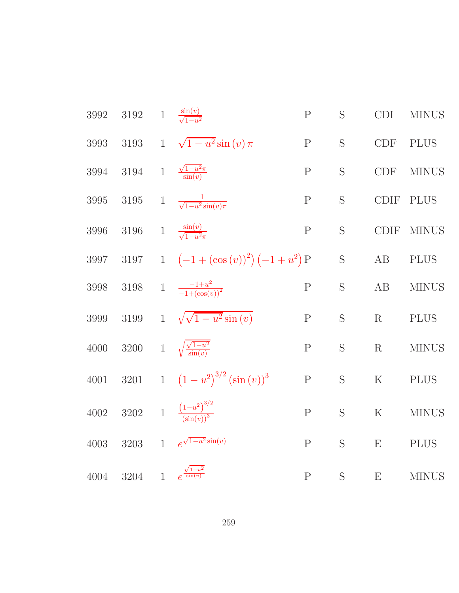| $3992\,$ | $3192\,$ | $1\,$          | $\frac{\sin(v)}{\sqrt{1-v^2}}$          | ${\bf P}$    | S           | <b>CDI</b>                | <b>MINUS</b> |
|----------|----------|----------------|-----------------------------------------|--------------|-------------|---------------------------|--------------|
| 3993     | $3193\,$ | $\mathbf{1}$   | $\sqrt{1-u^2}\sin(v)\pi$                | $\mathbf P$  | S           | CDF                       | <b>PLUS</b>  |
| 3994     | $3194\,$ | $\,1$          | $\frac{\sqrt{1-u^2}\pi}{\sin(v)}$       | $\mathbf P$  | S           | CDF                       | <b>MINUS</b> |
| 3995     | $3195\,$ | $\mathbf{1}$   | $\frac{1}{\sqrt{1-u^2}\sin(v)\pi}$      | $\mathbf P$  | S           | <b>CDIF</b>               | <b>PLUS</b>  |
| 3996     | $3196\,$ |                | 1 $\frac{\sin(v)}{\sqrt{1-v^2\pi}}$     | $\mathbf P$  | S           | <b>CDIF</b>               | <b>MINUS</b> |
| 3997     | $3197\,$ |                | 1 $(-1+(\cos(v))^2)(-1+u^2)P$           |              | $\mathbf S$ | AB                        | <b>PLUS</b>  |
| $3998\,$ | $3198\,$ |                | 1 $\frac{-1+u^2}{-1+(\cos(v))^2}$       | ${\bf P}$    | S           | $\rm AB$                  | <b>MINUS</b> |
| 3999     | 3199     |                | 1 $\sqrt{\sqrt{1-u^2}\sin(v)}$          | $\mathbf P$  | S           | R                         | <b>PLUS</b>  |
| 4000     | 3200     |                | 1 $\sqrt{\frac{\sqrt{1-u^2}}{\sin(v)}}$ | $\mathbf P$  | S           | R                         | <b>MINUS</b> |
| 4001     | 3201     |                | 1 $(1-u^2)^{3/2}(\sin(v))^3$            | ${\bf P}$    | S           | $\rm K$                   | <b>PLUS</b>  |
| 4002     | 3202     |                | 1 $\frac{(1-u^2)^{3/2}}{(\sin(u))^3}$   | $\mathbf P$  | S           | ${\bf K}$                 | <b>MINUS</b> |
| 4003     | $3203\,$ | $\mathbf{1}$   | $e^{\sqrt{1-u^2}\sin(v)}$               | $\mathbf{P}$ | S           | E                         | <b>PLUS</b>  |
| $4004\,$ | 3204     | $\overline{1}$ | $e^{\frac{\sqrt{1-u^2}}{\sin(v)}}$      | ${\bf P}$    | S           | $\boldsymbol{\mathrm{E}}$ | <b>MINUS</b> |

259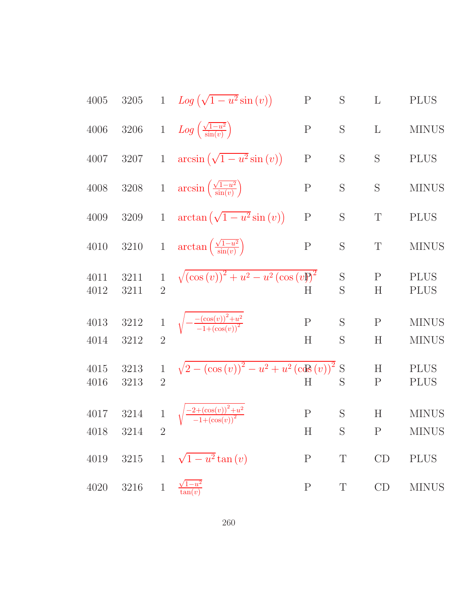4005 3205 1 
$$
Log(\sqrt{1-u^2}sin(v))
$$
 P S L PLUS  
\n4006 3206 1  $Log(\frac{\sqrt{1-u^2}}{sin(v)})$  P S L MINUS  
\n4007 3207 1  $arcsin(\sqrt{1-u^2}sin(v))$  P S S PLUS  
\n4008 3208 1  $arcsin(\frac{\sqrt{1-u^2}}{sin(v)})$  P S S MINUS  
\n4009 3209 1  $arctan(\sqrt{1-u^2}sin(v))$  P S T PLUS  
\n4010 3210 1  $arctan(\frac{\sqrt{1-u^2}}{sin(v)})$  P S T MINUS  
\n4011 3211 1  $\sqrt{(\cos(v))^2 + u^2 - u^2(\cos(v))^2}$  S P PLUS  
\n4012 3211 2  
\n4013 3212 1  $\sqrt{-\frac{(\cos(v))^2 + u^2}{-1+(\cos(v))^2}}$  P S P MINUS  
\n4014 3212 2 H  $\sqrt{-\frac{(\cos(v))^2 + u^2}{-1+(\cos(v))^2}}$  H S P MINUS  
\n4015 3213 1  $\sqrt{2 - (\cos(v))^2 - u^2 + u^2(\cos(v))^2}$  S H PLUS  
\n4016 3213 2 H  $\sqrt{\frac{-2+(\cos(v))^2 + u^2}{-1+(\cos(v))^2}}$  P S H MINUS  
\n4018 3214 2 H S P MINUS  
\n4019 3215 1  $\sqrt{1-u^2}tan(v)$  P T CD PLUS  
\n4020 3216 1  $\frac{\sqrt{1-u^2}}{tan(v)}$  P T CD MINUS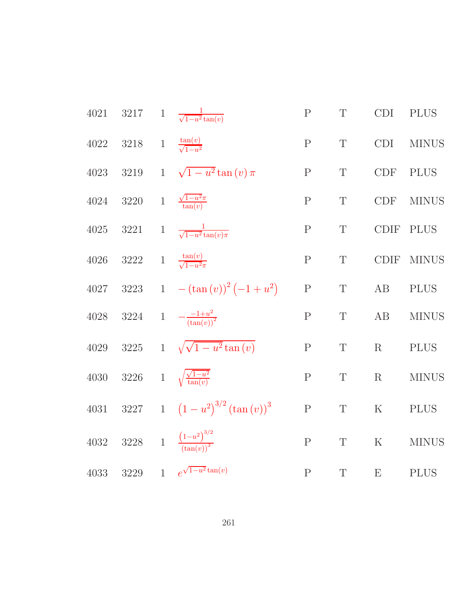| 4021     |                                       | 3217 1 $\frac{1}{\sqrt{1-u^2}\tan(v)}$          | ${\bf P}$    | $\mathbf T$ | CDI         | <b>PLUS</b>  |
|----------|---------------------------------------|-------------------------------------------------|--------------|-------------|-------------|--------------|
| 4022     | 3218 1 $\frac{\tan(v)}{\sqrt{1-u^2}}$ |                                                 | $\mathbf P$  | $\mathbf T$ | <b>CDI</b>  | <b>MINUS</b> |
| 4023     | 3219                                  | 1 $\sqrt{1-u^2}\tan(v)\pi$                      | $\mathbf P$  | $\mathbf T$ | <b>CDF</b>  | <b>PLUS</b>  |
| 4024     |                                       | 3220 1 $\frac{\sqrt{1-u^2}\pi}{\tan(v)}$        | $\mathbf P$  | $\mathbf T$ | <b>CDF</b>  | <b>MINUS</b> |
| $4025\,$ |                                       | 3221 1 $\frac{1}{\sqrt{1-u^2}\tan(v)\pi}$       | $\mathbf P$  | $\mathbf T$ | CDIF        | <b>PLUS</b>  |
| 4026     |                                       | 3222 1 $\frac{\tan(v)}{\sqrt{1-v^2\pi}}$        | ${\bf P}$    | $\mathbf T$ | <b>CDIF</b> | <b>MINUS</b> |
| 4027     |                                       | 3223 1 $-(\tan(v))^2(-1+u^2)$                   | ${\bf P}$    | $\mathbf T$ | AB          | <b>PLUS</b>  |
| 4028     |                                       | 3224 1 $-\frac{-1+u^2}{(\tan(v))^2}$            | $\mathbf P$  | $\mathbf T$ | AB          | <b>MINUS</b> |
| 4029     |                                       | 3225 1 $\sqrt{\sqrt{1-u^2}\tan(v)}$             | ${\bf P}$    | $\mathbf T$ | R           | <b>PLUS</b>  |
| 4030     |                                       | 3226 1 $\sqrt{\frac{\sqrt{1-u^2}}{\tan(v)}}$    | $\mathbf P$  | $\mathbf T$ | R           | <b>MINUS</b> |
| 4031     |                                       | 3227 1 $(1-u^2)^{3/2} (\tan(v))^3$              | ${\bf P}$    | $\mathbf T$ | $\rm K$     | <b>PLUS</b>  |
|          |                                       | 4032 3228 1 $\frac{(1-u^2)^{3/2}}{(\tan(u))^3}$ | ${\bf P}$    | $\mathbf T$ | ${\bf K}$   | <b>MINUS</b> |
| 4033     | 3229                                  | 1 $e^{\sqrt{1-u^2}\tan(v)}$                     | $\mathbf{P}$ | $\mathbf T$ | E           | <b>PLUS</b>  |

261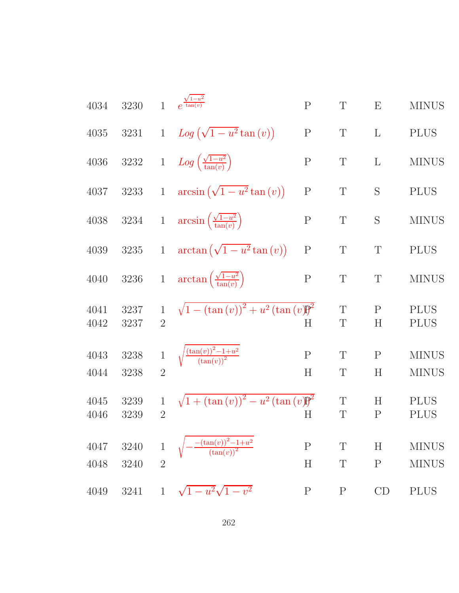4034 3230 1 
$$
e^{\frac{\sqrt{1-w^2}}{4\tan(v)}}
$$
 P T E MINUS  
\n4035 3231 1  $Log(\sqrt{1-u^2}tan(v))$  P T L PLUS  
\n4036 3232 1  $Log(\frac{\sqrt{1-u^2}}{tan(v)})$  P T L MINUS  
\n4037 3233 1  $arcsin(\sqrt{1-u^2}tan(v))$  P T S PLUS  
\n4038 3234 1  $arcsin(\frac{\sqrt{1-u^2}}{tan(v)})$  P T S MINUS  
\n4039 3235 1  $arctan(\sqrt{1-u^2}tan(v))$  P T T PLUS  
\n4040 3236 1  $arctan(\frac{\sqrt{1-u^2}}{tan(v)})$  P T T P LUS  
\n4041 3237 1  $\sqrt{1-(tan(v))^2 + u^2(tan(v))^2}$  T P P LUS  
\n4042 3237 2 H  $\frac{\sqrt{tan(v))^2 + u^2(tan(v))^2}}{4u^2(tan(v))^2}$  T P NINUS  
\n4043 3238 1  $\sqrt{\frac{tan(v)^2 - 1 + u^2}{(tan(v))^2}}$  P T P MINUS  
\n4044 3238 2 H  $\sqrt{1 + (tan(v))^2 - u^2(tan(v))^2}$  T H P LUS  
\n4045 3239 1  $\sqrt{1 + (tan(v))^2 - u^2(tan(v))^2}$  T H P LUS  
\n4046 3239 2 H T P P D LUS  
\n4047 3240 1  $\sqrt{-\frac{tan(v))^2 - 1 + u^2}{(tan(v))^2}}$  P T H MINUS  
\n4048 3240 2 H T P MINUS  
\n4049 3241 1  $\sqrt{1 - u^2}\sqrt{1 - v^2}$  P P C D P LUS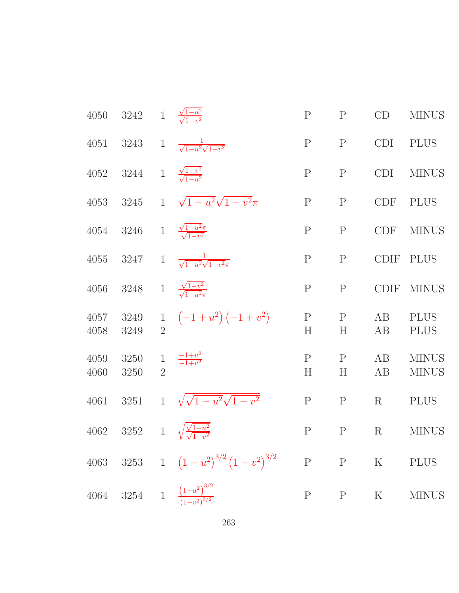|              | 4050 3242 1 $\frac{\sqrt{1-u^2}}{\sqrt{1-v^2}}$ |                         |                                                   | ${\bf P}$         | $\mathbf P$       | CD          | <b>MINUS</b>                 |
|--------------|-------------------------------------------------|-------------------------|---------------------------------------------------|-------------------|-------------------|-------------|------------------------------|
|              |                                                 |                         | 4051 3243 1 $\frac{1}{\sqrt{1-u^2}\sqrt{1-v^2}}$  | $\mathbf{P}$      | $\mathbf{P}$      | <b>CDI</b>  | <b>PLUS</b>                  |
|              | 4052 3244 1 $\frac{\sqrt{1-v^2}}{\sqrt{1-v^2}}$ |                         |                                                   | $\mathbf{P}$      | $\mathbf P$       | <b>CDI</b>  | <b>MINUS</b>                 |
|              |                                                 |                         | 4053 3245 1 $\sqrt{1-u^2}\sqrt{1-v^2}\pi$         | ${\bf P}$         | $\mathbf P$       | <b>CDF</b>  | <b>PLUS</b>                  |
| 4054         | 3246                                            |                         | 1 $\frac{\sqrt{1-u^2}\pi}{\sqrt{1-u^2}}$          | ${\bf P}$         | ${\bf P}$         | <b>CDF</b>  | <b>MINUS</b>                 |
| 4055         | 3247                                            |                         | 1 $\frac{1}{\sqrt{1-u^2}\sqrt{1-v^2\pi}}$         | $\mathbf P$       | $\mathbf P$       | <b>CDIF</b> | <b>PLUS</b>                  |
| 4056         | 3248 1 $\frac{\sqrt{1-v^2}}{\sqrt{1-u^2\pi}}$   |                         |                                                   | $\mathbf P$       | $\mathbf P$       | <b>CDIF</b> | <b>MINUS</b>                 |
| 4057<br>4058 | 3249<br>3249                                    |                         | 1 $(-1+u^2)(-1+v^2)$                              | $\mathbf{P}$<br>H | $\mathbf{P}$<br>H | AB<br>AB    | <b>PLUS</b><br><b>PLUS</b>   |
| 4059<br>4060 | 3250<br>3250                                    | $1\,$<br>$\overline{2}$ | $\frac{-1+u^2}{-1+v^2}$                           | $\mathbf{P}$<br>H | $\mathbf{P}$<br>H | AB<br>AB    | <b>MINUS</b><br><b>MINUS</b> |
| 4061         | 3251                                            |                         | 1 $\sqrt{\sqrt{1-u^2}\sqrt{1-v^2}}$               | $\mathbf P$       | $\mathbf P$       | R           | <b>PLUS</b>                  |
| 4062         |                                                 |                         | 3252 1 $\sqrt{\frac{\sqrt{1-u^2}}{\sqrt{1-v^2}}}$ | $\mathbf P$       | $\mathbf P$       | R           | <b>MINUS</b>                 |
|              |                                                 |                         | 4063 3253 1 $(1-u^2)^{3/2}(1-v^2)^{3/2}$ P P K    |                   |                   |             | <b>PLUS</b>                  |
|              |                                                 |                         | 4064 3254 1 $\frac{(1-u^2)^{3/2}}{(1-v^2)^{3/2}}$ | $P$ $P$           |                   | $\mathbf K$ | <b>MINUS</b>                 |
|              |                                                 |                         |                                                   |                   |                   |             |                              |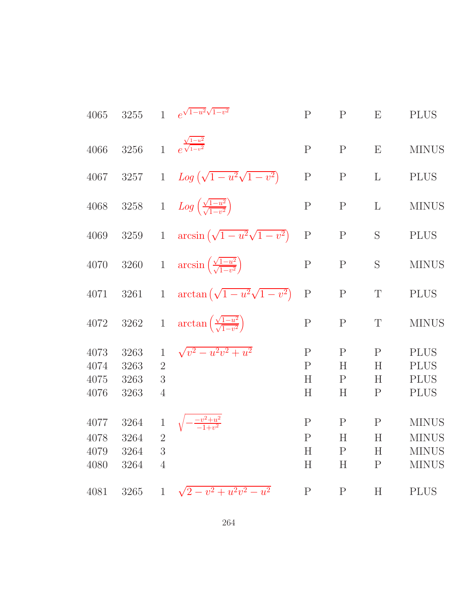| 4065                         | $3255\,$                     | $\mathbf{1}$                                          | $e^{\sqrt{1-u^2}\sqrt{1-v^2}}$                             | ${\bf P}$                             | ${\bf P}$                                 | E                                      | <b>PLUS</b>                                                  |
|------------------------------|------------------------------|-------------------------------------------------------|------------------------------------------------------------|---------------------------------------|-------------------------------------------|----------------------------------------|--------------------------------------------------------------|
| 4066                         | 3256                         |                                                       | 1 $e^{\frac{\sqrt{1-u^2}}{\sqrt{1-v^2}}}$                  | ${\bf P}$                             | ${\bf P}$                                 | E                                      | <b>MINUS</b>                                                 |
| 4067                         | $3257\,$                     |                                                       | 1 $Log(\sqrt{1-u^2}\sqrt{1-v^2})$                          | $\mathbf P$                           | ${\bf P}$                                 | $\mathbf{L}$                           | <b>PLUS</b>                                                  |
| 4068                         |                              |                                                       | 3258 1 $Log\left(\frac{\sqrt{1-u^2}}{\sqrt{1-v^2}}\right)$ | $\mathbf P$                           | ${\bf P}$                                 | $\mathbf{L}$                           | <b>MINUS</b>                                                 |
| 4069                         | $3259\,$                     |                                                       | 1 $\arcsin(\sqrt{1-u^2}\sqrt{1-v^2})$                      | ${\bf P}$                             | ${\bf P}$                                 | S                                      | <b>PLUS</b>                                                  |
| $4070\,$                     | $3260\,$                     |                                                       | 1 $\arcsin\left(\frac{\sqrt{1-u^2}}{\sqrt{1-v^2}}\right)$  | ${\bf P}$                             | ${\bf P}$                                 | S                                      | <b>MINUS</b>                                                 |
| 4071                         | 3261                         |                                                       | 1 $\arctan(\sqrt{1-u^2}\sqrt{1-v^2})$                      | ${\bf P}$                             | ${\bf P}$                                 | $\mathbf T$                            | <b>PLUS</b>                                                  |
| 4072                         | 3262                         | $\overline{1}$                                        | $\arctan\left(\frac{\sqrt{1-u^2}}{\sqrt{1-v^2}}\right)$    | $\mathbf P$                           | $\mathbf P$                               | $\mathbf T$                            | <b>MINUS</b>                                                 |
| 4073<br>4074<br>4075<br>4076 | 3263<br>3263<br>3263<br>3263 | $\mathbf{1}$<br>$\overline{2}$<br>3<br>$\overline{4}$ | $\sqrt{v^2-u^2v^2+u^2}$                                    | $\mathbf P$<br>$\mathbf{P}$<br>H<br>H | $\mathbf P$<br>H<br>$\mathbf{P}$<br>H     | $\mathbf{P}$<br>Η<br>Η<br>$\mathbf{P}$ | <b>PLUS</b><br><b>PLUS</b><br><b>PLUS</b><br><b>PLUS</b>     |
| 4077<br>4078<br>4079<br>4080 | 3264<br>3264<br>3264<br>3264 | $\,1$<br>$\overline{2}$<br>3<br>$\overline{4}$        |                                                            | $\mathbf{P}$<br>P<br>$H_{\rm}$<br>H   | $\mathbf{P}$<br>H<br>$\rm P$<br>$H_{\rm}$ | $\mathbf{P}$<br>H<br>H<br>$\mathbf{P}$ | <b>MINUS</b><br><b>MINUS</b><br><b>MINUS</b><br><b>MINUS</b> |
| 4081                         | 3265                         | $\mathbf{1}$                                          | $\sqrt{2-v^2+u^2v^2-u^2}$                                  | $\mathbf P$                           | $\mathbf{P}$                              | $H_{\rm}$                              | <b>PLUS</b>                                                  |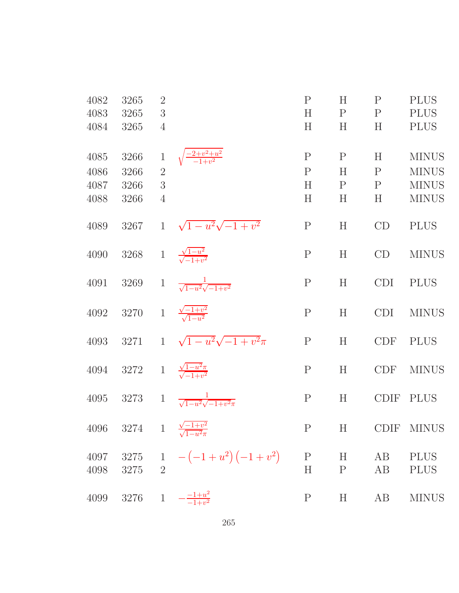| 4082<br>4083<br>4084         | 3265<br>3265<br>3265                           | $\overline{2}$<br>3<br>$\overline{4}$          |                                           | ${\bf P}$<br>H<br>H                     | H<br>$\mathbf{P}$<br>H                | $\mathbf{P}$<br>$\mathbf{P}$<br>H      | <b>PLUS</b><br><b>PLUS</b><br><b>PLUS</b>                    |
|------------------------------|------------------------------------------------|------------------------------------------------|-------------------------------------------|-----------------------------------------|---------------------------------------|----------------------------------------|--------------------------------------------------------------|
| 4085<br>4086<br>4087<br>4088 | 3266<br>3266<br>3266<br>3266                   | $\,1$<br>$\overline{2}$<br>3<br>$\overline{4}$ | $\frac{-2+v^2+u^2}{-1+v^2}$               | $\mathbf P$<br>$\overline{P}$<br>H<br>H | $\mathbf P$<br>H<br>$\mathbf{P}$<br>H | H<br>$\mathbf{P}$<br>$\mathbf{P}$<br>H | <b>MINUS</b><br><b>MINUS</b><br><b>MINUS</b><br><b>MINUS</b> |
| 4089                         | 3267                                           | $\mathbf{1}$                                   | $\sqrt{1-u^2}\sqrt{-1+v^2}$               | ${\bf P}$                               | H                                     | CD                                     | <b>PLUS</b>                                                  |
| 4090                         | 3268                                           | $\mathbf{1}$                                   | $\frac{\sqrt{1-u^2}}{\sqrt{-1+v^2}}$      | $\mathbf P$                             | H                                     | CD                                     | <b>MINUS</b>                                                 |
| 4091                         | 3269                                           | $\mathbf{1}$                                   | $\frac{1}{\sqrt{1-u^2}\sqrt{-1+v^2}}$     | $\mathbf P$                             | H                                     | <b>CDI</b>                             | <b>PLUS</b>                                                  |
| 4092                         | 3270                                           | $\mathbf{1}$                                   | $\frac{\sqrt{-1+v^2}}{\sqrt{1-u^2}}$      | $\mathbf P$                             | H                                     | <b>CDI</b>                             | <b>MINUS</b>                                                 |
| 4093                         | 3271                                           | $\mathbf{1}$                                   | $\sqrt{1-u^2}\sqrt{-1+v^2}\pi$            | ${\bf P}$                               | H                                     | <b>CDF</b>                             | <b>PLUS</b>                                                  |
| 4094                         | 3272                                           |                                                | 1 $\frac{\sqrt{1-u^2}\pi}{\sqrt{-1+u^2}}$ | ${\bf P}$                               | H                                     | <b>CDF</b>                             | <b>MINUS</b>                                                 |
| 4095                         | 3273                                           | $1\,$                                          | $\frac{1}{\sqrt{1-u^2}\sqrt{-1+v^2}\pi}$  | $\mathbf P$                             | H                                     | <b>CDIF</b>                            | <b>PLUS</b>                                                  |
| 4096                         | 3274 1 $\frac{\sqrt{-1+v^2}}{\sqrt{1-u^2\pi}}$ |                                                |                                           | $\mathbf{P}$                            | $H^-$                                 |                                        | CDIF MINUS                                                   |
| 4097<br>4098                 | $3275\,$<br>3275                               | $\overline{2}$                                 | 1 $-(-1+u^2)(-1+v^2)$                     | ${\bf P}$<br>$H_{\rm}$                  | H<br>$\mathbf{P}$                     | AB<br>AB                               | <b>PLUS</b><br><b>PLUS</b>                                   |
| 4099                         | 3276                                           | $\mathbf{1}$                                   | $-\frac{-1+u^2}{-1+v^2}$                  | $\mathbf P$                             | H                                     | AB                                     | <b>MINUS</b>                                                 |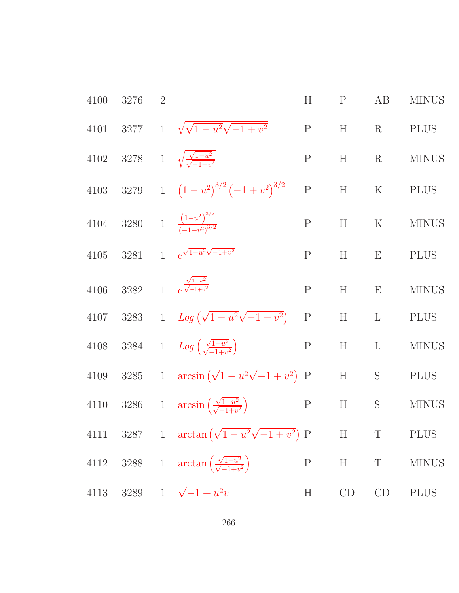| 4100     | 3276 | $\overline{2}$ |                                                                           | H            | P     | AB                                                 | <b>MINUS</b> |
|----------|------|----------------|---------------------------------------------------------------------------|--------------|-------|----------------------------------------------------|--------------|
| 4101     |      |                | 3277 1 $\sqrt{\sqrt{1-u^2}\sqrt{-1+v^2}}$                                 | $\, {\bf P}$ | H     | $\rm R$                                            | <b>PLUS</b>  |
|          |      |                | 4102 3278 1 $\sqrt{\frac{\sqrt{1-u^2}}{\sqrt{-1+v^2}}}$                   | $\mathbf P$  | H     | R                                                  | <b>MINUS</b> |
|          |      |                | 4103 3279 1 $(1-u^2)^{3/2}(-1+v^2)^{3/2}$                                 | P            |       | $\begin{tabular}{llll} H & K & PLUS \end{tabular}$ |              |
|          |      |                | 4104 3280 1 $\frac{(1-u^2)^{3/2}}{(-1+v^2)^{3/2}}$                        | P            | H     | ${\bf K}$                                          | <b>MINUS</b> |
| $4105\,$ |      |                | 3281 1 $e^{\sqrt{1-u^2}\sqrt{-1+v^2}}$                                    | ${\bf P}$    | H     | E                                                  | <b>PLUS</b>  |
| $4106\,$ |      |                | 3282 1 $e^{\frac{\sqrt{1-u^2}}{\sqrt{-1+v^2}}}$                           | $\mathbf P$  | H     | E                                                  | <b>MINUS</b> |
|          |      |                | 4107 3283 1 $Log(\sqrt{1-u^2}\sqrt{-1+v^2})$                              | $\mathbf P$  | $H$ L |                                                    | <b>PLUS</b>  |
| $4108\,$ |      |                | 3284 1 $Log\left(\frac{\sqrt{1-u^2}}{\sqrt{-1+u^2}}\right)$               | ${\bf P}$    | H     | $\mathbf{L}$                                       | <b>MINUS</b> |
| 4109     |      |                | 3285 1 $\arcsin(\sqrt{1-u^2}\sqrt{-1+v^2})$ P                             |              | H     | S                                                  | <b>PLUS</b>  |
|          |      |                | 4110 3286 1 $\arcsin\left(\frac{\sqrt{1-u^2}}{\sqrt{-1+v^2}}\right)$<br>P |              | H     | S                                                  | <b>MINUS</b> |
|          |      |                | 4111 3287 1 $\arctan(\sqrt{1-u^2}\sqrt{-1+v^2})$ P H T PLUS               |              |       |                                                    |              |
|          |      |                | 4112 3288 1 $\arctan\left(\frac{\sqrt{1-u^2}}{\sqrt{-1+v^2}}\right)$      |              |       |                                                    | P H T MINUS  |
|          |      |                | 4113 3289 1 $\sqrt{-1+u^2}v$                                              | H            |       | $CD$ $CD$                                          | <b>PLUS</b>  |
|          |      |                |                                                                           |              |       |                                                    |              |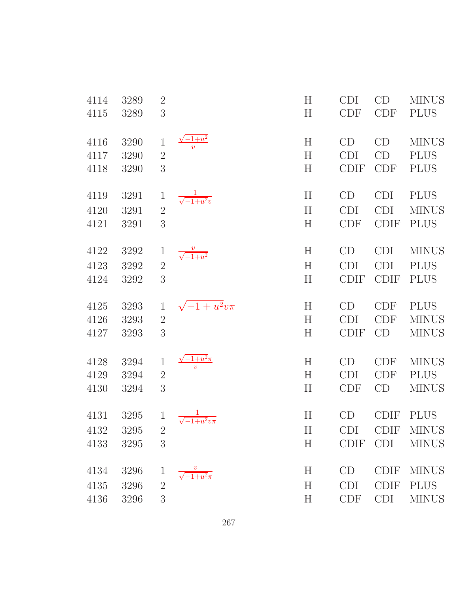| 3<br>4115<br>3289<br>$\frac{y^2-1+u^2}{v}$<br>H<br>CD<br>CD<br>4116<br>3290<br>$\mathbf{1}$<br>$\overline{2}$<br>H<br>CD<br><b>CDI</b><br>4117<br>3290<br>3<br>H<br><b>CDIF</b><br><b>CDF</b><br>4118<br>3290<br>$\frac{1}{\sqrt{-1+u^2}v}$<br>H<br>CD<br><b>CDI</b><br>4119<br>3291<br>$\mathbf{1}$<br>$\overline{2}$<br>H<br>CDI<br><b>CDI</b><br>4120<br>3291<br>3<br>H<br><b>CDIF</b><br>4121<br>3291<br><b>CDF</b><br>H<br>CD<br><b>CDI</b><br>4122<br>3292<br>$\frac{v}{\sqrt{-1+u^2}}$<br>$\mathbf{1}$<br>$\overline{2}$<br><b>CDI</b><br><b>CDI</b><br>4123<br>3292<br>H<br>3<br>H<br><b>CDIF</b><br><b>CDIF</b><br>4124<br>3292<br>$\sqrt{-1+u^2}v\pi$<br>$\mathbf{1}$<br>H<br>CD<br><b>CDF</b><br>4125<br>3293<br>$\overline{2}$<br><b>CDI</b><br>4126<br>H<br><b>CDF</b><br>3293<br>3<br>H<br><b>CDIF</b><br>CD<br>4127<br>3293<br>$\frac{\sqrt{-1+u^2}\pi}{v}$<br>$\boldsymbol{\mathrm{H}}$<br><b>CDF</b><br>3294<br>$\mathbf{1}$<br>CD<br>4128<br>$\overline{2}$<br>H<br><b>CDF</b><br>4129<br>3294<br><b>CDI</b><br>3<br>CD<br>H<br><b>CDF</b><br>4130<br>3294<br>1 $\frac{1}{\sqrt{-1+u^2}v\pi}$<br>H<br><b>CDIF</b><br>4131<br>3295<br>CD<br>4132 3295 2<br>H<br>CDI<br>3<br>H<br><b>CDIF</b><br><b>CDI</b><br>4133<br>3295<br>$\frac{v}{\sqrt{-1+u^2\pi}}$<br>$H_{\rm}$<br>CD<br><b>CDIF</b><br>4134<br>3296<br>$\mathbf 1$ | CD<br>H<br><b>CDI</b><br><b>MINUS</b>        |
|----------------------------------------------------------------------------------------------------------------------------------------------------------------------------------------------------------------------------------------------------------------------------------------------------------------------------------------------------------------------------------------------------------------------------------------------------------------------------------------------------------------------------------------------------------------------------------------------------------------------------------------------------------------------------------------------------------------------------------------------------------------------------------------------------------------------------------------------------------------------------------------------------------------------------------------------------------------------------------------------------------------------------------------------------------------------------------------------------------------------------------------------------------------------------------------------------------------------------------------------------------------------------------------------------------------------------------------------|----------------------------------------------|
|                                                                                                                                                                                                                                                                                                                                                                                                                                                                                                                                                                                                                                                                                                                                                                                                                                                                                                                                                                                                                                                                                                                                                                                                                                                                                                                                              | H<br><b>CDF</b><br><b>CDF</b><br><b>PLUS</b> |
|                                                                                                                                                                                                                                                                                                                                                                                                                                                                                                                                                                                                                                                                                                                                                                                                                                                                                                                                                                                                                                                                                                                                                                                                                                                                                                                                              | <b>MINUS</b>                                 |
|                                                                                                                                                                                                                                                                                                                                                                                                                                                                                                                                                                                                                                                                                                                                                                                                                                                                                                                                                                                                                                                                                                                                                                                                                                                                                                                                              | <b>PLUS</b>                                  |
|                                                                                                                                                                                                                                                                                                                                                                                                                                                                                                                                                                                                                                                                                                                                                                                                                                                                                                                                                                                                                                                                                                                                                                                                                                                                                                                                              | <b>PLUS</b>                                  |
|                                                                                                                                                                                                                                                                                                                                                                                                                                                                                                                                                                                                                                                                                                                                                                                                                                                                                                                                                                                                                                                                                                                                                                                                                                                                                                                                              | <b>PLUS</b>                                  |
|                                                                                                                                                                                                                                                                                                                                                                                                                                                                                                                                                                                                                                                                                                                                                                                                                                                                                                                                                                                                                                                                                                                                                                                                                                                                                                                                              | <b>MINUS</b>                                 |
|                                                                                                                                                                                                                                                                                                                                                                                                                                                                                                                                                                                                                                                                                                                                                                                                                                                                                                                                                                                                                                                                                                                                                                                                                                                                                                                                              | <b>PLUS</b>                                  |
|                                                                                                                                                                                                                                                                                                                                                                                                                                                                                                                                                                                                                                                                                                                                                                                                                                                                                                                                                                                                                                                                                                                                                                                                                                                                                                                                              | <b>MINUS</b>                                 |
|                                                                                                                                                                                                                                                                                                                                                                                                                                                                                                                                                                                                                                                                                                                                                                                                                                                                                                                                                                                                                                                                                                                                                                                                                                                                                                                                              | <b>PLUS</b>                                  |
|                                                                                                                                                                                                                                                                                                                                                                                                                                                                                                                                                                                                                                                                                                                                                                                                                                                                                                                                                                                                                                                                                                                                                                                                                                                                                                                                              | <b>PLUS</b>                                  |
|                                                                                                                                                                                                                                                                                                                                                                                                                                                                                                                                                                                                                                                                                                                                                                                                                                                                                                                                                                                                                                                                                                                                                                                                                                                                                                                                              | <b>PLUS</b>                                  |
|                                                                                                                                                                                                                                                                                                                                                                                                                                                                                                                                                                                                                                                                                                                                                                                                                                                                                                                                                                                                                                                                                                                                                                                                                                                                                                                                              | <b>MINUS</b>                                 |
|                                                                                                                                                                                                                                                                                                                                                                                                                                                                                                                                                                                                                                                                                                                                                                                                                                                                                                                                                                                                                                                                                                                                                                                                                                                                                                                                              | <b>MINUS</b>                                 |
|                                                                                                                                                                                                                                                                                                                                                                                                                                                                                                                                                                                                                                                                                                                                                                                                                                                                                                                                                                                                                                                                                                                                                                                                                                                                                                                                              | <b>MINUS</b>                                 |
|                                                                                                                                                                                                                                                                                                                                                                                                                                                                                                                                                                                                                                                                                                                                                                                                                                                                                                                                                                                                                                                                                                                                                                                                                                                                                                                                              | <b>PLUS</b>                                  |
|                                                                                                                                                                                                                                                                                                                                                                                                                                                                                                                                                                                                                                                                                                                                                                                                                                                                                                                                                                                                                                                                                                                                                                                                                                                                                                                                              | <b>MINUS</b>                                 |
|                                                                                                                                                                                                                                                                                                                                                                                                                                                                                                                                                                                                                                                                                                                                                                                                                                                                                                                                                                                                                                                                                                                                                                                                                                                                                                                                              | <b>PLUS</b>                                  |
|                                                                                                                                                                                                                                                                                                                                                                                                                                                                                                                                                                                                                                                                                                                                                                                                                                                                                                                                                                                                                                                                                                                                                                                                                                                                                                                                              | CDIF MINUS                                   |
|                                                                                                                                                                                                                                                                                                                                                                                                                                                                                                                                                                                                                                                                                                                                                                                                                                                                                                                                                                                                                                                                                                                                                                                                                                                                                                                                              | <b>MINUS</b>                                 |
|                                                                                                                                                                                                                                                                                                                                                                                                                                                                                                                                                                                                                                                                                                                                                                                                                                                                                                                                                                                                                                                                                                                                                                                                                                                                                                                                              | <b>MINUS</b>                                 |
| H<br><b>CDI</b><br>4135<br>3296<br>$\overline{2}$                                                                                                                                                                                                                                                                                                                                                                                                                                                                                                                                                                                                                                                                                                                                                                                                                                                                                                                                                                                                                                                                                                                                                                                                                                                                                            | <b>CDIF</b><br><b>PLUS</b>                   |
| <b>CDI</b><br>4136<br>3296<br>3<br>H<br><b>CDF</b>                                                                                                                                                                                                                                                                                                                                                                                                                                                                                                                                                                                                                                                                                                                                                                                                                                                                                                                                                                                                                                                                                                                                                                                                                                                                                           | <b>MINUS</b>                                 |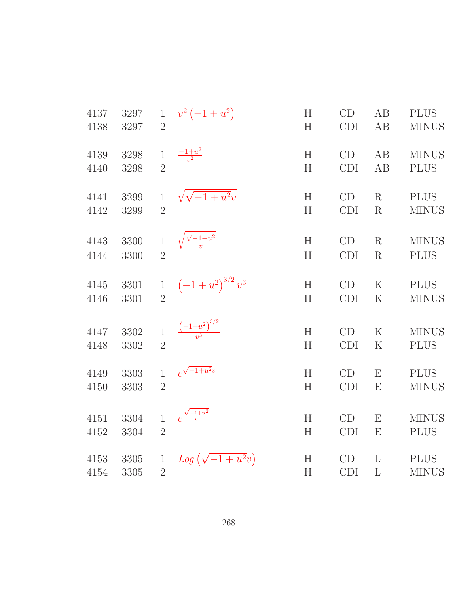| 4137 | 3297 | $\mathbf{1}$   | $v^2(-1+u^2)$                    | H                         | CD         | AB           | <b>PLUS</b>  |
|------|------|----------------|----------------------------------|---------------------------|------------|--------------|--------------|
| 4138 | 3297 | $\overline{2}$ |                                  | H                         | <b>CDI</b> | AB           | <b>MINUS</b> |
| 4139 | 3298 | $\mathbf{1}$   | $\frac{-1+u^2}{v^2}$             | H                         | CD         | AB           | <b>MINUS</b> |
| 4140 | 3298 | $\overline{2}$ |                                  | H                         | <b>CDI</b> | AB           | <b>PLUS</b>  |
| 4141 | 3299 | $\mathbf{1}$   | $\sqrt{\sqrt{-1+u^2}v}$          | H                         | CD         | R            | <b>PLUS</b>  |
| 4142 | 3299 | $\overline{2}$ |                                  | H                         | <b>CDI</b> | $\mathbf R$  | <b>MINUS</b> |
| 4143 | 3300 | $\mathbf{1}$   | $\sqrt{\frac{\sqrt{-1+u^2}}{v}}$ | H                         | CD         | $\rm R$      | <b>MINUS</b> |
| 4144 | 3300 | $\overline{2}$ |                                  | H                         | <b>CDI</b> | R            | <b>PLUS</b>  |
| 4145 | 3301 | $\mathbf{1}$   | $\left(-1+u^2\right)^{3/2}v^3$   | H                         | CD         | $\mathbf K$  | <b>PLUS</b>  |
| 4146 | 3301 | $\overline{2}$ |                                  | H                         | CDI        | $\rm K$      | <b>MINUS</b> |
| 4147 | 3302 | $\mathbf{1}$   | $\frac{(-1+u^2)^{3/2}}{v^3}$     | H                         | CD         | $\rm K$      | <b>MINUS</b> |
| 4148 | 3302 | $\overline{2}$ |                                  | H                         | <b>CDI</b> | K            | <b>PLUS</b>  |
| 4149 | 3303 | $\mathbf{1}$   | $e^{\sqrt{-1+u^2}v}$             | H                         | CD         | E            | <b>PLUS</b>  |
| 4150 | 3303 | $\overline{2}$ |                                  | H                         | <b>CDI</b> | E            | <b>MINUS</b> |
| 4151 | 3304 | $\mathbf{1}$   | $e^{\frac{\sqrt{-1+u^2}}{v}}$    | H                         | CD         | E            | <b>MINUS</b> |
| 4152 | 3304 | $\overline{2}$ |                                  | H                         | <b>CDI</b> | E            | <b>PLUS</b>  |
| 4153 | 3305 | $\mathbf{1}$   | $Log(\sqrt{-1+u^2}v)$            | $\boldsymbol{\mathrm{H}}$ | CD         | $\mathbf{L}$ | <b>PLUS</b>  |
| 4154 | 3305 | $\overline{2}$ |                                  | H                         | <b>CDI</b> | $\mathbf{L}$ | <b>MINUS</b> |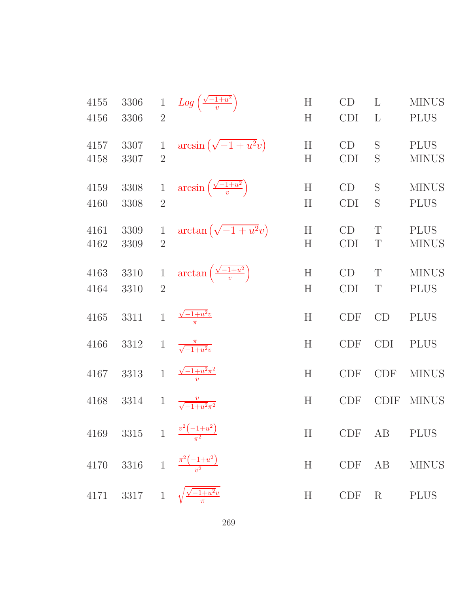| 4155<br>4156 | 3306<br>3306 | $\mathbf{1}$<br>$\overline{2}$ | $Log\left(\frac{\sqrt{-1+u^2}}{v}\right)$       | $H_{\rm}$<br>H | CD<br><b>CDI</b> | L<br>L          | <b>MINUS</b><br><b>PLUS</b> |
|--------------|--------------|--------------------------------|-------------------------------------------------|----------------|------------------|-----------------|-----------------------------|
| 4157<br>4158 | 3307<br>3307 | 1<br>$\overline{2}$            | $arcsin(\sqrt{-1+u^2}v)$                        | H<br>H         | CD<br><b>CDI</b> | S<br>S          | <b>PLUS</b><br><b>MINUS</b> |
| 4159<br>4160 | 3308<br>3308 | $\mathbf 1$<br>$\overline{2}$  | $\arcsin\left(\frac{\sqrt{-1+u^2}}{v}\right)$   | H<br>H         | CD<br><b>CDI</b> | S<br>S          | <b>MINUS</b><br><b>PLUS</b> |
| 4161<br>4162 | 3309<br>3309 | 1<br>$\overline{2}$            | $\arctan\left(\sqrt{-1+u^2}v\right)$            | H<br>H         | CD<br><b>CDI</b> | T<br>T          | <b>PLUS</b><br><b>MINUS</b> |
| 4163<br>4164 | 3310<br>3310 | $\,1$<br>$\overline{2}$        | $\arctan\left(\frac{\sqrt{-1+u^2}}{v}\right)$   | H<br>H         | CD<br><b>CDI</b> | T<br>T          | <b>MINUS</b><br><b>PLUS</b> |
| 4165         | 3311         | $\mathbf{1}$                   | $\frac{\sqrt{-1+u^2}v}{\pi}$                    | H              | <b>CDF</b>       | CD              | <b>PLUS</b>                 |
| 4166         | 3312         | $\mathbf{1}$                   | $\frac{\pi}{\sqrt{-1+u^2}v}$                    | H              | <b>CDF</b>       | <b>CDI</b>      | <b>PLUS</b>                 |
| 4167         | 3313         | $\overline{1}$                 | $\frac{\sqrt{-1+u^2}\pi^2}{u}$                  | H              | <b>CDF</b>       | <b>CDF</b>      | <b>MINUS</b>                |
| 4168         | 3314         | $\mathbf{1}$                   | $\frac{v}{\sqrt{-1+u^2\pi^2}}$                  | H              | <b>CDF</b>       | <b>CDIF</b>     | <b>MINUS</b>                |
|              |              |                                | 4169 3315 1 $\frac{v^2(-1+u^2)}{\pi^2}$         |                | H CDF AB         |                 | <b>PLUS</b>                 |
|              |              |                                | 4170 3316 1 $\frac{\pi^2(-1+u^2)}{u^2}$         | H              | $CDF$ $AB$       |                 | <b>MINUS</b>                |
|              |              |                                | 4171 3317 1 $\sqrt{\frac{\sqrt{-1+u^2}v}{\pi}}$ | H              | CDF              | $R_{\parallel}$ | <b>PLUS</b>                 |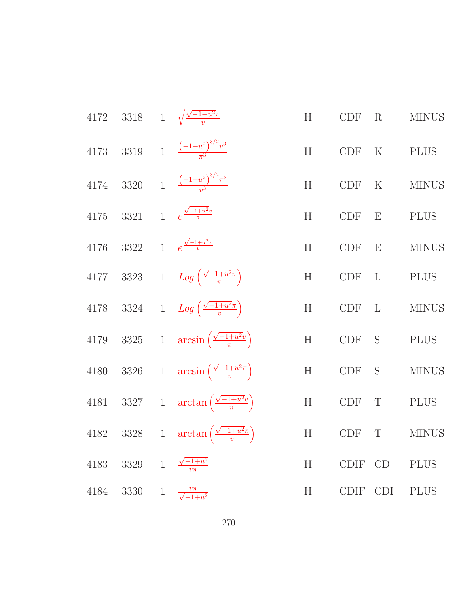|      |           | 4172 3318 1 $\sqrt{\frac{\sqrt{-1+u^2\pi}}{n}}$              | H |                                                                                            | CDF R MINUS   |
|------|-----------|--------------------------------------------------------------|---|--------------------------------------------------------------------------------------------|---------------|
|      |           | 4173 3319 1 $\frac{(-1+u^2)^{3/2}v^3}{\pi^3}$                | H | CDF K PLUS                                                                                 |               |
|      |           | 4174 3320 1 $\frac{(-1+u^2)^{3/2}\pi^3}{u^3}$                | H |                                                                                            | CDF K MINUS   |
|      |           | 4175 3321 1 $e^{\frac{\sqrt{-1+u^2}v}{\pi}}$                 | H | $\begin{tabular}{llll} \multicolumn{2}{l}{{\bf CDF}} & E & {\bf PLUS} \end{tabular}$       |               |
|      |           | 4176 3322 1 $e^{\frac{\sqrt{-1+u^2\pi}}{v}}$                 | H | $CDF$ $E$                                                                                  | <b>MINUS</b>  |
|      |           | 4177 3323 1 $Log\left(\frac{\sqrt{-1+u^2}v}{\pi}\right)$     | H | $\begin{tabular}{llll} \multicolumn{2}{l}{{\bf CDF}} & {\bf L} & {\bf PLUS} \end{tabular}$ |               |
|      |           | 4178 3324 1 $Log\left(\frac{\sqrt{-1+u^2\pi}}{v}\right)$     |   |                                                                                            | H CDF L MINUS |
|      |           | 4179 3325 1 $\arcsin\left(\frac{\sqrt{-1+u^2}v}{\pi}\right)$ | H | CDF S PLUS                                                                                 |               |
|      |           | 4180 3326 1 $\arcsin\left(\frac{\sqrt{-1+u^2\pi}}{v}\right)$ |   |                                                                                            | H CDF S MINUS |
|      |           | 4181 3327 1 $\arctan\left(\frac{\sqrt{-1+u^2}v}{\pi}\right)$ | H | CDF T PLUS                                                                                 |               |
|      |           | 4182 3328 1 $\arctan\left(\frac{\sqrt{-1+u^2\pi}}{v}\right)$ |   |                                                                                            | H CDF T MINUS |
| 4183 | 3329 1    | $\frac{\sqrt{-1+u^2}}{v\pi}$                                 | H | CDIF CD                                                                                    | <b>PLUS</b>   |
|      | 4184 3330 | 1 $\frac{v\pi}{\sqrt{-1+u^2}}$                               | H | CDIF CDI                                                                                   | <b>PLUS</b>   |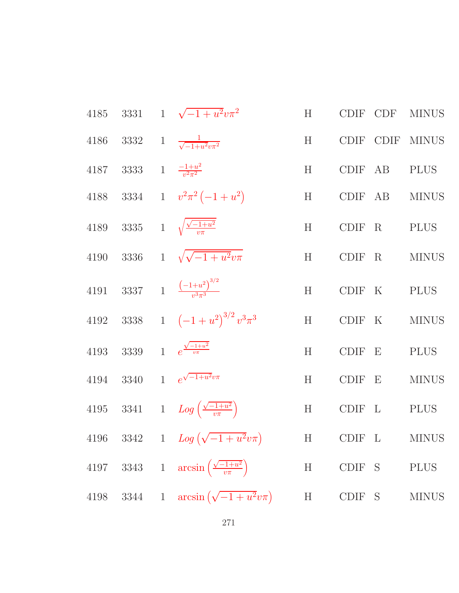|      |  | 4185 3331 1 $\sqrt{-1+u^2}v\pi^2$                            |   |               |              | H CDIF CDF MINUS  |
|------|--|--------------------------------------------------------------|---|---------------|--------------|-------------------|
|      |  | 4186 3332 1 $\frac{1}{\sqrt{-1+u^2v\pi^2}}$                  |   |               |              | H CDIF CDIF MINUS |
|      |  | 4187 3333 1 $\frac{-1+u^2}{v^2\pi^2}$                        | H |               | CDIF AB PLUS |                   |
|      |  | 4188 3334 1 $v^2 \pi^2 (-1 + u^2)$                           |   |               |              | H CDIF AB MINUS   |
|      |  | 4189 3335 1 $\sqrt{\frac{\sqrt{-1+u^2}}{v\pi}}$              |   | H CDIF R PLUS |              |                   |
|      |  | 4190 3336 1 $\sqrt{\sqrt{-1+u^2}v\pi}$                       |   |               |              | H CDIF R MINUS    |
|      |  | 4191 3337 1 $\frac{(-1+u^2)^{3/2}}{u^3\pi^3}$                |   | H CDIF K PLUS |              |                   |
|      |  | 4192 3338 1 $(-1+u^2)^{3/2}v^3\pi^3$                         |   |               |              | H CDIF K MINUS    |
|      |  | 4193 3339 1 $e^{\frac{\sqrt{-1+u^2}}{v\pi}}$                 |   | H CDIF E PLUS |              |                   |
|      |  | 4194 3340 1 $e^{\sqrt{-1+u^2}v\pi}$                          |   |               |              | H CDIF E MINUS    |
|      |  | 4195 3341 1 $Log\left(\frac{\sqrt{-1+u^2}}{v\pi}\right)$     |   | H CDIF L PLUS |              |                   |
|      |  | 4196 3342 1 $Log(\sqrt{-1+u^2}v\pi)$ H CDIF L MINUS          |   |               |              |                   |
|      |  | 4197 3343 1 $\arcsin\left(\frac{\sqrt{-1+u^2}}{v\pi}\right)$ |   | H CDIF S      |              | <b>PLUS</b>       |
| 4198 |  | 3344 1 $\arcsin(\sqrt{-1+u^2}v\pi)$                          |   | H CDIF S      |              | <b>MINUS</b>      |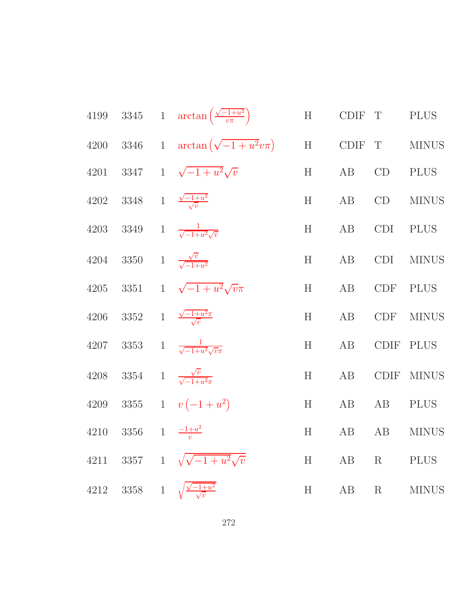|      |                                              |              | 4199 3345 1 $\arctan\left(\frac{\sqrt{-1+u^2}}{v\pi}\right)$ | H      | CDIF T |               | <b>PLUS</b>  |
|------|----------------------------------------------|--------------|--------------------------------------------------------------|--------|--------|---------------|--------------|
|      |                                              |              | 4200 3346 1 $\arctan(\sqrt{-1+u^2}v\pi)$ H CDIF T MINUS      |        |        |               |              |
| 4201 |                                              |              | 3347 1 $\sqrt{-1+u^2}\sqrt{v}$                               | H      | AB     | $\mathrm{CD}$ | <b>PLUS</b>  |
|      | 4202 3348 1 $\frac{\sqrt{-1+u^2}}{\sqrt{v}}$ |              |                                                              |        | H AB   | CD            | <b>MINUS</b> |
|      |                                              |              | 4203 3349 1 $\frac{1}{\sqrt{-1+u^2}\sqrt{v}}$                |        | H AB   | CDI           | <b>PLUS</b>  |
|      | 4204 3350 1 $\frac{\sqrt{v}}{\sqrt{-1+u^2}}$ |              |                                                              | H      | AB     | CDI           | <b>MINUS</b> |
|      |                                              |              | 4205 3351 1 $\sqrt{-1+u^2}\sqrt{v}\pi$                       | H      | AB     |               | CDF PLUS     |
|      |                                              |              | 4206 3352 1 $\frac{\sqrt{-1+u^2}\pi}{\sqrt{v}}$              | H      | AB     | CDF           | <b>MINUS</b> |
|      |                                              |              | 4207 3353 1 $\frac{1}{\sqrt{-1+u^2}\sqrt{v}\pi}$             | $H$ AB |        |               | CDIF PLUS    |
|      |                                              |              | 4208 3354 1 $\frac{\sqrt{v}}{\sqrt{-1+u^2\pi}}$              | H      | AB     | CDIF          | <b>MINUS</b> |
|      |                                              |              | 4209 3355 1 $v(-1+u^2)$                                      | H      | AB     | AB            | <b>PLUS</b>  |
|      | 4210 3356 1 $\frac{-1+u^2}{u}$               |              |                                                              | H      | AB     | AB            | <b>MINUS</b> |
| 4211 |                                              |              | 3357 1 $\sqrt{\sqrt{-1+u^2}\sqrt{v}}$                        | H      | AB     | $\rm R$       | <b>PLUS</b>  |
| 4212 | 3358                                         | $\mathbf{1}$ | $\frac{\sqrt{-1+u^2}}{\sqrt{v}}$                             | H      | AB     | $\rm R$       | <b>MINUS</b> |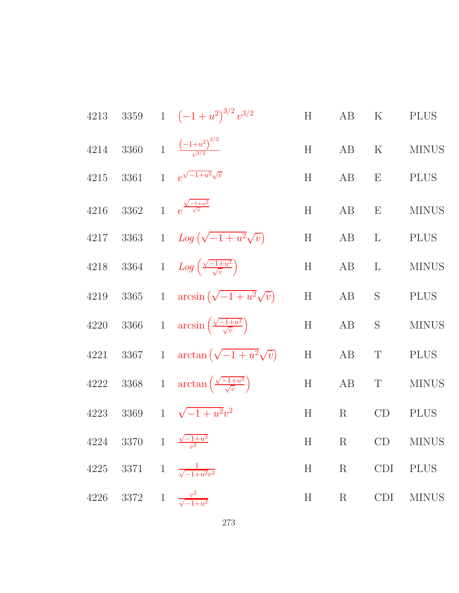|      |  | 4213 3359 1 $(-1 + u^2)^{3/2} v^{3/2}$                           | H | AB       | K    | <b>PLUS</b>                                                                         |
|------|--|------------------------------------------------------------------|---|----------|------|-------------------------------------------------------------------------------------|
|      |  | 4214 3360 1 $\frac{(-1+u^2)^{3/2}}{u^{3/2}}$                     |   |          |      | H AB K MINUS                                                                        |
| 4215 |  | 3361 1 $e^{\sqrt{-1+u^2}\sqrt{v}}$                               |   | H AB E   |      | <b>PLUS</b>                                                                         |
| 4216 |  | 3362 1 $e^{\frac{\sqrt{-1+u^2}}{\sqrt{v}}}$                      |   |          |      | $H \qquad AB \qquad E \qquad MINUS$                                                 |
|      |  | 4217 3363 1 $Log(\sqrt{-1+u^2}\sqrt{v})$                         |   | $H$ AB L |      | <b>PLUS</b>                                                                         |
|      |  | 4218 3364 1 $Log\left(\frac{\sqrt{-1+u^2}}{\sqrt{v}}\right)$     |   |          |      | ${\rm H} \hspace{1.5cm} {\rm AB} \hspace{1.5cm} {\rm L} \hspace{1.5cm} {\rm MINUS}$ |
| 4219 |  | 3365 1 $\arcsin(\sqrt{-1+u^2}\sqrt{v})$                          |   | H AB S   |      | <b>PLUS</b>                                                                         |
|      |  | 4220 3366 1 $\arcsin\left(\frac{\sqrt{-1+u^2}}{\sqrt{v}}\right)$ | H | AB       |      | S MINUS                                                                             |
| 4221 |  | 3367 1 $\arctan(\sqrt{-1+u^2}\sqrt{v})$                          |   | $H$ AB   | T    | <b>PLUS</b>                                                                         |
|      |  | 4222 3368 1 $\arctan\left(\frac{\sqrt{-1+u^2}}{\sqrt{v}}\right)$ |   | H AB T   |      | <b>MINUS</b>                                                                        |
|      |  | 4223 3369 1 $\sqrt{-1+u^2}v^2$                                   | H |          | R CD | <b>PLUS</b>                                                                         |
|      |  | 4224 3370 1 $\frac{\sqrt{-1+u^2}}{v^2}$                          |   |          |      | H R CD MINUS                                                                        |
|      |  | 4225 3371 1 $\frac{1}{\sqrt{-1+u^2v^2}}$                         |   |          |      | H R CDI PLUS                                                                        |
|      |  | 4226 3372 1 $\frac{v^2}{\sqrt{-1+u^2}}$                          |   |          |      | H R CDI MINUS                                                                       |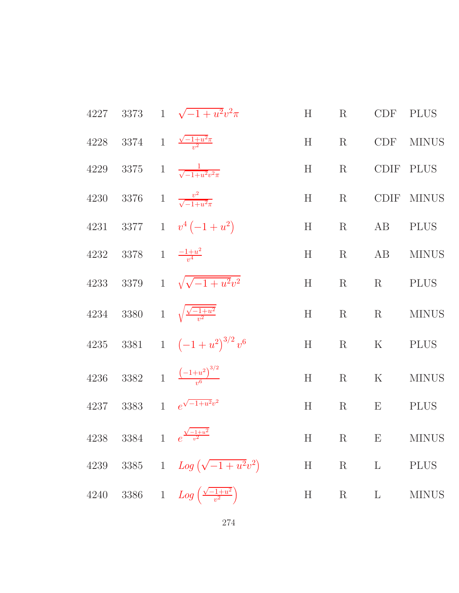|                                             | 4227 3373 1 $\sqrt{-1+u^2}v^2\pi$                       | H | R       |             | CDF PLUS         |
|---------------------------------------------|---------------------------------------------------------|---|---------|-------------|------------------|
|                                             | 4228 3374 1 $\frac{\sqrt{-1+u^2\pi}}{v^2}$              |   |         |             | H R CDF MINUS    |
|                                             | 4229 3375 1 $\frac{1}{\sqrt{-1+u^2v^2\pi}}$             | H |         | R CDIF PLUS |                  |
|                                             | 4230 3376 1 $\frac{v^2}{\sqrt{-1+u^2\pi}}$              | H | R       |             | CDIF MINUS       |
|                                             | 4231 3377 1 $v^4(-1+u^2)$                               | H |         | R AB        | <b>PLUS</b>      |
| 4232 3378 1 $\frac{-1+u^2}{v^4}$            |                                                         | H |         |             | R AB MINUS       |
|                                             | 4233 3379 1 $\sqrt{\sqrt{-1+u^2}v^2}$                   | H |         | R R PLUS    |                  |
|                                             | 4234 3380 1 $\sqrt{\frac{\sqrt{-1+u^2}}{n^2}}$          | H |         |             | R $\hbox{MINUS}$ |
|                                             | 4235 3381 1 $(-1 + u^2)^{3/2} v^6$                      | H |         | R K PLUS    |                  |
|                                             | 4236 3382 1 $\frac{(-1+u^2)^{3/2}}{u^6}$                | H |         |             | R $K$ MINUS      |
|                                             | 4237 3383 1 $e^{\sqrt{-1+u^2}v^2}$                      | H |         | R $E$ PLUS  |                  |
| 4238 3384 1 $e^{\frac{\sqrt{-1+u^2}}{v^2}}$ |                                                         |   |         |             | H R E MINUS      |
|                                             | 4239 3385 1 $Log(\sqrt{-1+u^2}v^2)$                     | H | $R$ $L$ |             | <b>PLUS</b>      |
|                                             | 4240 3386 1 $Log\left(\frac{\sqrt{-1+u^2}}{v^2}\right)$ |   | $H$ R L |             | <b>MINUS</b>     |
|                                             |                                                         |   |         |             |                  |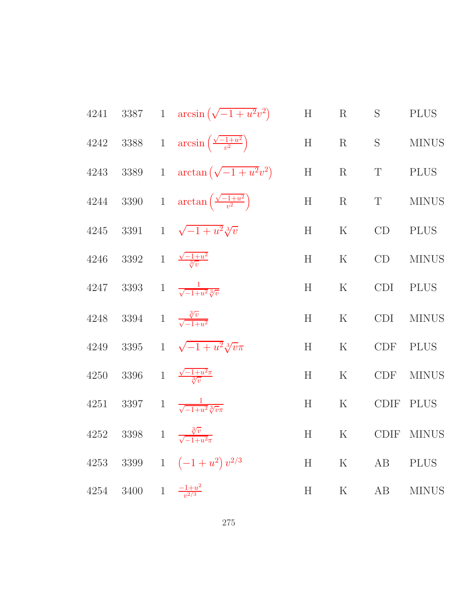| 4241 |                                               | 3387 1 $\arcsin(\sqrt{-1+u^2}v^2)$                          | H         | $\rm R$         | S           | <b>PLUS</b>  |
|------|-----------------------------------------------|-------------------------------------------------------------|-----------|-----------------|-------------|--------------|
|      |                                               | 4242 3388 1 $\arcsin\left(\frac{\sqrt{-1+u^2}}{v^2}\right)$ | H         | $\rm R$         | S           | <b>MINUS</b> |
|      |                                               | 4243 3389 1 $\arctan(\sqrt{-1+u^2}v^2)$                     | H         | $R_{\perp}$     | $\mathbf T$ | <b>PLUS</b>  |
|      |                                               | 4244 3390 1 $\arctan\left(\frac{\sqrt{-1+u^2}}{v^2}\right)$ | H         | $R_{\parallel}$ | T           | <b>MINUS</b> |
| 4245 |                                               | 3391 1 $\sqrt{-1+u^2}\sqrt[3]{v}$                           | H         | $\rm K$         | CD          | <b>PLUS</b>  |
|      | 4246 3392 1 $\frac{\sqrt{-1+u^2}}{3\sqrt{v}}$ |                                                             | H         | $\rm K$         | CD          | <b>MINUS</b> |
| 4247 |                                               | 3393 1 $\frac{1}{\sqrt{-1+u^2}\sqrt[3]{v}}$                 | H         | $\rm K$         | <b>CDI</b>  | <b>PLUS</b>  |
| 4248 | 3394 1 $\frac{\sqrt[3]{v}}{\sqrt{-1+u^2}}$    |                                                             | H         | ${\bf K}$       | <b>CDI</b>  | <b>MINUS</b> |
| 4249 |                                               | 3395 1 $\sqrt{-1+u^2}\sqrt[3]{v}\pi$                        | H         | $\mathbf K$     | <b>CDF</b>  | <b>PLUS</b>  |
| 4250 | 3396                                          | 1 $\frac{\sqrt{-1+u^2}\pi}{\sqrt[3]{v}}$                    | H         | $\rm K$         | <b>CDF</b>  | <b>MINUS</b> |
| 4251 |                                               | 3397 1 $\frac{1}{\sqrt{-1+u^2}\sqrt[3]{v}\pi}$              | H         | ${\bf K}$       | <b>CDIF</b> | <b>PLUS</b>  |
|      | 4252 3398                                     | 1 $\frac{\sqrt[3]{v}}{\sqrt{-1+u^2}\pi}$                    | H         | $\mathbf K$     |             | CDIF MINUS   |
| 4253 |                                               | 3399 1 $(-1+u^2)v^{2/3}$                                    | H         | $\rm K$         | AB          | <b>PLUS</b>  |
| 4254 | 3400 1 $\frac{-1+u^2}{v^2}$                   |                                                             | $H_{\rm}$ | $\rm K$         | AB          | <b>MINUS</b> |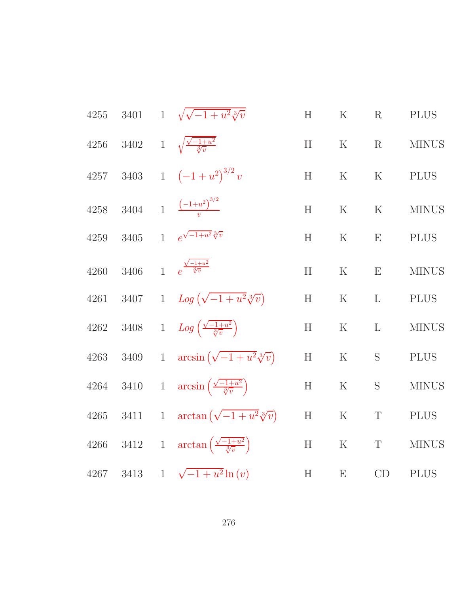| $4255\,$ |          | 3401 1 $\sqrt{\sqrt{-1+u^2}}\sqrt[3]{v}$                       | H               | ${\bf K}$   | R             | <b>PLUS</b>  |
|----------|----------|----------------------------------------------------------------|-----------------|-------------|---------------|--------------|
| 4256     |          | 3402 1 $\sqrt{\frac{\sqrt{-1+u^2}}{\sqrt[3]{v}}}$              | H               | $\mathbf K$ | $\mathbf R$   | <b>MINUS</b> |
| 4257     |          | 3403 1 $(-1+u^2)^{3/2}v$                                       | H               | $\mathbf K$ | ${\bf K}$     | <b>PLUS</b>  |
| $4258\,$ |          | 3404 1 $\frac{(-1+u^2)^{3/2}}{u}$                              | H               | $\mathbf K$ | $\mathbf K$   | <b>MINUS</b> |
| $4259\,$ | $3405\,$ | 1 $e^{\sqrt{-1+u^2}\sqrt[3]{v}}$                               | H               | $\rm K$     | E             | <b>PLUS</b>  |
| 4260     | 3406     | 1 $e^{\frac{\sqrt{-1+u^2}}{\sqrt[3]{v}}}$                      | H               | $\mathbf K$ | E             | <b>MINUS</b> |
| 4261     | 3407     | 1 $Log(\sqrt{-1+u^2}\sqrt[3]{v})$                              | $H_{\parallel}$ | $\rm K$     | $\mathbf{L}$  | <b>PLUS</b>  |
| $4262\,$ |          | 3408 1 $Log\left(\frac{\sqrt{-1+u^2}}{3\sqrt{v}}\right)$       | H               | ${\bf K}$   | $\mathbf{L}$  | <b>MINUS</b> |
| $4263\,$ |          | 3409 1 $\arcsin(\sqrt{-1+u^2}\sqrt[3]{v})$                     | H               | $\rm K$     | $S_{\text{}}$ | <b>PLUS</b>  |
| $4264\,$ |          | 3410 1 $\arcsin\left(\frac{\sqrt{-1+u^2}}{3\sqrt{v}}\right)$   | H               | $\mathbf K$ | ${\bf S}$     | <b>MINUS</b> |
| 4265     |          | 3411 1 $\arctan(\sqrt{-1+u^2}\sqrt[3]{v})$                     | H               | $\mathbf K$ | $\mathbf T$   | <b>PLUS</b>  |
| 4266     |          | 3412 1 $\arctan\left(\frac{\sqrt{-1+u^2}}{\sqrt[3]{v}}\right)$ | H               | $\rm K$     | $\mathbf T$   | <b>MINUS</b> |
| 4267     |          | 3413 1 $\sqrt{-1+u^2} \ln(v)$                                  | H               | E           | CD            | <b>PLUS</b>  |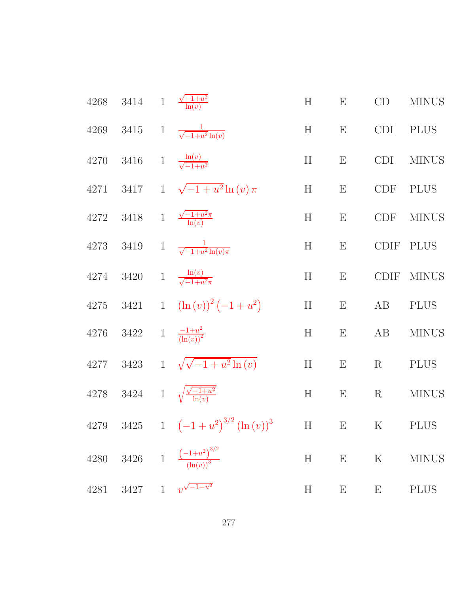|      | 4268 3414 1 $\frac{\sqrt{-1+u^2}}{\ln(v)}$ |                                                      | H | $\boldsymbol{\mathrm{E}}$ | CD                        | <b>MINUS</b> |
|------|--------------------------------------------|------------------------------------------------------|---|---------------------------|---------------------------|--------------|
|      |                                            | 4269 3415 1 $\frac{1}{\sqrt{-1+u^2}\ln(v)}$          | H | $\boldsymbol{\mathrm{E}}$ | <b>CDI</b>                | <b>PLUS</b>  |
|      | 4270 3416 1 $\frac{\ln(v)}{\sqrt{-1+u^2}}$ |                                                      | H | $\boldsymbol{\mathrm{E}}$ | CDI                       | <b>MINUS</b> |
|      |                                            | 4271 3417 1 $\sqrt{-1+u^2} \ln(v) \pi$               | H | $E_{\parallel}$           | CDF                       | <b>PLUS</b>  |
|      |                                            | 4272 3418 1 $\frac{\sqrt{-1+u^2\pi}}{\ln(v)}$        | H | $\boldsymbol{\mathrm{E}}$ | <b>CDF</b>                | <b>MINUS</b> |
|      |                                            | 4273 3419 1 $\frac{1}{\sqrt{-1+u^2}\ln(v)\pi}$       | H | $\boldsymbol{\mathrm{E}}$ | CDIF                      | <b>PLUS</b>  |
|      |                                            | 4274 3420 1 $\frac{\ln(v)}{\sqrt{-1+u^2\pi}}$        | H | $\boldsymbol{\mathrm{E}}$ | CDIF                      | <b>MINUS</b> |
|      |                                            | 4275 3421 1 $(\ln(v))^2(-1+u^2)$                     | H | $\mathbf{E}$              | AB                        | <b>PLUS</b>  |
|      | 4276 3422 1 $\frac{-1+u^2}{(\ln(v))^2}$    |                                                      | H | E                         | AB                        | <b>MINUS</b> |
|      |                                            | 4277 3423 1 $\sqrt{\sqrt{-1+u^2}\ln(v)}$             | H | $\boldsymbol{\mathrm{E}}$ | R                         | <b>PLUS</b>  |
|      |                                            | 4278 3424 1 $\sqrt{\frac{\sqrt{-1+u^2}}{\ln(v)}}$    | H | $\mathbf{E}$              | R                         | <b>MINUS</b> |
|      |                                            | 4279 3425 1 $(-1 + u^2)^{3/2} (\ln(v))^3$ H E K PLUS |   |                           |                           |              |
|      |                                            | 4280 3426 1 $\frac{(-1+u^2)^{3/2}}{(\ln(v))^3}$      | H | E                         | $\rm K$                   | <b>MINUS</b> |
| 4281 |                                            | 3427 1 $v^{\sqrt{-1+u^2}}$                           | H | $\boldsymbol{\mathrm{E}}$ | $\boldsymbol{\mathrm{E}}$ | <b>PLUS</b>  |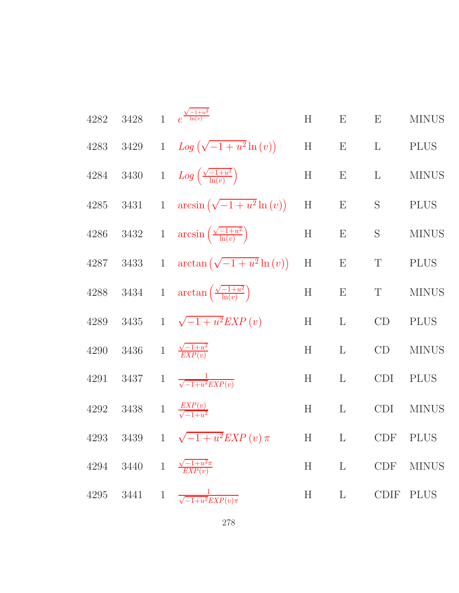| 4282     | 3428 | 1 $e^{\frac{\sqrt{-1+u^2}}{\ln(v)}}$                           | H         | E                         | E              | <b>MINUS</b> |
|----------|------|----------------------------------------------------------------|-----------|---------------------------|----------------|--------------|
| 4283     | 3429 | 1 $Log(\sqrt{-1+u^2}\ln(v))$                                   | H         | $\boldsymbol{\mathrm{E}}$ | $\mathbf{L}$   | <b>PLUS</b>  |
| 4284     |      | 3430 1 $Log\left(\frac{\sqrt{-1+u^2}}{\ln(v)}\right)$          | H         | $\boldsymbol{\mathrm{E}}$ | $\mathbf{L}$   | <b>MINUS</b> |
| $4285\,$ |      | 3431 1 $\arcsin(\sqrt{-1+u^2}\ln(v))$                          | H         | $\boldsymbol{\mathrm{E}}$ | ${\mathcal S}$ | <b>PLUS</b>  |
| 4286     |      | 3432 1 $\arcsin\left(\frac{\sqrt{-1+u^2}}{\ln(v)}\right)$      | H         | $\boldsymbol{\mathrm{E}}$ | S              | <b>MINUS</b> |
| 4287     |      | 3433 1 $\arctan(\sqrt{-1+u^2}\ln(v))$                          | H         | E                         | T              | <b>PLUS</b>  |
|          |      | 4288 3434 1 $\arctan\left(\frac{\sqrt{-1+u^2}}{\ln(v)}\right)$ | $H_{\rm}$ | $\boldsymbol{\mathrm{E}}$ | T              | <b>MINUS</b> |
| $4289\,$ |      | 3435 1 $\sqrt{-1+u^2}EXP(v)$                                   | H         | $\mathbf L$               | CD             | <b>PLUS</b>  |
| 4290     |      | 3436 1 $\frac{\sqrt{-1+u^2}}{EXP(v)}$                          | H         | $\mathbf L$               | CD             | <b>MINUS</b> |
| 4291     |      | 3437 1 $\frac{1}{\sqrt{-1+u^2 EXP(v)}}$                        | H         | $\mathbf{L}$              | <b>CDI</b>     | <b>PLUS</b>  |
| 4292     |      | 3438 1 $\frac{EXP(v)}{\sqrt{-1+u^2}}$                          | H         | $\mathbf{L}$              | <b>CDI</b>     | <b>MINUS</b> |
| 4293     | 3439 | 1 $\sqrt{-1+u^2} EXP(v) \pi$                                   | H         | $\mathbf{L}$              | <b>CDF</b>     | PLUS         |
|          |      | 4294 3440 1 $\frac{\sqrt{-1+u^2\pi}}{EXP(v)}$                  |           | $H$ L                     |                | CDF MINUS    |
|          |      | 4295 3441 1 $\frac{1}{\sqrt{-1+u^2}EXP(v)\pi}$                 |           |                           | H L CDIF PLUS  |              |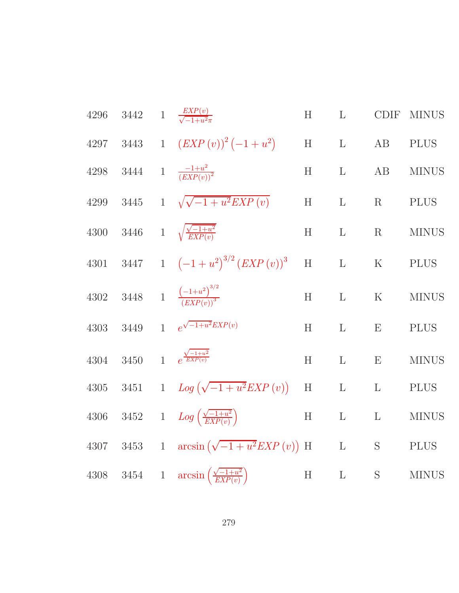| $4296\,$ |  | 3442 1 $\frac{EXP(v)}{\sqrt{-1+u^2\pi}}$                       | H         | $\mathbf{L}$                                            |              | CDIF MINUS   |
|----------|--|----------------------------------------------------------------|-----------|---------------------------------------------------------|--------------|--------------|
|          |  | 4297 3443 1 $(EXP(v))^2(-1+u^2)$                               |           | $\begin{tabular}{llll} H & L & AB & PLUS \end{tabular}$ |              |              |
| 4298     |  | 3444 1 $\frac{-1+u^2}{(EXP(v))^2}$                             | H         | $\mathbf{L}$                                            | AB           | <b>MINUS</b> |
| 4299     |  | 3445 1 $\sqrt{\sqrt{-1+u^2}EXP(v)}$                            | H         | L                                                       | R PLUS       |              |
|          |  | 4300 3446 1 $\sqrt{\frac{\sqrt{-1+u^2}}{EXP(v)}}$              | H         | $\mathbf{L}$                                            |              | R MINUS      |
| 4301     |  | 3447 1 $(-1+u^2)^{3/2} (EXP(v))^3$                             | $H$ L     |                                                         | K PLUS       |              |
| 4302     |  | 3448 1 $\frac{(-1+u^2)^{3/2}}{(EXP(v))^3}$                     | H         | $\mathbf{L}$                                            | ${\bf K}$    | <b>MINUS</b> |
| $4303\,$ |  | 3449 1 $e^{\sqrt{-1+u^2}EXP(v)}$                               | H         | $\mathbf{L}$                                            | E            | <b>PLUS</b>  |
| $4304\,$ |  | 3450 1 $e^{\frac{\sqrt{-1+u^2}}{EXP(v)}}$                      | H         | $\mathbf{L}$                                            | ${\bf E}$    | <b>MINUS</b> |
| $4305\,$ |  | 3451 1 $Log(\sqrt{-1+u^2}EXP(v))$                              | H         | $\mathbf{L}$                                            | $\mathbf{L}$ | <b>PLUS</b>  |
| 4306     |  | 3452 1 $Log\left(\frac{\sqrt{-1+u^2}}{EXP(v)}\right)$          | ${\bf H}$ | ${\bf L}$ ${\bf \cal L}$                                |              | <b>MINUS</b> |
|          |  | 4307 3453 1 $\arcsin(\sqrt{-1+u^2}EXP(v))$ H                   |           | L S PLUS                                                |              |              |
|          |  | 4308 3454 1 $\arcsin\left(\frac{\sqrt{-1+u^2}}{EXP(v)}\right)$ | $H$ L     |                                                         | S            | <b>MINUS</b> |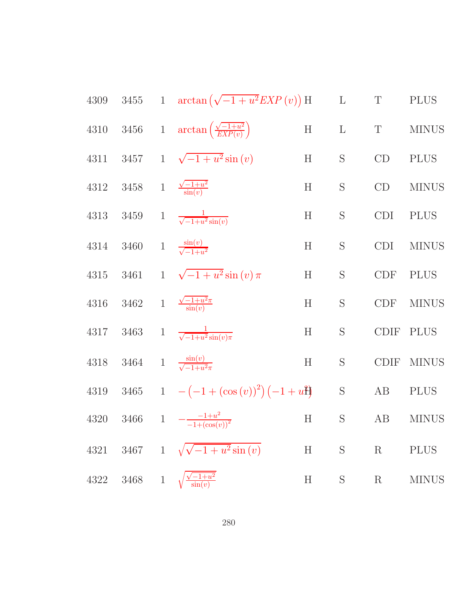4309 3455 1 
$$
\arctan(\sqrt{-1 + u^2}EXP(v))
$$
 H L T PLUS  
\n4310 3456 1  $\arctan(\frac{\sqrt{-1 + u^2}}{EXP(v)})$  H L T MINUS  
\n4311 3457 1  $\sqrt{-1 + u^2} \sin(v)$  H S CD PLUS  
\n4312 3458 1  $\frac{\sqrt{-1 + u^2}}{\sin(v)}$  H S CD MINUS  
\n4313 3459 1  $\frac{\sin(v)}{\sqrt{-1 + u^2} \sin(v)}$  H S CDI PLUS  
\n4314 3460 1  $\frac{\sin(v)}{\sqrt{-1 + u^2} \sin(v)}$  H S CDI MINUS  
\n4315 3461 1  $\sqrt{-1 + u^2} \sin(v) \pi$  H S CDF PLUS  
\n4316 3462 1  $\frac{\frac{1}{\sin(v)}}{\sin(v)}$  H S CDF MINUS  
\n4317 3463 1  $\frac{1}{\sqrt{-1 + u^2} \sin(v) \pi}$  H S CDF PLUS  
\n4318 3464 1  $\frac{\sin(v)}{\sqrt{-1 + u^2} \sin(v) \pi}$  H S CDF MINUS  
\n4319 3465 1  $-(-1 + (\cos(v))^2)(-1 + u^2)$  S AB PLUS  
\n4320 3466 1  $-\frac{1 + u^2}{-1 + (\cos(v))^2}$  H S AB MINUS  
\n4321 3467 1  $\sqrt{\frac{-1 + u^2}{\sin(v)}}$  H S R PLUS  
\n4322 3468 1  $\sqrt{\frac{-1 + u^2}{\sin(v)}}$  H S R MINUS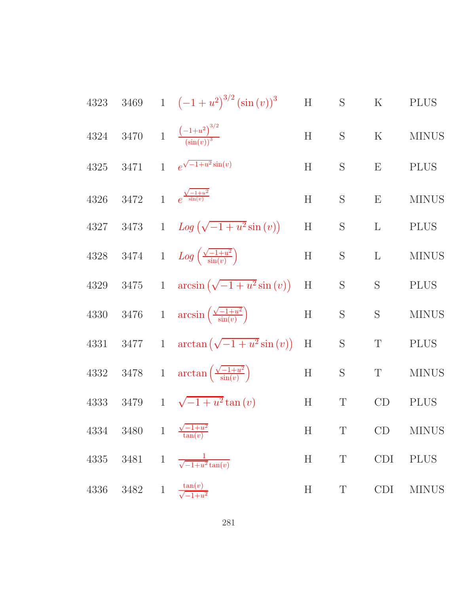4323 3469 1 
$$
(-1 + u^2)^{3/2} (\sin(v))^3
$$
 H S K PLUS  
\n4324 3470 1  $\frac{(-1 + u^2)^{3/2}}{(\sin(v))^3}$  H S K MINUS  
\n4325 3471 1  $e^{\sqrt{-1 + u^2} \sin(v)}$  H S E PLUS  
\n4326 3472 1  $e^{\frac{\sqrt{-1 + u^2}}{\sin(v)}}$  H S E MINUS  
\n4327 3473 1  $Log(\sqrt{-1 + u^2} \sin(v))$  H S L PLUS  
\n4328 3474 1  $Log(\frac{\sqrt{-1 + u^2}}{\sin(v)})$  H S L MINUS  
\n4329 3475 1  $arcsin(\sqrt{-1 + u^2} \sin(v))$  H S S PLUS  
\n4330 3476 1  $arcsin(\frac{\sqrt{-1 + u^2}}{\sin(v)})$  H S S PLUS  
\n4331 3477 1  $arctan(\sqrt{-1 + u^2} \sin(v))$  H S T PLUS  
\n4332 3478 1  $arctan(\frac{\sqrt{-1 + u^2}}{\sin(v)})$  H S T PLUS  
\n4333 3479 1  $\sqrt{-1 + u^2} \tan(v)$  H T CD PLUS  
\n4334 3480 1  $\frac{\sqrt{-1 + u^2}}{\tan(v)}$  H T CD MINUS  
\n4335 3481 1  $\frac{1}{\sqrt{-1 + u^2} \tan(v)}$  H T CD IMINUS  
\n4336 3482 1  $\frac{\tan(v)}{\sqrt{-1 + u^2}}$  H T CDI MINUS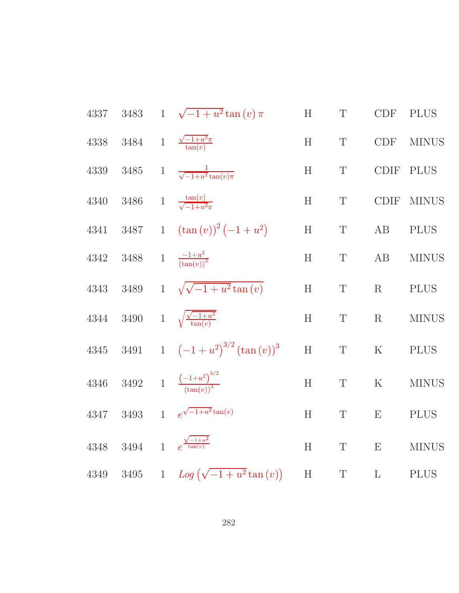4337 3483 1 
$$
\sqrt{-1 + u^2} \tan(v) \pi
$$
 H T CDF PLUS  
\n4338 3484 1  $\frac{\sqrt{-1 + u^2} \tan(v)}{\tan(v)}$  H T CDF MINUS  
\n4339 3485 1  $\frac{1}{\sqrt{-1 + u^2} \tan(v) \pi}$  H T CDF MINUS  
\n4340 3486 1  $\frac{\tan(v)}{\sqrt{-1 + u^2 \pi}}$  H T CDF MINUS  
\n4341 3487 1  $(\tan(v))^2 (-1 + u^2)$  H T AB PLUS  
\n4342 3488 1  $\frac{-1 + u^2}{(\tan(v))^2}$  H T AB MINUS  
\n4343 3489 1  $\sqrt{\sqrt{-1 + u^2} \tan(v)}$  H T R PLUS  
\n4344 3490 1  $\sqrt{\frac{\sqrt{-1 + u^2}}{\tan(v)}}$  H T R MINUS  
\n4345 3491 1  $(-1 + u^2)^{3/2} (\tan(v))^3$  H T K PLUS  
\n4346 3492 1  $\frac{(-1 + u^2)^{3/2}}{(\tan(v))^3}$  H T K MINUS  
\n4347 3493 1  $e^{\sqrt{-1 + u^2} \tan(v)}$  H T E PLUS  
\n4348 3494 1  $e^{\frac{\sqrt{-1 + u^2}}{\tan(v)}}$  H T E PLUS  
\n4348 3494 1  $e^{\frac{\sqrt{-1 + u^2}}{\tan(v)}}$  H T E MINUS  
\n4349 3495 1  $Log(\sqrt{-1 + u^2} \tan(v))$  H T L PLUS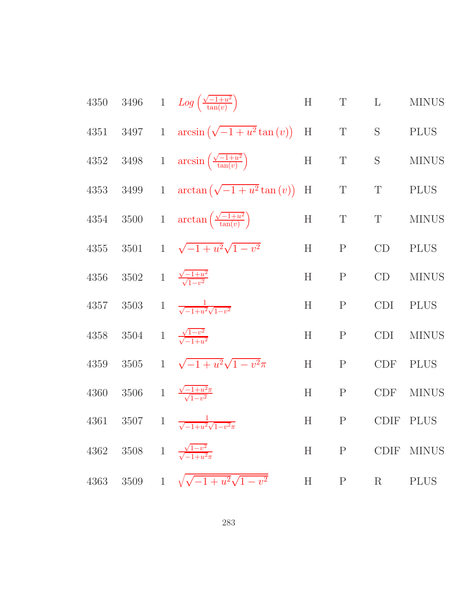4350 3496 1 
$$
Log(\frac{\sqrt{-1+u^2}}{\tan(v)})
$$
 H T L MINUS  
\n4351 3497 1  $arcsin(\sqrt{-1+u^2}tan(v))$  H T S PLUS  
\n4352 3498 1  $arcsin(\frac{\sqrt{-1+u^2}}{\tan(v)})$  H T S MINUS  
\n4353 3499 1  $arctan(\sqrt{-1+u^2}tan(v))$  H T T PLUS  
\n4354 3500 1  $arctan(\frac{\sqrt{-1+u^2}}{\tan(v)})$  H T T MINUS  
\n4355 3501 1  $\sqrt{-1+u^2}\sqrt{1-v^2}$  H P CD PLUS  
\n4356 3502 1  $\frac{\sqrt{-1+u^2}}{\sqrt{1-v^2}}$  H P CD MINUS  
\n4357 3503 1  $\frac{1}{\sqrt{-1+u^2}\sqrt{1-v^2}}$  H P CD IMINUS  
\n4358 3504 1  $\frac{1}{\sqrt{-1+u^2}\sqrt{1-v^2}\pi}$  H P CDI MINUS  
\n4359 3505 1  $\sqrt{-1+u^2}\sqrt{1-v^2}\pi$  H P CDF PLUS  
\n4360 3506 1  $\frac{\sqrt{-1+u^2}\pi}{\sqrt{1-v^2}}$  H P CDF MINUS  
\n4361 3507 1  $\frac{1}{\sqrt{-1+u^2}\sqrt{1-v^2}\pi}$  H P CDF MINUS  
\n4362 3508 1  $\frac{\sqrt{1-v^2}}{\sqrt{1+u^2}\pi}$  H P CDF MINUS  
\n4362 3508 1  $\frac{\sqrt{1-v^2}}{\sqrt{1+u^2}\pi}$  H P CDF MINUS  
\n4363 3509 1  $\sqrt{\sqrt{-1+u^2}\sqrt{1-v^2}}$  H P R PLUS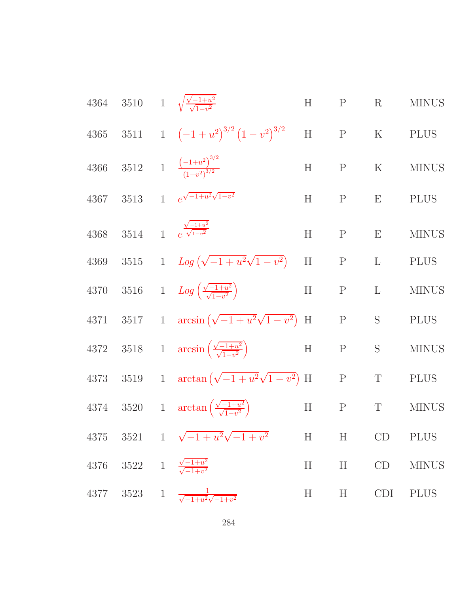|      |                                                          | 4364 3510 1 $\sqrt{\frac{\sqrt{-1+u^2}}{\sqrt{1-u^2}}}$              | $H$ $P$         |              | R            | <b>MINUS</b> |
|------|----------------------------------------------------------|----------------------------------------------------------------------|-----------------|--------------|--------------|--------------|
|      |                                                          | 4365 3511 1 $(-1+u^2)^{3/2}(1-v^2)^{3/2}$                            |                 | $H$ $P$      | K PLUS       |              |
| 4366 |                                                          | 3512 1 $\frac{(-1+u^2)^{3/2}}{(1-v^2)^{3/2}}$                        | $H$ $P$         |              | $\mathbf{K}$ | <b>MINUS</b> |
| 4367 |                                                          | 3513 1 $e^{\sqrt{-1+u^2}\sqrt{1-v^2}}$                               | H               | $\mathbf{P}$ | E            | <b>PLUS</b>  |
| 4368 |                                                          | 3514 1 $e^{\frac{\sqrt{-1+u^2}}{\sqrt{1-v^2}}}$                      | H               | P            | E            | <b>MINUS</b> |
| 4369 |                                                          | 3515 1 $Log(\sqrt{-1+u^2}\sqrt{1-v^2})$                              | H               | P            | L            | <b>PLUS</b>  |
| 4370 |                                                          | 3516 1 $Log\left(\frac{\sqrt{-1+u^2}}{\sqrt{1-u^2}}\right)$          | H               | P            | $\mathbf{L}$ | <b>MINUS</b> |
|      |                                                          | 4371 3517 1 $\arcsin(\sqrt{-1+u^2}\sqrt{1-v^2})$ H                   |                 | P            | S            | <b>PLUS</b>  |
|      |                                                          | 4372 3518 1 $\arcsin\left(\frac{\sqrt{-1+u^2}}{\sqrt{1-u^2}}\right)$ | $\mathbf H$     | $\mathbf{P}$ | S            | <b>MINUS</b> |
| 4373 |                                                          | 3519 1 $\arctan(\sqrt{-1+u^2}\sqrt{1-v^2})$ H                        |                 | $\mathbf{P}$ | T            | <b>PLUS</b>  |
|      |                                                          | 4374 3520 1 $\arctan\left(\frac{\sqrt{-1+u^2}}{\sqrt{1-v^2}}\right)$ | H               | P            | T            | <b>MINUS</b> |
| 4375 |                                                          | 3521 1 $\sqrt{-1+u^2}\sqrt{-1+v^2}$                                  | H               | H            | CD           | <b>PLUS</b>  |
| 4376 | $3522 \quad 1 \quad \frac{\sqrt{-1+u^2}}{\sqrt{-1+v^2}}$ |                                                                      | $H_{\parallel}$ | H            | CD           | <b>MINUS</b> |
|      |                                                          | 4377 3523 1 $\frac{1}{\sqrt{-1+u^2}\sqrt{-1+v^2}}$                   | $H_{\parallel}$ | H            | <b>CDI</b>   | <b>PLUS</b>  |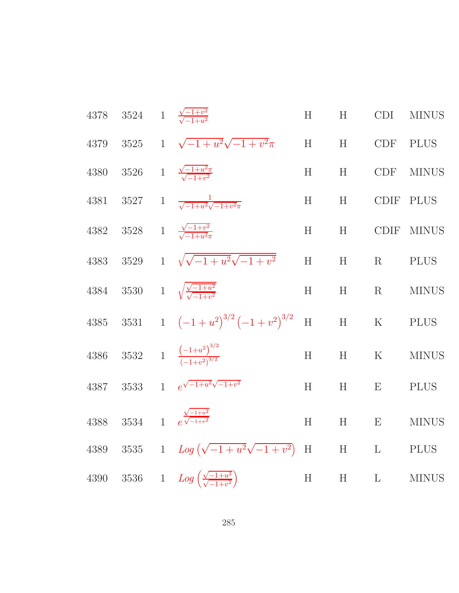| 4378     |      | 3524 1 $\frac{\sqrt{-1+v^2}}{\sqrt{-1+u^2}}$                 | H           | H            | <b>CDI</b>      | <b>MINUS</b> |
|----------|------|--------------------------------------------------------------|-------------|--------------|-----------------|--------------|
| 4379     |      | 3525 1 $\sqrt{-1+u^2}\sqrt{-1+v^2}\pi$                       | H<br>H      |              |                 | CDF PLUS     |
| 4380     |      | 3526 1 $\frac{\sqrt{-1+u^2}\pi}{\sqrt{-1+u^2}}$              | H           | $\, {\rm H}$ | <b>CDF</b>      | <b>MINUS</b> |
| 4381     | 3527 | 1 $\frac{1}{\sqrt{-1+u^2}\sqrt{-1+v^2\pi}}$                  | H           | H            | <b>CDIF</b>     | <b>PLUS</b>  |
| 4382     |      | 3528 1 $\frac{\sqrt{-1+v^2}}{\sqrt{-1+u^2}\pi}$              | H           | H            | <b>CDIF</b>     | <b>MINUS</b> |
| 4383     |      | 3529 1 $\sqrt{\sqrt{-1+u^2}\sqrt{-1+v^2}}$                   | $\rm H$     | $\mathbf H$  | $R_{\parallel}$ | <b>PLUS</b>  |
| $\!384$  |      | 3530 1 $\sqrt{\frac{\sqrt{-1+u^2}}{\sqrt{-1+u^2}}}$          | H           | H            | $\rm R$         | <b>MINUS</b> |
| $\!385$  |      | 3531 1 $(-1+u^2)^{3/2}(-1+v^2)^{3/2}$                        | $\rm H$     | H            | $\rm K$         | <b>PLUS</b>  |
| $4386\,$ |      | 3532 1 $\frac{(-1+u^2)^{3/2}}{(-1+u^2)^{3/2}}$               | H           | $\mathbf H$  | $\mathbf K$     | <b>MINUS</b> |
| 4387     |      | 3533 1 $e^{\sqrt{-1+u^2}\sqrt{-1+v^2}}$                      | H           | H            | E               | <b>PLUS</b>  |
| $4388\,$ | 3534 | $\frac{\sqrt{-1+u^2}}{e^{\sqrt{-1+v^2}}}$                    | H           | H            | ${\bf E}$       | <b>MINUS</b> |
| 4389     |      | 3535 1 $Log(\sqrt{-1+u^2}\sqrt{-1+v^2})$                     | $\mathbf H$ | ${\bf H}$    | $\mathbf{L}$    | <b>PLUS</b>  |
| 4390     |      | 3536 1 $Log\left(\frac{\sqrt{-1+u^2}}{\sqrt{-1+u^2}}\right)$ | H           | H            | $\mathbf L$     | <b>MINUS</b> |